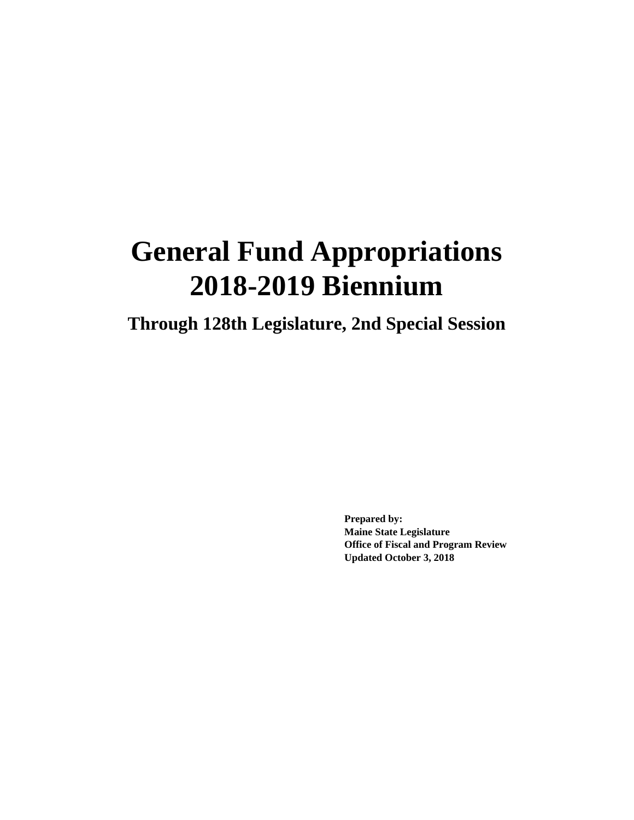# **General Fund Appropriations 2018-2019 Biennium**

**Through 128th Legislature, 2nd Special Session**

**Prepared by: Maine State Legislature Office of Fiscal and Program Review Updated October 3, 2018**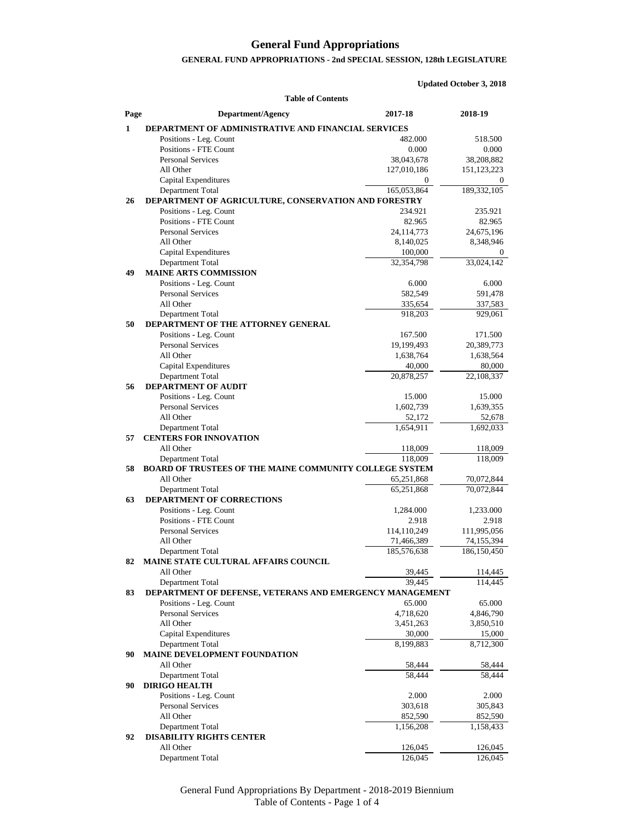#### **General Fund Appropriations**

#### **GENERAL FUND APPROPRIATIONS - 2nd SPECIAL SESSION, 128th LEGISLATURE**

**Updated October 3, 2018**

**Table of Contents Page Department/Agency 2017-18 2018-19 1 DEPARTMENT OF ADMINISTRATIVE AND FINANCIAL SERVICES**  Positions - Leg. Count 482.000 518.500 Positions - FTE Count 0.000 0.000 0.000 0.000 0.000 0.000 0.000 0.000 0.000 0.000 0.000 0.000 0.000 0.000 0.000 0.000 0.000 0.000 0.000 0.000 0.000 0.000 0.000 0.000 0.000 0.000 0.000 0.000 0.000 0.000 0.000 0.000 0.000 0. Personal Services 38,043,678 38,208,882<br>All Other 127,010,186 151,123,223 All Other 127,010,186 151,123,223 Capital Expenditures 0 0 Department Total 165,053,864 189,332,105 **26 DEPARTMENT OF AGRICULTURE, CONSERVATION AND FORESTRY** Positions - Leg. Count 234.921 235.921 Positions - FTE Count 82.965 82.965 82.965 Personal Services 24,114,773 24,675,196<br>
All Other 8.140,025 8.348,946 All Other 8,140,025 8,348,946 Capital Expenditures 100,000 0 Department Total 32,354,798 33,024,142 **49 MAINE ARTS COMMISSION** Positions - Leg. Count 6.000 6.000 6.000 6.000 6.000 6.000 6.000 6.000 6.000 6.000 6.000 6.000 6.000 6.000 6.000 6.000 6.000 6.000 6.000 6.000 6.000 6.000 6.000 6.000 6.000 6.000 6.000 6.000 6.000 6.000 6.000 6.000 6.000 6 Personal Services 582,549 591,478 All Other 337,583 337,583 Department Total 918,203 929,061 **50 DEPARTMENT OF THE ATTORNEY GENERAL** Positions - Leg. Count 167.500 171.500 Personal Services 19,199,493 20,389,773 All Other 1,638,764 1,638,564 1,638,764 Capital Expenditures  $40,000$  80,000 Department Total 20,878,257 22,108,337 **56 DEPARTMENT OF AUDIT** Positions - Leg. Count 15.000 15.000 15.000 15.000 15.000 15.000 15.000 15.000 15.000 15.000 15.000 15.000 15.000 15.000 15.000 15.000 15.000 15.000 15.000 15.000 15.000 15.000 15.000 15.000 15.000 15.000 15.000 15.000 15. Personal Services 1,602,739 1,639,355 All Other 52,678 52,678 Department Total 1,654,911 1,692,033 **57 CENTERS FOR INNOVATION** All Other 118,009 118,009 Department Total 118,009 118,009 **58 BOARD OF TRUSTEES OF THE MAINE COMMUNITY COLLEGE SYSTEM** All Other 65,251,868 70,072,844 Department Total 65,251,868 70,072,844 **63 DEPARTMENT OF CORRECTIONS** Positions - Leg. Count 1,284.000 1,233.000 Positions - FTE Count 2.918 2.918 2.918 Personal Services 114,110,249 111,995,056 All Other 71,466,389 74,155,394 Department Total 185,576,638 186,150,450 **82 MAINE STATE CULTURAL AFFAIRS COUNCIL** All Other 39,445 114,445 Department Total 39,445 114,445 **83 DEPARTMENT OF DEFENSE, VETERANS AND EMERGENCY MANAGEMENT** Positions - Leg. Count 65.000 65.000 65.000 65.000 65.000 65.000 65.000 65.000 65.000 65.000 65.000 65.000 65.000 65.000 65.000 65.000 65.000 65.000 65.000 65.000 65.000 65.000 65.000 65.000 65.000 65.000 65.000 65.000 65. Personal Services 2,718,620 4,718,620 4,846,790 All Other 3,451,263 3,850,510 Capital Expenditures 30,000 15,000 Department Total 8,199,883 8,712,300 **90 MAINE DEVELOPMENT FOUNDATION** All Other 58,444 58,444 58,444 Department Total 58,444 58,444 **90 DIRIGO HEALTH** Positions - Leg. Count 2.000 2.000 2.000 Personal Services 303,618 305,843<br>All Other 352,590 352,590 352,590

All Other 852,590 852,590 Department Total 1,156,208 1,158,433 **92 DISABILITY RIGHTS CENTER** All Other 126,045 126,045 Department Total  $126,045$   $126,045$ 

> General Fund Appropriations By Department - 2018-2019 Biennium Table of Contents - Page 1 of 4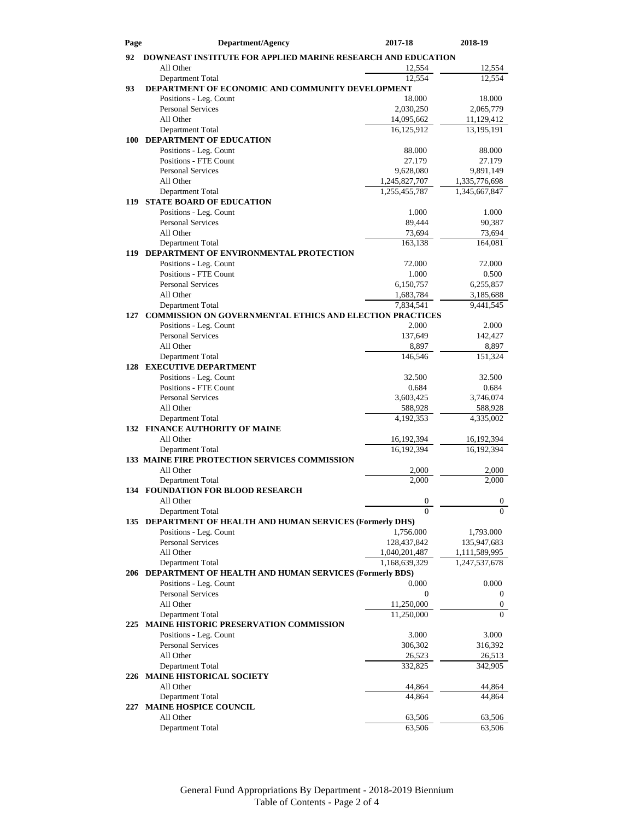| Page | Department/Agency                                                              | 2017-18                 | 2018-19                 |  |  |
|------|--------------------------------------------------------------------------------|-------------------------|-------------------------|--|--|
| 92   | <b>DOWNEAST INSTITUTE FOR APPLIED MARINE RESEARCH AND EDUCATION</b>            |                         |                         |  |  |
|      | All Other                                                                      | 12,554                  | 12,554                  |  |  |
|      | Department Total                                                               | 12,554                  | 12,554                  |  |  |
| 93   | DEPARTMENT OF ECONOMIC AND COMMUNITY DEVELOPMENT                               |                         |                         |  |  |
|      | Positions - Leg. Count                                                         | 18.000                  | 18.000                  |  |  |
|      | <b>Personal Services</b><br>All Other                                          | 2,030,250<br>14,095,662 | 2,065,779<br>11,129,412 |  |  |
|      | Department Total                                                               | 16,125,912              | 13,195,191              |  |  |
| 100  | DEPARTMENT OF EDUCATION                                                        |                         |                         |  |  |
|      | Positions - Leg. Count                                                         | 88.000                  | 88.000                  |  |  |
|      | <b>Positions - FTE Count</b>                                                   | 27.179                  | 27.179                  |  |  |
|      | <b>Personal Services</b>                                                       | 9,628,080               | 9,891,149               |  |  |
|      | All Other                                                                      | 1,245,827,707           | 1,335,776,698           |  |  |
|      | Department Total                                                               | 1,255,455,787           | 1,345,667,847           |  |  |
| 119  | <b>STATE BOARD OF EDUCATION</b><br>Positions - Leg. Count                      | 1.000                   | 1.000                   |  |  |
|      | <b>Personal Services</b>                                                       | 89,444                  | 90,387                  |  |  |
|      | All Other                                                                      | 73,694                  | 73,694                  |  |  |
|      | Department Total                                                               | 163,138                 | 164,081                 |  |  |
|      | 119 DEPARTMENT OF ENVIRONMENTAL PROTECTION                                     |                         |                         |  |  |
|      | Positions - Leg. Count                                                         | 72.000                  | 72.000                  |  |  |
|      | <b>Positions - FTE Count</b>                                                   | 1.000                   | 0.500                   |  |  |
|      | <b>Personal Services</b>                                                       | 6,150,757               | 6,255,857               |  |  |
|      | All Other<br>Department Total                                                  | 1,683,784<br>7,834,541  | 3,185,688<br>9,441,545  |  |  |
| 127  | COMMISSION ON GOVERNMENTAL ETHICS AND ELECTION PRACTICES                       |                         |                         |  |  |
|      | Positions - Leg. Count                                                         | 2.000                   | 2.000                   |  |  |
|      | <b>Personal Services</b>                                                       | 137,649                 | 142,427                 |  |  |
|      | All Other                                                                      | 8,897                   | 8,897                   |  |  |
|      | Department Total                                                               | 146,546                 | 151,324                 |  |  |
|      | <b>128 EXECUTIVE DEPARTMENT</b>                                                |                         |                         |  |  |
|      | Positions - Leg. Count<br><b>Positions - FTE Count</b>                         | 32.500                  | 32.500                  |  |  |
|      | <b>Personal Services</b>                                                       | 0.684<br>3,603,425      | 0.684<br>3,746,074      |  |  |
|      | All Other                                                                      | 588,928                 | 588,928                 |  |  |
|      | Department Total                                                               | 4,192,353               | 4,335,002               |  |  |
|      | <b>132 FINANCE AUTHORITY OF MAINE</b>                                          |                         |                         |  |  |
|      | All Other                                                                      | 16,192,394              | 16, 192, 394            |  |  |
|      | Department Total                                                               | 16,192,394              | 16,192,394              |  |  |
|      | 133 MAINE FIRE PROTECTION SERVICES COMMISSION                                  |                         |                         |  |  |
|      | All Other<br>Department Total                                                  | 2,000<br>2.000          | 2,000<br>2.000          |  |  |
|      | <b>134 FOUNDATION FOR BLOOD RESEARCH</b>                                       |                         |                         |  |  |
|      | All Other                                                                      | $\boldsymbol{0}$        | $\theta$                |  |  |
|      | Department Total                                                               | $\Omega$                | $\Omega$                |  |  |
|      | 135 DEPARTMENT OF HEALTH AND HUMAN SERVICES (Formerly DHS)                     |                         |                         |  |  |
|      | Positions - Leg. Count                                                         | 1,756.000               | 1,793.000               |  |  |
|      | <b>Personal Services</b>                                                       | 128,437,842             | 135,947,683             |  |  |
|      | All Other                                                                      | 1,040,201,487           | 1,111,589,995           |  |  |
|      | Department Total<br>206 DEPARTMENT OF HEALTH AND HUMAN SERVICES (Formerly BDS) | 1,168,639,329           | 1,247,537,678           |  |  |
|      | Positions - Leg. Count                                                         | 0.000                   | 0.000                   |  |  |
|      | <b>Personal Services</b>                                                       | $\boldsymbol{0}$        | 0                       |  |  |
|      | All Other                                                                      | 11,250,000              | 0                       |  |  |
|      | Department Total                                                               | 11,250,000              | $\Omega$                |  |  |
| 225  | MAINE HISTORIC PRESERVATION COMMISSION                                         |                         |                         |  |  |
|      | Positions - Leg. Count                                                         | 3.000                   | 3.000                   |  |  |
|      | Personal Services                                                              | 306,302                 | 316,392                 |  |  |
|      | All Other<br>Department Total                                                  | 26,523<br>332,825       | 26,513<br>342,905       |  |  |
|      | 226 MAINE HISTORICAL SOCIETY                                                   |                         |                         |  |  |
|      | All Other                                                                      | 44,864                  | 44,864                  |  |  |
|      | Department Total                                                               | 44,864                  | 44,864                  |  |  |
| 227  | <b>MAINE HOSPICE COUNCIL</b>                                                   |                         |                         |  |  |
|      | All Other                                                                      | 63,506                  | 63,506                  |  |  |
|      | Department Total                                                               | 63,506                  | 63,506                  |  |  |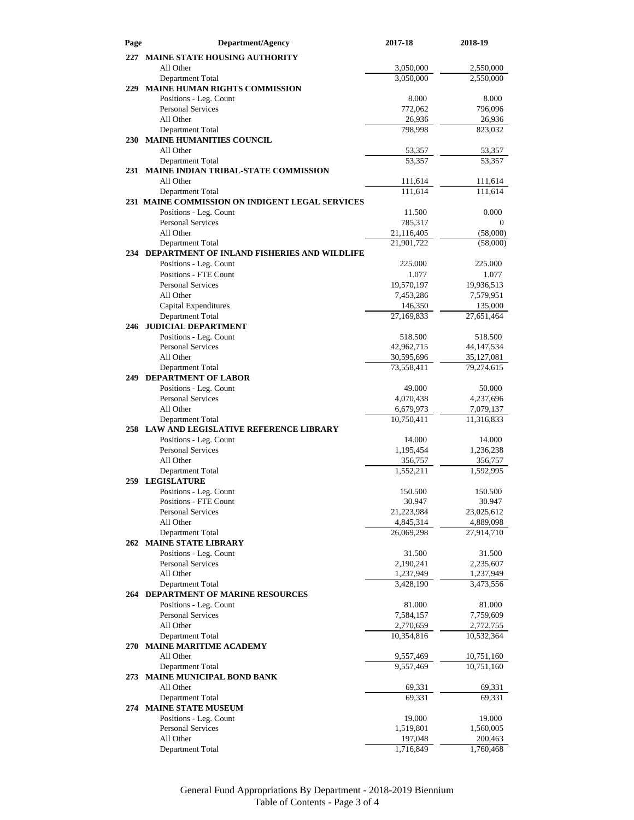| Page | <b>Department/Agency</b>                                      | 2017-18               | 2018-19              |
|------|---------------------------------------------------------------|-----------------------|----------------------|
|      | 227 MAINE STATE HOUSING AUTHORITY                             |                       |                      |
|      | All Other                                                     | 3,050,000             | 2,550,000            |
|      | Department Total                                              | 3,050,000             | 2,550,000            |
| 229  | <b>MAINE HUMAN RIGHTS COMMISSION</b>                          |                       |                      |
|      | Positions - Leg. Count                                        | 8.000                 | 8.000                |
|      | <b>Personal Services</b>                                      | 772,062               | 796,096              |
|      | All Other                                                     | 26,936                | 26,936               |
|      | Department Total                                              | 798,998               | 823,032              |
|      | <b>230 MAINE HUMANITIES COUNCIL</b>                           |                       |                      |
|      | All Other                                                     | 53,357                | 53,357               |
|      | Department Total<br>231 MAINE INDIAN TRIBAL-STATE COMMISSION  | 53,357                | 53,357               |
|      | All Other                                                     | 111,614               | 111,614              |
|      | Department Total                                              | 111,614               | 111,614              |
|      | 231 MAINE COMMISSION ON INDIGENT LEGAL SERVICES               |                       |                      |
|      | Positions - Leg. Count                                        | 11.500                | 0.000                |
|      | <b>Personal Services</b>                                      | 785,317               | $\overline{0}$       |
|      | All Other                                                     | 21,116,405            | (58,000)             |
|      | Department Total                                              | 21,901,722            | (58,000)             |
|      | 234 DEPARTMENT OF INLAND FISHERIES AND WILDLIFE               |                       |                      |
|      | Positions - Leg. Count                                        | 225.000               | 225.000              |
|      | <b>Positions - FTE Count</b>                                  | 1.077                 | 1.077                |
|      | <b>Personal Services</b>                                      | 19,570,197            | 19,936,513           |
|      | All Other                                                     | 7,453,286             | 7,579,951<br>135,000 |
|      | Capital Expenditures<br>Department Total                      | 146,350<br>27,169,833 | 27,651,464           |
|      | 246 JUDICIAL DEPARTMENT                                       |                       |                      |
|      | Positions - Leg. Count                                        | 518.500               | 518.500              |
|      | <b>Personal Services</b>                                      | 42,962,715            | 44, 147, 534         |
|      | All Other                                                     | 30,595,696            | 35,127,081           |
|      | Department Total                                              | 73,558,411            | 79,274,615           |
| 249  | <b>DEPARTMENT OF LABOR</b>                                    |                       |                      |
|      | Positions - Leg. Count                                        | 49.000                | 50.000               |
|      | <b>Personal Services</b>                                      | 4,070,438             | 4,237,696            |
|      | All Other                                                     | 6,679,973             | 7,079,137            |
|      | Department Total<br>258 LAW AND LEGISLATIVE REFERENCE LIBRARY | 10,750,411            | 11,316,833           |
|      | Positions - Leg. Count                                        | 14.000                | 14.000               |
|      | <b>Personal Services</b>                                      | 1,195,454             | 1,236,238            |
|      | All Other                                                     | 356,757               | 356,757              |
|      | Department Total                                              | 1,552,211             | 1,592,995            |
| 259  | <b>LEGISLATURE</b>                                            |                       |                      |
|      | Positions - Leg. Count                                        | 150.500               | 150.500              |
|      | Positions - FTE Count                                         | 30.947                | 30.947               |
|      | <b>Personal Services</b>                                      | 21,223,984            | 23,025,612           |
|      | All Other                                                     | 4,845,314             | 4,889,098            |
|      | Department Total                                              | 26,069,298            | 27,914,710           |
|      | 262 MAINE STATE LIBRARY                                       |                       |                      |
|      | Positions - Leg. Count<br><b>Personal Services</b>            | 31.500<br>2,190,241   | 31.500<br>2,235,607  |
|      | All Other                                                     | 1,237,949             | 1,237,949            |
|      | Department Total                                              | 3,428,190             | 3,473,556            |
|      | <b>264 DEPARTMENT OF MARINE RESOURCES</b>                     |                       |                      |
|      | Positions - Leg. Count                                        | 81.000                | 81.000               |
|      | <b>Personal Services</b>                                      | 7,584,157             | 7,759,609            |
|      | All Other                                                     | 2,770,659             | 2,772,755            |
|      | Department Total                                              | 10,354,816            | 10,532,364           |
|      | 270 MAINE MARITIME ACADEMY                                    |                       |                      |
|      | All Other                                                     | 9,557,469             | 10,751,160           |
|      | Department Total                                              | 9,557,469             | 10,751,160           |
|      | 273 MAINE MUNICIPAL BOND BANK                                 |                       |                      |
|      | All Other<br>Department Total                                 | 69,331<br>69,331      | 69,331<br>69,331     |
|      | 274 MAINE STATE MUSEUM                                        |                       |                      |
|      | Positions - Leg. Count                                        | 19.000                | 19.000               |
|      | <b>Personal Services</b>                                      | 1,519,801             | 1,560,005            |
|      | All Other                                                     | 197,048               | 200,463              |
|      | Department Total                                              | 1,716,849             | 1,760,468            |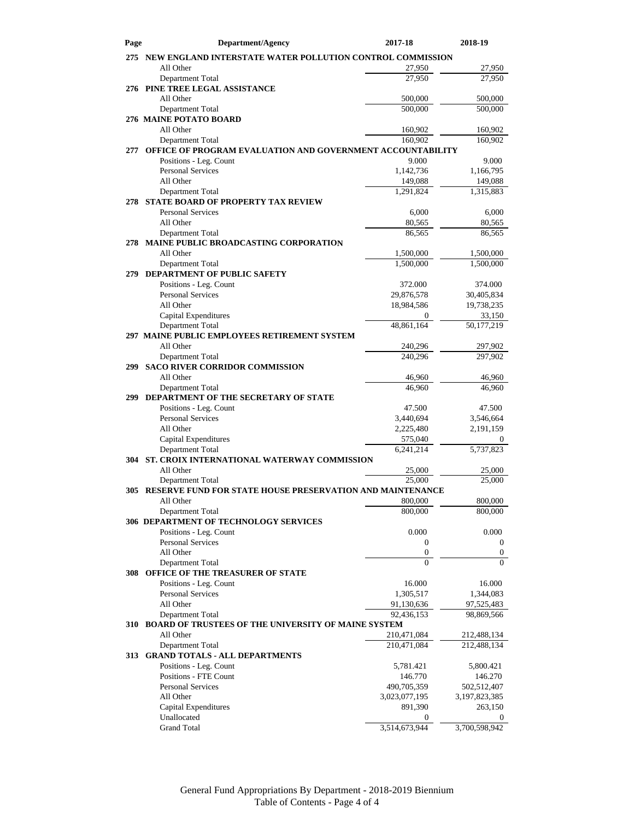| Page       | <b>Department/Agency</b>                                                          | 2017-18                 | 2018-19                |
|------------|-----------------------------------------------------------------------------------|-------------------------|------------------------|
|            | 275 NEW ENGLAND INTERSTATE WATER POLLUTION CONTROL COMMISSION                     |                         |                        |
|            | All Other                                                                         | 27,950                  | 27,950                 |
|            | Department Total                                                                  | 27,950                  | 27,950                 |
|            | 276 PINE TREE LEGAL ASSISTANCE                                                    |                         |                        |
|            | All Other                                                                         | 500,000                 | 500,000                |
|            | Department Total                                                                  | 500,000                 | 500,000                |
|            | 276 MAINE POTATO BOARD<br>All Other                                               |                         |                        |
|            | Department Total                                                                  | 160,902<br>160,902      | 160,902<br>160,902     |
| 277        | <b>OFFICE OF PROGRAM EVALUATION AND GOVERNMENT ACCOUNTABILITY</b>                 |                         |                        |
|            | Positions - Leg. Count                                                            | 9.000                   | 9.000                  |
|            | <b>Personal Services</b>                                                          | 1,142,736               | 1,166,795              |
|            | All Other                                                                         | 149,088                 | 149,088                |
|            | Department Total                                                                  | 1,291,824               | 1,315,883              |
| 278        | STATE BOARD OF PROPERTY TAX REVIEW                                                |                         |                        |
|            | <b>Personal Services</b>                                                          | 6,000                   | 6,000                  |
|            | All Other                                                                         | 80,565                  | 80,565                 |
|            | Department Total                                                                  | 86,565                  | 86,565                 |
|            | 278 MAINE PUBLIC BROADCASTING CORPORATION                                         |                         |                        |
|            | All Other<br>Department Total                                                     | 1,500,000<br>1,500,000  | 1,500,000<br>1,500,000 |
| 279        | DEPARTMENT OF PUBLIC SAFETY                                                       |                         |                        |
|            | Positions - Leg. Count                                                            | 372.000                 | 374.000                |
|            | Personal Services                                                                 | 29,876,578              | 30,405,834             |
|            | All Other                                                                         | 18,984,586              | 19,738,235             |
|            | Capital Expenditures                                                              | $\mathbf{0}$            | 33,150                 |
|            | Department Total                                                                  | 48,861,164              | 50,177,219             |
|            | 297 MAINE PUBLIC EMPLOYEES RETIREMENT SYSTEM                                      |                         |                        |
|            | All Other                                                                         | 240,296                 | 297,902                |
| 299        | Department Total<br><b>SACO RIVER CORRIDOR COMMISSION</b>                         | 240,296                 | 297,902                |
|            | All Other                                                                         | 46,960                  | 46,960                 |
|            | Department Total                                                                  | 46,960                  | 46,960                 |
| 299        | DEPARTMENT OF THE SECRETARY OF STATE                                              |                         |                        |
|            | Positions - Leg. Count                                                            | 47.500                  | 47.500                 |
|            | <b>Personal Services</b>                                                          | 3,440,694               | 3,546,664              |
|            | All Other                                                                         | 2,225,480               | 2,191,159              |
|            | <b>Capital Expenditures</b>                                                       | 575,040                 | $\boldsymbol{0}$       |
|            | Department Total                                                                  | 6,241,214               | 5,737,823              |
|            | 304 ST. CROIX INTERNATIONAL WATERWAY COMMISSION                                   |                         |                        |
|            | All Other                                                                         | 25,000                  | 25,000                 |
|            | Department Total<br>305 RESERVE FUND FOR STATE HOUSE PRESERVATION AND MAINTENANCE | 25,000                  | 25,000                 |
|            | All Other                                                                         | 800,000                 | 800,000                |
|            | Department Total                                                                  | 800,000                 | 800,000                |
|            | 306 DEPARTMENT OF TECHNOLOGY SERVICES                                             |                         |                        |
|            | Positions - Leg. Count                                                            | 0.000                   | 0.000                  |
|            | <b>Personal Services</b>                                                          | $\mathbf{0}$            | 0                      |
|            | All Other                                                                         | $\mathbf{0}$            | 0                      |
|            | Department Total                                                                  | $\Omega$                | $\Omega$               |
| 308 l      | OFFICE OF THE TREASURER OF STATE                                                  |                         |                        |
|            | Positions - Leg. Count<br><b>Personal Services</b>                                | 16.000                  | 16.000<br>1,344,083    |
|            | All Other                                                                         | 1,305,517<br>91,130,636 | 97,525,483             |
|            | Department Total                                                                  | 92,436,153              | 98,869,566             |
| <b>310</b> | <b>BOARD OF TRUSTEES OF THE UNIVERSITY OF MAINE SYSTEM</b>                        |                         |                        |
|            | All Other                                                                         | 210,471,084             | 212,488,134            |
|            | Department Total                                                                  | 210,471,084             | 212,488,134            |
| 313        | <b>GRAND TOTALS - ALL DEPARTMENTS</b>                                             |                         |                        |
|            | Positions - Leg. Count                                                            | 5,781.421               | 5,800.421              |
|            | <b>Positions - FTE Count</b>                                                      | 146.770                 | 146.270                |
|            | <b>Personal Services</b>                                                          | 490,705,359             | 502,512,407            |
|            | All Other                                                                         | 3,023,077,195           | 3,197,823,385          |
|            | Capital Expenditures<br>Unallocated                                               | 891,390<br>0            | 263,150<br>0           |
|            | <b>Grand Total</b>                                                                | 3,514,673,944           | 3,700,598,942          |
|            |                                                                                   |                         |                        |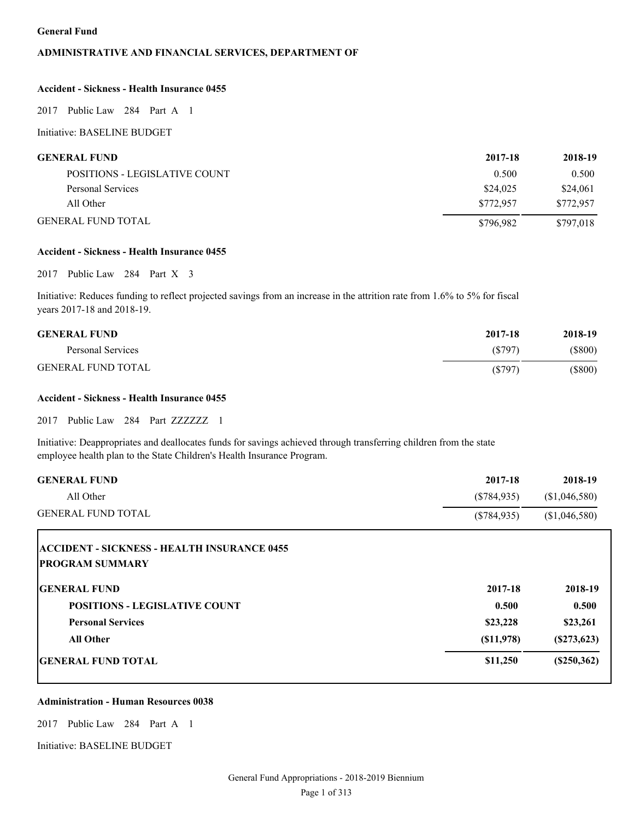#### **General Fund**

#### **ADMINISTRATIVE AND FINANCIAL SERVICES, DEPARTMENT OF**

#### **Accident - Sickness - Health Insurance 0455**

2017 Public Law 284 Part A 1

Initiative: BASELINE BUDGET

| <b>GENERAL FUND</b>           | 2017-18   | 2018-19   |
|-------------------------------|-----------|-----------|
| POSITIONS - LEGISLATIVE COUNT | 0.500     | 0.500     |
| Personal Services             | \$24,025  | \$24,061  |
| All Other                     | \$772.957 | \$772,957 |
| <b>GENERAL FUND TOTAL</b>     | \$796,982 | \$797,018 |

#### **Accident - Sickness - Health Insurance 0455**

2017 Public Law 284 Part X 3

Initiative: Reduces funding to reflect projected savings from an increase in the attrition rate from 1.6% to 5% for fiscal years 2017-18 and 2018-19.

| <b>GENERAL FUND</b>       | 2017-18 | 2018-19   |
|---------------------------|---------|-----------|
| Personal Services         | (S797)  | $(\$800)$ |
| <b>GENERAL FUND TOTAL</b> | (S797)  | (S800)    |

#### **Accident - Sickness - Health Insurance 0455**

2017 Public Law 284 Part ZZZZZZZ 1

Initiative: Deappropriates and deallocates funds for savings achieved through transferring children from the state employee health plan to the State Children's Health Insurance Program.

| <b>GENERAL FUND</b>                                | 2017-18       | 2018-19       |
|----------------------------------------------------|---------------|---------------|
| All Other                                          | $(\$784,935)$ | (\$1,046,580) |
| <b>GENERAL FUND TOTAL</b>                          | (\$784,935)   | (\$1,046,580) |
| <b>ACCIDENT - SICKNESS - HEALTH INSURANCE 0455</b> |               |               |
| <b>PROGRAM SUMMARY</b>                             |               |               |
| <b>GENERAL FUND</b>                                | 2017-18       | 2018-19       |
| <b>POSITIONS - LEGISLATIVE COUNT</b>               | 0.500         | 0.500         |
| <b>Personal Services</b>                           | \$23,228      | \$23,261      |
| <b>All Other</b>                                   | (S11,978)     | (S273, 623)   |
| <b>IGENERAL FUND TOTAL</b>                         | \$11,250      | (S250, 362)   |

#### **Administration - Human Resources 0038**

2017 Public Law 284 Part A 1

Initiative: BASELINE BUDGET

L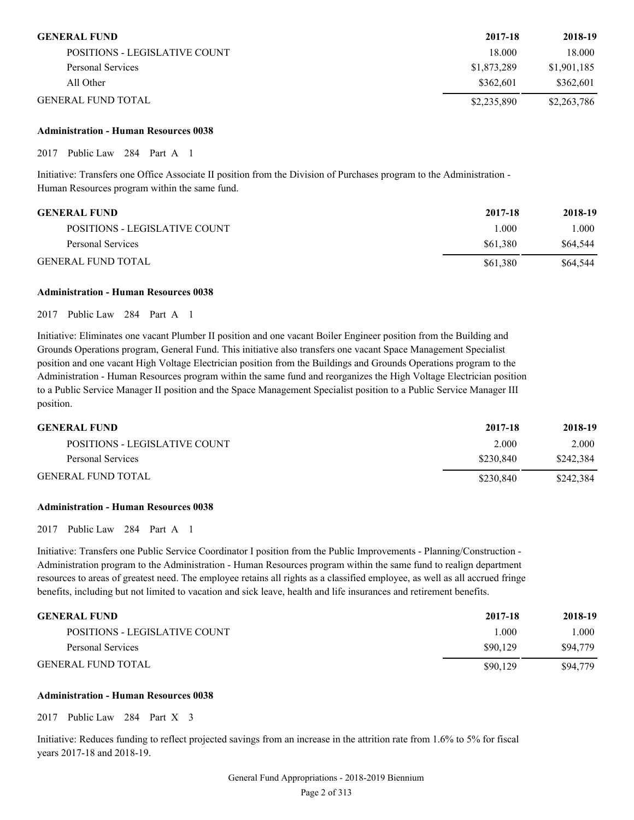| <b>GENERAL FUND</b>           | 2017-18     | 2018-19     |
|-------------------------------|-------------|-------------|
| POSITIONS - LEGISLATIVE COUNT | 18.000      | 18.000      |
| Personal Services             | \$1,873,289 | \$1,901,185 |
| All Other                     | \$362,601   | \$362.601   |
| <b>GENERAL FUND TOTAL</b>     | \$2,235,890 | \$2,263,786 |

#### **Administration - Human Resources 0038**

2017 Public Law 284 Part A 1

Initiative: Transfers one Office Associate II position from the Division of Purchases program to the Administration - Human Resources program within the same fund.

| <b>GENERAL FUND</b>           | 2017-18  | 2018-19  |
|-------------------------------|----------|----------|
| POSITIONS - LEGISLATIVE COUNT | 1.000    | 1.000    |
| Personal Services             | \$61.380 | \$64,544 |
| <b>GENERAL FUND TOTAL</b>     | \$61.380 | \$64,544 |

#### **Administration - Human Resources 0038**

2017 Public Law 284 Part A 1

Initiative: Eliminates one vacant Plumber II position and one vacant Boiler Engineer position from the Building and Grounds Operations program, General Fund. This initiative also transfers one vacant Space Management Specialist position and one vacant High Voltage Electrician position from the Buildings and Grounds Operations program to the Administration - Human Resources program within the same fund and reorganizes the High Voltage Electrician position to a Public Service Manager II position and the Space Management Specialist position to a Public Service Manager III position.

| <b>GENERAL FUND</b>           | 2017-18   | 2018-19   |
|-------------------------------|-----------|-----------|
| POSITIONS - LEGISLATIVE COUNT | 2.000     | 2.000     |
| Personal Services             | \$230.840 | \$242,384 |
| <b>GENERAL FUND TOTAL</b>     | \$230.840 | \$242.384 |

#### **Administration - Human Resources 0038**

2017 Public Law 284 Part A 1

Initiative: Transfers one Public Service Coordinator I position from the Public Improvements - Planning/Construction - Administration program to the Administration - Human Resources program within the same fund to realign department resources to areas of greatest need. The employee retains all rights as a classified employee, as well as all accrued fringe benefits, including but not limited to vacation and sick leave, health and life insurances and retirement benefits.

| <b>GENERAL FUND</b>           | 2017-18  | 2018-19  |
|-------------------------------|----------|----------|
| POSITIONS - LEGISLATIVE COUNT | 000      | 000.1    |
| Personal Services             | \$90,129 | \$94,779 |
| <b>GENERAL FUND TOTAL</b>     | \$90,129 | \$94,779 |

#### **Administration - Human Resources 0038**

2017 Public Law 284 Part X 3

Initiative: Reduces funding to reflect projected savings from an increase in the attrition rate from 1.6% to 5% for fiscal years 2017-18 and 2018-19.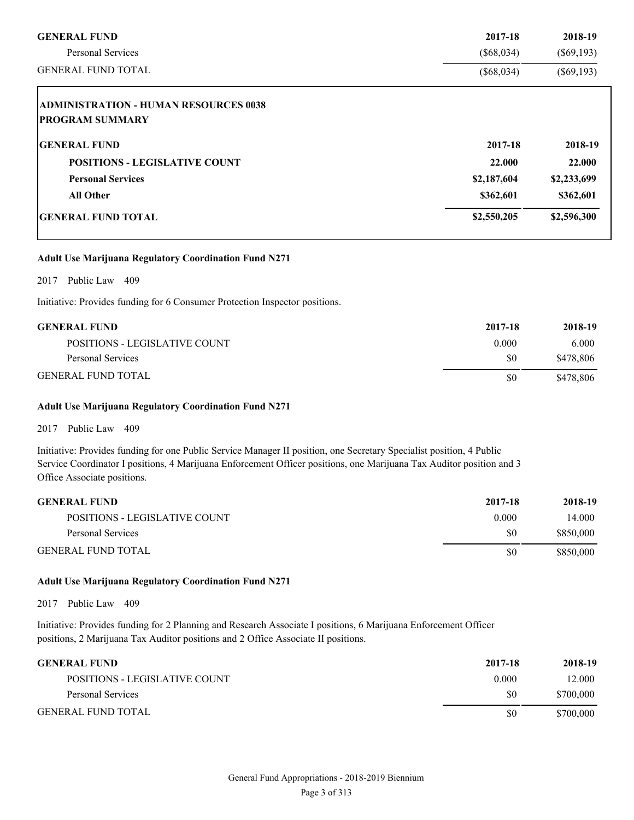| <b>GENERAL FUND</b>                                                    | 2017-18      | 2018-19      |
|------------------------------------------------------------------------|--------------|--------------|
| <b>Personal Services</b>                                               | $(\$68,034)$ | $(\$69,193)$ |
| <b>GENERAL FUND TOTAL</b>                                              | $(\$68,034)$ | $(\$69,193)$ |
| <b>ADMINISTRATION - HUMAN RESOURCES 0038</b><br><b>PROGRAM SUMMARY</b> |              |              |
| <b>GENERAL FUND</b>                                                    | 2017-18      | 2018-19      |
| <b>POSITIONS - LEGISLATIVE COUNT</b>                                   | 22.000       | 22.000       |
| <b>Personal Services</b>                                               | \$2,187,604  | \$2,233,699  |
| <b>All Other</b>                                                       | \$362,601    | \$362,601    |
| <b>GENERAL FUND TOTAL</b>                                              | \$2,550,205  | \$2,596,300  |

#### **Adult Use Marijuana Regulatory Coordination Fund N271**

2017 Public Law 409

Initiative: Provides funding for 6 Consumer Protection Inspector positions.

| <b>GENERAL FUND</b>           | 2017-18 | 2018-19   |
|-------------------------------|---------|-----------|
| POSITIONS - LEGISLATIVE COUNT | 0.000   | 6.000     |
| Personal Services             | SO.     | \$478,806 |
| <b>GENERAL FUND TOTAL</b>     | SO.     | \$478,806 |

#### **Adult Use Marijuana Regulatory Coordination Fund N271**

2017 Public Law 409

Initiative: Provides funding for one Public Service Manager II position, one Secretary Specialist position, 4 Public Service Coordinator I positions, 4 Marijuana Enforcement Officer positions, one Marijuana Tax Auditor position and 3 Office Associate positions.

| <b>GENERAL FUND</b>           | 2017-18 | 2018-19   |
|-------------------------------|---------|-----------|
| POSITIONS - LEGISLATIVE COUNT | 0.000   | 14.000    |
| Personal Services             | \$0     | \$850,000 |
| <b>GENERAL FUND TOTAL</b>     | \$0     | \$850,000 |

#### **Adult Use Marijuana Regulatory Coordination Fund N271**

2017 Public Law 409

Initiative: Provides funding for 2 Planning and Research Associate I positions, 6 Marijuana Enforcement Officer positions, 2 Marijuana Tax Auditor positions and 2 Office Associate II positions.

| <b>GENERAL FUND</b>           | 2017-18 | 2018-19   |
|-------------------------------|---------|-----------|
| POSITIONS - LEGISLATIVE COUNT | 0.000   | 12.000    |
| Personal Services             | \$0     | \$700,000 |
| <b>GENERAL FUND TOTAL</b>     | SO.     | \$700,000 |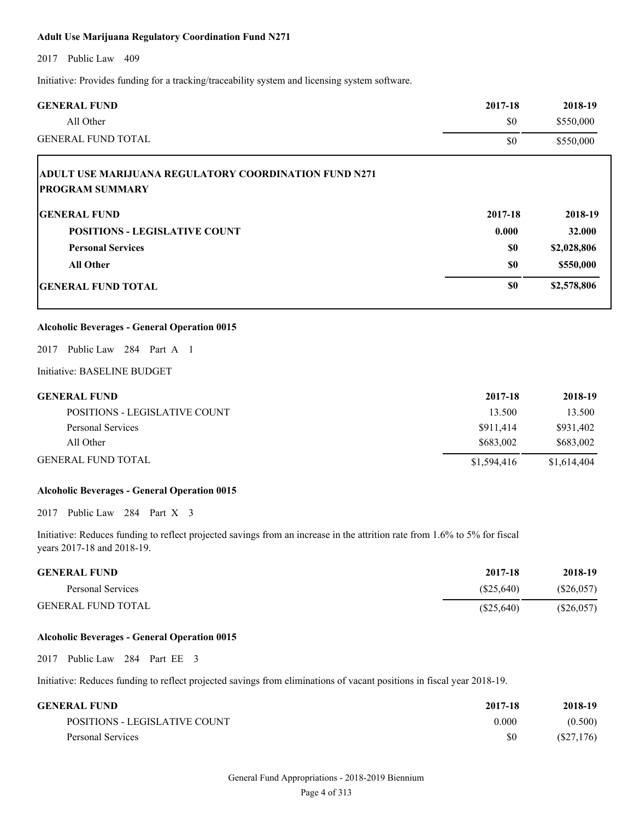#### **Adult Use Marijuana Regulatory Coordination Fund N271**

2017 Public Law 409

Initiative: Provides funding for a tracking/traceability system and licensing system software.

| <b>GENERAL FUND</b>                                                                                                                                      | 2017-18      | 2018-19      |
|----------------------------------------------------------------------------------------------------------------------------------------------------------|--------------|--------------|
| All Other                                                                                                                                                | \$0          | \$550,000    |
| <b>GENERAL FUND TOTAL</b>                                                                                                                                | \$0          | \$550,000    |
| ADULT USE MARIJUANA REGULATORY COORDINATION FUND N271<br><b>PROGRAM SUMMARY</b>                                                                          |              |              |
| <b>GENERAL FUND</b>                                                                                                                                      | 2017-18      | 2018-19      |
| <b>POSITIONS - LEGISLATIVE COUNT</b>                                                                                                                     | 0.000        | 32.000       |
| <b>Personal Services</b>                                                                                                                                 | \$0          | \$2,028,806  |
| <b>All Other</b>                                                                                                                                         | \$0          | \$550,000    |
| <b>GENERAL FUND TOTAL</b>                                                                                                                                | \$0          | \$2,578,806  |
| <b>Alcoholic Beverages - General Operation 0015</b>                                                                                                      |              |              |
| 2017 Public Law 284 Part A 1                                                                                                                             |              |              |
| Initiative: BASELINE BUDGET                                                                                                                              |              |              |
| <b>GENERAL FUND</b>                                                                                                                                      | 2017-18      | 2018-19      |
| POSITIONS - LEGISLATIVE COUNT                                                                                                                            | 13.500       | 13.500       |
| Personal Services                                                                                                                                        | \$911,414    | \$931,402    |
| All Other                                                                                                                                                | \$683,002    | \$683,002    |
| <b>GENERAL FUND TOTAL</b>                                                                                                                                | \$1,594,416  | \$1,614,404  |
| <b>Alcoholic Beverages - General Operation 0015</b>                                                                                                      |              |              |
| 2017 Public Law 284 Part X 3                                                                                                                             |              |              |
| Initiative: Reduces funding to reflect projected savings from an increase in the attrition rate from 1.6% to 5% for fiscal<br>years 2017-18 and 2018-19. |              |              |
| <b>GENERAL FUND</b>                                                                                                                                      | 2017-18      | 2018-19      |
| Personal Services                                                                                                                                        | $(\$25,640)$ | $(\$26,057)$ |
| <b>GENERAL FUND TOTAL</b>                                                                                                                                | $(\$25,640)$ | $(\$26,057)$ |
| <b>Alcoholic Beverages - General Operation 0015</b>                                                                                                      |              |              |
| 2017 Public Law 284 Part EE 3                                                                                                                            |              |              |
| Initiative: Reduces funding to reflect projected savings from eliminations of vacant positions in fiscal year 2018-19.                                   |              |              |
| <b>GENERAL FUND</b>                                                                                                                                      | 2017-18      | 2018-19      |

| 2017-10 | 2010-19   |
|---------|-----------|
| 0.000   | (0.500)   |
| \$0     | (S27,176) |
|         |           |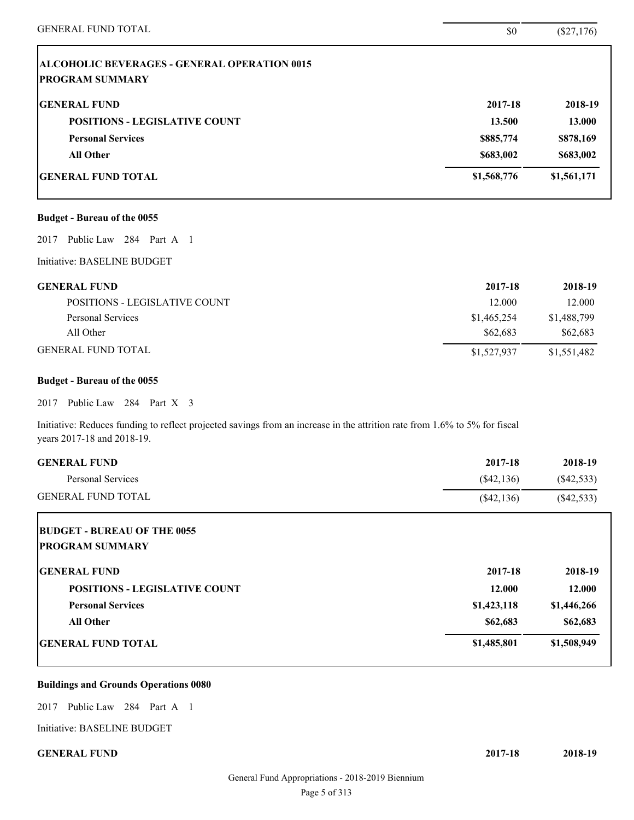| <b>GENERAL FUND TOTAL</b>                                                                                                                                | \$0          | $(\$27,176)$ |
|----------------------------------------------------------------------------------------------------------------------------------------------------------|--------------|--------------|
| <b>ALCOHOLIC BEVERAGES - GENERAL OPERATION 0015</b><br><b>PROGRAM SUMMARY</b>                                                                            |              |              |
| <b>GENERAL FUND</b>                                                                                                                                      | 2017-18      | 2018-19      |
| <b>POSITIONS - LEGISLATIVE COUNT</b>                                                                                                                     | 13.500       | 13.000       |
| <b>Personal Services</b>                                                                                                                                 | \$885,774    | \$878,169    |
| <b>All Other</b>                                                                                                                                         | \$683,002    | \$683,002    |
| <b>GENERAL FUND TOTAL</b>                                                                                                                                | \$1,568,776  | \$1,561,171  |
| <b>Budget - Bureau of the 0055</b>                                                                                                                       |              |              |
| Public Law 284 Part A 1<br>2017                                                                                                                          |              |              |
| Initiative: BASELINE BUDGET                                                                                                                              |              |              |
| <b>GENERAL FUND</b>                                                                                                                                      | 2017-18      | 2018-19      |
| POSITIONS - LEGISLATIVE COUNT                                                                                                                            | 12.000       | 12.000       |
| Personal Services                                                                                                                                        | \$1,465,254  | \$1,488,799  |
| All Other                                                                                                                                                | \$62,683     | \$62,683     |
| <b>GENERAL FUND TOTAL</b>                                                                                                                                | \$1,527,937  | \$1,551,482  |
| <b>Budget - Bureau of the 0055</b>                                                                                                                       |              |              |
| 2017 Public Law 284 Part X 3                                                                                                                             |              |              |
| Initiative: Reduces funding to reflect projected savings from an increase in the attrition rate from 1.6% to 5% for fiscal<br>years 2017-18 and 2018-19. |              |              |
| <b>GENERAL FUND</b>                                                                                                                                      | 2017-18      | 2018-19      |
| Personal Services                                                                                                                                        | $(\$42,136)$ | $(\$42,533)$ |
| <b>GENERAL FUND TOTAL</b>                                                                                                                                | $(\$42,136)$ | (\$42,533)   |
| <b>BUDGET - BUREAU OF THE 0055</b><br><b>PROGRAM SUMMARY</b>                                                                                             |              |              |
| <b>GENERAL FUND</b>                                                                                                                                      | 2017-18      | 2018-19      |
| <b>POSITIONS - LEGISLATIVE COUNT</b>                                                                                                                     | 12.000       | 12.000       |
|                                                                                                                                                          | \$1,423,118  | \$1,446,266  |
| <b>Personal Services</b>                                                                                                                                 |              |              |
| All Other                                                                                                                                                | \$62,683     | \$62,683     |

#### **Buildings and Grounds Operations 0080**

2017 Public Law 284 Part A 1

Initiative: BASELINE BUDGET

**GENERAL FUND 2017-18 2018-19**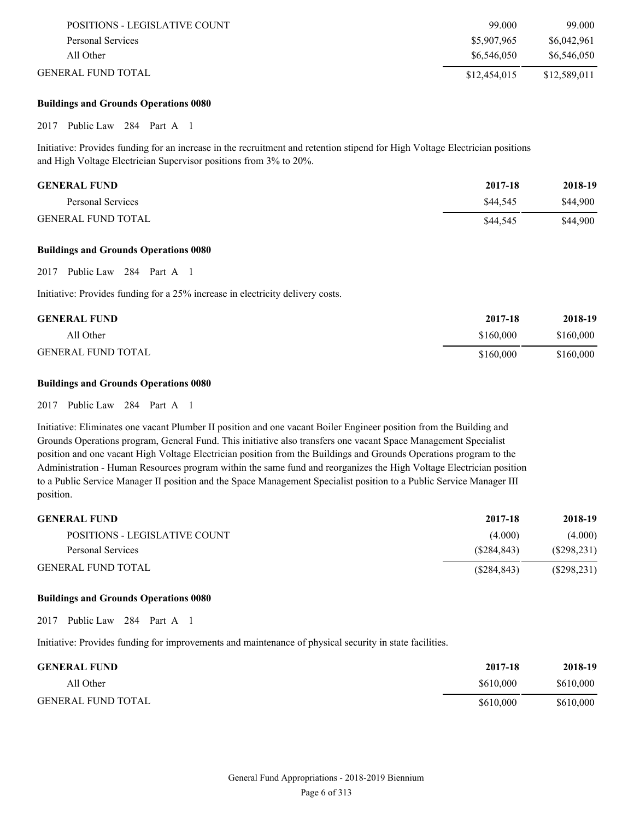| POSITIONS - LEGISLATIVE COUNT | 99.000       | 99.000       |
|-------------------------------|--------------|--------------|
| Personal Services             | \$5,907,965  | \$6,042,961  |
| All Other                     | \$6,546,050  | \$6,546,050  |
| <b>GENERAL FUND TOTAL</b>     | \$12,454,015 | \$12,589,011 |

#### **Buildings and Grounds Operations 0080**

2017 Public Law 284 Part A 1

Initiative: Provides funding for an increase in the recruitment and retention stipend for High Voltage Electrician positions and High Voltage Electrician Supervisor positions from 3% to 20%.

| <b>GENERAL FUND</b>       | 2017-18  | 2018-19  |
|---------------------------|----------|----------|
| Personal Services         | \$44,545 | \$44,900 |
| <b>GENERAL FUND TOTAL</b> | \$44,545 | \$44,900 |

#### **Buildings and Grounds Operations 0080**

2017 Public Law 284 Part A 1

Initiative: Provides funding for a 25% increase in electricity delivery costs.

| <b>GENERAL FUND</b>       | 2017-18   | 2018-19   |
|---------------------------|-----------|-----------|
| All Other                 | \$160,000 | \$160,000 |
| <b>GENERAL FUND TOTAL</b> | \$160,000 | \$160,000 |

#### **Buildings and Grounds Operations 0080**

2017 Public Law 284 Part A 1

Initiative: Eliminates one vacant Plumber II position and one vacant Boiler Engineer position from the Building and Grounds Operations program, General Fund. This initiative also transfers one vacant Space Management Specialist position and one vacant High Voltage Electrician position from the Buildings and Grounds Operations program to the Administration - Human Resources program within the same fund and reorganizes the High Voltage Electrician position to a Public Service Manager II position and the Space Management Specialist position to a Public Service Manager III position.

| <b>GENERAL FUND</b>           | 2017-18     | 2018-19     |
|-------------------------------|-------------|-------------|
| POSITIONS - LEGISLATIVE COUNT | (4.000)     | (4.000)     |
| Personal Services             | (S284.843)  | (S298, 231) |
| <b>GENERAL FUND TOTAL</b>     | (S284, 843) | (S298, 231) |

#### **Buildings and Grounds Operations 0080**

2017 Public Law 284 Part A 1

Initiative: Provides funding for improvements and maintenance of physical security in state facilities.

| <b>GENERAL FUND</b>       | 2017-18   | 2018-19   |
|---------------------------|-----------|-----------|
| All Other                 | \$610,000 | \$610,000 |
| <b>GENERAL FUND TOTAL</b> | \$610,000 | \$610,000 |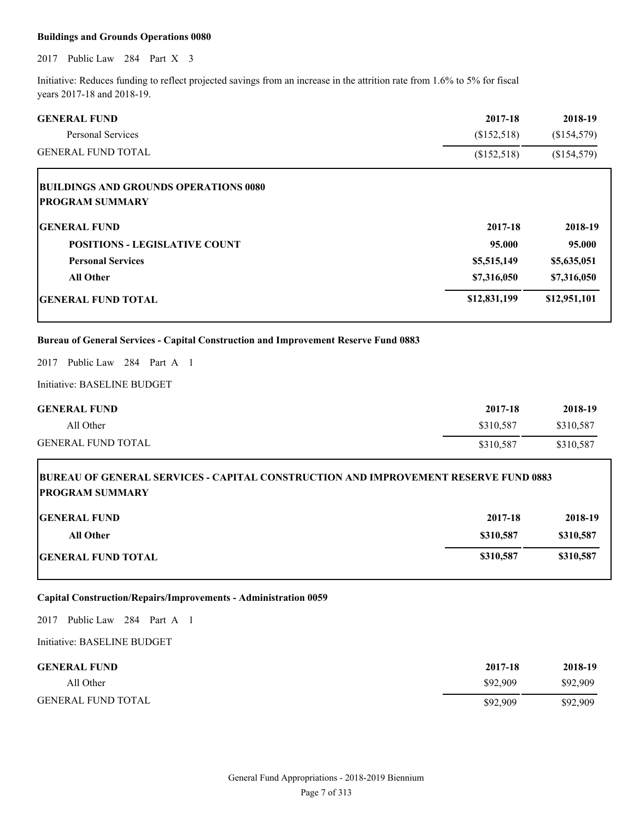#### **Buildings and Grounds Operations 0080**

2017 Public Law 284 Part X 3

Initiative: Reduces funding to reflect projected savings from an increase in the attrition rate from 1.6% to 5% for fiscal years 2017-18 and 2018-19.

| <b>GENERAL FUND</b>                                                                                           | 2017-18      | 2018-19      |
|---------------------------------------------------------------------------------------------------------------|--------------|--------------|
| <b>Personal Services</b>                                                                                      | (\$152,518)  | (\$154,579)  |
| <b>GENERAL FUND TOTAL</b>                                                                                     | (\$152,518)  | (\$154,579)  |
| <b>BUILDINGS AND GROUNDS OPERATIONS 0080</b>                                                                  |              |              |
| <b>PROGRAM SUMMARY</b>                                                                                        |              |              |
| <b>GENERAL FUND</b>                                                                                           | 2017-18      | 2018-19      |
| <b>POSITIONS - LEGISLATIVE COUNT</b>                                                                          | 95.000       | 95.000       |
| <b>Personal Services</b>                                                                                      | \$5,515,149  | \$5,635,051  |
| <b>All Other</b>                                                                                              | \$7,316,050  | \$7,316,050  |
| <b>GENERAL FUND TOTAL</b>                                                                                     | \$12,831,199 | \$12,951,101 |
| <b>Bureau of General Services - Capital Construction and Improvement Reserve Fund 0883</b>                    |              |              |
| Public Law 284 Part A 1<br>2017                                                                               |              |              |
| Initiative: BASELINE BUDGET                                                                                   |              |              |
| <b>GENERAL FUND</b>                                                                                           | 2017-18      | 2018-19      |
| All Other                                                                                                     | \$310,587    | \$310,587    |
| <b>GENERAL FUND TOTAL</b>                                                                                     | \$310,587    | \$310,587    |
| BUREAU OF GENERAL SERVICES - CAPITAL CONSTRUCTION AND IMPROVEMENT RESERVE FUND 0883<br><b>PROGRAM SUMMARY</b> |              |              |
| <b>GENERAL FUND</b>                                                                                           | 2017-18      | 2018-19      |
| <b>All Other</b>                                                                                              | \$310,587    | \$310,587    |
| <b>GENERAL FUND TOTAL</b>                                                                                     | \$310,587    | \$310,587    |
| Capital Construction/Repairs/Improvements - Administration 0059                                               |              |              |
| 2017 Public Law 284 Part A 1                                                                                  |              |              |
| Initiative: BASELINE BUDGET                                                                                   |              |              |
| <b>GENERAL FUND</b>                                                                                           | 2017-18      | 2018-19      |

All Other \$92,909 \$92,909 \$92,909

GENERAL FUND TOTAL \$92,909

General Fund Appropriations - 2018-2019 Biennium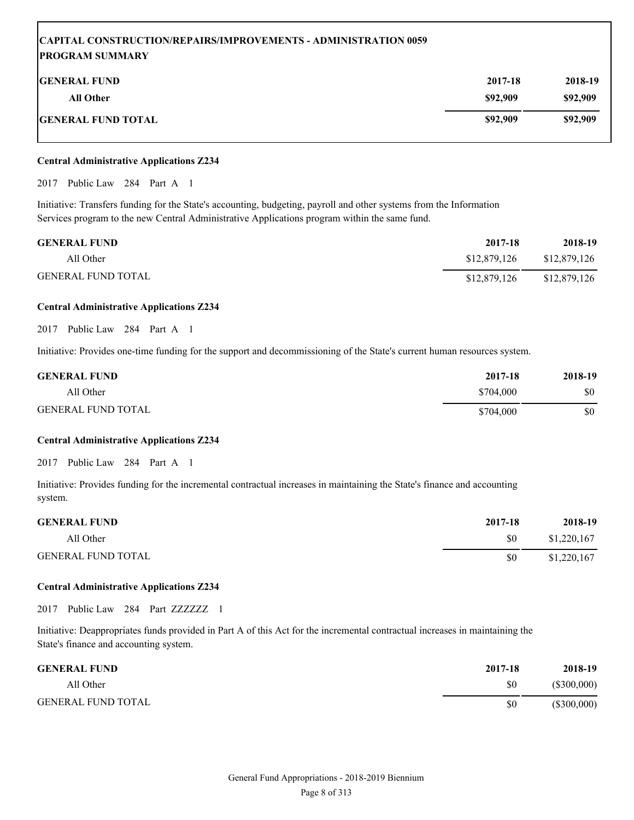## **CAPITAL CONSTRUCTION/REPAIRS/IMPROVEMENTS - ADMINISTRATION 0059 PROGRAM SUMMARY GENERAL FUND 2017-18 2018-19 All Other \$92,909 \$92,909 GENERAL FUND TOTAL \$92,909 \$92,909**

#### **Central Administrative Applications Z234**

2017 Public Law 284 Part A 1

Initiative: Transfers funding for the State's accounting, budgeting, payroll and other systems from the Information Services program to the new Central Administrative Applications program within the same fund.

| <b>GENERAL FUND</b>       | 2017-18      | 2018-19      |
|---------------------------|--------------|--------------|
| All Other                 | \$12,879,126 | \$12,879,126 |
| <b>GENERAL FUND TOTAL</b> | \$12,879,126 | \$12,879,126 |

#### **Central Administrative Applications Z234**

2017 Public Law 284 Part A 1

Initiative: Provides one-time funding for the support and decommissioning of the State's current human resources system.

| <b>GENERAL FUND</b>       | 2017-18   | 2018-19 |
|---------------------------|-----------|---------|
| All Other                 | \$704,000 | \$0     |
| <b>GENERAL FUND TOTAL</b> | \$704,000 | \$0     |

#### **Central Administrative Applications Z234**

2017 Public Law 284 Part A 1

Initiative: Provides funding for the incremental contractual increases in maintaining the State's finance and accounting system.

| <b>GENERAL FUND</b>       | 2017-18 | 2018-19     |
|---------------------------|---------|-------------|
| All Other                 | \$0     | \$1,220,167 |
| <b>GENERAL FUND TOTAL</b> | \$0     | \$1,220,167 |

#### **Central Administrative Applications Z234**

2017 Public Law 284 Part ZZZZZZZ 1

Initiative: Deappropriates funds provided in Part A of this Act for the incremental contractual increases in maintaining the State's finance and accounting system.

| <b>GENERAL FUND</b>       | 2017-18 | 2018-19       |
|---------------------------|---------|---------------|
| All Other                 | \$0     | $(\$300,000)$ |
| <b>GENERAL FUND TOTAL</b> | \$0     | $(\$300,000)$ |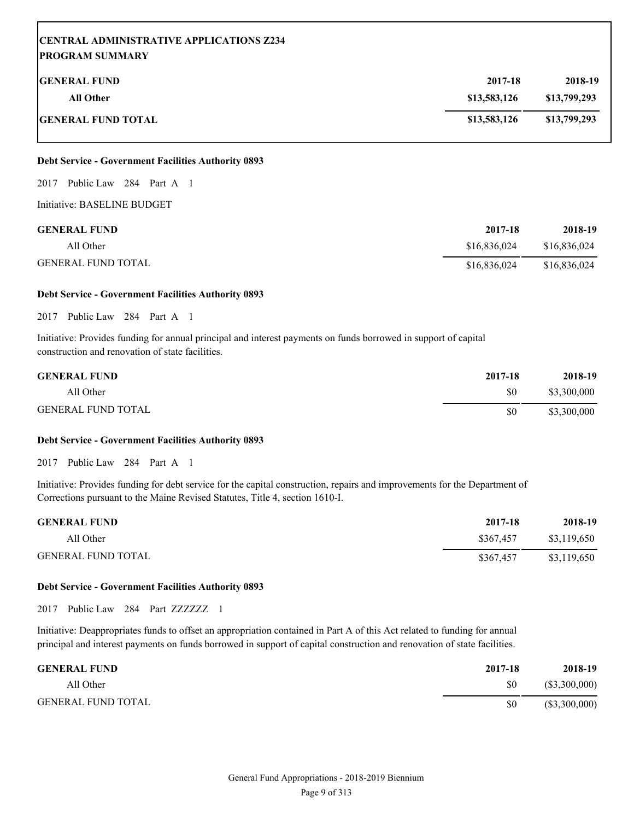| <b>CENTRAL ADMINISTRATIVE APPLICATIONS Z234</b><br><b>PROGRAM SUMMARY</b> |              |              |
|---------------------------------------------------------------------------|--------------|--------------|
| <b>IGENERAL FUND</b>                                                      | 2017-18      | 2018-19      |
| <b>All Other</b>                                                          | \$13,583,126 | \$13,799,293 |
| <b>IGENERAL FUND TOTAL</b>                                                | \$13,583,126 | \$13,799,293 |

#### **Debt Service - Government Facilities Authority 0893**

#### 2017 Public Law 284 Part A 1

Initiative: BASELINE BUDGET

| <b>GENERAL FUND</b>       | 2017-18      | 2018-19      |
|---------------------------|--------------|--------------|
| All Other                 | \$16,836,024 | \$16,836,024 |
| <b>GENERAL FUND TOTAL</b> | \$16,836,024 | \$16,836,024 |

#### **Debt Service - Government Facilities Authority 0893**

2017 Public Law 284 Part A 1

Initiative: Provides funding for annual principal and interest payments on funds borrowed in support of capital construction and renovation of state facilities.

| <b>GENERAL FUND</b>       | 2017-18 | 2018-19     |
|---------------------------|---------|-------------|
| All Other                 | \$0     | \$3,300,000 |
| <b>GENERAL FUND TOTAL</b> | \$0     | \$3,300,000 |

#### **Debt Service - Government Facilities Authority 0893**

2017 Public Law 284 Part A 1

Initiative: Provides funding for debt service for the capital construction, repairs and improvements for the Department of Corrections pursuant to the Maine Revised Statutes, Title 4, section 1610-I.

| <b>GENERAL FUND</b>       | 2017-18   | 2018-19     |
|---------------------------|-----------|-------------|
| All Other                 | \$367,457 | \$3,119,650 |
| <b>GENERAL FUND TOTAL</b> | \$367,457 | \$3,119,650 |

#### **Debt Service - Government Facilities Authority 0893**

2017 Public Law 284 Part ZZZZZZZ 1

Initiative: Deappropriates funds to offset an appropriation contained in Part A of this Act related to funding for annual principal and interest payments on funds borrowed in support of capital construction and renovation of state facilities.

| <b>GENERAL FUND</b>       | 2017-18 | 2018-19         |
|---------------------------|---------|-----------------|
| All Other                 | \$0     | (\$3,300,000)   |
| <b>GENERAL FUND TOTAL</b> | \$0     | $(\$3,300,000)$ |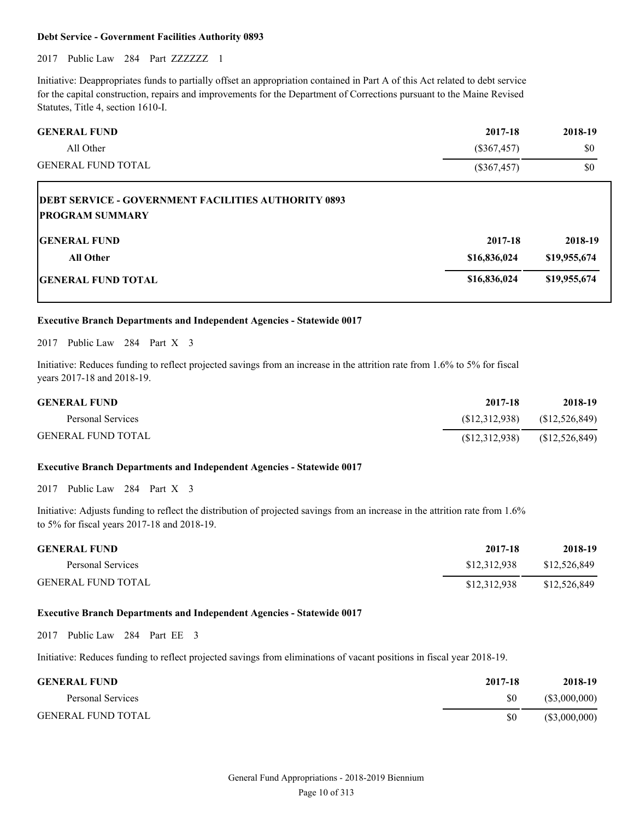#### **Debt Service - Government Facilities Authority 0893**

2017 Public Law 284 Part ZZZZZZZ 1

Initiative: Deappropriates funds to partially offset an appropriation contained in Part A of this Act related to debt service for the capital construction, repairs and improvements for the Department of Corrections pursuant to the Maine Revised Statutes, Title 4, section 1610-I.

| <b>GENERAL FUND</b>                                        | 2017-18       | 2018-19 |
|------------------------------------------------------------|---------------|---------|
| All Other                                                  | (S367, 457)   | \$0     |
| <b>GENERAL FUND TOTAL</b>                                  | $(\$367,457)$ | \$0     |
| <b>DEBT SERVICE - GOVERNMENT FACILITIES AUTHORITY 0893</b> |               |         |

| <b>PROGRAM SUMMARY</b>    |              |              |
|---------------------------|--------------|--------------|
| <b>GENERAL FUND</b>       | 2017-18      | 2018-19      |
| <b>All Other</b>          | \$16,836,024 | \$19,955,674 |
| <b>GENERAL FUND TOTAL</b> | \$16,836,024 | \$19,955,674 |

#### **Executive Branch Departments and Independent Agencies - Statewide 0017**

2017 Public Law 284 Part X 3

Initiative: Reduces funding to reflect projected savings from an increase in the attrition rate from 1.6% to 5% for fiscal years 2017-18 and 2018-19.

| <b>GENERAL FUND</b>       | 2017-18       | 2018-19         |
|---------------------------|---------------|-----------------|
| Personal Services         | (S12,312,938) | (S12, 526, 849) |
| <b>GENERAL FUND TOTAL</b> | (S12,312,938) | (\$12,526,849)  |

#### **Executive Branch Departments and Independent Agencies - Statewide 0017**

2017 Public Law 284 Part X 3

Initiative: Adjusts funding to reflect the distribution of projected savings from an increase in the attrition rate from 1.6% to 5% for fiscal years 2017-18 and 2018-19.

| <b>GENERAL FUND</b>       | 2017-18      | 2018-19      |
|---------------------------|--------------|--------------|
| Personal Services         | \$12.312.938 | \$12,526,849 |
| <b>GENERAL FUND TOTAL</b> | \$12,312,938 | \$12,526,849 |

#### **Executive Branch Departments and Independent Agencies - Statewide 0017**

2017 Public Law 284 Part EE 3

Initiative: Reduces funding to reflect projected savings from eliminations of vacant positions in fiscal year 2018-19.

| <b>GENERAL FUND</b>       | 2017-18 | 2018-19       |
|---------------------------|---------|---------------|
| Personal Services         | \$0     | (\$3,000,000) |
| <b>GENERAL FUND TOTAL</b> | \$0     | (\$3,000,000) |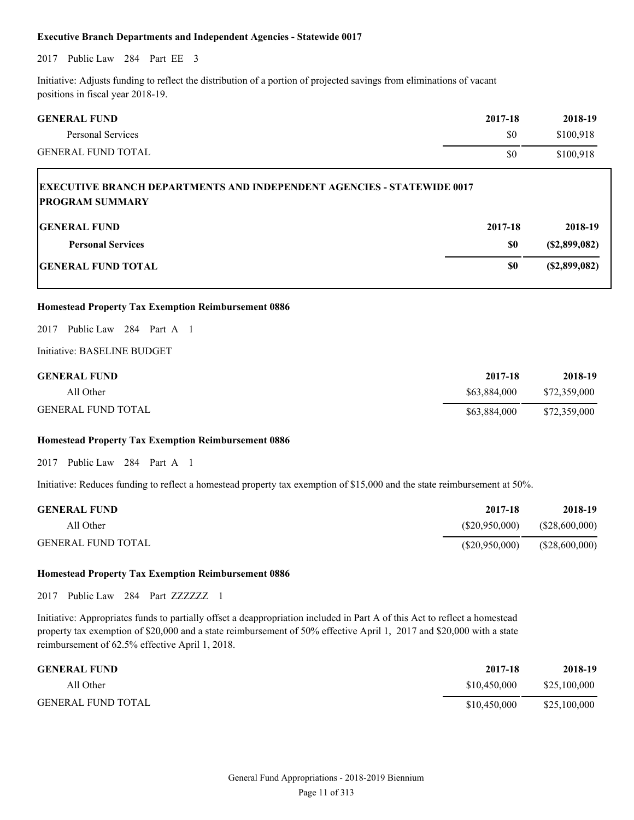#### **Executive Branch Departments and Independent Agencies - Statewide 0017**

2017 Public Law 284 Part EE 3

Initiative: Adjusts funding to reflect the distribution of a portion of projected savings from eliminations of vacant positions in fiscal year 2018-19.

| <b>GENERAL FUND</b>       | 2017-18 | 2018-19   |
|---------------------------|---------|-----------|
| Personal Services         | \$0     | \$100,918 |
| <b>GENERAL FUND TOTAL</b> | \$0     | \$100,918 |

| <b>EXECUTIVE BRANCH DEPARTMENTS AND INDEPENDENT AGENCIES - STATEWIDE 0017</b><br><b>PROGRAM SUMMARY</b> |                |                         |
|---------------------------------------------------------------------------------------------------------|----------------|-------------------------|
| <b>IGENERAL FUND</b><br><b>Personal Services</b>                                                        | 2017-18<br>\$0 | 2018-19<br>(S2,899,082) |
| <b>GENERAL FUND TOTAL</b>                                                                               | \$0            | (S2,899,082)            |

#### **Homestead Property Tax Exemption Reimbursement 0886**

2017 Public Law 284 Part A 1

Initiative: BASELINE BUDGET

| <b>GENERAL FUND</b>       | 2017-18      | 2018-19      |
|---------------------------|--------------|--------------|
| All Other                 | \$63.884.000 | \$72,359,000 |
| <b>GENERAL FUND TOTAL</b> | \$63,884,000 | \$72,359,000 |

#### **Homestead Property Tax Exemption Reimbursement 0886**

2017 Public Law 284 Part A 1

Initiative: Reduces funding to reflect a homestead property tax exemption of \$15,000 and the state reimbursement at 50%.

| <b>GENERAL FUND</b>       | 2017-18        | 2018-19        |
|---------------------------|----------------|----------------|
| All Other                 | (S20,950,000)  | (\$28,600,000) |
| <b>GENERAL FUND TOTAL</b> | (\$20,950,000) | (\$28,600,000) |

#### **Homestead Property Tax Exemption Reimbursement 0886**

2017 Public Law 284 Part ZZZZZZ 1

Initiative: Appropriates funds to partially offset a deappropriation included in Part A of this Act to reflect a homestead property tax exemption of \$20,000 and a state reimbursement of 50% effective April 1, 2017 and \$20,000 with a state reimbursement of 62.5% effective April 1, 2018.

| <b>GENERAL FUND</b>       | 2017-18      | 2018-19      |
|---------------------------|--------------|--------------|
| All Other                 | \$10.450,000 | \$25,100,000 |
| <b>GENERAL FUND TOTAL</b> | \$10.450,000 | \$25,100,000 |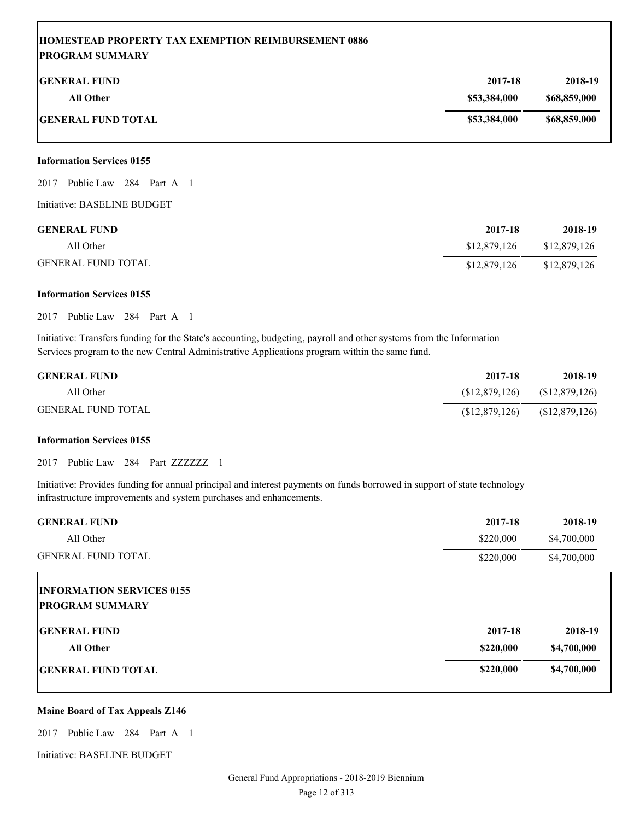## **HOMESTEAD PROPERTY TAX EXEMPTION REIMBURSEMENT 0886 PROGRAM SUMMARY**

| <b>GENERAL FUND</b>       | 2017-18      | 2018-19      |
|---------------------------|--------------|--------------|
| All Other                 | \$53,384,000 | \$68,859,000 |
| <b>GENERAL FUND TOTAL</b> | \$53,384,000 | \$68,859,000 |

#### **Information Services 0155**

2017 Public Law 284 Part A 1

Initiative: BASELINE BUDGET

| <b>GENERAL FUND</b>       | 2017-18      | 2018-19      |
|---------------------------|--------------|--------------|
| All Other                 | \$12,879,126 | \$12,879,126 |
| <b>GENERAL FUND TOTAL</b> | \$12,879,126 | \$12,879,126 |

#### **Information Services 0155**

2017 Public Law 284 Part A 1

Initiative: Transfers funding for the State's accounting, budgeting, payroll and other systems from the Information Services program to the new Central Administrative Applications program within the same fund.

| <b>GENERAL FUND</b>       | 2017-18         | 2018-19      |
|---------------------------|-----------------|--------------|
| All Other                 | (S12, 879, 126) | \$12,879,126 |
| <b>GENERAL FUND TOTAL</b> | (S12, 879, 126) | \$12,879,126 |

#### **Information Services 0155**

2017 Public Law 284 Part ZZZZZZZ 1

Initiative: Provides funding for annual principal and interest payments on funds borrowed in support of state technology infrastructure improvements and system purchases and enhancements.

| <b>GENERAL FUND</b>              | 2017-18   | 2018-19     |
|----------------------------------|-----------|-------------|
| All Other                        | \$220,000 | \$4,700,000 |
| <b>GENERAL FUND TOTAL</b>        | \$220,000 | \$4,700,000 |
| <b>INFORMATION SERVICES 0155</b> |           |             |
| <b>PROGRAM SUMMARY</b>           |           |             |
| <b>IGENERAL FUND</b>             | 2017-18   | 2018-19     |
| <b>All Other</b>                 | \$220,000 | \$4,700,000 |
| <b>IGENERAL FUND TOTAL</b>       | \$220,000 | \$4,700,000 |

#### **Maine Board of Tax Appeals Z146**

2017 Public Law 284 Part A 1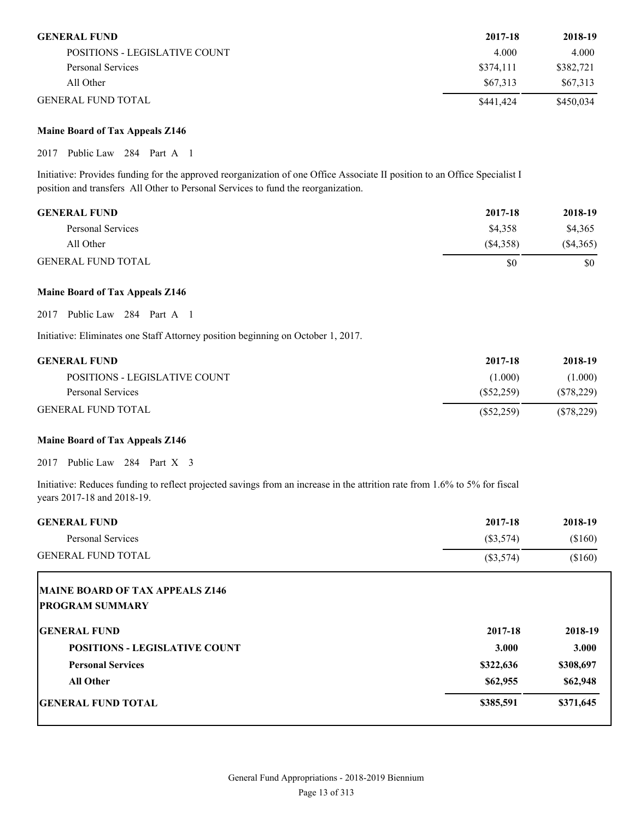| <b>GENERAL FUND</b>           | 2017-18   | 2018-19   |
|-------------------------------|-----------|-----------|
| POSITIONS - LEGISLATIVE COUNT | 4.000     | 4.000     |
| Personal Services             | \$374.111 | \$382,721 |
| All Other                     | \$67,313  | \$67,313  |
| <b>GENERAL FUND TOTAL</b>     | \$441,424 | \$450,034 |

#### **Maine Board of Tax Appeals Z146**

2017 Public Law 284 Part A 1

Initiative: Provides funding for the approved reorganization of one Office Associate II position to an Office Specialist I position and transfers All Other to Personal Services to fund the reorganization.

| <b>GENERAL FUND</b>       | 2017-18  | 2018-19     |
|---------------------------|----------|-------------|
| Personal Services         | \$4,358  | \$4,365     |
| All Other                 | (S4.358) | $(\$4,365)$ |
| <b>GENERAL FUND TOTAL</b> | \$0      | \$0         |

#### **Maine Board of Tax Appeals Z146**

2017 Public Law 284 Part A 1

Initiative: Eliminates one Staff Attorney position beginning on October 1, 2017.

| <b>GENERAL FUND</b>           | 2017-18      | 2018-19      |
|-------------------------------|--------------|--------------|
| POSITIONS - LEGISLATIVE COUNT | (1.000)      | 1.000)       |
| Personal Services             | (S52.259)    | (S78, 229)   |
| <b>GENERAL FUND TOTAL</b>     | $(\$52,259)$ | $(\$78,229)$ |

#### **Maine Board of Tax Appeals Z146**

2017 Public Law 284 Part X 3

Initiative: Reduces funding to reflect projected savings from an increase in the attrition rate from 1.6% to 5% for fiscal years 2017-18 and 2018-19.

| <b>GENERAL FUND</b>                                              | 2017-18     | 2018-19   |
|------------------------------------------------------------------|-------------|-----------|
| <b>Personal Services</b>                                         | $(\$3,574)$ | (\$160)   |
| <b>GENERAL FUND TOTAL</b>                                        | $(\$3,574)$ | (\$160)   |
| <b>MAINE BOARD OF TAX APPEALS Z146</b><br><b>PROGRAM SUMMARY</b> |             |           |
| <b>IGENERAL FUND</b>                                             | 2017-18     | 2018-19   |
| <b>POSITIONS - LEGISLATIVE COUNT</b>                             | 3.000       | 3.000     |
| <b>Personal Services</b>                                         | \$322,636   | \$308,697 |
| <b>All Other</b>                                                 | \$62,955    | \$62,948  |
| <b>IGENERAL FUND TOTAL</b>                                       | \$385,591   | \$371,645 |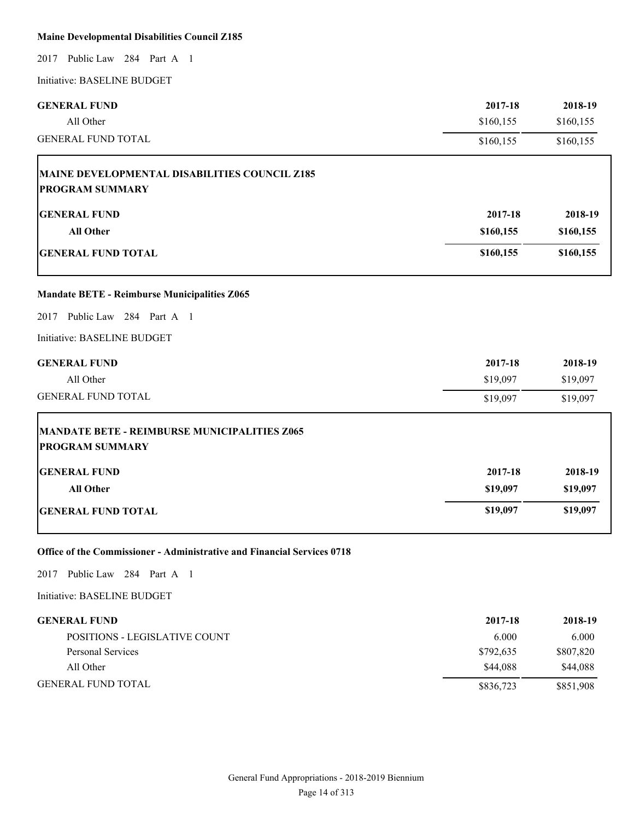#### **Maine Developmental Disabilities Council Z185**

2017 Public Law 284 Part A 1

Initiative: BASELINE BUDGET

| <b>GENERAL FUND</b>                                 | 2017-18   | 2018-19   |
|-----------------------------------------------------|-----------|-----------|
| All Other                                           | \$160,155 | \$160,155 |
| <b>GENERAL FUND TOTAL</b>                           | \$160,155 | \$160,155 |
| MAINE DEVELOPMENTAL DISABILITIES COUNCIL Z185       |           |           |
| <b>PROGRAM SUMMARY</b>                              |           |           |
| <b>GENERAL FUND</b>                                 | 2017-18   | 2018-19   |
| <b>All Other</b>                                    | \$160,155 | \$160,155 |
| <b>GENERAL FUND TOTAL</b>                           | \$160,155 | \$160,155 |
| <b>Mandate BETE - Reimburse Municipalities Z065</b> |           |           |
| Public Law 284 Part A 1<br>2017                     |           |           |
| Initiative: BASELINE BUDGET                         |           |           |
| <b>GENERAL FUND</b>                                 | 2017-18   | 2018-19   |
| All Other                                           | \$19,097  | \$19,097  |
| <b>GENERAL FUND TOTAL</b>                           | \$19,097  | \$19,097  |
| <b>MANDATE BETE - REIMBURSE MUNICIPALITIES Z065</b> |           |           |
| <b>PROGRAM SUMMARY</b>                              |           |           |
| <b>GENERAL FUND</b>                                 | 2017-18   | 2018-19   |
| <b>All Other</b>                                    | \$19,097  | \$19,097  |
| <b>GENERAL FUND TOTAL</b>                           | \$19,097  | \$19,097  |

**Office of the Commissioner - Administrative and Financial Services 0718**

2017 Public Law 284 Part A 1

| <b>GENERAL FUND</b>           | 2017-18   | 2018-19   |
|-------------------------------|-----------|-----------|
| POSITIONS - LEGISLATIVE COUNT | 6.000     | 6.000     |
| Personal Services             | \$792.635 | \$807,820 |
| All Other                     | \$44,088  | \$44.088  |
| <b>GENERAL FUND TOTAL</b>     | \$836,723 | \$851,908 |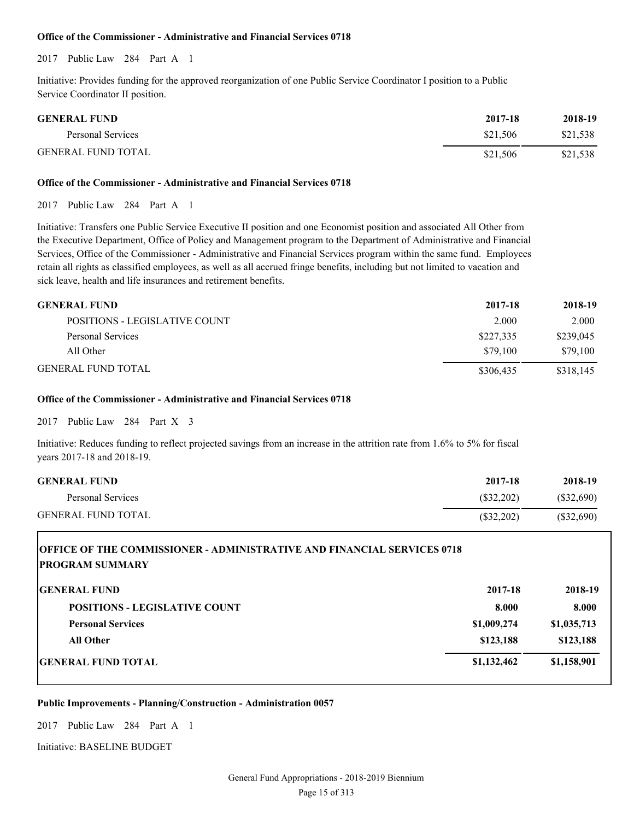#### **Office of the Commissioner - Administrative and Financial Services 0718**

2017 Public Law 284 Part A 1

Initiative: Provides funding for the approved reorganization of one Public Service Coordinator I position to a Public Service Coordinator II position.

| <b>GENERAL FUND</b>       | 2017-18  | 2018-19  |
|---------------------------|----------|----------|
| Personal Services         | \$21.506 | \$21,538 |
| <b>GENERAL FUND TOTAL</b> | \$21.506 | \$21,538 |

#### **Office of the Commissioner - Administrative and Financial Services 0718**

2017 Public Law 284 Part A 1

Initiative: Transfers one Public Service Executive II position and one Economist position and associated All Other from the Executive Department, Office of Policy and Management program to the Department of Administrative and Financial Services, Office of the Commissioner - Administrative and Financial Services program within the same fund. Employees retain all rights as classified employees, as well as all accrued fringe benefits, including but not limited to vacation and sick leave, health and life insurances and retirement benefits.

| <b>GENERAL FUND</b>           | 2017-18   | 2018-19   |
|-------------------------------|-----------|-----------|
| POSITIONS - LEGISLATIVE COUNT | 2.000     | 2.000     |
| Personal Services             | \$227,335 | \$239,045 |
| All Other                     | \$79.100  | \$79,100  |
| <b>GENERAL FUND TOTAL</b>     | \$306,435 | \$318,145 |

#### **Office of the Commissioner - Administrative and Financial Services 0718**

2017 Public Law 284 Part X 3

Initiative: Reduces funding to reflect projected savings from an increase in the attrition rate from 1.6% to 5% for fiscal years 2017-18 and 2018-19.

| <b>GENERAL FUND</b>       | 2017-18      | 2018-19      |
|---------------------------|--------------|--------------|
| Personal Services         | (S32.202)    | (S32,690)    |
| <b>GENERAL FUND TOTAL</b> | $(\$32,202)$ | $(\$32,690)$ |

## **OFFICE OF THE COMMISSIONER - ADMINISTRATIVE AND FINANCIAL SERVICES 0718 PROGRAM SUMMARY**

| <b>GENERAL FUND</b>                  | 2017-18     | 2018-19     |
|--------------------------------------|-------------|-------------|
| <b>POSITIONS - LEGISLATIVE COUNT</b> | 8.000       | 8.000       |
| <b>Personal Services</b>             | \$1,009,274 | \$1,035,713 |
| <b>All Other</b>                     | \$123,188   | \$123,188   |
| <b>GENERAL FUND TOTAL</b>            | \$1,132,462 | \$1,158,901 |

**Public Improvements - Planning/Construction - Administration 0057**

2017 Public Law 284 Part A 1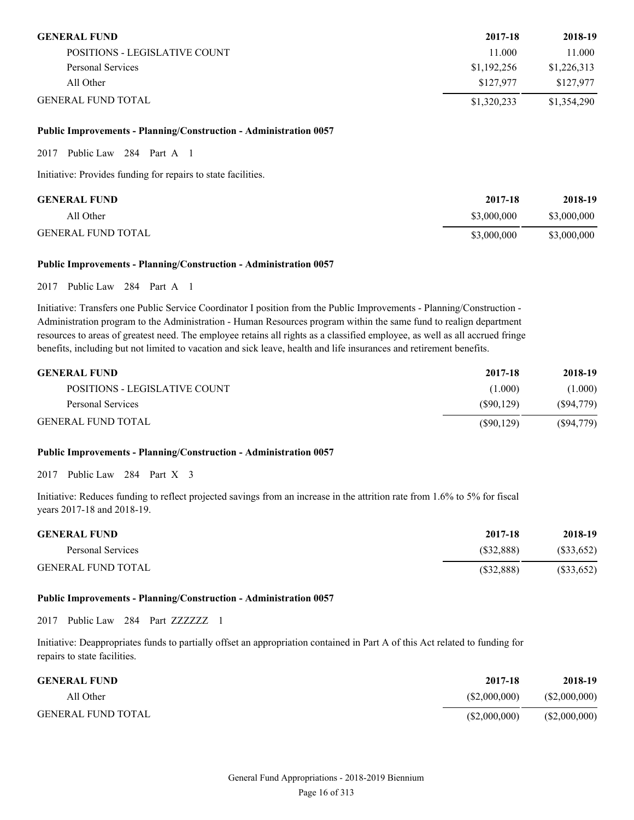| <b>GENERAL FUND</b>           | 2017-18     | 2018-19     |
|-------------------------------|-------------|-------------|
| POSITIONS - LEGISLATIVE COUNT | 1.000       | 11.000      |
| Personal Services             | \$1,192,256 | \$1,226,313 |
| All Other                     | \$127.977   | \$127.977   |
| <b>GENERAL FUND TOTAL</b>     | \$1,320,233 | \$1,354,290 |

#### **Public Improvements - Planning/Construction - Administration 0057**

2017 Public Law 284 Part A 1

Initiative: Provides funding for repairs to state facilities.

| <b>GENERAL FUND</b>       | 2017-18     | 2018-19     |
|---------------------------|-------------|-------------|
| All Other                 | \$3,000,000 | \$3,000,000 |
| <b>GENERAL FUND TOTAL</b> | \$3,000,000 | \$3,000,000 |

#### **Public Improvements - Planning/Construction - Administration 0057**

2017 Public Law 284 Part A 1

Initiative: Transfers one Public Service Coordinator I position from the Public Improvements - Planning/Construction - Administration program to the Administration - Human Resources program within the same fund to realign department resources to areas of greatest need. The employee retains all rights as a classified employee, as well as all accrued fringe benefits, including but not limited to vacation and sick leave, health and life insurances and retirement benefits.

| <b>GENERAL FUND</b>           | 2017-18    | 2018-19      |
|-------------------------------|------------|--------------|
| POSITIONS - LEGISLATIVE COUNT | (1.000)    | (1.000)      |
| Personal Services             | (S90.129)  | (S94,779)    |
| <b>GENERAL FUND TOTAL</b>     | (S90, 129) | $(\$94,779)$ |

#### **Public Improvements - Planning/Construction - Administration 0057**

2017 Public Law 284 Part X 3

Initiative: Reduces funding to reflect projected savings from an increase in the attrition rate from 1.6% to 5% for fiscal years 2017-18 and 2018-19.

| <b>GENERAL FUND</b>       | 2017-18    | 2018-19      |
|---------------------------|------------|--------------|
| Personal Services         | (S32.888)  | (\$33,652)   |
| <b>GENERAL FUND TOTAL</b> | (S32, 888) | $(\$33,652)$ |

#### **Public Improvements - Planning/Construction - Administration 0057**

2017 Public Law 284 Part ZZZZZZZ 1

Initiative: Deappropriates funds to partially offset an appropriation contained in Part A of this Act related to funding for repairs to state facilities.

| <b>GENERAL FUND</b>       | 2017-18      | 2018-19       |
|---------------------------|--------------|---------------|
| All Other                 | (S2,000,000) | (S2,000,000)  |
| <b>GENERAL FUND TOTAL</b> | (S2,000,000) | (\$2,000,000) |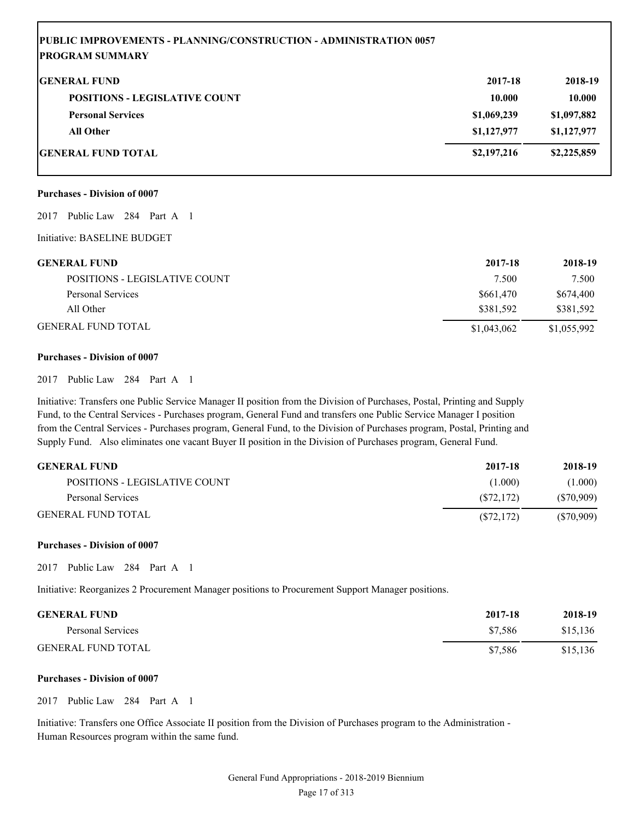#### **PUBLIC IMPROVEMENTS - PLANNING/CONSTRUCTION - ADMINISTRATION 0057 PROGRAM SUMMARY**

| <b>GENERAL FUND</b>                  | 2017-18     | 2018-19     |
|--------------------------------------|-------------|-------------|
| <b>POSITIONS - LEGISLATIVE COUNT</b> | 10.000      | 10.000      |
| <b>Personal Services</b>             | \$1,069,239 | \$1,097,882 |
| <b>All Other</b>                     | \$1,127,977 | \$1,127,977 |
| <b>GENERAL FUND TOTAL</b>            | \$2,197,216 | \$2,225,859 |

#### **Purchases - Division of 0007**

2017 Public Law 284 Part A 1

Initiative: BASELINE BUDGET

| <b>GENERAL FUND</b>           | 2017-18     | 2018-19     |
|-------------------------------|-------------|-------------|
| POSITIONS - LEGISLATIVE COUNT | 7.500       | 7.500       |
| Personal Services             | \$661,470   | \$674,400   |
| All Other                     | \$381.592   | \$381.592   |
| <b>GENERAL FUND TOTAL</b>     | \$1,043,062 | \$1,055,992 |

#### **Purchases - Division of 0007**

2017 Public Law 284 Part A 1

Initiative: Transfers one Public Service Manager II position from the Division of Purchases, Postal, Printing and Supply Fund, to the Central Services - Purchases program, General Fund and transfers one Public Service Manager I position from the Central Services - Purchases program, General Fund, to the Division of Purchases program, Postal, Printing and Supply Fund. Also eliminates one vacant Buyer II position in the Division of Purchases program, General Fund.

| <b>GENERAL FUND</b>           | 2017-18    | 2018-19      |
|-------------------------------|------------|--------------|
| POSITIONS - LEGISLATIVE COUNT | (1.000)    | (1.000)      |
| Personal Services             | (S72.172)  | (S70.909)    |
| <b>GENERAL FUND TOTAL</b>     | (S72, 172) | $(\$70,909)$ |

#### **Purchases - Division of 0007**

2017 Public Law 284 Part A 1

Initiative: Reorganizes 2 Procurement Manager positions to Procurement Support Manager positions.

| <b>GENERAL FUND</b>       | 2017-18 | 2018-19  |
|---------------------------|---------|----------|
| Personal Services         | \$7.586 | \$15.136 |
| <b>GENERAL FUND TOTAL</b> | \$7.586 | \$15,136 |

#### **Purchases - Division of 0007**

2017 Public Law 284 Part A 1

Initiative: Transfers one Office Associate II position from the Division of Purchases program to the Administration - Human Resources program within the same fund.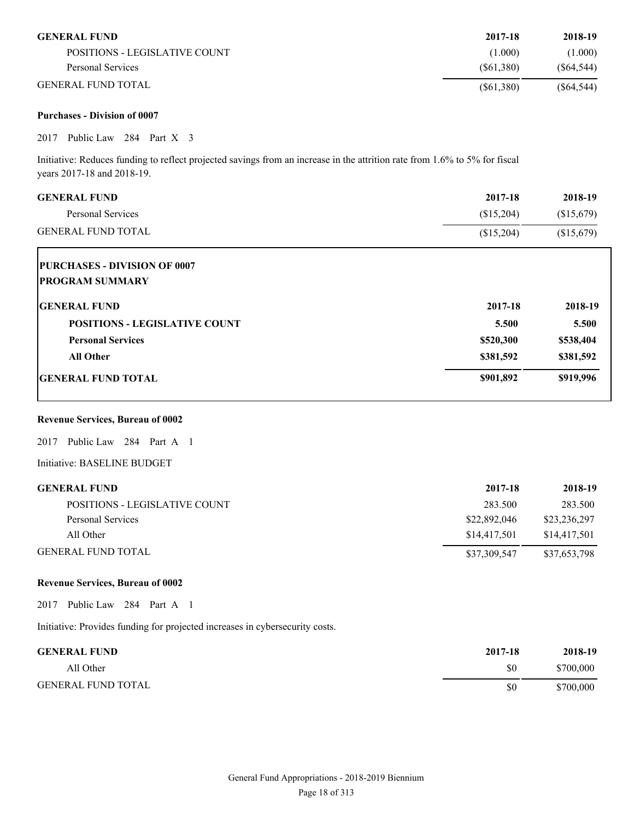| <b>GENERAL FUND</b>           | 2017-18   | 2018-19    |
|-------------------------------|-----------|------------|
| POSITIONS - LEGISLATIVE COUNT | (1.000)   | (1.000)    |
| Personal Services             | (S61.380) | (S64.544)  |
| <b>GENERAL FUND TOTAL</b>     | (S61,380) | (S64, 544) |

#### **Purchases - Division of 0007**

2017 Public Law 284 Part X 3

Initiative: Reduces funding to reflect projected savings from an increase in the attrition rate from 1.6% to 5% for fiscal years 2017-18 and 2018-19.

|            | 2018-19    |
|------------|------------|
| (\$15,204) | \$15,679   |
| (\$15,204) | (\$15,679) |
|            |            |
|            |            |
| 2017-18    | 2018-19    |
| 5.500      | 5.500      |
| \$520,300  | \$538,404  |
| \$381,592  | \$381,592  |
| \$901,892  | \$919,996  |
|            |            |

#### **Revenue Services, Bureau of 0002**

2017 Public Law 284 Part A 1

Initiative: BASELINE BUDGET

| <b>GENERAL FUND</b>           | 2017-18      | 2018-19      |
|-------------------------------|--------------|--------------|
| POSITIONS - LEGISLATIVE COUNT | 283.500      | 283.500      |
| Personal Services             | \$22,892,046 | \$23,236,297 |
| All Other                     | \$14,417.501 | \$14,417.501 |
| <b>GENERAL FUND TOTAL</b>     | \$37,309,547 | \$37,653,798 |

#### **Revenue Services, Bureau of 0002**

2017 Public Law 284 Part A 1

Initiative: Provides funding for projected increases in cybersecurity costs.

| <b>GENERAL FUND</b>       | 2017-18 | 2018-19   |
|---------------------------|---------|-----------|
| All Other                 | \$0     | \$700,000 |
| <b>GENERAL FUND TOTAL</b> | \$0     | \$700,000 |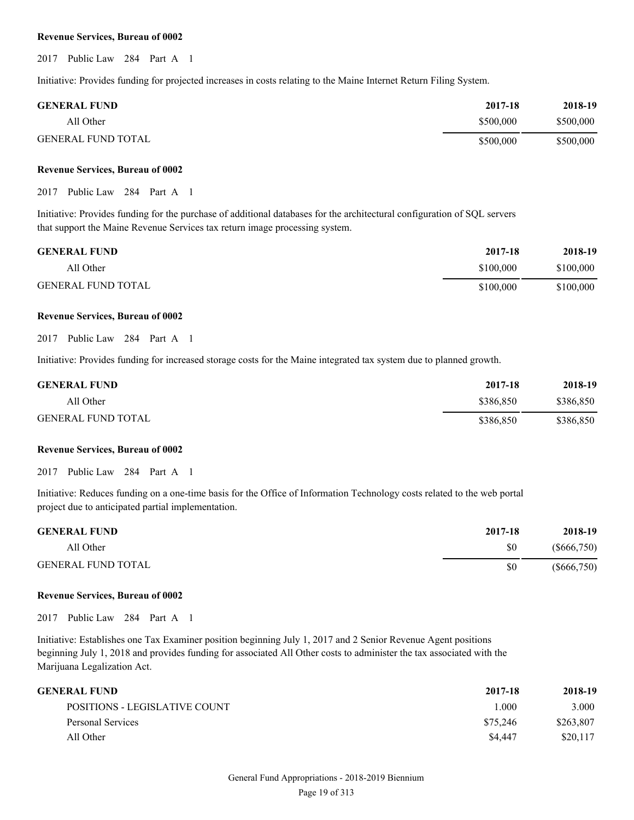2017 Public Law 284 Part A 1

Initiative: Provides funding for projected increases in costs relating to the Maine Internet Return Filing System.

| <b>GENERAL FUND</b>       | 2017-18   | 2018-19   |
|---------------------------|-----------|-----------|
| All Other                 | \$500,000 | \$500,000 |
| <b>GENERAL FUND TOTAL</b> | \$500,000 | \$500,000 |

#### **Revenue Services, Bureau of 0002**

2017 Public Law 284 Part A 1

Initiative: Provides funding for the purchase of additional databases for the architectural configuration of SQL servers that support the Maine Revenue Services tax return image processing system.

| <b>GENERAL FUND</b>       | 2017-18   | 2018-19   |
|---------------------------|-----------|-----------|
| All Other                 | \$100,000 | \$100,000 |
| <b>GENERAL FUND TOTAL</b> | \$100,000 | \$100,000 |

#### **Revenue Services, Bureau of 0002**

2017 Public Law 284 Part A 1

Initiative: Provides funding for increased storage costs for the Maine integrated tax system due to planned growth.

| <b>GENERAL FUND</b>       | 2017-18   | 2018-19   |
|---------------------------|-----------|-----------|
| All Other                 | \$386.850 | \$386,850 |
| <b>GENERAL FUND TOTAL</b> | \$386,850 | \$386,850 |

#### **Revenue Services, Bureau of 0002**

2017 Public Law 284 Part A 1

Initiative: Reduces funding on a one-time basis for the Office of Information Technology costs related to the web portal project due to anticipated partial implementation.

| <b>GENERAL FUND</b>       | 2017-18 | 2018-19       |
|---------------------------|---------|---------------|
| All Other                 | \$0     | $(\$666,750)$ |
| <b>GENERAL FUND TOTAL</b> | \$0     | $(\$666,750)$ |

#### **Revenue Services, Bureau of 0002**

2017 Public Law 284 Part A 1

Initiative: Establishes one Tax Examiner position beginning July 1, 2017 and 2 Senior Revenue Agent positions beginning July 1, 2018 and provides funding for associated All Other costs to administer the tax associated with the Marijuana Legalization Act.

| GENERAL FUND-                 | 2017-18  | 2018-19   |
|-------------------------------|----------|-----------|
| POSITIONS - LEGISLATIVE COUNT | L000     | 3.000     |
| Personal Services             | \$75.246 | \$263,807 |
| All Other                     | \$4,447  | \$20,117  |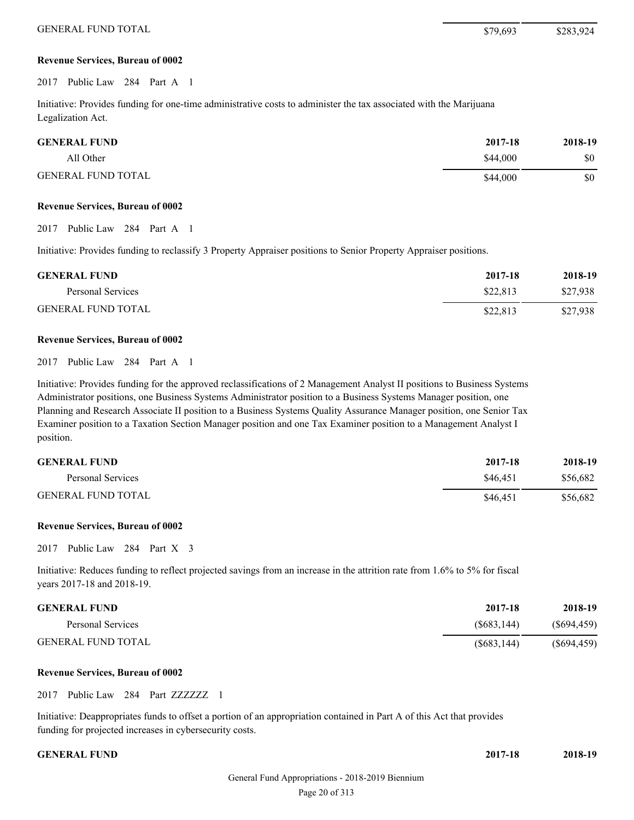2017 Public Law 284 Part A 1

Initiative: Provides funding for one-time administrative costs to administer the tax associated with the Marijuana Legalization Act.

| <b>GENERAL FUND</b>       | 2017-18  | 2018-19 |
|---------------------------|----------|---------|
| All Other                 | \$44,000 | \$0     |
| <b>GENERAL FUND TOTAL</b> | \$44,000 | \$0     |

#### **Revenue Services, Bureau of 0002**

2017 Public Law 284 Part A 1

Initiative: Provides funding to reclassify 3 Property Appraiser positions to Senior Property Appraiser positions.

| <b>GENERAL FUND</b>       | 2017-18  | 2018-19  |
|---------------------------|----------|----------|
| Personal Services         | \$22,813 | \$27.938 |
| <b>GENERAL FUND TOTAL</b> | \$22,813 | \$27,938 |

#### **Revenue Services, Bureau of 0002**

2017 Public Law 284 Part A 1

Initiative: Provides funding for the approved reclassifications of 2 Management Analyst II positions to Business Systems Administrator positions, one Business Systems Administrator position to a Business Systems Manager position, one Planning and Research Associate II position to a Business Systems Quality Assurance Manager position, one Senior Tax Examiner position to a Taxation Section Manager position and one Tax Examiner position to a Management Analyst I position.

| <b>GENERAL FUND</b>       | 2017-18  | 2018-19  |
|---------------------------|----------|----------|
| Personal Services         | \$46.451 | \$56,682 |
| <b>GENERAL FUND TOTAL</b> | \$46.451 | \$56,682 |

#### **Revenue Services, Bureau of 0002**

2017 Public Law 284 Part X 3

Initiative: Reduces funding to reflect projected savings from an increase in the attrition rate from 1.6% to 5% for fiscal years 2017-18 and 2018-19.

| <b>GENERAL FUND</b>       | 2017-18     | 2018-19     |
|---------------------------|-------------|-------------|
| Personal Services         | (S683.144)  | (S694, 459) |
| <b>GENERAL FUND TOTAL</b> | (S683, 144) | (S694, 459) |

#### **Revenue Services, Bureau of 0002**

2017 Public Law 284 Part ZZZZZZZ 1

Initiative: Deappropriates funds to offset a portion of an appropriation contained in Part A of this Act that provides funding for projected increases in cybersecurity costs.

| <b>GENERAL FUND</b> | 2017-18 | 2018-19 |
|---------------------|---------|---------|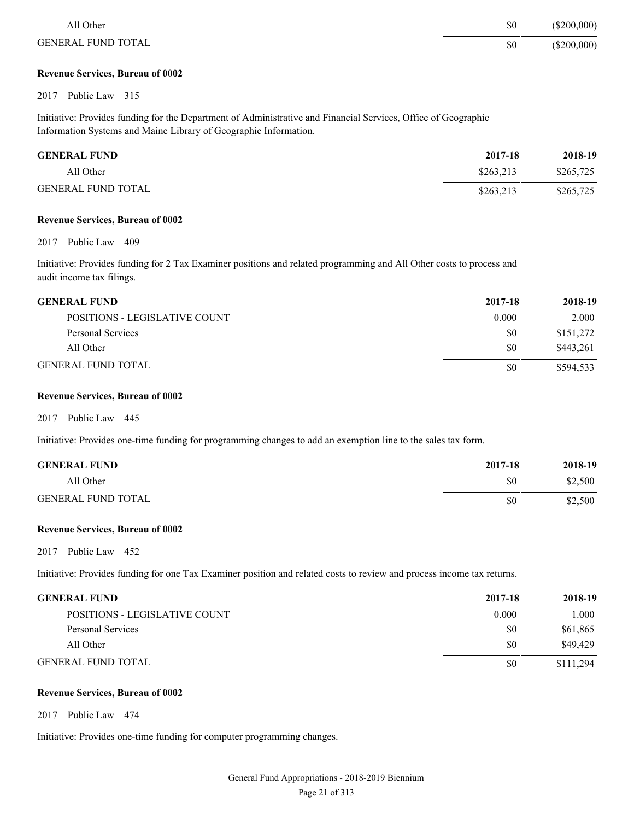| All Other                 | \$0 | $(\$200,000)$ |
|---------------------------|-----|---------------|
| <b>GENERAL FUND TOTAL</b> | \$0 | $(\$200,000)$ |

2017 Public Law 315

Initiative: Provides funding for the Department of Administrative and Financial Services, Office of Geographic Information Systems and Maine Library of Geographic Information.

| <b>GENERAL FUND</b>       | 2017-18   | 2018-19   |
|---------------------------|-----------|-----------|
| All Other                 | \$263.213 | \$265,725 |
| <b>GENERAL FUND TOTAL</b> | \$263.213 | \$265,725 |

#### **Revenue Services, Bureau of 0002**

2017 Public Law 409

Initiative: Provides funding for 2 Tax Examiner positions and related programming and All Other costs to process and audit income tax filings.

| <b>GENERAL FUND</b>           | 2017-18 | 2018-19   |
|-------------------------------|---------|-----------|
| POSITIONS - LEGISLATIVE COUNT | 0.000   | 2.000     |
| Personal Services             | \$0     | \$151,272 |
| All Other                     | \$0     | \$443,261 |
| GENERAL FUND TOTAL            | \$0     | \$594.533 |

#### **Revenue Services, Bureau of 0002**

2017 Public Law 445

Initiative: Provides one-time funding for programming changes to add an exemption line to the sales tax form.

| <b>GENERAL FUND</b>       | 2017-18 | 2018-19 |
|---------------------------|---------|---------|
| All Other                 | \$0     | \$2,500 |
| <b>GENERAL FUND TOTAL</b> | \$0     | \$2,500 |

#### **Revenue Services, Bureau of 0002**

2017 Public Law 452

Initiative: Provides funding for one Tax Examiner position and related costs to review and process income tax returns.

| <b>GENERAL FUND</b>           | 2017-18 | 2018-19   |
|-------------------------------|---------|-----------|
| POSITIONS - LEGISLATIVE COUNT | 0.000   | 1.000     |
| Personal Services             | \$0     | \$61,865  |
| All Other                     | \$0     | \$49,429  |
| GENERAL FUND TOTAL            | \$0     | \$111,294 |

#### **Revenue Services, Bureau of 0002**

2017 Public Law 474

Initiative: Provides one-time funding for computer programming changes.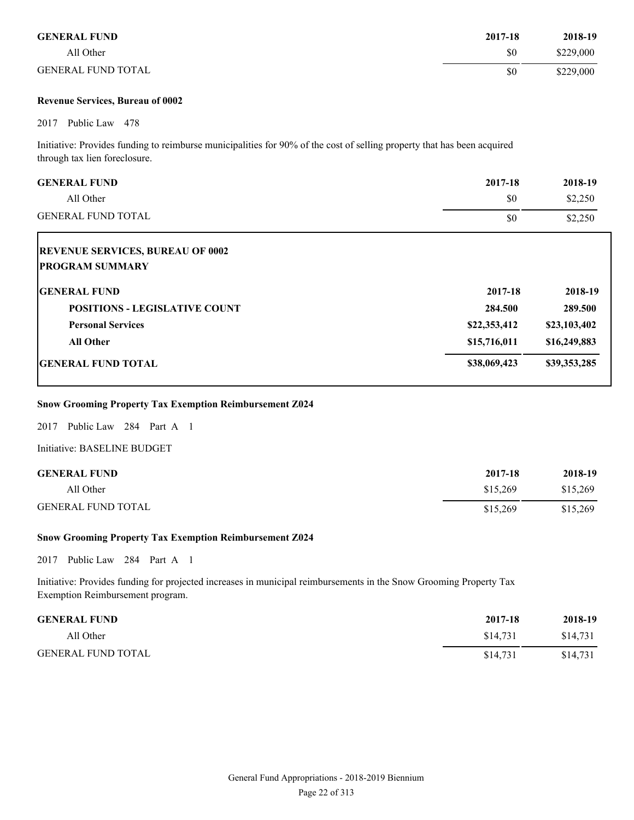| <b>GENERAL FUND</b>       | 2017-18 | 2018-19   |
|---------------------------|---------|-----------|
| All Other                 | \$0     | \$229,000 |
| <b>GENERAL FUND TOTAL</b> | \$0     | \$229,000 |

2017 Public Law 478

Initiative: Provides funding to reimburse municipalities for 90% of the cost of selling property that has been acquired through tax lien foreclosure.

| <b>GENERAL FUND</b><br>All Other<br><b>GENERAL FUND TOTAL</b>     | 2017-18<br>\$0 | 2018-19<br>\$2,250 |
|-------------------------------------------------------------------|----------------|--------------------|
| <b>REVENUE SERVICES, BUREAU OF 0002</b><br><b>PROGRAM SUMMARY</b> | \$0            | \$2,250            |
| <b>IGENERAL FUND</b>                                              | 2017-18        | 2018-19            |
| <b>POSITIONS - LEGISLATIVE COUNT</b>                              | 284.500        | 289.500            |
| <b>Personal Services</b>                                          | \$22,353,412   | \$23,103,402       |
| <b>All Other</b>                                                  | \$15,716,011   | \$16,249,883       |

#### **GENERAL FUND TOTAL** \$38,069,423 \$39,353,285

#### **Snow Grooming Property Tax Exemption Reimbursement Z024**

2017 Public Law 284 Part A 1

Initiative: BASELINE BUDGET

| <b>GENERAL FUND</b>       | 2017-18  | 2018-19  |
|---------------------------|----------|----------|
| All Other                 | \$15.269 | \$15,269 |
| <b>GENERAL FUND TOTAL</b> | \$15,269 | \$15,269 |

#### **Snow Grooming Property Tax Exemption Reimbursement Z024**

2017 Public Law 284 Part A 1

Initiative: Provides funding for projected increases in municipal reimbursements in the Snow Grooming Property Tax Exemption Reimbursement program.

| <b>GENERAL FUND</b>       | 2017-18  | 2018-19  |
|---------------------------|----------|----------|
| All Other                 | \$14,731 | \$14,731 |
| <b>GENERAL FUND TOTAL</b> | \$14.731 | \$14,731 |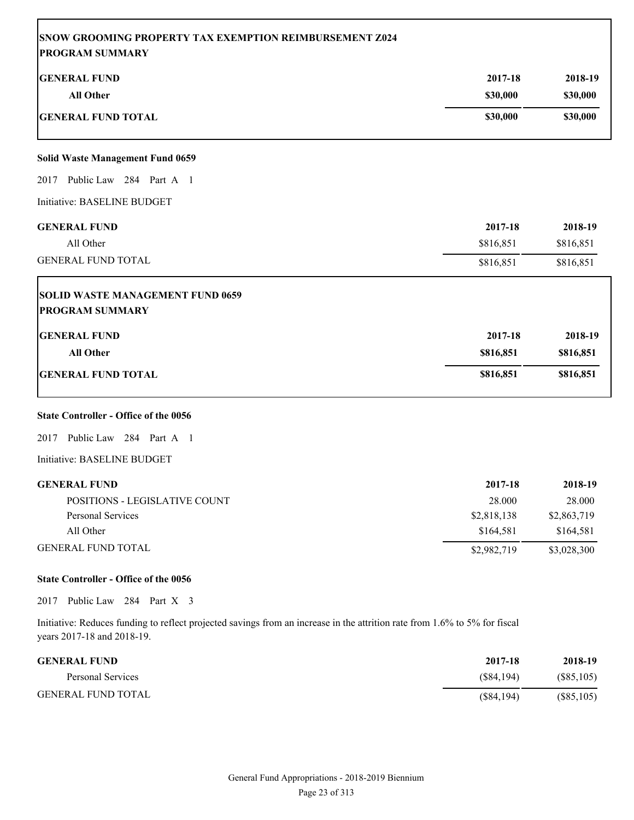| <b>SNOW GROOMING PROPERTY TAX EXEMPTION REIMBURSEMENT Z024</b> |           |           |
|----------------------------------------------------------------|-----------|-----------|
| <b>PROGRAM SUMMARY</b>                                         |           |           |
| <b>GENERAL FUND</b>                                            | 2017-18   | 2018-19   |
| <b>All Other</b>                                               | \$30,000  | \$30,000  |
| <b>GENERAL FUND TOTAL</b>                                      | \$30,000  | \$30,000  |
| <b>Solid Waste Management Fund 0659</b>                        |           |           |
| 2017 Public Law 284 Part A 1                                   |           |           |
| Initiative: BASELINE BUDGET                                    |           |           |
| <b>GENERAL FUND</b>                                            | 2017-18   | 2018-19   |
| All Other                                                      | \$816,851 | \$816,851 |
| <b>GENERAL FUND TOTAL</b>                                      | \$816,851 | \$816,851 |
| <b>SOLID WASTE MANAGEMENT FUND 0659</b>                        |           |           |
| <b>PROGRAM SUMMARY</b>                                         |           |           |
| <b>GENERAL FUND</b>                                            | 2017-18   | 2018-19   |
| <b>All Other</b>                                               | \$816,851 | \$816,851 |
| <b>GENERAL FUND TOTAL</b>                                      | \$816,851 | \$816,851 |
| <b>State Controller - Office of the 0056</b>                   |           |           |
| 2017 Public Law 284 Part A 1                                   |           |           |
| Initiative: BASELINE BUDGET                                    |           |           |
| <b>GENERAL FUND</b>                                            | 2017-18   | 2018-19   |
| POSITIONS - LEGISLATIVE COUNT                                  | 28.000    | 28.000    |

| All Other                 | \$164,581   | \$164,581   |
|---------------------------|-------------|-------------|
| <b>GENERAL FUND TOTAL</b> | \$2,982,719 | \$3,028,300 |

#### **State Controller - Office of the 0056**

2017 Public Law 284 Part X 3

Initiative: Reduces funding to reflect projected savings from an increase in the attrition rate from 1.6% to 5% for fiscal years 2017-18 and 2018-19.

| <b>GENERAL FUND</b>       | 2017-18    | 2018-19      |
|---------------------------|------------|--------------|
| Personal Services         | (S84.194)  | (S85, 105)   |
| <b>GENERAL FUND TOTAL</b> | (S84, 194) | $(\$85,105)$ |

Personal Services \$2,818,138 \$2,863,719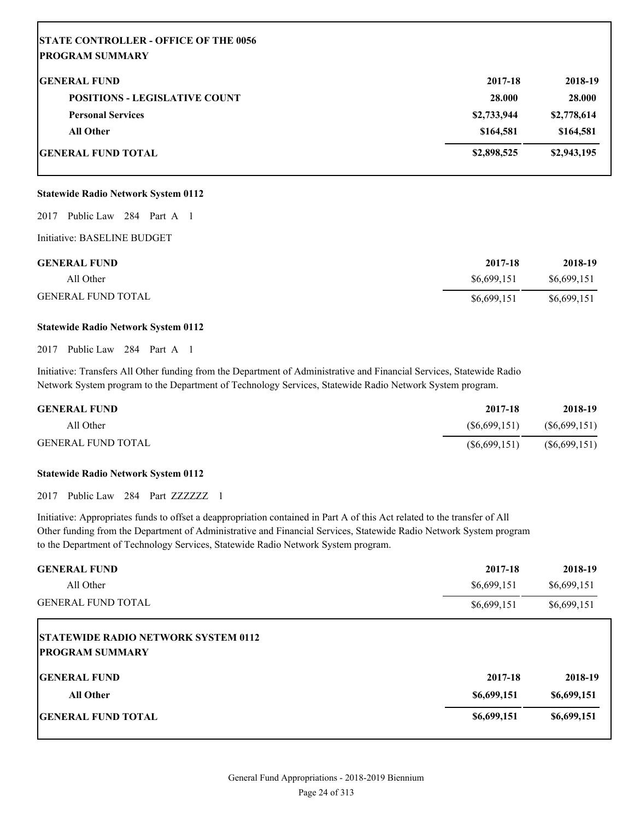| <b>STATE CONTROLLER - OFFICE OF THE 0056</b> |             |             |
|----------------------------------------------|-------------|-------------|
| <b>PROGRAM SUMMARY</b>                       |             |             |
| <b>GENERAL FUND</b>                          | 2017-18     | 2018-19     |
| <b>POSITIONS - LEGISLATIVE COUNT</b>         | 28.000      | 28.000      |
| <b>Personal Services</b>                     | \$2,733,944 | \$2,778,614 |
| <b>All Other</b>                             | \$164,581   | \$164,581   |
| <b>IGENERAL FUND TOTAL</b>                   | \$2,898,525 | \$2,943,195 |

#### **Statewide Radio Network System 0112**

2017 Public Law 284 Part A 1

Initiative: BASELINE BUDGET

| <b>GENERAL FUND</b>       | 2017-18     | 2018-19     |
|---------------------------|-------------|-------------|
| All Other                 | \$6,699,151 | \$6,699,151 |
| <b>GENERAL FUND TOTAL</b> | \$6,699,151 | \$6,699,151 |

#### **Statewide Radio Network System 0112**

2017 Public Law 284 Part A 1

Initiative: Transfers All Other funding from the Department of Administrative and Financial Services, Statewide Radio Network System program to the Department of Technology Services, Statewide Radio Network System program.

| <b>GENERAL FUND</b>       | 2017-18        | 2018-19        |
|---------------------------|----------------|----------------|
| All Other                 | (S6.699.151)   | (S6, 699, 151) |
| <b>GENERAL FUND TOTAL</b> | (S6, 699, 151) | (S6, 699, 151) |

#### **Statewide Radio Network System 0112**

2017 Public Law 284 Part ZZZZZZZ 1

Initiative: Appropriates funds to offset a deappropriation contained in Part A of this Act related to the transfer of All Other funding from the Department of Administrative and Financial Services, Statewide Radio Network System program to the Department of Technology Services, Statewide Radio Network System program.

| <b>GENERAL FUND</b>                        | 2017-18     | 2018-19     |
|--------------------------------------------|-------------|-------------|
| All Other                                  | \$6,699,151 | \$6,699,151 |
| <b>GENERAL FUND TOTAL</b>                  | \$6,699,151 | \$6,699,151 |
| <b>STATEWIDE RADIO NETWORK SYSTEM 0112</b> |             |             |
| <b>IPROGRAM SUMMARY</b>                    |             |             |
| <b>IGENERAL FUND</b>                       | 2017-18     | 2018-19     |
| <b>All Other</b>                           | \$6,699,151 | \$6,699,151 |
| <b>IGENERAL FUND TOTAL</b>                 | \$6,699,151 | \$6,699,151 |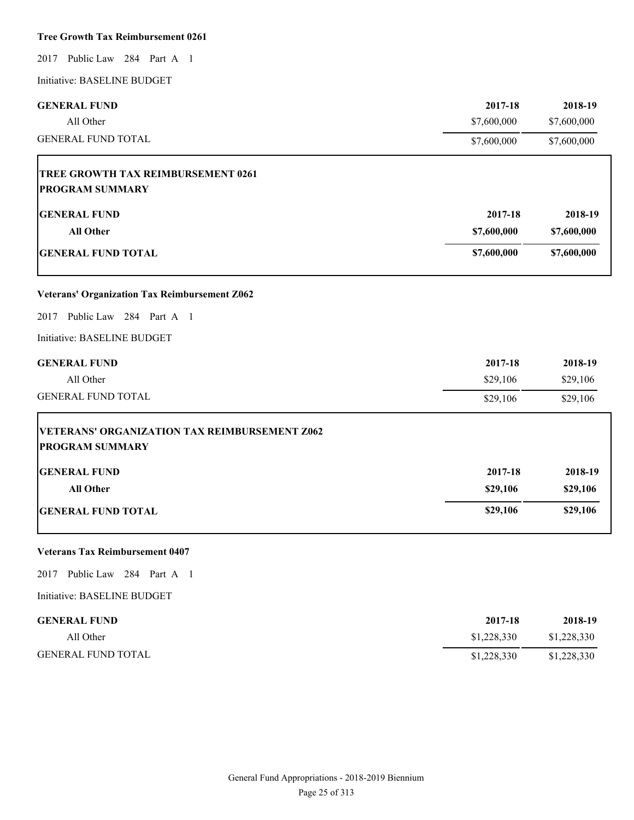#### **Tree Growth Tax Reimbursement 0261**

2017 Public Law 284 Part A 1

Initiative: BASELINE BUDGET

| <b>GENERAL FUND</b>                                                            | 2017-18     | 2018-19     |
|--------------------------------------------------------------------------------|-------------|-------------|
| All Other                                                                      | \$7,600,000 | \$7,600,000 |
| <b>GENERAL FUND TOTAL</b>                                                      | \$7,600,000 | \$7,600,000 |
| TREE GROWTH TAX REIMBURSEMENT 0261                                             |             |             |
| <b>PROGRAM SUMMARY</b>                                                         |             |             |
| <b>GENERAL FUND</b>                                                            | 2017-18     | 2018-19     |
| <b>All Other</b>                                                               | \$7,600,000 | \$7,600,000 |
| <b>GENERAL FUND TOTAL</b>                                                      | \$7,600,000 | \$7,600,000 |
| <b>Veterans' Organization Tax Reimbursement Z062</b>                           |             |             |
| Public Law 284 Part A 1<br>2017                                                |             |             |
| Initiative: BASELINE BUDGET                                                    |             |             |
| <b>GENERAL FUND</b>                                                            | 2017-18     | 2018-19     |
| All Other                                                                      | \$29,106    | \$29,106    |
| <b>GENERAL FUND TOTAL</b>                                                      | \$29,106    | \$29,106    |
| <b>VETERANS' ORGANIZATION TAX REIMBURSEMENT Z062</b><br><b>PROGRAM SUMMARY</b> |             |             |
| <b>GENERAL FUND</b>                                                            | 2017-18     | 2018-19     |
| <b>All Other</b>                                                               | \$29,106    | \$29,106    |
| <b>GENERAL FUND TOTAL</b>                                                      | \$29,106    | \$29,106    |

#### **Veterans Tax Reimbursement 0407**

2017 Public Law 284 Part A 1

| <b>GENERAL FUND</b>       | 2017-18     | 2018-19     |
|---------------------------|-------------|-------------|
| All Other                 | \$1,228,330 | \$1,228,330 |
| <b>GENERAL FUND TOTAL</b> | \$1,228,330 | \$1,228,330 |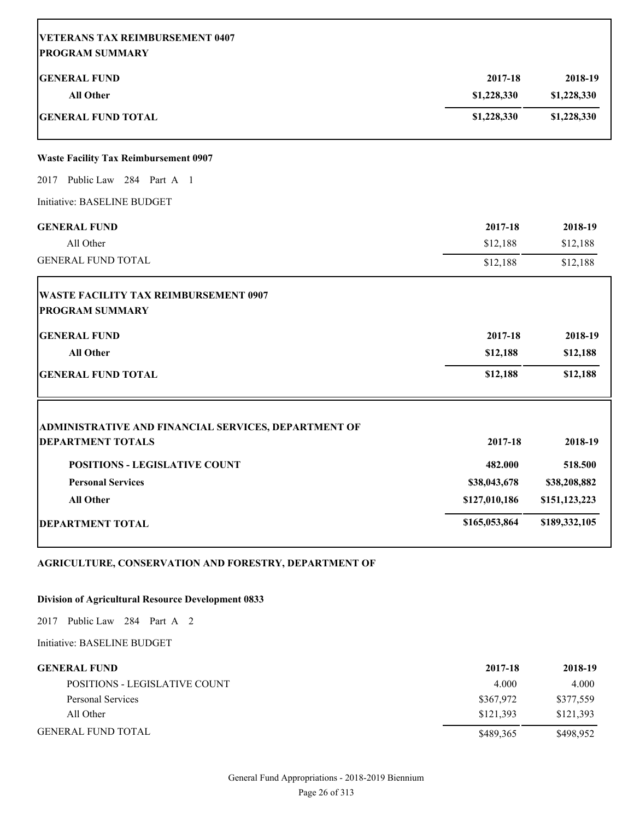| <b>VETERANS TAX REIMBURSEMENT 0407</b>                                 |                        |                        |
|------------------------------------------------------------------------|------------------------|------------------------|
| <b>PROGRAM SUMMARY</b><br><b>GENERAL FUND</b><br><b>All Other</b>      | 2017-18<br>\$1,228,330 | 2018-19<br>\$1,228,330 |
| <b>GENERAL FUND TOTAL</b>                                              | \$1,228,330            | \$1,228,330            |
| <b>Waste Facility Tax Reimbursement 0907</b>                           |                        |                        |
| 2017 Public Law 284 Part A 1                                           |                        |                        |
| Initiative: BASELINE BUDGET                                            |                        |                        |
| <b>GENERAL FUND</b>                                                    | 2017-18                | 2018-19                |
| All Other                                                              | \$12,188               | \$12,188               |
| <b>GENERAL FUND TOTAL</b>                                              | \$12,188               | \$12,188               |
| <b>WASTE FACILITY TAX REIMBURSEMENT 0907</b><br><b>PROGRAM SUMMARY</b> |                        |                        |
| <b>GENERAL FUND</b>                                                    | 2017-18                | 2018-19                |
| <b>All Other</b>                                                       | \$12,188               | \$12,188               |
| <b>GENERAL FUND TOTAL</b>                                              | \$12,188               | \$12,188               |
| ADMINISTRATIVE AND FINANCIAL SERVICES, DEPARTMENT OF                   |                        |                        |
| <b>DEPARTMENT TOTALS</b>                                               | 2017-18                | 2018-19                |
| <b>POSITIONS - LEGISLATIVE COUNT</b>                                   | 482.000                | 518.500                |
| <b>Personal Services</b>                                               | \$38,043,678           | \$38,208,882           |
| <b>All Other</b>                                                       | \$127,010,186          | \$151,123,223          |
| <b>DEPARTMENT TOTAL</b>                                                | \$165,053,864          | \$189,332,105          |
|                                                                        |                        |                        |

## **AGRICULTURE, CONSERVATION AND FORESTRY, DEPARTMENT OF**

#### **Division of Agricultural Resource Development 0833**

2017 Public Law 284 Part A 2

| <b>GENERAL FUND</b>           | 2017-18   | 2018-19   |
|-------------------------------|-----------|-----------|
| POSITIONS - LEGISLATIVE COUNT | 4.000     | 4.000     |
| Personal Services             | \$367,972 | \$377,559 |
| All Other                     | \$121.393 | \$121,393 |
| <b>GENERAL FUND TOTAL</b>     | \$489,365 | \$498,952 |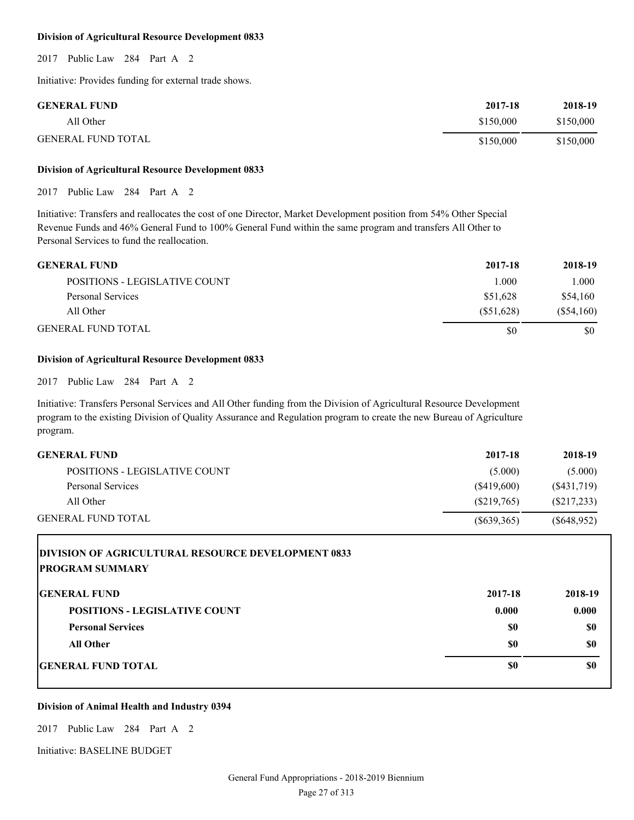#### **Division of Agricultural Resource Development 0833**

2017 Public Law 284 Part A 2

Initiative: Provides funding for external trade shows.

| <b>GENERAL FUND</b>       | 2017-18   | 2018-19   |
|---------------------------|-----------|-----------|
| All Other                 | \$150,000 | \$150,000 |
| <b>GENERAL FUND TOTAL</b> | \$150,000 | \$150,000 |

#### **Division of Agricultural Resource Development 0833**

2017 Public Law 284 Part A 2

Initiative: Transfers and reallocates the cost of one Director, Market Development position from 54% Other Special Revenue Funds and 46% General Fund to 100% General Fund within the same program and transfers All Other to Personal Services to fund the reallocation.

| <b>GENERAL FUND</b>           | 2017-18    | 2018-19      |
|-------------------------------|------------|--------------|
| POSITIONS - LEGISLATIVE COUNT | 1.000      | 1.000        |
| Personal Services             | \$51.628   | \$54,160     |
| All Other                     | (S51, 628) | $(\$54,160)$ |
| <b>GENERAL FUND TOTAL</b>     | \$0        | \$0          |

#### **Division of Agricultural Resource Development 0833**

2017 Public Law 284 Part A 2

Initiative: Transfers Personal Services and All Other funding from the Division of Agricultural Resource Development program to the existing Division of Quality Assurance and Regulation program to create the new Bureau of Agriculture program.

| <b>GENERAL FUND</b>           | 2017-18    | 2018-19     |
|-------------------------------|------------|-------------|
| POSITIONS - LEGISLATIVE COUNT | (5.000)    | (5.000)     |
| Personal Services             | (S419,600) | (S431,719)  |
| All Other                     | (S219,765) | (S217, 233) |
| <b>GENERAL FUND TOTAL</b>     | (S639,365) | (S648.952)  |

| <b>DIVISION OF AGRICULTURAL RESOURCE DEVELOPMENT 0833</b> |         |         |
|-----------------------------------------------------------|---------|---------|
| <b>PROGRAM SUMMARY</b>                                    |         |         |
| <b>IGENERAL FUND</b>                                      | 2017-18 | 2018-19 |
| <b>POSITIONS - LEGISLATIVE COUNT</b>                      | 0.000   | 0.000   |
| <b>Personal Services</b>                                  | \$0     | \$0     |
| <b>All Other</b>                                          | \$0     | \$0     |
| <b>IGENERAL FUND TOTAL</b>                                | \$0     | \$0     |

#### **Division of Animal Health and Industry 0394**

2017 Public Law 284 Part A 2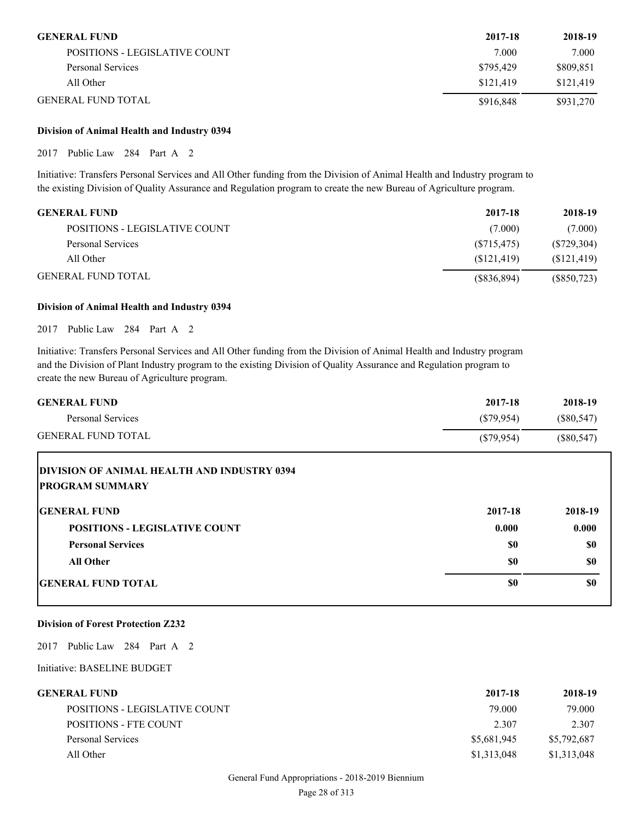| <b>GENERAL FUND</b>           | 2017-18   | 2018-19   |
|-------------------------------|-----------|-----------|
| POSITIONS - LEGISLATIVE COUNT | 7.000     | 7.000     |
| Personal Services             | \$795,429 | \$809,851 |
| All Other                     | \$121.419 | \$121.419 |
| <b>GENERAL FUND TOTAL</b>     | \$916,848 | \$931,270 |

#### **Division of Animal Health and Industry 0394**

2017 Public Law 284 Part A 2

Initiative: Transfers Personal Services and All Other funding from the Division of Animal Health and Industry program to the existing Division of Quality Assurance and Regulation program to create the new Bureau of Agriculture program.

| <b>GENERAL FUND</b>           | 2017-18     | 2018-19     |
|-------------------------------|-------------|-------------|
| POSITIONS - LEGISLATIVE COUNT | (7.000)     | (7.000)     |
| Personal Services             | (S715, 475) | (S729,304)  |
| All Other                     | (S121, 419) | (\$121,419) |
| <b>GENERAL FUND TOTAL</b>     | (S836, 894) | (S850, 723) |

#### **Division of Animal Health and Industry 0394**

2017 Public Law 284 Part A 2

Initiative: Transfers Personal Services and All Other funding from the Division of Animal Health and Industry program and the Division of Plant Industry program to the existing Division of Quality Assurance and Regulation program to create the new Bureau of Agriculture program.

| <b>GENERAL FUND</b>                                                          | 2017-18      | 2018-19      |
|------------------------------------------------------------------------------|--------------|--------------|
| Personal Services                                                            | $(\$79,954)$ | (S80, 547)   |
| <b>GENERAL FUND TOTAL</b>                                                    | $(\$79,954)$ | $(\$80,547)$ |
| <b>DIVISION OF ANIMAL HEALTH AND INDUSTRY 0394</b><br><b>PROGRAM SUMMARY</b> |              |              |
| <b>IGENERAL FUND</b>                                                         | 2017-18      | 2018-19      |
| <b>POSITIONS - LEGISLATIVE COUNT</b>                                         | 0.000        | 0.000        |

|                           | .   | .   |
|---------------------------|-----|-----|
| <b>Personal Services</b>  | \$0 | \$0 |
| All Other                 | \$0 | \$0 |
| <b>GENERAL FUND TOTAL</b> | \$0 | \$0 |

#### **Division of Forest Protection Z232**

2017 Public Law 284 Part A 2

| GENERAL FUND-                 | 2017-18     | 2018-19     |
|-------------------------------|-------------|-------------|
| POSITIONS - LEGISLATIVE COUNT | 79.000      | 79.000      |
| POSITIONS - FTE COUNT         | 2.307       | 2.307       |
| Personal Services             | \$5,681,945 | \$5,792,687 |
| All Other                     | \$1,313,048 | \$1,313,048 |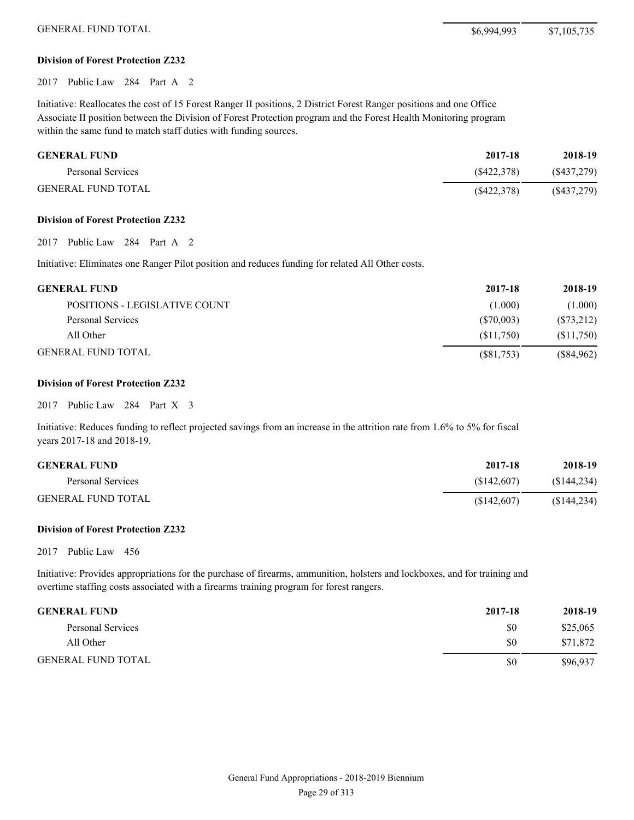GENERAL FUND TOTAL \$6,994,993 \$7,105,735

#### **Division of Forest Protection Z232**

2017 Public Law 284 Part A 2

Initiative: Reallocates the cost of 15 Forest Ranger II positions, 2 District Forest Ranger positions and one Office Associate II position between the Division of Forest Protection program and the Forest Health Monitoring program within the same fund to match staff duties with funding sources.

| <b>GENERAL FUND</b>       | 2017-18    | 2018-19       |
|---------------------------|------------|---------------|
| Personal Services         | (S422.378) | $(\$437,279)$ |
| <b>GENERAL FUND TOTAL</b> | (S422.378) | $(\$437,279)$ |

#### **Division of Forest Protection Z232**

2017 Public Law 284 Part A 2

Initiative: Eliminates one Ranger Pilot position and reduces funding for related All Other costs.

| <b>GENERAL FUND</b>           | 2017-18      | 2018-19    |
|-------------------------------|--------------|------------|
| POSITIONS - LEGISLATIVE COUNT | (1.000)      | (1.000)    |
| Personal Services             | (S70,003)    | (S73,212)  |
| All Other                     | (S11,750)    | (S11,750)  |
| GENERAL FUND TOTAL            | $(\$81,753)$ | (\$84,962) |

#### **Division of Forest Protection Z232**

#### 2017 Public Law 284 Part X 3

Initiative: Reduces funding to reflect projected savings from an increase in the attrition rate from 1.6% to 5% for fiscal years 2017-18 and 2018-19.

| <b>GENERAL FUND</b>       | 2017-18    | 2018-19     |
|---------------------------|------------|-------------|
| Personal Services         | (S142.607) | (S144, 234) |
| <b>GENERAL FUND TOTAL</b> | (S142,607) | (S144, 234) |

#### **Division of Forest Protection Z232**

2017 Public Law 456

Initiative: Provides appropriations for the purchase of firearms, ammunition, holsters and lockboxes, and for training and overtime staffing costs associated with a firearms training program for forest rangers.

| <b>GENERAL FUND</b>       | 2017-18 | 2018-19  |
|---------------------------|---------|----------|
| Personal Services         | \$0     | \$25,065 |
| All Other                 | \$0     | \$71,872 |
| <b>GENERAL FUND TOTAL</b> | \$0     | \$96.937 |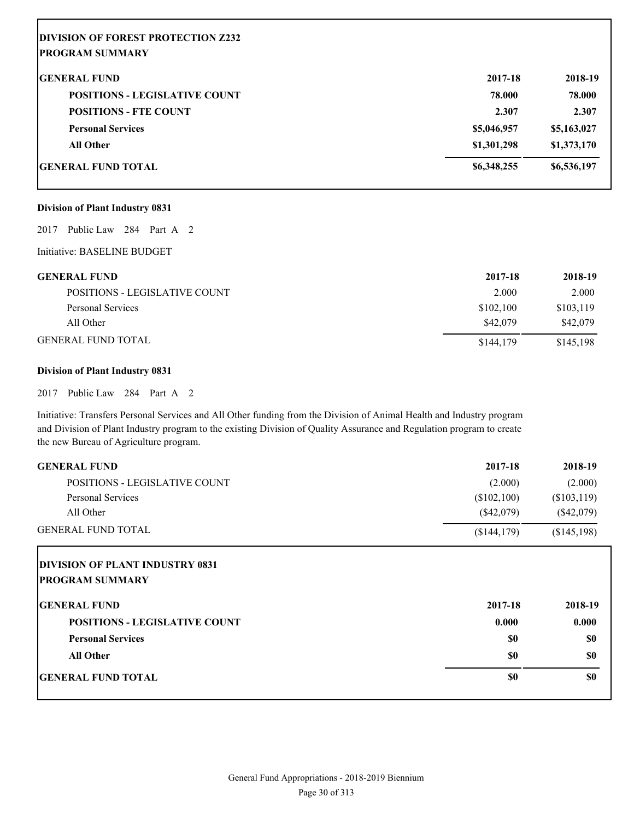| <b>IDIVISION OF FOREST PROTECTION Z232</b> |             |             |
|--------------------------------------------|-------------|-------------|
| <b>PROGRAM SUMMARY</b>                     |             |             |
| <b>IGENERAL FUND</b>                       | 2017-18     | 2018-19     |
| <b>POSITIONS - LEGISLATIVE COUNT</b>       | 78.000      | 78.000      |
| <b>POSITIONS - FTE COUNT</b>               | 2.307       | 2.307       |
| <b>Personal Services</b>                   | \$5,046,957 | \$5,163,027 |
| <b>All Other</b>                           | \$1,301,298 | \$1,373,170 |
| <b>IGENERAL FUND TOTAL</b>                 | \$6,348,255 | \$6,536,197 |

#### **Division of Plant Industry 0831**

2017 Public Law 284 Part A 2

Initiative: BASELINE BUDGET

| <b>GENERAL FUND</b>           | 2017-18   | 2018-19   |
|-------------------------------|-----------|-----------|
| POSITIONS - LEGISLATIVE COUNT | 2.000     | 2.000     |
| Personal Services             | \$102.100 | \$103,119 |
| All Other                     | \$42,079  | \$42,079  |
| GENERAL FUND TOTAL            | \$144,179 | \$145,198 |

#### **Division of Plant Industry 0831**

2017 Public Law 284 Part A 2

Initiative: Transfers Personal Services and All Other funding from the Division of Animal Health and Industry program and Division of Plant Industry program to the existing Division of Quality Assurance and Regulation program to create the new Bureau of Agriculture program.

| <b>GENERAL FUND</b>                    | 2017-18      | 2018-19      |
|----------------------------------------|--------------|--------------|
| <b>POSITIONS - LEGISLATIVE COUNT</b>   | (2.000)      | (2.000)      |
| <b>Personal Services</b>               | (\$102,100)  | (\$103,119)  |
| All Other                              | $(\$42,079)$ | $(\$42,079)$ |
| <b>GENERAL FUND TOTAL</b>              | (\$144,179)  | (\$145,198)  |
| <b>DIVISION OF PLANT INDUSTRY 0831</b> |              |              |
| <b>PROGRAM SUMMARY</b>                 |              |              |
| <b>IGENERAL FUND</b>                   | 2017-18      | 2018-19      |
| <b>POSITIONS - LEGISLATIVE COUNT</b>   | 0.000        | 0.000        |
| <b>Personal Services</b>               | <b>SO</b>    | \$0          |
| <b>All Other</b>                       | <b>SO</b>    | \$0          |
| <b>GENERAL FUND TOTAL</b>              | \$0          | \$0          |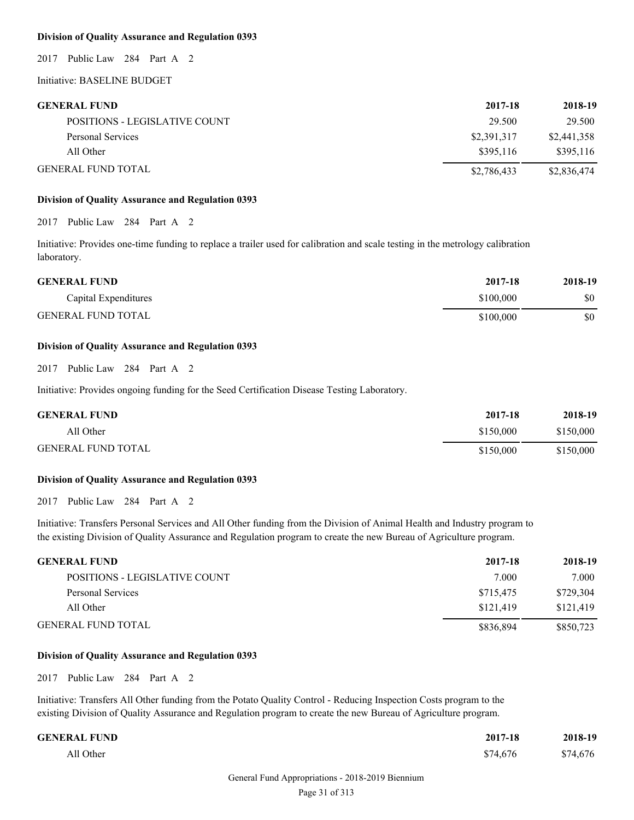#### **Division of Quality Assurance and Regulation 0393**

2017 Public Law 284 Part A 2

Initiative: BASELINE BUDGET

| <b>GENERAL FUND</b>           | 2017-18     | 2018-19     |
|-------------------------------|-------------|-------------|
| POSITIONS - LEGISLATIVE COUNT | 29.500      | 29.500      |
| Personal Services             | \$2,391,317 | \$2,441,358 |
| All Other                     | \$395.116   | \$395.116   |
| <b>GENERAL FUND TOTAL</b>     | \$2,786,433 | \$2,836,474 |

#### **Division of Quality Assurance and Regulation 0393**

2017 Public Law 284 Part A 2

Initiative: Provides one-time funding to replace a trailer used for calibration and scale testing in the metrology calibration laboratory.

| <b>GENERAL FUND</b>       | 2017-18   | 2018-19 |
|---------------------------|-----------|---------|
| Capital Expenditures      | \$100,000 | \$0     |
| <b>GENERAL FUND TOTAL</b> | \$100,000 | \$0     |

#### **Division of Quality Assurance and Regulation 0393**

2017 Public Law 284 Part A 2

Initiative: Provides ongoing funding for the Seed Certification Disease Testing Laboratory.

| <b>GENERAL FUND</b>       | 2017-18   | 2018-19   |
|---------------------------|-----------|-----------|
| All Other                 | \$150,000 | \$150,000 |
| <b>GENERAL FUND TOTAL</b> | \$150,000 | \$150,000 |

#### **Division of Quality Assurance and Regulation 0393**

2017 Public Law 284 Part A 2

Initiative: Transfers Personal Services and All Other funding from the Division of Animal Health and Industry program to the existing Division of Quality Assurance and Regulation program to create the new Bureau of Agriculture program.

#### **GENERAL FUND 2017-18 2018-19**

| POSITIONS - LEGISLATIVE COUNT | 7.000     | 7.000     |
|-------------------------------|-----------|-----------|
| Personal Services             | \$715.475 | \$729,304 |
| All Other                     | \$121.419 | \$121,419 |
| GENERAL FUND TOTAL            | \$836,894 | \$850,723 |

#### **Division of Quality Assurance and Regulation 0393**

2017 Public Law 284 Part A 2

Initiative: Transfers All Other funding from the Potato Quality Control - Reducing Inspection Costs program to the existing Division of Quality Assurance and Regulation program to create the new Bureau of Agriculture program.

| <b>GENERAL FUND</b> | 2017-18  | 2018-19  |
|---------------------|----------|----------|
| All Other           | \$74,676 | \$74,676 |

#### General Fund Appropriations - 2018-2019 Biennium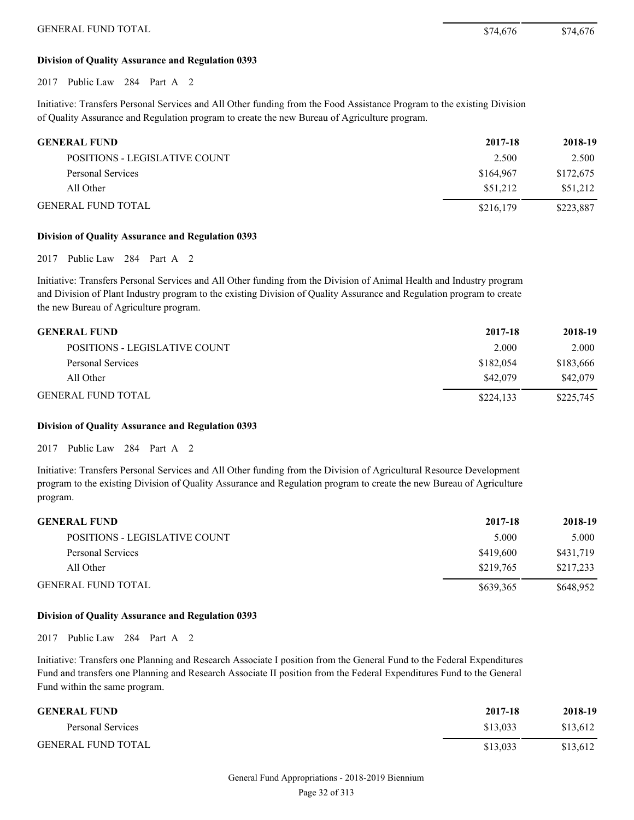#### **Division of Quality Assurance and Regulation 0393**

2017 Public Law 284 Part A 2

Initiative: Transfers Personal Services and All Other funding from the Food Assistance Program to the existing Division of Quality Assurance and Regulation program to create the new Bureau of Agriculture program.

| <b>GENERAL FUND</b>           | 2017-18   | 2018-19   |
|-------------------------------|-----------|-----------|
| POSITIONS - LEGISLATIVE COUNT | 2.500     | 2.500     |
| Personal Services             | \$164,967 | \$172,675 |
| All Other                     | \$51,212  | \$51.212  |
| <b>GENERAL FUND TOTAL</b>     | \$216,179 | \$223.887 |

#### **Division of Quality Assurance and Regulation 0393**

2017 Public Law 284 Part A 2

Initiative: Transfers Personal Services and All Other funding from the Division of Animal Health and Industry program and Division of Plant Industry program to the existing Division of Quality Assurance and Regulation program to create the new Bureau of Agriculture program.

| <b>GENERAL FUND</b>           | 2017-18   | 2018-19   |
|-------------------------------|-----------|-----------|
| POSITIONS - LEGISLATIVE COUNT | 2.000     | 2.000     |
| Personal Services             | \$182,054 | \$183,666 |
| All Other                     | \$42,079  | \$42,079  |
| <b>GENERAL FUND TOTAL</b>     | \$224.133 | \$225,745 |

#### **Division of Quality Assurance and Regulation 0393**

2017 Public Law 284 Part A 2

Initiative: Transfers Personal Services and All Other funding from the Division of Agricultural Resource Development program to the existing Division of Quality Assurance and Regulation program to create the new Bureau of Agriculture program.

| <b>GENERAL FUND</b>           | 2017-18   | 2018-19   |
|-------------------------------|-----------|-----------|
| POSITIONS - LEGISLATIVE COUNT | 5.000     | 5.000     |
| Personal Services             | \$419,600 | \$431,719 |
| All Other                     | \$219.765 | \$217,233 |
| <b>GENERAL FUND TOTAL</b>     | \$639,365 | \$648,952 |

#### **Division of Quality Assurance and Regulation 0393**

2017 Public Law 284 Part A 2

Initiative: Transfers one Planning and Research Associate I position from the General Fund to the Federal Expenditures Fund and transfers one Planning and Research Associate II position from the Federal Expenditures Fund to the General Fund within the same program.

| <b>GENERAL FUND</b>       | 2017-18  | 2018-19  |
|---------------------------|----------|----------|
| Personal Services         | \$13.033 | \$13.612 |
| <b>GENERAL FUND TOTAL</b> | \$13.033 | \$13,612 |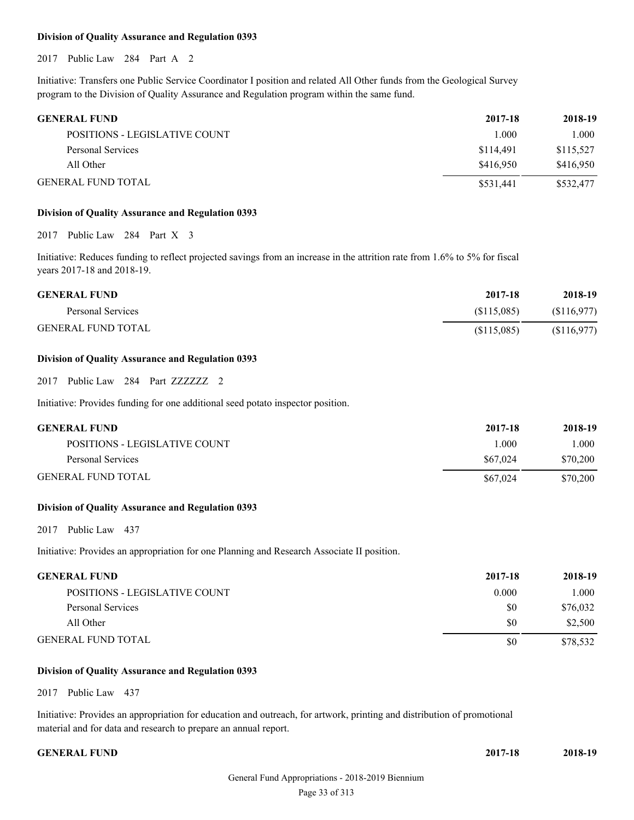#### **Division of Quality Assurance and Regulation 0393**

2017 Public Law 284 Part A 2

Initiative: Transfers one Public Service Coordinator I position and related All Other funds from the Geological Survey program to the Division of Quality Assurance and Regulation program within the same fund.

| <b>GENERAL FUND</b>           | 2017-18   | 2018-19   |
|-------------------------------|-----------|-----------|
| POSITIONS - LEGISLATIVE COUNT | 1.000     | 1.000     |
| Personal Services             | \$114.491 | \$115,527 |
| All Other                     | \$416.950 | \$416.950 |
| <b>GENERAL FUND TOTAL</b>     | \$531,441 | \$532,477 |

#### **Division of Quality Assurance and Regulation 0393**

2017 Public Law 284 Part X 3

Initiative: Reduces funding to reflect projected savings from an increase in the attrition rate from 1.6% to 5% for fiscal years 2017-18 and 2018-19.

| <b>GENERAL FUND</b>       | 2017-18    | 2018-19     |
|---------------------------|------------|-------------|
| Personal Services         | (S115.085) | (S116, 977) |
| <b>GENERAL FUND TOTAL</b> | (S115,085) | (S116, 977) |

#### **Division of Quality Assurance and Regulation 0393**

2017 Public Law 284 Part ZZZZZZZ 2

Initiative: Provides funding for one additional seed potato inspector position.

| <b>GENERAL FUND</b>           | 2017-18  | 2018-19  |
|-------------------------------|----------|----------|
| POSITIONS - LEGISLATIVE COUNT | 1.000    | 1.000    |
| Personal Services             | \$67,024 | \$70,200 |
| <b>GENERAL FUND TOTAL</b>     | \$67,024 | \$70,200 |

#### **Division of Quality Assurance and Regulation 0393**

2017 Public Law 437

Initiative: Provides an appropriation for one Planning and Research Associate II position.

| GENERAL FUND                  | 2017-18 | 2018-19  |
|-------------------------------|---------|----------|
| POSITIONS - LEGISLATIVE COUNT | 0.000   | .000     |
| Personal Services             | \$0     | \$76,032 |
| All Other                     | \$0     | \$2,500  |
| GENERAL FUND TOTAL            | \$0     | \$78,532 |

#### **Division of Quality Assurance and Regulation 0393**

2017 Public Law 437

Initiative: Provides an appropriation for education and outreach, for artwork, printing and distribution of promotional material and for data and research to prepare an annual report.

#### **GENERAL FUND**

| 2017-18 | 2018-19 |
|---------|---------|
|         |         |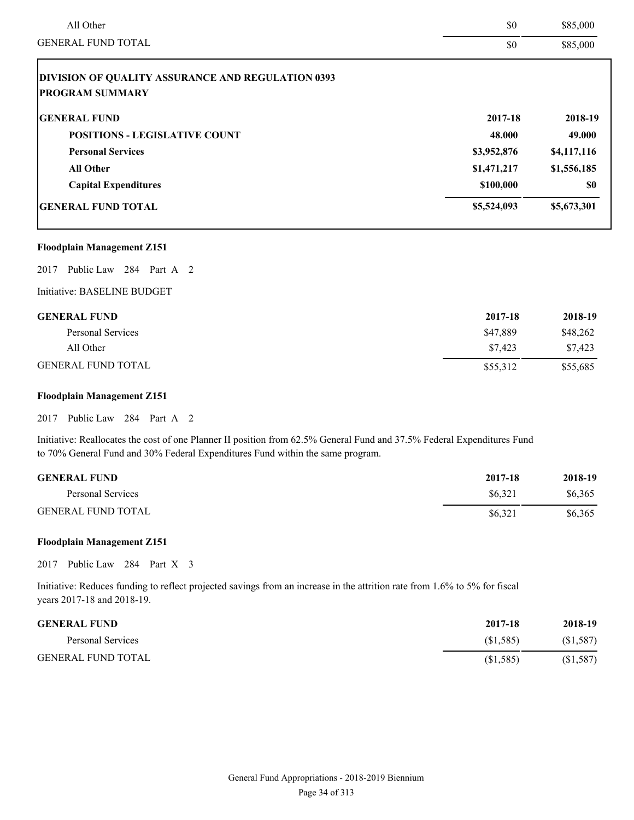| All Other                                                | \$0         | \$85,000    |
|----------------------------------------------------------|-------------|-------------|
| <b>GENERAL FUND TOTAL</b>                                | \$0         | \$85,000    |
| <b>DIVISION OF QUALITY ASSURANCE AND REGULATION 0393</b> |             |             |
| <b>PROGRAM SUMMARY</b>                                   |             |             |
| <b>GENERAL FUND</b>                                      | 2017-18     | 2018-19     |
| <b>POSITIONS - LEGISLATIVE COUNT</b>                     | 48.000      | 49.000      |
| <b>Personal Services</b>                                 | \$3,952,876 | \$4,117,116 |
| <b>All Other</b>                                         | \$1,471,217 | \$1,556,185 |
| <b>Capital Expenditures</b>                              | \$100,000   | <b>SO</b>   |
| <b>GENERAL FUND TOTAL</b>                                | \$5,524,093 | \$5,673,301 |

#### **Floodplain Management Z151**

2017 Public Law 284 Part A 2

#### Initiative: BASELINE BUDGET

| <b>GENERAL FUND</b>       | 2017-18  | 2018-19  |
|---------------------------|----------|----------|
| Personal Services         | \$47.889 | \$48,262 |
| All Other                 | \$7.423  | \$7.423  |
| <b>GENERAL FUND TOTAL</b> | \$55,312 | \$55,685 |

#### **Floodplain Management Z151**

2017 Public Law 284 Part A 2

Initiative: Reallocates the cost of one Planner II position from 62.5% General Fund and 37.5% Federal Expenditures Fund to 70% General Fund and 30% Federal Expenditures Fund within the same program.

| <b>GENERAL FUND</b>       | 2017-18 | 2018-19 |
|---------------------------|---------|---------|
| Personal Services         | \$6.321 | \$6,365 |
| <b>GENERAL FUND TOTAL</b> | \$6.321 | \$6,365 |

#### **Floodplain Management Z151**

2017 Public Law 284 Part X 3

| <b>GENERAL FUND</b>       | 2017-18   | 2018-19  |
|---------------------------|-----------|----------|
| Personal Services         | (S1,585)  | (S1,587) |
| <b>GENERAL FUND TOTAL</b> | (\$1,585) | (S1,587) |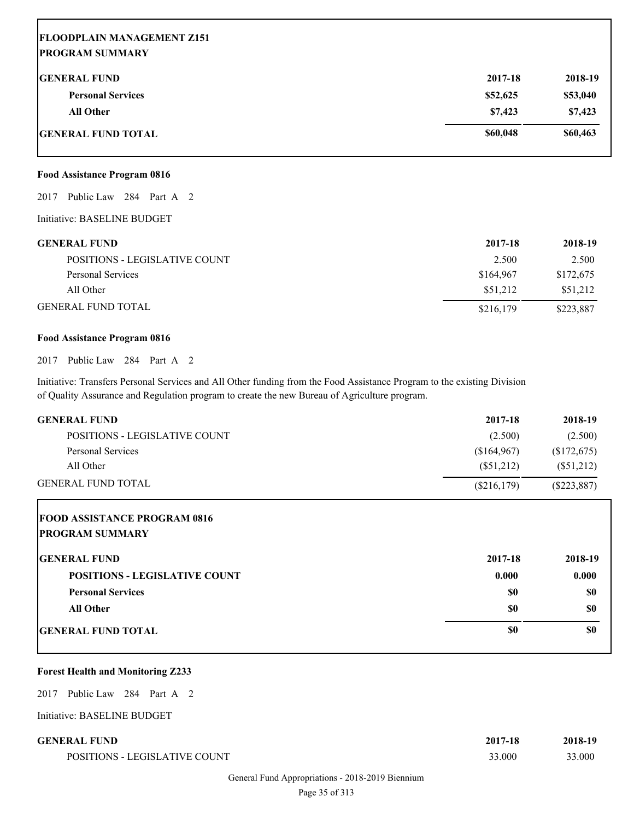## **FLOODPLAIN MANAGEMENT Z151 PROGRAM SUMMARY GENERAL FUND 2017-18 2018-19 Personal Services \$52,625 \$53,040 All Other \$7,423 \$7,423 GENERAL FUND TOTAL \$60,048 \$60,463**

#### **Food Assistance Program 0816**

2017 Public Law 284 Part A 2

Initiative: BASELINE BUDGET

| <b>GENERAL FUND</b>           | 2017-18   | 2018-19   |
|-------------------------------|-----------|-----------|
| POSITIONS - LEGISLATIVE COUNT | 2.500     | 2.500     |
| Personal Services             | \$164,967 | \$172,675 |
| All Other                     | \$51.212  | \$51,212  |
| <b>GENERAL FUND TOTAL</b>     | \$216,179 | \$223,887 |

#### **Food Assistance Program 0816**

2017 Public Law 284 Part A 2

Initiative: Transfers Personal Services and All Other funding from the Food Assistance Program to the existing Division of Quality Assurance and Regulation program to create the new Bureau of Agriculture program.

| <b>GENERAL FUND</b>           | 2017-18     | 2018-19       |
|-------------------------------|-------------|---------------|
| POSITIONS - LEGISLATIVE COUNT | (2.500)     | (2.500)       |
| Personal Services             | (S164, 967) | (S172, 675)   |
| All Other                     | (S51.212)   | (S51,212)     |
| <b>GENERAL FUND TOTAL</b>     | (S216, 179) | $(\$223,887)$ |

| <b>FOOD ASSISTANCE PROGRAM 0816</b><br><b>PROGRAM SUMMARY</b> |         |         |
|---------------------------------------------------------------|---------|---------|
| <b>IGENERAL FUND</b>                                          | 2017-18 | 2018-19 |
| <b>POSITIONS - LEGISLATIVE COUNT</b>                          | 0.000   | 0.000   |
| <b>Personal Services</b>                                      | \$0     | \$0     |
| <b>All Other</b>                                              | \$0     | \$0     |
| <b>IGENERAL FUND TOTAL</b>                                    | \$0     | \$0     |

#### **Forest Health and Monitoring Z233**

2017 Public Law 284 Part A 2

Initiative: BASELINE BUDGET

| <b>GENERAL FUND</b>           | 2017-18 | 2018-19 |
|-------------------------------|---------|---------|
| POSITIONS - LEGISLATIVE COUNT | 33.000  | 33.000  |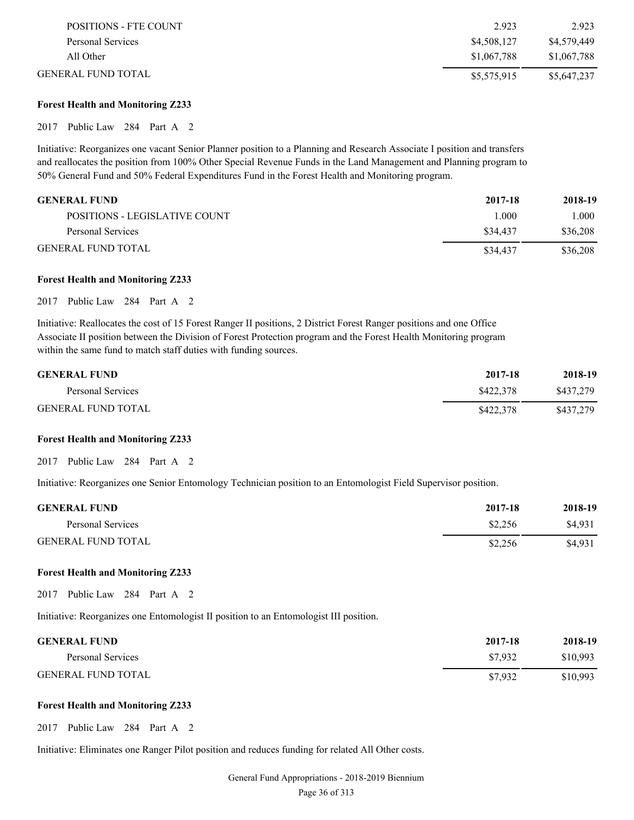| POSITIONS - FTE COUNT | 2.923       | 2.923       |
|-----------------------|-------------|-------------|
| Personal Services     | \$4,508,127 | \$4,579,449 |
| All Other             | \$1,067,788 | \$1,067,788 |
| GENERAL FUND TOTAL    | \$5,575,915 | \$5,647,237 |

#### **Forest Health and Monitoring Z233**

#### 2017 Public Law 284 Part A 2

Initiative: Reorganizes one vacant Senior Planner position to a Planning and Research Associate I position and transfers and reallocates the position from 100% Other Special Revenue Funds in the Land Management and Planning program to 50% General Fund and 50% Federal Expenditures Fund in the Forest Health and Monitoring program.

| <b>GENERAL FUND</b>           | 2017-18  | 2018-19  |
|-------------------------------|----------|----------|
| POSITIONS - LEGISLATIVE COUNT | 1.000    | 1.000    |
| Personal Services             | \$34,437 | \$36,208 |
| <b>GENERAL FUND TOTAL</b>     | \$34,437 | \$36,208 |

#### **Forest Health and Monitoring Z233**

2017 Public Law 284 Part A 2

Initiative: Reallocates the cost of 15 Forest Ranger II positions, 2 District Forest Ranger positions and one Office Associate II position between the Division of Forest Protection program and the Forest Health Monitoring program within the same fund to match staff duties with funding sources.

| <b>GENERAL FUND</b>       | 2017-18   | 2018-19   |
|---------------------------|-----------|-----------|
| Personal Services         | \$422,378 | \$437,279 |
| <b>GENERAL FUND TOTAL</b> | \$422,378 | \$437.279 |

#### **Forest Health and Monitoring Z233**

2017 Public Law 284 Part A 2

Initiative: Reorganizes one Senior Entomology Technician position to an Entomologist Field Supervisor position.

| <b>GENERAL FUND</b>       | 2017-18 | 2018-19 |
|---------------------------|---------|---------|
| Personal Services         | \$2.256 | \$4.931 |
| <b>GENERAL FUND TOTAL</b> | \$2,256 | \$4,931 |

#### **Forest Health and Monitoring Z233**

2017 Public Law 284 Part A 2

Initiative: Reorganizes one Entomologist II position to an Entomologist III position.

| <b>GENERAL FUND</b>       | 2017-18 | 2018-19  |
|---------------------------|---------|----------|
| Personal Services         | \$7.932 | \$10.993 |
| <b>GENERAL FUND TOTAL</b> | \$7.932 | \$10,993 |

#### **Forest Health and Monitoring Z233**

2017 Public Law 284 Part A 2

Initiative: Eliminates one Ranger Pilot position and reduces funding for related All Other costs.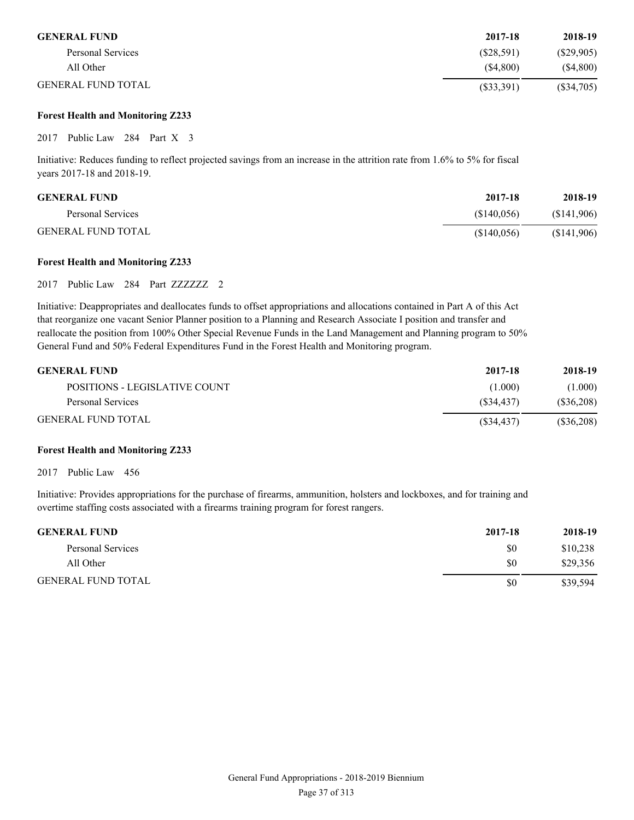| <b>GENERAL FUND</b>       | 2017-18      | 2018-19      |
|---------------------------|--------------|--------------|
| Personal Services         | (S28, 591)   | (S29,905)    |
| All Other                 | (S4,800)     | (S4,800)     |
| <b>GENERAL FUND TOTAL</b> | $(\$33,391)$ | $(\$34,705)$ |

#### **Forest Health and Monitoring Z233**

2017 Public Law 284 Part X 3

Initiative: Reduces funding to reflect projected savings from an increase in the attrition rate from 1.6% to 5% for fiscal years 2017-18 and 2018-19.

| <b>GENERAL FUND</b>       | 2017-18    | 2018-19    |
|---------------------------|------------|------------|
| Personal Services         | (S140.056) | (S141,906) |
| <b>GENERAL FUND TOTAL</b> | (S140,056) | (S141,906) |

#### **Forest Health and Monitoring Z233**

2017 Public Law 284 Part ZZZZZZZ 2

Initiative: Deappropriates and deallocates funds to offset appropriations and allocations contained in Part A of this Act that reorganize one vacant Senior Planner position to a Planning and Research Associate I position and transfer and reallocate the position from 100% Other Special Revenue Funds in the Land Management and Planning program to 50% General Fund and 50% Federal Expenditures Fund in the Forest Health and Monitoring program.

| <b>GENERAL FUND</b>           | 2017-18    | 2018-19      |
|-------------------------------|------------|--------------|
| POSITIONS - LEGISLATIVE COUNT | (1.000)    | (1.000)      |
| Personal Services             | (S34.437)  | $(\$36,208)$ |
| <b>GENERAL FUND TOTAL</b>     | (S34, 437) | $(\$36,208)$ |

#### **Forest Health and Monitoring Z233**

2017 Public Law 456

Initiative: Provides appropriations for the purchase of firearms, ammunition, holsters and lockboxes, and for training and overtime staffing costs associated with a firearms training program for forest rangers.

| <b>GENERAL FUND</b>       | 2017-18 | 2018-19  |
|---------------------------|---------|----------|
| Personal Services         | \$0     | \$10,238 |
| All Other                 | \$0     | \$29,356 |
| <b>GENERAL FUND TOTAL</b> | \$0     | \$39,594 |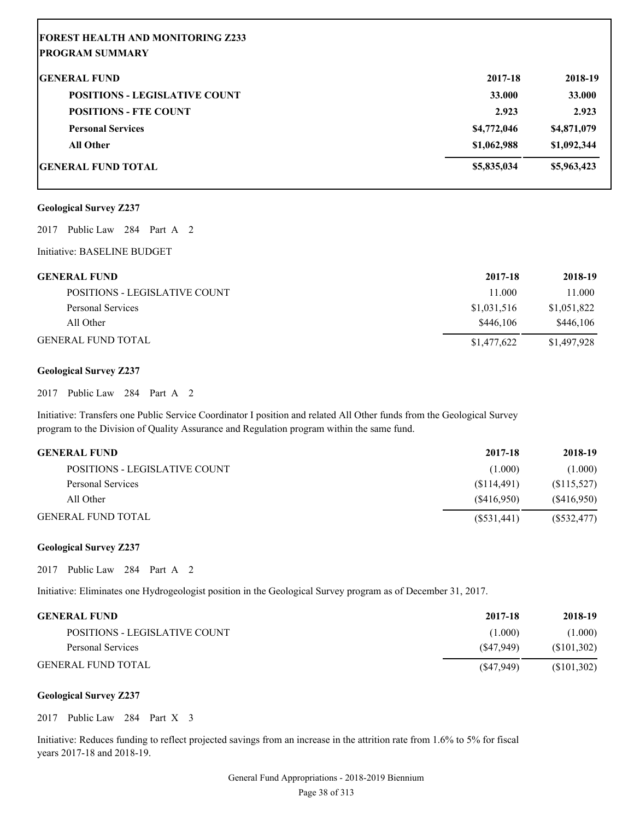| <b>FOREST HEALTH AND MONITORING Z233</b><br><b>PROGRAM SUMMARY</b> |             |             |
|--------------------------------------------------------------------|-------------|-------------|
| <b>GENERAL FUND</b>                                                | 2017-18     | 2018-19     |
| <b>POSITIONS - LEGISLATIVE COUNT</b>                               | 33.000      | 33.000      |
| <b>POSITIONS - FTE COUNT</b>                                       | 2.923       | 2.923       |
| <b>Personal Services</b>                                           | \$4,772,046 | \$4,871,079 |
| <b>All Other</b>                                                   | \$1,062,988 | \$1,092,344 |
| <b>IGENERAL FUND TOTAL</b>                                         | \$5,835,034 | \$5,963,423 |

#### **Geological Survey Z237**

2017 Public Law 284 Part A 2

#### Initiative: BASELINE BUDGET

| GENERAL FUND                  | 2017-18     | 2018-19     |
|-------------------------------|-------------|-------------|
| POSITIONS - LEGISLATIVE COUNT | 11.000      | 11.000      |
| Personal Services             | \$1,031,516 | \$1,051,822 |
| All Other                     | \$446.106   | \$446,106   |
| GENERAL FUND TOTAL            | \$1,477,622 | \$1,497,928 |

#### **Geological Survey Z237**

2017 Public Law 284 Part A 2

Initiative: Transfers one Public Service Coordinator I position and related All Other funds from the Geological Survey program to the Division of Quality Assurance and Regulation program within the same fund.

| GENERAL FUND                  | 2017-18     | 2018-19     |
|-------------------------------|-------------|-------------|
| POSITIONS - LEGISLATIVE COUNT | (1.000)     | (1.000)     |
| Personal Services             | (S114.491)  | (S115, 527) |
| All Other                     | (S416.950)  | (S416,950)  |
| GENERAL FUND TOTAL            | (S531, 441) | (S532, 477) |

#### **Geological Survey Z237**

2017 Public Law 284 Part A 2

Initiative: Eliminates one Hydrogeologist position in the Geological Survey program as of December 31, 2017.

| <b>GENERAL FUND</b>           | 2017-18   | 2018-19     |
|-------------------------------|-----------|-------------|
| POSITIONS - LEGISLATIVE COUNT | (1.000)   | (1.000)     |
| Personal Services             | (S47.949) | (S101, 302) |
| <b>GENERAL FUND TOTAL</b>     | (S47,949) | (S101, 302) |

#### **Geological Survey Z237**

2017 Public Law 284 Part X 3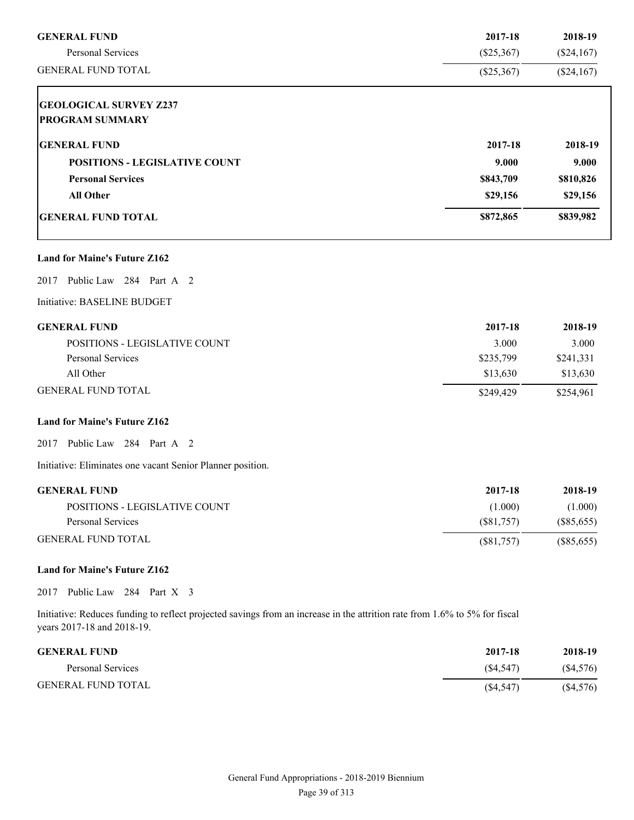| <b>GENERAL FUND</b>                  | 2017-18      | 2018-19      |
|--------------------------------------|--------------|--------------|
| <b>Personal Services</b>             | $(\$25,367)$ | $(\$24,167)$ |
| <b>GENERAL FUND TOTAL</b>            | $(\$25,367)$ | $(\$24,167)$ |
| <b>GEOLOGICAL SURVEY Z237</b>        |              |              |
| <b>PROGRAM SUMMARY</b>               |              |              |
| <b>GENERAL FUND</b>                  | 2017-18      | 2018-19      |
| <b>POSITIONS - LEGISLATIVE COUNT</b> | 9.000        | 9.000        |
| <b>Personal Services</b>             | \$843,709    | \$810,826    |
| <b>All Other</b>                     | \$29,156     | \$29,156     |
| <b>GENERAL FUND TOTAL</b>            | \$872,865    | \$839,982    |
| <b>Land for Maine's Future Z162</b>  |              |              |
| 2017 Public Law 284 Part A 2         |              |              |
| Initiative: BASELINE BUDGET          |              |              |
| <b>GENERAL FUND</b>                  | 2017-18      | 2018-19      |
| POSITIONS - LEGISLATIVE COUNT        | 3.000        | 3.000        |
| Personal Services                    | \$235,799    | \$241,331    |
| All Other                            | \$13,630     | \$13,630     |

GENERAL FUND TOTAL \$254,961

### **Land for Maine's Future Z162**

2017 Public Law 284 Part A 2

Initiative: Eliminates one vacant Senior Planner position.

| <b>GENERAL FUND</b>           | 2017-18   | 2018-19    |
|-------------------------------|-----------|------------|
| POSITIONS - LEGISLATIVE COUNT | (1.000)   | (1.000)    |
| Personal Services             | (S81.757) | (S85, 655) |
| <b>GENERAL FUND TOTAL</b>     | (S81,757) | (S85, 655) |

#### **Land for Maine's Future Z162**

2017 Public Law 284 Part X 3

| <b>GENERAL FUND</b>       | 2017-18   | 2018-19  |
|---------------------------|-----------|----------|
| Personal Services         | (S4, 547) | (S4,576) |
| <b>GENERAL FUND TOTAL</b> | (S4, 547) | (S4,576) |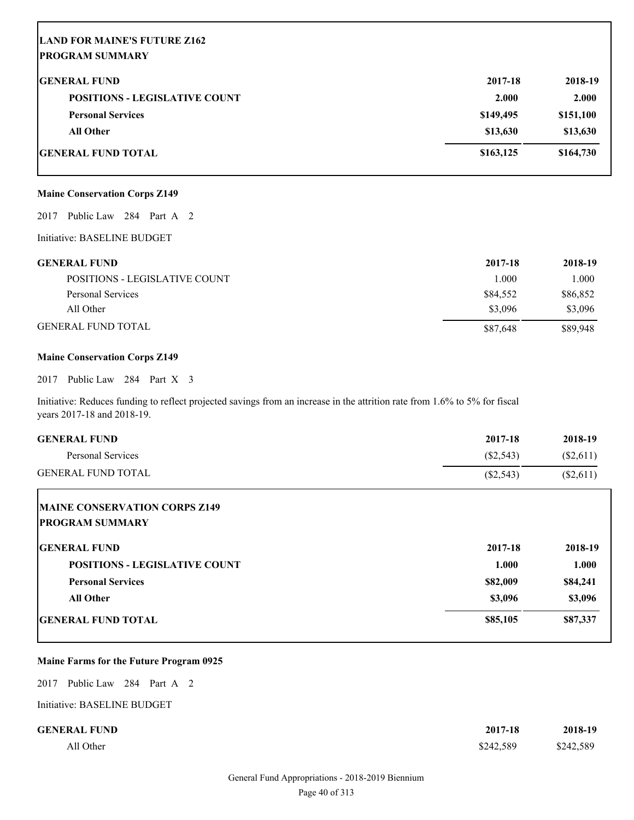# **LAND FOR MAINE'S FUTURE Z162 PROGRAM SUMMARY GENERAL FUND 2017-18 2018-19**

| <b>POSITIONS - LEGISLATIVE COUNT</b> | 2.000     | 2.000     |
|--------------------------------------|-----------|-----------|
| <b>Personal Services</b>             | \$149,495 | \$151,100 |
| All Other                            | \$13,630  | \$13,630  |
| GENERAL FUND TOTAL                   | \$163,125 | \$164,730 |

#### **Maine Conservation Corps Z149**

2017 Public Law 284 Part A 2

Initiative: BASELINE BUDGET

| <b>GENERAL FUND</b>           | 2017-18  | 2018-19  |
|-------------------------------|----------|----------|
| POSITIONS - LEGISLATIVE COUNT | 1.000    | 1.000    |
| Personal Services             | \$84,552 | \$86,852 |
| All Other                     | \$3,096  | \$3,096  |
| <b>GENERAL FUND TOTAL</b>     | \$87,648 | \$89,948 |

#### **Maine Conservation Corps Z149**

2017 Public Law 284 Part X 3

Initiative: Reduces funding to reflect projected savings from an increase in the attrition rate from 1.6% to 5% for fiscal years 2017-18 and 2018-19.

| <b>GENERAL FUND</b>                  | 2017-18     | 2018-19   |
|--------------------------------------|-------------|-----------|
| <b>Personal Services</b>             | $(\$2,543)$ | (\$2,611) |
| <b>GENERAL FUND TOTAL</b>            | $(\$2,543)$ | (\$2,611) |
| <b>MAINE CONSERVATION CORPS Z149</b> |             |           |
| <b>IPROGRAM SUMMARY</b>              |             |           |
| <b>IGENERAL FUND</b>                 | 2017-18     | 2018-19   |
| <b>POSITIONS - LEGISLATIVE COUNT</b> | 1.000       | 1.000     |
| <b>Personal Services</b>             | \$82,009    | \$84,241  |
| <b>All Other</b>                     | \$3,096     | \$3,096   |
| <b>IGENERAL FUND TOTAL</b>           | \$85,105    | \$87,337  |

#### **Maine Farms for the Future Program 0925**

2017 Public Law 284 Part A 2

Initiative: BASELINE BUDGET

| <b>GENERAL FUND</b> | 2017-18   | 2018-19   |
|---------------------|-----------|-----------|
| All Other           | \$242,589 | \$242,589 |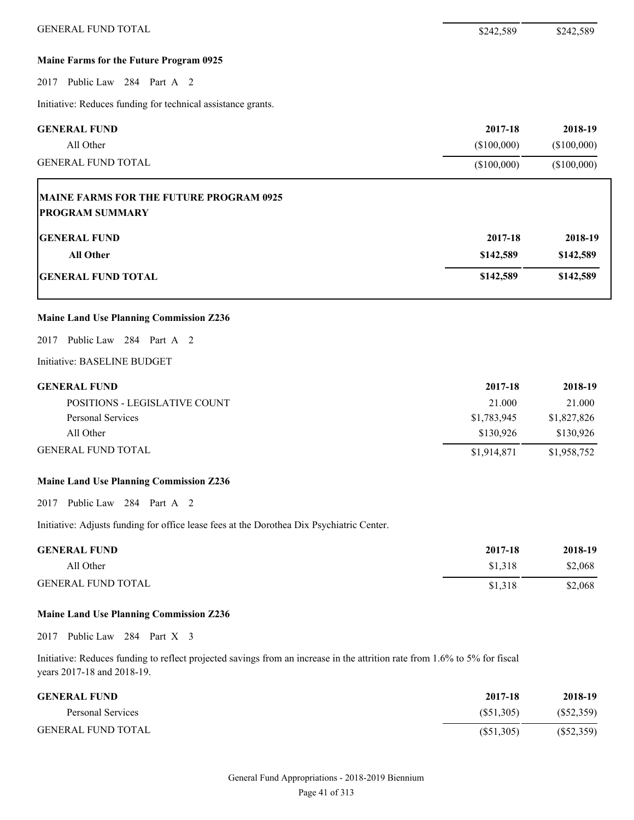#### **Maine Farms for the Future Program 0925**

#### 2017 Public Law 284 Part A 2

Initiative: Reduces funding for technical assistance grants.

| <b>GENERAL FUND</b>       | 2017-18    | 2018-19     |
|---------------------------|------------|-------------|
| All Other                 | (S100.000) | (\$100,000) |
| <b>GENERAL FUND TOTAL</b> | (S100,000) | (\$100,000) |

## **MAINE FARMS FOR THE FUTURE PROGRAM 0925 PROGRAM SUMMARY**

| <b>GENERAL FUND</b>       | 2017-18   | 2018-19   |
|---------------------------|-----------|-----------|
| <b>All Other</b>          | \$142,589 | \$142,589 |
| <b>GENERAL FUND TOTAL</b> | \$142,589 | \$142,589 |

#### **Maine Land Use Planning Commission Z236**

2017 Public Law 284 Part A 2

#### Initiative: BASELINE BUDGET

| <b>GENERAL FUND</b> |  |
|---------------------|--|
|---------------------|--|

| <b>GENERAL FUND</b>                  | 2017-18     | 2018-19     |
|--------------------------------------|-------------|-------------|
| <b>POSITIONS - LEGISLATIVE COUNT</b> | 21.000      | 21.000      |
| Personal Services                    | \$1,783,945 | \$1,827,826 |
| All Other                            | \$130.926   | \$130.926   |
| <b>GENERAL FUND TOTAL</b>            | \$1,914,871 | \$1,958,752 |

#### **Maine Land Use Planning Commission Z236**

2017 Public Law 284 Part A 2

Initiative: Adjusts funding for office lease fees at the Dorothea Dix Psychiatric Center.

| <b>GENERAL FUND</b>       | 2017-18 | 2018-19 |
|---------------------------|---------|---------|
| All Other                 | \$1,318 | \$2,068 |
| <b>GENERAL FUND TOTAL</b> | \$1,318 | \$2,068 |

#### **Maine Land Use Planning Commission Z236**

2017 Public Law 284 Part X 3

| <b>GENERAL FUND</b>       | 2017-18   | 2018-19      |
|---------------------------|-----------|--------------|
| Personal Services         | (S51,305) | (S52,359)    |
| <b>GENERAL FUND TOTAL</b> | (S51,305) | $(\$52,359)$ |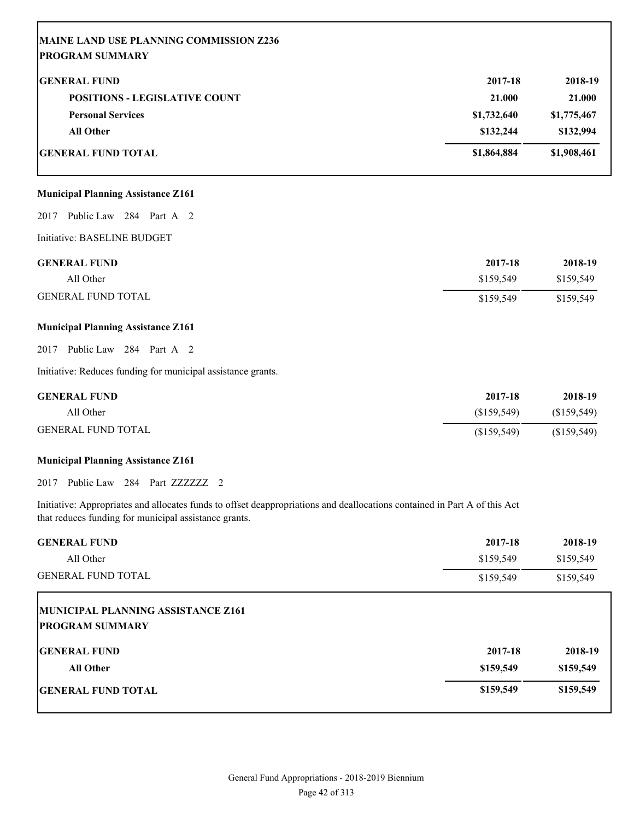| MAINE LAND USE PLANNING COMMISSION Z236<br><b>PROGRAM SUMMARY</b> |             |             |
|-------------------------------------------------------------------|-------------|-------------|
| <b>GENERAL FUND</b>                                               | 2017-18     | 2018-19     |
| <b>POSITIONS - LEGISLATIVE COUNT</b>                              | 21.000      | 21.000      |
| <b>Personal Services</b>                                          | \$1,732,640 | \$1,775,467 |
| <b>All Other</b>                                                  | \$132,244   | \$132,994   |
| <b>GENERAL FUND TOTAL</b>                                         | \$1,864,884 | \$1,908,461 |
|                                                                   |             |             |

#### **Municipal Planning Assistance Z161**

2017 Public Law 284 Part A 2

Initiative: BASELINE BUDGET

Г

| <b>GENERAL FUND</b>       | 2017-18   | 2018-19   |
|---------------------------|-----------|-----------|
| All Other                 | \$159.549 | \$159,549 |
| <b>GENERAL FUND TOTAL</b> | \$159,549 | \$159,549 |

#### **Municipal Planning Assistance Z161**

2017 Public Law 284 Part A 2

Initiative: Reduces funding for municipal assistance grants.

| <b>GENERAL FUND</b>       | 2017-18     | 2018-19     |
|---------------------------|-------------|-------------|
| All Other                 | (S159.549)  | (S159, 549) |
| <b>GENERAL FUND TOTAL</b> | (S159, 549) | (S159, 549) |

#### **Municipal Planning Assistance Z161**

2017 Public Law 284 Part ZZZZZZZ 2

Initiative: Appropriates and allocates funds to offset deappropriations and deallocations contained in Part A of this Act that reduces funding for municipal assistance grants.

| <b>GENERAL FUND</b>                | 2017-18   | 2018-19   |
|------------------------------------|-----------|-----------|
| All Other                          | \$159,549 | \$159,549 |
| <b>GENERAL FUND TOTAL</b>          | \$159,549 | \$159,549 |
| MUNICIPAL PLANNING ASSISTANCE Z161 |           |           |
| <b>PROGRAM SUMMARY</b>             |           |           |
| <b>GENERAL FUND</b>                | 2017-18   | 2018-19   |
| <b>All Other</b>                   | \$159,549 | \$159,549 |
| <b>IGENERAL FUND TOTAL</b>         | \$159,549 | \$159,549 |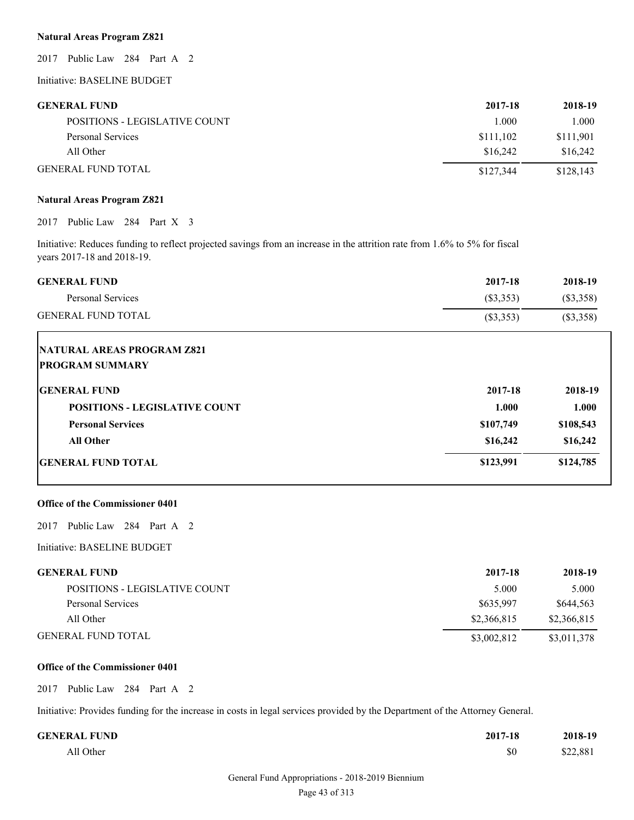### **Natural Areas Program Z821**

2017 Public Law 284 Part A 2

Initiative: BASELINE BUDGET

#### **GENERAL FUND 2017-18 2018-19**

| <b>SERVENT POINT</b>          | $4011 - 10$ | 6010-12   |
|-------------------------------|-------------|-----------|
| POSITIONS - LEGISLATIVE COUNT | 1.000       | 1.000     |
| Personal Services             | \$111,102   | \$111,901 |
| All Other                     | \$16,242    | \$16,242  |
| <b>GENERAL FUND TOTAL</b>     | \$127.344   | \$128.143 |

#### **Natural Areas Program Z821**

2017 Public Law 284 Part X 3

Initiative: Reduces funding to reflect projected savings from an increase in the attrition rate from 1.6% to 5% for fiscal years 2017-18 and 2018-19.

| <b>GENERAL FUND</b>       | 2017-18     | 2018-19     |
|---------------------------|-------------|-------------|
| Personal Services         | (S3,353)    | (S3,358)    |
| <b>GENERAL FUND TOTAL</b> | $(\$3,353)$ | $(\$3,358)$ |

| <b>NATURAL AREAS PROGRAM Z821</b><br><b>PROGRAM SUMMARY</b> |           |           |
|-------------------------------------------------------------|-----------|-----------|
| <b>GENERAL FUND</b>                                         | 2017-18   | 2018-19   |
| <b>POSITIONS - LEGISLATIVE COUNT</b>                        | 1.000     | 1.000     |
| <b>Personal Services</b>                                    | \$107,749 | \$108,543 |
| <b>All Other</b>                                            | \$16,242  | \$16,242  |
| <b>IGENERAL FUND TOTAL</b>                                  | \$123,991 | \$124,785 |

#### **Office of the Commissioner 0401**

2017 Public Law 284 Part A 2

Initiative: BASELINE BUDGET

| GENERAL FUND                  | 2017-18     | 2018-19     |
|-------------------------------|-------------|-------------|
| POSITIONS - LEGISLATIVE COUNT | 5.000       | 5.000       |
| Personal Services             | \$635,997   | \$644.563   |
| All Other                     | \$2,366,815 | \$2,366,815 |
| GENERAL FUND TOTAL            | \$3,002,812 | \$3,011,378 |

#### **Office of the Commissioner 0401**

2017 Public Law 284 Part A 2

Initiative: Provides funding for the increase in costs in legal services provided by the Department of the Attorney General.

| <b>GENERAL FUND</b> | 2017-18 | 2018-19  |
|---------------------|---------|----------|
| All Other           | \$0     | \$22,881 |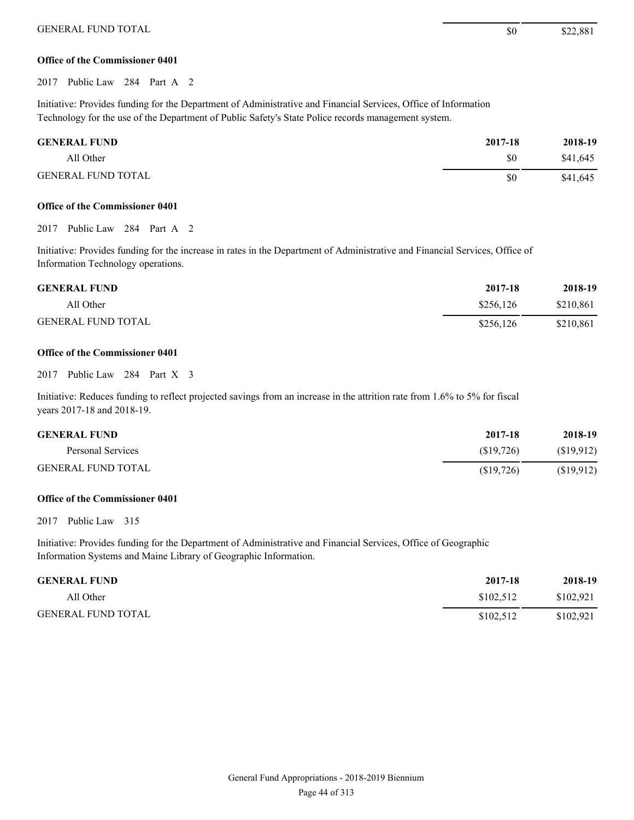#### **Office of the Commissioner 0401**

2017 Public Law 284 Part A 2

Initiative: Provides funding for the Department of Administrative and Financial Services, Office of Information Technology for the use of the Department of Public Safety's State Police records management system.

| <b>GENERAL FUND</b>       | 2017-18 | 2018-19  |
|---------------------------|---------|----------|
| All Other                 | \$0     | \$41.645 |
| <b>GENERAL FUND TOTAL</b> | \$0     | \$41,645 |

#### **Office of the Commissioner 0401**

2017 Public Law 284 Part A 2

Initiative: Provides funding for the increase in rates in the Department of Administrative and Financial Services, Office of Information Technology operations.

| <b>GENERAL FUND</b>       | 2017-18   | 2018-19   |
|---------------------------|-----------|-----------|
| All Other                 | \$256.126 | \$210.861 |
| <b>GENERAL FUND TOTAL</b> | \$256,126 | \$210,861 |

#### **Office of the Commissioner 0401**

2017 Public Law 284 Part X 3

Initiative: Reduces funding to reflect projected savings from an increase in the attrition rate from 1.6% to 5% for fiscal years 2017-18 and 2018-19.

| <b>GENERAL FUND</b>       | 2017-18   | 2018-19   |
|---------------------------|-----------|-----------|
| Personal Services         | (S19.726) | (S19.912) |
| <b>GENERAL FUND TOTAL</b> | (S19,726) | (S19.912) |

#### **Office of the Commissioner 0401**

2017 Public Law 315

Initiative: Provides funding for the Department of Administrative and Financial Services, Office of Geographic Information Systems and Maine Library of Geographic Information.

| <b>GENERAL FUND</b>       | 2017-18   | 2018-19   |
|---------------------------|-----------|-----------|
| All Other                 | \$102.512 | \$102.921 |
| <b>GENERAL FUND TOTAL</b> | \$102.512 | \$102.921 |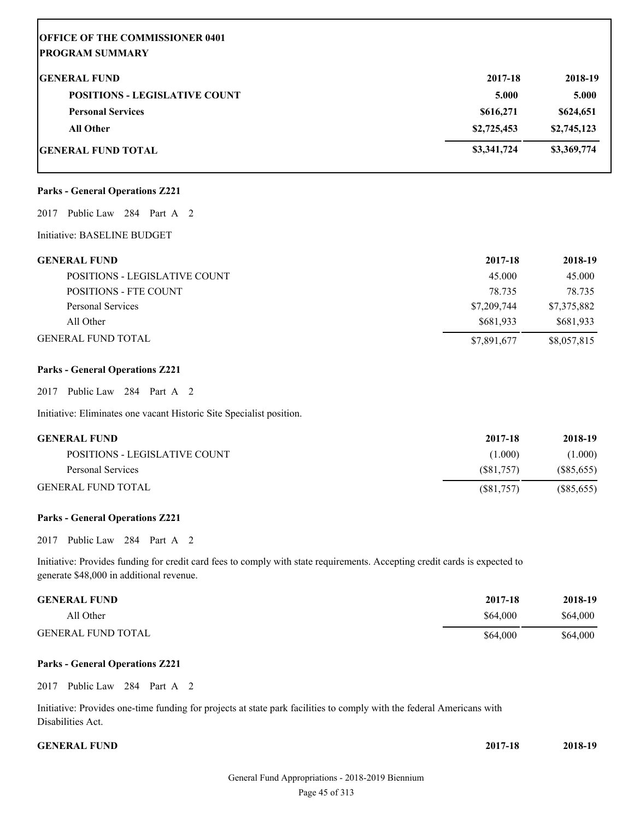| <b>OFFICE OF THE COMMISSIONER 0401</b><br><b>PROGRAM SUMMARY</b> |             |             |
|------------------------------------------------------------------|-------------|-------------|
| <b>IGENERAL FUND</b>                                             | 2017-18     | 2018-19     |
| <b>POSITIONS - LEGISLATIVE COUNT</b>                             | 5.000       | 5.000       |
| <b>Personal Services</b>                                         | \$616,271   | \$624,651   |
| <b>All Other</b>                                                 | \$2,725,453 | \$2,745,123 |
| <b>IGENERAL FUND TOTAL</b>                                       | \$3,341,724 | \$3,369,774 |

#### **Parks - General Operations Z221**

#### 2017 Public Law 284 Part A 2

#### Initiative: BASELINE BUDGET

| GENERAL FUND                  | 2017-18     | 2018-19     |
|-------------------------------|-------------|-------------|
| POSITIONS - LEGISLATIVE COUNT | 45.000      | 45,000      |
| POSITIONS - FTE COUNT         | 78.735      | 78.735      |
| Personal Services             | \$7,209,744 | \$7,375,882 |
| All Other                     | \$681.933   | \$681,933   |
| GENERAL FUND TOTAL            | \$7,891,677 | \$8,057,815 |

#### **Parks - General Operations Z221**

2017 Public Law 284 Part A 2

Initiative: Eliminates one vacant Historic Site Specialist position.

| <b>GENERAL FUND</b>           | 2017-18   | 2018-19      |
|-------------------------------|-----------|--------------|
| POSITIONS - LEGISLATIVE COUNT | (1.000)   | (1.000)      |
| Personal Services             | (S81.757) | (S85, 655)   |
| <b>GENERAL FUND TOTAL</b>     | (S81,757) | $(\$85,655)$ |

#### **Parks - General Operations Z221**

2017 Public Law 284 Part A 2

Initiative: Provides funding for credit card fees to comply with state requirements. Accepting credit cards is expected to generate \$48,000 in additional revenue.

| <b>GENERAL FUND</b>       | 2017-18  | 2018-19  |
|---------------------------|----------|----------|
| All Other                 | \$64,000 | \$64,000 |
| <b>GENERAL FUND TOTAL</b> | \$64,000 | \$64,000 |

#### **Parks - General Operations Z221**

2017 Public Law 284 Part A 2

Initiative: Provides one-time funding for projects at state park facilities to comply with the federal Americans with Disabilities Act.

#### **CENERAL FUND** 2

| 2017-18 | 2018-19 |
|---------|---------|
|         |         |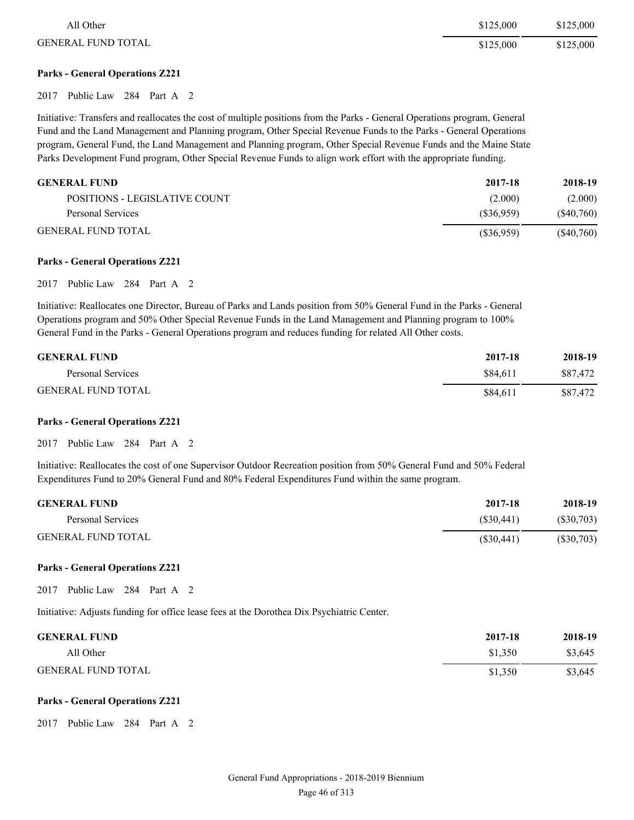| All Other                 | \$125,000 | \$125,000 |
|---------------------------|-----------|-----------|
| <b>GENERAL FUND TOTAL</b> | \$125,000 | \$125,000 |

#### **Parks - General Operations Z221**

2017 Public Law 284 Part A 2

Initiative: Transfers and reallocates the cost of multiple positions from the Parks - General Operations program, General Fund and the Land Management and Planning program, Other Special Revenue Funds to the Parks - General Operations program, General Fund, the Land Management and Planning program, Other Special Revenue Funds and the Maine State Parks Development Fund program, Other Special Revenue Funds to align work effort with the appropriate funding.

| <b>GENERAL FUND</b>           | 2017-18   | 2018-19       |
|-------------------------------|-----------|---------------|
| POSITIONS - LEGISLATIVE COUNT | (2.000)   | (2.000)       |
| Personal Services             | (S36.959) | (S40,760)     |
| <b>GENERAL FUND TOTAL</b>     | (S36,959) | $($ \$40,760) |

#### **Parks - General Operations Z221**

2017 Public Law 284 Part A 2

Initiative: Reallocates one Director, Bureau of Parks and Lands position from 50% General Fund in the Parks - General Operations program and 50% Other Special Revenue Funds in the Land Management and Planning program to 100% General Fund in the Parks - General Operations program and reduces funding for related All Other costs.

| <b>GENERAL FUND</b>       | 2017-18  | 2018-19  |
|---------------------------|----------|----------|
| Personal Services         | \$84.611 | \$87.472 |
| <b>GENERAL FUND TOTAL</b> | \$84.611 | \$87.472 |

#### **Parks - General Operations Z221**

2017 Public Law 284 Part A 2

Initiative: Reallocates the cost of one Supervisor Outdoor Recreation position from 50% General Fund and 50% Federal Expenditures Fund to 20% General Fund and 80% Federal Expenditures Fund within the same program.

| <b>GENERAL FUND</b>       | 2017-18    | 2018-19   |
|---------------------------|------------|-----------|
| Personal Services         | (S30.441)  | (S30,703) |
| <b>GENERAL FUND TOTAL</b> | (S30, 441) | (S30,703) |

#### **Parks - General Operations Z221**

2017 Public Law 284 Part A 2

Initiative: Adjusts funding for office lease fees at the Dorothea Dix Psychiatric Center.

| <b>GENERAL FUND</b>       | 2017-18 | 2018-19 |
|---------------------------|---------|---------|
| All Other                 | \$1,350 | \$3,645 |
| <b>GENERAL FUND TOTAL</b> | \$1,350 | \$3,645 |

#### **Parks - General Operations Z221**

2017 Public Law 284 Part A 2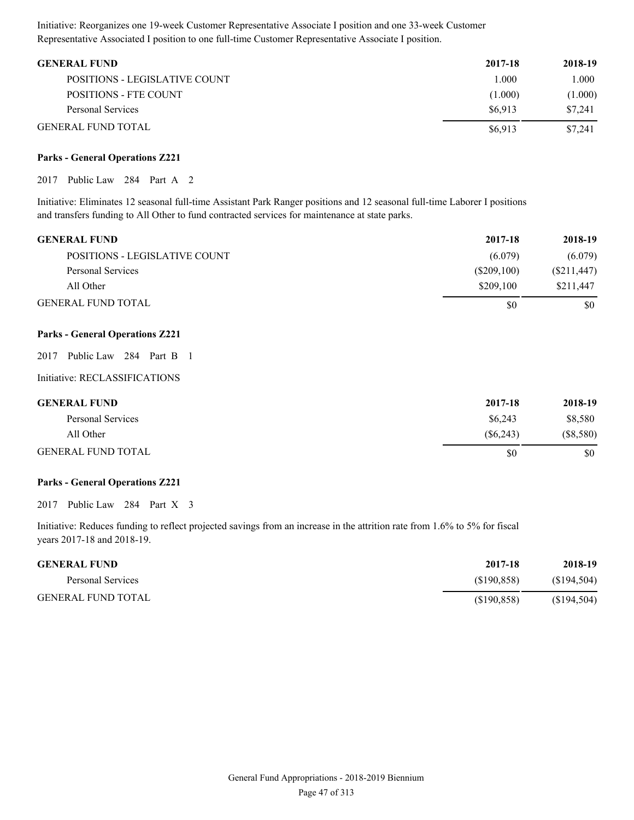Initiative: Reorganizes one 19-week Customer Representative Associate I position and one 33-week Customer Representative Associated I position to one full-time Customer Representative Associate I position.

| <b>GENERAL FUND</b>           | 2017-18 | 2018-19 |
|-------------------------------|---------|---------|
| POSITIONS - LEGISLATIVE COUNT | 1.000   | 1.000   |
| POSITIONS - FTE COUNT         | (1.000) | (1.000) |
| Personal Services             | \$6.913 | \$7,241 |
| <b>GENERAL FUND TOTAL</b>     | \$6.913 | \$7,241 |

#### **Parks - General Operations Z221**

2017 Public Law 284 Part A 2

Initiative: Eliminates 12 seasonal full-time Assistant Park Ranger positions and 12 seasonal full-time Laborer I positions and transfers funding to All Other to fund contracted services for maintenance at state parks.

| <b>GENERAL FUND</b>           | 2017-18     | 2018-19     |
|-------------------------------|-------------|-------------|
| POSITIONS - LEGISLATIVE COUNT | (6.079)     | (6.079)     |
| Personal Services             | (S209, 100) | (S211, 447) |
| All Other                     | \$209,100   | \$211,447   |
| <b>GENERAL FUND TOTAL</b>     | \$0         | \$0         |

#### **Parks - General Operations Z221**

| 2017 Public Law 284 Part B 1 |  |  |
|------------------------------|--|--|
|------------------------------|--|--|

Initiative: RECLASSIFICATIONS

| <b>GENERAL FUND</b>       | 2017-18  | 2018-19     |
|---------------------------|----------|-------------|
| Personal Services         | \$6,243  | \$8,580     |
| All Other                 | (S6.243) | $(\$8,580)$ |
| <b>GENERAL FUND TOTAL</b> | S0       | \$0         |

#### **Parks - General Operations Z221**

2017 Public Law 284 Part X 3

| <b>GENERAL FUND</b>       | 2017-18    | 2018-19     |
|---------------------------|------------|-------------|
| Personal Services         | (S190.858) | (S194, 504) |
| <b>GENERAL FUND TOTAL</b> | (S190.858) | (S194, 504) |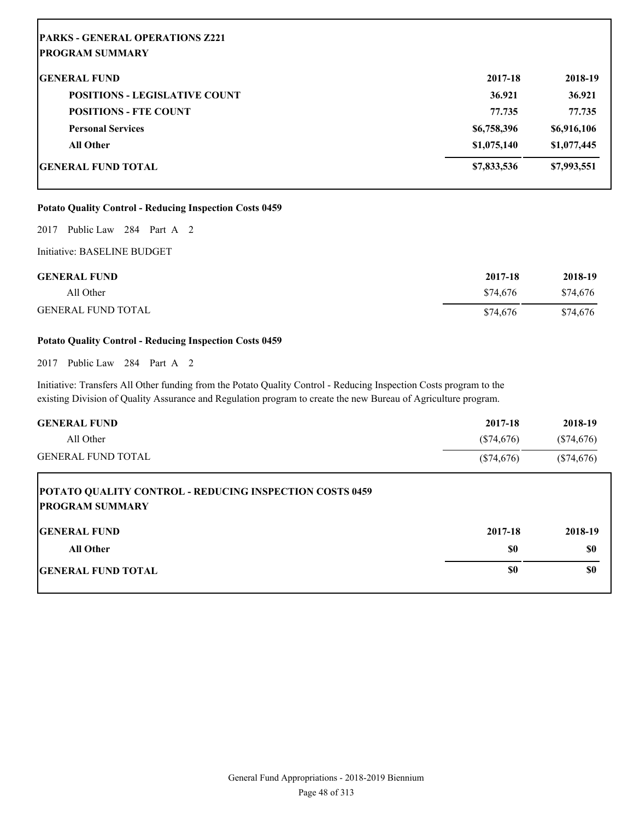| <b>PARKS - GENERAL OPERATIONS Z221</b><br><b>PROGRAM SUMMARY</b> |             |             |
|------------------------------------------------------------------|-------------|-------------|
| <b>GENERAL FUND</b>                                              | 2017-18     | 2018-19     |
| <b>POSITIONS - LEGISLATIVE COUNT</b>                             | 36.921      | 36.921      |
| <b>POSITIONS - FTE COUNT</b>                                     | 77.735      | 77.735      |
| <b>Personal Services</b>                                         | \$6,758,396 | \$6,916,106 |
| <b>All Other</b>                                                 | \$1,075,140 | \$1,077,445 |
| <b>GENERAL FUND TOTAL</b>                                        | \$7,833,536 | \$7,993,551 |

#### **Potato Quality Control - Reducing Inspection Costs 0459**

2017 Public Law 284 Part A 2

Initiative: BASELINE BUDGET

| <b>GENERAL FUND</b>       | 2017-18  | 2018-19  |
|---------------------------|----------|----------|
| All Other                 | \$74.676 | \$74,676 |
| <b>GENERAL FUND TOTAL</b> | \$74.676 | \$74,676 |

#### **Potato Quality Control - Reducing Inspection Costs 0459**

2017 Public Law 284 Part A 2

Initiative: Transfers All Other funding from the Potato Quality Control - Reducing Inspection Costs program to the existing Division of Quality Assurance and Regulation program to create the new Bureau of Agriculture program.

| <b>GENERAL FUND</b>                                                                      | 2017-18      | 2018-19      |
|------------------------------------------------------------------------------------------|--------------|--------------|
| All Other                                                                                | $(\$74,676)$ | $(\$74,676)$ |
| <b>GENERAL FUND TOTAL</b>                                                                | $(\$74,676)$ | $(\$74,676)$ |
| <b>POTATO QUALITY CONTROL - REDUCING INSPECTION COSTS 0459</b><br><b>PROGRAM SUMMARY</b> |              |              |
| <b>IGENERAL FUND</b>                                                                     | 2017-18      | 2018-19      |
| <b>All Other</b>                                                                         | \$0          | \$0          |
| <b>IGENERAL FUND TOTAL</b>                                                               | \$0          | \$0          |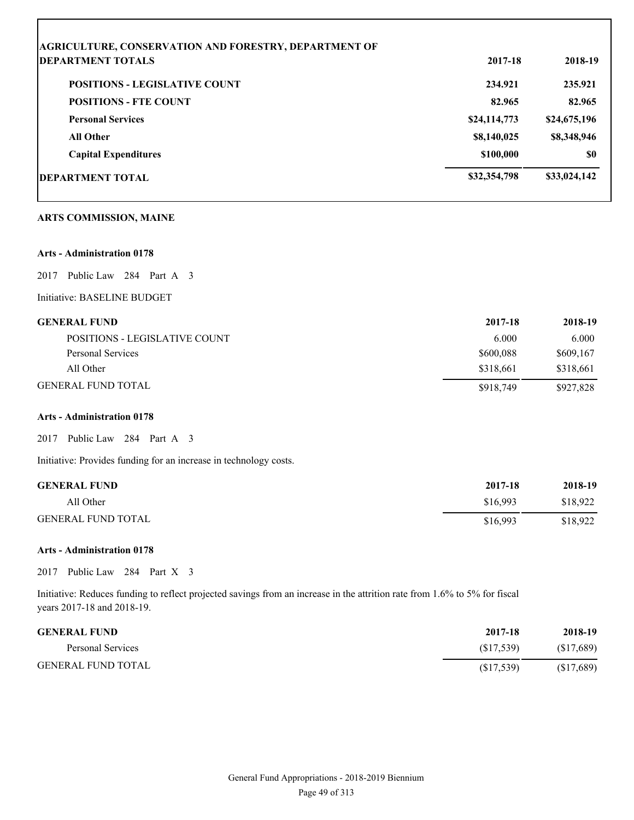| <b>DEPARTMENT TOTALS</b>             | 2017-18      | 2018-19      |
|--------------------------------------|--------------|--------------|
| <b>POSITIONS - LEGISLATIVE COUNT</b> | 234.921      | 235.921      |
| <b>POSITIONS - FTE COUNT</b>         | 82.965       | 82.965       |
| <b>Personal Services</b>             | \$24,114,773 | \$24,675,196 |
| <b>All Other</b>                     | \$8,140,025  | \$8,348,946  |
| <b>Capital Expenditures</b>          | \$100,000    | <b>SO</b>    |
| <b>DEPARTMENT TOTAL</b>              | \$32,354,798 | \$33,024,142 |
| <b>ARTS COMMISSION, MAINE</b>        |              |              |

2017 Public Law 284 Part A 3

Initiative: BASELINE BUDGET

#### **GENERAL FUND 2017-18 2018-19**

Г

| POSITIONS - LEGISLATIVE COUNT | 6.000     | 6.000     |
|-------------------------------|-----------|-----------|
| Personal Services             | \$600,088 | \$609.167 |
| All Other                     | \$318.661 | \$318,661 |
| GENERAL FUND TOTAL            | \$918,749 | \$927,828 |

#### **Arts - Administration 0178**

2017 Public Law 284 Part A 3

Initiative: Provides funding for an increase in technology costs.

| <b>GENERAL FUND</b>       | 2017-18  | 2018-19  |
|---------------------------|----------|----------|
| All Other                 | \$16.993 | \$18.922 |
| <b>GENERAL FUND TOTAL</b> | \$16,993 | \$18,922 |

#### **Arts - Administration 0178**

2017 Public Law 284 Part X 3

| <b>GENERAL FUND</b>       | 2017-18    | 2018-19   |
|---------------------------|------------|-----------|
| Personal Services         | (S17.539)  | (S17,689) |
| <b>GENERAL FUND TOTAL</b> | (S17, 539) | (S17,689) |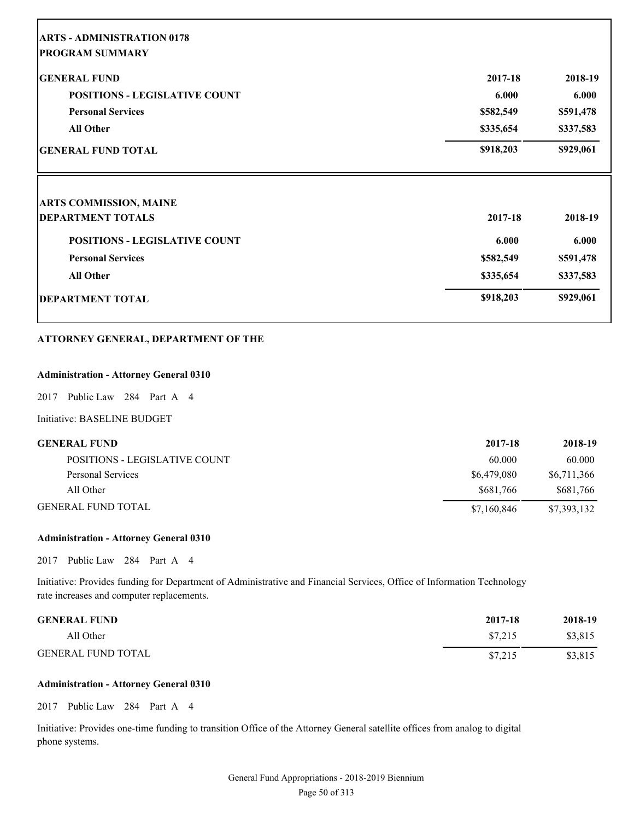| <b>ARTS - ADMINISTRATION 0178</b>    |           |           |
|--------------------------------------|-----------|-----------|
| <b>PROGRAM SUMMARY</b>               |           |           |
| <b>GENERAL FUND</b>                  | 2017-18   | 2018-19   |
| <b>POSITIONS - LEGISLATIVE COUNT</b> | 6.000     | 6.000     |
| <b>Personal Services</b>             | \$582,549 | \$591,478 |
| <b>All Other</b>                     | \$335,654 | \$337,583 |
| <b>GENERAL FUND TOTAL</b>            | \$918,203 | \$929,061 |
| <b>ARTS COMMISSION, MAINE</b>        |           |           |
| <b>DEPARTMENT TOTALS</b>             | 2017-18   | 2018-19   |
| <b>POSITIONS - LEGISLATIVE COUNT</b> | 6.000     | 6.000     |
| <b>Personal Services</b>             | \$582,549 | \$591,478 |
| <b>All Other</b>                     | \$335,654 | \$337,583 |
| <b>DEPARTMENT TOTAL</b>              | \$918,203 | \$929,061 |

#### **ATTORNEY GENERAL, DEPARTMENT OF THE**

#### **Administration - Attorney General 0310**

2017 Public Law 284 Part A 4

#### Initiative: BASELINE BUDGET

Г

| GENERAL FUND                  | 2017-18     | 2018-19     |
|-------------------------------|-------------|-------------|
| POSITIONS - LEGISLATIVE COUNT | 60.000      | 60.000      |
| Personal Services             | \$6,479,080 | \$6,711,366 |
| All Other                     | \$681,766   | \$681,766   |
| GENERAL FUND TOTAL            | \$7,160,846 | \$7,393,132 |

#### **Administration - Attorney General 0310**

2017 Public Law 284 Part A 4

Initiative: Provides funding for Department of Administrative and Financial Services, Office of Information Technology rate increases and computer replacements.

| <b>GENERAL FUND</b>       | 2017-18 | 2018-19 |
|---------------------------|---------|---------|
| All Other                 | \$7.215 | \$3,815 |
| <b>GENERAL FUND TOTAL</b> | \$7.215 | \$3,815 |

#### **Administration - Attorney General 0310**

2017 Public Law 284 Part A 4

Initiative: Provides one-time funding to transition Office of the Attorney General satellite offices from analog to digital phone systems.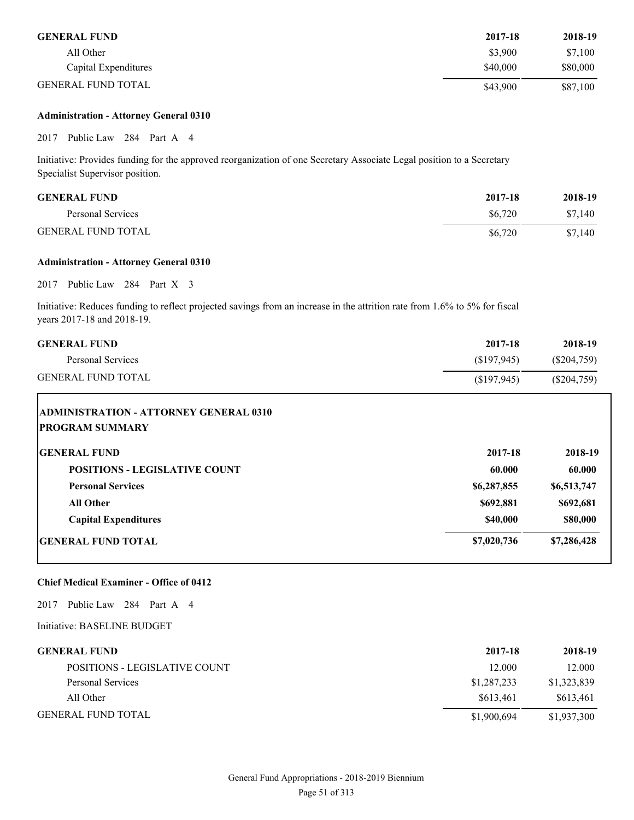| <b>GENERAL FUND</b>       | 2017-18  | 2018-19  |
|---------------------------|----------|----------|
| All Other                 | \$3,900  | \$7.100  |
| Capital Expenditures      | \$40,000 | \$80,000 |
| <b>GENERAL FUND TOTAL</b> | \$43,900 | \$87,100 |

#### **Administration - Attorney General 0310**

2017 Public Law 284 Part A 4

Initiative: Provides funding for the approved reorganization of one Secretary Associate Legal position to a Secretary Specialist Supervisor position.

| <b>GENERAL FUND</b>       | 2017-18 | 2018-19 |
|---------------------------|---------|---------|
| Personal Services         | \$6.720 | \$7,140 |
| <b>GENERAL FUND TOTAL</b> | \$6,720 | \$7,140 |

#### **Administration - Attorney General 0310**

2017 Public Law 284 Part X 3

Initiative: Reduces funding to reflect projected savings from an increase in the attrition rate from 1.6% to 5% for fiscal years 2017-18 and 2018-19.

| <b>GENERAL FUND</b>                                                     | 2017-18     | 2018-19       |
|-------------------------------------------------------------------------|-------------|---------------|
| <b>Personal Services</b>                                                | (\$197,945) | (S204,759)    |
| <b>GENERAL FUND TOTAL</b>                                               | (\$197,945) | $(\$204,759)$ |
| <b>ADMINISTRATION - ATTORNEY GENERAL 0310</b><br><b>PROGRAM SUMMARY</b> |             |               |
| <b>IGENERAL FUND</b>                                                    | 2017-18     | 2018-19       |
| <b>POSITIONS - LEGISLATIVE COUNT</b>                                    | 60.000      | 60.000        |
| <b>Personal Services</b>                                                | \$6,287,855 | \$6,513,747   |
| <b>All Other</b>                                                        | \$692,881   | \$692,681     |
| <b>Capital Expenditures</b>                                             | \$40,000    | \$80,000      |
| <b>GENERAL FUND TOTAL</b>                                               | \$7,020,736 | \$7,286,428   |

#### **Chief Medical Examiner - Office of 0412**

2017 Public Law 284 Part A 4

Initiative: BASELINE BUDGET

| <b>GENERAL FUND</b>           | 2017-18     | 2018-19     |
|-------------------------------|-------------|-------------|
| POSITIONS - LEGISLATIVE COUNT | 12.000      | 12.000      |
| Personal Services             | \$1,287,233 | \$1,323,839 |
| All Other                     | \$613.461   | \$613,461   |
| <b>GENERAL FUND TOTAL</b>     | \$1,900,694 | \$1,937,300 |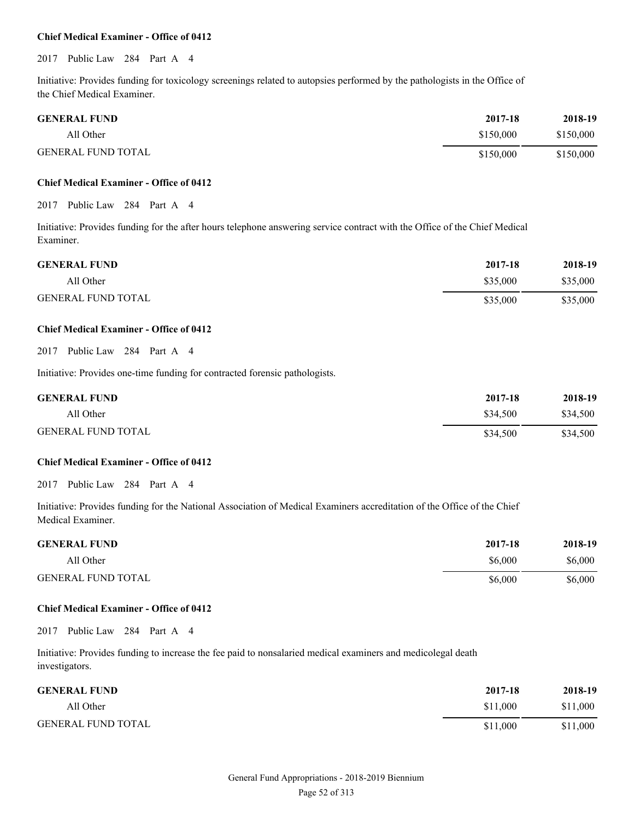#### **Chief Medical Examiner - Office of 0412**

#### 2017 Public Law 284 Part A 4

Initiative: Provides funding for toxicology screenings related to autopsies performed by the pathologists in the Office of the Chief Medical Examiner.

| <b>GENERAL FUND</b>       | 2017-18   | 2018-19   |
|---------------------------|-----------|-----------|
| All Other                 | \$150,000 | \$150,000 |
| <b>GENERAL FUND TOTAL</b> | \$150,000 | \$150,000 |

#### **Chief Medical Examiner - Office of 0412**

#### 2017 Public Law 284 Part A 4

Initiative: Provides funding for the after hours telephone answering service contract with the Office of the Chief Medical Examiner.

| <b>GENERAL FUND</b>       | 2017-18  | 2018-19  |
|---------------------------|----------|----------|
| All Other                 | \$35,000 | \$35,000 |
| <b>GENERAL FUND TOTAL</b> | \$35,000 | \$35,000 |

#### **Chief Medical Examiner - Office of 0412**

2017 Public Law 284 Part A 4

Initiative: Provides one-time funding for contracted forensic pathologists.

| <b>GENERAL FUND</b>       | 2017-18  | 2018-19  |
|---------------------------|----------|----------|
| All Other                 | \$34.500 | \$34,500 |
| <b>GENERAL FUND TOTAL</b> | \$34,500 | \$34,500 |

#### **Chief Medical Examiner - Office of 0412**

2017 Public Law 284 Part A 4

Initiative: Provides funding for the National Association of Medical Examiners accreditation of the Office of the Chief Medical Examiner.

| <b>GENERAL FUND</b>       | 2017-18 | 2018-19 |
|---------------------------|---------|---------|
| All Other                 | \$6,000 | \$6,000 |
| <b>GENERAL FUND TOTAL</b> | \$6,000 | \$6,000 |

#### **Chief Medical Examiner - Office of 0412**

2017 Public Law 284 Part A 4

Initiative: Provides funding to increase the fee paid to nonsalaried medical examiners and medicolegal death investigators.

| <b>GENERAL FUND</b>       | 2017-18  | 2018-19  |
|---------------------------|----------|----------|
| All Other                 | \$11,000 | \$11,000 |
| <b>GENERAL FUND TOTAL</b> | \$11,000 | \$11,000 |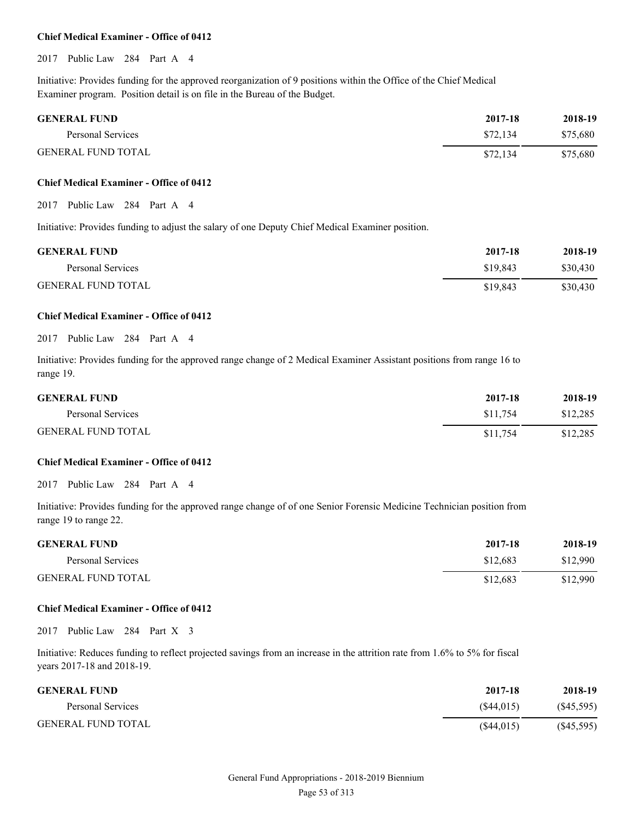#### **Chief Medical Examiner - Office of 0412**

2017 Public Law 284 Part A 4

Initiative: Provides funding for the approved reorganization of 9 positions within the Office of the Chief Medical Examiner program. Position detail is on file in the Bureau of the Budget.

| <b>GENERAL FUND</b>       | 2017-18  | 2018-19  |
|---------------------------|----------|----------|
| Personal Services         | \$72.134 | \$75,680 |
| <b>GENERAL FUND TOTAL</b> | \$72,134 | \$75,680 |

#### **Chief Medical Examiner - Office of 0412**

2017 Public Law 284 Part A 4

Initiative: Provides funding to adjust the salary of one Deputy Chief Medical Examiner position.

| <b>GENERAL FUND</b>       | 2017-18  | 2018-19  |
|---------------------------|----------|----------|
| Personal Services         | \$19,843 | \$30,430 |
| <b>GENERAL FUND TOTAL</b> | \$19,843 | \$30,430 |

#### **Chief Medical Examiner - Office of 0412**

### 2017 Public Law 284 Part A 4

Initiative: Provides funding for the approved range change of 2 Medical Examiner Assistant positions from range 16 to range 19.

| <b>GENERAL FUND</b>       | 2017-18  | 2018-19  |
|---------------------------|----------|----------|
| Personal Services         | \$11.754 | \$12,285 |
| <b>GENERAL FUND TOTAL</b> | \$11,754 | \$12,285 |

#### **Chief Medical Examiner - Office of 0412**

2017 Public Law 284 Part A 4

Initiative: Provides funding for the approved range change of of one Senior Forensic Medicine Technician position from range 19 to range 22.

| <b>GENERAL FUND</b>       | 2017-18  | 2018-19  |
|---------------------------|----------|----------|
| Personal Services         | \$12.683 | \$12,990 |
| <b>GENERAL FUND TOTAL</b> | \$12.683 | \$12,990 |

#### **Chief Medical Examiner - Office of 0412**

2017 Public Law 284 Part X 3

| <b>GENERAL FUND</b>       | 2017-18    | 2018-19   |
|---------------------------|------------|-----------|
| Personal Services         | (S44.015)  | (S45,595) |
| <b>GENERAL FUND TOTAL</b> | (S44, 015) | (S45,595) |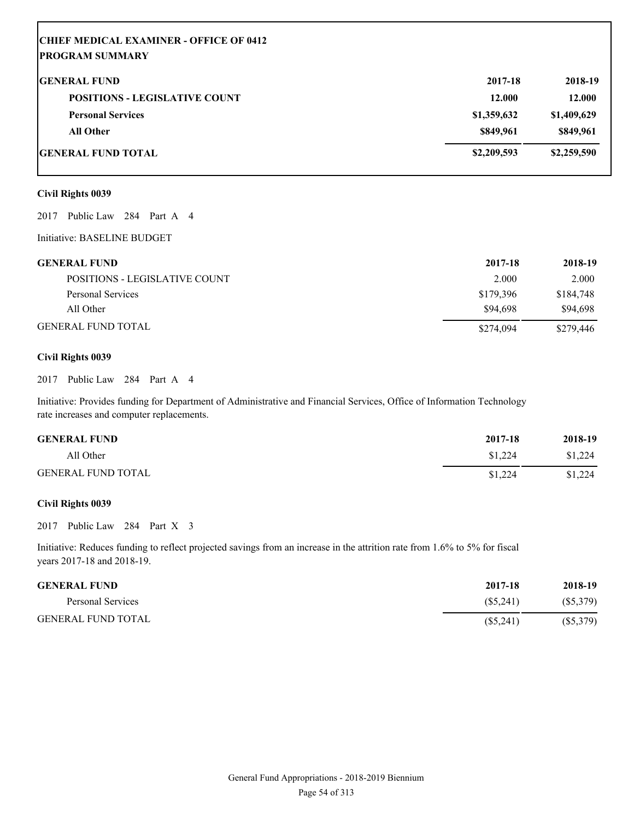| <b>CHIEF MEDICAL EXAMINER - OFFICE OF 0412</b> |             |             |
|------------------------------------------------|-------------|-------------|
| <b>PROGRAM SUMMARY</b>                         |             |             |
| <b>GENERAL FUND</b>                            | 2017-18     | 2018-19     |
| <b>POSITIONS - LEGISLATIVE COUNT</b>           | 12.000      | 12.000      |
| <b>Personal Services</b>                       | \$1,359,632 | \$1,409,629 |
| <b>All Other</b>                               | \$849,961   | \$849,961   |
| <b>IGENERAL FUND TOTAL</b>                     | \$2,209,593 | \$2,259,590 |

#### **Civil Rights 0039**

2017 Public Law 284 Part A 4

Initiative: BASELINE BUDGET

| <b>GENERAL FUND</b>           | 2017-18   | 2018-19   |
|-------------------------------|-----------|-----------|
| POSITIONS - LEGISLATIVE COUNT | 2.000     | 2.000     |
| Personal Services             | \$179,396 | \$184,748 |
| All Other                     | \$94.698  | \$94,698  |
| <b>GENERAL FUND TOTAL</b>     | \$274,094 | \$279,446 |

#### **Civil Rights 0039**

2017 Public Law 284 Part A 4

Initiative: Provides funding for Department of Administrative and Financial Services, Office of Information Technology rate increases and computer replacements.

| <b>GENERAL FUND</b>       | 2017-18 | 2018-19 |
|---------------------------|---------|---------|
| All Other                 | \$1,224 | \$1.224 |
| <b>GENERAL FUND TOTAL</b> | \$1.224 | \$1,224 |

#### **Civil Rights 0039**

2017 Public Law 284 Part X 3

| <b>GENERAL FUND</b>       | 2017-18     | 2018-19     |
|---------------------------|-------------|-------------|
| Personal Services         | (S5, 241)   | $(\$5,379)$ |
| <b>GENERAL FUND TOTAL</b> | $(\$5,241)$ | $(\$5,379)$ |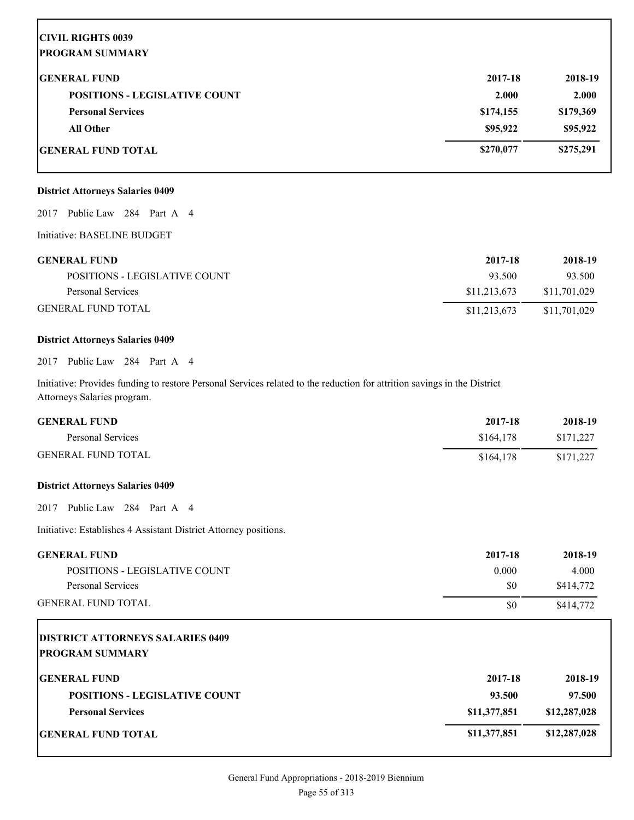| <b>CIVIL RIGHTS 0039</b>             |           |           |
|--------------------------------------|-----------|-----------|
| <b> PROGRAM SUMMARY</b>              |           |           |
| <b>IGENERAL FUND</b>                 | 2017-18   | 2018-19   |
| <b>POSITIONS - LEGISLATIVE COUNT</b> | 2.000     | 2.000     |
| <b>Personal Services</b>             | \$174,155 | \$179,369 |
| <b>All Other</b>                     | \$95,922  | \$95,922  |
| <b> GENERAL FUND TOTAL</b>           | \$270,077 | \$275,291 |

### **District Attorneys Salaries 0409**

2017 Public Law 284 Part A 4

Initiative: BASELINE BUDGET

| <b>GENERAL FUND</b>           | 2017-18      | 2018-19      |
|-------------------------------|--------------|--------------|
| POSITIONS - LEGISLATIVE COUNT | 93.500       | 93.500       |
| Personal Services             | \$11.213.673 | \$11.701.029 |
| <b>GENERAL FUND TOTAL</b>     | \$11,213,673 | \$11.701.029 |

#### **District Attorneys Salaries 0409**

2017 Public Law 284 Part A 4

Initiative: Provides funding to restore Personal Services related to the reduction for attrition savings in the District Attorneys Salaries program.

| <b>GENERAL FUND</b>                     | 2017-18   | 2018-19   |
|-----------------------------------------|-----------|-----------|
| Personal Services                       | \$164,178 | \$171,227 |
| <b>GENERAL FUND TOTAL</b>               | \$164,178 | \$171,227 |
| <b>District Attorneys Salaries 0409</b> |           |           |
| 2017<br>Public Law 284 Part A 4         |           |           |

Initiative: Establishes 4 Assistant District Attorney positions.

| <b>GENERAL FUND</b>           | 2017-18 | 2018-19   |
|-------------------------------|---------|-----------|
| POSITIONS - LEGISLATIVE COUNT | 0.000   | 4.000     |
| Personal Services             | \$0     | \$414.772 |
| <b>GENERAL FUND TOTAL</b>     | \$0     | \$414.772 |

| <b>DISTRICT ATTORNEYS SALARIES 0409</b><br><b>PROGRAM SUMMARY</b> |              |              |
|-------------------------------------------------------------------|--------------|--------------|
| <b>IGENERAL FUND</b>                                              | 2017-18      | 2018-19      |
| <b>POSITIONS - LEGISLATIVE COUNT</b>                              | 93.500       | 97.500       |
| <b>Personal Services</b>                                          | \$11,377,851 | \$12,287,028 |
| <b>IGENERAL FUND TOTAL</b>                                        | \$11,377,851 | \$12,287,028 |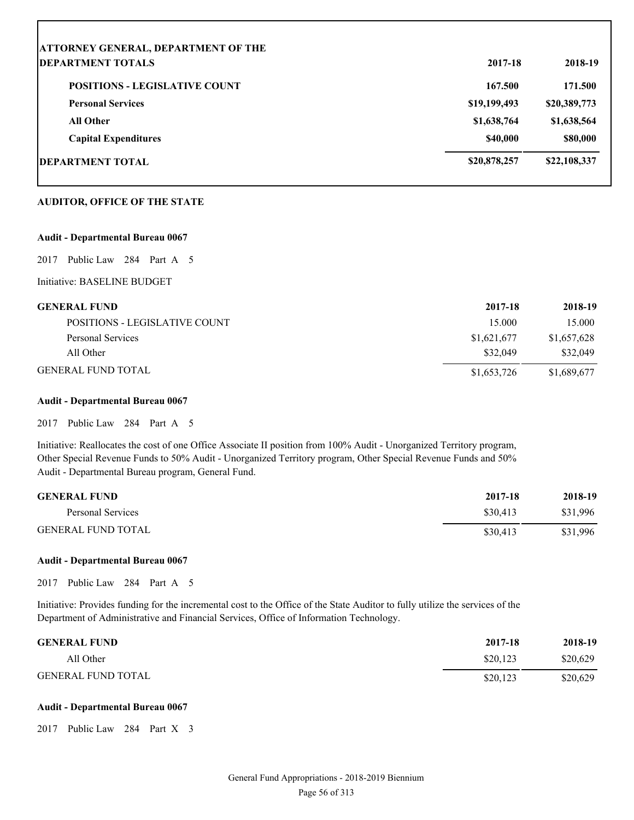| <b>ATTORNEY GENERAL, DEPARTMENT OF THE</b> |              |              |
|--------------------------------------------|--------------|--------------|
| <b>IDEPARTMENT TOTALS</b>                  | 2017-18      | 2018-19      |
| <b>POSITIONS - LEGISLATIVE COUNT</b>       | 167.500      | 171.500      |
| <b>Personal Services</b>                   | \$19,199,493 | \$20,389,773 |
| <b>All Other</b>                           | \$1,638,764  | \$1,638,564  |
| <b>Capital Expenditures</b>                | \$40,000     | \$80,000     |
| DEPARTMENT TOTAL                           | \$20,878,257 | \$22,108,337 |

#### **AUDITOR, OFFICE OF THE STATE**

#### **Audit - Departmental Bureau 0067**

2017 Public Law 284 Part A 5

Initiative: BASELINE BUDGET

| <b>GENERAL FUND</b>           | 2017-18     | 2018-19     |
|-------------------------------|-------------|-------------|
| POSITIONS - LEGISLATIVE COUNT | 15.000      | 15.000      |
| Personal Services             | \$1,621,677 | \$1,657,628 |
| All Other                     | \$32,049    | \$32,049    |
| <b>GENERAL FUND TOTAL</b>     | \$1,653,726 | \$1,689,677 |

#### **Audit - Departmental Bureau 0067**

2017 Public Law 284 Part A 5

Initiative: Reallocates the cost of one Office Associate II position from 100% Audit - Unorganized Territory program, Other Special Revenue Funds to 50% Audit - Unorganized Territory program, Other Special Revenue Funds and 50% Audit - Departmental Bureau program, General Fund.

| <b>GENERAL FUND</b>       | 2017-18  | 2018-19  |
|---------------------------|----------|----------|
| Personal Services         | \$30.413 | \$31.996 |
| <b>GENERAL FUND TOTAL</b> | \$30.413 | \$31.996 |

#### **Audit - Departmental Bureau 0067**

2017 Public Law 284 Part A 5

Initiative: Provides funding for the incremental cost to the Office of the State Auditor to fully utilize the services of the Department of Administrative and Financial Services, Office of Information Technology.

| <b>GENERAL FUND</b>       | 2017-18  | 2018-19  |
|---------------------------|----------|----------|
| All Other                 | \$20,123 | \$20,629 |
| <b>GENERAL FUND TOTAL</b> | \$20,123 | \$20,629 |

#### **Audit - Departmental Bureau 0067**

2017 Public Law 284 Part X 3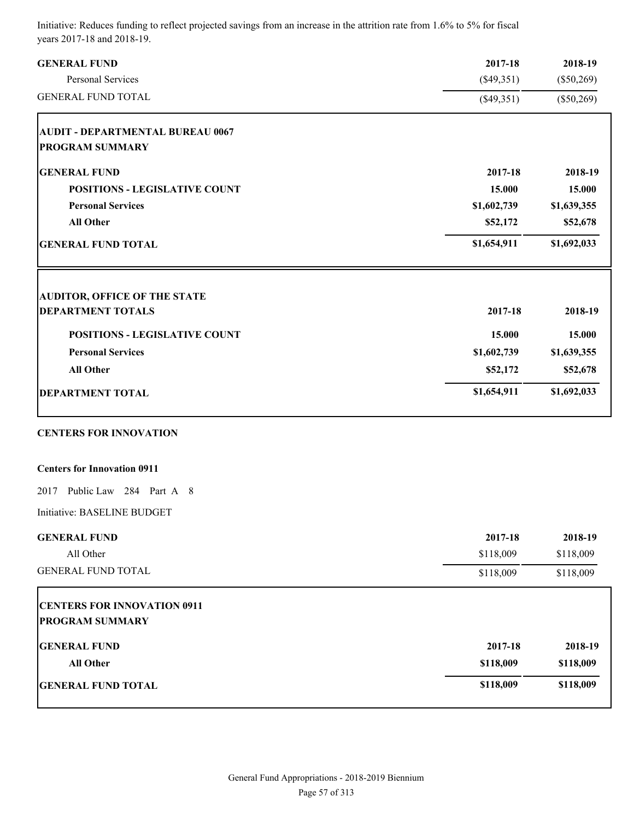| <b>GENERAL FUND</b>                     | 2017-18      | 2018-19      |
|-----------------------------------------|--------------|--------------|
| Personal Services                       | $(\$49,351)$ | $(\$50,269)$ |
| <b>GENERAL FUND TOTAL</b>               | $(\$49,351)$ |              |
| <b>AUDIT - DEPARTMENTAL BUREAU 0067</b> |              |              |
| <b>PROGRAM SUMMARY</b>                  |              |              |
| <b>GENERAL FUND</b>                     | 2017-18      | 2018-19      |
| <b>POSITIONS - LEGISLATIVE COUNT</b>    | 15.000       | 15.000       |
| <b>Personal Services</b>                | \$1,602,739  | \$1,639,355  |
| <b>All Other</b>                        | \$52,172     | \$52,678     |
| <b>GENERAL FUND TOTAL</b>               | \$1,654,911  | \$1,692,033  |
| <b>AUDITOR, OFFICE OF THE STATE</b>     |              |              |
| <b>DEPARTMENT TOTALS</b>                | 2017-18      | 2018-19      |
| <b>POSITIONS - LEGISLATIVE COUNT</b>    | 15.000       | 15.000       |
| <b>Personal Services</b>                | \$1,602,739  | \$1,639,355  |
| <b>All Other</b>                        | \$52,172     | \$52,678     |
| <b>DEPARTMENT TOTAL</b>                 | \$1,654,911  | \$1,692,033  |
| <b>CENTERS FOR INNOVATION</b>           |              |              |
| <b>Centers for Innovation 0911</b>      |              |              |
| 2017 Public Law 284 Part A 8            |              |              |
| Initiative: BASELINE BUDGET             |              |              |
| <b>GENERAL FUND</b>                     | 2017-18      | 2018-19      |
| All Other                               | \$118,009    | \$118,009    |
| <b>GENERAL FUND TOTAL</b>               | \$118,009    | \$118,009    |
| <b>CENTERS FOR INNOVATION 0911</b>      |              |              |
| <b>PROGRAM SUMMARY</b>                  |              |              |
| <b>GENERAL FUND</b>                     | 2017-18      | 2018-19      |
| <b>All Other</b>                        | \$118,009    | \$118,009    |
| <b>GENERAL FUND TOTAL</b>               | \$118,009    | \$118,009    |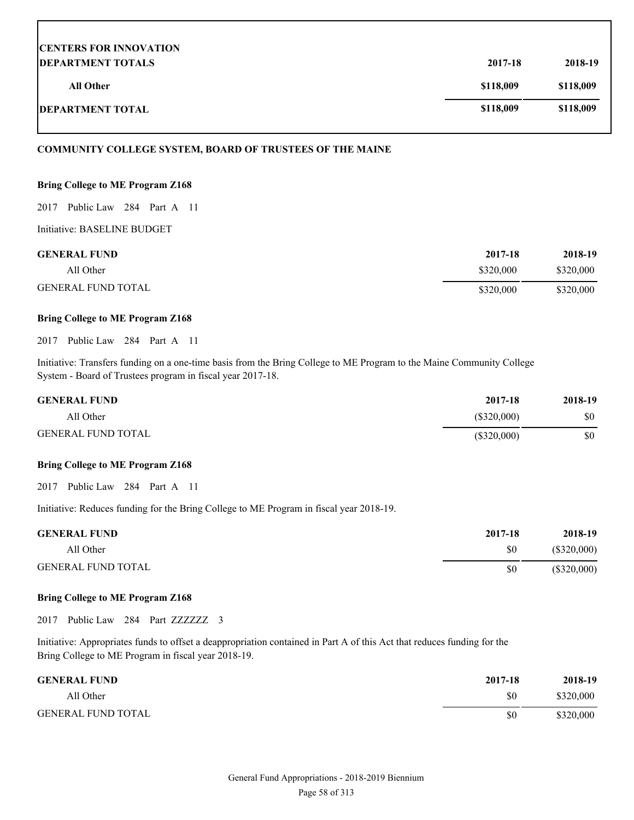| <b>CENTERS FOR INNOVATION</b> |           |           |
|-------------------------------|-----------|-----------|
| <b>DEPARTMENT TOTALS</b>      | 2017-18   | 2018-19   |
| <b>All Other</b>              | \$118,009 | \$118,009 |
| <b>DEPARTMENT TOTAL</b>       | \$118,009 | \$118,009 |

#### **COMMUNITY COLLEGE SYSTEM, BOARD OF TRUSTEES OF THE MAINE**

#### **Bring College to ME Program Z168**

2017 Public Law 284 Part A 11

Initiative: BASELINE BUDGET

| <b>GENERAL FUND</b>       | 2017-18   | 2018-19   |
|---------------------------|-----------|-----------|
| All Other                 | \$320,000 | \$320,000 |
| <b>GENERAL FUND TOTAL</b> | \$320,000 | \$320,000 |

#### **Bring College to ME Program Z168**

2017 Public Law 284 Part A 11

Initiative: Transfers funding on a one-time basis from the Bring College to ME Program to the Maine Community College System - Board of Trustees program in fiscal year 2017-18.

| <b>GENERAL FUND</b>       | 2017-18       | 2018-19 |
|---------------------------|---------------|---------|
| All Other                 | $(\$320,000)$ | \$0     |
| <b>GENERAL FUND TOTAL</b> | \$320,000     | \$0     |

#### **Bring College to ME Program Z168**

2017 Public Law 284 Part A 11

Initiative: Reduces funding for the Bring College to ME Program in fiscal year 2018-19.

| <b>GENERAL FUND</b>       | 2017-18 | 2018-19       |
|---------------------------|---------|---------------|
| All Other                 | \$0     | $(\$320,000)$ |
| <b>GENERAL FUND TOTAL</b> | \$0     | $(\$320,000)$ |

#### **Bring College to ME Program Z168**

2017 Public Law 284 Part ZZZZZZZ 3

Initiative: Appropriates funds to offset a deappropriation contained in Part A of this Act that reduces funding for the Bring College to ME Program in fiscal year 2018-19.

| <b>GENERAL FUND</b>       | 2017-18 | 2018-19   |
|---------------------------|---------|-----------|
| All Other                 | \$0     | \$320,000 |
| <b>GENERAL FUND TOTAL</b> | \$0     | \$320,000 |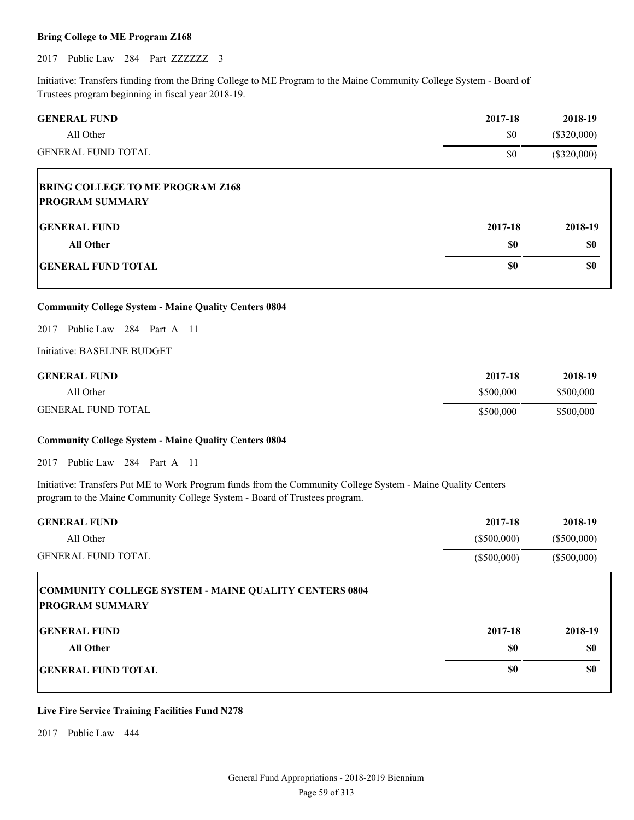#### **Bring College to ME Program Z168**

2017 Public Law 284 Part ZZZZZZZ 3

Initiative: Transfers funding from the Bring College to ME Program to the Maine Community College System - Board of Trustees program beginning in fiscal year 2018-19.

| <b>GENERAL FUND</b>                                               | 2017-18        | 2018-19                        |
|-------------------------------------------------------------------|----------------|--------------------------------|
| All Other<br><b>GENERAL FUND TOTAL</b>                            | \$0<br>\$0     | $(\$320,000)$<br>$(\$320,000)$ |
| <b>BRING COLLEGE TO ME PROGRAM Z168</b><br><b>PROGRAM SUMMARY</b> |                |                                |
| <b>IGENERAL FUND</b><br><b>All Other</b>                          | 2017-18<br>\$0 | 2018-19<br>\$0                 |
| <b>GENERAL FUND TOTAL</b>                                         | \$0            | \$0                            |

#### **Community College System - Maine Quality Centers 0804**

2017 Public Law 284 Part A 11

Initiative: BASELINE BUDGET

| <b>GENERAL FUND</b>       | 2017-18   | 2018-19   |
|---------------------------|-----------|-----------|
| All Other                 | \$500,000 | \$500,000 |
| <b>GENERAL FUND TOTAL</b> | \$500,000 | \$500,000 |

#### **Community College System - Maine Quality Centers 0804**

2017 Public Law 284 Part A 11

Initiative: Transfers Put ME to Work Program funds from the Community College System - Maine Quality Centers program to the Maine Community College System - Board of Trustees program.

| <b>GENERAL FUND</b>                                                                    | 2017-18       | 2018-19       |
|----------------------------------------------------------------------------------------|---------------|---------------|
| All Other                                                                              | $(\$500,000)$ | $(\$500,000)$ |
| <b>GENERAL FUND TOTAL</b>                                                              | $(\$500,000)$ | $(\$500,000)$ |
| <b>COMMUNITY COLLEGE SYSTEM - MAINE QUALITY CENTERS 0804</b><br><b>PROGRAM SUMMARY</b> |               |               |
| <b>IGENERAL FUND</b>                                                                   | 2017-18       | 2018-19       |
| All Other                                                                              | \$0           | \$0           |
| <b>IGENERAL FUND TOTAL</b>                                                             | \$0           | \$0           |

#### **Live Fire Service Training Facilities Fund N278**

2017 Public Law 444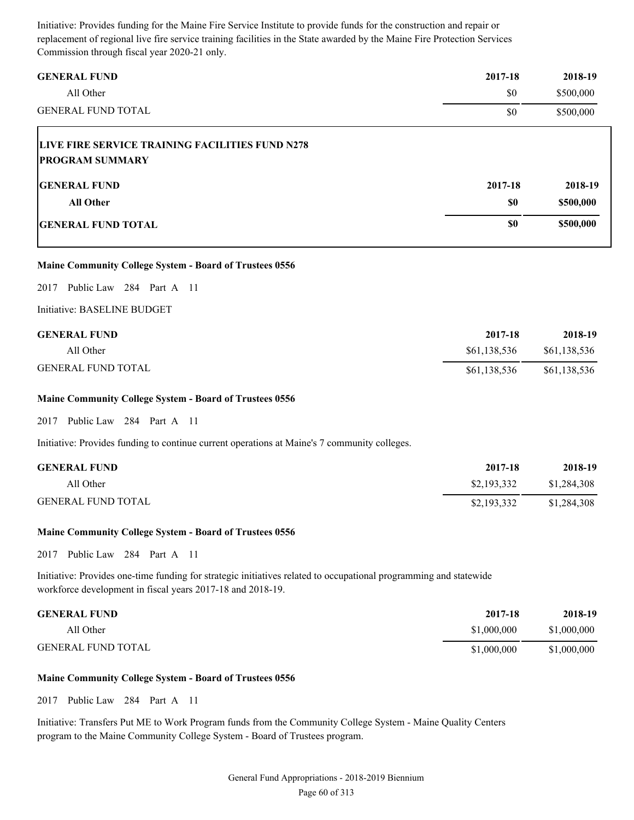Initiative: Provides funding for the Maine Fire Service Institute to provide funds for the construction and repair or replacement of regional live fire service training facilities in the State awarded by the Maine Fire Protection Services Commission through fiscal year 2020-21 only.

| <b>GENERAL FUND</b><br>All Other                                          | 2017-18<br>\$0 | 2018-19<br>\$500,000 |
|---------------------------------------------------------------------------|----------------|----------------------|
| <b>GENERAL FUND TOTAL</b>                                                 | \$0            | \$500,000            |
| LIVE FIRE SERVICE TRAINING FACILITIES FUND N278<br><b>PROGRAM SUMMARY</b> |                |                      |
| <b>IGENERAL FUND</b>                                                      | 2017-18        | 2018-19              |
| <b>All Other</b>                                                          | \$0            | \$500,000            |
| <b>GENERAL FUND TOTAL</b>                                                 | \$0            | \$500,000            |

#### **Maine Community College System - Board of Trustees 0556**

2017 Public Law 284 Part A 11

Initiative: BASELINE BUDGET

| <b>GENERAL FUND</b>       | 2017-18      | 2018-19      |
|---------------------------|--------------|--------------|
| All Other                 | \$61,138,536 | \$61,138,536 |
| <b>GENERAL FUND TOTAL</b> | \$61,138,536 | \$61,138,536 |

#### **Maine Community College System - Board of Trustees 0556**

2017 Public Law 284 Part A 11

Initiative: Provides funding to continue current operations at Maine's 7 community colleges.

| <b>GENERAL FUND</b>       | 2017-18     | 2018-19     |
|---------------------------|-------------|-------------|
| All Other                 | \$2,193,332 | \$1,284,308 |
| <b>GENERAL FUND TOTAL</b> | \$2,193,332 | \$1,284,308 |

#### **Maine Community College System - Board of Trustees 0556**

2017 Public Law 284 Part A 11

Initiative: Provides one-time funding for strategic initiatives related to occupational programming and statewide workforce development in fiscal years 2017-18 and 2018-19.

| <b>GENERAL FUND</b>       | 2017-18     | 2018-19     |
|---------------------------|-------------|-------------|
| All Other                 | \$1,000,000 | \$1,000,000 |
| <b>GENERAL FUND TOTAL</b> | \$1,000,000 | \$1,000,000 |

#### **Maine Community College System - Board of Trustees 0556**

2017 Public Law 284 Part A 11

Initiative: Transfers Put ME to Work Program funds from the Community College System - Maine Quality Centers program to the Maine Community College System - Board of Trustees program.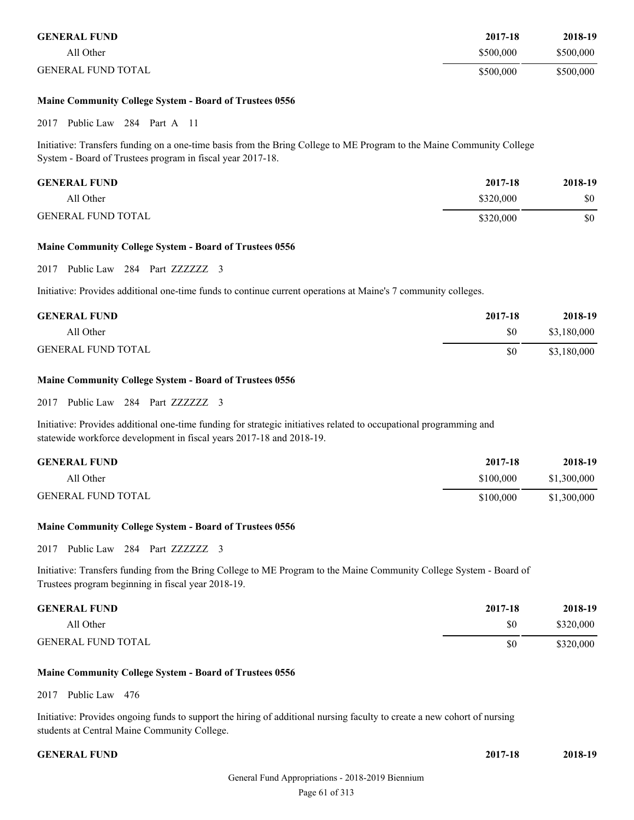| <b>GENERAL FUND</b>       | 2017-18   | 2018-19   |
|---------------------------|-----------|-----------|
| All Other                 | \$500,000 | \$500,000 |
| <b>GENERAL FUND TOTAL</b> | \$500,000 | \$500,000 |

#### **Maine Community College System - Board of Trustees 0556**

2017 Public Law 284 Part A 11

Initiative: Transfers funding on a one-time basis from the Bring College to ME Program to the Maine Community College System - Board of Trustees program in fiscal year 2017-18.

| <b>GENERAL FUND</b>       | 2017-18   | 2018-19 |
|---------------------------|-----------|---------|
| All Other                 | \$320,000 | \$0     |
| <b>GENERAL FUND TOTAL</b> | \$320,000 | \$0     |

#### **Maine Community College System - Board of Trustees 0556**

2017 Public Law 284 Part ZZZZZZZ 3

Initiative: Provides additional one-time funds to continue current operations at Maine's 7 community colleges.

| <b>GENERAL FUND</b>       | 2017-18 | 2018-19     |
|---------------------------|---------|-------------|
| All Other                 | \$0     | \$3,180,000 |
| <b>GENERAL FUND TOTAL</b> | \$0     | \$3,180,000 |

#### **Maine Community College System - Board of Trustees 0556**

2017 Public Law 284 Part ZZZZZZ 3

Initiative: Provides additional one-time funding for strategic initiatives related to occupational programming and statewide workforce development in fiscal years 2017-18 and 2018-19.

| <b>GENERAL FUND</b>       | 2017-18   | 2018-19     |
|---------------------------|-----------|-------------|
| All Other                 | \$100,000 | \$1,300,000 |
| <b>GENERAL FUND TOTAL</b> | \$100,000 | \$1,300,000 |

#### **Maine Community College System - Board of Trustees 0556**

2017 Public Law 284 Part ZZZZZZ 3

Initiative: Transfers funding from the Bring College to ME Program to the Maine Community College System - Board of Trustees program beginning in fiscal year 2018-19.

| <b>GENERAL FUND</b>       | 2017-18 | 2018-19   |
|---------------------------|---------|-----------|
| All Other                 | \$0     | \$320,000 |
| <b>GENERAL FUND TOTAL</b> | \$0     | \$320,000 |

#### **Maine Community College System - Board of Trustees 0556**

2017 Public Law 476

Initiative: Provides ongoing funds to support the hiring of additional nursing faculty to create a new cohort of nursing students at Central Maine Community College.

**GENERAL FUND 2017-18 2018-19**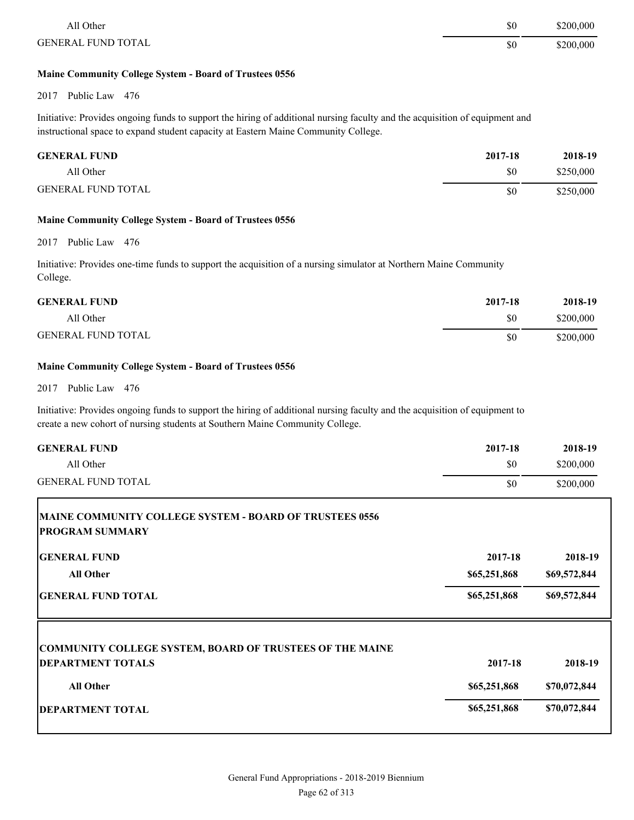| All Other                 | \$0 | \$200,000 |
|---------------------------|-----|-----------|
| <b>GENERAL FUND TOTAL</b> | \$0 | \$200,000 |

#### **Maine Community College System - Board of Trustees 0556**

2017 Public Law 476

Initiative: Provides ongoing funds to support the hiring of additional nursing faculty and the acquisition of equipment and instructional space to expand student capacity at Eastern Maine Community College.

| <b>GENERAL FUND</b>       | 2017-18 | 2018-19   |
|---------------------------|---------|-----------|
| All Other                 | \$0     | \$250,000 |
| <b>GENERAL FUND TOTAL</b> | \$0     | \$250,000 |

#### **Maine Community College System - Board of Trustees 0556**

2017 Public Law 476

Initiative: Provides one-time funds to support the acquisition of a nursing simulator at Northern Maine Community College.

| <b>GENERAL FUND</b>       | 2017-18 | 2018-19   |
|---------------------------|---------|-----------|
| All Other                 | \$0     | \$200,000 |
| <b>GENERAL FUND TOTAL</b> | \$0     | \$200,000 |

#### **Maine Community College System - Board of Trustees 0556**

#### 2017 Public Law 476

Initiative: Provides ongoing funds to support the hiring of additional nursing faculty and the acquisition of equipment to create a new cohort of nursing students at Southern Maine Community College.

| <b>GENERAL FUND</b>                                                                         | 2017-18      | 2018-19      |
|---------------------------------------------------------------------------------------------|--------------|--------------|
| All Other                                                                                   | \$0          | \$200,000    |
| <b>GENERAL FUND TOTAL</b>                                                                   | \$0          | \$200,000    |
| <b>MAINE COMMUNITY COLLEGE SYSTEM - BOARD OF TRUSTEES 0556</b><br><b>PROGRAM SUMMARY</b>    |              |              |
| <b>GENERAL FUND</b>                                                                         | 2017-18      | 2018-19      |
| <b>All Other</b>                                                                            | \$65,251,868 | \$69,572,844 |
| <b>GENERAL FUND TOTAL</b>                                                                   | \$65,251,868 | \$69,572,844 |
| <b>COMMUNITY COLLEGE SYSTEM, BOARD OF TRUSTEES OF THE MAINE</b><br><b>DEPARTMENT TOTALS</b> | 2017-18      | 2018-19      |
| <b>All Other</b>                                                                            | \$65,251,868 | \$70,072,844 |
| <b>DEPARTMENT TOTAL</b>                                                                     | \$65,251,868 | \$70,072,844 |
|                                                                                             |              |              |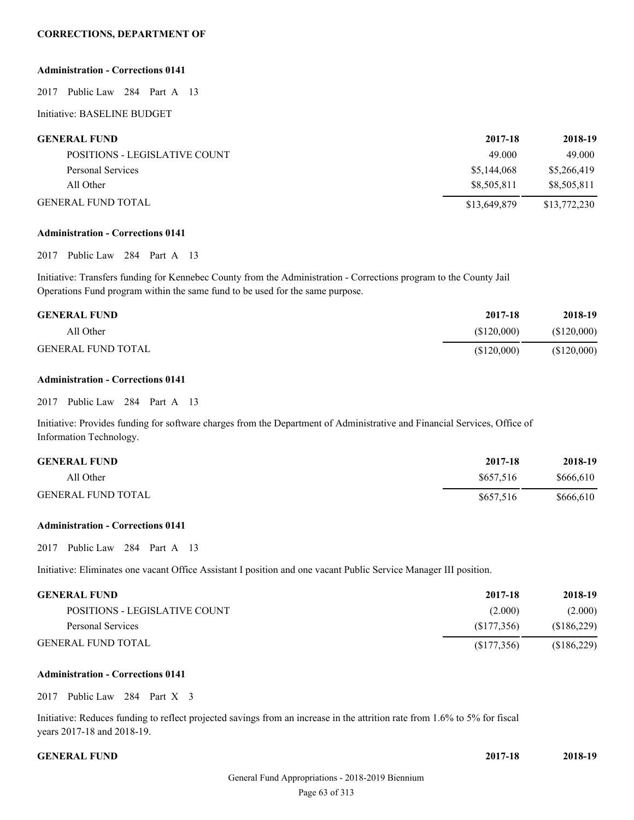#### **CORRECTIONS, DEPARTMENT OF**

#### **Administration - Corrections 0141**

2017 Public Law 284 Part A 13

Initiative: BASELINE BUDGET

| <b>GENERAL FUND</b>           | 2017-18      | 2018-19      |
|-------------------------------|--------------|--------------|
| POSITIONS - LEGISLATIVE COUNT | 49.000       | 49.000       |
| Personal Services             | \$5,144,068  | \$5,266,419  |
| All Other                     | \$8.505.811  | \$8,505,811  |
| <b>GENERAL FUND TOTAL</b>     | \$13,649,879 | \$13,772,230 |

#### **Administration - Corrections 0141**

#### 2017 Public Law 284 Part A 13

Initiative: Transfers funding for Kennebec County from the Administration - Corrections program to the County Jail Operations Fund program within the same fund to be used for the same purpose.

| <b>GENERAL FUND</b>       | 2017-18     | 2018-19     |
|---------------------------|-------------|-------------|
| All Other                 | (S120.000)  | (\$120,000) |
| <b>GENERAL FUND TOTAL</b> | (\$120,000) | (\$120,000) |

#### **Administration - Corrections 0141**

#### 2017 Public Law 284 Part A 13

Initiative: Provides funding for software charges from the Department of Administrative and Financial Services, Office of Information Technology.

| <b>GENERAL FUND</b>       | 2017-18   | 2018-19   |
|---------------------------|-----------|-----------|
| All Other                 | \$657,516 | \$666,610 |
| <b>GENERAL FUND TOTAL</b> | \$657,516 | \$666,610 |

#### **Administration - Corrections 0141**

2017 Public Law 284 Part A 13

Initiative: Eliminates one vacant Office Assistant I position and one vacant Public Service Manager III position.

| <b>GENERAL FUND</b>           | 2017-18     | 2018-19     |
|-------------------------------|-------------|-------------|
| POSITIONS - LEGISLATIVE COUNT | (2.000)     | (2.000)     |
| Personal Services             | (S177.356)  | (\$186,229) |
| GENERAL FUND TOTAL.           | (S177, 356) | (\$186,229) |

#### **Administration - Corrections 0141**

2017 Public Law 284 Part X 3

Initiative: Reduces funding to reflect projected savings from an increase in the attrition rate from 1.6% to 5% for fiscal years 2017-18 and 2018-19.

**GENERAL FUND 2017-18 2018-19**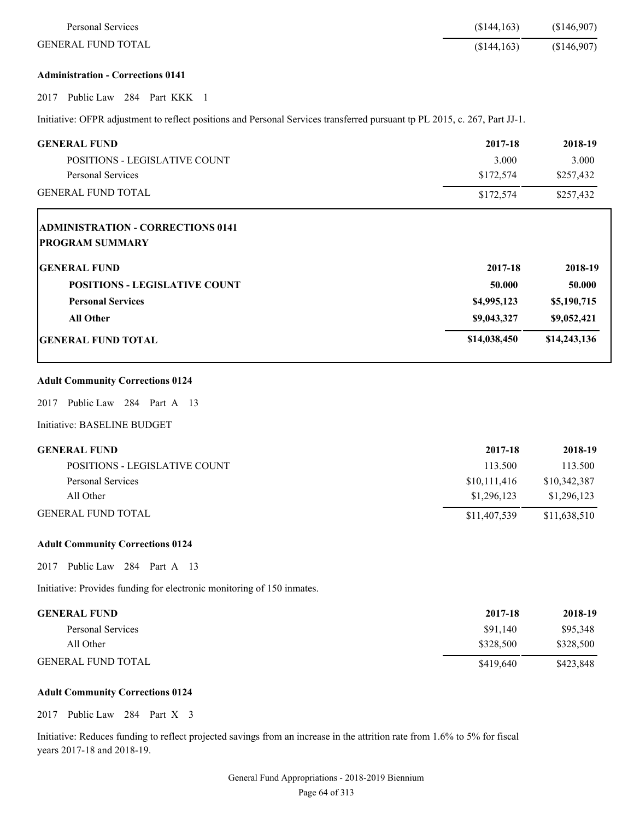| <b>Personal Services</b>                                                                                                   | (\$144,163)  | (\$146,907)  |
|----------------------------------------------------------------------------------------------------------------------------|--------------|--------------|
| <b>GENERAL FUND TOTAL</b>                                                                                                  | (\$144, 163) | (\$146,907)  |
| <b>Administration - Corrections 0141</b>                                                                                   |              |              |
| Public Law 284 Part KKK 1<br>2017                                                                                          |              |              |
| Initiative: OFPR adjustment to reflect positions and Personal Services transferred pursuant tp PL 2015, c. 267, Part JJ-1. |              |              |
| <b>GENERAL FUND</b>                                                                                                        | 2017-18      | 2018-19      |
| POSITIONS - LEGISLATIVE COUNT                                                                                              | 3.000        | 3.000        |
| <b>Personal Services</b>                                                                                                   | \$172,574    | \$257,432    |
| <b>GENERAL FUND TOTAL</b>                                                                                                  | \$172,574    | \$257,432    |
| <b>ADMINISTRATION - CORRECTIONS 0141</b>                                                                                   |              |              |
| <b>PROGRAM SUMMARY</b>                                                                                                     |              |              |
| <b>GENERAL FUND</b>                                                                                                        | 2017-18      | 2018-19      |
| <b>POSITIONS - LEGISLATIVE COUNT</b>                                                                                       | 50.000       | 50.000       |
| <b>Personal Services</b>                                                                                                   | \$4,995,123  | \$5,190,715  |
| <b>All Other</b>                                                                                                           | \$9,043,327  | \$9,052,421  |
| <b>GENERAL FUND TOTAL</b>                                                                                                  | \$14,038,450 | \$14,243,136 |
| <b>Adult Community Corrections 0124</b>                                                                                    |              |              |
| Public Law 284 Part A 13<br>2017                                                                                           |              |              |
| Initiative: BASELINE BUDGET                                                                                                |              |              |
| <b>GENERAL FUND</b>                                                                                                        | 2017-18      | 2018-19      |
| POSITIONS - LEGISLATIVE COUNT                                                                                              | 113.500      | 113.500      |
| Personal Services                                                                                                          | \$10,111,416 | \$10,342,387 |
| All Other                                                                                                                  | \$1,296,123  | \$1,296,123  |
| <b>GENERAL FUND TOTAL</b>                                                                                                  | \$11,407,539 | \$11,638,510 |
| <b>Adult Community Corrections 0124</b>                                                                                    |              |              |
| Public Law 284 Part A 13<br>2017                                                                                           |              |              |
| Initiative: Provides funding for electronic monitoring of 150 inmates.                                                     |              |              |
| <b>GENERAL FUND</b>                                                                                                        | 2017-18      | 2018-19      |
| Personal Services                                                                                                          | \$91,140     | \$95,348     |
| All Other                                                                                                                  | \$328,500    | \$328,500    |
| <b>GENERAL FUND TOTAL</b>                                                                                                  | \$419,640    | \$423,848    |

### **Adult Community Corrections 0124**

2017 Public Law 284 Part X 3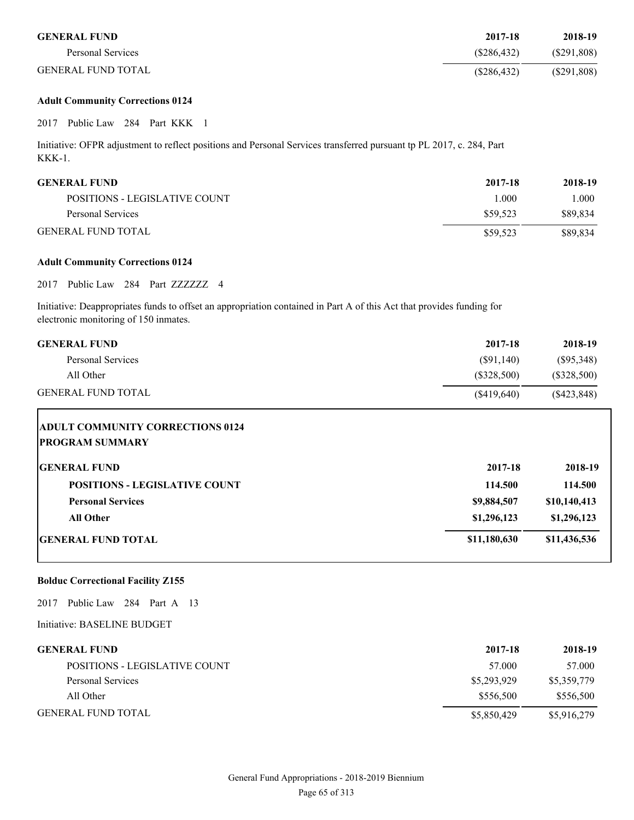| <b>GENERAL FUND</b>       | 2017-18     | 2018-19    |
|---------------------------|-------------|------------|
| Personal Services         | (S286.432)  | (S291,808) |
| <b>GENERAL FUND TOTAL</b> | (S286, 432) | (S291,808) |

#### **Adult Community Corrections 0124**

2017 Public Law 284 Part KKK 1

Initiative: OFPR adjustment to reflect positions and Personal Services transferred pursuant tp PL 2017, c. 284, Part KKK-1.

| <b>GENERAL FUND</b>           | 2017-18  | 2018-19  |
|-------------------------------|----------|----------|
| POSITIONS - LEGISLATIVE COUNT | 1.000    | l.000    |
| Personal Services             | \$59.523 | \$89.834 |
| <b>GENERAL FUND TOTAL</b>     | \$59.523 | \$89.834 |

#### **Adult Community Corrections 0124**

2017 Public Law 284 Part ZZZZZZZ 4

Initiative: Deappropriates funds to offset an appropriation contained in Part A of this Act that provides funding for electronic monitoring of 150 inmates.

| <b>GENERAL FUND</b>                                               | 2017-18       | 2018-19       |
|-------------------------------------------------------------------|---------------|---------------|
| <b>Personal Services</b>                                          | $(\$91,140)$  | $(\$95,348)$  |
| All Other                                                         | $(\$328,500)$ | $(\$328,500)$ |
| <b>GENERAL FUND TOTAL</b>                                         | (\$419,640)   | $(\$423,848)$ |
| <b>ADULT COMMUNITY CORRECTIONS 0124</b><br><b>PROGRAM SUMMARY</b> |               |               |
| <b>GENERAL FUND</b>                                               | 2017-18       | 2018-19       |

| 0.11.11.01.11.01.02                  | -----        | ----         |
|--------------------------------------|--------------|--------------|
| <b>POSITIONS - LEGISLATIVE COUNT</b> | 114.500      | 114.500      |
| <b>Personal Services</b>             | \$9,884,507  | \$10,140,413 |
| All Other                            | \$1,296,123  | \$1,296,123  |
| <b>GENERAL FUND TOTAL</b>            | \$11,180,630 | \$11,436,536 |
|                                      |              |              |

#### **Bolduc Correctional Facility Z155**

2017 Public Law 284 Part A 13

Initiative: BASELINE BUDGET

| <b>GENERAL FUND</b>           | 2017-18     | 2018-19     |
|-------------------------------|-------------|-------------|
| POSITIONS - LEGISLATIVE COUNT | 57.000      | 57.000      |
| Personal Services             | \$5,293,929 | \$5,359,779 |
| All Other                     | \$556,500   | \$556,500   |
| <b>GENERAL FUND TOTAL</b>     | \$5,850,429 | \$5,916,279 |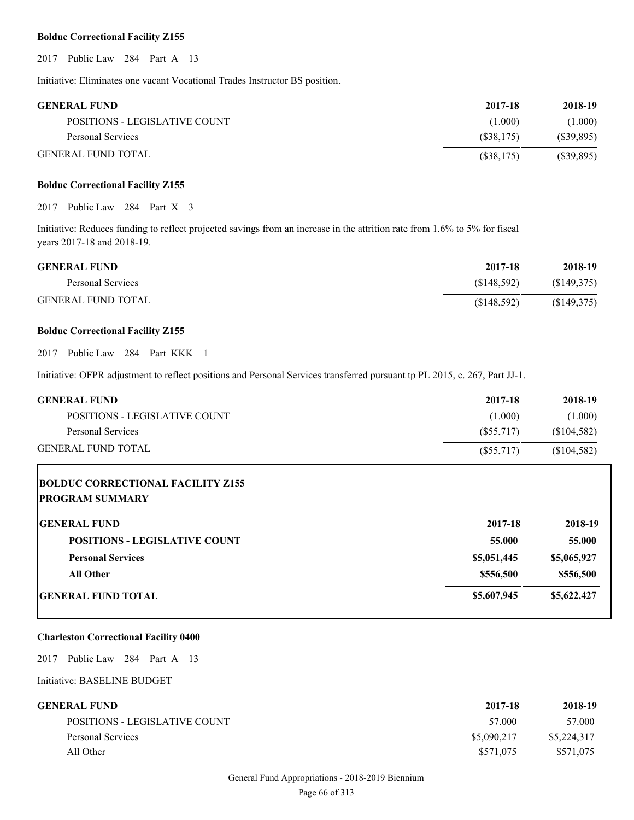#### **Bolduc Correctional Facility Z155**

2017 Public Law 284 Part A 13

Initiative: Eliminates one vacant Vocational Trades Instructor BS position.

| <b>GENERAL FUND</b>           | 2017-18    | 2018-19      |
|-------------------------------|------------|--------------|
| POSITIONS - LEGISLATIVE COUNT | (1.000)    | (1.000)      |
| Personal Services             | (S38.175)  | (S39, 895)   |
| <b>GENERAL FUND TOTAL</b>     | (S38, 175) | $(\$39,895)$ |

### **Bolduc Correctional Facility Z155**

2017 Public Law 284 Part X 3

Initiative: Reduces funding to reflect projected savings from an increase in the attrition rate from 1.6% to 5% for fiscal years 2017-18 and 2018-19.

| <b>GENERAL FUND</b>       | 2017-18     | 2018-19    |
|---------------------------|-------------|------------|
| Personal Services         | (S148.592)  | (S149,375) |
| <b>GENERAL FUND TOTAL</b> | (S148, 592) | (S149,375) |

#### **Bolduc Correctional Facility Z155**

2017 Public Law 284 Part KKK 1

Initiative: OFPR adjustment to reflect positions and Personal Services transferred pursuant tp PL 2015, c. 267, Part JJ-1.

| <b>GENERAL FUND</b>           | 2017-18   | 2018-19     |
|-------------------------------|-----------|-------------|
| POSITIONS - LEGISLATIVE COUNT | (1.000)   | (1.000)     |
| Personal Services             | (S55.717) | (\$104,582) |
| <b>GENERAL FUND TOTAL</b>     | (S55,717) | (\$104,582) |

| <b>BOLDUC CORRECTIONAL FACILITY Z155</b><br><b>PROGRAM SUMMARY</b> |             |             |
|--------------------------------------------------------------------|-------------|-------------|
| <b>IGENERAL FUND</b>                                               | 2017-18     | 2018-19     |
| <b>POSITIONS - LEGISLATIVE COUNT</b>                               | 55.000      | 55.000      |
| <b>Personal Services</b>                                           | \$5,051,445 | \$5,065,927 |
| All Other                                                          | \$556,500   | \$556,500   |
| <b>GENERAL FUND TOTAL</b>                                          | \$5,607,945 | \$5,622,427 |

#### **Charleston Correctional Facility 0400**

2017 Public Law 284 Part A 13

Initiative: BASELINE BUDGET

| GENERAL FUND-                 | 2017-18     | 2018-19     |
|-------------------------------|-------------|-------------|
| POSITIONS - LEGISLATIVE COUNT | 57.000      | 57.000      |
| Personal Services             | \$5,090,217 | \$5,224,317 |
| All Other                     | \$571,075   | \$571,075   |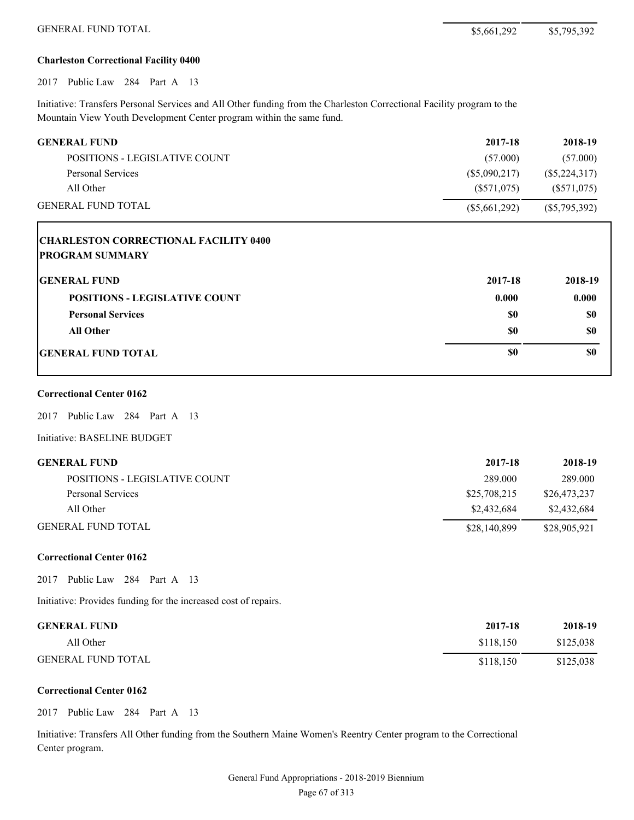# **Charleston Correctional Facility 0400**

2017 Public Law 284 Part A 13

Initiative: Transfers Personal Services and All Other funding from the Charleston Correctional Facility program to the Mountain View Youth Development Center program within the same fund.

| <b>GENERAL FUND</b>                          | 2017-18         | 2018-19         |
|----------------------------------------------|-----------------|-----------------|
| POSITIONS - LEGISLATIVE COUNT                | (57.000)        | (57.000)        |
| <b>Personal Services</b>                     | $(\$5,090,217)$ | $(\$5,224,317)$ |
| All Other                                    | $(\$571,075)$   | $(\$571,075)$   |
| <b>GENERAL FUND TOTAL</b>                    | $(\$5,661,292)$ | $(\$5,795,392)$ |
| <b>CHARLESTON CORRECTIONAL FACILITY 0400</b> |                 |                 |
| <b>PROGRAM SUMMARY</b>                       |                 |                 |
| <b>GENERAL FUND</b>                          | 2017-18         | 2018-19         |
| <b>POSITIONS - LEGISLATIVE COUNT</b>         | 0.000           | 0.000           |
| <b>Personal Services</b>                     | \$0             | \$0             |
| <b>All Other</b>                             | \$0             | \$0             |
| <b>GENERAL FUND TOTAL</b>                    | \$0             | \$0             |
| <b>Correctional Center 0162</b>              |                 |                 |
| Public Law 284 Part A 13<br>2017             |                 |                 |
| Initiative: BASELINE BUDGET                  |                 |                 |
| <b>GENERAL FUND</b>                          | 2017-18         | 2018-19         |
| POSITIONS - LEGISLATIVE COUNT                | 289.000         | 289.000         |
| <b>Personal Services</b>                     | \$25,708,215    | \$26,473,237    |
| All Other                                    | \$2,432,684     | \$2,432,684     |
| <b>GENERAL FUND TOTAL</b>                    | \$28,140,899    | \$28,905,921    |

# **Correctional Center 0162**

2017 Public Law 284 Part A 13

Initiative: Provides funding for the increased cost of repairs.

| <b>GENERAL FUND</b>       | 2017-18   | 2018-19   |
|---------------------------|-----------|-----------|
| All Other                 | \$118.150 | \$125,038 |
| <b>GENERAL FUND TOTAL</b> | \$118.150 | \$125,038 |

# **Correctional Center 0162**

2017 Public Law 284 Part A 13

Initiative: Transfers All Other funding from the Southern Maine Women's Reentry Center program to the Correctional Center program.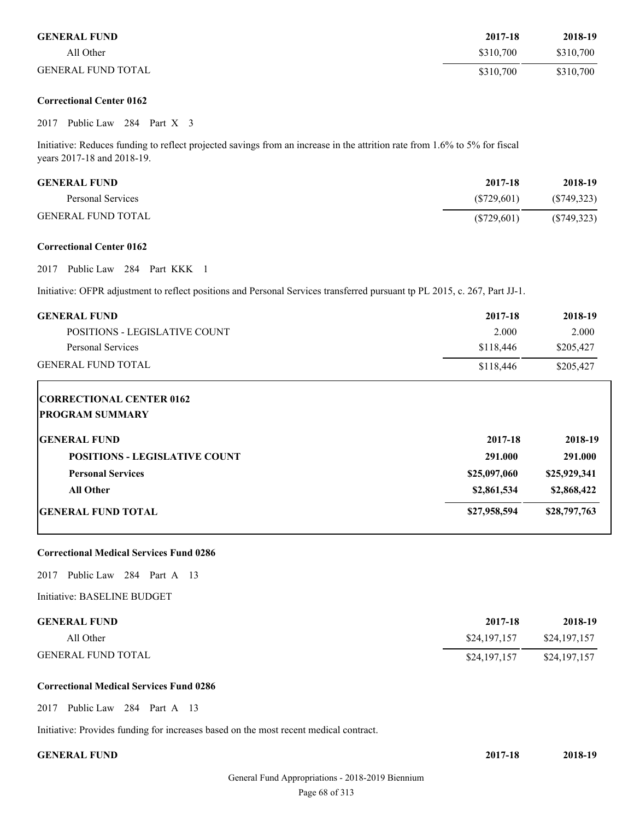| <b>GENERAL FUND</b>       | 2017-18   | 2018-19   |
|---------------------------|-----------|-----------|
| All Other                 | \$310,700 | \$310,700 |
| <b>GENERAL FUND TOTAL</b> | \$310,700 | \$310,700 |

# **Correctional Center 0162**

#### 2017 Public Law 284 Part X 3

Initiative: Reduces funding to reflect projected savings from an increase in the attrition rate from 1.6% to 5% for fiscal years 2017-18 and 2018-19.

| <b>GENERAL FUND</b> | 2017-18    | 2018-19     |
|---------------------|------------|-------------|
| Personal Services   | (S729.601) | (S749, 323) |
| GENERAL FUND TOTAL  | (S729,601) | (S749, 323) |

#### **Correctional Center 0162**

2017 Public Law 284 Part KKK 1

Initiative: OFPR adjustment to reflect positions and Personal Services transferred pursuant tp PL 2015, c. 267, Part JJ-1.

| <b>GENERAL FUND</b>                  | 2017-18      | 2018-19      |
|--------------------------------------|--------------|--------------|
| <b>POSITIONS - LEGISLATIVE COUNT</b> | 2.000        | 2.000        |
| <b>Personal Services</b>             | \$118,446    | \$205,427    |
| <b>GENERAL FUND TOTAL</b>            | \$118,446    | \$205,427    |
| <b>CORRECTIONAL CENTER 0162</b>      |              |              |
| <b>PROGRAM SUMMARY</b>               |              |              |
| <b>GENERAL FUND</b>                  | 2017-18      | 2018-19      |
| <b>POSITIONS - LEGISLATIVE COUNT</b> | 291.000      | 291.000      |
| <b>Personal Services</b>             | \$25,097,060 | \$25,929,341 |
| <b>All Other</b>                     | \$2,861,534  | \$2,868,422  |
| <b>GENERAL FUND TOTAL</b>            | \$27,958,594 | \$28,797,763 |
|                                      |              |              |

# **Correctional Medical Services Fund 0286**

2017 Public Law 284 Part A 13

Initiative: BASELINE BUDGET

| <b>GENERAL FUND</b>       | 2017-18      | 2018-19      |
|---------------------------|--------------|--------------|
| All Other                 | \$24,197,157 | \$24,197,157 |
| <b>GENERAL FUND TOTAL</b> | \$24,197,157 | \$24,197,157 |

#### **Correctional Medical Services Fund 0286**

2017 Public Law 284 Part A 13

Initiative: Provides funding for increases based on the most recent medical contract.

**GENERAL FUND 2017-18 2018-19**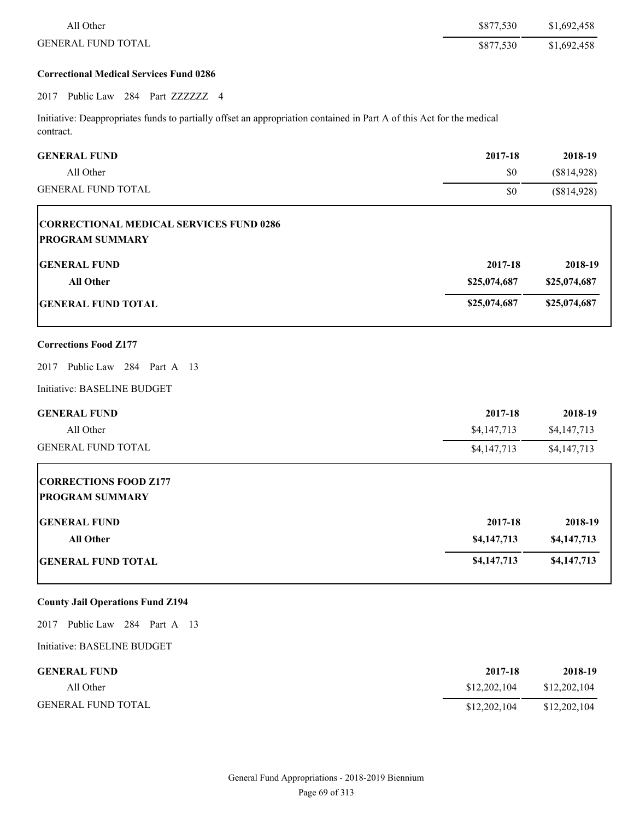| All Other                                                                                                                          | \$877,530    | \$1,692,458  |
|------------------------------------------------------------------------------------------------------------------------------------|--------------|--------------|
| <b>GENERAL FUND TOTAL</b>                                                                                                          | \$877,530    | \$1,692,458  |
| <b>Correctional Medical Services Fund 0286</b>                                                                                     |              |              |
| 2017 Public Law 284 Part ZZZZZZ 4                                                                                                  |              |              |
| Initiative: Deappropriates funds to partially offset an appropriation contained in Part A of this Act for the medical<br>contract. |              |              |
| <b>GENERAL FUND</b>                                                                                                                | 2017-18      | 2018-19      |
| All Other                                                                                                                          | \$0          | (\$814,928)  |
| <b>GENERAL FUND TOTAL</b>                                                                                                          | \$0          | (\$814,928)  |
| <b>CORRECTIONAL MEDICAL SERVICES FUND 0286</b><br><b>PROGRAM SUMMARY</b>                                                           |              |              |
| <b>GENERAL FUND</b>                                                                                                                | 2017-18      | 2018-19      |
| <b>All Other</b>                                                                                                                   | \$25,074,687 | \$25,074,687 |
| <b>GENERAL FUND TOTAL</b>                                                                                                          | \$25,074,687 | \$25,074,687 |
| <b>Corrections Food Z177</b>                                                                                                       |              |              |
| Public Law 284 Part A 13<br>2017                                                                                                   |              |              |
| Initiative: BASELINE BUDGET                                                                                                        |              |              |
| <b>GENERAL FUND</b>                                                                                                                | 2017-18      | 2018-19      |
| All Other                                                                                                                          | \$4,147,713  | \$4,147,713  |
| <b>GENERAL FUND TOTAL</b>                                                                                                          | \$4,147,713  | \$4,147,713  |
| <b>CORRECTIONS FOOD Z177</b><br><b>PROGRAM SUMMARY</b>                                                                             |              |              |
| <b>GENERAL FUND</b>                                                                                                                | 2017-18      | 2018-19      |
| All Other                                                                                                                          | \$4,147,713  | \$4,147,713  |
| <b>GENERAL FUND TOTAL</b>                                                                                                          | \$4,147,713  | \$4,147,713  |
| <b>County Jail Operations Fund Z194</b>                                                                                            |              |              |
| Public Law 284 Part A 13<br>2017                                                                                                   |              |              |
| Initiative: BASELINE BUDGET                                                                                                        |              |              |
| <b>GENERAL FUND</b>                                                                                                                | 2017-18      | 2018-19      |
| All Other                                                                                                                          | \$12,202,104 | \$12,202,104 |
| <b>GENERAL FUND TOTAL</b>                                                                                                          | \$12,202,104 | \$12,202,104 |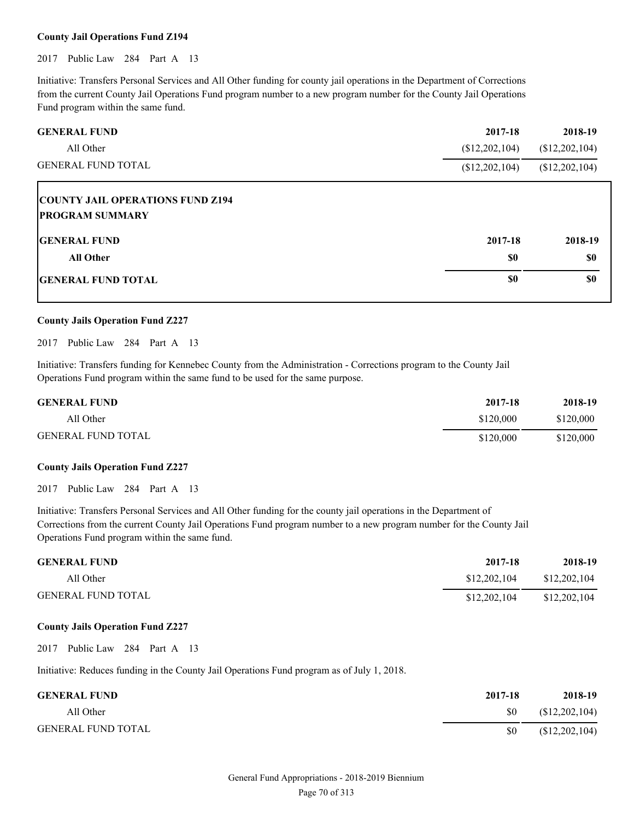#### **County Jail Operations Fund Z194**

2017 Public Law 284 Part A 13

Initiative: Transfers Personal Services and All Other funding for county jail operations in the Department of Corrections from the current County Jail Operations Fund program number to a new program number for the County Jail Operations Fund program within the same fund.

| <b>GENERAL FUND</b>                                               | 2017-18        | 2018-19        |
|-------------------------------------------------------------------|----------------|----------------|
| All Other                                                         | (\$12,202,104) | (\$12,202,104) |
| <b>GENERAL FUND TOTAL</b>                                         | \$12,202,104)  | (\$12,202,104) |
| <b>COUNTY JAIL OPERATIONS FUND Z194</b><br><b>PROGRAM SUMMARY</b> |                |                |
| <b>GENERAL FUND</b>                                               | 2017-18        | 2018-19        |
| <b>All Other</b>                                                  | \$0            | \$0            |
| <b>IGENERAL FUND TOTAL</b>                                        | \$0            | \$0            |

## **County Jails Operation Fund Z227**

2017 Public Law 284 Part A 13

Initiative: Transfers funding for Kennebec County from the Administration - Corrections program to the County Jail Operations Fund program within the same fund to be used for the same purpose.

| <b>GENERAL FUND</b>       | 2017-18   | 2018-19   |
|---------------------------|-----------|-----------|
| All Other                 | \$120,000 | \$120,000 |
| <b>GENERAL FUND TOTAL</b> | \$120,000 | \$120,000 |

#### **County Jails Operation Fund Z227**

2017 Public Law 284 Part A 13

Initiative: Transfers Personal Services and All Other funding for the county jail operations in the Department of Corrections from the current County Jail Operations Fund program number to a new program number for the County Jail Operations Fund program within the same fund.

| <b>GENERAL FUND</b>       | 2017-18      | 2018-19      |
|---------------------------|--------------|--------------|
| All Other                 | \$12,202,104 | \$12,202,104 |
| <b>GENERAL FUND TOTAL</b> | \$12,202,104 | \$12,202,104 |

# **County Jails Operation Fund Z227**

2017 Public Law 284 Part A 13

Initiative: Reduces funding in the County Jail Operations Fund program as of July 1, 2018.

| <b>GENERAL FUND</b>       | 2017-18 | 2018-19        |
|---------------------------|---------|----------------|
| All Other                 | \$0     | (\$12,202,104) |
| <b>GENERAL FUND TOTAL</b> | -SO     | (\$12,202,104) |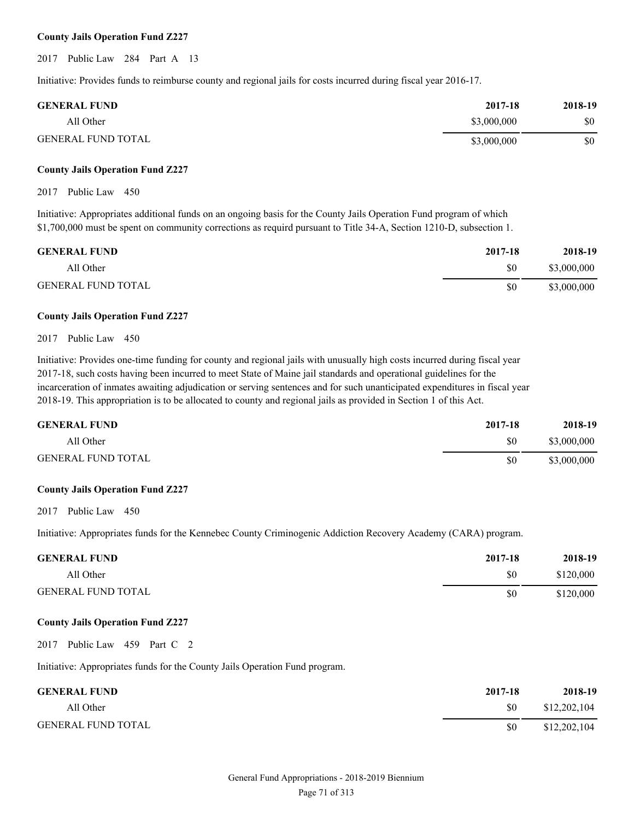### **County Jails Operation Fund Z227**

2017 Public Law 284 Part A 13

Initiative: Provides funds to reimburse county and regional jails for costs incurred during fiscal year 2016-17.

| <b>GENERAL FUND</b>       | 2017-18     | 2018-19 |
|---------------------------|-------------|---------|
| All Other                 | \$3,000,000 | \$0     |
| <b>GENERAL FUND TOTAL</b> | \$3,000,000 | \$0     |

#### **County Jails Operation Fund Z227**

#### 2017 Public Law 450

Initiative: Appropriates additional funds on an ongoing basis for the County Jails Operation Fund program of which \$1,700,000 must be spent on community corrections as requird pursuant to Title 34-A, Section 1210-D, subsection 1.

| <b>GENERAL FUND</b>       | 2017-18 | 2018-19     |
|---------------------------|---------|-------------|
| All Other                 | \$0     | \$3,000,000 |
| <b>GENERAL FUND TOTAL</b> | \$0     | \$3,000,000 |

#### **County Jails Operation Fund Z227**

#### 2017 Public Law 450

Initiative: Provides one-time funding for county and regional jails with unusually high costs incurred during fiscal year 2017-18, such costs having been incurred to meet State of Maine jail standards and operational guidelines for the incarceration of inmates awaiting adjudication or serving sentences and for such unanticipated expenditures in fiscal year 2018-19. This appropriation is to be allocated to county and regional jails as provided in Section 1 of this Act.

| <b>GENERAL FUND</b>       | 2017-18 | 2018-19     |
|---------------------------|---------|-------------|
| All Other                 | \$0     | \$3,000,000 |
| <b>GENERAL FUND TOTAL</b> | \$0     | \$3,000,000 |

#### **County Jails Operation Fund Z227**

2017 Public Law 450

Initiative: Appropriates funds for the Kennebec County Criminogenic Addiction Recovery Academy (CARA) program.

| <b>GENERAL FUND</b>       | 2017-18 | 2018-19   |
|---------------------------|---------|-----------|
| All Other                 | \$0     | \$120,000 |
| <b>GENERAL FUND TOTAL</b> | \$0     | \$120,000 |

#### **County Jails Operation Fund Z227**

2017 Public Law 459 Part C 2

Initiative: Appropriates funds for the County Jails Operation Fund program.

| <b>GENERAL FUND</b>       | 2017-18 | 2018-19      |
|---------------------------|---------|--------------|
| All Other                 | \$0     | \$12,202,104 |
| <b>GENERAL FUND TOTAL</b> | \$0     | \$12,202,104 |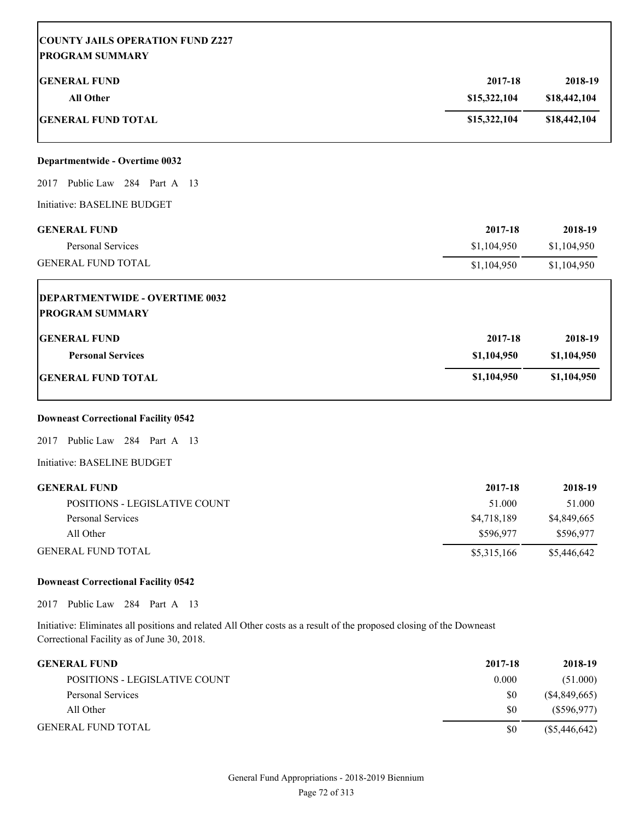| <b>COUNTY JAILS OPERATION FUND Z227</b><br><b>PROGRAM SUMMARY</b>                                                                                                  |                         |                         |
|--------------------------------------------------------------------------------------------------------------------------------------------------------------------|-------------------------|-------------------------|
| <b>GENERAL FUND</b><br><b>All Other</b>                                                                                                                            | 2017-18<br>\$15,322,104 | 2018-19<br>\$18,442,104 |
| <b>GENERAL FUND TOTAL</b>                                                                                                                                          | \$15,322,104            | \$18,442,104            |
| Departmentwide - Overtime 0032                                                                                                                                     |                         |                         |
| Public Law 284 Part A 13<br>2017                                                                                                                                   |                         |                         |
| Initiative: BASELINE BUDGET                                                                                                                                        |                         |                         |
| <b>GENERAL FUND</b>                                                                                                                                                | 2017-18                 | 2018-19                 |
| Personal Services                                                                                                                                                  | \$1,104,950             | \$1,104,950             |
| <b>GENERAL FUND TOTAL</b>                                                                                                                                          | \$1,104,950             | \$1,104,950             |
| <b>DEPARTMENTWIDE - OVERTIME 0032</b><br><b>PROGRAM SUMMARY</b>                                                                                                    |                         |                         |
| <b>GENERAL FUND</b>                                                                                                                                                | 2017-18                 | 2018-19                 |
| <b>Personal Services</b>                                                                                                                                           | \$1,104,950             | \$1,104,950             |
| <b>GENERAL FUND TOTAL</b>                                                                                                                                          | \$1,104,950             | \$1,104,950             |
| <b>Downeast Correctional Facility 0542</b>                                                                                                                         |                         |                         |
| Public Law 284 Part A 13<br>2017                                                                                                                                   |                         |                         |
| Initiative: BASELINE BUDGET                                                                                                                                        |                         |                         |
| <b>GENERAL FUND</b>                                                                                                                                                | 2017-18                 | 2018-19                 |
| POSITIONS - LEGISLATIVE COUNT                                                                                                                                      | 51.000                  | 51.000                  |
| Personal Services                                                                                                                                                  | \$4,718,189             | \$4,849,665             |
| All Other                                                                                                                                                          | \$596,977               | \$596,977               |
| <b>GENERAL FUND TOTAL</b>                                                                                                                                          | \$5,315,166             | \$5,446,642             |
| <b>Downeast Correctional Facility 0542</b>                                                                                                                         |                         |                         |
| Public Law 284 Part A 13<br>2017                                                                                                                                   |                         |                         |
| Initiative: Eliminates all positions and related All Other costs as a result of the proposed closing of the Downeast<br>Correctional Facility as of June 30, 2018. |                         |                         |

| <b>GENERAL FUND</b>           | 2017-18 | 2018-19         |
|-------------------------------|---------|-----------------|
| POSITIONS - LEGISLATIVE COUNT | 0.000   | (51.000)        |
| Personal Services             | \$0     | (S4, 849, 665)  |
| All Other                     | \$0     | (S596.977)      |
| <b>GENERAL FUND TOTAL</b>     | \$0     | $(\$5,446,642)$ |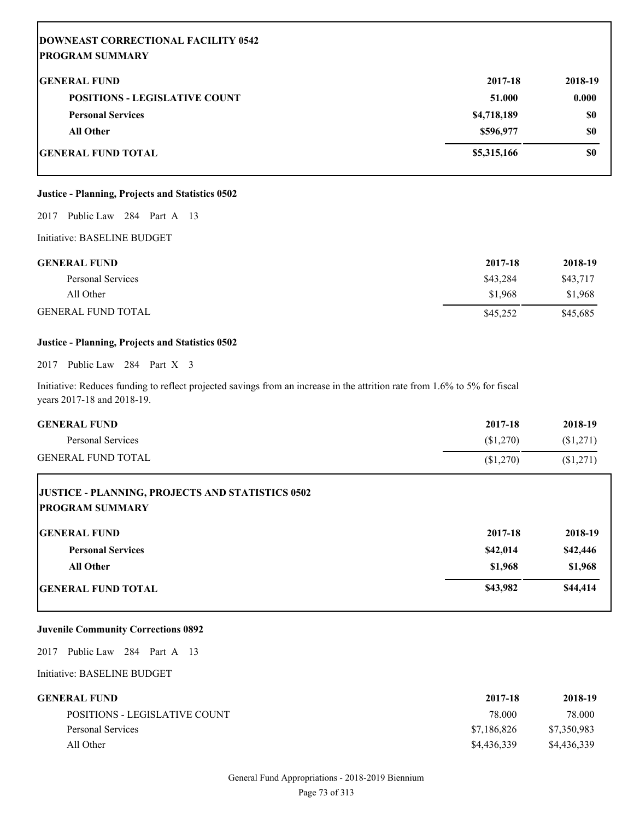| <b>DOWNEAST CORRECTIONAL FACILITY 0542</b><br><b>PROGRAM SUMMARY</b> |             |         |
|----------------------------------------------------------------------|-------------|---------|
| <b>GENERAL FUND</b>                                                  | 2017-18     | 2018-19 |
| <b>POSITIONS - LEGISLATIVE COUNT</b>                                 | 51.000      | 0.000   |
| <b>Personal Services</b>                                             | \$4,718,189 | \$0     |
| <b>All Other</b>                                                     | \$596,977   | \$0     |
| <b>GENERAL FUND TOTAL</b>                                            | \$5,315,166 | \$0     |

# **Justice - Planning, Projects and Statistics 0502**

#### 2017 Public Law 284 Part A 13

Initiative: BASELINE BUDGET

| <b>GENERAL FUND</b>       | 2017-18  | 2018-19  |
|---------------------------|----------|----------|
| Personal Services         | \$43.284 | \$43,717 |
| All Other                 | \$1.968  | \$1,968  |
| <b>GENERAL FUND TOTAL</b> | \$45,252 | \$45,685 |

# **Justice - Planning, Projects and Statistics 0502**

2017 Public Law 284 Part X 3

Initiative: Reduces funding to reflect projected savings from an increase in the attrition rate from 1.6% to 5% for fiscal years 2017-18 and 2018-19.

| <b>GENERAL FUND</b><br>Personal Services<br><b>GENERAL FUND TOTAL</b>             | 2017-18<br>(\$1,270)<br>\$1,270 | 2018-19<br>(\$1,271)<br>(\$1,271) |
|-----------------------------------------------------------------------------------|---------------------------------|-----------------------------------|
| <b>JUSTICE - PLANNING, PROJECTS AND STATISTICS 0502</b><br><b>PROGRAM SUMMARY</b> |                                 |                                   |
| <b>IGENERAL FUND</b>                                                              | 2017-18                         | 2018-19                           |
| <b>Personal Services</b>                                                          | \$42,014                        | \$42,446                          |
| <b>All Other</b>                                                                  | \$1,968                         | \$1,968                           |
| <b>IGENERAL FUND TOTAL</b>                                                        | \$43,982                        | \$44,414                          |

# **Juvenile Community Corrections 0892**

2017 Public Law 284 Part A 13

| GENERAL FUND-                 | 2017-18     | 2018-19     |
|-------------------------------|-------------|-------------|
| POSITIONS - LEGISLATIVE COUNT | 78.000      | 78.000      |
| Personal Services             | \$7,186,826 | \$7,350,983 |
| All Other                     | \$4,436,339 | \$4,436,339 |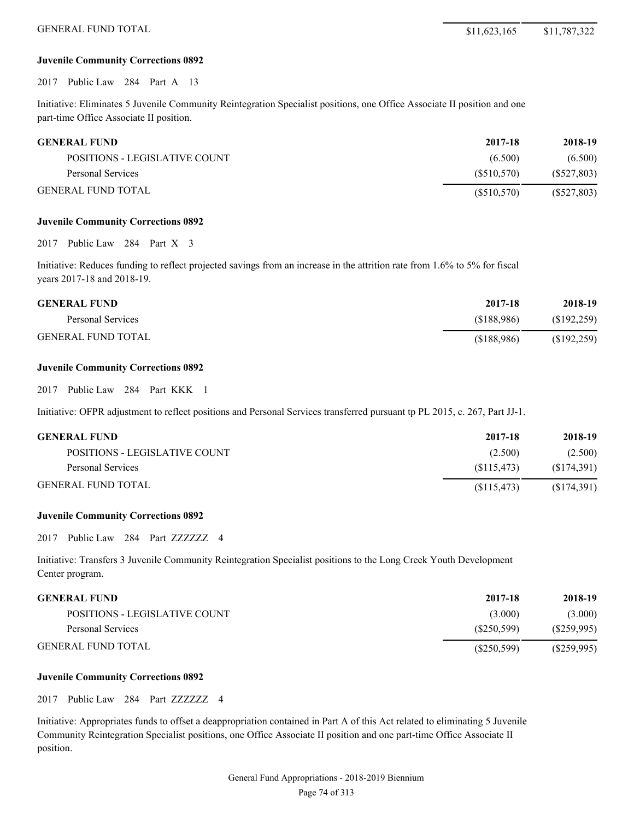### **Juvenile Community Corrections 0892**

2017 Public Law 284 Part A 13

Initiative: Eliminates 5 Juvenile Community Reintegration Specialist positions, one Office Associate II position and one part-time Office Associate II position.

| <b>GENERAL FUND</b>           | 2017-18    | 2018-19       |
|-------------------------------|------------|---------------|
| POSITIONS - LEGISLATIVE COUNT | (6.500)    | (6.500)       |
| Personal Services             | (S510.570) | $(\$527,803)$ |
| <b>GENERAL FUND TOTAL</b>     | (S510,570) | $(\$527,803)$ |

#### **Juvenile Community Corrections 0892**

2017 Public Law 284 Part X 3

Initiative: Reduces funding to reflect projected savings from an increase in the attrition rate from 1.6% to 5% for fiscal years 2017-18 and 2018-19.

| <b>GENERAL FUND</b>       | 2017-18    | 2018-19     |
|---------------------------|------------|-------------|
| Personal Services         | (S188.986) | (S192, 259) |
| <b>GENERAL FUND TOTAL</b> | (S188,986) | (\$192,259) |

# **Juvenile Community Corrections 0892**

2017 Public Law 284 Part KKK 1

Initiative: OFPR adjustment to reflect positions and Personal Services transferred pursuant tp PL 2015, c. 267, Part JJ-1.

| <b>GENERAL FUND</b>           | 2017-18    | 2018-19    |
|-------------------------------|------------|------------|
| POSITIONS - LEGISLATIVE COUNT | (2.500)    | (2.500)    |
| Personal Services             | (S115.473) | (S174,391) |
| <b>GENERAL FUND TOTAL</b>     | (S115.473) | (S174,391) |

#### **Juvenile Community Corrections 0892**

2017 Public Law 284 Part ZZZZZZZ 4

Initiative: Transfers 3 Juvenile Community Reintegration Specialist positions to the Long Creek Youth Development Center program.

# **GENERAL FUND 2017-18 2018-19**

|                               | ------      | -----       |
|-------------------------------|-------------|-------------|
| POSITIONS - LEGISLATIVE COUNT | (3.000)     | (3.000)     |
| Personal Services             | (S250.599)  | (S259, 995) |
| GENERAL FUND TOTAL            | (S250, 599) | (S259.995)  |

#### **Juvenile Community Corrections 0892**

2017 Public Law 284 Part ZZZZZZZ 4

Initiative: Appropriates funds to offset a deappropriation contained in Part A of this Act related to eliminating 5 Juvenile Community Reintegration Specialist positions, one Office Associate II position and one part-time Office Associate II position.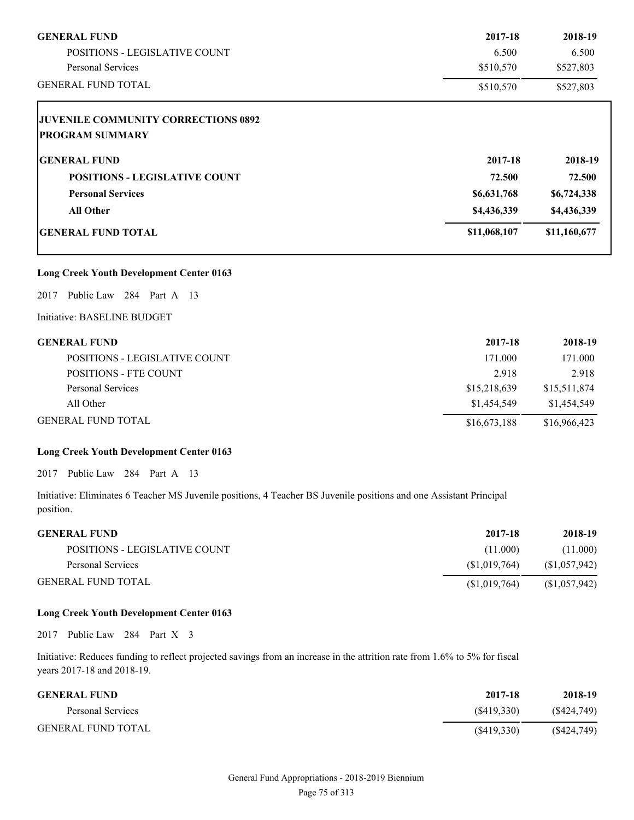| <b>GENERAL FUND</b>                        | 2017-18      | 2018-19      |
|--------------------------------------------|--------------|--------------|
| <b>POSITIONS - LEGISLATIVE COUNT</b>       | 6.500        | 6.500        |
| <b>Personal Services</b>                   | \$510,570    | \$527,803    |
| <b>GENERAL FUND TOTAL</b>                  | \$510,570    | \$527,803    |
| <b>JUVENILE COMMUNITY CORRECTIONS 0892</b> |              |              |
| <b>PROGRAM SUMMARY</b>                     |              |              |
| <b>GENERAL FUND</b>                        | 2017-18      | 2018-19      |
| <b>POSITIONS - LEGISLATIVE COUNT</b>       | 72.500       | 72.500       |
| <b>Personal Services</b>                   | \$6,631,768  | \$6,724,338  |
| <b>All Other</b>                           | \$4,436,339  | \$4,436,339  |
| <b>GENERAL FUND TOTAL</b>                  | \$11,068,107 | \$11,160,677 |

# **Long Creek Youth Development Center 0163**

2017 Public Law 284 Part A 13

Initiative: BASELINE BUDGET

| <b>GENERAL FUND</b>                  | 2017-18      | 2018-19      |
|--------------------------------------|--------------|--------------|
| <b>POSITIONS - LEGISLATIVE COUNT</b> | 171.000      | 171.000      |
| <b>POSITIONS - FTE COUNT</b>         | 2.918        | 2.918        |
| Personal Services                    | \$15,218,639 | \$15,511,874 |
| All Other                            | \$1,454,549  | \$1,454,549  |
| <b>GENERAL FUND TOTAL</b>            | \$16,673,188 | \$16,966,423 |

# **Long Creek Youth Development Center 0163**

2017 Public Law 284 Part A 13

Initiative: Eliminates 6 Teacher MS Juvenile positions, 4 Teacher BS Juvenile positions and one Assistant Principal position.

| <b>GENERAL FUND</b>           | 2017-18      | 2018-19      |
|-------------------------------|--------------|--------------|
| POSITIONS - LEGISLATIVE COUNT | (11.000)     | (11.000)     |
| Personal Services             | (S1.019.764) | (S1,057,942) |
| <b>GENERAL FUND TOTAL</b>     | (S1,019,764) | (S1,057,942) |

# **Long Creek Youth Development Center 0163**

2017 Public Law 284 Part X 3

Initiative: Reduces funding to reflect projected savings from an increase in the attrition rate from 1.6% to 5% for fiscal years 2017-18 and 2018-19.

| <b>GENERAL FUND</b>       | 2017-18    | 2018-19       |
|---------------------------|------------|---------------|
| Personal Services         | (S419.330) | $(\$424,749)$ |
| <b>GENERAL FUND TOTAL</b> | (S419,330) | $(\$424,749)$ |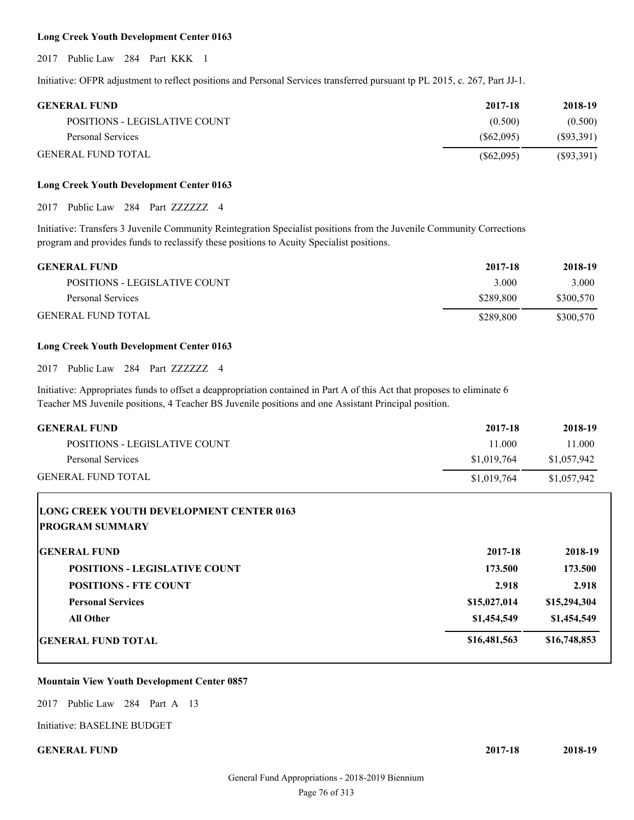## **Long Creek Youth Development Center 0163**

2017 Public Law 284 Part KKK 1

Initiative: OFPR adjustment to reflect positions and Personal Services transferred pursuant tp PL 2015, c. 267, Part JJ-1.

| <b>GENERAL FUND</b>           | 2017-18      | 2018-19   |
|-------------------------------|--------------|-----------|
| POSITIONS - LEGISLATIVE COUNT | (0.500)      | (0.500)   |
| Personal Services             | (S62,095)    | (S93,391) |
| <b>GENERAL FUND TOTAL</b>     | $(\$62,095)$ | (S93,391) |

# **Long Creek Youth Development Center 0163**

2017 Public Law 284 Part ZZZZZZZ 4

Initiative: Transfers 3 Juvenile Community Reintegration Specialist positions from the Juvenile Community Corrections program and provides funds to reclassify these positions to Acuity Specialist positions.

| <b>GENERAL FUND</b>           | 2017-18   | 2018-19   |
|-------------------------------|-----------|-----------|
| POSITIONS - LEGISLATIVE COUNT | 3.000     | 3.000     |
| Personal Services             | \$289.800 | \$300,570 |
| <b>GENERAL FUND TOTAL</b>     | \$289.800 | \$300,570 |

# **Long Creek Youth Development Center 0163**

2017 Public Law 284 Part ZZZZZZZ 4

Initiative: Appropriates funds to offset a deappropriation contained in Part A of this Act that proposes to eliminate 6 Teacher MS Juvenile positions, 4 Teacher BS Juvenile positions and one Assistant Principal position.

| <b>GENERAL FUND</b>                             | 2017-18      | 2018-19      |
|-------------------------------------------------|--------------|--------------|
| POSITIONS - LEGISLATIVE COUNT                   | 11.000       | 11.000       |
| Personal Services                               | \$1,019,764  | \$1,057,942  |
| <b>GENERAL FUND TOTAL</b>                       | \$1,019,764  | \$1,057,942  |
| <b>LONG CREEK YOUTH DEVELOPMENT CENTER 0163</b> |              |              |
| <b>PROGRAM SUMMARY</b>                          |              |              |
| <b>IGENERAL FUND</b>                            | 2017-18      | 2018-19      |
| <b>POSITIONS - LEGISLATIVE COUNT</b>            | 173.500      | 173.500      |
| <b>POSITIONS - FTE COUNT</b>                    | 2.918        | 2.918        |
| <b>Personal Services</b>                        | \$15,027,014 | \$15,294,304 |
| <b>All Other</b>                                | \$1,454,549  | \$1,454,549  |
| <b>GENERAL FUND TOTAL</b>                       | \$16,481,563 | \$16,748,853 |
|                                                 |              |              |

## **Mountain View Youth Development Center 0857**

2017 Public Law 284 Part A 13

Initiative: BASELINE BUDGET

**GENERAL FUND 2017-18 2018-19**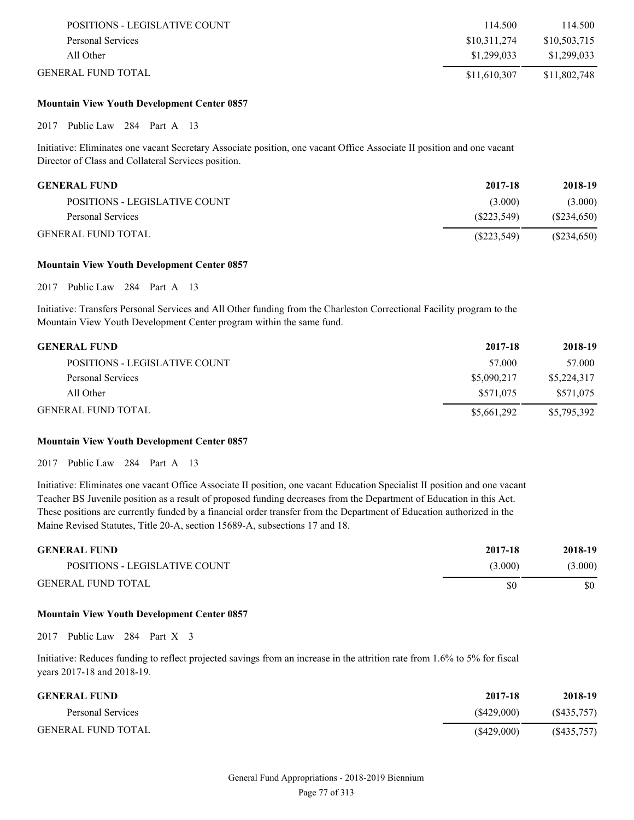| POSITIONS - LEGISLATIVE COUNT | 114.500      | 114.500      |
|-------------------------------|--------------|--------------|
| Personal Services             | \$10,311,274 | \$10,503,715 |
| All Other                     | \$1.299.033  | \$1.299.033  |
| GENERAL FUND TOTAL.           | \$11,610,307 | \$11,802,748 |

## **Mountain View Youth Development Center 0857**

2017 Public Law 284 Part A 13

Initiative: Eliminates one vacant Secretary Associate position, one vacant Office Associate II position and one vacant Director of Class and Collateral Services position.

| GENERAL FUND-                 | 2017-18     | 2018-19    |
|-------------------------------|-------------|------------|
| POSITIONS - LEGISLATIVE COUNT | (3.000)     | (3.000)    |
| Personal Services             | (S223.549)  | (S234,650) |
| GENERAL FUND TOTAL            | (S223, 549) | (S234,650) |

#### **Mountain View Youth Development Center 0857**

2017 Public Law 284 Part A 13

Initiative: Transfers Personal Services and All Other funding from the Charleston Correctional Facility program to the Mountain View Youth Development Center program within the same fund.

| <b>GENERAL FUND</b>           | 2017-18     | 2018-19     |
|-------------------------------|-------------|-------------|
| POSITIONS - LEGISLATIVE COUNT | 57.000      | 57.000      |
| Personal Services             | \$5,090,217 | \$5,224,317 |
| All Other                     | \$571,075   | \$571,075   |
| <b>GENERAL FUND TOTAL</b>     | \$5,661,292 | \$5,795,392 |

#### **Mountain View Youth Development Center 0857**

2017 Public Law 284 Part A 13

Initiative: Eliminates one vacant Office Associate II position, one vacant Education Specialist II position and one vacant Teacher BS Juvenile position as a result of proposed funding decreases from the Department of Education in this Act. These positions are currently funded by a financial order transfer from the Department of Education authorized in the Maine Revised Statutes, Title 20-A, section 15689-A, subsections 17 and 18.

| <b>GENERAL FUND</b>           | 2017-18 | 2018-19 |
|-------------------------------|---------|---------|
| POSITIONS - LEGISLATIVE COUNT | (3.000) | (3.000) |
| <b>GENERAL FUND TOTAL</b>     | \$0     | \$0     |

## **Mountain View Youth Development Center 0857**

2017 Public Law 284 Part X 3

Initiative: Reduces funding to reflect projected savings from an increase in the attrition rate from 1.6% to 5% for fiscal years 2017-18 and 2018-19.

| <b>GENERAL FUND</b>       | 2017-18    | 2018-19    |
|---------------------------|------------|------------|
| Personal Services         | (S429,000) | (S435,757) |
| <b>GENERAL FUND TOTAL</b> | (S429,000) | (S435,757) |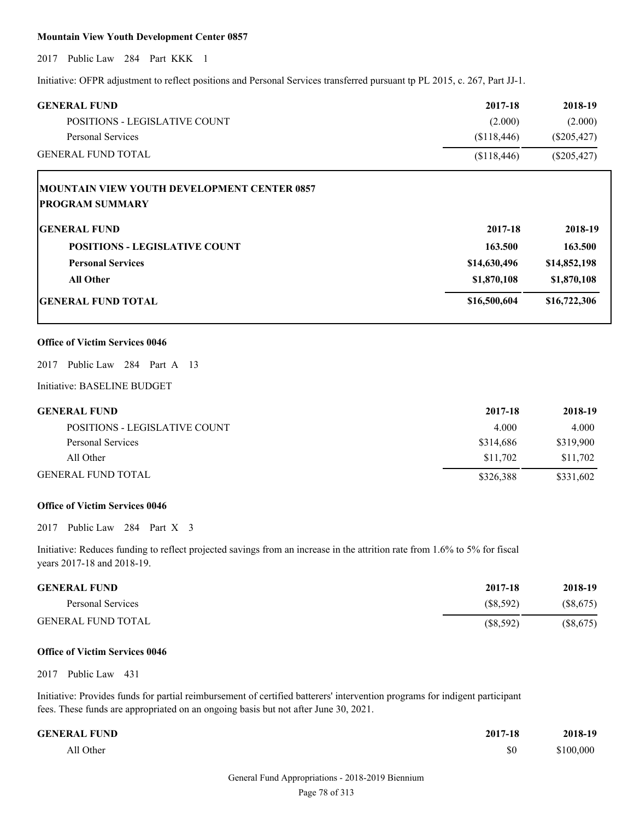# **Mountain View Youth Development Center 0857**

2017 Public Law 284 Part KKK 1

Initiative: OFPR adjustment to reflect positions and Personal Services transferred pursuant tp PL 2015, c. 267, Part JJ-1.

| <b>GENERAL FUND</b>                                | 2017-18      | 2018-19       |
|----------------------------------------------------|--------------|---------------|
| POSITIONS - LEGISLATIVE COUNT                      | (2.000)      | (2.000)       |
| <b>Personal Services</b>                           | (\$118,446)  | $(\$205,427)$ |
| <b>GENERAL FUND TOTAL</b>                          | (\$118,446)  | $(\$205,427)$ |
| <b>MOUNTAIN VIEW YOUTH DEVELOPMENT CENTER 0857</b> |              |               |
| <b>PROGRAM SUMMARY</b>                             |              |               |
| <b>GENERAL FUND</b>                                | 2017-18      | 2018-19       |
| <b>POSITIONS - LEGISLATIVE COUNT</b>               | 163.500      | 163.500       |
| <b>Personal Services</b>                           | \$14,630,496 | \$14,852,198  |
| <b>All Other</b>                                   | \$1,870,108  | \$1,870,108   |
| <b>GENERAL FUND TOTAL</b>                          | \$16,500,604 | \$16,722,306  |
| <b>Office of Victim Services 0046</b>              |              |               |
| Public Law 284 Part A 13<br>2017                   |              |               |
| Initiative: BASELINE BUDGET                        |              |               |
| <b>GENERAL FUND</b>                                | 2017-18      | 2018-19       |
| POSITIONS - LEGISLATIVE COUNT                      | 4.000        | 4.000         |
| <b>Personal Services</b>                           | \$314,686    | \$319,900     |
| All Other                                          | \$11,702     | \$11,702      |
| <b>GENERAL FUND TOTAL</b>                          | \$326,388    | \$331,602     |
| <b>Office of Victim Services 0046</b>              |              |               |
| Public Law<br>284 Part X 3<br>2017                 |              |               |

Initiative: Reduces funding to reflect projected savings from an increase in the attrition rate from 1.6% to 5% for fiscal years 2017-18 and 2018-19.

| <b>GENERAL FUND</b>       | 2017-18   | 2018-19   |
|---------------------------|-----------|-----------|
| Personal Services         | (S8.592)  | (S8, 675) |
| <b>GENERAL FUND TOTAL</b> | (S8, 592) | (S8, 675) |

#### **Office of Victim Services 0046**

2017 Public Law 431

Initiative: Provides funds for partial reimbursement of certified batterers' intervention programs for indigent participant fees. These funds are appropriated on an ongoing basis but not after June 30, 2021.

| <b>GENERAL FUND</b> | 2017-18 | 2018-19   |
|---------------------|---------|-----------|
| All Other           | \$0     | \$100,000 |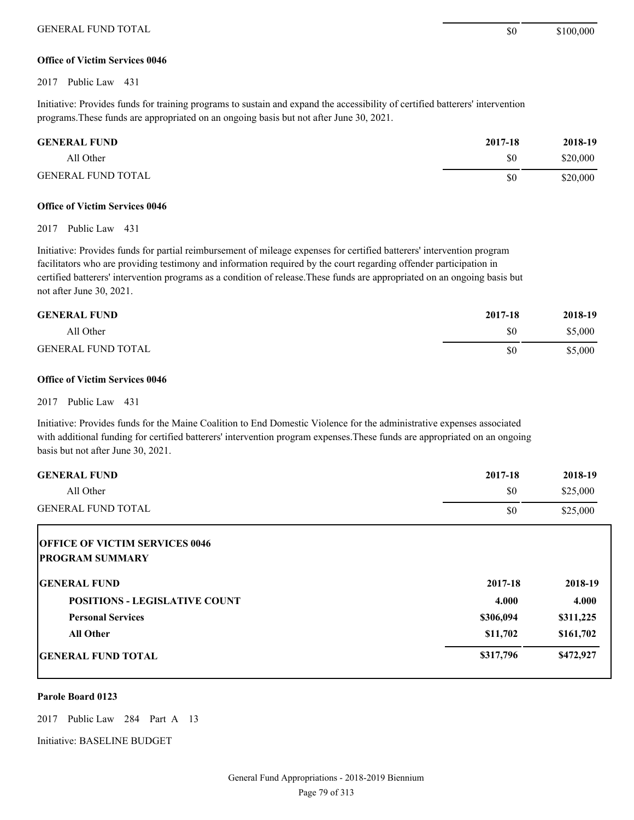# **Office of Victim Services 0046**

2017 Public Law 431

Initiative: Provides funds for training programs to sustain and expand the accessibility of certified batterers' intervention programs.These funds are appropriated on an ongoing basis but not after June 30, 2021.

| <b>GENERAL FUND</b>       | 2017-18 | 2018-19  |
|---------------------------|---------|----------|
| All Other                 | \$0     | \$20,000 |
| <b>GENERAL FUND TOTAL</b> | \$0     | \$20,000 |

# **Office of Victim Services 0046**

2017 Public Law 431

Initiative: Provides funds for partial reimbursement of mileage expenses for certified batterers' intervention program facilitators who are providing testimony and information required by the court regarding offender participation in certified batterers' intervention programs as a condition of release.These funds are appropriated on an ongoing basis but not after June 30, 2021.

| <b>GENERAL FUND</b>       | 2017-18 | 2018-19 |
|---------------------------|---------|---------|
| All Other                 | \$0     | \$5,000 |
| <b>GENERAL FUND TOTAL</b> | \$0     | \$5,000 |

#### **Office of Victim Services 0046**

2017 Public Law 431

Initiative: Provides funds for the Maine Coalition to End Domestic Violence for the administrative expenses associated with additional funding for certified batterers' intervention program expenses.These funds are appropriated on an ongoing basis but not after June 30, 2021.

| <b>GENERAL FUND</b>                                             | 2017-18   | 2018-19   |
|-----------------------------------------------------------------|-----------|-----------|
| All Other                                                       | \$0       | \$25,000  |
| <b>GENERAL FUND TOTAL</b>                                       | \$0       | \$25,000  |
| <b>OFFICE OF VICTIM SERVICES 0046</b><br><b>PROGRAM SUMMARY</b> |           |           |
| <b>IGENERAL FUND</b>                                            | 2017-18   | 2018-19   |
| <b>POSITIONS - LEGISLATIVE COUNT</b>                            | 4.000     | 4.000     |
| <b>Personal Services</b>                                        | \$306,094 | \$311,225 |
| <b>All Other</b>                                                | \$11,702  | \$161,702 |
| <b>GENERAL FUND TOTAL</b>                                       | \$317,796 | \$472,927 |

# **Parole Board 0123**

2017 Public Law 284 Part A 13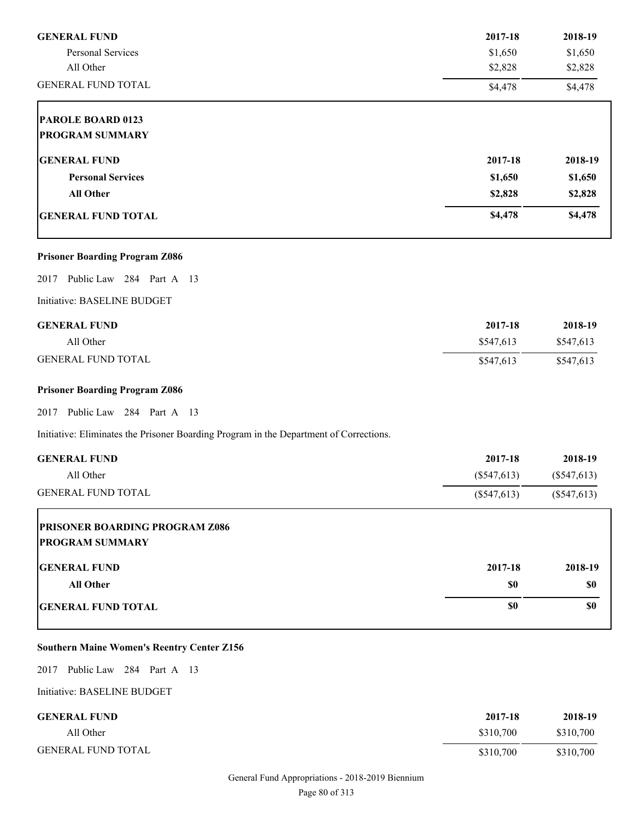| <b>GENERAL FUND</b>                                                                    | 2017-18       | 2018-19       |
|----------------------------------------------------------------------------------------|---------------|---------------|
| Personal Services                                                                      | \$1,650       | \$1,650       |
| All Other                                                                              | \$2,828       | \$2,828       |
| <b>GENERAL FUND TOTAL</b>                                                              | \$4,478       | \$4,478       |
| PAROLE BOARD 0123                                                                      |               |               |
| <b>PROGRAM SUMMARY</b>                                                                 |               |               |
| <b>GENERAL FUND</b>                                                                    | 2017-18       | 2018-19       |
| <b>Personal Services</b>                                                               | \$1,650       | \$1,650       |
| All Other                                                                              | \$2,828       | \$2,828       |
| <b>GENERAL FUND TOTAL</b>                                                              | \$4,478       | \$4,478       |
| <b>Prisoner Boarding Program Z086</b>                                                  |               |               |
| Public Law 284 Part A 13<br>2017                                                       |               |               |
| Initiative: BASELINE BUDGET                                                            |               |               |
| <b>GENERAL FUND</b>                                                                    | 2017-18       | 2018-19       |
| All Other                                                                              | \$547,613     | \$547,613     |
| <b>GENERAL FUND TOTAL</b>                                                              | \$547,613     | \$547,613     |
| <b>Prisoner Boarding Program Z086</b>                                                  |               |               |
| 2017 Public Law 284 Part A 13                                                          |               |               |
| Initiative: Eliminates the Prisoner Boarding Program in the Department of Corrections. |               |               |
| <b>GENERAL FUND</b>                                                                    | 2017-18       | 2018-19       |
| All Other                                                                              | $(\$547,613)$ | $(\$547,613)$ |
| <b>GENERAL FUND TOTAL</b>                                                              | $(\$547,613)$ | (\$547,613)   |
| <b>PRISONER BOARDING PROGRAM Z086</b>                                                  |               |               |
| <b>PROGRAM SUMMARY</b>                                                                 |               |               |
| <b>GENERAL FUND</b>                                                                    | 2017-18       | 2018-19       |
| <b>All Other</b>                                                                       | \$0           | \$0           |
| <b>GENERAL FUND TOTAL</b>                                                              | \$0           | \$0           |

# **Southern Maine Women's Reentry Center Z156**

2017 Public Law 284 Part A 13

| <b>GENERAL FUND</b>       | 2017-18   | 2018-19   |
|---------------------------|-----------|-----------|
| All Other                 | \$310.700 | \$310,700 |
| <b>GENERAL FUND TOTAL</b> | \$310.700 | \$310,700 |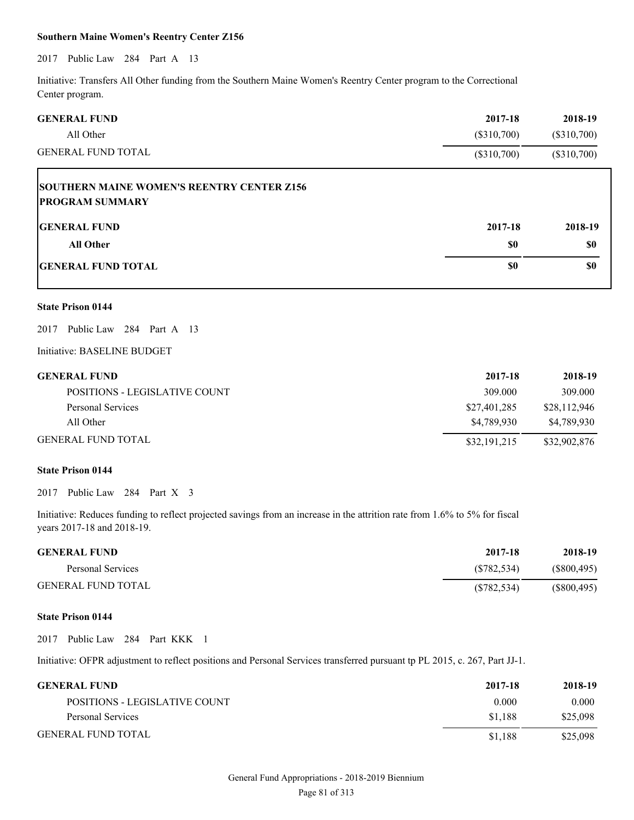# **Southern Maine Women's Reentry Center Z156**

# 2017 Public Law 284 Part A 13

Initiative: Transfers All Other funding from the Southern Maine Women's Reentry Center program to the Correctional Center program.

| <b>GENERAL FUND</b>                                                         | 2017-18       | 2018-19       |
|-----------------------------------------------------------------------------|---------------|---------------|
| All Other                                                                   | $(\$310,700)$ | $(\$310,700)$ |
| GENERAL FUND TOTAL                                                          | $(\$310,700)$ | $(\$310,700)$ |
| <b>SOUTHERN MAINE WOMEN'S REENTRY CENTER Z156</b><br><b>PROGRAM SUMMARY</b> |               |               |
| <b>GENERAL FUND</b>                                                         | 2017-18       | 2018-19       |
| <b>All Other</b>                                                            | \$0           | \$0           |
| <b>GENERAL FUND TOTAL</b>                                                   | \$0           | \$0           |
|                                                                             |               |               |

# **State Prison 0144**

2017 Public Law 284 Part A 13

## Initiative: BASELINE BUDGET

| <b>GENERAL FUND</b>           | 2017-18      | 2018-19      |
|-------------------------------|--------------|--------------|
| POSITIONS - LEGISLATIVE COUNT | 309.000      | 309.000      |
| Personal Services             | \$27,401,285 | \$28.112.946 |
| All Other                     | \$4,789,930  | \$4.789.930  |
| <b>GENERAL FUND TOTAL</b>     | \$32,191,215 | \$32,902,876 |

### **State Prison 0144**

2017 Public Law 284 Part X 3

Initiative: Reduces funding to reflect projected savings from an increase in the attrition rate from 1.6% to 5% for fiscal years 2017-18 and 2018-19.

| <b>GENERAL FUND</b>       | 2017-18     | 2018-19     |
|---------------------------|-------------|-------------|
| Personal Services         | (S782.534)  | (S800, 495) |
| <b>GENERAL FUND TOTAL</b> | (S782, 534) | (S800, 495) |

# **State Prison 0144**

2017 Public Law 284 Part KKK 1

Initiative: OFPR adjustment to reflect positions and Personal Services transferred pursuant tp PL 2015, c. 267, Part JJ-1.

| <b>GENERAL FUND</b>           | 2017-18 | 2018-19  |
|-------------------------------|---------|----------|
| POSITIONS - LEGISLATIVE COUNT | 0.000   | 0.000    |
| Personal Services             | \$1.188 | \$25,098 |
| <b>GENERAL FUND TOTAL</b>     | \$1.188 | \$25,098 |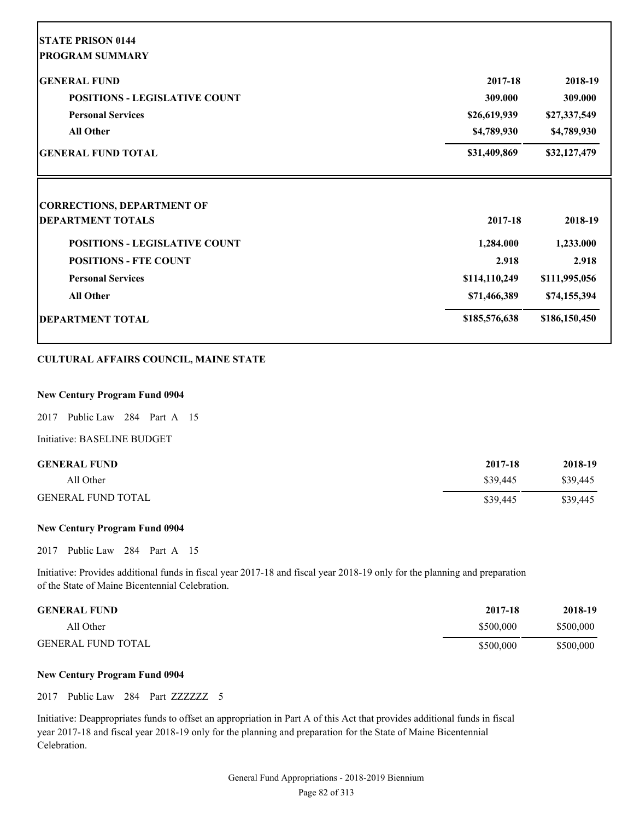| <b>STATE PRISON 0144</b>                                                                  |               |                      |
|-------------------------------------------------------------------------------------------|---------------|----------------------|
| <b>PROGRAM SUMMARY</b>                                                                    |               |                      |
| <b>GENERAL FUND</b>                                                                       | 2017-18       | 2018-19              |
| <b>POSITIONS - LEGISLATIVE COUNT</b>                                                      | 309.000       | 309.000              |
| <b>Personal Services</b>                                                                  | \$26,619,939  | \$27,337,549         |
| <b>All Other</b>                                                                          | \$4,789,930   | \$4,789,930          |
| <b>GENERAL FUND TOTAL</b>                                                                 | \$31,409,869  | \$32,127,479         |
|                                                                                           |               |                      |
|                                                                                           |               |                      |
|                                                                                           | 2017-18       |                      |
| <b>POSITIONS - LEGISLATIVE COUNT</b>                                                      | 1,284.000     | 2018-19<br>1,233.000 |
| <b>POSITIONS - FTE COUNT</b>                                                              | 2.918         | 2.918                |
| <b>CORRECTIONS, DEPARTMENT OF</b><br><b>DEPARTMENT TOTALS</b><br><b>Personal Services</b> | \$114,110,249 | \$111,995,056        |
| <b>All Other</b>                                                                          | \$71,466,389  | \$74,155,394         |

# **CULTURAL AFFAIRS COUNCIL, MAINE STATE**

#### **New Century Program Fund 0904**

2017 Public Law 284 Part A 15

Initiative: BASELINE BUDGET

| <b>GENERAL FUND</b>       | 2017-18  | 2018-19  |
|---------------------------|----------|----------|
| All Other                 | \$39,445 | \$39.445 |
| <b>GENERAL FUND TOTAL</b> | \$39,445 | \$39,445 |

# **New Century Program Fund 0904**

2017 Public Law 284 Part A 15

Initiative: Provides additional funds in fiscal year 2017-18 and fiscal year 2018-19 only for the planning and preparation of the State of Maine Bicentennial Celebration.

| <b>GENERAL FUND</b>       | 2017-18   | 2018-19   |
|---------------------------|-----------|-----------|
| All Other                 | \$500,000 | \$500,000 |
| <b>GENERAL FUND TOTAL</b> | \$500,000 | \$500,000 |

# **New Century Program Fund 0904**

2017 Public Law 284 Part ZZZZZZZ 5

Initiative: Deappropriates funds to offset an appropriation in Part A of this Act that provides additional funds in fiscal year 2017-18 and fiscal year 2018-19 only for the planning and preparation for the State of Maine Bicentennial Celebration.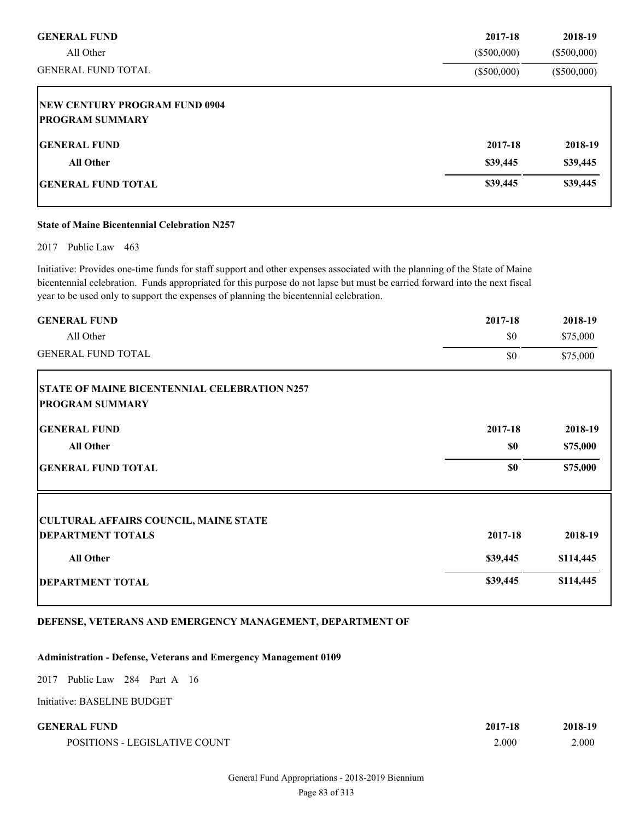| <b>GENERAL FUND</b>                  | 2017-18       | 2018-19       |
|--------------------------------------|---------------|---------------|
| All Other                            | $(\$500,000)$ | $(\$500,000)$ |
| <b>GENERAL FUND TOTAL</b>            | $(\$500,000)$ | $(\$500,000)$ |
| <b>NEW CENTURY PROGRAM FUND 0904</b> |               |               |
| <b>PROGRAM SUMMARY</b>               |               |               |
| <b>IGENERAL FUND</b>                 | 2017-18       | 2018-19       |
| <b>All Other</b>                     | \$39,445      | \$39,445      |
| <b>IGENERAL FUND TOTAL</b>           | \$39,445      | \$39,445      |

#### **State of Maine Bicentennial Celebration N257**

2017 Public Law 463

Initiative: Provides one-time funds for staff support and other expenses associated with the planning of the State of Maine bicentennial celebration. Funds appropriated for this purpose do not lapse but must be carried forward into the next fiscal year to be used only to support the expenses of planning the bicentennial celebration.

| <b>GENERAL FUND</b>                                 | 2017-18  | 2018-19   |
|-----------------------------------------------------|----------|-----------|
| All Other                                           | \$0      | \$75,000  |
| <b>GENERAL FUND TOTAL</b>                           | \$0      | \$75,000  |
| <b>STATE OF MAINE BICENTENNIAL CELEBRATION N257</b> |          |           |
| <b>PROGRAM SUMMARY</b>                              |          |           |
| <b>GENERAL FUND</b>                                 | 2017-18  | 2018-19   |
| <b>All Other</b>                                    | \$0      | \$75,000  |
| <b>GENERAL FUND TOTAL</b>                           | \$0      | \$75,000  |
| <b>CULTURAL AFFAIRS COUNCIL, MAINE STATE</b>        |          |           |
| <b>DEPARTMENT TOTALS</b>                            | 2017-18  | 2018-19   |
| <b>All Other</b>                                    | \$39,445 | \$114,445 |
| <b>DEPARTMENT TOTAL</b>                             | \$39,445 | \$114,445 |

# **DEFENSE, VETERANS AND EMERGENCY MANAGEMENT, DEPARTMENT OF**

#### **Administration - Defense, Veterans and Emergency Management 0109**

2017 Public Law 284 Part A 16

Initiative: BASELINE BUDGET

| <b>GENERAL FUND</b> | 2017-18 | 2018-19 |
|---------------------|---------|---------|
|                     |         |         |
|                     |         |         |

POSITIONS - LEGISLATIVE COUNT 2.000 2.000 2.000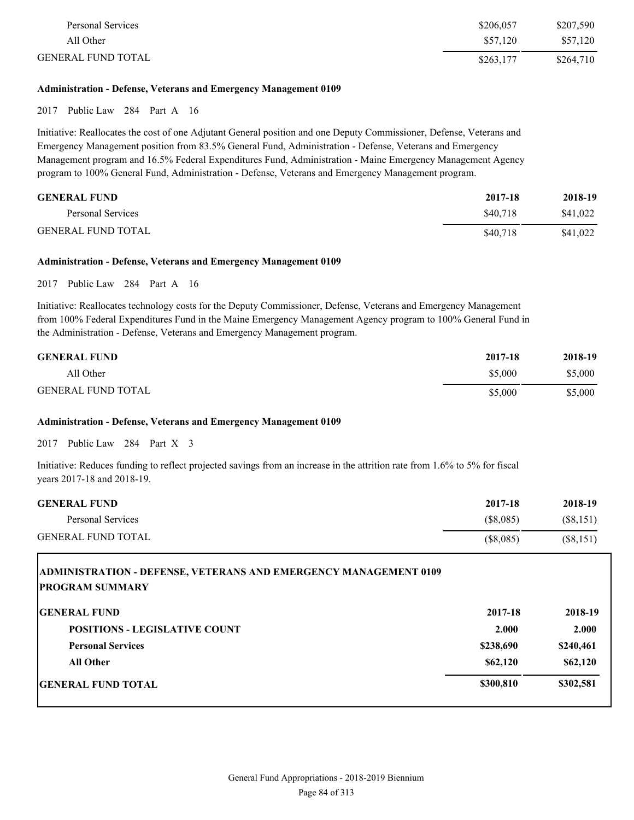| Personal Services         | \$206,057 | \$207,590 |
|---------------------------|-----------|-----------|
| All Other                 | \$57,120  | \$57,120  |
| <b>GENERAL FUND TOTAL</b> | \$263.177 | \$264,710 |

# **Administration - Defense, Veterans and Emergency Management 0109**

2017 Public Law 284 Part A 16

Initiative: Reallocates the cost of one Adjutant General position and one Deputy Commissioner, Defense, Veterans and Emergency Management position from 83.5% General Fund, Administration - Defense, Veterans and Emergency Management program and 16.5% Federal Expenditures Fund, Administration - Maine Emergency Management Agency program to 100% General Fund, Administration - Defense, Veterans and Emergency Management program.

| <b>GENERAL FUND</b>       | 2017-18  | 2018-19  |
|---------------------------|----------|----------|
| Personal Services         | \$40.718 | \$41.022 |
| <b>GENERAL FUND TOTAL</b> | \$40.718 | \$41,022 |

#### **Administration - Defense, Veterans and Emergency Management 0109**

2017 Public Law 284 Part A 16

Initiative: Reallocates technology costs for the Deputy Commissioner, Defense, Veterans and Emergency Management from 100% Federal Expenditures Fund in the Maine Emergency Management Agency program to 100% General Fund in the Administration - Defense, Veterans and Emergency Management program.

| <b>GENERAL FUND</b>       | 2017-18 | 2018-19 |
|---------------------------|---------|---------|
| All Other                 | \$5,000 | \$5,000 |
| <b>GENERAL FUND TOTAL</b> | \$5,000 | \$5,000 |

## **Administration - Defense, Veterans and Emergency Management 0109**

2017 Public Law 284 Part X 3

Г

Initiative: Reduces funding to reflect projected savings from an increase in the attrition rate from 1.6% to 5% for fiscal years 2017-18 and 2018-19.

| <b>GENERAL FUND</b>       | 2017-18   | 2018-19   |
|---------------------------|-----------|-----------|
| Personal Services         | (\$8,085) | (S8, 151) |
| <b>GENERAL FUND TOTAL</b> | (S8,085)  | (S8, 151) |

| <b>ADMINISTRATION - DEFENSE, VETERANS AND EMERGENCY MANAGEMENT 0109</b><br><b>PROGRAM SUMMARY</b> |           |           |
|---------------------------------------------------------------------------------------------------|-----------|-----------|
| <b>IGENERAL FUND</b>                                                                              | 2017-18   | 2018-19   |
| <b>POSITIONS - LEGISLATIVE COUNT</b>                                                              | 2.000     | 2.000     |
| <b>Personal Services</b>                                                                          | \$238,690 | \$240,461 |
| <b>All Other</b>                                                                                  | \$62,120  | \$62,120  |
| GENERAL FUND TOTAL                                                                                | \$300,810 | \$302,581 |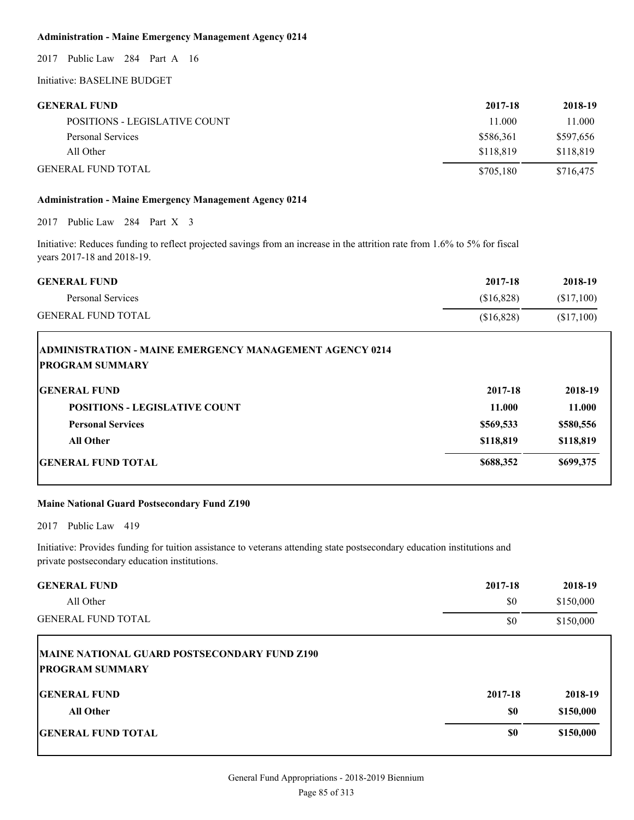# **Administration - Maine Emergency Management Agency 0214**

2017 Public Law 284 Part A 16

# Initiative: BASELINE BUDGET

| <b>GENERAL FUND</b>           | 2017-18   | 2018-19   |
|-------------------------------|-----------|-----------|
| POSITIONS - LEGISLATIVE COUNT | 11.000    | 11.000    |
| Personal Services             | \$586.361 | \$597,656 |
| All Other                     | \$118.819 | \$118,819 |
| <b>GENERAL FUND TOTAL</b>     | \$705,180 | \$716,475 |

# **Administration - Maine Emergency Management Agency 0214**

2017 Public Law 284 Part X 3

Initiative: Reduces funding to reflect projected savings from an increase in the attrition rate from 1.6% to 5% for fiscal years 2017-18 and 2018-19.

| <b>GENERAL FUND</b>       | 2017-18    | 2018-19   |
|---------------------------|------------|-----------|
| Personal Services         | (S16.828)  | (S17,100) |
| <b>GENERAL FUND TOTAL</b> | (S16, 828) | (S17,100) |

| <b>ADMINISTRATION - MAINE EMERGENCY MANAGEMENT AGENCY 0214</b><br><b>IPROGRAM SUMMARY</b> |           |           |
|-------------------------------------------------------------------------------------------|-----------|-----------|
| <b>IGENERAL FUND</b>                                                                      | 2017-18   | 2018-19   |
| <b>POSITIONS - LEGISLATIVE COUNT</b>                                                      | 11.000    | 11.000    |
| <b>Personal Services</b>                                                                  | \$569,533 | \$580,556 |
| <b>All Other</b>                                                                          | \$118,819 | \$118,819 |
| <b>IGENERAL FUND TOTAL</b>                                                                | \$688,352 | \$699,375 |

# **Maine National Guard Postsecondary Fund Z190**

2017 Public Law 419

Initiative: Provides funding for tuition assistance to veterans attending state postsecondary education institutions and private postsecondary education institutions.

| <b>GENERAL FUND</b>                                                           | 2017-18 | 2018-19   |
|-------------------------------------------------------------------------------|---------|-----------|
| All Other                                                                     | \$0     | \$150,000 |
| <b>GENERAL FUND TOTAL</b>                                                     | \$0     | \$150,000 |
| <b>MAINE NATIONAL GUARD POSTSECONDARY FUND Z190</b><br><b>PROGRAM SUMMARY</b> |         |           |
| <b>IGENERAL FUND</b>                                                          | 2017-18 | 2018-19   |
| <b>All Other</b>                                                              | \$0     | \$150,000 |
| <b>GENERAL FUND TOTAL</b>                                                     | \$0     | \$150,000 |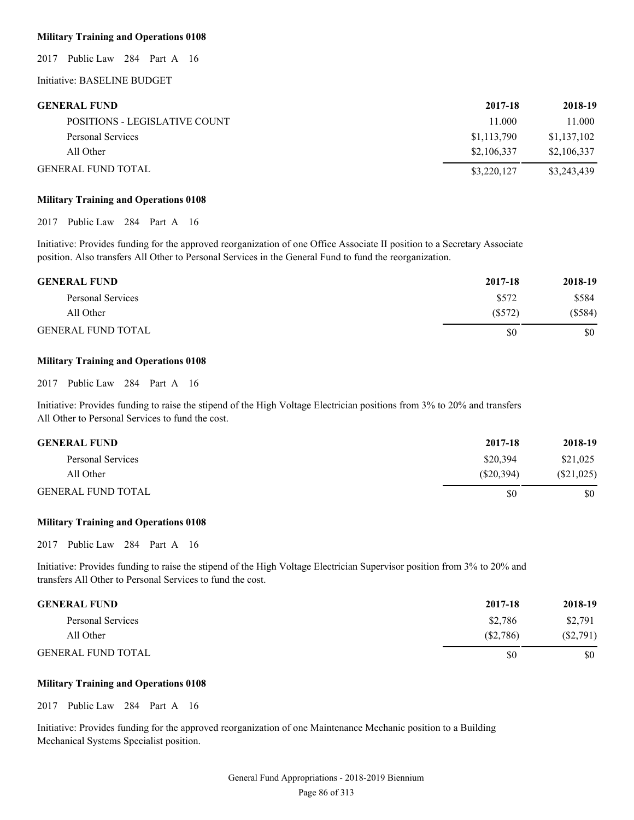### **Military Training and Operations 0108**

2017 Public Law 284 Part A 16

Initiative: BASELINE BUDGET

| <b>GENERAL FUND</b>           | 2017-18     | 2018-19     |
|-------------------------------|-------------|-------------|
| POSITIONS - LEGISLATIVE COUNT | 11.000      | 11.000      |
| Personal Services             | \$1,113,790 | \$1,137,102 |
| All Other                     | \$2,106,337 | \$2,106,337 |
| <b>GENERAL FUND TOTAL</b>     | \$3,220,127 | \$3,243,439 |

#### **Military Training and Operations 0108**

2017 Public Law 284 Part A 16

Initiative: Provides funding for the approved reorganization of one Office Associate II position to a Secretary Associate position. Also transfers All Other to Personal Services in the General Fund to fund the reorganization.

| <b>GENERAL FUND</b>       | 2017-18   | 2018-19   |
|---------------------------|-----------|-----------|
| Personal Services         | \$572     | \$584     |
| All Other                 | $(\$572)$ | $(\$584)$ |
| <b>GENERAL FUND TOTAL</b> | \$0       | \$0       |

#### **Military Training and Operations 0108**

2017 Public Law 284 Part A 16

Initiative: Provides funding to raise the stipend of the High Voltage Electrician positions from 3% to 20% and transfers All Other to Personal Services to fund the cost.

| <b>GENERAL FUND</b>       | 2017-18    | 2018-19      |
|---------------------------|------------|--------------|
| Personal Services         | \$20,394   | \$21,025     |
| All Other                 | (S20, 394) | $(\$21,025)$ |
| <b>GENERAL FUND TOTAL</b> | S0         | \$0          |

#### **Military Training and Operations 0108**

2017 Public Law 284 Part A 16

Initiative: Provides funding to raise the stipend of the High Voltage Electrician Supervisor position from 3% to 20% and transfers All Other to Personal Services to fund the cost.

| <b>GENERAL FUND</b>       | 2017-18  | 2018-19     |
|---------------------------|----------|-------------|
| Personal Services         | \$2.786  | \$2,791     |
| All Other                 | (S2,786) | $(\$2,791)$ |
| <b>GENERAL FUND TOTAL</b> | S0       | \$0         |

# **Military Training and Operations 0108**

2017 Public Law 284 Part A 16

Initiative: Provides funding for the approved reorganization of one Maintenance Mechanic position to a Building Mechanical Systems Specialist position.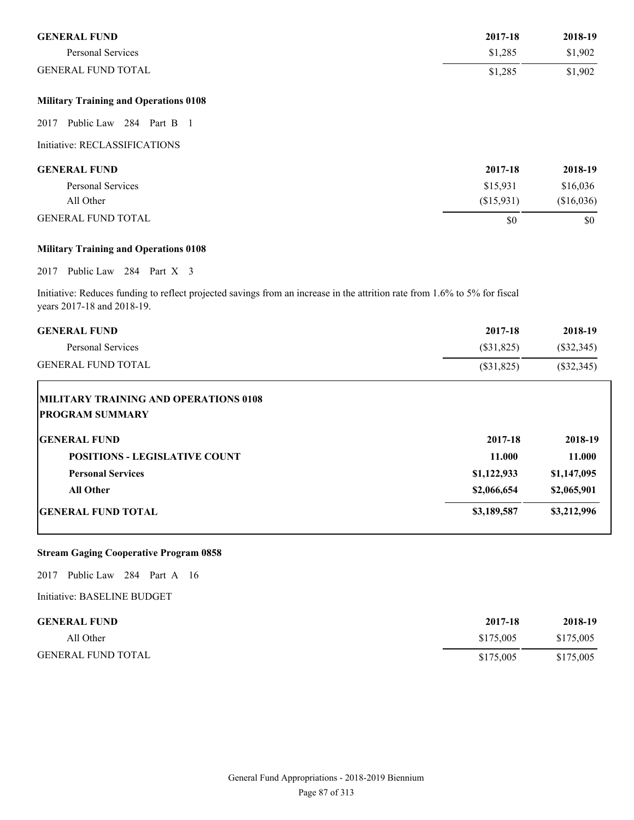| <b>GENERAL FUND</b>                          | 2017-18    | 2018-19    |
|----------------------------------------------|------------|------------|
| <b>Personal Services</b>                     | \$1,285    | \$1,902    |
| <b>GENERAL FUND TOTAL</b>                    | \$1,285    | \$1,902    |
| <b>Military Training and Operations 0108</b> |            |            |
| Public Law 284 Part B 1<br>2017              |            |            |
| Initiative: RECLASSIFICATIONS                |            |            |
| <b>GENERAL FUND</b>                          | 2017-18    | 2018-19    |
| Personal Services                            | \$15,931   | \$16,036   |
| All Other                                    | (\$15,931) | (\$16,036) |
| <b>GENERAL FUND TOTAL</b>                    | \$0        | \$0        |

# **Military Training and Operations 0108**

2017 Public Law 284 Part X 3

Initiative: Reduces funding to reflect projected savings from an increase in the attrition rate from 1.6% to 5% for fiscal years 2017-18 and 2018-19.

| 2017-18     | 2018-19      |
|-------------|--------------|
| (\$31,825)  | $(\$32,345)$ |
| (\$31,825)  | $(\$32,345)$ |
|             |              |
|             |              |
| 2017-18     | 2018-19      |
| 11.000      | 11.000       |
| \$1,122,933 | \$1,147,095  |
| \$2,066,654 | \$2,065,901  |
| \$3,189,587 | \$3,212,996  |
|             |              |

# **Stream Gaging Cooperative Program 0858**

2017 Public Law 284 Part A 16

| <b>GENERAL FUND</b>       | 2017-18   | 2018-19   |
|---------------------------|-----------|-----------|
| All Other                 | \$175,005 | \$175,005 |
| <b>GENERAL FUND TOTAL</b> | \$175,005 | \$175,005 |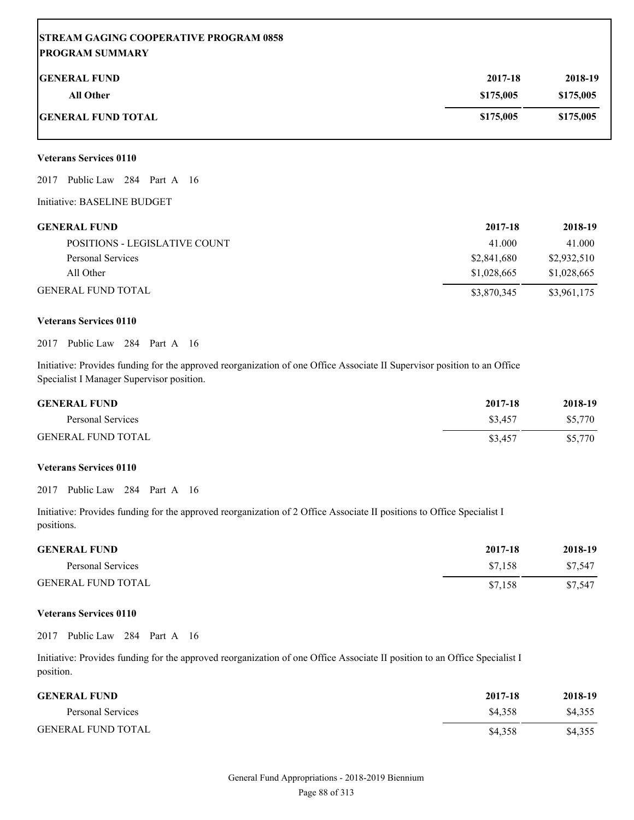# **STREAM GAGING COOPERATIVE PROGRAM 0858 PROGRAM SUMMARY**

| <b>GENERAL FUND</b>       | 2017-18   | 2018-19   |
|---------------------------|-----------|-----------|
| <b>All Other</b>          | \$175,005 | \$175,005 |
| <b>GENERAL FUND TOTAL</b> | \$175,005 | \$175,005 |

#### **Veterans Services 0110**

2017 Public Law 284 Part A 16

Initiative: BASELINE BUDGET

| <b>GENERAL FUND</b>           | 2017-18     | 2018-19     |
|-------------------------------|-------------|-------------|
| POSITIONS - LEGISLATIVE COUNT | 41.000      | 41.000      |
| Personal Services             | \$2,841,680 | \$2,932,510 |
| All Other                     | \$1,028,665 | \$1,028,665 |
| <b>GENERAL FUND TOTAL</b>     | \$3,870,345 | \$3,961,175 |

#### **Veterans Services 0110**

2017 Public Law 284 Part A 16

Initiative: Provides funding for the approved reorganization of one Office Associate II Supervisor position to an Office Specialist I Manager Supervisor position.

| <b>GENERAL FUND</b>       | 2017-18 | 2018-19 |
|---------------------------|---------|---------|
| Personal Services         | \$3.457 | \$5.770 |
| <b>GENERAL FUND TOTAL</b> | \$3,457 | \$5,770 |

# **Veterans Services 0110**

2017 Public Law 284 Part A 16

Initiative: Provides funding for the approved reorganization of 2 Office Associate II positions to Office Specialist I positions.

| <b>GENERAL FUND</b>       | 2017-18 | 2018-19 |
|---------------------------|---------|---------|
| Personal Services         | \$7.158 | \$7.547 |
| <b>GENERAL FUND TOTAL</b> | \$7,158 | \$7.547 |

## **Veterans Services 0110**

2017 Public Law 284 Part A 16

Initiative: Provides funding for the approved reorganization of one Office Associate II position to an Office Specialist I position.

| <b>GENERAL FUND</b>       | 2017-18 | 2018-19 |
|---------------------------|---------|---------|
| Personal Services         | \$4.358 | \$4.355 |
| <b>GENERAL FUND TOTAL</b> | \$4.358 | \$4,355 |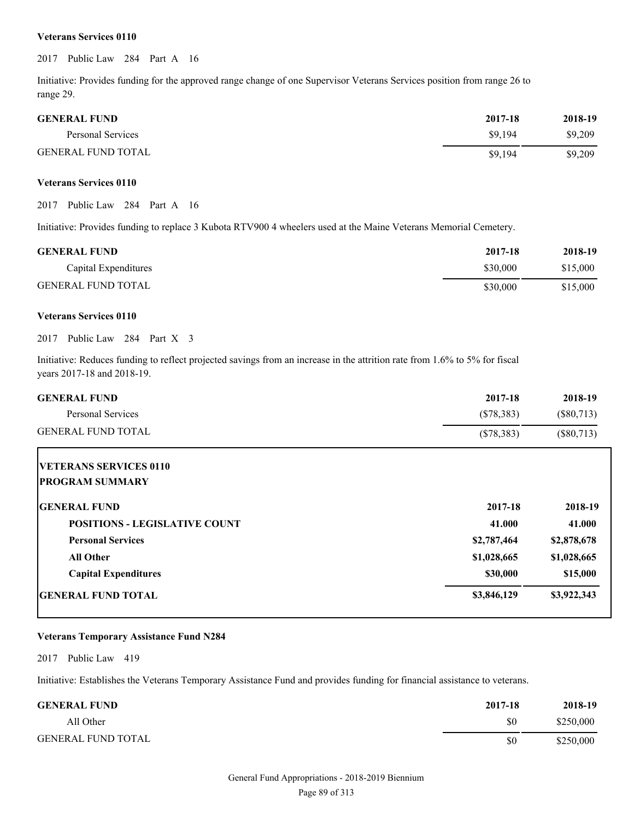#### **Veterans Services 0110**

2017 Public Law 284 Part A 16

Initiative: Provides funding for the approved range change of one Supervisor Veterans Services position from range 26 to range 29.

| <b>GENERAL FUND</b>       | 2017-18 | 2018-19 |
|---------------------------|---------|---------|
| Personal Services         | \$9.194 | \$9,209 |
| <b>GENERAL FUND TOTAL</b> | \$9.194 | \$9,209 |

### **Veterans Services 0110**

2017 Public Law 284 Part A 16

Initiative: Provides funding to replace 3 Kubota RTV900 4 wheelers used at the Maine Veterans Memorial Cemetery.

| <b>GENERAL FUND</b>       | 2017-18  | 2018-19  |
|---------------------------|----------|----------|
| Capital Expenditures      | \$30.000 | \$15,000 |
| <b>GENERAL FUND TOTAL</b> | \$30,000 | \$15,000 |

#### **Veterans Services 0110**

2017 Public Law 284 Part X 3

Initiative: Reduces funding to reflect projected savings from an increase in the attrition rate from 1.6% to 5% for fiscal years 2017-18 and 2018-19.

| <b>GENERAL FUND</b>                                     | 2017-18      | 2018-19      |
|---------------------------------------------------------|--------------|--------------|
| Personal Services                                       | (\$78,383)   | $(\$80,713)$ |
| <b>GENERAL FUND TOTAL</b>                               | $(\$78,383)$ | $(\$80,713)$ |
| <b>VETERANS SERVICES 0110</b><br><b>PROGRAM SUMMARY</b> |              |              |
| <b>GENERAL FUND</b>                                     | 2017-18      | 2018-19      |
| <b>POSITIONS - LEGISLATIVE COUNT</b>                    | 41.000       | 41.000       |
| <b>Personal Services</b>                                | \$2,787,464  | \$2,878,678  |
| <b>All Other</b>                                        | \$1,028,665  | \$1,028,665  |
| <b>Capital Expenditures</b>                             | \$30,000     | \$15,000     |
| <b>GENERAL FUND TOTAL</b>                               | \$3,846,129  | \$3,922,343  |

#### **Veterans Temporary Assistance Fund N284**

2017 Public Law 419

Initiative: Establishes the Veterans Temporary Assistance Fund and provides funding for financial assistance to veterans.

| <b>GENERAL FUND</b>       | 2017-18 | 2018-19   |
|---------------------------|---------|-----------|
| All Other                 | \$0     | \$250,000 |
| <b>GENERAL FUND TOTAL</b> | \$0     | \$250,000 |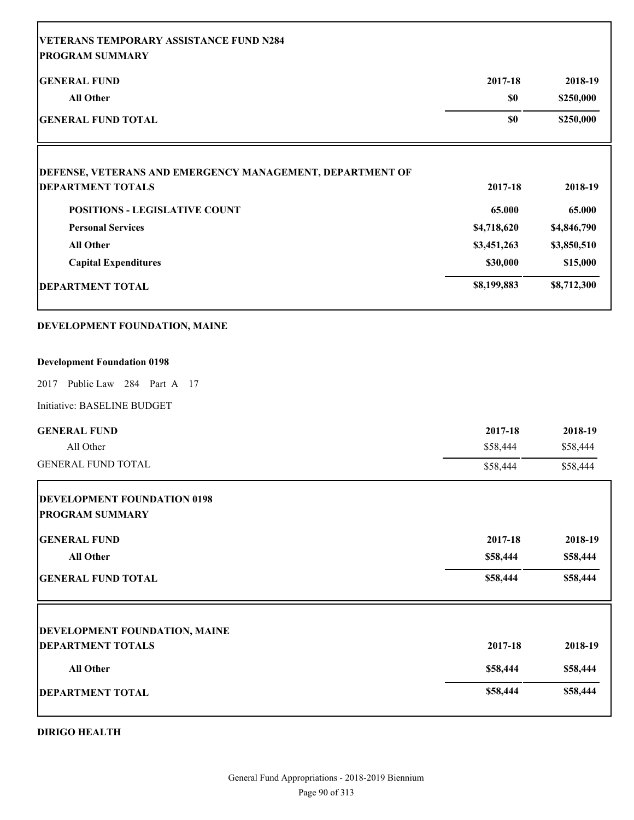| <b>VETERANS TEMPORARY ASSISTANCE FUND N284</b>               |             |             |
|--------------------------------------------------------------|-------------|-------------|
| <b>PROGRAM SUMMARY</b>                                       |             |             |
| <b>GENERAL FUND</b>                                          | 2017-18     | 2018-19     |
| <b>All Other</b>                                             | \$0         | \$250,000   |
| <b>GENERAL FUND TOTAL</b>                                    | \$0         | \$250,000   |
| DEFENSE, VETERANS AND EMERGENCY MANAGEMENT, DEPARTMENT OF    |             |             |
| <b>DEPARTMENT TOTALS</b>                                     | 2017-18     | 2018-19     |
| <b>POSITIONS - LEGISLATIVE COUNT</b>                         | 65.000      | 65.000      |
| <b>Personal Services</b>                                     | \$4,718,620 | \$4,846,790 |
| <b>All Other</b>                                             | \$3,451,263 | \$3,850,510 |
| <b>Capital Expenditures</b>                                  | \$30,000    | \$15,000    |
| <b>DEPARTMENT TOTAL</b>                                      | \$8,199,883 | \$8,712,300 |
| DEVELOPMENT FOUNDATION, MAINE                                |             |             |
| <b>Development Foundation 0198</b>                           |             |             |
| Public Law 284 Part A 17<br>2017                             |             |             |
| Initiative: BASELINE BUDGET                                  |             |             |
| <b>GENERAL FUND</b>                                          | 2017-18     | 2018-19     |
| All Other                                                    | \$58,444    | \$58,444    |
| <b>GENERAL FUND TOTAL</b>                                    | \$58,444    | \$58,444    |
| <b>DEVELOPMENT FOUNDATION 0198</b><br><b>PROGRAM SUMMARY</b> |             |             |
| <b>GENERAL FUND</b>                                          | 2017-18     | 2018-19     |
| All Other                                                    | \$58,444    | \$58,444    |
| <b>GENERAL FUND TOTAL</b>                                    | \$58,444    | \$58,444    |
|                                                              |             |             |
| <b>DEVELOPMENT FOUNDATION, MAINE</b>                         |             |             |
| <b>DEPARTMENT TOTALS</b>                                     | 2017-18     | 2018-19     |
| All Other                                                    | \$58,444    | \$58,444    |
| <b>DEPARTMENT TOTAL</b>                                      | \$58,444    | \$58,444    |

# **DIRIGO HEALTH**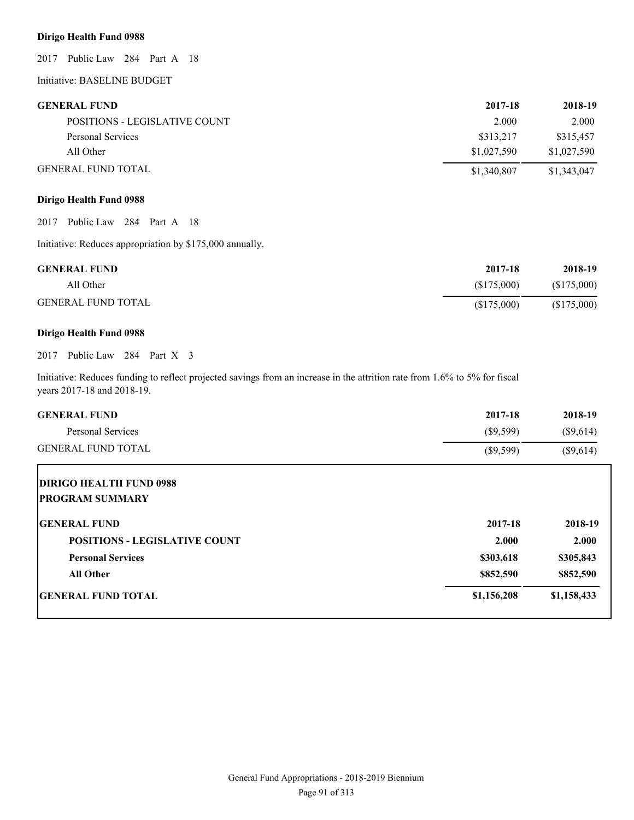# **Dirigo Health Fund 0988**

2017 Public Law 284 Part A 18

Initiative: BASELINE BUDGET

| <b>GENERAL FUND</b>           | 2017-18     | 2018-19     |
|-------------------------------|-------------|-------------|
| POSITIONS - LEGISLATIVE COUNT | 2.000       | 2.000       |
| Personal Services             | \$313,217   | \$315,457   |
| All Other                     | \$1,027,590 | \$1,027,590 |
| <b>GENERAL FUND TOTAL</b>     | \$1,340,807 | \$1,343,047 |

# **Dirigo Health Fund 0988**

2017 Public Law 284 Part A 18

Initiative: Reduces appropriation by \$175,000 annually.

| <b>GENERAL FUND</b>       | 2017-18    | 2018-19    |
|---------------------------|------------|------------|
| All Other                 | (S175,000) | (S175,000) |
| <b>GENERAL FUND TOTAL</b> | (S175,000) | (S175,000) |

# **Dirigo Health Fund 0988**

2017 Public Law 284 Part X 3

Initiative: Reduces funding to reflect projected savings from an increase in the attrition rate from 1.6% to 5% for fiscal years 2017-18 and 2018-19.

| <b>GENERAL FUND</b>                  | 2017-18     | 2018-19     |
|--------------------------------------|-------------|-------------|
| Personal Services                    | $(\$9,599)$ | $(\$9,614)$ |
| <b>GENERAL FUND TOTAL</b>            | $(\$9,599)$ | $(\$9,614)$ |
| <b>DIRIGO HEALTH FUND 0988</b>       |             |             |
| <b>PROGRAM SUMMARY</b>               |             |             |
| <b>GENERAL FUND</b>                  | 2017-18     | 2018-19     |
| <b>POSITIONS - LEGISLATIVE COUNT</b> | 2.000       | 2.000       |
| <b>Personal Services</b>             | \$303,618   | \$305,843   |
| <b>All Other</b>                     | \$852,590   | \$852,590   |
| <b>GENERAL FUND TOTAL</b>            | \$1,156,208 | \$1,158,433 |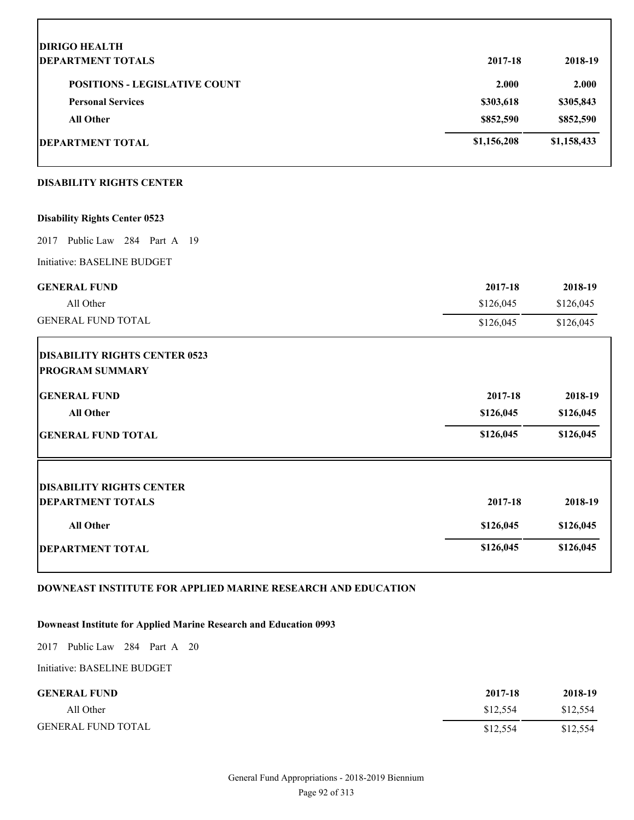| <b>DIRIGO HEALTH</b>                                           |             |             |
|----------------------------------------------------------------|-------------|-------------|
| <b>DEPARTMENT TOTALS</b>                                       | 2017-18     | 2018-19     |
| <b>POSITIONS - LEGISLATIVE COUNT</b>                           | 2.000       | 2.000       |
| <b>Personal Services</b>                                       | \$303,618   | \$305,843   |
| <b>All Other</b>                                               | \$852,590   | \$852,590   |
| <b>DEPARTMENT TOTAL</b>                                        | \$1,156,208 | \$1,158,433 |
| <b>DISABILITY RIGHTS CENTER</b>                                |             |             |
| <b>Disability Rights Center 0523</b>                           |             |             |
| 2017 Public Law 284 Part A 19                                  |             |             |
| Initiative: BASELINE BUDGET                                    |             |             |
| <b>GENERAL FUND</b>                                            | 2017-18     | 2018-19     |
| All Other                                                      | \$126,045   | \$126,045   |
| <b>GENERAL FUND TOTAL</b>                                      | \$126,045   | \$126,045   |
| <b>DISABILITY RIGHTS CENTER 0523</b><br><b>PROGRAM SUMMARY</b> |             |             |
| <b>GENERAL FUND</b>                                            | 2017-18     | 2018-19     |
| <b>All Other</b>                                               | \$126,045   | \$126,045   |
| <b>GENERAL FUND TOTAL</b>                                      | \$126,045   | \$126,045   |
|                                                                |             |             |
| <b>DISABILITY RIGHTS CENTER</b><br><b>DEPARTMENT TOTALS</b>    | 2017-18     | 2018-19     |
| <b>All Other</b>                                               | \$126,045   | \$126,045   |
|                                                                |             |             |
| <b>DEPARTMENT TOTAL</b>                                        | \$126,045   | \$126,045   |

# **DOWNEAST INSTITUTE FOR APPLIED MARINE RESEARCH AND EDUCATION**

# **Downeast Institute for Applied Marine Research and Education 0993**

2017 Public Law 284 Part A 20

Initiative: BASELINE BUDGET

Г

| <b>GENERAL FUND</b>       | 2017-18  | 2018-19  |
|---------------------------|----------|----------|
| All Other                 | \$12.554 | \$12,554 |
| <b>GENERAL FUND TOTAL</b> | \$12,554 | \$12,554 |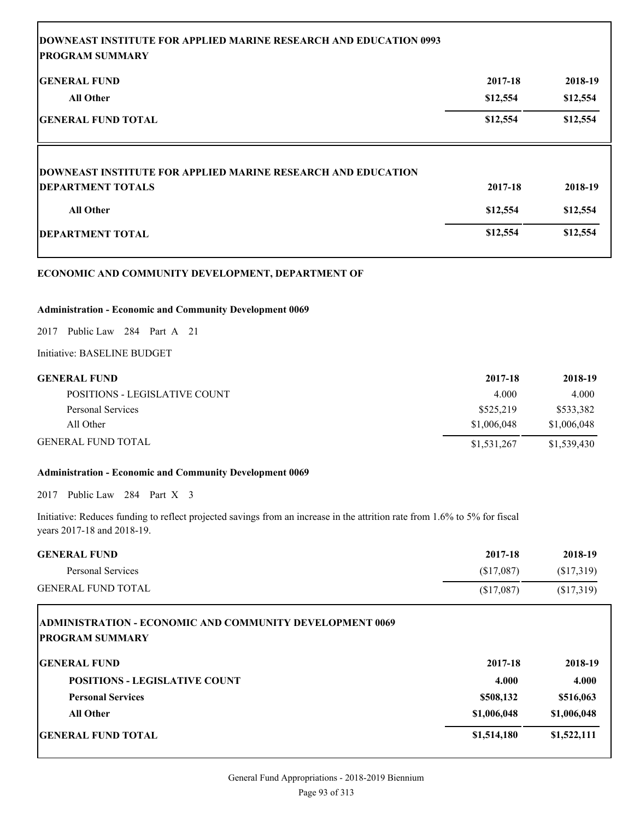| <b>DOWNEAST INSTITUTE FOR APPLIED MARINE RESEARCH AND EDUCATION 0993</b> |          |          |
|--------------------------------------------------------------------------|----------|----------|
| <b>PROGRAM SUMMARY</b>                                                   |          |          |
| <b>IGENERAL FUND</b>                                                     | 2017-18  | 2018-19  |
| <b>All Other</b>                                                         | \$12,554 | \$12,554 |
| GENERAL FUND TOTAL                                                       | \$12,554 | \$12,554 |
|                                                                          |          |          |
|                                                                          |          |          |
| <b>DOWNEAST INSTITUTE FOR APPLIED MARINE RESEARCH AND EDUCATION</b>      |          |          |
| <b>DEPARTMENT TOTALS</b>                                                 | 2017-18  | 2018-19  |
| <b>All Other</b>                                                         | \$12,554 | \$12,554 |
| DEPARTMENT TOTAL                                                         | \$12,554 | \$12,554 |
|                                                                          |          |          |

# **ECONOMIC AND COMMUNITY DEVELOPMENT, DEPARTMENT OF**

# **Administration - Economic and Community Development 0069**

2017 Public Law 284 Part A 21

Initiative: BASELINE BUDGET

| <b>GENERAL FUND</b>           | 2017-18     | 2018-19     |
|-------------------------------|-------------|-------------|
| POSITIONS - LEGISLATIVE COUNT | 4.000       | 4.000       |
| Personal Services             | \$525,219   | \$533,382   |
| All Other                     | \$1,006,048 | \$1,006,048 |
| <b>GENERAL FUND TOTAL</b>     | \$1,531,267 | \$1,539,430 |

# **Administration - Economic and Community Development 0069**

2017 Public Law 284 Part X 3

Initiative: Reduces funding to reflect projected savings from an increase in the attrition rate from 1.6% to 5% for fiscal years 2017-18 and 2018-19.

| <b>GENERAL FUND</b>       | 2017-18    | 2018-19   |
|---------------------------|------------|-----------|
| Personal Services         | (S17,087)  | (S17,319) |
| <b>GENERAL FUND TOTAL</b> | (\$17,087) | (S17,319) |

| <b>ADMINISTRATION - ECONOMIC AND COMMUNITY DEVELOPMENT 0069</b><br><b>PROGRAM SUMMARY</b> |             |             |
|-------------------------------------------------------------------------------------------|-------------|-------------|
| <b>IGENERAL FUND</b>                                                                      | 2017-18     | 2018-19     |
| <b>POSITIONS - LEGISLATIVE COUNT</b>                                                      | 4.000       | 4.000       |
| <b>Personal Services</b>                                                                  | \$508,132   | \$516,063   |
| <b>All Other</b>                                                                          | \$1,006,048 | \$1,006,048 |
| <b>IGENERAL FUND TOTAL</b>                                                                | \$1,514,180 | \$1,522,111 |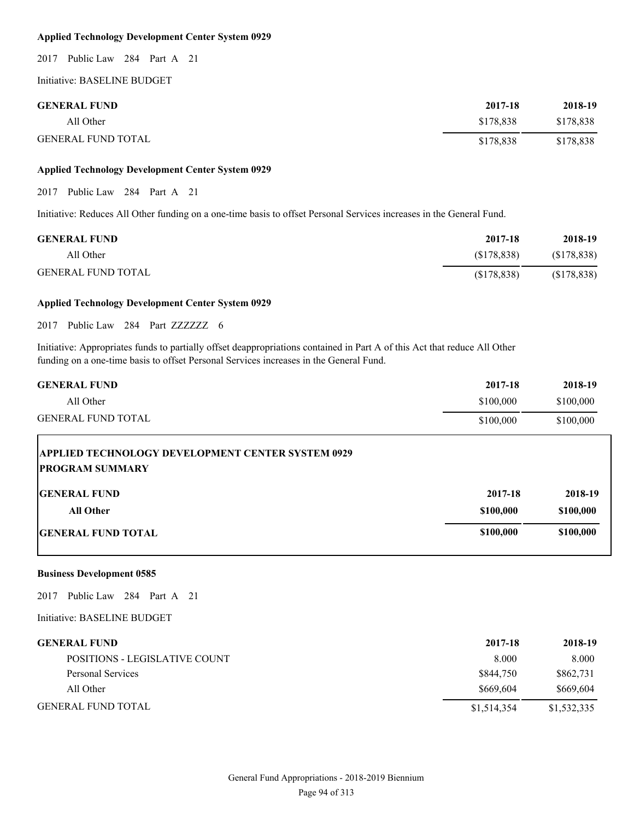# **Applied Technology Development Center System 0929**

2017 Public Law 284 Part A 21

Initiative: BASELINE BUDGET

| <b>GENERAL FUND</b>       | 2017-18   | 2018-19   |
|---------------------------|-----------|-----------|
| All Other                 | \$178.838 | \$178,838 |
| <b>GENERAL FUND TOTAL</b> | \$178.838 | \$178,838 |

# **Applied Technology Development Center System 0929**

2017 Public Law 284 Part A 21

Initiative: Reduces All Other funding on a one-time basis to offset Personal Services increases in the General Fund.

| <b>GENERAL FUND</b>       | 2017-18     | 2018-19     |
|---------------------------|-------------|-------------|
| All Other                 | (S178, 838) | (S178, 838) |
| <b>GENERAL FUND TOTAL</b> | (S178, 838) | (\$178,838) |

# **Applied Technology Development Center System 0929**

2017 Public Law 284 Part ZZZZZZZ 6

Initiative: Appropriates funds to partially offset deappropriations contained in Part A of this Act that reduce All Other funding on a one-time basis to offset Personal Services increases in the General Fund.

| 2017-18   | 2018-19   |
|-----------|-----------|
| \$100,000 | \$100,000 |
| \$100,000 | \$100,000 |
|           |           |

| <b>APPLIED TECHNOLOGY DEVELOPMENT CENTER SYSTEM 0929</b><br><b>PROGRAM SUMMARY</b> |           |           |
|------------------------------------------------------------------------------------|-----------|-----------|
| <b>IGENERAL FUND</b>                                                               | 2017-18   | 2018-19   |
| All Other                                                                          | \$100,000 | \$100,000 |
| <b>IGENERAL FUND TOTAL</b>                                                         | \$100,000 | \$100,000 |

#### **Business Development 0585**

2017 Public Law 284 Part A 21

| <b>GENERAL FUND</b>           | 2017-18     | 2018-19     |
|-------------------------------|-------------|-------------|
| POSITIONS - LEGISLATIVE COUNT | 8.000       | 8.000       |
| Personal Services             | \$844,750   | \$862,731   |
| All Other                     | \$669,604   | \$669,604   |
| <b>GENERAL FUND TOTAL</b>     | \$1,514,354 | \$1,532,335 |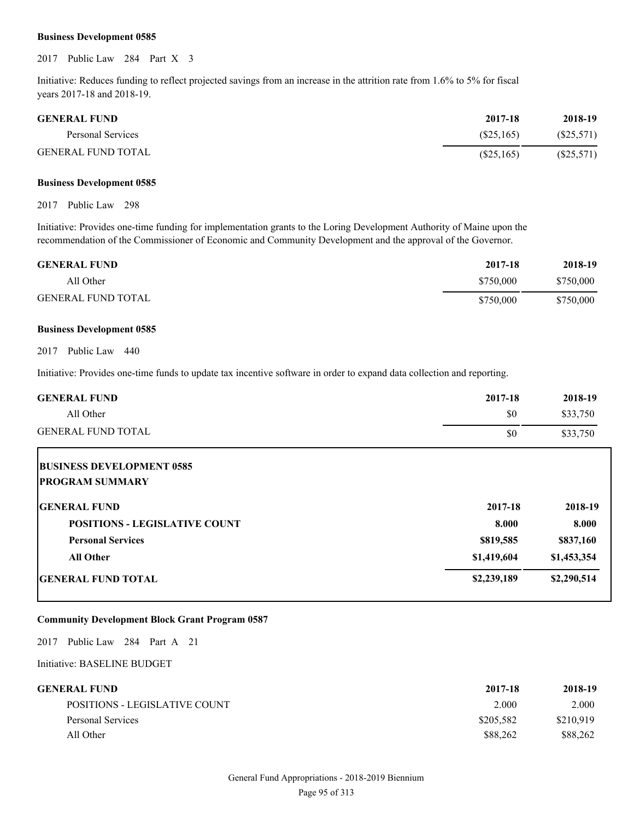### **Business Development 0585**

2017 Public Law 284 Part X 3

Initiative: Reduces funding to reflect projected savings from an increase in the attrition rate from 1.6% to 5% for fiscal years 2017-18 and 2018-19.

| <b>GENERAL FUND</b> | 2017-18   | 2018-19      |
|---------------------|-----------|--------------|
| Personal Services   | (S25.165) | $(\$25,571)$ |
| GENERAL FUND TOTAL  | (S25,165) | $(\$25,571)$ |

#### **Business Development 0585**

2017 Public Law 298

Initiative: Provides one-time funding for implementation grants to the Loring Development Authority of Maine upon the recommendation of the Commissioner of Economic and Community Development and the approval of the Governor.

| <b>GENERAL FUND</b>       | 2017-18   | 2018-19   |
|---------------------------|-----------|-----------|
| All Other                 | \$750,000 | \$750,000 |
| <b>GENERAL FUND TOTAL</b> | \$750,000 | \$750,000 |

#### **Business Development 0585**

2017 Public Law 440

Initiative: Provides one-time funds to update tax incentive software in order to expand data collection and reporting.

| <b>GENERAL FUND</b>                  | 2017-18     | 2018-19     |
|--------------------------------------|-------------|-------------|
| All Other                            | \$0         | \$33,750    |
| <b>GENERAL FUND TOTAL</b>            | \$0         | \$33,750    |
| <b>BUSINESS DEVELOPMENT 0585</b>     |             |             |
| <b>PROGRAM SUMMARY</b>               |             |             |
| <b>IGENERAL FUND</b>                 | 2017-18     | 2018-19     |
| <b>POSITIONS - LEGISLATIVE COUNT</b> | 8.000       | 8.000       |
| <b>Personal Services</b>             | \$819,585   | \$837,160   |
| <b>All Other</b>                     | \$1,419,604 | \$1,453,354 |
| <b>GENERAL FUND TOTAL</b>            | \$2,239,189 | \$2,290,514 |

### **Community Development Block Grant Program 0587**

2017 Public Law 284 Part A 21

| GENERAL FUND-                 | 2017-18   | 2018-19   |
|-------------------------------|-----------|-----------|
| POSITIONS - LEGISLATIVE COUNT | 2.000     | 2.000     |
| Personal Services             | \$205,582 | \$210.919 |
| All Other                     | \$88,262  | \$88,262  |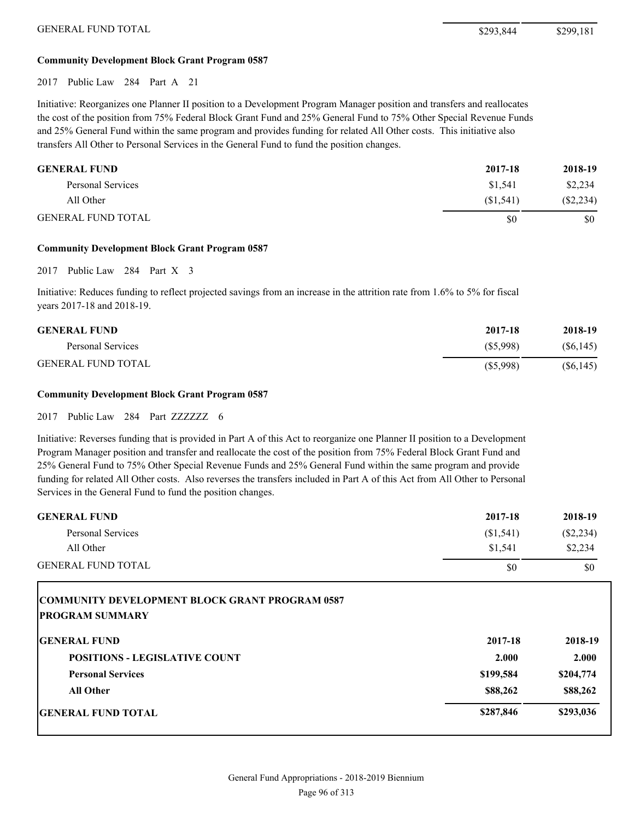# **Community Development Block Grant Program 0587**

2017 Public Law 284 Part A 21

Initiative: Reorganizes one Planner II position to a Development Program Manager position and transfers and reallocates the cost of the position from 75% Federal Block Grant Fund and 25% General Fund to 75% Other Special Revenue Funds and 25% General Fund within the same program and provides funding for related All Other costs. This initiative also transfers All Other to Personal Services in the General Fund to fund the position changes.

| <b>GENERAL FUND</b>       | 2017-18  | 2018-19     |
|---------------------------|----------|-------------|
| Personal Services         | \$1.541  | \$2,234     |
| All Other                 | (S1.541) | $(\$2,234)$ |
| <b>GENERAL FUND TOTAL</b> | S0       | \$0         |

#### **Community Development Block Grant Program 0587**

2017 Public Law 284 Part X 3

Initiative: Reduces funding to reflect projected savings from an increase in the attrition rate from 1.6% to 5% for fiscal years 2017-18 and 2018-19.

| <b>GENERAL FUND</b>       | 2017-18     | 2018-19   |
|---------------------------|-------------|-----------|
| Personal Services         | (S5,998)    | (S6, 145) |
| <b>GENERAL FUND TOTAL</b> | $(\$5,998)$ | (S6, 145) |

#### **Community Development Block Grant Program 0587**

2017 Public Law 284 Part ZZZZZZZ 6

Initiative: Reverses funding that is provided in Part A of this Act to reorganize one Planner II position to a Development Program Manager position and transfer and reallocate the cost of the position from 75% Federal Block Grant Fund and 25% General Fund to 75% Other Special Revenue Funds and 25% General Fund within the same program and provide funding for related All Other costs. Also reverses the transfers included in Part A of this Act from All Other to Personal Services in the General Fund to fund the position changes.

| <b>GENERAL FUND</b>       | 2017-18   | 2018-19   |
|---------------------------|-----------|-----------|
| Personal Services         | (S1, 541) | (S2, 234) |
| All Other                 | \$1.541   | \$2,234   |
| <b>GENERAL FUND TOTAL</b> | \$0       | \$0       |

| <b>COMMUNITY DEVELOPMENT BLOCK GRANT PROGRAM 0587</b><br><b>PROGRAM SUMMARY</b> |           |           |
|---------------------------------------------------------------------------------|-----------|-----------|
| <b>IGENERAL FUND</b>                                                            | 2017-18   | 2018-19   |
| <b>POSITIONS - LEGISLATIVE COUNT</b>                                            | 2.000     | 2.000     |
| <b>Personal Services</b>                                                        | \$199,584 | \$204,774 |
| All Other                                                                       | \$88,262  | \$88,262  |
| <b>IGENERAL FUND TOTAL</b>                                                      | \$287,846 | \$293,036 |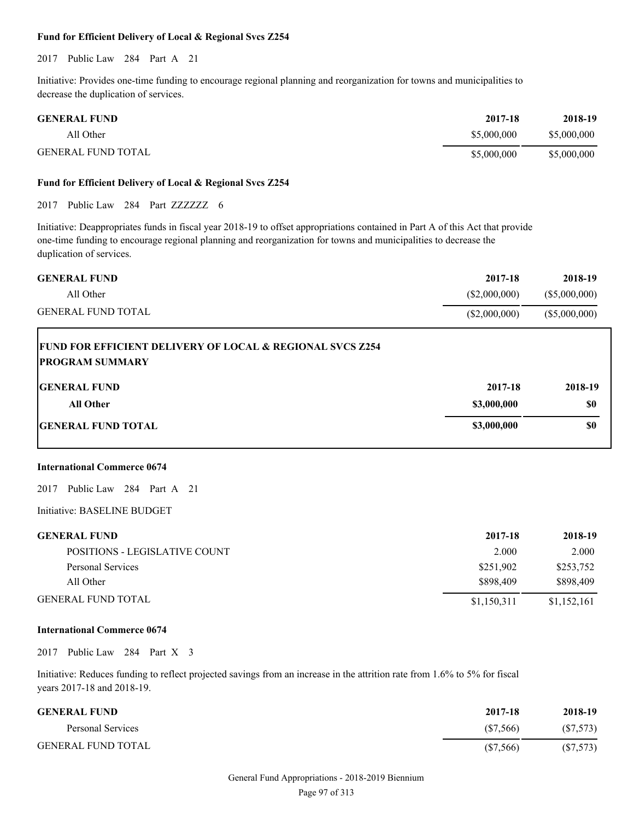## **Fund for Efficient Delivery of Local & Regional Svcs Z254**

2017 Public Law 284 Part A 21

Initiative: Provides one-time funding to encourage regional planning and reorganization for towns and municipalities to decrease the duplication of services.

| <b>GENERAL FUND</b>       | 2017-18     | 2018-19     |
|---------------------------|-------------|-------------|
| All Other                 | \$5,000,000 | \$5,000,000 |
| <b>GENERAL FUND TOTAL</b> | \$5,000,000 | \$5,000,000 |

## **Fund for Efficient Delivery of Local & Regional Svcs Z254**

2017 Public Law 284 Part ZZZZZZZ 6

Initiative: Deappropriates funds in fiscal year 2018-19 to offset appropriations contained in Part A of this Act that provide one-time funding to encourage regional planning and reorganization for towns and municipalities to decrease the duplication of services.

| <b>GENERAL FUND</b>       | 2017-18      | 2018-19       |
|---------------------------|--------------|---------------|
| All Other                 | (S2,000,000) | (S5,000,000)  |
| <b>GENERAL FUND TOTAL</b> | (S2,000,000) | (\$5,000,000) |

| <b>FUND FOR EFFICIENT DELIVERY OF LOCAL &amp; REGIONAL SVCS Z254</b><br><b>PROGRAM SUMMARY</b> |             |         |
|------------------------------------------------------------------------------------------------|-------------|---------|
| <b>IGENERAL FUND</b>                                                                           | 2017-18     | 2018-19 |
| <b>All Other</b>                                                                               | \$3,000,000 | \$0     |
| <b>IGENERAL FUND TOTAL</b>                                                                     | \$3,000,000 | \$0     |

# **International Commerce 0674**

Г

2017 Public Law 284 Part A 21

Initiative: BASELINE BUDGET

| <b>GENERAL FUND</b>           | 2017-18     | 2018-19     |
|-------------------------------|-------------|-------------|
| POSITIONS - LEGISLATIVE COUNT | 2.000       | 2.000       |
| Personal Services             | \$251,902   | \$253,752   |
| All Other                     | \$898,409   | \$898,409   |
| <b>GENERAL FUND TOTAL</b>     | \$1,150,311 | \$1,152,161 |

#### **International Commerce 0674**

2017 Public Law 284 Part X 3

Initiative: Reduces funding to reflect projected savings from an increase in the attrition rate from 1.6% to 5% for fiscal years 2017-18 and 2018-19.

| <b>GENERAL FUND</b>       | 2017-18  | 2018-19   |
|---------------------------|----------|-----------|
| Personal Services         | (S7,566) | (S7, 573) |
| <b>GENERAL FUND TOTAL</b> | (S7,566) | (S7, 573) |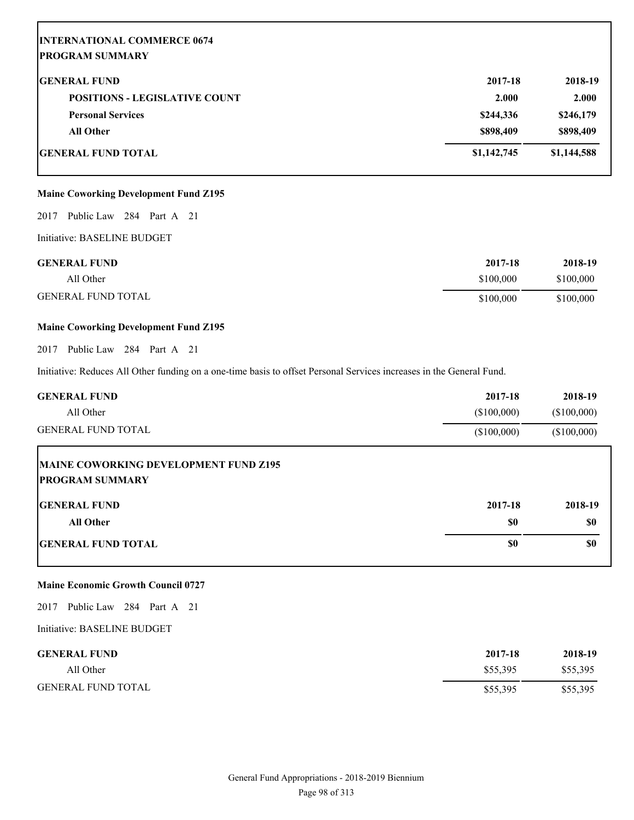| <b>INTERNATIONAL COMMERCE 0674</b><br><b>PROGRAM SUMMARY</b> |             |             |
|--------------------------------------------------------------|-------------|-------------|
| <b>GENERAL FUND</b>                                          | 2017-18     | 2018-19     |
| <b>POSITIONS - LEGISLATIVE COUNT</b>                         | 2.000       | 2.000       |
| <b>Personal Services</b>                                     | \$244,336   | \$246,179   |
| <b>All Other</b>                                             | \$898,409   | \$898,409   |
| <b>GENERAL FUND TOTAL</b>                                    | \$1,142,745 | \$1,144,588 |

# **Maine Coworking Development Fund Z195**

2017 Public Law 284 Part A 21

Initiative: BASELINE BUDGET

| <b>GENERAL FUND</b>       | 2017-18   | 2018-19   |
|---------------------------|-----------|-----------|
| All Other                 | \$100,000 | \$100,000 |
| <b>GENERAL FUND TOTAL</b> | \$100,000 | \$100,000 |

# **Maine Coworking Development Fund Z195**

2017 Public Law 284 Part A 21

Initiative: Reduces All Other funding on a one-time basis to offset Personal Services increases in the General Fund.

| <b>GENERAL FUND</b><br>All Other                                | 2017-18<br>(\$100,000) | 2018-19<br>(\$100,000) |
|-----------------------------------------------------------------|------------------------|------------------------|
| <b>GENERAL FUND TOTAL</b>                                       | (\$100,000)            | (\$100,000)            |
| MAINE COWORKING DEVELOPMENT FUND Z195<br><b>PROGRAM SUMMARY</b> |                        |                        |
| <b>GENERAL FUND</b>                                             | 2017-18                | 2018-19                |
| <b>All Other</b>                                                | \$0                    | \$0                    |
| <b>GENERAL FUND TOTAL</b>                                       | \$0                    | \$0                    |

### **Maine Economic Growth Council 0727**

2017 Public Law 284 Part A 21

| <b>GENERAL FUND</b>       | 2017-18  | 2018-19  |
|---------------------------|----------|----------|
| All Other                 | \$55,395 | \$55,395 |
| <b>GENERAL FUND TOTAL</b> | \$55,395 | \$55,395 |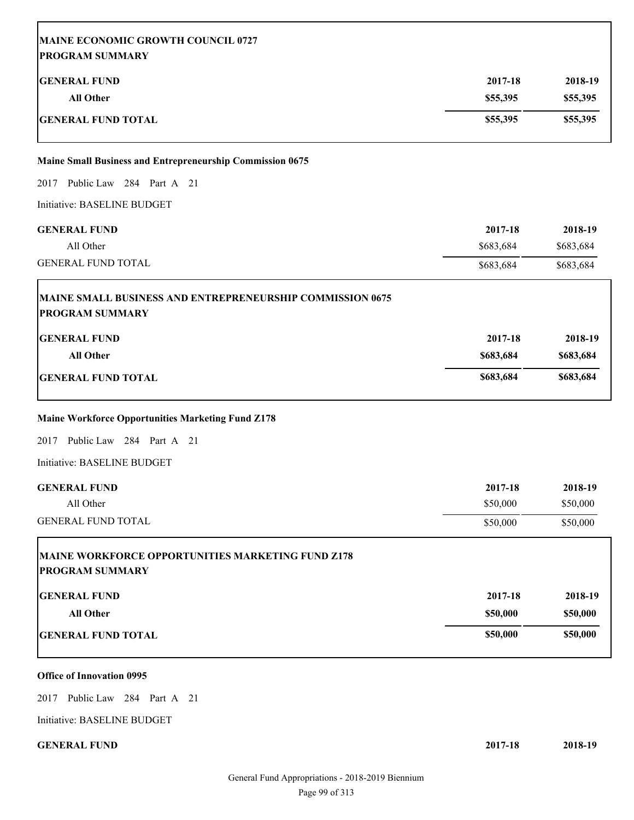| MAINE ECONOMIC GROWTH COUNCIL 0727<br><b>PROGRAM SUMMARY</b>                               |           |           |
|--------------------------------------------------------------------------------------------|-----------|-----------|
| <b>GENERAL FUND</b>                                                                        | 2017-18   | 2018-19   |
| <b>All Other</b>                                                                           | \$55,395  | \$55,395  |
| <b>GENERAL FUND TOTAL</b>                                                                  | \$55,395  | \$55,395  |
| <b>Maine Small Business and Entrepreneurship Commission 0675</b>                           |           |           |
| 2017 Public Law 284 Part A 21                                                              |           |           |
| Initiative: BASELINE BUDGET                                                                |           |           |
| <b>GENERAL FUND</b>                                                                        | 2017-18   | 2018-19   |
| All Other                                                                                  | \$683,684 | \$683,684 |
| <b>GENERAL FUND TOTAL</b>                                                                  | \$683,684 | \$683,684 |
| <b>MAINE SMALL BUSINESS AND ENTREPRENEURSHIP COMMISSION 0675</b><br><b>PROGRAM SUMMARY</b> |           |           |
| <b>GENERAL FUND</b>                                                                        | 2017-18   | 2018-19   |
| <b>All Other</b>                                                                           | \$683,684 | \$683,684 |
| <b>GENERAL FUND TOTAL</b>                                                                  | \$683,684 | \$683,684 |
| <b>Maine Workforce Opportunities Marketing Fund Z178</b>                                   |           |           |
| Public Law 284 Part A 21<br>2017                                                           |           |           |
| Initiative: BASELINE BUDGET                                                                |           |           |
| <b>GENERAL FUND</b>                                                                        | 2017-18   | 2018-19   |
| All Other                                                                                  | \$50,000  | \$50,000  |
| <b>GENERAL FUND TOTAL</b>                                                                  | \$50,000  | \$50,000  |
| MAINE WORKFORCE OPPORTUNITIES MARKETING FUND Z178<br><b>PROGRAM SUMMARY</b>                |           |           |
| <b>GENERAL FUND</b>                                                                        | 2017-18   | 2018-19   |
| <b>All Other</b>                                                                           | \$50,000  | \$50,000  |
| <b>GENERAL FUND TOTAL</b>                                                                  | \$50,000  | \$50,000  |

# **Office of Innovation 0995**

2017 Public Law 284 Part A 21

Initiative: BASELINE BUDGET

**GENERAL FUND 2017-18 2018-19**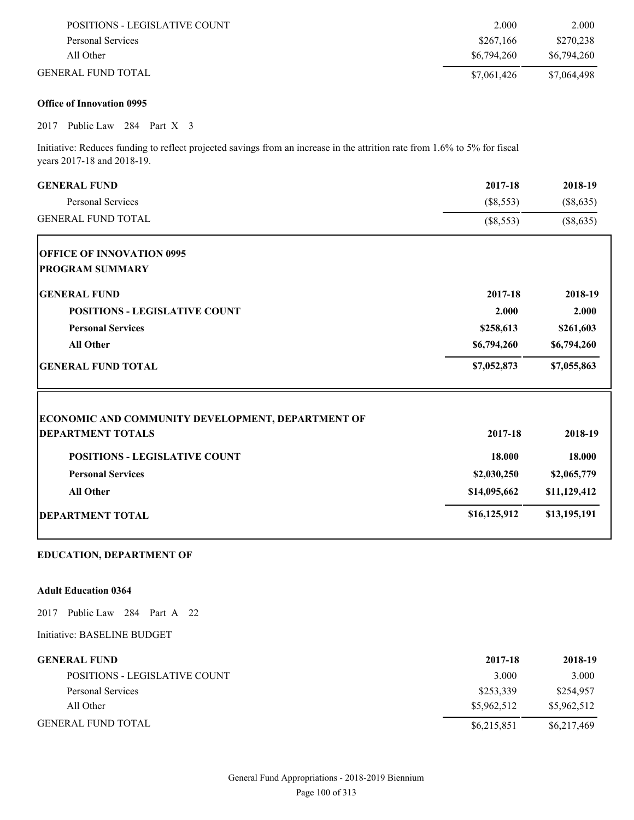| POSITIONS - LEGISLATIVE COUNT | 2.000       | 2.000       |
|-------------------------------|-------------|-------------|
| Personal Services             | \$267.166   | \$270,238   |
| All Other                     | \$6,794,260 | \$6,794,260 |
| GENERAL FUND TOTAL.           | \$7,061,426 | \$7,064,498 |

# **Office of Innovation 0995**

2017 Public Law 284 Part X 3

Initiative: Reduces funding to reflect projected savings from an increase in the attrition rate from 1.6% to 5% for fiscal years 2017-18 and 2018-19.

| <b>GENERAL FUND</b>                                      | 2017-18      | 2018-19      |
|----------------------------------------------------------|--------------|--------------|
| <b>Personal Services</b>                                 | $(\$8,553)$  | (\$8,635)    |
| <b>GENERAL FUND TOTAL</b>                                | $(\$8,553)$  | (\$8,635)    |
| <b>OFFICE OF INNOVATION 0995</b>                         |              |              |
| <b>PROGRAM SUMMARY</b>                                   |              |              |
| <b>GENERAL FUND</b>                                      | 2017-18      | 2018-19      |
| <b>POSITIONS - LEGISLATIVE COUNT</b>                     | 2.000        | 2.000        |
| <b>Personal Services</b>                                 | \$258,613    | \$261,603    |
| <b>All Other</b>                                         | \$6,794,260  | \$6,794,260  |
| <b>GENERAL FUND TOTAL</b>                                | \$7,052,873  | \$7,055,863  |
| <b>ECONOMIC AND COMMUNITY DEVELOPMENT, DEPARTMENT OF</b> |              |              |
| <b>DEPARTMENT TOTALS</b>                                 | 2017-18      | 2018-19      |
| <b>POSITIONS - LEGISLATIVE COUNT</b>                     | 18.000       | 18.000       |
| <b>Personal Services</b>                                 | \$2,030,250  | \$2,065,779  |
| <b>All Other</b>                                         | \$14,095,662 | \$11,129,412 |
| <b>DEPARTMENT TOTAL</b>                                  | \$16,125,912 | \$13,195,191 |
|                                                          |              |              |

# **EDUCATION, DEPARTMENT OF**

## **Adult Education 0364**

2017 Public Law 284 Part A 22

| <b>GENERAL FUND</b>                  | 2017-18     | 2018-19     |
|--------------------------------------|-------------|-------------|
| <b>POSITIONS - LEGISLATIVE COUNT</b> | 3.000       | 3.000       |
| Personal Services                    | \$253,339   | \$254,957   |
| All Other                            | \$5,962,512 | \$5,962,512 |
| <b>GENERAL FUND TOTAL</b>            | \$6,215,851 | \$6,217,469 |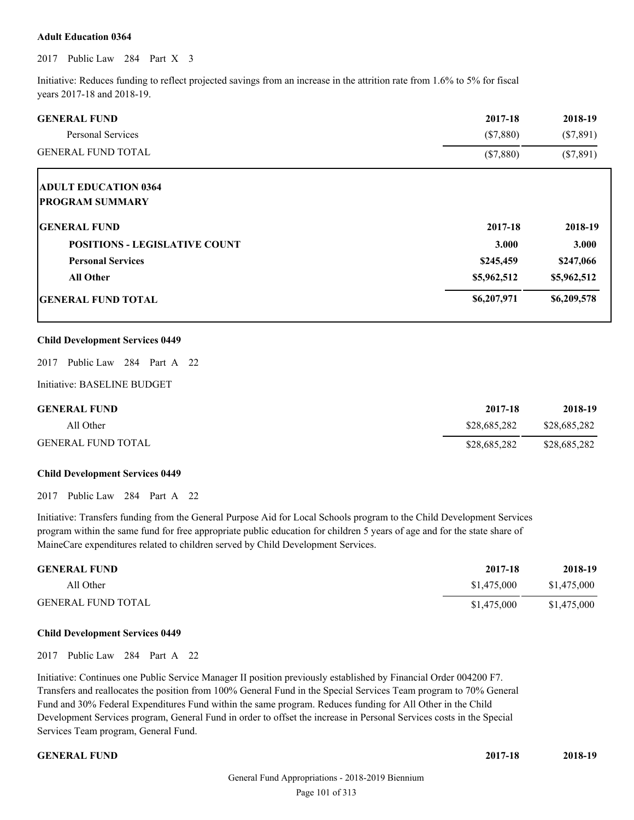### **Adult Education 0364**

2017 Public Law 284 Part X 3

Initiative: Reduces funding to reflect projected savings from an increase in the attrition rate from 1.6% to 5% for fiscal years 2017-18 and 2018-19.

| <b>GENERAL FUND</b>                  | 2017-18     | 2018-19     |
|--------------------------------------|-------------|-------------|
| Personal Services                    | $(\$7,880)$ | $(\$7,891)$ |
| <b>GENERAL FUND TOTAL</b>            | (\$7,880)   | $(\$7,891)$ |
| <b>ADULT EDUCATION 0364</b>          |             |             |
| <b>PROGRAM SUMMARY</b>               |             |             |
| <b>GENERAL FUND</b>                  | 2017-18     | 2018-19     |
| <b>POSITIONS - LEGISLATIVE COUNT</b> | 3.000       | 3.000       |
| <b>Personal Services</b>             | \$245,459   | \$247,066   |
| <b>All Other</b>                     | \$5,962,512 | \$5,962,512 |
| <b>IGENERAL FUND TOTAL</b>           | \$6,207,971 | \$6,209,578 |
|                                      |             |             |

#### **Child Development Services 0449**

2017 Public Law 284 Part A 22

Initiative: BASELINE BUDGET

| <b>GENERAL FUND</b>       | 2017-18      | 2018-19      |
|---------------------------|--------------|--------------|
| All Other                 | \$28,685,282 | \$28,685,282 |
| <b>GENERAL FUND TOTAL</b> | \$28,685,282 | \$28,685,282 |

#### **Child Development Services 0449**

2017 Public Law 284 Part A 22

Initiative: Transfers funding from the General Purpose Aid for Local Schools program to the Child Development Services program within the same fund for free appropriate public education for children 5 years of age and for the state share of MaineCare expenditures related to children served by Child Development Services.

| <b>GENERAL FUND</b>       | 2017-18     | 2018-19     |
|---------------------------|-------------|-------------|
| All Other                 | \$1,475,000 | \$1,475,000 |
| <b>GENERAL FUND TOTAL</b> | \$1,475,000 | \$1,475,000 |

#### **Child Development Services 0449**

2017 Public Law 284 Part A 22

Initiative: Continues one Public Service Manager II position previously established by Financial Order 004200 F7. Transfers and reallocates the position from 100% General Fund in the Special Services Team program to 70% General Fund and 30% Federal Expenditures Fund within the same program. Reduces funding for All Other in the Child Development Services program, General Fund in order to offset the increase in Personal Services costs in the Special Services Team program, General Fund.

**GENERAL FUND 2017-18 2018-19**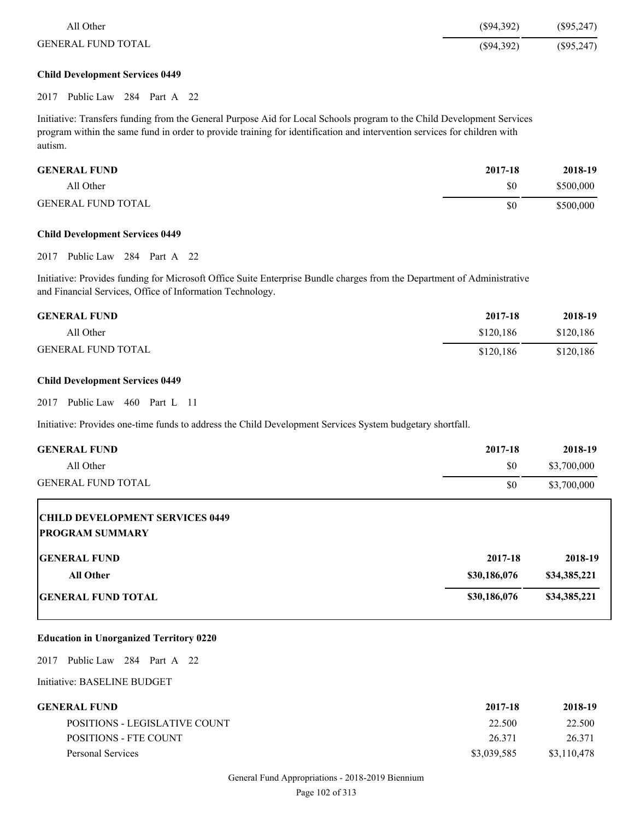| All Other                 | $(\$94,392)$ | $(\$95,247)$ |
|---------------------------|--------------|--------------|
| <b>GENERAL FUND TOTAL</b> | $(\$94,392)$ | $(\$95,247)$ |

# **Child Development Services 0449**

2017 Public Law 284 Part A 22

Initiative: Transfers funding from the General Purpose Aid for Local Schools program to the Child Development Services program within the same fund in order to provide training for identification and intervention services for children with autism.

| <b>GENERAL FUND</b>       | 2017-18 | 2018-19   |
|---------------------------|---------|-----------|
| All Other                 | \$0     | \$500,000 |
| <b>GENERAL FUND TOTAL</b> | \$0     | \$500,000 |

#### **Child Development Services 0449**

2017 Public Law 284 Part A 22

Initiative: Provides funding for Microsoft Office Suite Enterprise Bundle charges from the Department of Administrative and Financial Services, Office of Information Technology.

| <b>GENERAL FUND</b>       | 2017-18   | 2018-19   |
|---------------------------|-----------|-----------|
| All Other                 | \$120.186 | \$120,186 |
| <b>GENERAL FUND TOTAL</b> | \$120.186 | \$120,186 |

#### **Child Development Services 0449**

2017 Public Law 460 Part L 11

Initiative: Provides one-time funds to address the Child Development Services System budgetary shortfall.

| <b>GENERAL FUND</b>                                              | 2017-18      | 2018-19      |
|------------------------------------------------------------------|--------------|--------------|
| All Other                                                        | \$0          | \$3,700,000  |
| <b>GENERAL FUND TOTAL</b>                                        | \$0          | \$3,700,000  |
| <b>CHILD DEVELOPMENT SERVICES 0449</b><br><b>PROGRAM SUMMARY</b> |              |              |
| <b>IGENERAL FUND</b>                                             | 2017-18      | 2018-19      |
| <b>All Other</b>                                                 | \$30,186,076 | \$34,385,221 |
| <b>IGENERAL FUND TOTAL</b>                                       | \$30,186,076 | \$34,385,221 |

# **Education in Unorganized Territory 0220**

2017 Public Law 284 Part A 22

| <b>GENERAL FUND</b>           | 2017-18     | 2018-19     |
|-------------------------------|-------------|-------------|
| POSITIONS - LEGISLATIVE COUNT | 22.500      | 22.500      |
| POSITIONS - FTE COUNT         | 26.371      | 26.371      |
| Personal Services             | \$3,039,585 | \$3,110,478 |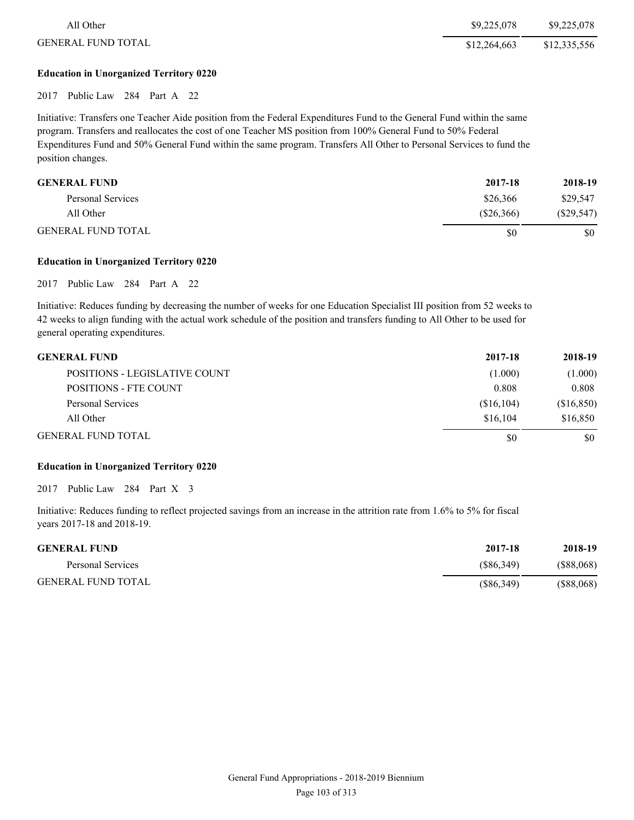| All Other                 | \$9,225,078  | \$9,225,078  |
|---------------------------|--------------|--------------|
| <b>GENERAL FUND TOTAL</b> | \$12,264,663 | \$12,335,556 |
|                           |              |              |

# **Education in Unorganized Territory 0220**

2017 Public Law 284 Part A 22

Initiative: Transfers one Teacher Aide position from the Federal Expenditures Fund to the General Fund within the same program. Transfers and reallocates the cost of one Teacher MS position from 100% General Fund to 50% Federal Expenditures Fund and 50% General Fund within the same program. Transfers All Other to Personal Services to fund the position changes.

| <b>GENERAL FUND</b>       | 2017-18   | 2018-19      |
|---------------------------|-----------|--------------|
| Personal Services         | \$26,366  | \$29,547     |
| All Other                 | (S26.366) | $(\$29,547)$ |
| <b>GENERAL FUND TOTAL</b> | \$0       | \$0          |

### **Education in Unorganized Territory 0220**

2017 Public Law 284 Part A 22

Initiative: Reduces funding by decreasing the number of weeks for one Education Specialist III position from 52 weeks to 42 weeks to align funding with the actual work schedule of the position and transfers funding to All Other to be used for general operating expenditures.

| <b>GENERAL FUND</b>           | 2017-18    | 2018-19    |
|-------------------------------|------------|------------|
| POSITIONS - LEGISLATIVE COUNT | (1.000)    | (1.000)    |
| POSITIONS - FTE COUNT         | 0.808      | 0.808      |
| Personal Services             | (S16, 104) | (\$16,850) |
| All Other                     | \$16,104   | \$16,850   |
| <b>GENERAL FUND TOTAL</b>     | \$0        | \$0        |

# **Education in Unorganized Territory 0220**

2017 Public Law 284 Part X 3

Initiative: Reduces funding to reflect projected savings from an increase in the attrition rate from 1.6% to 5% for fiscal years 2017-18 and 2018-19.

| <b>GENERAL FUND</b>       | 2017-18    | 2018-19       |
|---------------------------|------------|---------------|
| Personal Services         | (S86, 349) | (S88,068)     |
| <b>GENERAL FUND TOTAL</b> | (S86,349)  | $($ \$88,068) |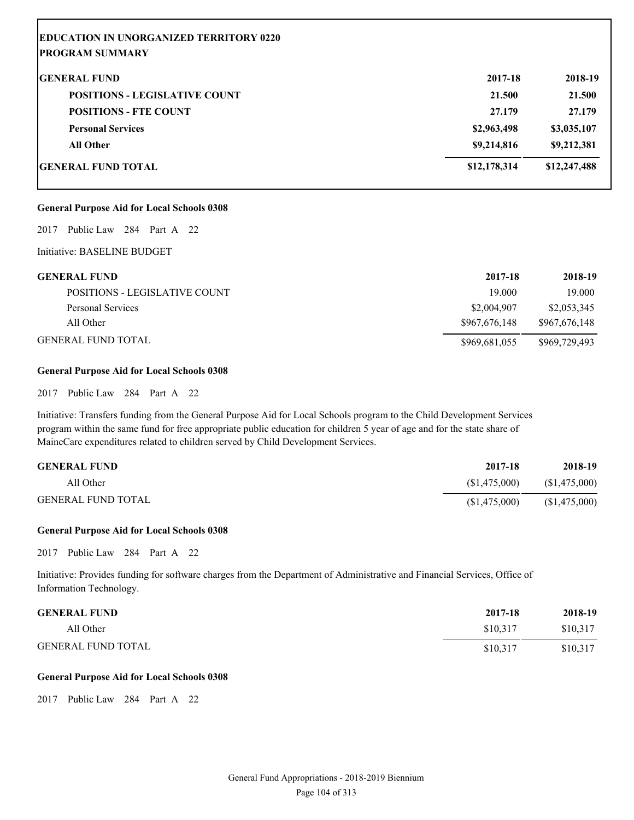| <b>EDUCATION IN UNORGANIZED TERRITORY 0220</b><br><b>PROGRAM SUMMARY</b> |              |              |
|--------------------------------------------------------------------------|--------------|--------------|
| <b>GENERAL FUND</b>                                                      | 2017-18      | 2018-19      |
| <b>POSITIONS - LEGISLATIVE COUNT</b>                                     | 21.500       | 21.500       |
| <b>POSITIONS - FTE COUNT</b>                                             | 27.179       | 27.179       |
| <b>Personal Services</b>                                                 | \$2,963,498  | \$3,035,107  |
| <b>All Other</b>                                                         | \$9,214,816  | \$9,212,381  |
| <b>IGENERAL FUND TOTAL</b>                                               | \$12,178,314 | \$12,247,488 |

### **General Purpose Aid for Local Schools 0308**

2017 Public Law 284 Part A 22

#### Initiative: BASELINE BUDGET

| <b>GENERAL FUND</b>           | 2017-18       | 2018-19       |
|-------------------------------|---------------|---------------|
| POSITIONS - LEGISLATIVE COUNT | 19.000        | 19.000        |
| Personal Services             | \$2,004,907   | \$2,053,345   |
| All Other                     | \$967,676,148 | \$967,676,148 |
| GENERAL FUND TOTAL            | \$969,681,055 | \$969,729,493 |

#### **General Purpose Aid for Local Schools 0308**

2017 Public Law 284 Part A 22

Initiative: Transfers funding from the General Purpose Aid for Local Schools program to the Child Development Services program within the same fund for free appropriate public education for children 5 year of age and for the state share of MaineCare expenditures related to children served by Child Development Services.

| <b>GENERAL FUND</b>       | 2017-18        | 2018-19        |
|---------------------------|----------------|----------------|
| All Other                 | (S1, 475, 000) | (S1, 475, 000) |
| <b>GENERAL FUND TOTAL</b> | (S1, 475, 000) | (\$1,475,000)  |

#### **General Purpose Aid for Local Schools 0308**

2017 Public Law 284 Part A 22

Initiative: Provides funding for software charges from the Department of Administrative and Financial Services, Office of Information Technology.

| <b>GENERAL FUND</b>       | 2017-18  | 2018-19  |
|---------------------------|----------|----------|
| All Other                 | \$10.317 | \$10,317 |
| <b>GENERAL FUND TOTAL</b> | \$10,317 | \$10.317 |

## **General Purpose Aid for Local Schools 0308**

2017 Public Law 284 Part A 22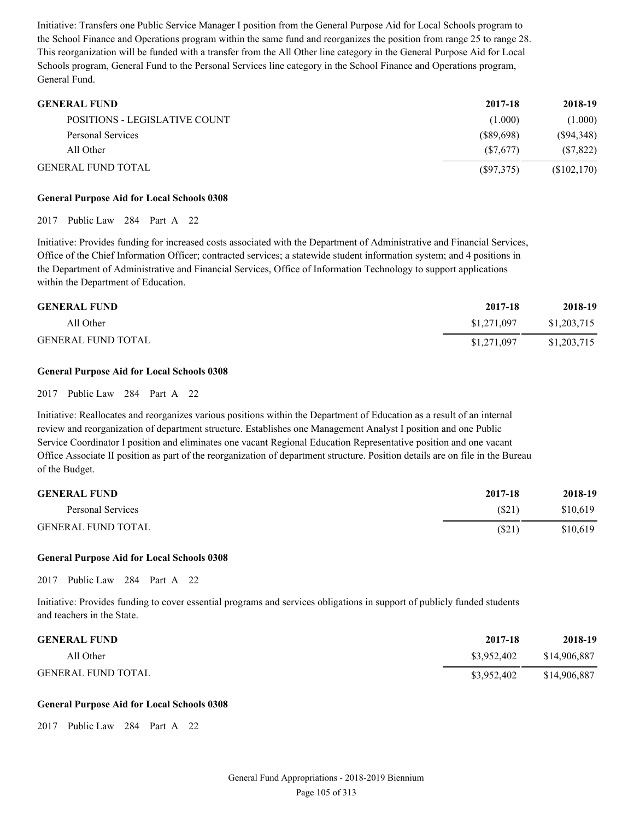Initiative: Transfers one Public Service Manager I position from the General Purpose Aid for Local Schools program to the School Finance and Operations program within the same fund and reorganizes the position from range 25 to range 28. This reorganization will be funded with a transfer from the All Other line category in the General Purpose Aid for Local Schools program, General Fund to the Personal Services line category in the School Finance and Operations program, General Fund.

| <b>GENERAL FUND</b>                  | 2017-18   | 2018-19     |
|--------------------------------------|-----------|-------------|
| <b>POSITIONS - LEGISLATIVE COUNT</b> | (1.000)   | (1.000)     |
| Personal Services                    | (S89.698) | (S94,348)   |
| All Other                            | (S7.677)  | (S7, 822)   |
| <b>GENERAL FUND TOTAL</b>            | (S97,375) | (\$102,170) |

### **General Purpose Aid for Local Schools 0308**

#### 2017 Public Law 284 Part A 22

Initiative: Provides funding for increased costs associated with the Department of Administrative and Financial Services, Office of the Chief Information Officer; contracted services; a statewide student information system; and 4 positions in the Department of Administrative and Financial Services, Office of Information Technology to support applications within the Department of Education.

| <b>GENERAL FUND</b>       | 2017-18     | 2018-19     |
|---------------------------|-------------|-------------|
| All Other                 | \$1,271,097 | \$1,203,715 |
| <b>GENERAL FUND TOTAL</b> | \$1,271,097 | \$1,203,715 |

### **General Purpose Aid for Local Schools 0308**

2017 Public Law 284 Part A 22

Initiative: Reallocates and reorganizes various positions within the Department of Education as a result of an internal review and reorganization of department structure. Establishes one Management Analyst I position and one Public Service Coordinator I position and eliminates one vacant Regional Education Representative position and one vacant Office Associate II position as part of the reorganization of department structure. Position details are on file in the Bureau of the Budget.

| <b>GENERAL FUND</b>       | 2017-18 | 2018-19  |
|---------------------------|---------|----------|
| Personal Services         | (S21)   | \$10,619 |
| <b>GENERAL FUND TOTAL</b> | (S21)   | \$10,619 |

#### **General Purpose Aid for Local Schools 0308**

2017 Public Law 284 Part A 22

Initiative: Provides funding to cover essential programs and services obligations in support of publicly funded students and teachers in the State.

| <b>GENERAL FUND</b>       | 2017-18     | 2018-19      |
|---------------------------|-------------|--------------|
| All Other                 | \$3.952.402 | \$14,906,887 |
| <b>GENERAL FUND TOTAL</b> | \$3,952,402 | \$14,906,887 |

#### **General Purpose Aid for Local Schools 0308**

2017 Public Law 284 Part A 22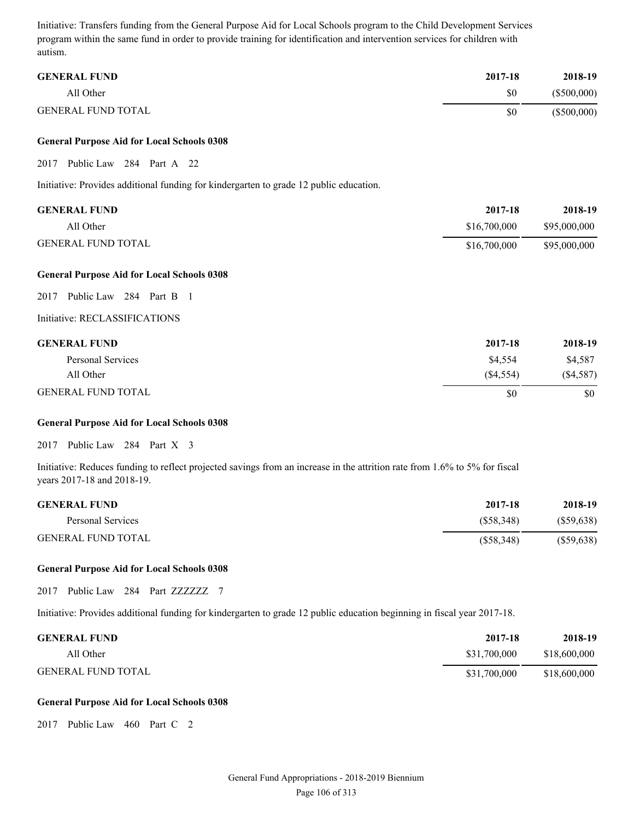Initiative: Transfers funding from the General Purpose Aid for Local Schools program to the Child Development Services program within the same fund in order to provide training for identification and intervention services for children with autism.

| <b>GENERAL FUND</b>       | 2017-18 | 2018-19       |
|---------------------------|---------|---------------|
| All Other                 | \$0     | $(\$500,000)$ |
| <b>GENERAL FUND TOTAL</b> | \$0     | $(\$500,000)$ |

#### **General Purpose Aid for Local Schools 0308**

#### 2017 Public Law 284 Part A 22

Initiative: Provides additional funding for kindergarten to grade 12 public education.

| <b>GENERAL FUND</b>       | 2017-18      | 2018-19      |
|---------------------------|--------------|--------------|
| All Other                 | \$16,700,000 | \$95,000,000 |
| <b>GENERAL FUND TOTAL</b> | \$16,700,000 | \$95,000,000 |

#### **General Purpose Aid for Local Schools 0308**

2017 Public Law 284 Part B 1

Initiative: RECLASSIFICATIONS

| <b>GENERAL FUND</b>       | 2017-18   | 2018-19   |
|---------------------------|-----------|-----------|
| Personal Services         | \$4.554   | \$4,587   |
| All Other                 | (S4, 554) | (S4, 587) |
| <b>GENERAL FUND TOTAL</b> | \$0       | \$0       |

#### **General Purpose Aid for Local Schools 0308**

2017 Public Law 284 Part X 3

Initiative: Reduces funding to reflect projected savings from an increase in the attrition rate from 1.6% to 5% for fiscal years 2017-18 and 2018-19.

| <b>GENERAL FUND</b>       | 2017-18   | 2018-19      |
|---------------------------|-----------|--------------|
| Personal Services         | (S58.348) | (S59, 638)   |
| <b>GENERAL FUND TOTAL</b> | (S58,348) | $(\$59,638)$ |

### **General Purpose Aid for Local Schools 0308**

2017 Public Law 284 Part ZZZZZZZ 7

Initiative: Provides additional funding for kindergarten to grade 12 public education beginning in fiscal year 2017-18.

| <b>GENERAL FUND</b>       | 2017-18      | 2018-19      |
|---------------------------|--------------|--------------|
| All Other                 | \$31,700,000 | \$18,600,000 |
| <b>GENERAL FUND TOTAL</b> | \$31,700,000 | \$18,600,000 |

#### **General Purpose Aid for Local Schools 0308**

2017 Public Law 460 Part C 2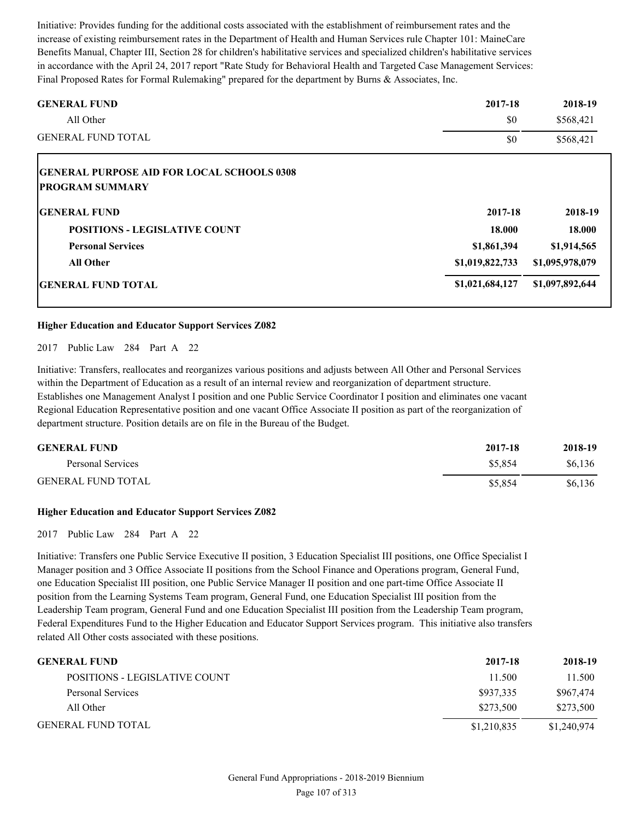Initiative: Provides funding for the additional costs associated with the establishment of reimbursement rates and the increase of existing reimbursement rates in the Department of Health and Human Services rule Chapter 101: MaineCare Benefits Manual, Chapter III, Section 28 for children's habilitative services and specialized children's habilitative services in accordance with the April 24, 2017 report "Rate Study for Behavioral Health and Targeted Case Management Services: Final Proposed Rates for Formal Rulemaking" prepared for the department by Burns & Associates, Inc.

| <b>GENERAL FUND</b>                               | 2017-18         | 2018-19         |
|---------------------------------------------------|-----------------|-----------------|
| All Other                                         | \$0             | \$568,421       |
| <b>GENERAL FUND TOTAL</b>                         | \$0             | \$568,421       |
| <b>GENERAL PURPOSE AID FOR LOCAL SCHOOLS 0308</b> |                 |                 |
| <b>PROGRAM SUMMARY</b>                            |                 |                 |
| <b>IGENERAL FUND</b>                              | 2017-18         | 2018-19         |
| <b>POSITIONS - LEGISLATIVE COUNT</b>              | 18.000          | 18.000          |
| <b>Personal Services</b>                          | \$1,861,394     | \$1,914,565     |
| <b>All Other</b>                                  | \$1,019,822,733 | \$1,095,978,079 |
| <b>GENERAL FUND TOTAL</b>                         | \$1,021,684,127 | \$1,097,892,644 |

### **Higher Education and Educator Support Services Z082**

2017 Public Law 284 Part A 22

Initiative: Transfers, reallocates and reorganizes various positions and adjusts between All Other and Personal Services within the Department of Education as a result of an internal review and reorganization of department structure. Establishes one Management Analyst I position and one Public Service Coordinator I position and eliminates one vacant Regional Education Representative position and one vacant Office Associate II position as part of the reorganization of department structure. Position details are on file in the Bureau of the Budget.

| <b>GENERAL FUND</b>       | 2017-18 | 2018-19 |
|---------------------------|---------|---------|
| Personal Services         | \$5,854 | \$6,136 |
| <b>GENERAL FUND TOTAL</b> | \$5.854 | \$6,136 |

#### **Higher Education and Educator Support Services Z082**

2017 Public Law 284 Part A 22

Initiative: Transfers one Public Service Executive II position, 3 Education Specialist III positions, one Office Specialist I Manager position and 3 Office Associate II positions from the School Finance and Operations program, General Fund, one Education Specialist III position, one Public Service Manager II position and one part-time Office Associate II position from the Learning Systems Team program, General Fund, one Education Specialist III position from the Leadership Team program, General Fund and one Education Specialist III position from the Leadership Team program, Federal Expenditures Fund to the Higher Education and Educator Support Services program. This initiative also transfers related All Other costs associated with these positions.

| <b>GENERAL FUND</b>           | 2017-18     | 2018-19     |
|-------------------------------|-------------|-------------|
| POSITIONS - LEGISLATIVE COUNT | 11.500      | 11.500      |
| Personal Services             | \$937,335   | \$967,474   |
| All Other                     | \$273.500   | \$273.500   |
| <b>GENERAL FUND TOTAL</b>     | \$1,210,835 | \$1,240,974 |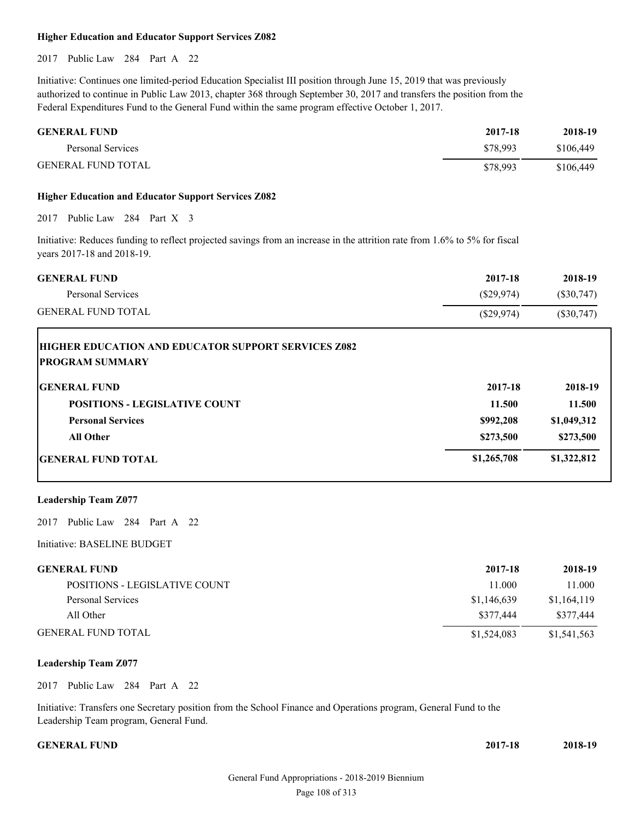#### **Higher Education and Educator Support Services Z082**

2017 Public Law 284 Part A 22

Initiative: Continues one limited-period Education Specialist III position through June 15, 2019 that was previously authorized to continue in Public Law 2013, chapter 368 through September 30, 2017 and transfers the position from the Federal Expenditures Fund to the General Fund within the same program effective October 1, 2017.

| <b>GENERAL FUND</b>       | 2017-18  | 2018-19   |
|---------------------------|----------|-----------|
| Personal Services         | \$78.993 | \$106,449 |
| <b>GENERAL FUND TOTAL</b> | \$78.993 | \$106,449 |

#### **Higher Education and Educator Support Services Z082**

2017 Public Law 284 Part X 3

Initiative: Reduces funding to reflect projected savings from an increase in the attrition rate from 1.6% to 5% for fiscal years 2017-18 and 2018-19.

| <b>GENERAL FUND</b>       | 2017-18    | 2018-19   |
|---------------------------|------------|-----------|
| Personal Services         | (S29.974)  | (S30,747) |
| <b>GENERAL FUND TOTAL</b> | (S29, 974) | (S30,747) |

| HIGHER EDUCATION AND EDUCATOR SUPPORT SERVICES Z082<br><b>IPROGRAM SUMMARY</b> |             |             |
|--------------------------------------------------------------------------------|-------------|-------------|
| <b>GENERAL FUND</b>                                                            | 2017-18     | 2018-19     |
| <b>POSITIONS - LEGISLATIVE COUNT</b>                                           | 11.500      | 11.500      |
| <b>Personal Services</b>                                                       | \$992,208   | \$1,049,312 |
| All Other                                                                      | \$273,500   | \$273,500   |
| <b>IGENERAL FUND TOTAL</b>                                                     | \$1,265,708 | \$1,322,812 |

#### **Leadership Team Z077**

2017 Public Law 284 Part A 22

Initiative: BASELINE BUDGET

| <b>GENERAL FUND</b>           | 2017-18     | 2018-19     |
|-------------------------------|-------------|-------------|
| POSITIONS - LEGISLATIVE COUNT | 11.000      | 11.000      |
| Personal Services             | \$1,146,639 | \$1,164,119 |
| All Other                     | \$377,444   | \$377,444   |
| <b>GENERAL FUND TOTAL</b>     | \$1,524,083 | \$1,541,563 |

## **Leadership Team Z077**

2017 Public Law 284 Part A 22

Initiative: Transfers one Secretary position from the School Finance and Operations program, General Fund to the Leadership Team program, General Fund.

#### **GENERAL FUND**

| 2017-18 | 2018-19 |
|---------|---------|
|         |         |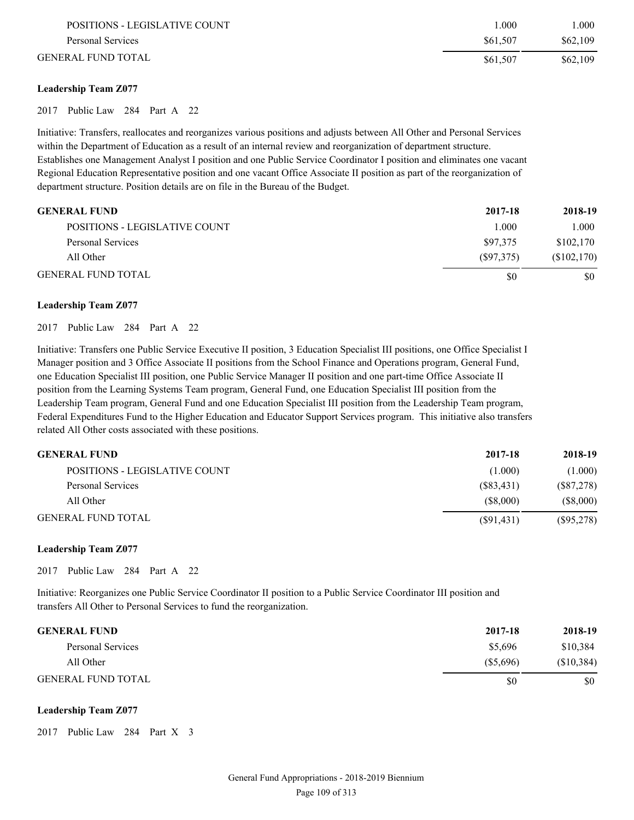| POSITIONS - LEGISLATIVE COUNT | .000     | .000.    |
|-------------------------------|----------|----------|
| Personal Services             | \$61.507 | \$62,109 |
| GENERAL FUND TOTAL            | \$61,507 | \$62,109 |

### **Leadership Team Z077**

2017 Public Law 284 Part A 22

Initiative: Transfers, reallocates and reorganizes various positions and adjusts between All Other and Personal Services within the Department of Education as a result of an internal review and reorganization of department structure. Establishes one Management Analyst I position and one Public Service Coordinator I position and eliminates one vacant Regional Education Representative position and one vacant Office Associate II position as part of the reorganization of department structure. Position details are on file in the Bureau of the Budget.

| <b>GENERAL FUND</b>           | 2017-18   | 2018-19     |
|-------------------------------|-----------|-------------|
| POSITIONS - LEGISLATIVE COUNT | 1.000     | 1.000       |
| Personal Services             | \$97.375  | \$102,170   |
| All Other                     | (S97,375) | (\$102,170) |
| <b>GENERAL FUND TOTAL</b>     | \$0       | \$0         |

#### **Leadership Team Z077**

### 2017 Public Law 284 Part A 22

Initiative: Transfers one Public Service Executive II position, 3 Education Specialist III positions, one Office Specialist I Manager position and 3 Office Associate II positions from the School Finance and Operations program, General Fund, one Education Specialist III position, one Public Service Manager II position and one part-time Office Associate II position from the Learning Systems Team program, General Fund, one Education Specialist III position from the Leadership Team program, General Fund and one Education Specialist III position from the Leadership Team program, Federal Expenditures Fund to the Higher Education and Educator Support Services program. This initiative also transfers related All Other costs associated with these positions.

| <b>GENERAL FUND</b>           | 2017-18    | 2018-19      |
|-------------------------------|------------|--------------|
| POSITIONS - LEGISLATIVE COUNT | (1.000)    | (1.000)      |
| Personal Services             | (S83, 431) | $(\$87,278)$ |
| All Other                     | (S8.000)   | (S8,000)     |
| <b>GENERAL FUND TOTAL</b>     | (S91, 431) | $(\$95,278)$ |

#### **Leadership Team Z077**

2017 Public Law 284 Part A 22

Initiative: Reorganizes one Public Service Coordinator II position to a Public Service Coordinator III position and transfers All Other to Personal Services to fund the reorganization.

| <b>GENERAL FUND</b>       | 2017-18  | 2018-19    |
|---------------------------|----------|------------|
| Personal Services         | \$5,696  | \$10,384   |
| All Other                 | (S5.696) | (\$10,384) |
| <b>GENERAL FUND TOTAL</b> | \$0      | \$0        |

#### **Leadership Team Z077**

2017 Public Law 284 Part X 3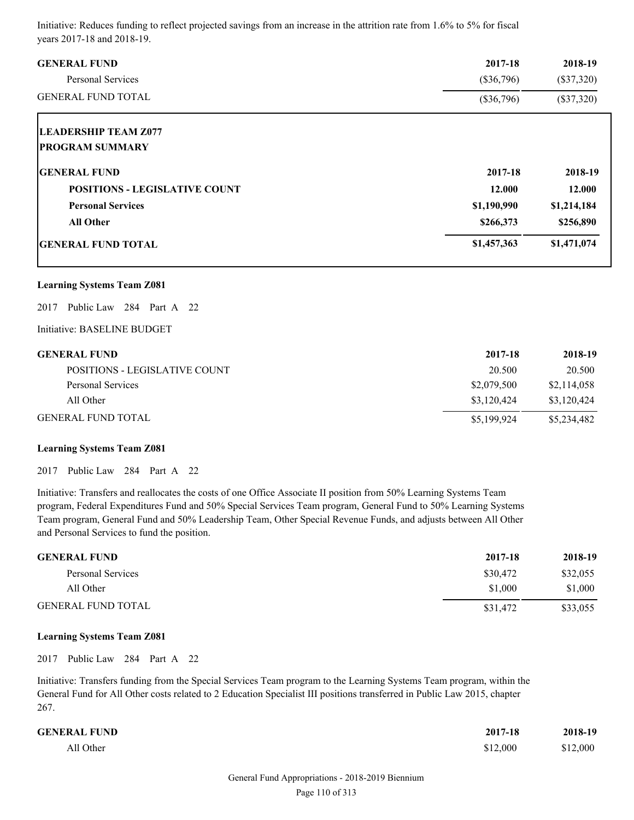Initiative: Reduces funding to reflect projected savings from an increase in the attrition rate from 1.6% to 5% for fiscal years 2017-18 and 2018-19.

| <b>GENERAL FUND</b>                                   | 2017-18      | 2018-19      |
|-------------------------------------------------------|--------------|--------------|
| <b>Personal Services</b>                              | $(\$36,796)$ | $(\$37,320)$ |
| <b>GENERAL FUND TOTAL</b>                             | $(\$36,796)$ | $(\$37,320)$ |
| <b>LEADERSHIP TEAM Z077</b><br><b>PROGRAM SUMMARY</b> |              |              |
| <b>GENERAL FUND</b>                                   | 2017-18      | 2018-19      |
| <b>POSITIONS - LEGISLATIVE COUNT</b>                  | 12.000       | 12.000       |
| <b>Personal Services</b>                              | \$1,190,990  | \$1,214,184  |
| <b>All Other</b>                                      | \$266,373    | \$256,890    |
| <b>IGENERAL FUND TOTAL</b>                            | \$1,457,363  | \$1,471,074  |

### **Learning Systems Team Z081**

2017 Public Law 284 Part A 22

Initiative: BASELINE BUDGET

| GENERAL FUND                  | 2017-18     | 2018-19     |
|-------------------------------|-------------|-------------|
| POSITIONS - LEGISLATIVE COUNT | 20.500      | 20.500      |
| Personal Services             | \$2,079,500 | \$2,114,058 |
| All Other                     | \$3,120,424 | \$3.120.424 |
| GENERAL FUND TOTAL            | \$5,199,924 | \$5,234,482 |

#### **Learning Systems Team Z081**

2017 Public Law 284 Part A 22

Initiative: Transfers and reallocates the costs of one Office Associate II position from 50% Learning Systems Team program, Federal Expenditures Fund and 50% Special Services Team program, General Fund to 50% Learning Systems Team program, General Fund and 50% Leadership Team, Other Special Revenue Funds, and adjusts between All Other and Personal Services to fund the position.

| <b>GENERAL FUND</b>       | 2017-18  | 2018-19  |
|---------------------------|----------|----------|
| Personal Services         | \$30,472 | \$32,055 |
| All Other                 | \$1,000  | \$1,000  |
| <b>GENERAL FUND TOTAL</b> | \$31,472 | \$33,055 |

#### **Learning Systems Team Z081**

2017 Public Law 284 Part A 22

Initiative: Transfers funding from the Special Services Team program to the Learning Systems Team program, within the General Fund for All Other costs related to 2 Education Specialist III positions transferred in Public Law 2015, chapter 267.

| <b>GENERAL FUND</b> | 2017-18  | 2018-19  |
|---------------------|----------|----------|
| All Other           | \$12,000 | \$12,000 |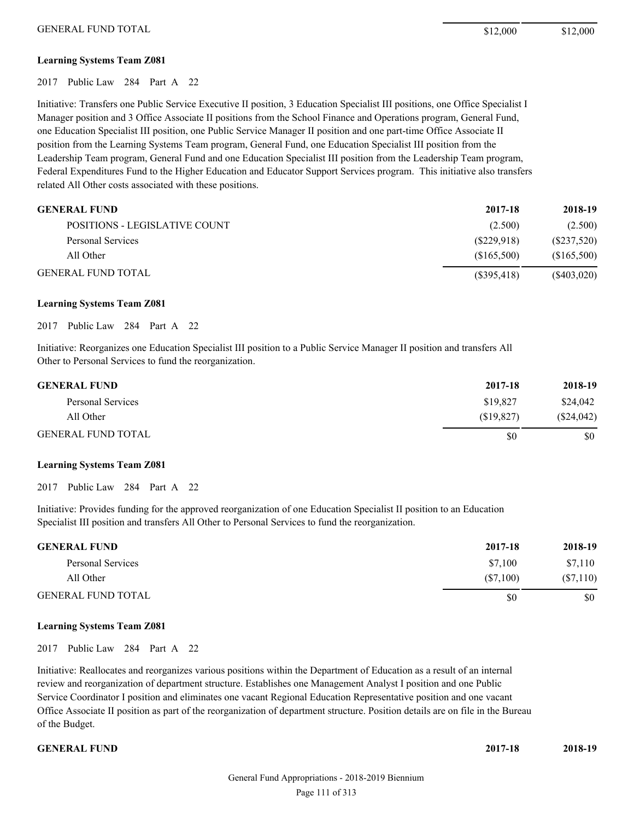#### **Learning Systems Team Z081**

2017 Public Law 284 Part A 22

Initiative: Transfers one Public Service Executive II position, 3 Education Specialist III positions, one Office Specialist I Manager position and 3 Office Associate II positions from the School Finance and Operations program, General Fund, one Education Specialist III position, one Public Service Manager II position and one part-time Office Associate II position from the Learning Systems Team program, General Fund, one Education Specialist III position from the Leadership Team program, General Fund and one Education Specialist III position from the Leadership Team program, Federal Expenditures Fund to the Higher Education and Educator Support Services program. This initiative also transfers related All Other costs associated with these positions.

| <b>GENERAL FUND</b>           | 2017-18     | 2018-19        |
|-------------------------------|-------------|----------------|
| POSITIONS - LEGISLATIVE COUNT | (2.500)     | (2.500)        |
| Personal Services             | (S229.918)  | (S237,520)     |
| All Other                     | (S165,500)  | (S165,500)     |
| <b>GENERAL FUND TOTAL</b>     | (S395, 418) | $($ \$403,020) |

#### **Learning Systems Team Z081**

2017 Public Law 284 Part A 22

Initiative: Reorganizes one Education Specialist III position to a Public Service Manager II position and transfers All Other to Personal Services to fund the reorganization.

| <b>GENERAL FUND</b>       | 2017-18   | 2018-19    |
|---------------------------|-----------|------------|
| Personal Services         | \$19,827  | \$24,042   |
| All Other                 | (S19.827) | (\$24,042) |
| <b>GENERAL FUND TOTAL</b> | \$0       | \$0        |

#### **Learning Systems Team Z081**

2017 Public Law 284 Part A 22

Initiative: Provides funding for the approved reorganization of one Education Specialist II position to an Education Specialist III position and transfers All Other to Personal Services to fund the reorganization.

| <b>GENERAL FUND</b>       | 2017-18  | 2018-19  |
|---------------------------|----------|----------|
| Personal Services         | \$7.100  | \$7,110  |
| All Other                 | (S7.100) | (S7,110) |
| <b>GENERAL FUND TOTAL</b> | \$0      | \$0      |

#### **Learning Systems Team Z081**

2017 Public Law 284 Part A 22

Initiative: Reallocates and reorganizes various positions within the Department of Education as a result of an internal review and reorganization of department structure. Establishes one Management Analyst I position and one Public Service Coordinator I position and eliminates one vacant Regional Education Representative position and one vacant Office Associate II position as part of the reorganization of department structure. Position details are on file in the Bureau of the Budget.

**GENERAL FUND 2017-18 2018-19**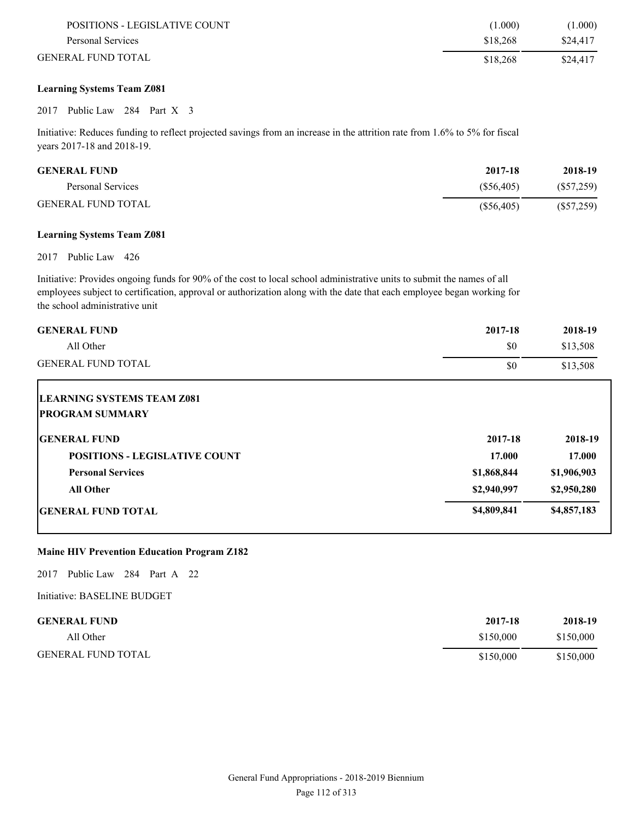| POSITIONS - LEGISLATIVE COUNT | (1.000)  | (1.000)  |
|-------------------------------|----------|----------|
| Personal Services             | \$18,268 | \$24,417 |
| <b>GENERAL FUND TOTAL</b>     | \$18.268 | \$24,417 |

## **Learning Systems Team Z081**

#### 2017 Public Law 284 Part X 3

Initiative: Reduces funding to reflect projected savings from an increase in the attrition rate from 1.6% to 5% for fiscal years 2017-18 and 2018-19.

| <b>GENERAL FUND</b>       | 2017-18    | 2018-19      |
|---------------------------|------------|--------------|
| Personal Services         | (S56.405)  | (S57,259)    |
| <b>GENERAL FUND TOTAL</b> | (S56, 405) | $(\$57,259)$ |

## **Learning Systems Team Z081**

2017 Public Law 426

Initiative: Provides ongoing funds for 90% of the cost to local school administrative units to submit the names of all employees subject to certification, approval or authorization along with the date that each employee began working for the school administrative unit

| <b>GENERAL FUND</b>                                         | 2017-18     | 2018-19     |
|-------------------------------------------------------------|-------------|-------------|
| All Other                                                   | \$0         | \$13,508    |
| <b>GENERAL FUND TOTAL</b>                                   | \$0         | \$13,508    |
| <b>LEARNING SYSTEMS TEAM Z081</b><br><b>PROGRAM SUMMARY</b> |             |             |
| <b>IGENERAL FUND</b>                                        | 2017-18     | 2018-19     |
| <b>POSITIONS - LEGISLATIVE COUNT</b>                        | 17.000      | 17.000      |
| <b>Personal Services</b>                                    | \$1,868,844 | \$1,906,903 |
| <b>All Other</b>                                            | \$2,940,997 | \$2,950,280 |
| <b>GENERAL FUND TOTAL</b>                                   | \$4,809,841 | \$4,857,183 |

# **Maine HIV Prevention Education Program Z182**

2017 Public Law 284 Part A 22

Initiative: BASELINE BUDGET

| <b>GENERAL FUND</b>       | 2017-18   | 2018-19   |
|---------------------------|-----------|-----------|
| All Other                 | \$150,000 | \$150,000 |
| <b>GENERAL FUND TOTAL</b> | \$150,000 | \$150,000 |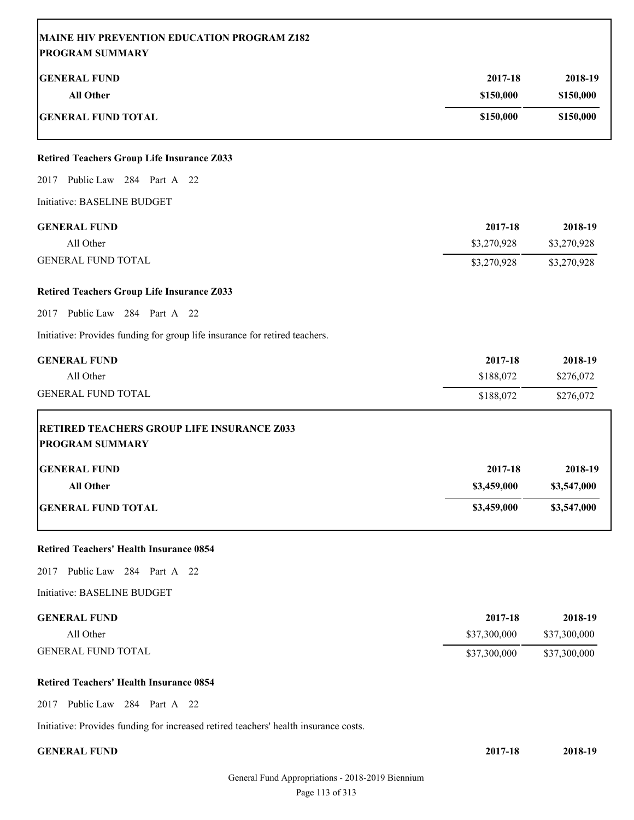| <b>GENERAL FUND</b>                                                                                                                                                                                                                                                                                                                                                                                                         | 2017-18      | 2018-19                               |
|-----------------------------------------------------------------------------------------------------------------------------------------------------------------------------------------------------------------------------------------------------------------------------------------------------------------------------------------------------------------------------------------------------------------------------|--------------|---------------------------------------|
| <b>All Other</b>                                                                                                                                                                                                                                                                                                                                                                                                            | \$150,000    | \$150,000                             |
| <b>GENERAL FUND TOTAL</b>                                                                                                                                                                                                                                                                                                                                                                                                   | \$150,000    | \$150,000                             |
|                                                                                                                                                                                                                                                                                                                                                                                                                             |              |                                       |
| <b>Retired Teachers Group Life Insurance Z033</b>                                                                                                                                                                                                                                                                                                                                                                           |              |                                       |
| 2017 Public Law 284 Part A 22                                                                                                                                                                                                                                                                                                                                                                                               |              |                                       |
| Initiative: BASELINE BUDGET                                                                                                                                                                                                                                                                                                                                                                                                 |              |                                       |
| <b>GENERAL FUND</b>                                                                                                                                                                                                                                                                                                                                                                                                         | 2017-18      | 2018-19                               |
| All Other                                                                                                                                                                                                                                                                                                                                                                                                                   | \$3,270,928  | \$3,270,928                           |
| <b>GENERAL FUND TOTAL</b>                                                                                                                                                                                                                                                                                                                                                                                                   | \$3,270,928  | \$3,270,928                           |
| <b>Retired Teachers Group Life Insurance Z033</b>                                                                                                                                                                                                                                                                                                                                                                           |              |                                       |
| 2017 Public Law 284 Part A 22                                                                                                                                                                                                                                                                                                                                                                                               |              |                                       |
| Initiative: Provides funding for group life insurance for retired teachers.                                                                                                                                                                                                                                                                                                                                                 |              |                                       |
| <b>GENERAL FUND</b>                                                                                                                                                                                                                                                                                                                                                                                                         | 2017-18      | 2018-19                               |
| All Other                                                                                                                                                                                                                                                                                                                                                                                                                   | \$188,072    | \$276,072                             |
|                                                                                                                                                                                                                                                                                                                                                                                                                             |              |                                       |
| <b>GENERAL FUND TOTAL</b>                                                                                                                                                                                                                                                                                                                                                                                                   | \$188,072    | \$276,072                             |
| <b>RETIRED TEACHERS GROUP LIFE INSURANCE Z033</b>                                                                                                                                                                                                                                                                                                                                                                           |              |                                       |
|                                                                                                                                                                                                                                                                                                                                                                                                                             |              |                                       |
|                                                                                                                                                                                                                                                                                                                                                                                                                             | 2017-18      |                                       |
| All Other                                                                                                                                                                                                                                                                                                                                                                                                                   | \$3,459,000  |                                       |
|                                                                                                                                                                                                                                                                                                                                                                                                                             | \$3,459,000  | 2018-19<br>\$3,547,000<br>\$3,547,000 |
|                                                                                                                                                                                                                                                                                                                                                                                                                             |              |                                       |
|                                                                                                                                                                                                                                                                                                                                                                                                                             |              |                                       |
|                                                                                                                                                                                                                                                                                                                                                                                                                             |              |                                       |
|                                                                                                                                                                                                                                                                                                                                                                                                                             | 2017-18      |                                       |
| All Other                                                                                                                                                                                                                                                                                                                                                                                                                   | \$37,300,000 | 2018-19<br>\$37,300,000               |
|                                                                                                                                                                                                                                                                                                                                                                                                                             | \$37,300,000 |                                       |
|                                                                                                                                                                                                                                                                                                                                                                                                                             |              |                                       |
|                                                                                                                                                                                                                                                                                                                                                                                                                             |              |                                       |
| <b>PROGRAM SUMMARY</b><br><b>GENERAL FUND</b><br><b>GENERAL FUND TOTAL</b><br><b>Retired Teachers' Health Insurance 0854</b><br>2017 Public Law 284 Part A 22<br>Initiative: BASELINE BUDGET<br><b>GENERAL FUND</b><br><b>GENERAL FUND TOTAL</b><br><b>Retired Teachers' Health Insurance 0854</b><br>2017 Public Law 284 Part A 22<br>Initiative: Provides funding for increased retired teachers' health insurance costs. |              | \$37,300,000                          |

Page 113 of 313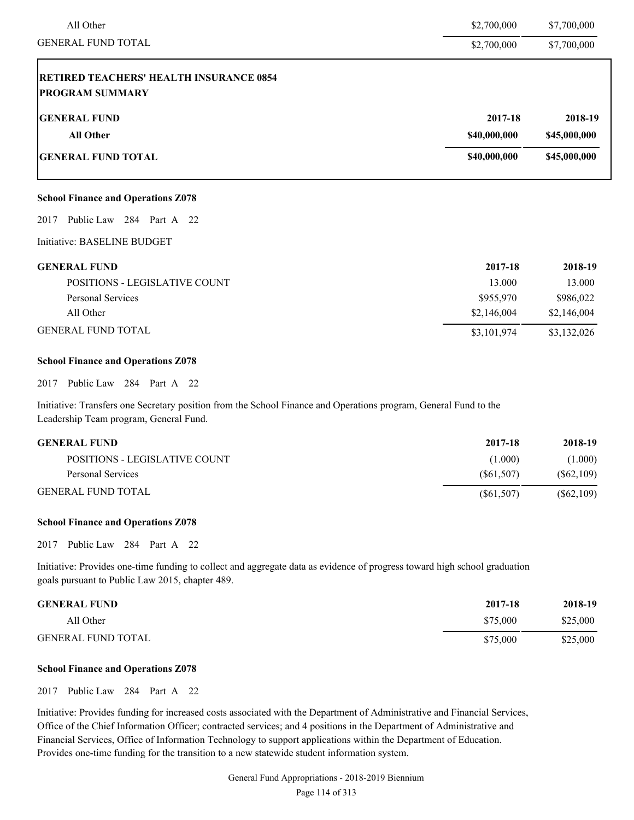| \$2,700,000  | \$7,700,000  |
|--------------|--------------|
| \$2,700,000  | \$7,700,000  |
|              |              |
| 2017-18      | 2018-19      |
| \$40,000,000 | \$45,000,000 |
| \$40,000,000 | \$45,000,000 |
|              |              |

#### **School Finance and Operations Z078**

2017 Public Law 284 Part A 22

Initiative: BASELINE BUDGET

| <b>GENERAL FUND</b>           | 2017-18     | 2018-19     |
|-------------------------------|-------------|-------------|
| POSITIONS - LEGISLATIVE COUNT | 13.000      | 13.000      |
| Personal Services             | \$955,970   | \$986,022   |
| All Other                     | \$2,146,004 | \$2,146,004 |
| <b>GENERAL FUND TOTAL</b>     | \$3,101,974 | \$3,132,026 |

#### **School Finance and Operations Z078**

2017 Public Law 284 Part A 22

Initiative: Transfers one Secretary position from the School Finance and Operations program, General Fund to the Leadership Team program, General Fund.

| <b>GENERAL FUND</b>           | 2017-18    | 2018-19    |
|-------------------------------|------------|------------|
| POSITIONS - LEGISLATIVE COUNT | (1.000)    | (1.000)    |
| Personal Services             | (S61.507)  | (S62, 109) |
| <b>GENERAL FUND TOTAL</b>     | (S61, 507) | (S62, 109) |

#### **School Finance and Operations Z078**

2017 Public Law 284 Part A 22

Initiative: Provides one-time funding to collect and aggregate data as evidence of progress toward high school graduation goals pursuant to Public Law 2015, chapter 489.

| <b>GENERAL FUND</b>       | 2017-18  | 2018-19  |
|---------------------------|----------|----------|
| All Other                 | \$75,000 | \$25,000 |
| <b>GENERAL FUND TOTAL</b> | \$75,000 | \$25,000 |

#### **School Finance and Operations Z078**

2017 Public Law 284 Part A 22

Initiative: Provides funding for increased costs associated with the Department of Administrative and Financial Services, Office of the Chief Information Officer; contracted services; and 4 positions in the Department of Administrative and Financial Services, Office of Information Technology to support applications within the Department of Education. Provides one-time funding for the transition to a new statewide student information system.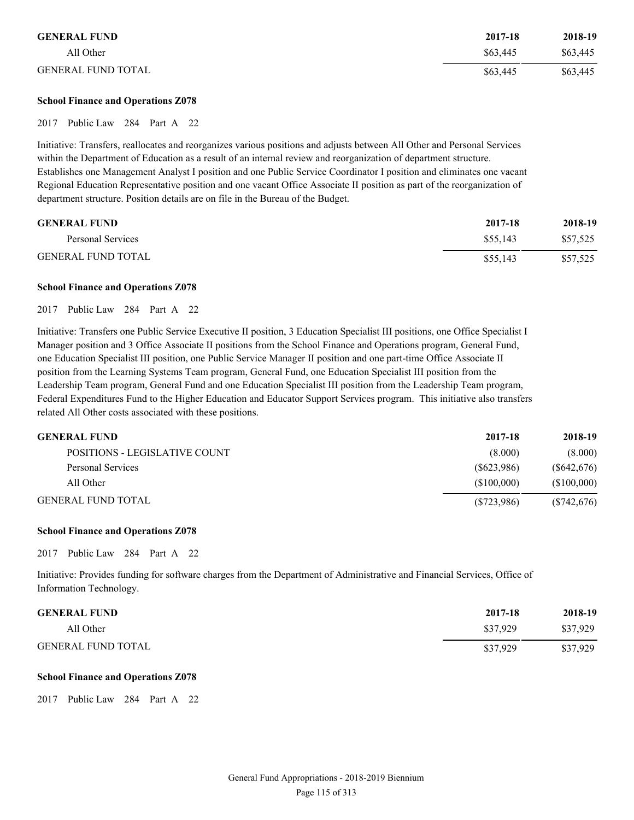| <b>GENERAL FUND</b>       | 2017-18  | 2018-19  |
|---------------------------|----------|----------|
| All Other                 | \$63,445 | \$63,445 |
| <b>GENERAL FUND TOTAL</b> | \$63,445 | \$63,445 |

#### **School Finance and Operations Z078**

2017 Public Law 284 Part A 22

Initiative: Transfers, reallocates and reorganizes various positions and adjusts between All Other and Personal Services within the Department of Education as a result of an internal review and reorganization of department structure. Establishes one Management Analyst I position and one Public Service Coordinator I position and eliminates one vacant Regional Education Representative position and one vacant Office Associate II position as part of the reorganization of department structure. Position details are on file in the Bureau of the Budget.

| <b>GENERAL FUND</b>       | 2017-18  | 2018-19  |
|---------------------------|----------|----------|
| Personal Services         | \$55,143 | \$57.525 |
| <b>GENERAL FUND TOTAL</b> | \$55,143 | \$57,525 |

#### **School Finance and Operations Z078**

2017 Public Law 284 Part A 22

Initiative: Transfers one Public Service Executive II position, 3 Education Specialist III positions, one Office Specialist I Manager position and 3 Office Associate II positions from the School Finance and Operations program, General Fund, one Education Specialist III position, one Public Service Manager II position and one part-time Office Associate II position from the Learning Systems Team program, General Fund, one Education Specialist III position from the Leadership Team program, General Fund and one Education Specialist III position from the Leadership Team program, Federal Expenditures Fund to the Higher Education and Educator Support Services program. This initiative also transfers related All Other costs associated with these positions.

| <b>GENERAL FUND</b>           | 2017-18    | 2018-19     |
|-------------------------------|------------|-------------|
| POSITIONS - LEGISLATIVE COUNT | (8.000)    | (8.000)     |
| Personal Services             | (S623.986) | (S642, 676) |
| All Other                     | (S100.000) | (S100,000)  |
| <b>GENERAL FUND TOTAL</b>     | (S723,986) | (S742, 676) |

#### **School Finance and Operations Z078**

2017 Public Law 284 Part A 22

Initiative: Provides funding for software charges from the Department of Administrative and Financial Services, Office of Information Technology.

| <b>GENERAL FUND</b>       | 2017-18  | 2018-19  |
|---------------------------|----------|----------|
| All Other                 | \$37,929 | \$37,929 |
| <b>GENERAL FUND TOTAL</b> | \$37,929 | \$37,929 |

#### **School Finance and Operations Z078**

2017 Public Law 284 Part A 22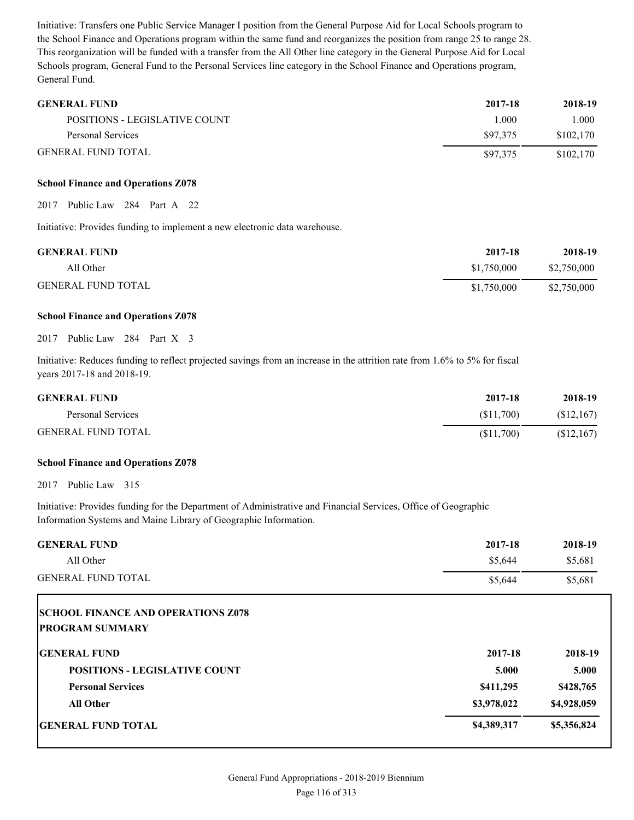Initiative: Transfers one Public Service Manager I position from the General Purpose Aid for Local Schools program to the School Finance and Operations program within the same fund and reorganizes the position from range 25 to range 28. This reorganization will be funded with a transfer from the All Other line category in the General Purpose Aid for Local Schools program, General Fund to the Personal Services line category in the School Finance and Operations program, General Fund.

| <b>GENERAL FUND</b>           | 2017-18  | 2018-19   |
|-------------------------------|----------|-----------|
| POSITIONS - LEGISLATIVE COUNT | 1.000    | 000       |
| Personal Services             | \$97.375 | \$102.170 |
| <b>GENERAL FUND TOTAL</b>     | \$97,375 | \$102,170 |

#### **School Finance and Operations Z078**

2017 Public Law 284 Part A 22

Initiative: Provides funding to implement a new electronic data warehouse.

| <b>GENERAL FUND</b>       | 2017-18     | 2018-19     |
|---------------------------|-------------|-------------|
| All Other                 | \$1.750,000 | \$2,750,000 |
| <b>GENERAL FUND TOTAL</b> | \$1,750,000 | \$2,750,000 |

### **School Finance and Operations Z078**

# 2017 Public Law 284 Part X 3

Initiative: Reduces funding to reflect projected savings from an increase in the attrition rate from 1.6% to 5% for fiscal years 2017-18 and 2018-19.

| <b>GENERAL FUND</b>       | 2017-18   | 2018-19    |
|---------------------------|-----------|------------|
| Personal Services         | (S11.700) | (S12, 167) |
| <b>GENERAL FUND TOTAL</b> | (S11,700) | (S12, 167) |

#### **School Finance and Operations Z078**

2017 Public Law 315

Initiative: Provides funding for the Department of Administrative and Financial Services, Office of Geographic Information Systems and Maine Library of Geographic Information.

| <b>GENERAL FUND</b>                       | 2017-18     | 2018-19     |
|-------------------------------------------|-------------|-------------|
| All Other                                 | \$5,644     | \$5,681     |
| <b>GENERAL FUND TOTAL</b>                 | \$5,644     | \$5,681     |
| <b>SCHOOL FINANCE AND OPERATIONS Z078</b> |             |             |
| <b>PROGRAM SUMMARY</b>                    |             |             |
| <b>IGENERAL FUND</b>                      | 2017-18     | 2018-19     |
| <b>POSITIONS - LEGISLATIVE COUNT</b>      | 5.000       | 5.000       |
| <b>Personal Services</b>                  | \$411,295   | \$428,765   |
| <b>All Other</b>                          | \$3,978,022 | \$4,928,059 |
| <b>GENERAL FUND TOTAL</b>                 | \$4,389,317 | \$5,356,824 |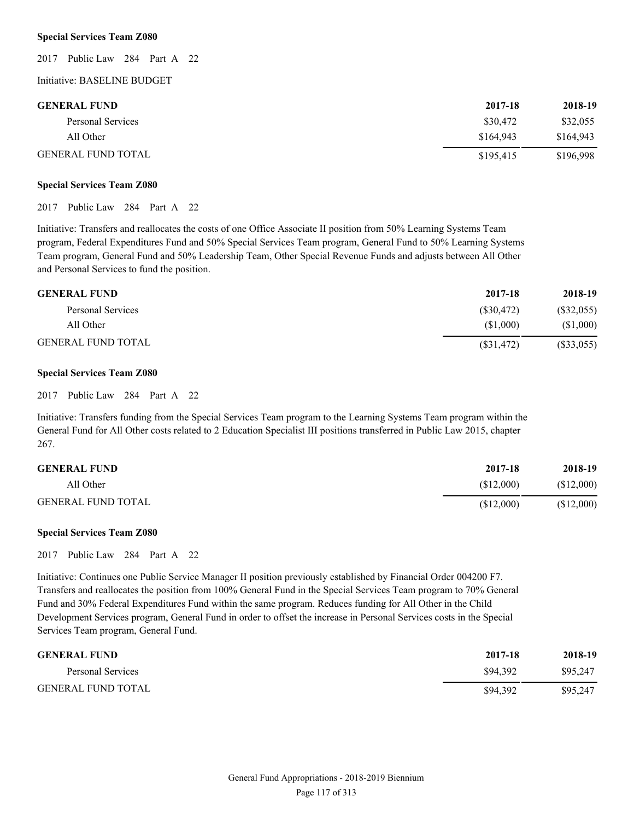#### **Special Services Team Z080**

2017 Public Law 284 Part A 22

### Initiative: BASELINE BUDGET

| <b>GENERAL FUND</b>       | 2017-18   | 2018-19   |
|---------------------------|-----------|-----------|
| Personal Services         | \$30,472  | \$32,055  |
| All Other                 | \$164.943 | \$164.943 |
| <b>GENERAL FUND TOTAL</b> | \$195,415 | \$196,998 |

#### **Special Services Team Z080**

2017 Public Law 284 Part A 22

Initiative: Transfers and reallocates the costs of one Office Associate II position from 50% Learning Systems Team program, Federal Expenditures Fund and 50% Special Services Team program, General Fund to 50% Learning Systems Team program, General Fund and 50% Leadership Team, Other Special Revenue Funds and adjusts between All Other and Personal Services to fund the position.

| <b>GENERAL FUND</b>       | 2017-18    | 2018-19   |
|---------------------------|------------|-----------|
| Personal Services         | (S30.472)  | (S32,055) |
| All Other                 | (S1.000)   | (S1,000)  |
| <b>GENERAL FUND TOTAL</b> | (S31, 472) | (S33,055) |

#### **Special Services Team Z080**

2017 Public Law 284 Part A 22

Initiative: Transfers funding from the Special Services Team program to the Learning Systems Team program within the General Fund for All Other costs related to 2 Education Specialist III positions transferred in Public Law 2015, chapter 267.

| <b>GENERAL FUND</b>       | 2017-18   | 2018-19   |
|---------------------------|-----------|-----------|
| All Other                 | (S12,000) | (S12,000) |
| <b>GENERAL FUND TOTAL</b> | \$12,000  | \$12,000  |

#### **Special Services Team Z080**

2017 Public Law 284 Part A 22

Initiative: Continues one Public Service Manager II position previously established by Financial Order 004200 F7. Transfers and reallocates the position from 100% General Fund in the Special Services Team program to 70% General Fund and 30% Federal Expenditures Fund within the same program. Reduces funding for All Other in the Child Development Services program, General Fund in order to offset the increase in Personal Services costs in the Special Services Team program, General Fund.

| <b>GENERAL FUND</b>       | 2017-18  | 2018-19  |
|---------------------------|----------|----------|
| Personal Services         | \$94.392 | \$95,247 |
| <b>GENERAL FUND TOTAL</b> | \$94,392 | \$95,247 |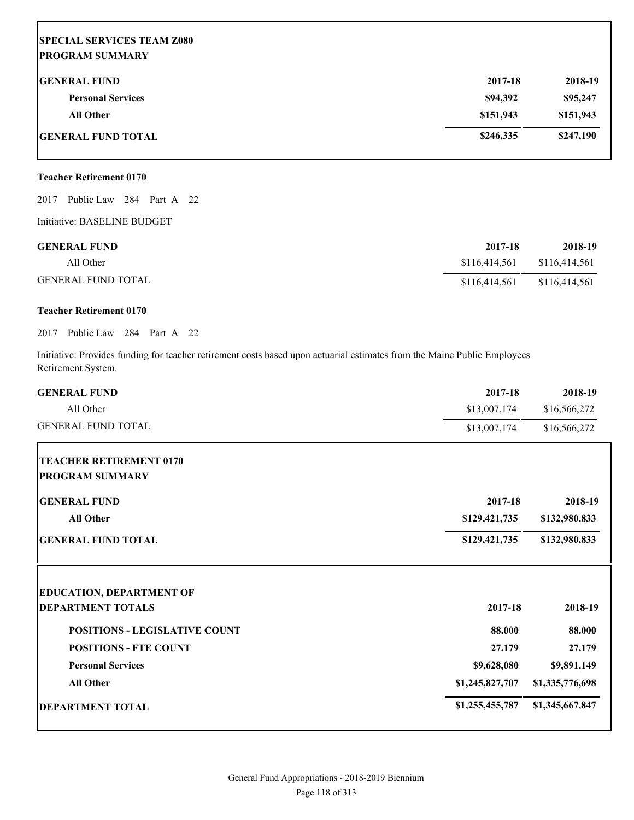# **SPECIAL SERVICES TEAM Z080 PROGRAM SUMMARY GENERAL FUND 2017-18 2018-19 Personal Services \$94,392 \$95,247 All Other \$151,943 \$151,943 GENERAL FUND TOTAL 5247,190 5247,190**

# **Teacher Retirement 0170**

2017 Public Law 284 Part A 22

Initiative: BASELINE BUDGET

| <b>GENERAL FUND</b>       | 2017-18       | 2018-19       |
|---------------------------|---------------|---------------|
| All Other                 | \$116,414,561 | \$116,414,561 |
| <b>GENERAL FUND TOTAL</b> | \$116,414.561 | \$116,414,561 |

# **Teacher Retirement 0170**

# 2017 Public Law 284 Part A 22

Initiative: Provides funding for teacher retirement costs based upon actuarial estimates from the Maine Public Employees Retirement System.

| <b>GENERAL FUND</b>                  | 2017-18         | 2018-19         |
|--------------------------------------|-----------------|-----------------|
| All Other                            | \$13,007,174    | \$16,566,272    |
| <b>GENERAL FUND TOTAL</b>            | \$13,007,174    | \$16,566,272    |
| <b>TEACHER RETIREMENT 0170</b>       |                 |                 |
| <b>PROGRAM SUMMARY</b>               |                 |                 |
| <b>GENERAL FUND</b>                  | 2017-18         | 2018-19         |
| <b>All Other</b>                     | \$129,421,735   | \$132,980,833   |
| <b>GENERAL FUND TOTAL</b>            | \$129,421,735   | \$132,980,833   |
| <b>EDUCATION, DEPARTMENT OF</b>      |                 |                 |
| <b>DEPARTMENT TOTALS</b>             | 2017-18         | 2018-19         |
| <b>POSITIONS - LEGISLATIVE COUNT</b> | 88.000          | 88.000          |
| <b>POSITIONS - FTE COUNT</b>         | 27.179          | 27.179          |
| <b>Personal Services</b>             | \$9,628,080     | \$9,891,149     |
| All Other                            | \$1,245,827,707 | \$1,335,776,698 |
| <b>DEPARTMENT TOTAL</b>              | \$1,255,455,787 | \$1,345,667,847 |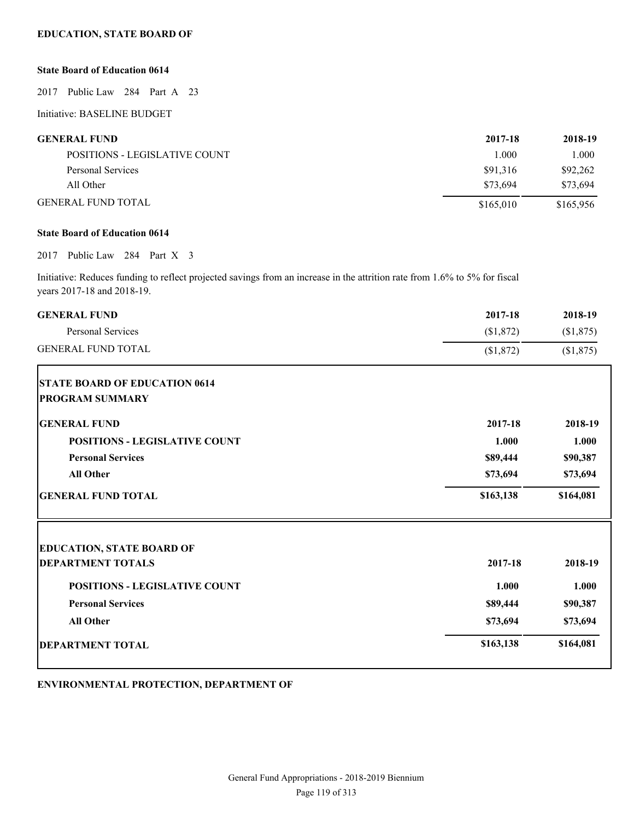# **EDUCATION, STATE BOARD OF**

# **State Board of Education 0614**

2017 Public Law 284 Part A 23

Initiative: BASELINE BUDGET

| <b>GENERAL FUND</b>           | 2017-18   | 2018-19   |
|-------------------------------|-----------|-----------|
| POSITIONS - LEGISLATIVE COUNT | 1.000     | 1.000     |
| Personal Services             | \$91.316  | \$92,262  |
| All Other                     | \$73.694  | \$73.694  |
| <b>GENERAL FUND TOTAL</b>     | \$165,010 | \$165,956 |

# **State Board of Education 0614**

#### 2017 Public Law 284 Part X 3

Initiative: Reduces funding to reflect projected savings from an increase in the attrition rate from 1.6% to 5% for fiscal years 2017-18 and 2018-19.

| <b>GENERAL FUND</b>                  | 2017-18   | 2018-19   |
|--------------------------------------|-----------|-----------|
| Personal Services                    | (\$1,872) | (\$1,875) |
| <b>GENERAL FUND TOTAL</b>            | \$1,872   | \$1,875   |
| <b>STATE BOARD OF EDUCATION 0614</b> |           |           |
| <b>PROGRAM SUMMARY</b>               |           |           |
| <b>GENERAL FUND</b>                  | 2017-18   | 2018-19   |
| <b>POSITIONS - LEGISLATIVE COUNT</b> | 1.000     | 1.000     |
| <b>Personal Services</b>             | \$89,444  | \$90,387  |
| <b>All Other</b>                     | \$73,694  | \$73,694  |
| <b>GENERAL FUND TOTAL</b>            | \$163,138 | \$164,081 |
| <b>EDUCATION, STATE BOARD OF</b>     |           |           |
| <b>DEPARTMENT TOTALS</b>             | 2017-18   | 2018-19   |
| <b>POSITIONS - LEGISLATIVE COUNT</b> | 1.000     | 1.000     |
| <b>Personal Services</b>             | \$89,444  | \$90,387  |
| All Other                            | \$73,694  | \$73,694  |
| <b>DEPARTMENT TOTAL</b>              | \$163,138 | \$164,081 |
|                                      |           |           |

**ENVIRONMENTAL PROTECTION, DEPARTMENT OF**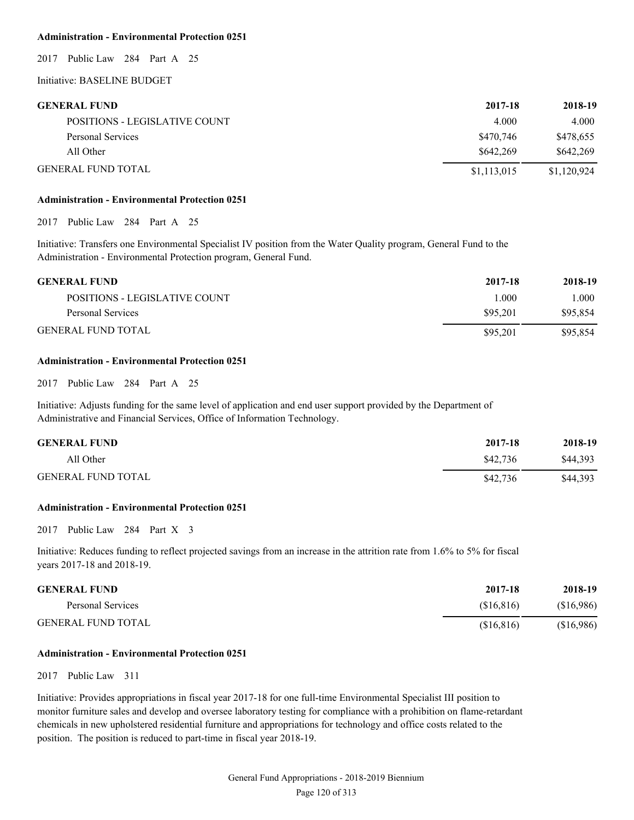#### **Administration - Environmental Protection 0251**

2017 Public Law 284 Part A 25

# Initiative: BASELINE BUDGET

| <b>GENERAL FUND</b>           | 2017-18     | 2018-19     |
|-------------------------------|-------------|-------------|
| POSITIONS - LEGISLATIVE COUNT | 4.000       | 4.000       |
| Personal Services             | \$470,746   | \$478,655   |
| All Other                     | \$642.269   | \$642.269   |
| <b>GENERAL FUND TOTAL</b>     | \$1,113,015 | \$1,120,924 |

### **Administration - Environmental Protection 0251**

2017 Public Law 284 Part A 25

Initiative: Transfers one Environmental Specialist IV position from the Water Quality program, General Fund to the Administration - Environmental Protection program, General Fund.

| <b>GENERAL FUND</b>           | 2017-18  | 2018-19  |
|-------------------------------|----------|----------|
| POSITIONS - LEGISLATIVE COUNT | L000     | 1.000    |
| Personal Services             | \$95.201 | \$95,854 |
| <b>GENERAL FUND TOTAL</b>     | \$95.201 | \$95,854 |

### **Administration - Environmental Protection 0251**

2017 Public Law 284 Part A 25

Initiative: Adjusts funding for the same level of application and end user support provided by the Department of Administrative and Financial Services, Office of Information Technology.

| <b>GENERAL FUND</b>       | 2017-18  | 2018-19  |
|---------------------------|----------|----------|
| All Other                 | \$42,736 | \$44,393 |
| <b>GENERAL FUND TOTAL</b> | \$42,736 | \$44,393 |

### **Administration - Environmental Protection 0251**

2017 Public Law 284 Part X 3

Initiative: Reduces funding to reflect projected savings from an increase in the attrition rate from 1.6% to 5% for fiscal years 2017-18 and 2018-19.

| <b>GENERAL FUND</b>       | 2017-18    | 2018-19  |
|---------------------------|------------|----------|
| Personal Services         | (S16.816)  | \$16,986 |
| <b>GENERAL FUND TOTAL</b> | (S16, 816) | \$16,986 |

#### **Administration - Environmental Protection 0251**

#### 2017 Public Law 311

Initiative: Provides appropriations in fiscal year 2017-18 for one full-time Environmental Specialist III position to monitor furniture sales and develop and oversee laboratory testing for compliance with a prohibition on flame-retardant chemicals in new upholstered residential furniture and appropriations for technology and office costs related to the position. The position is reduced to part-time in fiscal year 2018-19.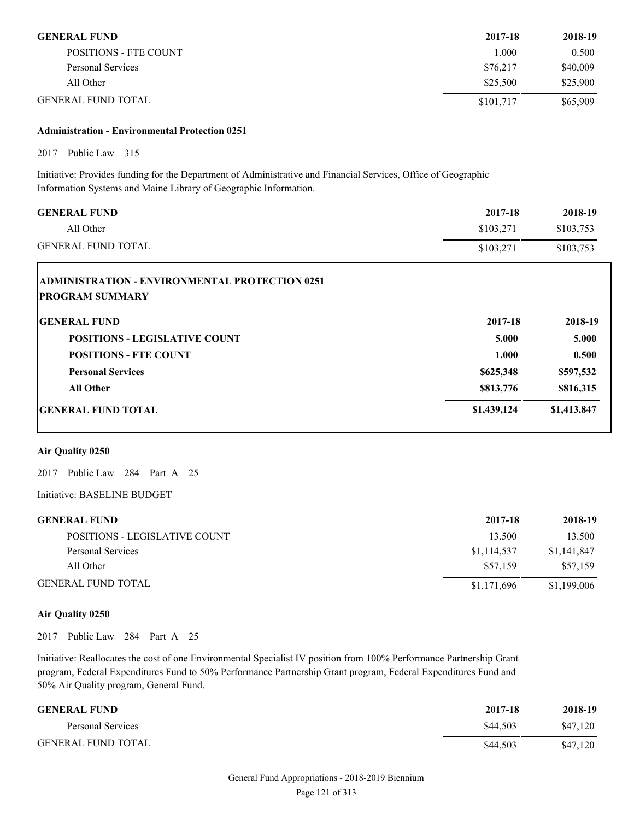| <b>GENERAL FUND</b>          | 2017-18   | 2018-19  |
|------------------------------|-----------|----------|
| <b>POSITIONS - FTE COUNT</b> | L000      | 0.500    |
| Personal Services            | \$76.217  | \$40,009 |
| All Other                    | \$25,500  | \$25,900 |
| <b>GENERAL FUND TOTAL</b>    | \$101,717 | \$65,909 |

# **Administration - Environmental Protection 0251**

2017 Public Law 315

Initiative: Provides funding for the Department of Administrative and Financial Services, Office of Geographic Information Systems and Maine Library of Geographic Information.

| <b>GENERAL FUND</b>                                                             | 2017-18     | 2018-19     |
|---------------------------------------------------------------------------------|-------------|-------------|
| All Other                                                                       | \$103,271   | \$103,753   |
| <b>GENERAL FUND TOTAL</b>                                                       | \$103,271   | \$103,753   |
| <b>ADMINISTRATION - ENVIRONMENTAL PROTECTION 0251</b><br><b>PROGRAM SUMMARY</b> |             |             |
| <b>GENERAL FUND</b>                                                             | 2017-18     | 2018-19     |
| <b>POSITIONS - LEGISLATIVE COUNT</b>                                            | 5.000       | 5.000       |
| <b>POSITIONS - FTE COUNT</b>                                                    | 1.000       | 0.500       |
| <b>Personal Services</b>                                                        | \$625,348   | \$597,532   |
| <b>All Other</b>                                                                | \$813,776   | \$816,315   |
| <b>GENERAL FUND TOTAL</b>                                                       | \$1,439,124 | \$1,413,847 |

# **Air Quality 0250**

2017 Public Law 284 Part A 25

Initiative: BASELINE BUDGET

| <b>GENERAL FUND</b>           | 2017-18     | 2018-19     |
|-------------------------------|-------------|-------------|
| POSITIONS - LEGISLATIVE COUNT | 13.500      | 13.500      |
| Personal Services             | \$1,114,537 | \$1,141,847 |
| All Other                     | \$57,159    | \$57.159    |
| <b>GENERAL FUND TOTAL</b>     | \$1,171,696 | \$1,199,006 |

### **Air Quality 0250**

2017 Public Law 284 Part A 25

Initiative: Reallocates the cost of one Environmental Specialist IV position from 100% Performance Partnership Grant program, Federal Expenditures Fund to 50% Performance Partnership Grant program, Federal Expenditures Fund and 50% Air Quality program, General Fund.

| <b>GENERAL FUND</b>       | 2017-18  | 2018-19  |
|---------------------------|----------|----------|
| Personal Services         | \$44.503 | \$47,120 |
| <b>GENERAL FUND TOTAL</b> | \$44.503 | \$47,120 |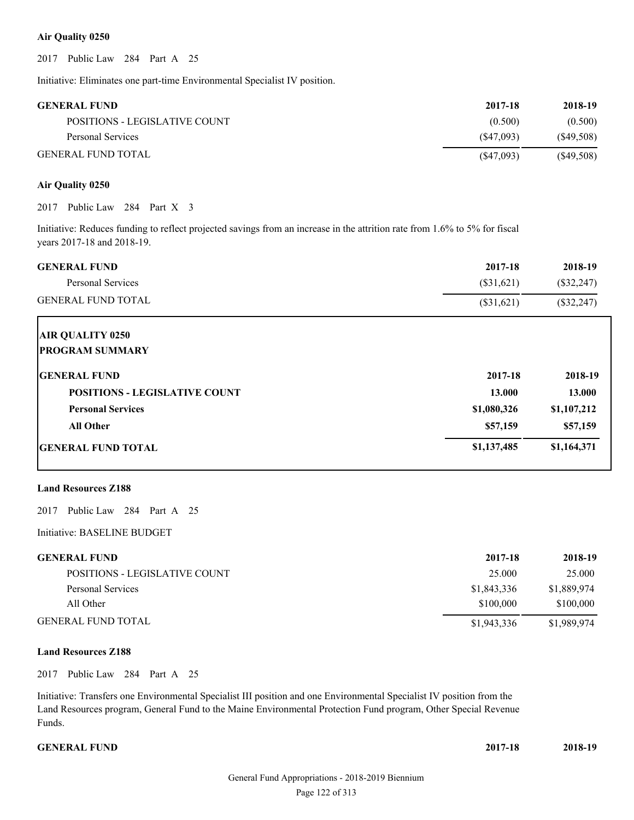#### **Air Quality 0250**

2017 Public Law 284 Part A 25

Initiative: Eliminates one part-time Environmental Specialist IV position.

| <b>GENERAL FUND</b>           | 2017-18   | 2018-19      |
|-------------------------------|-----------|--------------|
| POSITIONS - LEGISLATIVE COUNT | (0.500)   | (0.500)      |
| Personal Services             | (S47.093) | $(\$49,508)$ |
| <b>GENERAL FUND TOTAL</b>     | (S47,093) | $(\$49,508)$ |

### **Air Quality 0250**

2017 Public Law 284 Part X 3

Initiative: Reduces funding to reflect projected savings from an increase in the attrition rate from 1.6% to 5% for fiscal years 2017-18 and 2018-19.

| <b>GENERAL FUND</b>                  | 2017-18      | 2018-19      |
|--------------------------------------|--------------|--------------|
| Personal Services                    | $(\$31,621)$ | $(\$32,247)$ |
| <b>GENERAL FUND TOTAL</b>            | $(\$31,621)$ | $(\$32,247)$ |
| <b>AIR QUALITY 0250</b>              |              |              |
| <b>PROGRAM SUMMARY</b>               |              |              |
| <b>GENERAL FUND</b>                  | 2017-18      | 2018-19      |
| <b>POSITIONS - LEGISLATIVE COUNT</b> | 13.000       | 13.000       |
| <b>Personal Services</b>             | \$1,080,326  | \$1,107,212  |
| <b>All Other</b>                     | \$57,159     | \$57,159     |
| <b>IGENERAL FUND TOTAL</b>           | \$1,137,485  | \$1,164,371  |

#### **Land Resources Z188**

2017 Public Law 284 Part A 25

Initiative: BASELINE BUDGET

| <b>GENERAL FUND</b>           | 2017-18     | 2018-19     |
|-------------------------------|-------------|-------------|
| POSITIONS - LEGISLATIVE COUNT | 25.000      | 25,000      |
| Personal Services             | \$1,843,336 | \$1,889,974 |
| All Other                     | \$100,000   | \$100,000   |
| GENERAL FUND TOTAL            | \$1,943,336 | \$1,989,974 |

## **Land Resources Z188**

2017 Public Law 284 Part A 25

Initiative: Transfers one Environmental Specialist III position and one Environmental Specialist IV position from the Land Resources program, General Fund to the Maine Environmental Protection Fund program, Other Special Revenue Funds.

**GENERAL FUND 2017-18 2018-19**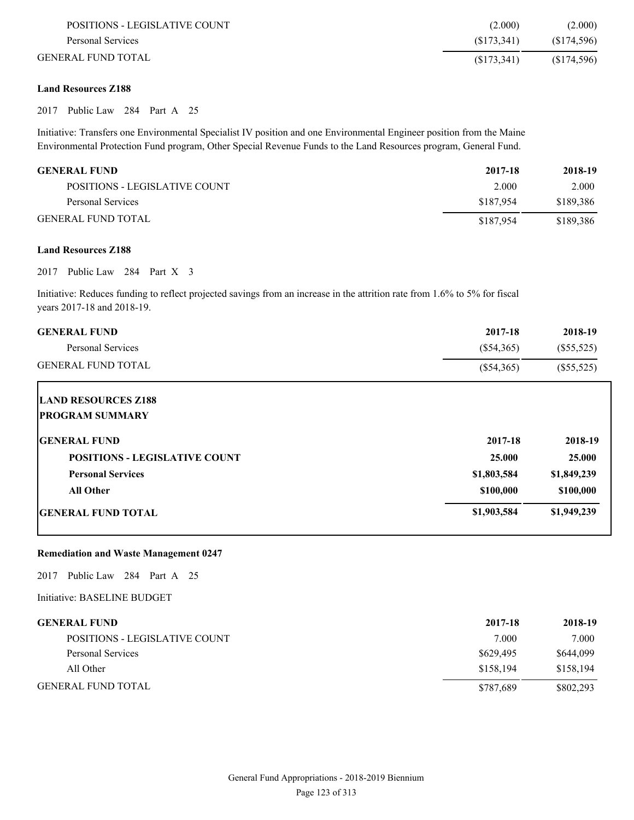| POSITIONS - LEGISLATIVE COUNT | (2.000)     | (2.000)     |
|-------------------------------|-------------|-------------|
| Personal Services             | (S173.341)  | (S174, 596) |
| GENERAL FUND TOTAL            | (S173, 341) | (S174, 596) |

## **Land Resources Z188**

2017 Public Law 284 Part A 25

Initiative: Transfers one Environmental Specialist IV position and one Environmental Engineer position from the Maine Environmental Protection Fund program, Other Special Revenue Funds to the Land Resources program, General Fund.

| <b>GENERAL FUND</b>           | 2017-18   | 2018-19   |
|-------------------------------|-----------|-----------|
| POSITIONS - LEGISLATIVE COUNT | 2.000     | 2.000     |
| Personal Services             | \$187.954 | \$189.386 |
| <b>GENERAL FUND TOTAL</b>     | \$187.954 | \$189,386 |

#### **Land Resources Z188**

2017 Public Law 284 Part X 3

Initiative: Reduces funding to reflect projected savings from an increase in the attrition rate from 1.6% to 5% for fiscal years 2017-18 and 2018-19.

| <b>GENERAL FUND</b>                                  | 2017-18      | 2018-19      |
|------------------------------------------------------|--------------|--------------|
| Personal Services                                    | $(\$54,365)$ | $(\$55,525)$ |
| <b>GENERAL FUND TOTAL</b>                            | $(\$54,365)$ | $(\$55,525)$ |
| <b>LAND RESOURCES Z188</b><br><b>PROGRAM SUMMARY</b> |              |              |
|                                                      |              |              |
| <b>GENERAL FUND</b>                                  | 2017-18      | 2018-19      |
| <b>POSITIONS - LEGISLATIVE COUNT</b>                 | 25.000       | 25.000       |
| <b>Personal Services</b>                             | \$1,803,584  | \$1,849,239  |
| <b>All Other</b>                                     | \$100,000    | \$100,000    |
| <b>GENERAL FUND TOTAL</b>                            | \$1,903,584  | \$1,949,239  |

#### **Remediation and Waste Management 0247**

2017 Public Law 284 Part A 25

Initiative: BASELINE BUDGET

| GENERAL FUND                  | 2017-18   | 2018-19   |
|-------------------------------|-----------|-----------|
| POSITIONS - LEGISLATIVE COUNT | 7.000     | 7.000     |
| Personal Services             | \$629,495 | \$644,099 |
| All Other                     | \$158.194 | \$158.194 |
| GENERAL FUND TOTAL            | \$787,689 | \$802,293 |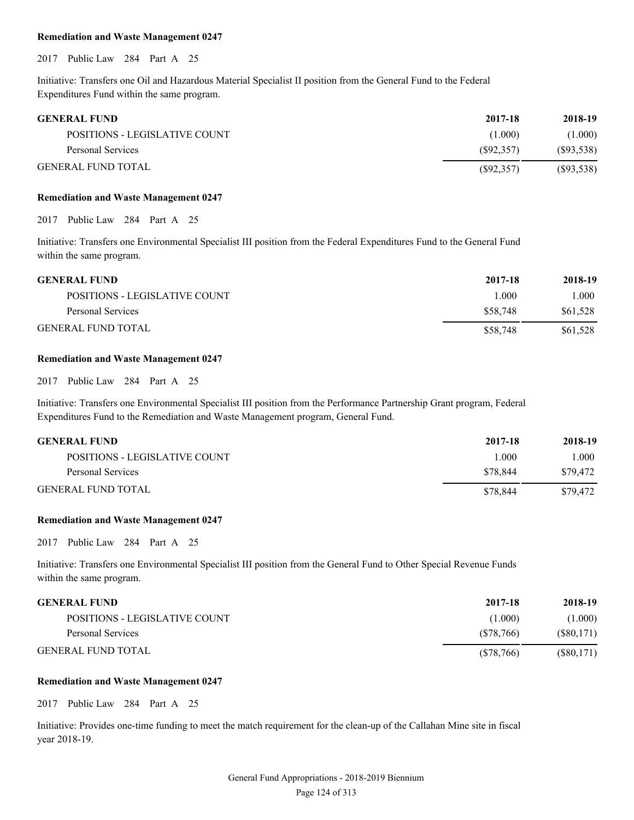#### **Remediation and Waste Management 0247**

2017 Public Law 284 Part A 25

Initiative: Transfers one Oil and Hazardous Material Specialist II position from the General Fund to the Federal Expenditures Fund within the same program.

| <b>GENERAL FUND</b>           | 2017-18    | 2018-19    |
|-------------------------------|------------|------------|
| POSITIONS - LEGISLATIVE COUNT | (1.000)    | (1.000)    |
| Personal Services             | (S92, 357) | (S93, 538) |
| <b>GENERAL FUND TOTAL</b>     | (S92, 357) | (S93, 538) |

#### **Remediation and Waste Management 0247**

2017 Public Law 284 Part A 25

Initiative: Transfers one Environmental Specialist III position from the Federal Expenditures Fund to the General Fund within the same program.

| <b>GENERAL FUND</b>           | 2017-18  | 2018-19  |
|-------------------------------|----------|----------|
| POSITIONS - LEGISLATIVE COUNT | -000     | 1.000    |
| Personal Services             | \$58.748 | \$61.528 |
| <b>GENERAL FUND TOTAL</b>     | \$58,748 | \$61.528 |

#### **Remediation and Waste Management 0247**

2017 Public Law 284 Part A 25

Initiative: Transfers one Environmental Specialist III position from the Performance Partnership Grant program, Federal Expenditures Fund to the Remediation and Waste Management program, General Fund.

| <b>GENERAL FUND</b>           | 2017-18   | 2018-19  |
|-------------------------------|-----------|----------|
| POSITIONS - LEGISLATIVE COUNT | $\pm 000$ | 000      |
| Personal Services             | \$78.844  | \$79,472 |
| <b>GENERAL FUND TOTAL</b>     | \$78.844  | \$79.472 |

#### **Remediation and Waste Management 0247**

2017 Public Law 284 Part A 25

Initiative: Transfers one Environmental Specialist III position from the General Fund to Other Special Revenue Funds within the same program.

| <b>GENERAL FUND</b>           | 2017-18   | 2018-19      |
|-------------------------------|-----------|--------------|
| POSITIONS - LEGISLATIVE COUNT | (1.000)   | (1.000)      |
| Personal Services             | (S78.766) | (S80, 171)   |
| <b>GENERAL FUND TOTAL</b>     | (S78,766) | $(\$80,171)$ |

#### **Remediation and Waste Management 0247**

2017 Public Law 284 Part A 25

Initiative: Provides one-time funding to meet the match requirement for the clean-up of the Callahan Mine site in fiscal year 2018-19.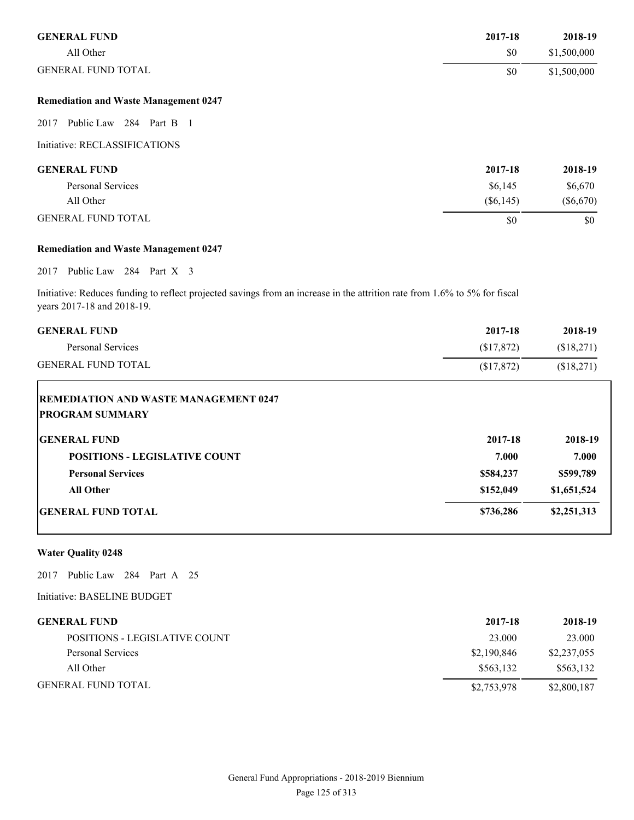| <b>GENERAL FUND</b>                                                                                                                                      | 2017-18     | 2018-19     |
|----------------------------------------------------------------------------------------------------------------------------------------------------------|-------------|-------------|
| All Other                                                                                                                                                | \$0         | \$1,500,000 |
| <b>GENERAL FUND TOTAL</b>                                                                                                                                | \$0         | \$1,500,000 |
| <b>Remediation and Waste Management 0247</b>                                                                                                             |             |             |
| Public Law 284 Part B 1<br>2017                                                                                                                          |             |             |
| Initiative: RECLASSIFICATIONS                                                                                                                            |             |             |
| <b>GENERAL FUND</b>                                                                                                                                      | 2017-18     | 2018-19     |
| <b>Personal Services</b>                                                                                                                                 | \$6,145     | \$6,670     |
| All Other                                                                                                                                                | $(\$6,145)$ | $(\$6,670)$ |
| <b>GENERAL FUND TOTAL</b>                                                                                                                                | \$0         | \$0         |
| <b>Remediation and Waste Management 0247</b>                                                                                                             |             |             |
| Public Law 284 Part X 3<br>2017                                                                                                                          |             |             |
| Initiative: Reduces funding to reflect projected savings from an increase in the attrition rate from 1.6% to 5% for fiscal<br>years 2017-18 and 2018-19. |             |             |

| <b>GENERAL FUND</b>                                                    | 2017-18    | 2018-19     |
|------------------------------------------------------------------------|------------|-------------|
| <b>Personal Services</b>                                               | \$17,872   | (\$18,271)  |
| <b>GENERAL FUND TOTAL</b>                                              | (\$17,872) | (\$18,271)  |
| <b>REMEDIATION AND WASTE MANAGEMENT 0247</b><br><b>PROGRAM SUMMARY</b> |            |             |
| <b>GENERAL FUND</b>                                                    | 2017-18    | 2018-19     |
| <b>POSITIONS - LEGISLATIVE COUNT</b>                                   | 7.000      | 7.000       |
| <b>Personal Services</b>                                               | \$584,237  | \$599,789   |
| <b>All Other</b>                                                       | \$152,049  | \$1,651,524 |
| <b>IGENERAL FUND TOTAL</b>                                             | \$736,286  | \$2,251,313 |

# **Water Quality 0248**

2017 Public Law 284 Part A 25

Initiative: BASELINE BUDGET

| <b>GENERAL FUND</b>           | 2017-18     | 2018-19     |
|-------------------------------|-------------|-------------|
| POSITIONS - LEGISLATIVE COUNT | 23.000      | 23.000      |
| Personal Services             | \$2,190,846 | \$2,237,055 |
| All Other                     | \$563.132   | \$563,132   |
| <b>GENERAL FUND TOTAL</b>     | \$2,753,978 | \$2,800,187 |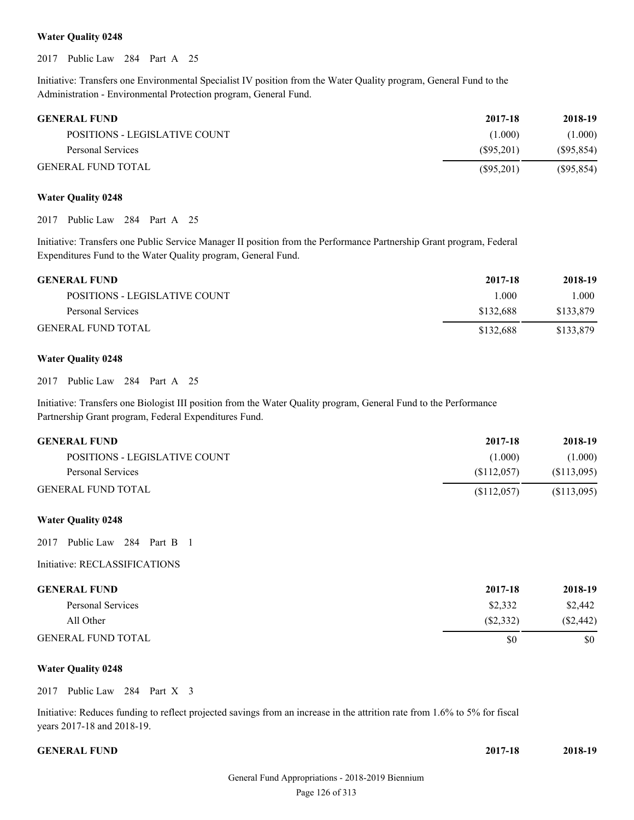#### **Water Quality 0248**

2017 Public Law 284 Part A 25

Initiative: Transfers one Environmental Specialist IV position from the Water Quality program, General Fund to the Administration - Environmental Protection program, General Fund.

| <b>GENERAL FUND</b>           | 2017-18   | 2018-19    |
|-------------------------------|-----------|------------|
| POSITIONS - LEGISLATIVE COUNT | (1.000)   | (1.000)    |
| Personal Services             | (S95.201) | (S95, 854) |
| <b>GENERAL FUND TOTAL</b>     | (S95,201) | (S95, 854) |

#### **Water Quality 0248**

2017 Public Law 284 Part A 25

Initiative: Transfers one Public Service Manager II position from the Performance Partnership Grant program, Federal Expenditures Fund to the Water Quality program, General Fund.

| <b>GENERAL FUND</b>           | 2017-18   | 2018-19   |
|-------------------------------|-----------|-----------|
| POSITIONS - LEGISLATIVE COUNT | l 000     | 1.000     |
| Personal Services             | \$132.688 | \$133,879 |
| <b>GENERAL FUND TOTAL</b>     | \$132,688 | \$133,879 |

#### **Water Quality 0248**

2017 Public Law 284 Part A 25

Initiative: Transfers one Biologist III position from the Water Quality program, General Fund to the Performance Partnership Grant program, Federal Expenditures Fund.

| <b>GENERAL FUND</b>           | 2017-18    | 2018-19     |
|-------------------------------|------------|-------------|
| POSITIONS - LEGISLATIVE COUNT | (1.000)    | (1.000)     |
| Personal Services             | (S112.057) | (S113,095)  |
| <b>GENERAL FUND TOTAL</b>     | (S112.057) | (\$113,095) |

#### **Water Quality 0248**

2017 Public Law 284 Part B 1

#### Initiative: RECLASSIFICATIONS

| <b>GENERAL FUND</b>       | 2017-18   | 2018-19     |
|---------------------------|-----------|-------------|
| Personal Services         | \$2,332   | \$2,442     |
| All Other                 | (S2, 332) | $(\$2,442)$ |
| <b>GENERAL FUND TOTAL</b> | \$0       | \$0         |

#### **Water Quality 0248**

2017 Public Law 284 Part X 3

Initiative: Reduces funding to reflect projected savings from an increase in the attrition rate from 1.6% to 5% for fiscal years 2017-18 and 2018-19.

| <b>GENERAL FUND</b> | 2017-18 | 2018-19 |
|---------------------|---------|---------|
|                     |         |         |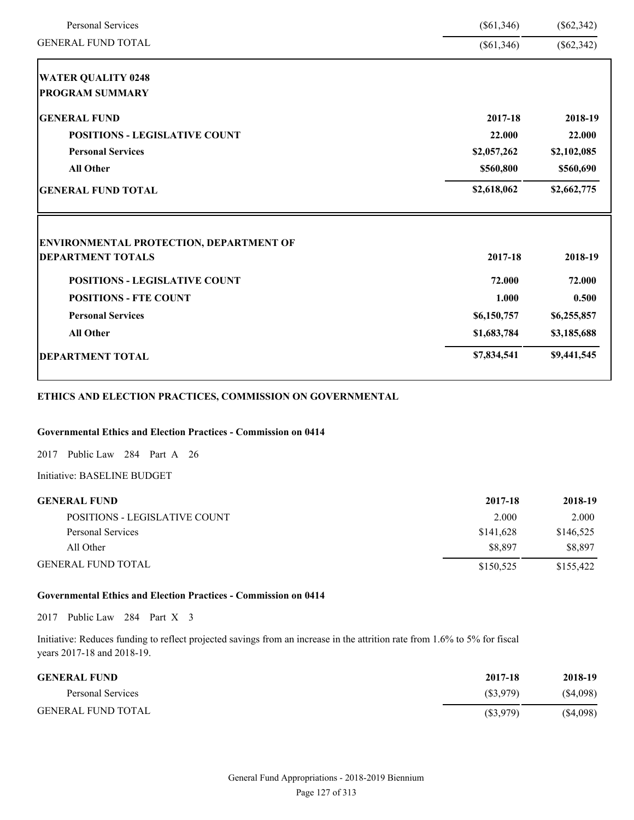| <b>Personal Services</b>                | $(\$61,346)$ | $(\$62,342)$ |
|-----------------------------------------|--------------|--------------|
| <b>GENERAL FUND TOTAL</b>               | $(\$61,346)$ | $(\$62,342)$ |
| <b>WATER QUALITY 0248</b>               |              |              |
| <b>PROGRAM SUMMARY</b>                  |              |              |
| <b>GENERAL FUND</b>                     | 2017-18      | 2018-19      |
| <b>POSITIONS - LEGISLATIVE COUNT</b>    | 22.000       | 22.000       |
| <b>Personal Services</b>                | \$2,057,262  | \$2,102,085  |
| <b>All Other</b>                        | \$560,800    | \$560,690    |
| <b>GENERAL FUND TOTAL</b>               | \$2,618,062  | \$2,662,775  |
| ENVIRONMENTAL PROTECTION, DEPARTMENT OF |              |              |
| <b>DEPARTMENT TOTALS</b>                | 2017-18      | 2018-19      |
| <b>POSITIONS - LEGISLATIVE COUNT</b>    | 72.000       | 72.000       |
| <b>POSITIONS - FTE COUNT</b>            | 1.000        | 0.500        |
|                                         | \$6,150,757  | \$6,255,857  |
| <b>Personal Services</b>                |              |              |
| <b>All Other</b>                        | \$1,683,784  | \$3,185,688  |

# **ETHICS AND ELECTION PRACTICES, COMMISSION ON GOVERNMENTAL**

# **Governmental Ethics and Election Practices - Commission on 0414**

2017 Public Law 284 Part A 26

Initiative: BASELINE BUDGET

| <b>GENERAL FUND</b>           | 2017-18   | 2018-19   |
|-------------------------------|-----------|-----------|
| POSITIONS - LEGISLATIVE COUNT | 2.000     | 2.000     |
| Personal Services             | \$141,628 | \$146,525 |
| All Other                     | \$8.897   | \$8.897   |
| <b>GENERAL FUND TOTAL</b>     | \$150.525 | \$155,422 |

# **Governmental Ethics and Election Practices - Commission on 0414**

2017 Public Law 284 Part X 3

Initiative: Reduces funding to reflect projected savings from an increase in the attrition rate from 1.6% to 5% for fiscal years 2017-18 and 2018-19.

| <b>GENERAL FUND</b>       | 2017-18     | 2018-19  |
|---------------------------|-------------|----------|
| Personal Services         | (S3.979)    | (S4,098) |
| <b>GENERAL FUND TOTAL</b> | $(\$3,979)$ | (S4,098) |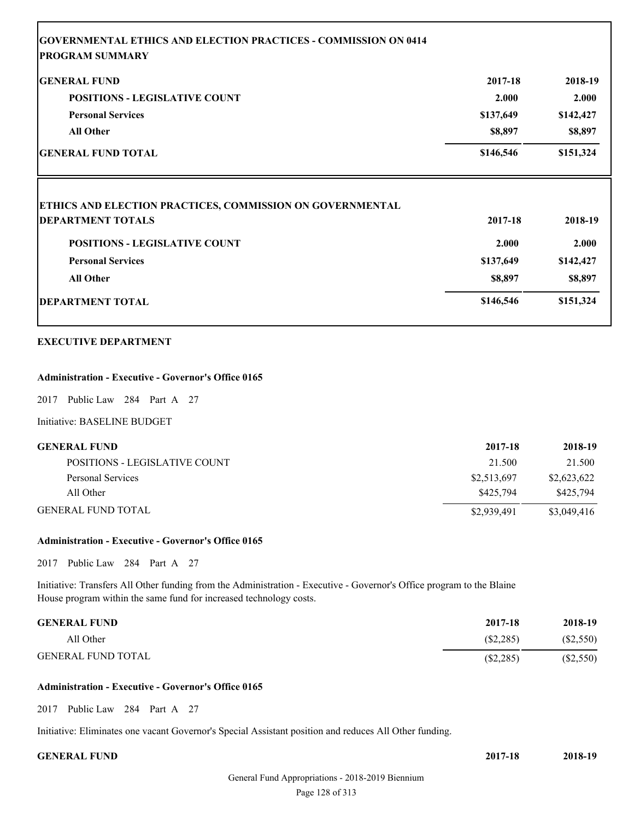| <b>IGENERAL FUND</b>                                                                                             | 2017-18   | 2018-19            |
|------------------------------------------------------------------------------------------------------------------|-----------|--------------------|
| <b>POSITIONS - LEGISLATIVE COUNT</b>                                                                             | 2.000     | 2.000              |
| <b>Personal Services</b>                                                                                         | \$137,649 | \$142,427          |
| <b>All Other</b>                                                                                                 | \$8,897   | \$8,897            |
| <b>GENERAL FUND TOTAL</b>                                                                                        | \$146,546 | \$151,324          |
|                                                                                                                  |           |                    |
|                                                                                                                  |           |                    |
|                                                                                                                  | 2017-18   | 2018-19            |
| <b>POSITIONS - LEGISLATIVE COUNT</b>                                                                             | 2.000     |                    |
| <b>Personal Services</b>                                                                                         | \$137,649 | 2.000<br>\$142,427 |
| <b>ETHICS AND ELECTION PRACTICES, COMMISSION ON GOVERNMENTAL</b><br><b>DEPARTMENT TOTALS</b><br><b>All Other</b> | \$8,897   | \$8,897            |

# **Administration - Executive - Governor's Office 0165**

2017 Public Law 284 Part A 27

Initiative: BASELINE BUDGET

| <b>GENERAL FUND</b>           | 2017-18     | 2018-19     |
|-------------------------------|-------------|-------------|
| POSITIONS - LEGISLATIVE COUNT | 21.500      | 21.500      |
| Personal Services             | \$2,513,697 | \$2,623,622 |
| All Other                     | \$425,794   | \$425,794   |
| <b>GENERAL FUND TOTAL</b>     | \$2,939,491 | \$3,049,416 |

# **Administration - Executive - Governor's Office 0165**

2017 Public Law 284 Part A 27

Initiative: Transfers All Other funding from the Administration - Executive - Governor's Office program to the Blaine House program within the same fund for increased technology costs.

| <b>GENERAL FUND</b>       | 2017-18     | 2018-19   |
|---------------------------|-------------|-----------|
| All Other                 | $(\$2,285)$ | (\$2,550) |
| <b>GENERAL FUND TOTAL</b> | $(\$2,285)$ | (S2,550)  |

#### **Administration - Executive - Governor's Office 0165**

2017 Public Law 284 Part A 27

Initiative: Eliminates one vacant Governor's Special Assistant position and reduces All Other funding.

**GENERAL FUND 2017-18 2018-19**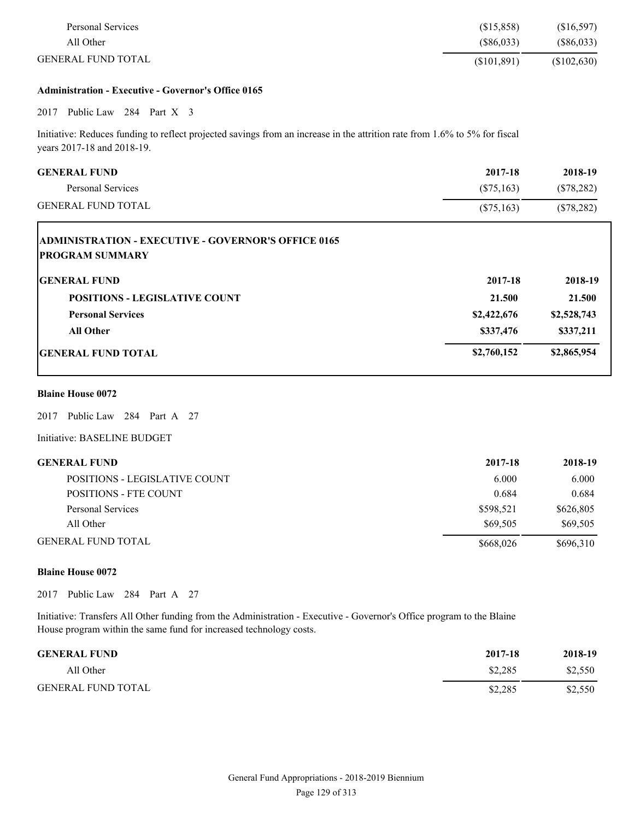| Personal Services         | (\$15,858) | (\$16,597)   |
|---------------------------|------------|--------------|
| All Other                 | (S86,033)  | $(\$86,033)$ |
| <b>GENERAL FUND TOTAL</b> | (S101.891) | (S102, 630)  |

#### **Administration - Executive - Governor's Office 0165**

# 2017 Public Law 284 Part X 3

Initiative: Reduces funding to reflect projected savings from an increase in the attrition rate from 1.6% to 5% for fiscal years 2017-18 and 2018-19.

| <b>GENERAL FUND</b><br>Personal Services                                             | 2017-18<br>$(\$75,163)$ | 2018-19<br>$(\$78,282)$ |
|--------------------------------------------------------------------------------------|-------------------------|-------------------------|
| <b>GENERAL FUND TOTAL</b>                                                            | $(\$75,163)$            | $(\$78,282)$            |
| <b>ADMINISTRATION - EXECUTIVE - GOVERNOR'S OFFICE 0165</b><br><b>PROGRAM SUMMARY</b> |                         |                         |
| <b>IGENERAL FUND</b>                                                                 | 2017-18                 | 2018-19                 |
| <b>POSITIONS - LEGISLATIVE COUNT</b>                                                 | 21.500                  | 21.500                  |
| <b>Personal Services</b>                                                             | \$2,422,676             | \$2,528,743             |
| <b>All Other</b>                                                                     | \$337,476               | \$337,211               |
| <b>IGENERAL FUND TOTAL</b>                                                           | \$2,760,152             | \$2,865,954             |

## **Blaine House 0072**

L

2017 Public Law 284 Part A 27

Initiative: BASELINE BUDGET

| <b>GENERAL FUND</b>           | 2017-18   | 2018-19   |
|-------------------------------|-----------|-----------|
| POSITIONS - LEGISLATIVE COUNT | 6.000     | 6.000     |
| <b>POSITIONS - FTE COUNT</b>  | 0.684     | 0.684     |
| Personal Services             | \$598.521 | \$626,805 |
| All Other                     | \$69,505  | \$69,505  |
| GENERAL FUND TOTAL.           | \$668,026 | \$696,310 |

#### **Blaine House 0072**

2017 Public Law 284 Part A 27

Initiative: Transfers All Other funding from the Administration - Executive - Governor's Office program to the Blaine House program within the same fund for increased technology costs.

| <b>GENERAL FUND</b>       | 2017-18 | 2018-19 |
|---------------------------|---------|---------|
| All Other                 | \$2.285 | \$2,550 |
| <b>GENERAL FUND TOTAL</b> | \$2,285 | \$2,550 |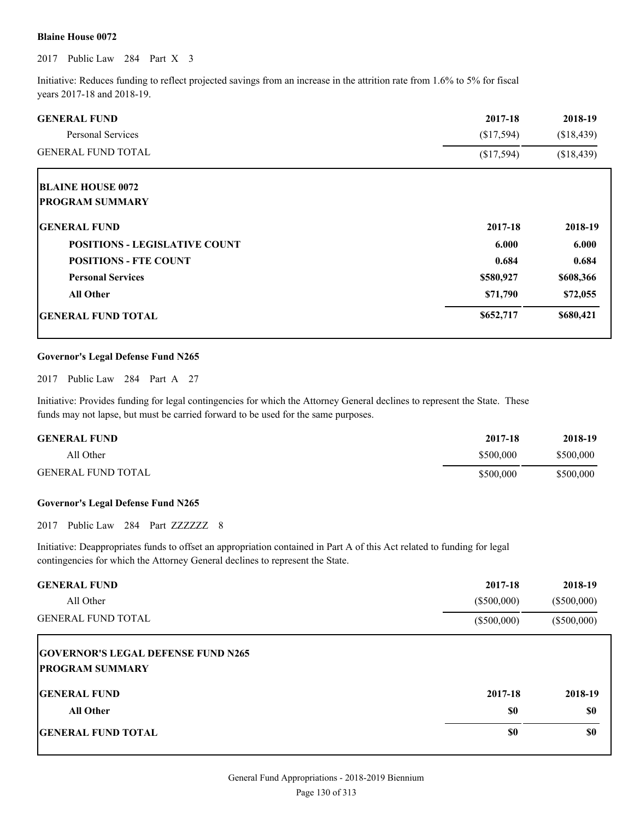#### **Blaine House 0072**

2017 Public Law 284 Part X 3

Initiative: Reduces funding to reflect projected savings from an increase in the attrition rate from 1.6% to 5% for fiscal years 2017-18 and 2018-19.

| <b>GENERAL FUND</b>                  | 2017-18    | 2018-19    |
|--------------------------------------|------------|------------|
| <b>Personal Services</b>             | (\$17,594) | (\$18,439) |
| <b>GENERAL FUND TOTAL</b>            | (\$17,594) | (\$18,439) |
| <b>BLAINE HOUSE 0072</b>             |            |            |
| <b>PROGRAM SUMMARY</b>               |            |            |
| <b>IGENERAL FUND</b>                 | 2017-18    | 2018-19    |
| <b>POSITIONS - LEGISLATIVE COUNT</b> | 6.000      | 6.000      |
| <b>POSITIONS - FTE COUNT</b>         | 0.684      | 0.684      |
| <b>Personal Services</b>             | \$580,927  | \$608,366  |
| <b>All Other</b>                     | \$71,790   | \$72,055   |
| <b>GENERAL FUND TOTAL</b>            | \$652,717  | \$680,421  |

#### **Governor's Legal Defense Fund N265**

2017 Public Law 284 Part A 27

Initiative: Provides funding for legal contingencies for which the Attorney General declines to represent the State. These funds may not lapse, but must be carried forward to be used for the same purposes.

| <b>GENERAL FUND</b>       | 2017-18   | 2018-19   |
|---------------------------|-----------|-----------|
| All Other                 | \$500,000 | \$500,000 |
| <b>GENERAL FUND TOTAL</b> | \$500,000 | \$500,000 |

#### **Governor's Legal Defense Fund N265**

2017 Public Law 284 Part ZZZZZZZ 8

Initiative: Deappropriates funds to offset an appropriation contained in Part A of this Act related to funding for legal contingencies for which the Attorney General declines to represent the State.

| <b>GENERAL FUND</b><br>All Other                                    | 2017-18<br>$(\$500,000)$ | 2018-19<br>$(\$500,000)$ |
|---------------------------------------------------------------------|--------------------------|--------------------------|
| <b>GENERAL FUND TOTAL</b>                                           | $(\$500,000)$            | $(\$500,000)$            |
| <b>GOVERNOR'S LEGAL DEFENSE FUND N265</b><br><b>PROGRAM SUMMARY</b> |                          |                          |
| <b>IGENERAL FUND</b>                                                | 2017-18                  | 2018-19                  |
| <b>All Other</b>                                                    | \$0                      | \$0                      |
| <b>GENERAL FUND TOTAL</b>                                           | \$0                      | \$0                      |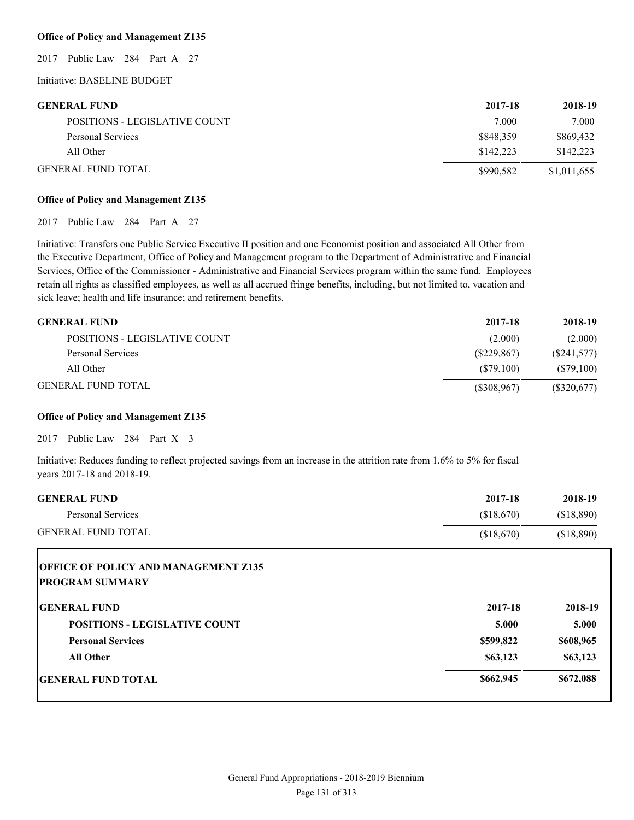#### **Office of Policy and Management Z135**

2017 Public Law 284 Part A 27

## Initiative: BASELINE BUDGET

| <b>GENERAL FUND</b>           | 2017-18   | 2018-19     |
|-------------------------------|-----------|-------------|
| POSITIONS - LEGISLATIVE COUNT | 7.000     | 7.000       |
| Personal Services             | \$848,359 | \$869.432   |
| All Other                     | \$142.223 | \$142.223   |
| <b>GENERAL FUND TOTAL</b>     | \$990.582 | \$1,011,655 |

#### **Office of Policy and Management Z135**

2017 Public Law 284 Part A 27

Initiative: Transfers one Public Service Executive II position and one Economist position and associated All Other from the Executive Department, Office of Policy and Management program to the Department of Administrative and Financial Services, Office of the Commissioner - Administrative and Financial Services program within the same fund. Employees retain all rights as classified employees, as well as all accrued fringe benefits, including, but not limited to, vacation and sick leave; health and life insurance; and retirement benefits.

| <b>GENERAL FUND</b>           | 2017-18       | 2018-19    |
|-------------------------------|---------------|------------|
| POSITIONS - LEGISLATIVE COUNT | (2.000)       | (2.000)    |
| Personal Services             | (S229, 867)   | (S241,577) |
| All Other                     | (S79.100)     | (S79,100)  |
| <b>GENERAL FUND TOTAL</b>     | $(\$308,967)$ | (S320,677) |

#### **Office of Policy and Management Z135**

2017 Public Law 284 Part X 3

Initiative: Reduces funding to reflect projected savings from an increase in the attrition rate from 1.6% to 5% for fiscal years 2017-18 and 2018-19.

| <b>GENERAL FUND</b>                                                   | 2017-18    | 2018-19    |
|-----------------------------------------------------------------------|------------|------------|
| <b>Personal Services</b>                                              | (\$18,670) | (\$18,890) |
| <b>GENERAL FUND TOTAL</b>                                             | (\$18,670) | (\$18,890) |
| <b>OFFICE OF POLICY AND MANAGEMENT Z135</b><br><b>PROGRAM SUMMARY</b> |            |            |
| <b>IGENERAL FUND</b>                                                  | 2017-18    | 2018-19    |
| <b>POSITIONS - LEGISLATIVE COUNT</b>                                  | 5.000      | 5.000      |
| <b>Personal Services</b>                                              | \$599,822  | \$608,965  |
| <b>All Other</b>                                                      | \$63,123   | \$63,123   |
| <b>IGENERAL FUND TOTAL</b>                                            | \$662,945  | \$672,088  |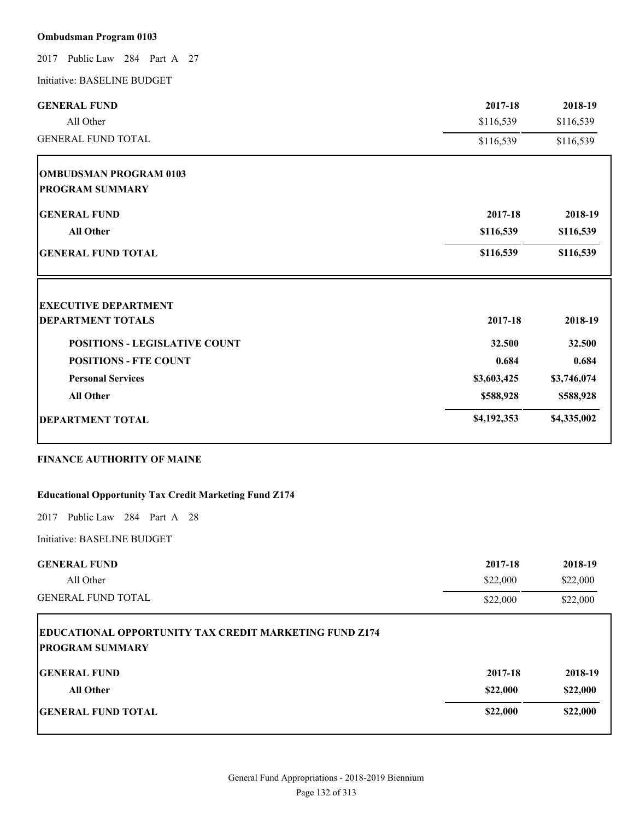# **Ombudsman Program 0103**

2017 Public Law 284 Part A 27

Initiative: BASELINE BUDGET

| <b>GENERAL FUND</b>                                                                     | 2017-18     | 2018-19     |
|-----------------------------------------------------------------------------------------|-------------|-------------|
| All Other                                                                               | \$116,539   | \$116,539   |
| <b>GENERAL FUND TOTAL</b>                                                               | \$116,539   | \$116,539   |
| <b>OMBUDSMAN PROGRAM 0103</b>                                                           |             |             |
| <b>PROGRAM SUMMARY</b>                                                                  |             |             |
| <b>GENERAL FUND</b>                                                                     | 2017-18     | 2018-19     |
| <b>All Other</b>                                                                        | \$116,539   | \$116,539   |
| <b>GENERAL FUND TOTAL</b>                                                               | \$116,539   | \$116,539   |
| <b>EXECUTIVE DEPARTMENT</b>                                                             |             |             |
| <b>DEPARTMENT TOTALS</b>                                                                | 2017-18     | 2018-19     |
| <b>POSITIONS - LEGISLATIVE COUNT</b>                                                    | 32.500      | 32.500      |
| <b>POSITIONS - FTE COUNT</b>                                                            | 0.684       | 0.684       |
| <b>Personal Services</b>                                                                | \$3,603,425 | \$3,746,074 |
| <b>All Other</b>                                                                        | \$588,928   | \$588,928   |
| <b>DEPARTMENT TOTAL</b>                                                                 | \$4,192,353 | \$4,335,002 |
| <b>FINANCE AUTHORITY OF MAINE</b>                                                       |             |             |
| <b>Educational Opportunity Tax Credit Marketing Fund Z174</b>                           |             |             |
| Public Law 284 Part A 28<br>2017                                                        |             |             |
| Initiative: BASELINE BUDGET                                                             |             |             |
| <b>GENERAL FUND</b>                                                                     | 2017-18     | 2018-19     |
| All Other                                                                               | \$22,000    | \$22,000    |
| <b>GENERAL FUND TOTAL</b>                                                               | \$22,000    | \$22,000    |
| <b>EDUCATIONAL OPPORTUNITY TAX CREDIT MARKETING FUND Z174</b><br><b>PROGRAM SUMMARY</b> |             |             |
| <b>GENERAL FUND</b>                                                                     | 2017-18     | 2018-19     |
| All Other                                                                               | \$22,000    | \$22,000    |
|                                                                                         |             |             |
|                                                                                         |             |             |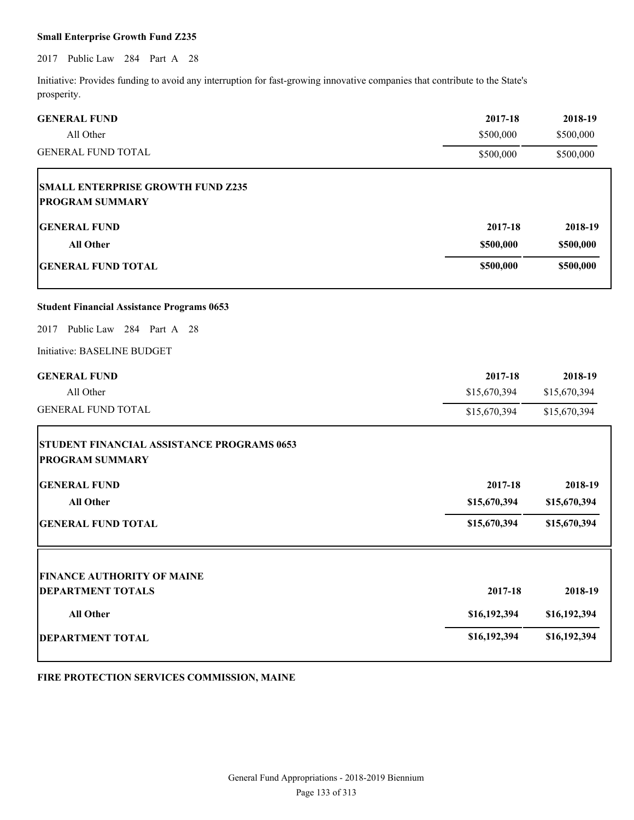### **Small Enterprise Growth Fund Z235**

2017 Public Law 284 Part A 28

Initiative: Provides funding to avoid any interruption for fast-growing innovative companies that contribute to the State's prosperity.

| <b>GENERAL FUND</b>                               | 2017-18      | 2018-19      |
|---------------------------------------------------|--------------|--------------|
| All Other                                         | \$500,000    | \$500,000    |
| <b>GENERAL FUND TOTAL</b>                         | \$500,000    | \$500,000    |
| <b>SMALL ENTERPRISE GROWTH FUND Z235</b>          |              |              |
| <b>PROGRAM SUMMARY</b>                            |              |              |
| <b>GENERAL FUND</b>                               | 2017-18      | 2018-19      |
| <b>All Other</b>                                  | \$500,000    | \$500,000    |
| <b>GENERAL FUND TOTAL</b>                         | \$500,000    | \$500,000    |
| <b>Student Financial Assistance Programs 0653</b> |              |              |
| Public Law 284 Part A 28<br>2017                  |              |              |
| Initiative: BASELINE BUDGET                       |              |              |
| <b>GENERAL FUND</b>                               | 2017-18      | 2018-19      |
| All Other                                         | \$15,670,394 | \$15,670,394 |
| <b>GENERAL FUND TOTAL</b>                         | \$15,670,394 | \$15,670,394 |
| <b>STUDENT FINANCIAL ASSISTANCE PROGRAMS 0653</b> |              |              |
| <b>PROGRAM SUMMARY</b>                            |              |              |
| <b>GENERAL FUND</b>                               | 2017-18      | 2018-19      |
| <b>All Other</b>                                  | \$15,670,394 | \$15,670,394 |
| <b>GENERAL FUND TOTAL</b>                         | \$15,670,394 | \$15,670,394 |
|                                                   |              |              |
| <b>FINANCE AUTHORITY OF MAINE</b>                 |              |              |
| <b>DEPARTMENT TOTALS</b>                          | 2017-18      | 2018-19      |
| <b>All Other</b>                                  | \$16,192,394 | \$16,192,394 |
| <b>DEPARTMENT TOTAL</b>                           | \$16,192,394 | \$16,192,394 |
|                                                   |              |              |

# **FIRE PROTECTION SERVICES COMMISSION, MAINE**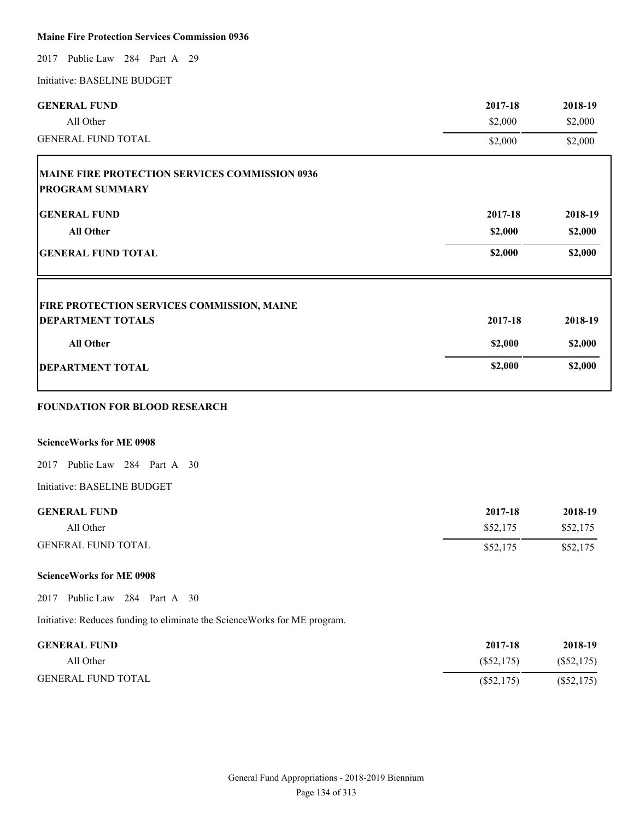# **Maine Fire Protection Services Commission 0936**

2017 Public Law 284 Part A 29

Initiative: BASELINE BUDGET

| <b>GENERAL FUND</b>                                                       | 2017-18      | 2018-19      |
|---------------------------------------------------------------------------|--------------|--------------|
| All Other                                                                 | \$2,000      | \$2,000      |
| <b>GENERAL FUND TOTAL</b>                                                 | \$2,000      | \$2,000      |
| MAINE FIRE PROTECTION SERVICES COMMISSION 0936                            |              |              |
| <b>PROGRAM SUMMARY</b>                                                    |              |              |
| <b>GENERAL FUND</b>                                                       | 2017-18      | 2018-19      |
| <b>All Other</b>                                                          | \$2,000      | \$2,000      |
| <b>GENERAL FUND TOTAL</b>                                                 | \$2,000      | \$2,000      |
| <b>FIRE PROTECTION SERVICES COMMISSION, MAINE</b>                         |              |              |
| <b>DEPARTMENT TOTALS</b>                                                  | 2017-18      | 2018-19      |
| <b>All Other</b>                                                          | \$2,000      | \$2,000      |
| <b>DEPARTMENT TOTAL</b>                                                   | \$2,000      | \$2,000      |
| <b>FOUNDATION FOR BLOOD RESEARCH</b>                                      |              |              |
| <b>ScienceWorks for ME 0908</b>                                           |              |              |
| Public Law 284 Part A 30<br>2017                                          |              |              |
| Initiative: BASELINE BUDGET                                               |              |              |
| <b>GENERAL FUND</b>                                                       | 2017-18      | 2018-19      |
| All Other                                                                 | \$52,175     | \$52,175     |
| <b>GENERAL FUND TOTAL</b>                                                 | \$52,175     | \$52,175     |
| <b>ScienceWorks for ME 0908</b>                                           |              |              |
| Public Law 284 Part A 30<br>2017                                          |              |              |
| Initiative: Reduces funding to eliminate the ScienceWorks for ME program. |              |              |
| <b>GENERAL FUND</b>                                                       | 2017-18      | 2018-19      |
| All Other                                                                 | $(\$52,175)$ | $(\$52,175)$ |
| <b>GENERAL FUND TOTAL</b>                                                 | $(\$52,175)$ | $(\$52,175)$ |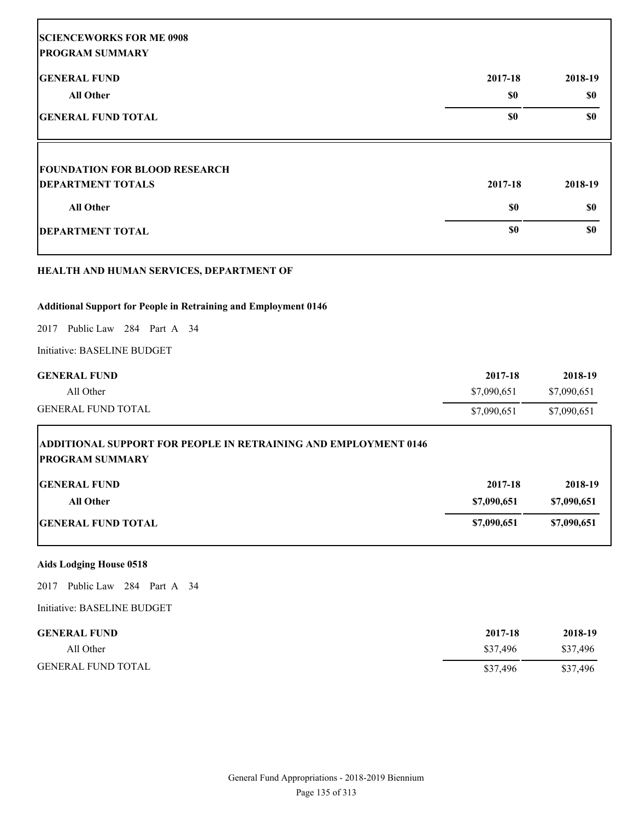| <b>SCIENCEWORKS FOR ME 0908</b><br><b>PROGRAM SUMMARY</b> |         |         |
|-----------------------------------------------------------|---------|---------|
| <b>GENERAL FUND</b>                                       | 2017-18 | 2018-19 |
| <b>All Other</b>                                          | \$0     | \$0     |
| <b>GENERAL FUND TOTAL</b>                                 | \$0     | \$0     |
| <b>FOUNDATION FOR BLOOD RESEARCH</b>                      |         |         |
| <b>DEPARTMENT TOTALS</b>                                  | 2017-18 | 2018-19 |
| <b>All Other</b>                                          | \$0     | \$0     |
| <b>DEPARTMENT TOTAL</b>                                   | \$0     | \$0     |
|                                                           |         |         |

# **HEALTH AND HUMAN SERVICES, DEPARTMENT OF**

# **Additional Support for People in Retraining and Employment 0146**

2017 Public Law 284 Part A 34

Initiative: BASELINE BUDGET

| <b>GENERAL FUND</b>                                                                              | 2017-18     | 2018-19     |
|--------------------------------------------------------------------------------------------------|-------------|-------------|
| All Other                                                                                        | \$7,090,651 | \$7,090,651 |
| <b>GENERAL FUND TOTAL</b>                                                                        | \$7,090,651 | \$7,090,651 |
| <b>ADDITIONAL SUPPORT FOR PEOPLE IN RETRAINING AND EMPLOYMENT 0146</b><br><b>PROGRAM SUMMARY</b> |             |             |
| <b>IGENERAL FUND</b>                                                                             | 2017-18     | 2018-19     |

| All Other                  | \$7,090,651 | \$7,090,651 |
|----------------------------|-------------|-------------|
| <b>IGENERAL FUND TOTAL</b> | \$7,090,651 | \$7,090,651 |

# **Aids Lodging House 0518**

2017 Public Law 284 Part A 34

Initiative: BASELINE BUDGET

| <b>GENERAL FUND</b>       | 2017-18  | 2018-19  |
|---------------------------|----------|----------|
| All Other                 | \$37,496 | \$37.496 |
| <b>GENERAL FUND TOTAL</b> | \$37,496 | \$37,496 |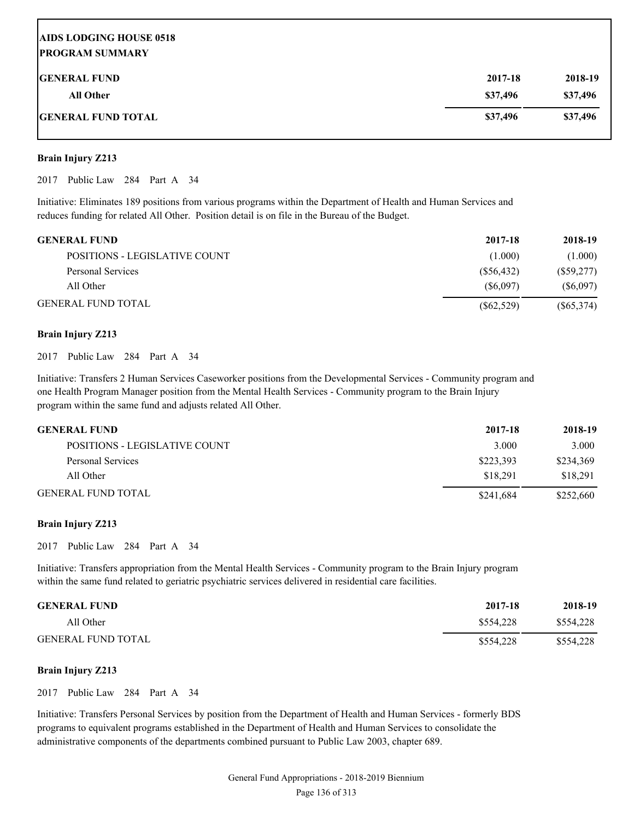# **AIDS LODGING HOUSE 0518 PROGRAM SUMMARY GENERAL FUND 2017-18 2018-19 All Other \$37,496 \$37,496 GENERAL FUND TOTAL \$37,496 \$37,496**

### **Brain Injury Z213**

2017 Public Law 284 Part A 34

Initiative: Eliminates 189 positions from various programs within the Department of Health and Human Services and reduces funding for related All Other. Position detail is on file in the Bureau of the Budget.

| <b>GENERAL FUND</b>           | 2017-18    | 2018-19      |
|-------------------------------|------------|--------------|
| POSITIONS - LEGISLATIVE COUNT | (1.000)    | (1.000)      |
| Personal Services             | (S56, 432) | $(\$59,277)$ |
| All Other                     | (S6.097)   | (S6,097)     |
| <b>GENERAL FUND TOTAL</b>     | (S62, 529) | $(\$65,374)$ |

### **Brain Injury Z213**

2017 Public Law 284 Part A 34

Initiative: Transfers 2 Human Services Caseworker positions from the Developmental Services - Community program and one Health Program Manager position from the Mental Health Services - Community program to the Brain Injury program within the same fund and adjusts related All Other.

| <b>GENERAL FUND</b>           | 2017-18   | 2018-19   |
|-------------------------------|-----------|-----------|
| POSITIONS - LEGISLATIVE COUNT | 3.000     | 3.000     |
| Personal Services             | \$223.393 | \$234,369 |
| All Other                     | \$18.291  | \$18.291  |
| <b>GENERAL FUND TOTAL</b>     | \$241,684 | \$252,660 |

# **Brain Injury Z213**

2017 Public Law 284 Part A 34

Initiative: Transfers appropriation from the Mental Health Services - Community program to the Brain Injury program within the same fund related to geriatric psychiatric services delivered in residential care facilities.

| <b>GENERAL FUND</b>       | 2017-18   | 2018-19   |
|---------------------------|-----------|-----------|
| All Other                 | \$554,228 | \$554,228 |
| <b>GENERAL FUND TOTAL</b> | \$554,228 | \$554,228 |

### **Brain Injury Z213**

2017 Public Law 284 Part A 34

Initiative: Transfers Personal Services by position from the Department of Health and Human Services - formerly BDS programs to equivalent programs established in the Department of Health and Human Services to consolidate the administrative components of the departments combined pursuant to Public Law 2003, chapter 689.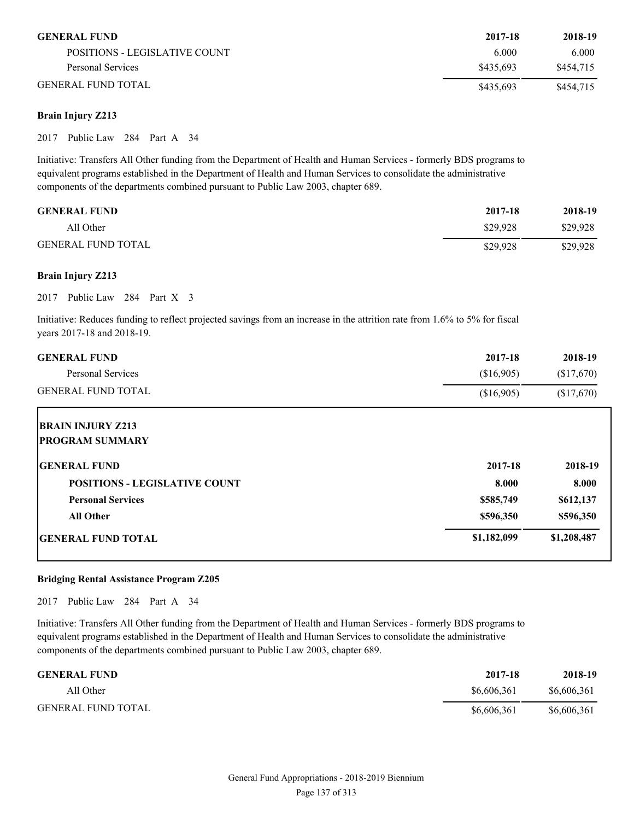| <b>GENERAL FUND</b>           | 2017-18   | 2018-19   |
|-------------------------------|-----------|-----------|
| POSITIONS - LEGISLATIVE COUNT | 6.000     | 6.000     |
| Personal Services             | \$435.693 | \$454.715 |
| <b>GENERAL FUND TOTAL</b>     | \$435.693 | \$454,715 |

# **Brain Injury Z213**

2017 Public Law 284 Part A 34

Initiative: Transfers All Other funding from the Department of Health and Human Services - formerly BDS programs to equivalent programs established in the Department of Health and Human Services to consolidate the administrative components of the departments combined pursuant to Public Law 2003, chapter 689.

| <b>GENERAL FUND</b>       | 2017-18  | 2018-19  |
|---------------------------|----------|----------|
| All Other                 | \$29,928 | \$29.928 |
| <b>GENERAL FUND TOTAL</b> | \$29,928 | \$29,928 |

#### **Brain Injury Z213**

2017 Public Law 284 Part X 3

Initiative: Reduces funding to reflect projected savings from an increase in the attrition rate from 1.6% to 5% for fiscal years 2017-18 and 2018-19.

| <b>GENERAL FUND</b>                  | 2017-18     | 2018-19     |
|--------------------------------------|-------------|-------------|
| Personal Services                    | (\$16,905)  | (\$17,670)  |
| <b>GENERAL FUND TOTAL</b>            | (\$16,905)  | \$17,670    |
| <b>BRAIN INJURY Z213</b>             |             |             |
| <b>PROGRAM SUMMARY</b>               |             |             |
| <b>GENERAL FUND</b>                  | 2017-18     | 2018-19     |
| <b>POSITIONS - LEGISLATIVE COUNT</b> | 8.000       | 8.000       |
| <b>Personal Services</b>             | \$585,749   | \$612,137   |
| <b>All Other</b>                     | \$596,350   | \$596,350   |
| <b>IGENERAL FUND TOTAL</b>           | \$1,182,099 | \$1,208,487 |

#### **Bridging Rental Assistance Program Z205**

2017 Public Law 284 Part A 34

Initiative: Transfers All Other funding from the Department of Health and Human Services - formerly BDS programs to equivalent programs established in the Department of Health and Human Services to consolidate the administrative components of the departments combined pursuant to Public Law 2003, chapter 689.

| <b>GENERAL FUND</b>       | 2017-18     | 2018-19     |
|---------------------------|-------------|-------------|
| All Other                 | \$6,606,361 | \$6,606,361 |
| <b>GENERAL FUND TOTAL</b> | \$6,606,361 | \$6,606,361 |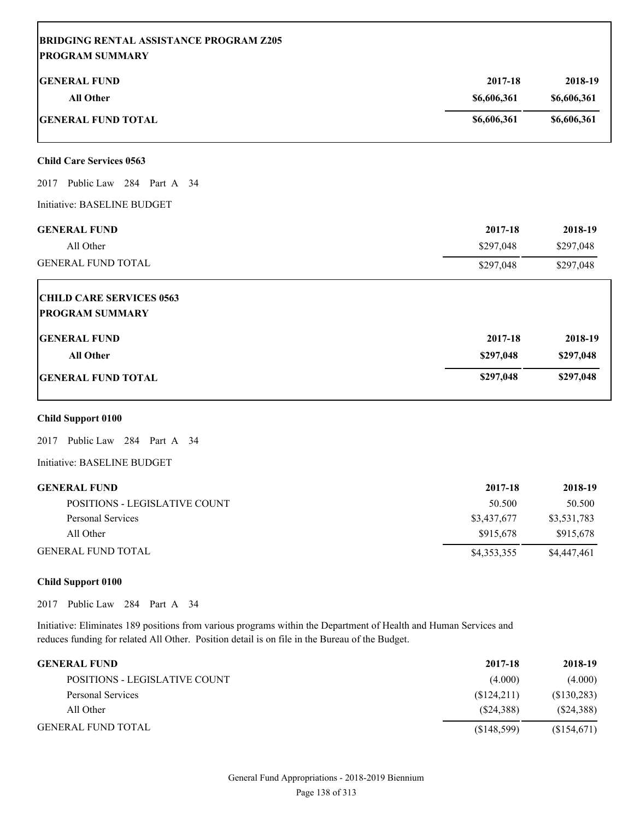| <b>BRIDGING RENTAL ASSISTANCE PROGRAM Z205</b><br><b>PROGRAM SUMMARY</b> |             |                      |
|--------------------------------------------------------------------------|-------------|----------------------|
| <b>GENERAL FUND</b>                                                      | 2017-18     | 2018-19              |
| <b>All Other</b>                                                         | \$6,606,361 | \$6,606,361          |
| <b>GENERAL FUND TOTAL</b>                                                | \$6,606,361 | \$6,606,361          |
| <b>Child Care Services 0563</b>                                          |             |                      |
| 2017 Public Law 284 Part A 34                                            |             |                      |
| Initiative: BASELINE BUDGET                                              |             |                      |
| <b>GENERAL FUND</b>                                                      | 2017-18     | 2018-19              |
| All Other                                                                | \$297,048   | \$297,048            |
| <b>GENERAL FUND TOTAL</b>                                                | \$297,048   | \$297,048            |
| <b>CHILD CARE SERVICES 0563</b>                                          |             |                      |
| <b>PROGRAM SUMMARY</b>                                                   |             |                      |
| <b>GENERAL FUND</b>                                                      | 2017-18     | 2018-19              |
| <b>All Other</b>                                                         | \$297,048   | \$297,048            |
| <b>GENERAL FUND TOTAL</b>                                                | \$297,048   | \$297,048            |
| <b>Child Support 0100</b>                                                |             |                      |
| Public Law 284 Part A 34<br>2017                                         |             |                      |
| Initiative: BASELINE BUDGET                                              |             |                      |
| <b>GENERAL FUND</b>                                                      | 2017-18     | 2018-19              |
| <b>BOGITIONIC LEGICI ATIVE GOLDIT</b>                                    | $\sqrt{2}$  | $F \cap F \cap \cap$ |

| POSITIONS - LEGISLATIVE COUNT | 50.500      | 50.500      |
|-------------------------------|-------------|-------------|
| Personal Services             | \$3,437,677 | \$3,531,783 |
| All Other                     | \$915.678   | \$915,678   |
| GENERAL FUND TOTAL            | \$4,353,355 | \$4,447,461 |

# **Child Support 0100**

2017 Public Law 284 Part A 34

Initiative: Eliminates 189 positions from various programs within the Department of Health and Human Services and reduces funding for related All Other. Position detail is on file in the Bureau of the Budget.

| <b>GENERAL FUND</b>           | 2017-18     | 2018-19     |
|-------------------------------|-------------|-------------|
| POSITIONS - LEGISLATIVE COUNT | (4.000)     | (4.000)     |
| Personal Services             | (S124,211)  | (\$130,283) |
| All Other                     | (S24.388)   | (S24,388)   |
| <b>GENERAL FUND TOTAL</b>     | (S148, 599) | (\$154,671) |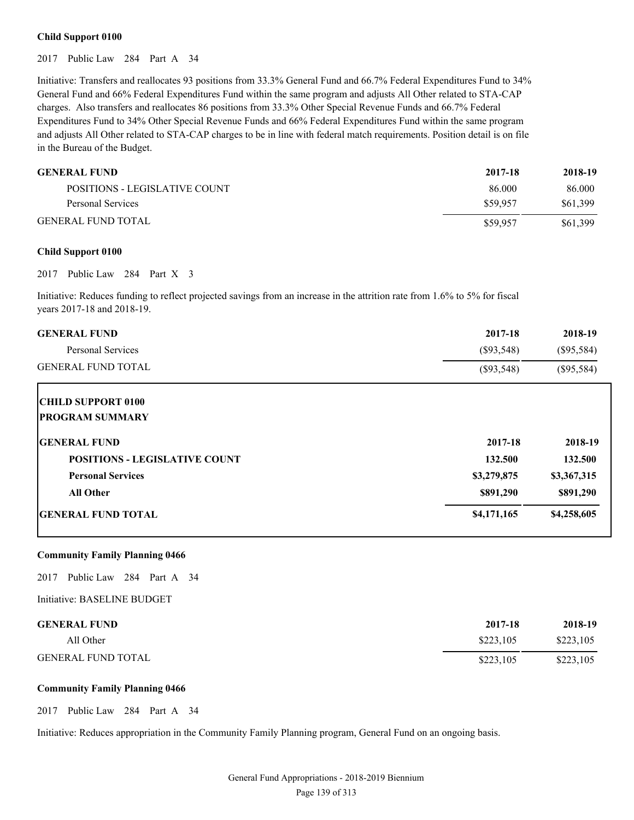#### **Child Support 0100**

2017 Public Law 284 Part A 34

Initiative: Transfers and reallocates 93 positions from 33.3% General Fund and 66.7% Federal Expenditures Fund to 34% General Fund and 66% Federal Expenditures Fund within the same program and adjusts All Other related to STA-CAP charges. Also transfers and reallocates 86 positions from 33.3% Other Special Revenue Funds and 66.7% Federal Expenditures Fund to 34% Other Special Revenue Funds and 66% Federal Expenditures Fund within the same program and adjusts All Other related to STA-CAP charges to be in line with federal match requirements. Position detail is on file in the Bureau of the Budget.

| <b>GENERAL FUND</b>           | 2017-18  | 2018-19  |
|-------------------------------|----------|----------|
| POSITIONS - LEGISLATIVE COUNT | 86.000   | 86.000   |
| Personal Services             | \$59,957 | \$61,399 |
| <b>GENERAL FUND TOTAL</b>     | \$59,957 | \$61,399 |

#### **Child Support 0100**

2017 Public Law 284 Part X 3

Initiative: Reduces funding to reflect projected savings from an increase in the attrition rate from 1.6% to 5% for fiscal years 2017-18 and 2018-19.

| <b>GENERAL FUND</b>                  | 2017-18      | 2018-19      |
|--------------------------------------|--------------|--------------|
| Personal Services                    | $(\$93,548)$ | $(\$95,584)$ |
| <b>GENERAL FUND TOTAL</b>            | $(\$93,548)$ | $(\$95,584)$ |
| <b>CHILD SUPPORT 0100</b>            |              |              |
| <b>IPROGRAM SUMMARY</b>              |              |              |
| <b>IGENERAL FUND</b>                 | 2017-18      | 2018-19      |
| <b>POSITIONS - LEGISLATIVE COUNT</b> | 132.500      | 132.500      |
| <b>Personal Services</b>             | \$3,279,875  | \$3,367,315  |
| <b>All Other</b>                     | \$891,290    | \$891,290    |
| <b>IGENERAL FUND TOTAL</b>           | \$4,171,165  | \$4,258,605  |

#### **Community Family Planning 0466**

2017 Public Law 284 Part A 34

Initiative: BASELINE BUDGET

| <b>GENERAL FUND</b>       | 2017-18   | 2018-19   |
|---------------------------|-----------|-----------|
| All Other                 | \$223.105 | \$223,105 |
| <b>GENERAL FUND TOTAL</b> | \$223,105 | \$223,105 |

#### **Community Family Planning 0466**

2017 Public Law 284 Part A 34

Initiative: Reduces appropriation in the Community Family Planning program, General Fund on an ongoing basis.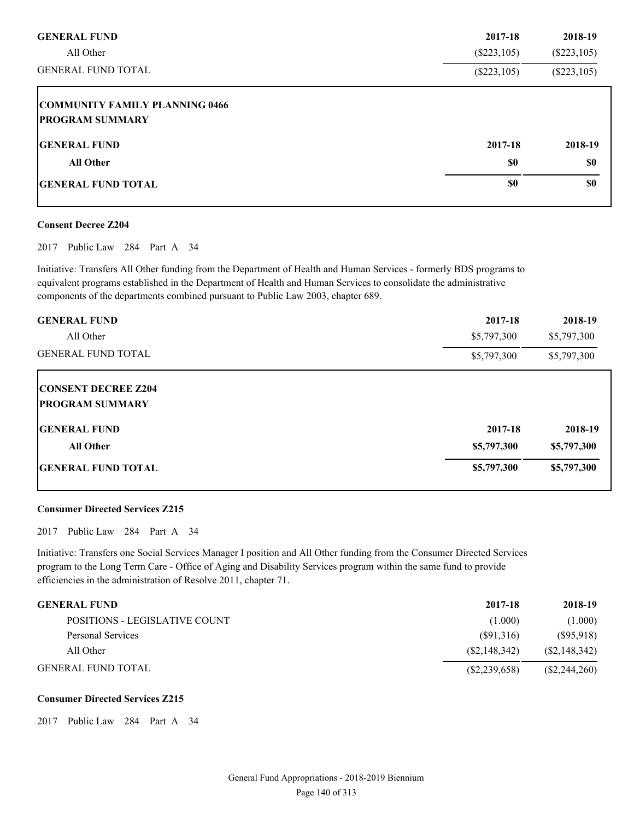| <b>GENERAL FUND</b>                                             | 2017-18       | 2018-19        |
|-----------------------------------------------------------------|---------------|----------------|
| All Other                                                       | $(\$223,105)$ | $(\$223,105)$  |
| <b>GENERAL FUND TOTAL</b>                                       | $(\$223,105)$ | $(\$223, 105)$ |
| <b>COMMUNITY FAMILY PLANNING 0466</b><br><b>PROGRAM SUMMARY</b> |               |                |
| <b>IGENERAL FUND</b>                                            | 2017-18       | 2018-19        |
| <b>All Other</b>                                                | \$0           | <b>SO</b>      |
| <b>IGENERAL FUND TOTAL</b>                                      | \$0           | \$0            |

#### **Consent Decree Z204**

2017 Public Law 284 Part A 34

Initiative: Transfers All Other funding from the Department of Health and Human Services - formerly BDS programs to equivalent programs established in the Department of Health and Human Services to consolidate the administrative components of the departments combined pursuant to Public Law 2003, chapter 689.

| <b>GENERAL FUND</b>        | 2017-18     | 2018-19     |
|----------------------------|-------------|-------------|
| All Other                  | \$5,797,300 | \$5,797,300 |
| <b>GENERAL FUND TOTAL</b>  | \$5,797,300 | \$5,797,300 |
| <b>CONSENT DECREE Z204</b> |             |             |
| <b>PROGRAM SUMMARY</b>     |             |             |
| <b>IGENERAL FUND</b>       | 2017-18     | 2018-19     |
| <b>All Other</b>           | \$5,797,300 | \$5,797,300 |
| <b>GENERAL FUND TOTAL</b>  | \$5,797,300 | \$5,797,300 |

#### **Consumer Directed Services Z215**

2017 Public Law 284 Part A 34

Initiative: Transfers one Social Services Manager I position and All Other funding from the Consumer Directed Services program to the Long Term Care - Office of Aging and Disability Services program within the same fund to provide efficiencies in the administration of Resolve 2011, chapter 71.

| <b>GENERAL FUND</b>           | 2017-18        | 2018-19        |
|-------------------------------|----------------|----------------|
| POSITIONS - LEGISLATIVE COUNT | (1.000)        | (1.000)        |
| Personal Services             | (S91,316)      | (S95, 918)     |
| All Other                     | (S2, 148, 342) | (S2, 148, 342) |
| <b>GENERAL FUND TOTAL</b>     | (S2, 239, 658) | (S2, 244, 260) |

#### **Consumer Directed Services Z215**

2017 Public Law 284 Part A 34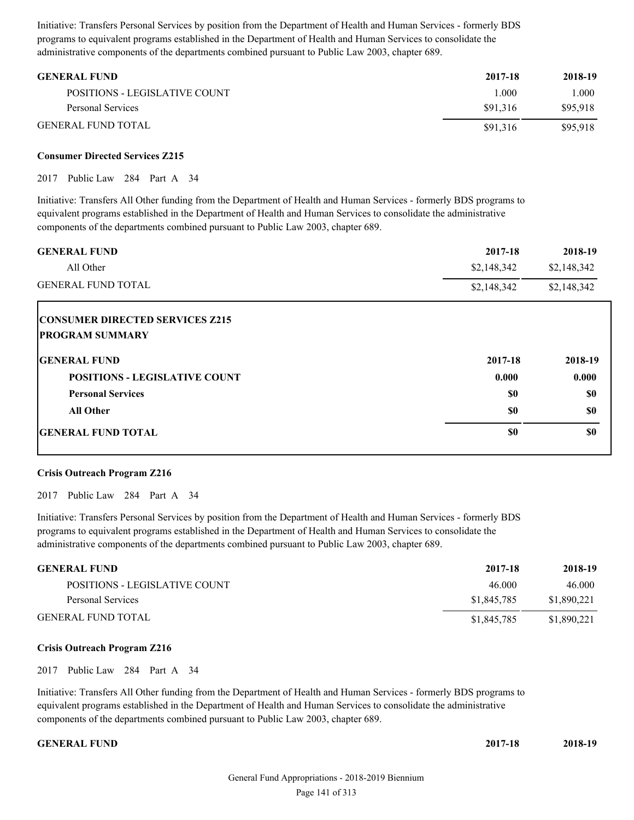Initiative: Transfers Personal Services by position from the Department of Health and Human Services - formerly BDS programs to equivalent programs established in the Department of Health and Human Services to consolidate the administrative components of the departments combined pursuant to Public Law 2003, chapter 689.

| <b>GENERAL FUND</b>           | 2017-18  | 2018-19  |
|-------------------------------|----------|----------|
| POSITIONS - LEGISLATIVE COUNT | .000     | 1.000    |
| Personal Services             | \$91.316 | \$95.918 |
| <b>GENERAL FUND TOTAL</b>     | \$91.316 | \$95.918 |

#### **Consumer Directed Services Z215**

2017 Public Law 284 Part A 34

Initiative: Transfers All Other funding from the Department of Health and Human Services - formerly BDS programs to equivalent programs established in the Department of Health and Human Services to consolidate the administrative components of the departments combined pursuant to Public Law 2003, chapter 689.

| <b>GENERAL FUND</b><br>All Other       | 2017-18     | 2018-19     |
|----------------------------------------|-------------|-------------|
|                                        | \$2,148,342 | \$2,148,342 |
| <b>GENERAL FUND TOTAL</b>              | \$2,148,342 | \$2,148,342 |
| <b>CONSUMER DIRECTED SERVICES Z215</b> |             |             |
| <b>PROGRAM SUMMARY</b>                 |             |             |
| <b>GENERAL FUND</b>                    | 2017-18     | 2018-19     |
| <b>POSITIONS - LEGISLATIVE COUNT</b>   | 0.000       | 0.000       |
| <b>Personal Services</b>               | \$0         | \$0         |
| <b>All Other</b>                       | \$0         | \$0         |
| <b>IGENERAL FUND TOTAL</b>             | \$0         | \$0         |

#### **Crisis Outreach Program Z216**

2017 Public Law 284 Part A 34

Initiative: Transfers Personal Services by position from the Department of Health and Human Services - formerly BDS programs to equivalent programs established in the Department of Health and Human Services to consolidate the administrative components of the departments combined pursuant to Public Law 2003, chapter 689.

| <b>GENERAL FUND</b>           | 2017-18     | 2018-19     |
|-------------------------------|-------------|-------------|
| POSITIONS - LEGISLATIVE COUNT | 46.000      | 46.000      |
| Personal Services             | \$1,845,785 | \$1,890,221 |
| <b>GENERAL FUND TOTAL</b>     | \$1,845,785 | \$1,890,221 |

#### **Crisis Outreach Program Z216**

2017 Public Law 284 Part A 34

Initiative: Transfers All Other funding from the Department of Health and Human Services - formerly BDS programs to equivalent programs established in the Department of Health and Human Services to consolidate the administrative components of the departments combined pursuant to Public Law 2003, chapter 689.

#### **GENERAL FUND 2017-18 2018-19**

| 2017-18 | 2018-19 |
|---------|---------|
|         |         |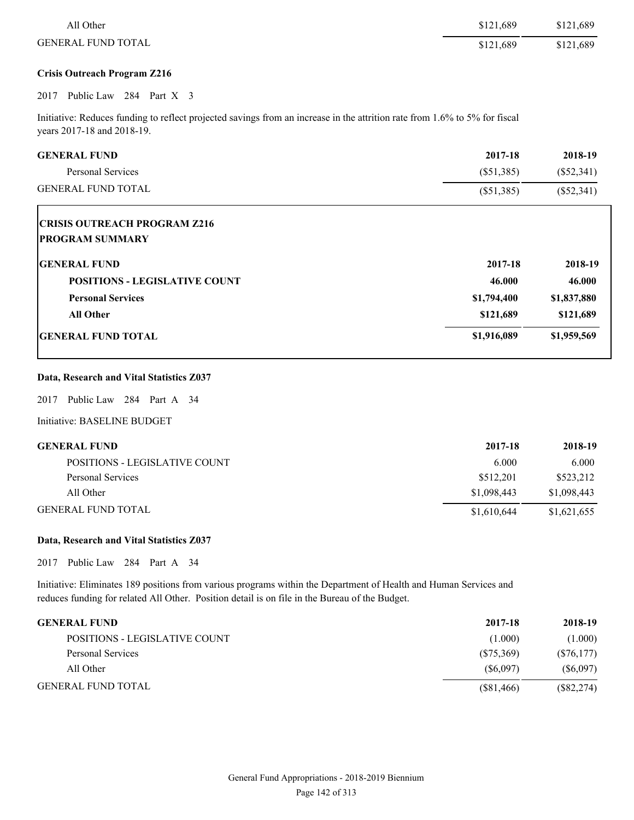| All Other                                                                                                                                                | \$121,689    | \$121,689    |
|----------------------------------------------------------------------------------------------------------------------------------------------------------|--------------|--------------|
| <b>GENERAL FUND TOTAL</b>                                                                                                                                | \$121,689    | \$121,689    |
| <b>Crisis Outreach Program Z216</b>                                                                                                                      |              |              |
| Public Law 284 Part X 3<br>2017                                                                                                                          |              |              |
| Initiative: Reduces funding to reflect projected savings from an increase in the attrition rate from 1.6% to 5% for fiscal<br>years 2017-18 and 2018-19. |              |              |
| <b>GENERAL FUND</b>                                                                                                                                      | 2017-18      | 2018-19      |
| Personal Services                                                                                                                                        | $(\$51,385)$ | $(\$52,341)$ |
| <b>GENERAL FUND TOTAL</b>                                                                                                                                | $(\$51,385)$ | $(\$52,341)$ |
| <b>PROGRAM SUMMARY</b><br><b>GENERAL FUND</b>                                                                                                            | 2017-18      | 2018-19      |
|                                                                                                                                                          |              |              |
| <b>POSITIONS - LEGISLATIVE COUNT</b>                                                                                                                     | 46.000       | 46.000       |
| <b>Personal Services</b>                                                                                                                                 | \$1,794,400  | \$1,837,880  |
| <b>All Other</b>                                                                                                                                         | \$121,689    | \$121,689    |
| <b>GENERAL FUND TOTAL</b>                                                                                                                                | \$1,916,089  | \$1,959,569  |
| Data, Research and Vital Statistics Z037                                                                                                                 |              |              |
| Public Law 284 Part A 34<br>2017                                                                                                                         |              |              |
| Initiative: BASELINE BUDGET                                                                                                                              |              |              |

| <b>GENERAL FUND</b>           | 2017-18     | 2018-19     |
|-------------------------------|-------------|-------------|
| POSITIONS - LEGISLATIVE COUNT | 6.000       | 6.000       |
| Personal Services             | \$512.201   | \$523,212   |
| All Other                     | \$1,098,443 | \$1,098,443 |
| <b>GENERAL FUND TOTAL</b>     | \$1,610,644 | \$1,621,655 |

#### **Data, Research and Vital Statistics Z037**

2017 Public Law 284 Part A 34

Initiative: Eliminates 189 positions from various programs within the Department of Health and Human Services and reduces funding for related All Other. Position detail is on file in the Bureau of the Budget.

| <b>GENERAL FUND</b>           | 2017-18    | 2018-19      |
|-------------------------------|------------|--------------|
| POSITIONS - LEGISLATIVE COUNT | (1.000)    | (1.000)      |
| Personal Services             | (S75,369)  | $(\$76,177)$ |
| All Other                     | (S6.097)   | (S6,097)     |
| <b>GENERAL FUND TOTAL</b>     | (S81, 466) | $(\$82,274)$ |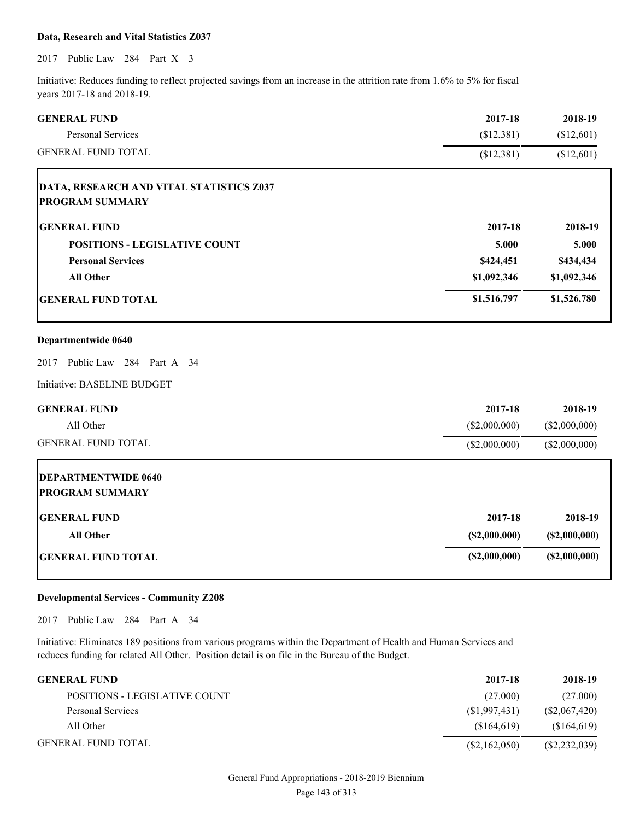#### **Data, Research and Vital Statistics Z037**

2017 Public Law 284 Part X 3

Initiative: Reduces funding to reflect projected savings from an increase in the attrition rate from 1.6% to 5% for fiscal years 2017-18 and 2018-19.

| <b>GENERAL FUND</b>                      | 2017-18       | 2018-19       |
|------------------------------------------|---------------|---------------|
| <b>Personal Services</b>                 | (\$12,381)    | (\$12,601)    |
| <b>GENERAL FUND TOTAL</b>                | (\$12,381)    | (\$12,601)    |
| DATA, RESEARCH AND VITAL STATISTICS Z037 |               |               |
| <b>PROGRAM SUMMARY</b>                   |               |               |
| <b>GENERAL FUND</b>                      | 2017-18       | 2018-19       |
| <b>POSITIONS - LEGISLATIVE COUNT</b>     | 5.000         | 5.000         |
| <b>Personal Services</b>                 | \$424,451     | \$434,434     |
| <b>All Other</b>                         | \$1,092,346   | \$1,092,346   |
| <b>GENERAL FUND TOTAL</b>                | \$1,516,797   | \$1,526,780   |
| Departmentwide 0640                      |               |               |
| 2017 Public Law 284 Part A 34            |               |               |
| Initiative: BASELINE BUDGET              |               |               |
| <b>GENERAL FUND</b>                      | 2017-18       | 2018-19       |
| All Other                                | (\$2,000,000) | (\$2,000,000) |
| <b>GENERAL FUND TOTAL</b>                | (\$2,000,000) | (\$2,000,000) |
| <b>DEPARTMENTWIDE 0640</b>               |               |               |
| <b>PROGRAM SUMMARY</b>                   |               |               |
| <b>GENERAL FUND</b>                      | 2017-18       | 2018-19       |
| <b>All Other</b>                         | (S2,000,000)  | (\$2,000,000) |
| <b>GENERAL FUND TOTAL</b>                | (S2,000,000)  | (S2,000,000)  |

#### **Developmental Services - Community Z208**

2017 Public Law 284 Part A 34

Initiative: Eliminates 189 positions from various programs within the Department of Health and Human Services and reduces funding for related All Other. Position detail is on file in the Bureau of the Budget.

| <b>GENERAL FUND</b>           | 2017-18        | 2018-19        |
|-------------------------------|----------------|----------------|
| POSITIONS - LEGISLATIVE COUNT | (27.000)       | (27.000)       |
| Personal Services             | (S1, 997, 431) | (S2,067,420)   |
| All Other                     | (S164.619)     | (\$164,619)    |
| <b>GENERAL FUND TOTAL</b>     | (S2, 162, 050) | (S2, 232, 039) |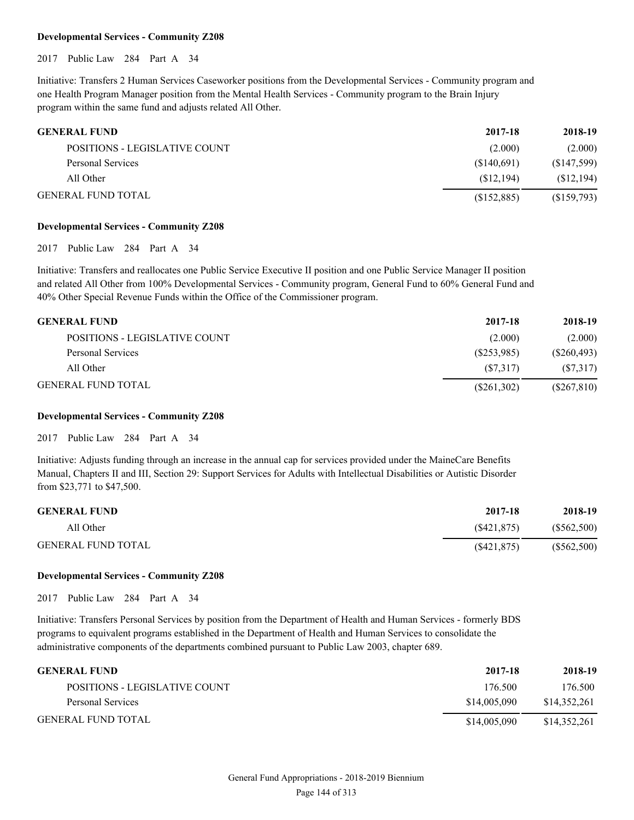#### **Developmental Services - Community Z208**

2017 Public Law 284 Part A 34

Initiative: Transfers 2 Human Services Caseworker positions from the Developmental Services - Community program and one Health Program Manager position from the Mental Health Services - Community program to the Brain Injury program within the same fund and adjusts related All Other.

| <b>GENERAL FUND</b>           | 2017-18     | 2018-19    |
|-------------------------------|-------------|------------|
| POSITIONS - LEGISLATIVE COUNT | (2.000)     | (2.000)    |
| Personal Services             | (S140,691)  | (S147,599) |
| All Other                     | (S12.194)   | (S12, 194) |
| <b>GENERAL FUND TOTAL</b>     | (S152, 885) | (S159,793) |

#### **Developmental Services - Community Z208**

2017 Public Law 284 Part A 34

Initiative: Transfers and reallocates one Public Service Executive II position and one Public Service Manager II position and related All Other from 100% Developmental Services - Community program, General Fund to 60% General Fund and 40% Other Special Revenue Funds within the Office of the Commissioner program.

| <b>GENERAL FUND</b>           | 2017-18       | 2018-19       |
|-------------------------------|---------------|---------------|
| POSITIONS - LEGISLATIVE COUNT | (2.000)       | (2.000)       |
| Personal Services             | (S253,985)    | (S260, 493)   |
| All Other                     | (S7.317)      | (S7,317)      |
| <b>GENERAL FUND TOTAL</b>     | $(\$261,302)$ | $(\$267,810)$ |

#### **Developmental Services - Community Z208**

2017 Public Law 284 Part A 34

Initiative: Adjusts funding through an increase in the annual cap for services provided under the MaineCare Benefits Manual, Chapters II and III, Section 29: Support Services for Adults with Intellectual Disabilities or Autistic Disorder from \$23,771 to \$47,500.

| <b>GENERAL FUND</b>       | 2017-18     | 2018-19     |
|---------------------------|-------------|-------------|
| All Other                 | (S421.875)  | (S562,500)  |
| <b>GENERAL FUND TOTAL</b> | (S421, 875) | (\$562,500) |

#### **Developmental Services - Community Z208**

2017 Public Law 284 Part A 34

Initiative: Transfers Personal Services by position from the Department of Health and Human Services - formerly BDS programs to equivalent programs established in the Department of Health and Human Services to consolidate the administrative components of the departments combined pursuant to Public Law 2003, chapter 689.

| <b>GENERAL FUND</b>           | 2017-18      | 2018-19      |
|-------------------------------|--------------|--------------|
| POSITIONS - LEGISLATIVE COUNT | 176.500      | 176.500      |
| Personal Services             | \$14,005,090 | \$14.352.261 |
| <b>GENERAL FUND TOTAL</b>     | \$14,005,090 | \$14.352.261 |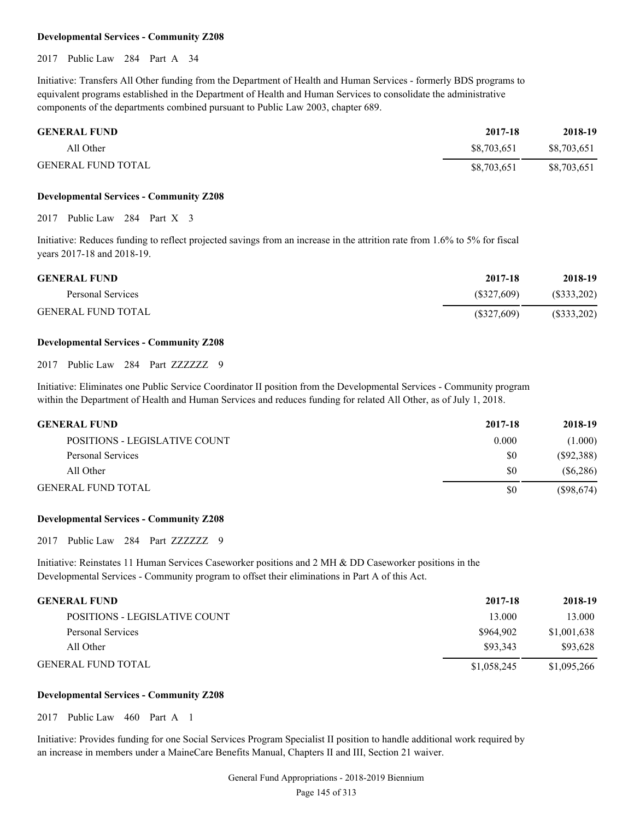#### **Developmental Services - Community Z208**

2017 Public Law 284 Part A 34

Initiative: Transfers All Other funding from the Department of Health and Human Services - formerly BDS programs to equivalent programs established in the Department of Health and Human Services to consolidate the administrative components of the departments combined pursuant to Public Law 2003, chapter 689.

| <b>GENERAL FUND</b>       | 2017-18     | 2018-19     |
|---------------------------|-------------|-------------|
| All Other                 | \$8.703.651 | \$8,703,651 |
| <b>GENERAL FUND TOTAL</b> | \$8,703,651 | \$8,703,651 |

#### **Developmental Services - Community Z208**

2017 Public Law 284 Part X 3

Initiative: Reduces funding to reflect projected savings from an increase in the attrition rate from 1.6% to 5% for fiscal years 2017-18 and 2018-19.

| <b>GENERAL FUND</b>       | 2017-18       | 2018-19       |
|---------------------------|---------------|---------------|
| Personal Services         | (S327,609)    | (S333,202)    |
| <b>GENERAL FUND TOTAL</b> | $(\$327,609)$ | $(\$333,202)$ |

#### **Developmental Services - Community Z208**

2017 Public Law 284 Part ZZZZZZZ 9

Initiative: Eliminates one Public Service Coordinator II position from the Developmental Services - Community program within the Department of Health and Human Services and reduces funding for related All Other, as of July 1, 2018.

| GENERAL FUND                         | 2017-18 | 2018-19      |
|--------------------------------------|---------|--------------|
| <b>POSITIONS - LEGISLATIVE COUNT</b> | 0.000   | (1.000)      |
| Personal Services                    | \$0     | (S92, 388)   |
| All Other                            | \$0     | (S6, 286)    |
| GENERAL FUND TOTAL                   | \$0     | $(\$98,674)$ |

#### **Developmental Services - Community Z208**

2017 Public Law 284 Part ZZZZZZZ 9

Initiative: Reinstates 11 Human Services Caseworker positions and 2 MH & DD Caseworker positions in the Developmental Services - Community program to offset their eliminations in Part A of this Act.

| <b>GENERAL FUND</b>           | 2017-18     | 2018-19     |
|-------------------------------|-------------|-------------|
| POSITIONS - LEGISLATIVE COUNT | 13.000      | 13.000      |
| Personal Services             | \$964,902   | \$1,001,638 |
| All Other                     | \$93.343    | \$93.628    |
| <b>GENERAL FUND TOTAL</b>     | \$1,058,245 | \$1,095,266 |

#### **Developmental Services - Community Z208**

2017 Public Law 460 Part A 1

Initiative: Provides funding for one Social Services Program Specialist II position to handle additional work required by an increase in members under a MaineCare Benefits Manual, Chapters II and III, Section 21 waiver.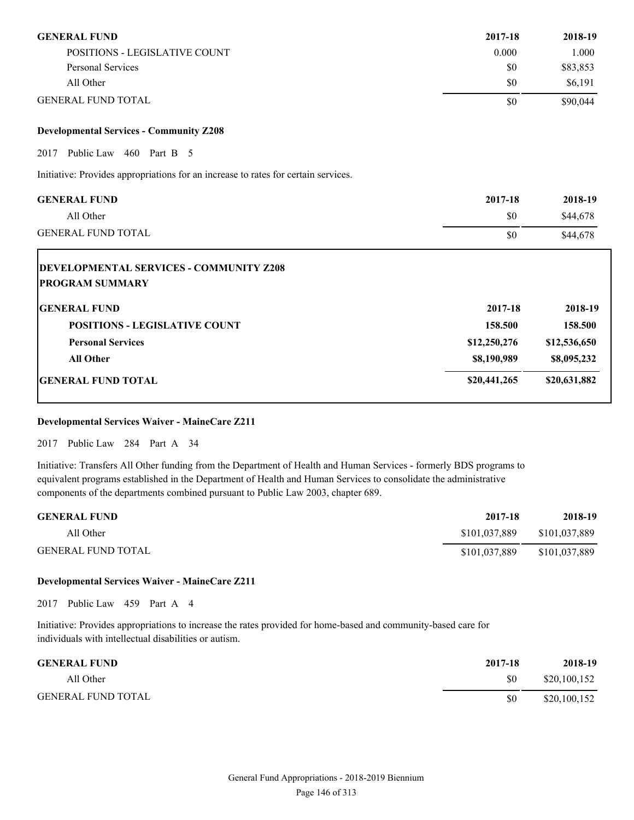| <b>GENERAL FUND</b>           | 2017-18 | 2018-19  |
|-------------------------------|---------|----------|
| POSITIONS - LEGISLATIVE COUNT | 0.000   | 000.1    |
| Personal Services             | \$0     | \$83,853 |
| All Other                     | \$0     | \$6,191  |
| <b>GENERAL FUND TOTAL</b>     | \$0     | \$90.044 |

#### **Developmental Services - Community Z208**

2017 Public Law 460 Part B 5

Initiative: Provides appropriations for an increase to rates for certain services.

| <b>GENERAL FUND</b>                                                      | 2017-18      | 2018-19      |
|--------------------------------------------------------------------------|--------------|--------------|
| All Other                                                                | \$0          | \$44,678     |
| <b>GENERAL FUND TOTAL</b>                                                | \$0          | \$44,678     |
| <b>DEVELOPMENTAL SERVICES - COMMUNITY Z208</b><br><b>PROGRAM SUMMARY</b> |              |              |
| <b>IGENERAL FUND</b>                                                     | 2017-18      | 2018-19      |
| <b>POSITIONS - LEGISLATIVE COUNT</b>                                     | 158.500      | 158.500      |
| <b>Personal Services</b>                                                 | \$12,250,276 | \$12,536,650 |
| <b>All Other</b>                                                         | \$8,190,989  | \$8,095,232  |
| <b>GENERAL FUND TOTAL</b>                                                | \$20,441,265 | \$20,631,882 |

# **Developmental Services Waiver - MaineCare Z211**

2017 Public Law 284 Part A 34

Initiative: Transfers All Other funding from the Department of Health and Human Services - formerly BDS programs to equivalent programs established in the Department of Health and Human Services to consolidate the administrative components of the departments combined pursuant to Public Law 2003, chapter 689.

| <b>GENERAL FUND</b>       | 2017-18       | 2018-19       |
|---------------------------|---------------|---------------|
| All Other                 | \$101.037.889 | \$101,037,889 |
| <b>GENERAL FUND TOTAL</b> | \$101,037,889 | \$101,037,889 |

#### **Developmental Services Waiver - MaineCare Z211**

2017 Public Law 459 Part A 4

Initiative: Provides appropriations to increase the rates provided for home-based and community-based care for individuals with intellectual disabilities or autism.

| <b>GENERAL FUND</b>       | 2017-18 | 2018-19      |
|---------------------------|---------|--------------|
| All Other                 | \$0     | \$20,100,152 |
| <b>GENERAL FUND TOTAL</b> | \$0     | \$20,100,152 |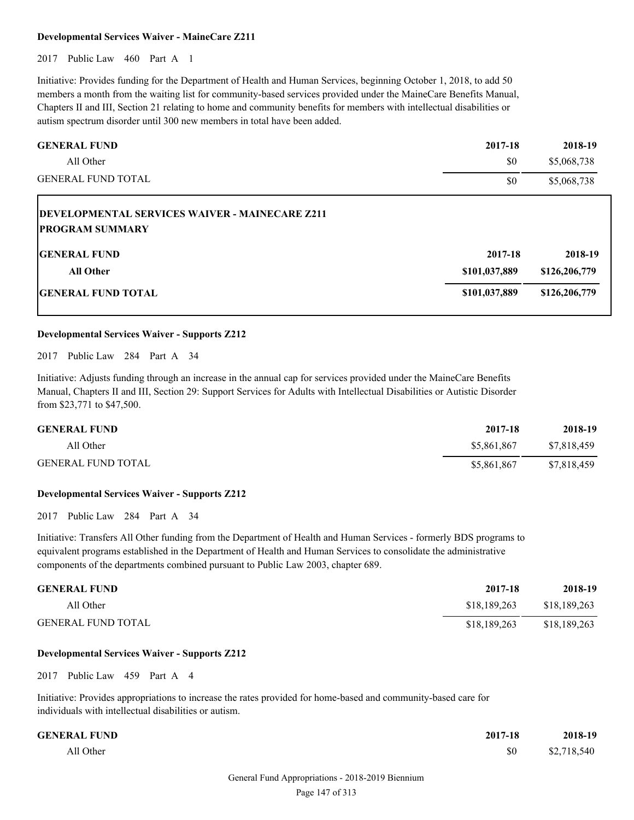#### **Developmental Services Waiver - MaineCare Z211**

2017 Public Law 460 Part A 1

Initiative: Provides funding for the Department of Health and Human Services, beginning October 1, 2018, to add 50 members a month from the waiting list for community-based services provided under the MaineCare Benefits Manual, Chapters II and III, Section 21 relating to home and community benefits for members with intellectual disabilities or autism spectrum disorder until 300 new members in total have been added.

| <b>GENERAL FUND</b>                                                              | 2017-18       | 2018-19       |
|----------------------------------------------------------------------------------|---------------|---------------|
| All Other                                                                        | \$0           | \$5,068,738   |
| <b>GENERAL FUND TOTAL</b>                                                        | \$0           | \$5,068,738   |
| <b>IDEVELOPMENTAL SERVICES WAIVER - MAINECARE Z211</b><br><b>PROGRAM SUMMARY</b> |               |               |
| <b>IGENERAL FUND</b>                                                             | 2017-18       | 2018-19       |
| <b>All Other</b>                                                                 | \$101,037,889 | \$126,206,779 |
| <b>GENERAL FUND TOTAL</b>                                                        | \$101,037,889 | \$126,206,779 |

#### **Developmental Services Waiver - Supports Z212**

2017 Public Law 284 Part A 34

Initiative: Adjusts funding through an increase in the annual cap for services provided under the MaineCare Benefits Manual, Chapters II and III, Section 29: Support Services for Adults with Intellectual Disabilities or Autistic Disorder from \$23,771 to \$47,500.

| <b>GENERAL FUND</b>       | 2017-18     | 2018-19     |
|---------------------------|-------------|-------------|
| All Other                 | \$5,861,867 | \$7,818,459 |
| <b>GENERAL FUND TOTAL</b> | \$5,861,867 | \$7,818,459 |

#### **Developmental Services Waiver - Supports Z212**

2017 Public Law 284 Part A 34

Initiative: Transfers All Other funding from the Department of Health and Human Services - formerly BDS programs to equivalent programs established in the Department of Health and Human Services to consolidate the administrative components of the departments combined pursuant to Public Law 2003, chapter 689.

| <b>GENERAL FUND</b>       | 2017-18      | 2018-19      |
|---------------------------|--------------|--------------|
| All Other                 | \$18,189,263 | \$18,189,263 |
| <b>GENERAL FUND TOTAL</b> | \$18,189,263 | \$18,189,263 |

#### **Developmental Services Waiver - Supports Z212**

2017 Public Law 459 Part A 4

Initiative: Provides appropriations to increase the rates provided for home-based and community-based care for individuals with intellectual disabilities or autism.

| <b>GENERAL FUND</b> | 2017-18 | 2018-19     |
|---------------------|---------|-------------|
| All Other           | \$0     | \$2,718,540 |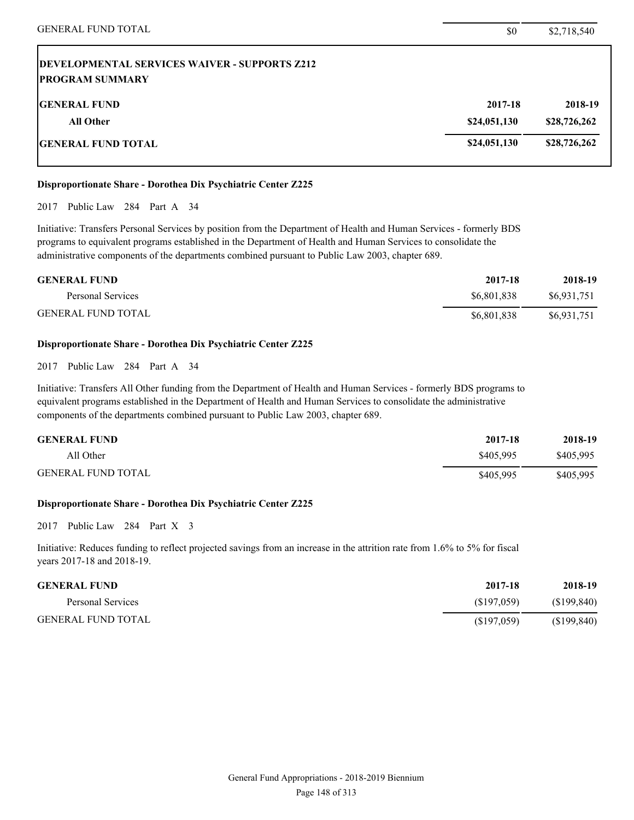#### **Disproportionate Share - Dorothea Dix Psychiatric Center Z225**

2017 Public Law 284 Part A 34

Initiative: Transfers Personal Services by position from the Department of Health and Human Services - formerly BDS programs to equivalent programs established in the Department of Health and Human Services to consolidate the administrative components of the departments combined pursuant to Public Law 2003, chapter 689.

| <b>GENERAL FUND</b>       | 2017-18     | 2018-19     |
|---------------------------|-------------|-------------|
| Personal Services         | \$6,801,838 | \$6.931.751 |
| <b>GENERAL FUND TOTAL</b> | \$6,801,838 | \$6,931,751 |

#### **Disproportionate Share - Dorothea Dix Psychiatric Center Z225**

2017 Public Law 284 Part A 34

Initiative: Transfers All Other funding from the Department of Health and Human Services - formerly BDS programs to equivalent programs established in the Department of Health and Human Services to consolidate the administrative components of the departments combined pursuant to Public Law 2003, chapter 689.

| <b>GENERAL FUND</b>       | 2017-18   | 2018-19   |
|---------------------------|-----------|-----------|
| All Other                 | \$405.995 | \$405.995 |
| <b>GENERAL FUND TOTAL</b> | \$405.995 | \$405.995 |

#### **Disproportionate Share - Dorothea Dix Psychiatric Center Z225**

2017 Public Law 284 Part X 3

Initiative: Reduces funding to reflect projected savings from an increase in the attrition rate from 1.6% to 5% for fiscal years 2017-18 and 2018-19.

| <b>GENERAL FUND</b>       | 2017-18    | 2018-19     |
|---------------------------|------------|-------------|
| Personal Services         | (S197.059) | (S199, 840) |
| <b>GENERAL FUND TOTAL</b> | (S197,059) | (\$199,840) |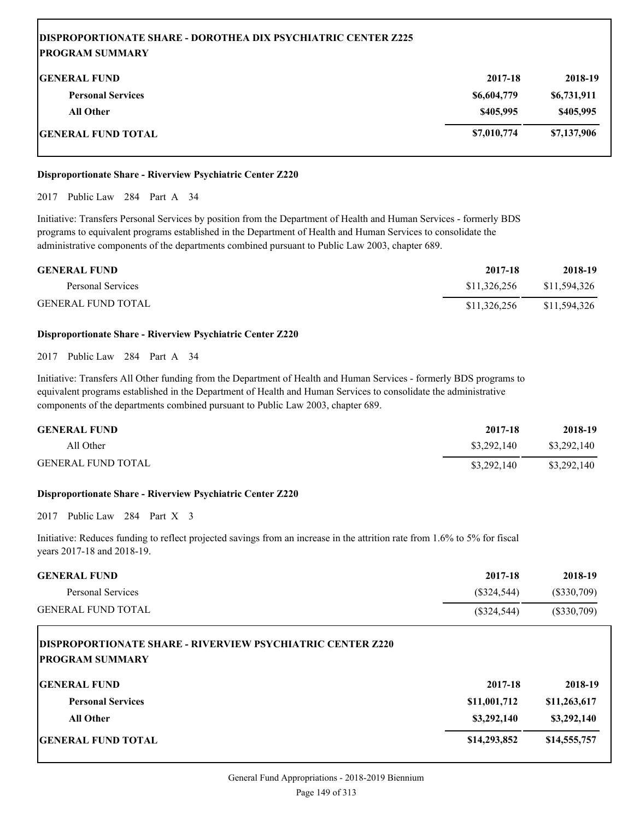# **DISPROPORTIONATE SHARE - DOROTHEA DIX PSYCHIATRIC CENTER Z225 PROGRAM SUMMARY GENERAL FUND 2017-18 2018-19 Personal Services \$6,604,779 \$6,731,911 All Other \$405,995 \$405,995 GENERAL FUND TOTAL \$7,010,774 \$7,137,906**

#### **Disproportionate Share - Riverview Psychiatric Center Z220**

2017 Public Law 284 Part A 34

Initiative: Transfers Personal Services by position from the Department of Health and Human Services - formerly BDS programs to equivalent programs established in the Department of Health and Human Services to consolidate the administrative components of the departments combined pursuant to Public Law 2003, chapter 689.

| <b>GENERAL FUND</b>       | 2017-18      | 2018-19      |
|---------------------------|--------------|--------------|
| Personal Services         | \$11.326.256 | \$11,594,326 |
| <b>GENERAL FUND TOTAL</b> | \$11,326,256 | \$11,594,326 |

#### **Disproportionate Share - Riverview Psychiatric Center Z220**

#### 2017 Public Law 284 Part A 34

Initiative: Transfers All Other funding from the Department of Health and Human Services - formerly BDS programs to equivalent programs established in the Department of Health and Human Services to consolidate the administrative components of the departments combined pursuant to Public Law 2003, chapter 689.

| <b>GENERAL FUND</b>       | 2017-18     | 2018-19     |
|---------------------------|-------------|-------------|
| All Other                 | \$3,292,140 | \$3,292,140 |
| <b>GENERAL FUND TOTAL</b> | \$3,292,140 | \$3,292,140 |

#### **Disproportionate Share - Riverview Psychiatric Center Z220**

2017 Public Law 284 Part X 3

Initiative: Reduces funding to reflect projected savings from an increase in the attrition rate from 1.6% to 5% for fiscal years 2017-18 and 2018-19.

| <b>GENERAL FUND</b>       | 2017-18     | 2018-19    |
|---------------------------|-------------|------------|
| Personal Services         | (S324.544)  | (S330,709) |
| <b>GENERAL FUND TOTAL</b> | (S324, 544) | (S330,709) |

| <b>DISPROPORTIONATE SHARE - RIVERVIEW PSYCHIATRIC CENTER Z220</b><br><b>PROGRAM SUMMARY</b> |              |              |
|---------------------------------------------------------------------------------------------|--------------|--------------|
| <b>IGENERAL FUND</b>                                                                        | 2017-18      | 2018-19      |
| <b>Personal Services</b>                                                                    | \$11,001,712 | \$11,263,617 |
| <b>All Other</b>                                                                            | \$3,292,140  | \$3,292,140  |
| <b>IGENERAL FUND TOTAL</b>                                                                  | \$14,293,852 | \$14,555,757 |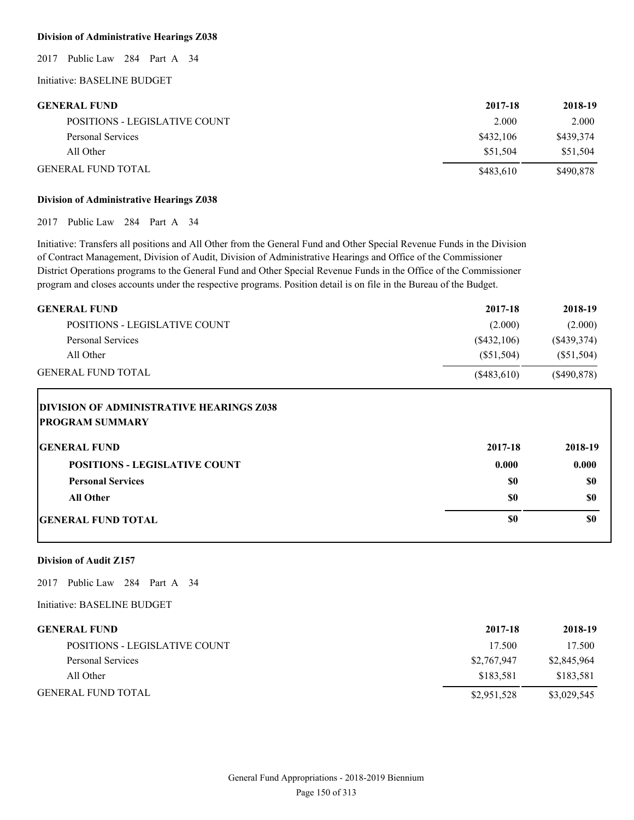#### **Division of Administrative Hearings Z038**

2017 Public Law 284 Part A 34

Initiative: BASELINE BUDGET

#### **GENERAL FUND 2017-18 2018-19**

| <b>SERVENT POINT</b>          | $4011 - 10$ | 6010-12   |
|-------------------------------|-------------|-----------|
| POSITIONS - LEGISLATIVE COUNT | 2.000       | 2.000     |
| Personal Services             | \$432,106   | \$439,374 |
| All Other                     | \$51.504    | \$51.504  |
| <b>GENERAL FUND TOTAL</b>     | \$483,610   | \$490,878 |

#### **Division of Administrative Hearings Z038**

2017 Public Law 284 Part A 34

Initiative: Transfers all positions and All Other from the General Fund and Other Special Revenue Funds in the Division of Contract Management, Division of Audit, Division of Administrative Hearings and Office of the Commissioner District Operations programs to the General Fund and Other Special Revenue Funds in the Office of the Commissioner program and closes accounts under the respective programs. Position detail is on file in the Bureau of the Budget.

| <b>GENERAL FUND</b>                                                       | 2017-18       | 2018-19       |
|---------------------------------------------------------------------------|---------------|---------------|
| POSITIONS - LEGISLATIVE COUNT                                             | (2.000)       | (2.000)       |
| <b>Personal Services</b>                                                  | $(\$432,106)$ | $(\$439,374)$ |
| All Other                                                                 | (\$51,504)    | $(\$51,504)$  |
| <b>GENERAL FUND TOTAL</b>                                                 | (\$483,610)   | $(\$490,878)$ |
| <b>DIVISION OF ADMINISTRATIVE HEARINGS Z038</b><br><b>PROGRAM SUMMARY</b> |               |               |

| <b>GENERAL FUND</b>                  | 2017-18 | 2018-19 |
|--------------------------------------|---------|---------|
| <b>POSITIONS - LEGISLATIVE COUNT</b> | 0.000   | 0.000   |
| <b>Personal Services</b>             | \$0     | \$0     |
| All Other                            | \$0     | \$0     |
| <b>GENERAL FUND TOTAL</b>            | \$0     | \$0     |

#### **Division of Audit Z157**

2017 Public Law 284 Part A 34

Initiative: BASELINE BUDGET

# **GENERAL FUND 2017-18 2018-19**

| POSITIONS - LEGISLATIVE COUNT | 17.500      | 17.500      |
|-------------------------------|-------------|-------------|
| Personal Services             | \$2,767,947 | \$2,845,964 |
| All Other                     | \$183.581   | \$183,581   |
| <b>GENERAL FUND TOTAL</b>     | \$2,951,528 | \$3,029,545 |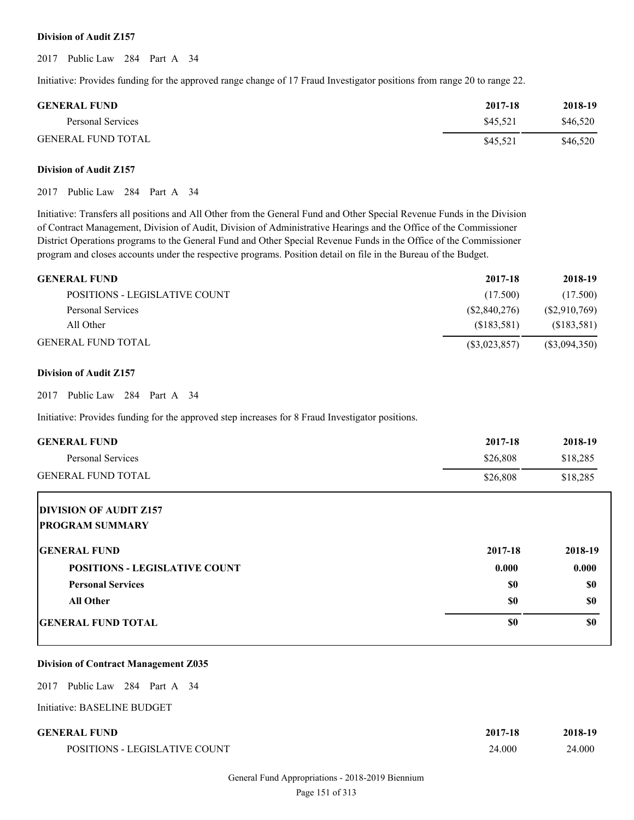#### **Division of Audit Z157**

2017 Public Law 284 Part A 34

Initiative: Provides funding for the approved range change of 17 Fraud Investigator positions from range 20 to range 22.

| <b>GENERAL FUND</b>       | 2017-18  | 2018-19  |
|---------------------------|----------|----------|
| Personal Services         | \$45.521 | \$46.520 |
| <b>GENERAL FUND TOTAL</b> | \$45,521 | \$46,520 |

#### **Division of Audit Z157**

2017 Public Law 284 Part A 34

Initiative: Transfers all positions and All Other from the General Fund and Other Special Revenue Funds in the Division of Contract Management, Division of Audit, Division of Administrative Hearings and the Office of the Commissioner District Operations programs to the General Fund and Other Special Revenue Funds in the Office of the Commissioner program and closes accounts under the respective programs. Position detail on file in the Bureau of the Budget.

| <b>GENERAL FUND</b>           | 2017-18        | 2018-19         |
|-------------------------------|----------------|-----------------|
| POSITIONS - LEGISLATIVE COUNT | (17.500)       | (17.500)        |
| Personal Services             | (S2, 840, 276) | (S2,910,769)    |
| All Other                     | (S183.581)     | (S183, 581)     |
| GENERAL FUND TOTAL            | (S3,023,857)   | $(\$3,094,350)$ |

#### **Division of Audit Z157**

2017 Public Law 284 Part A 34

Initiative: Provides funding for the approved step increases for 8 Fraud Investigator positions.

| <b>GENERAL FUND</b>                  | 2017-18  | 2018-19   |
|--------------------------------------|----------|-----------|
| <b>Personal Services</b>             | \$26,808 | \$18,285  |
| <b>GENERAL FUND TOTAL</b>            | \$26,808 | \$18,285  |
| <b>DIVISION OF AUDIT Z157</b>        |          |           |
| <b>PROGRAM SUMMARY</b>               |          |           |
| <b>GENERAL FUND</b>                  | 2017-18  | 2018-19   |
| <b>POSITIONS - LEGISLATIVE COUNT</b> | 0.000    | 0.000     |
| <b>Personal Services</b>             | \$0      | \$0       |
| <b>All Other</b>                     | \$0      | <b>SO</b> |
| <b>IGENERAL FUND TOTAL</b>           | \$0      | \$0       |

#### **Division of Contract Management Z035**

2017 Public Law 284 Part A 34

Initiative: BASELINE BUDGET

# **GENERAL FUND 2017-18 2018-19**

POSITIONS - LEGISLATIVE COUNT

| 201/18 | 2018-19 |
|--------|---------|
| 24.000 | 24.000  |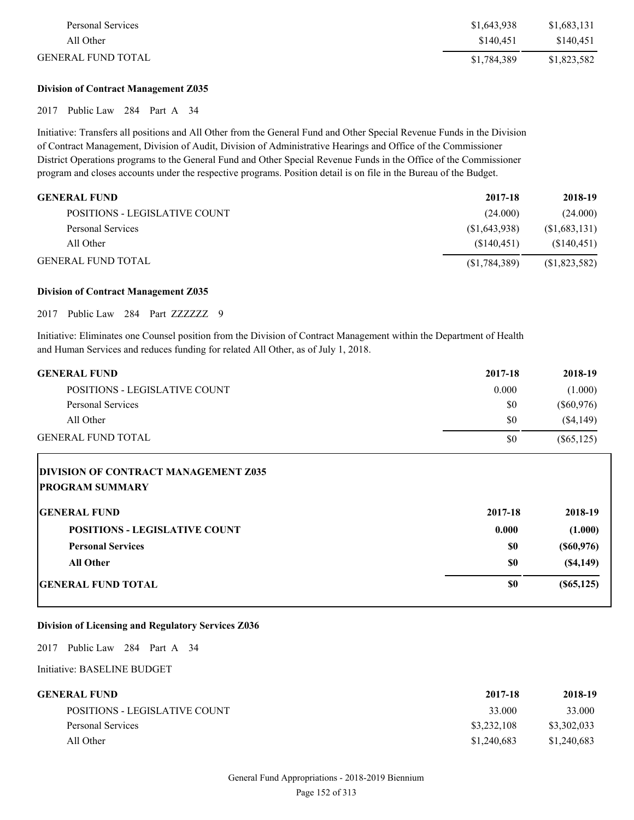| Personal Services         | \$1,643,938 | \$1,683,131 |
|---------------------------|-------------|-------------|
| All Other                 | \$140.451   | \$140.451   |
| <b>GENERAL FUND TOTAL</b> | \$1,784,389 | \$1,823,582 |

#### **Division of Contract Management Z035**

2017 Public Law 284 Part A 34

Initiative: Transfers all positions and All Other from the General Fund and Other Special Revenue Funds in the Division of Contract Management, Division of Audit, Division of Administrative Hearings and Office of the Commissioner District Operations programs to the General Fund and Other Special Revenue Funds in the Office of the Commissioner program and closes accounts under the respective programs. Position detail is on file in the Bureau of the Budget.

| GENERAL FUND                  | 2017-18        | 2018-19       |
|-------------------------------|----------------|---------------|
| POSITIONS - LEGISLATIVE COUNT | (24.000)       | (24.000)      |
| Personal Services             | (S1, 643, 938) | (\$1,683,131) |
| All Other                     | (S140.451)     | (S140, 451)   |
| GENERAL FUND TOTAL            | (S1, 784, 389) | (\$1,823,582) |

#### **Division of Contract Management Z035**

2017 Public Law 284 Part ZZZZZZZ 9

Initiative: Eliminates one Counsel position from the Division of Contract Management within the Department of Health and Human Services and reduces funding for related All Other, as of July 1, 2018.

| <b>GENERAL FUND</b>           | 2017-18 | 2018-19      |
|-------------------------------|---------|--------------|
| POSITIONS - LEGISLATIVE COUNT | 0.000   | (1.000)      |
| Personal Services             | \$0     | (S60, 976)   |
| All Other                     | \$0     | $(\$4,149)$  |
| <b>GENERAL FUND TOTAL</b>     | \$0     | $(\$65,125)$ |

# **DIVISION OF CONTRACT MANAGEMENT Z035 PROGRAM SUMMARY**

| <b>GENERAL FUND</b>                  | 2017-18 | 2018-19       |
|--------------------------------------|---------|---------------|
| <b>POSITIONS - LEGISLATIVE COUNT</b> | 0.000   | (1.000)       |
| <b>Personal Services</b>             | \$0     | $($ \$60,976) |
| <b>All Other</b>                     | \$0     | (S4, 149)     |
| <b>GENERAL FUND TOTAL</b>            | \$0     | $($ \$65,125) |

#### **Division of Licensing and Regulatory Services Z036**

2017 Public Law 284 Part A 34

Initiative: BASELINE BUDGET

| GENERAL FUND-                 | 2017-18     | 2018-19     |
|-------------------------------|-------------|-------------|
| POSITIONS - LEGISLATIVE COUNT | 33.000      | 33,000      |
| Personal Services             | \$3,232,108 | \$3,302,033 |
| All Other                     | \$1,240,683 | \$1,240,683 |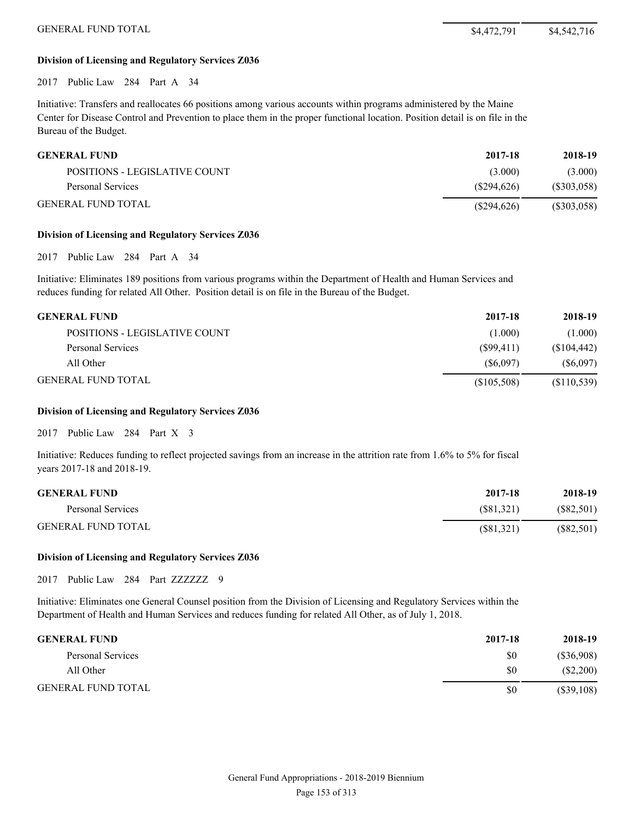GENERAL FUND TOTAL \$4,472,791 \$4,542,716

#### **Division of Licensing and Regulatory Services Z036**

2017 Public Law 284 Part A 34

Initiative: Transfers and reallocates 66 positions among various accounts within programs administered by the Maine Center for Disease Control and Prevention to place them in the proper functional location. Position detail is on file in the Bureau of the Budget.

| <b>GENERAL FUND</b>           | 2017-18       | 2018-19     |
|-------------------------------|---------------|-------------|
| POSITIONS - LEGISLATIVE COUNT | (3.000)       | (3.000)     |
| Personal Services             | (S294.626)    | (S303, 058) |
| <b>GENERAL FUND TOTAL</b>     | $(\$294,626)$ | (S303, 058) |

#### **Division of Licensing and Regulatory Services Z036**

2017 Public Law 284 Part A 34

Initiative: Eliminates 189 positions from various programs within the Department of Health and Human Services and reduces funding for related All Other. Position detail is on file in the Bureau of the Budget.

| <b>GENERAL FUND</b>           | 2017-18     | 2018-19     |
|-------------------------------|-------------|-------------|
| POSITIONS - LEGISLATIVE COUNT | (1.000)     | (1.000)     |
| Personal Services             | (S99.411)   | (\$104,442) |
| All Other                     | (S6.097)    | (S6,097)    |
| <b>GENERAL FUND TOTAL</b>     | (\$105,508) | (S110, 539) |

#### **Division of Licensing and Regulatory Services Z036**

2017 Public Law 284 Part X 3

Initiative: Reduces funding to reflect projected savings from an increase in the attrition rate from 1.6% to 5% for fiscal years 2017-18 and 2018-19.

| <b>GENERAL FUND</b>       | 2017-18   | 2018-19      |
|---------------------------|-----------|--------------|
| Personal Services         | (S81.321) | (S82, 501)   |
| <b>GENERAL FUND TOTAL</b> | (S81,321) | $(\$82,501)$ |

#### **Division of Licensing and Regulatory Services Z036**

2017 Public Law 284 Part ZZZZZZZ 9

Initiative: Eliminates one General Counsel position from the Division of Licensing and Regulatory Services within the Department of Health and Human Services and reduces funding for related All Other, as of July 1, 2018.

| <b>GENERAL FUND</b>       | 2017-18 | 2018-19      |
|---------------------------|---------|--------------|
| Personal Services         | \$0     | (S36,908)    |
| All Other                 | \$0     | (S2,200)     |
| <b>GENERAL FUND TOTAL</b> | \$0     | $(\$39,108)$ |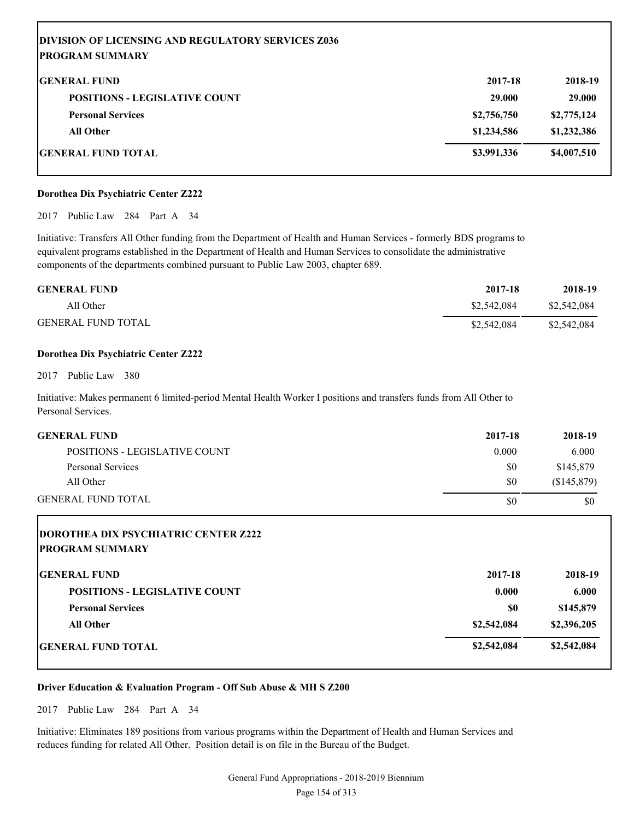| <b>DIVISION OF LICENSING AND REGULATORY SERVICES Z036</b> |             |             |
|-----------------------------------------------------------|-------------|-------------|
| PROGRAM SUMMARY                                           |             |             |
| <b>IGENERAL FUND</b>                                      | 2017-18     | 2018-19     |
| <b>POSITIONS - LEGISLATIVE COUNT</b>                      | 29,000      | 29.000      |
| <b>Personal Services</b>                                  | \$2,756,750 | \$2,775,124 |
| <b>All Other</b>                                          | \$1,234,586 | \$1,232,386 |
| GENERAL FUND TOTAL                                        | \$3,991,336 | \$4,007,510 |

#### **Dorothea Dix Psychiatric Center Z222**

2017 Public Law 284 Part A 34

Initiative: Transfers All Other funding from the Department of Health and Human Services - formerly BDS programs to equivalent programs established in the Department of Health and Human Services to consolidate the administrative components of the departments combined pursuant to Public Law 2003, chapter 689.

| <b>GENERAL FUND</b>       | 2017-18     | 2018-19     |
|---------------------------|-------------|-------------|
| All Other                 | \$2,542,084 | \$2,542,084 |
| <b>GENERAL FUND TOTAL</b> | \$2,542,084 | \$2,542,084 |

#### **Dorothea Dix Psychiatric Center Z222**

2017 Public Law 380

Initiative: Makes permanent 6 limited-period Mental Health Worker I positions and transfers funds from All Other to Personal Services.

| <b>GENERAL FUND</b>           | 2017-18 | 2018-19     |
|-------------------------------|---------|-------------|
| POSITIONS - LEGISLATIVE COUNT | 0.000   | 6.000       |
| Personal Services             | \$0     | \$145,879   |
| All Other                     | \$0     | (S145, 879) |
| <b>GENERAL FUND TOTAL</b>     | \$0     | \$0         |

| <b>DOROTHEA DIX PSYCHIATRIC CENTER Z222</b><br><b>IPROGRAM SUMMARY</b> |             |             |
|------------------------------------------------------------------------|-------------|-------------|
| <b>IGENERAL FUND</b>                                                   | 2017-18     | 2018-19     |
| <b>POSITIONS - LEGISLATIVE COUNT</b>                                   | 0.000       | 6.000       |
| <b>Personal Services</b>                                               | \$0         | \$145,879   |
| <b>All Other</b>                                                       | \$2,542,084 | \$2,396,205 |
| <b>IGENERAL FUND TOTAL</b>                                             | \$2,542,084 | \$2,542,084 |

#### **Driver Education & Evaluation Program - Off Sub Abuse & MH S Z200**

2017 Public Law 284 Part A 34

Initiative: Eliminates 189 positions from various programs within the Department of Health and Human Services and reduces funding for related All Other. Position detail is on file in the Bureau of the Budget.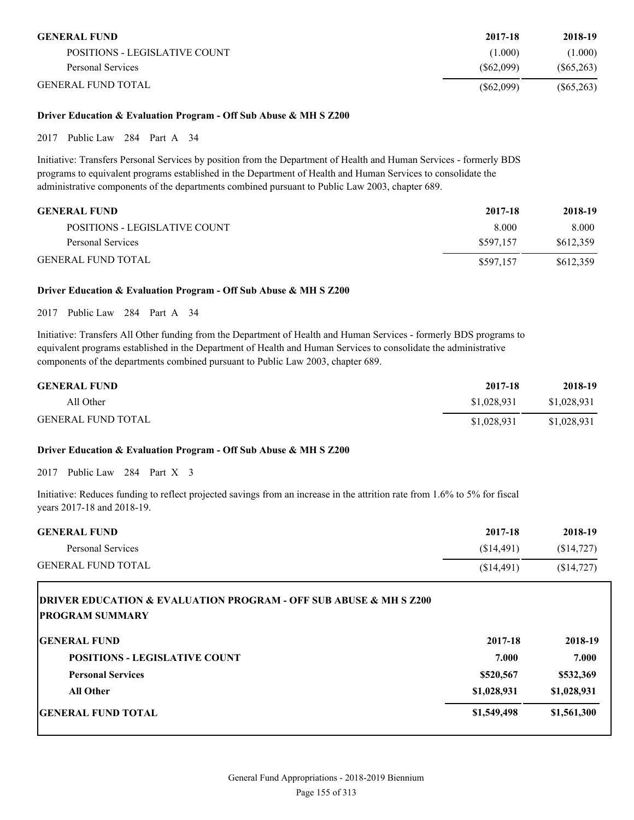| <b>GENERAL FUND</b>           | 2017-18   | 2018-19      |
|-------------------------------|-----------|--------------|
| POSITIONS - LEGISLATIVE COUNT | (1.000)   | (1.000)      |
| Personal Services             | (S62.099) | (S65, 263)   |
| <b>GENERAL FUND TOTAL</b>     | (S62,099) | $(\$65,263)$ |

#### **Driver Education & Evaluation Program - Off Sub Abuse & MH S Z200**

2017 Public Law 284 Part A 34

Initiative: Transfers Personal Services by position from the Department of Health and Human Services - formerly BDS programs to equivalent programs established in the Department of Health and Human Services to consolidate the administrative components of the departments combined pursuant to Public Law 2003, chapter 689.

| <b>GENERAL FUND</b>           | 2017-18   | 2018-19   |
|-------------------------------|-----------|-----------|
| POSITIONS - LEGISLATIVE COUNT | 8.000     | 8.000     |
| Personal Services             | \$597,157 | \$612,359 |
| <b>GENERAL FUND TOTAL</b>     | \$597,157 | \$612,359 |

#### **Driver Education & Evaluation Program - Off Sub Abuse & MH S Z200**

2017 Public Law 284 Part A 34

Initiative: Transfers All Other funding from the Department of Health and Human Services - formerly BDS programs to equivalent programs established in the Department of Health and Human Services to consolidate the administrative components of the departments combined pursuant to Public Law 2003, chapter 689.

| <b>GENERAL FUND</b>       | 2017-18     | 2018-19     |
|---------------------------|-------------|-------------|
| All Other                 | \$1,028,931 | \$1,028,931 |
| <b>GENERAL FUND TOTAL</b> | \$1,028,931 | \$1,028,931 |

#### **Driver Education & Evaluation Program - Off Sub Abuse & MH S Z200**

2017 Public Law 284 Part X 3

Initiative: Reduces funding to reflect projected savings from an increase in the attrition rate from 1.6% to 5% for fiscal years 2017-18 and 2018-19.

| <b>GENERAL FUND</b>       | 2017-18    | 2018-19    |
|---------------------------|------------|------------|
| Personal Services         | (S14.491)  | (S14, 727) |
| <b>GENERAL FUND TOTAL</b> | (S14, 491) | (\$14,727) |

# **DRIVER EDUCATION & EVALUATION PROGRAM - OFF SUB ABUSE & MH S Z200 PROGRAM SUMMARY**

| <b>GENERAL FUND</b>                  | 2017-18     | 2018-19     |
|--------------------------------------|-------------|-------------|
| <b>POSITIONS - LEGISLATIVE COUNT</b> | 7.000       | 7.000       |
| <b>Personal Services</b>             | \$520,567   | \$532,369   |
| <b>All Other</b>                     | \$1,028,931 | \$1,028,931 |
| <b>GENERAL FUND TOTAL</b>            | \$1,549,498 | \$1,561,300 |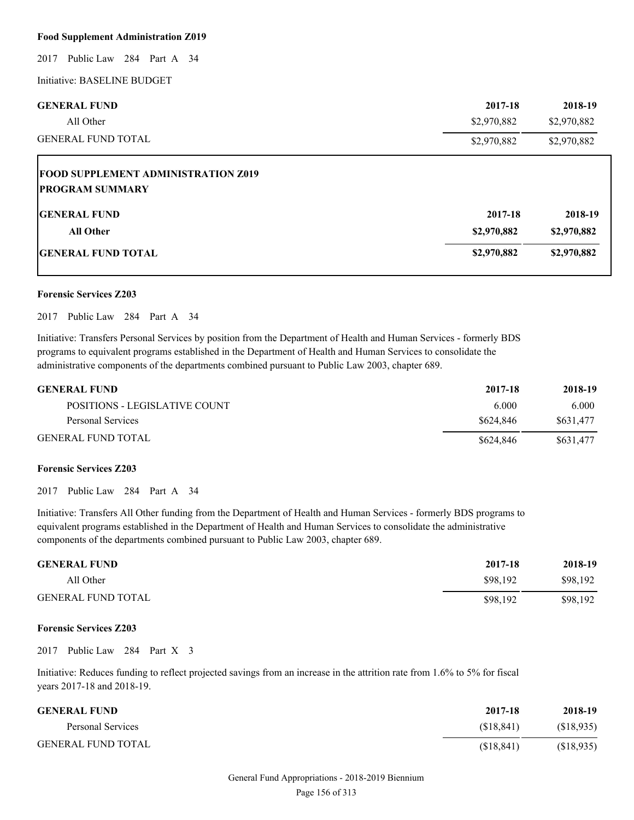#### **Food Supplement Administration Z019**

2017 Public Law 284 Part A 34

Initiative: BASELINE BUDGET

| <b>GENERAL FUND</b>       | 2017-18     | 2018-19     |
|---------------------------|-------------|-------------|
| All Other                 | \$2,970,882 | \$2,970,882 |
| <b>GENERAL FUND TOTAL</b> | \$2,970,882 | \$2,970,882 |

# **FOOD SUPPLEMENT ADMINISTRATION Z019 PROGRAM SUMMARY GENERAL FUND 2017-18 2018-19 All Other \$2,970,882 \$2,970,882**

# **GENERAL FUND TOTAL \$2,970,882 \$2,970,882**

#### **Forensic Services Z203**

2017 Public Law 284 Part A 34

Initiative: Transfers Personal Services by position from the Department of Health and Human Services - formerly BDS programs to equivalent programs established in the Department of Health and Human Services to consolidate the administrative components of the departments combined pursuant to Public Law 2003, chapter 689.

| <b>GENERAL FUND</b>           | 2017-18   | 2018-19   |
|-------------------------------|-----------|-----------|
| POSITIONS - LEGISLATIVE COUNT | 6.000     | 6.000     |
| Personal Services             | \$624,846 | \$631.477 |
| <b>GENERAL FUND TOTAL</b>     | \$624,846 | \$631.477 |

#### **Forensic Services Z203**

2017 Public Law 284 Part A 34

Initiative: Transfers All Other funding from the Department of Health and Human Services - formerly BDS programs to equivalent programs established in the Department of Health and Human Services to consolidate the administrative components of the departments combined pursuant to Public Law 2003, chapter 689.

| <b>GENERAL FUND</b>       | 2017-18  | 2018-19  |
|---------------------------|----------|----------|
| All Other                 | \$98.192 | \$98,192 |
| <b>GENERAL FUND TOTAL</b> | \$98,192 | \$98,192 |

#### **Forensic Services Z203**

2017 Public Law 284 Part X 3

Initiative: Reduces funding to reflect projected savings from an increase in the attrition rate from 1.6% to 5% for fiscal years 2017-18 and 2018-19.

| <b>GENERAL FUND</b>       | 2017-18    | 2018-19    |
|---------------------------|------------|------------|
| Personal Services         | (S18, 841) | (\$18,935) |
| <b>GENERAL FUND TOTAL</b> | (S18, 841) | (S18,935)  |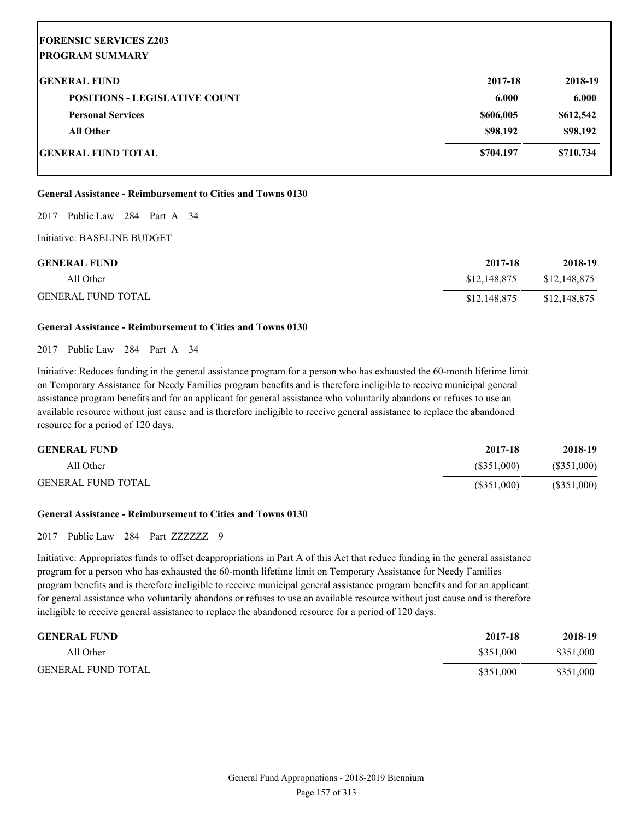| <b>FORENSIC SERVICES Z203</b>        |           |           |
|--------------------------------------|-----------|-----------|
| <b>PROGRAM SUMMARY</b>               |           |           |
| <b>GENERAL FUND</b>                  | 2017-18   | 2018-19   |
| <b>POSITIONS - LEGISLATIVE COUNT</b> | 6.000     | 6.000     |
| <b>Personal Services</b>             | \$606,005 | \$612,542 |
| <b>All Other</b>                     | \$98,192  | \$98,192  |
| <b>GENERAL FUND TOTAL</b>            | \$704,197 | \$710,734 |

#### **General Assistance - Reimbursement to Cities and Towns 0130**

2017 Public Law 284 Part A 34

Initiative: BASELINE BUDGET

| <b>GENERAL FUND</b>       | 2017-18      | 2018-19      |
|---------------------------|--------------|--------------|
| All Other                 | \$12,148,875 | \$12,148,875 |
| <b>GENERAL FUND TOTAL</b> | \$12,148,875 | \$12,148,875 |

#### **General Assistance - Reimbursement to Cities and Towns 0130**

2017 Public Law 284 Part A 34

Initiative: Reduces funding in the general assistance program for a person who has exhausted the 60-month lifetime limit on Temporary Assistance for Needy Families program benefits and is therefore ineligible to receive municipal general assistance program benefits and for an applicant for general assistance who voluntarily abandons or refuses to use an available resource without just cause and is therefore ineligible to receive general assistance to replace the abandoned resource for a period of 120 days.

| <b>GENERAL FUND</b>       | 2017-18    | 2018-19       |
|---------------------------|------------|---------------|
| All Other                 | (S351,000) | $(\$351,000)$ |
| <b>GENERAL FUND TOTAL</b> | (S351,000) | (S351,000)    |

#### **General Assistance - Reimbursement to Cities and Towns 0130**

2017 Public Law 284 Part ZZZZZZZ 9

Initiative: Appropriates funds to offset deappropriations in Part A of this Act that reduce funding in the general assistance program for a person who has exhausted the 60-month lifetime limit on Temporary Assistance for Needy Families program benefits and is therefore ineligible to receive municipal general assistance program benefits and for an applicant for general assistance who voluntarily abandons or refuses to use an available resource without just cause and is therefore ineligible to receive general assistance to replace the abandoned resource for a period of 120 days.

| <b>GENERAL FUND</b>       | 2017-18   | 2018-19   |
|---------------------------|-----------|-----------|
| All Other                 | \$351,000 | \$351,000 |
| <b>GENERAL FUND TOTAL</b> | \$351,000 | \$351,000 |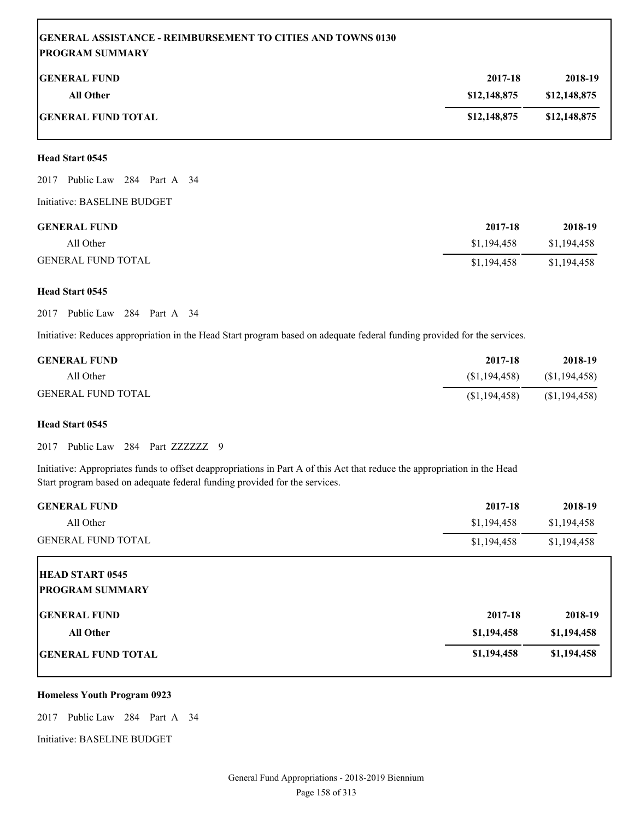# **GENERAL ASSISTANCE - REIMBURSEMENT TO CITIES AND TOWNS 0130 PROGRAM SUMMARY**

| <b>GENERAL FUND</b>       | 2017-18      | 2018-19      |
|---------------------------|--------------|--------------|
| All Other                 | \$12,148,875 | \$12,148,875 |
| <b>GENERAL FUND TOTAL</b> | \$12,148,875 | \$12,148,875 |

#### **Head Start 0545**

2017 Public Law 284 Part A 34

Initiative: BASELINE BUDGET

| <b>GENERAL FUND</b>       | 2017-18     | 2018-19     |
|---------------------------|-------------|-------------|
| All Other                 | \$1.194.458 | \$1,194,458 |
| <b>GENERAL FUND TOTAL</b> | \$1,194,458 | \$1,194,458 |

#### **Head Start 0545**

2017 Public Law 284 Part A 34

Initiative: Reduces appropriation in the Head Start program based on adequate federal funding provided for the services.

| <b>GENERAL FUND</b>       | 2017-18        | 2018-19        |
|---------------------------|----------------|----------------|
| All Other                 | (S1, 194, 458) | (S1, 194, 458) |
| <b>GENERAL FUND TOTAL</b> | (S1, 194, 458) | (S1, 194, 458) |

#### **Head Start 0545**

2017 Public Law 284 Part ZZZZZZZ 9

Initiative: Appropriates funds to offset deappropriations in Part A of this Act that reduce the appropriation in the Head Start program based on adequate federal funding provided for the services.

| <b>GENERAL FUND</b>       | 2017-18     | 2018-19     |
|---------------------------|-------------|-------------|
| All Other                 | \$1,194,458 | \$1,194,458 |
| <b>GENERAL FUND TOTAL</b> | \$1,194,458 | \$1,194,458 |
| <b>HEAD START 0545</b>    |             |             |
| <b>PROGRAM SUMMARY</b>    |             |             |
| <b>IGENERAL FUND</b>      | 2017-18     | 2018-19     |
| <b>All Other</b>          | \$1,194,458 | \$1,194,458 |
| <b>GENERAL FUND TOTAL</b> | \$1,194,458 | \$1,194,458 |

#### **Homeless Youth Program 0923**

2017 Public Law 284 Part A 34

Initiative: BASELINE BUDGET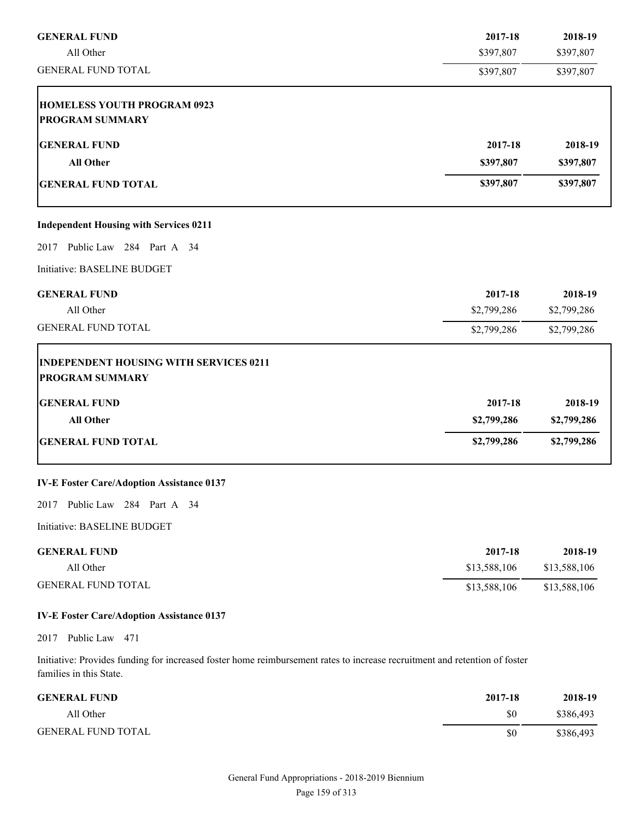| <b>GENERAL FUND</b>                              | 2017-18      | 2018-19      |
|--------------------------------------------------|--------------|--------------|
| All Other                                        | \$397,807    | \$397,807    |
| <b>GENERAL FUND TOTAL</b>                        | \$397,807    | \$397,807    |
| <b>HOMELESS YOUTH PROGRAM 0923</b>               |              |              |
| <b>PROGRAM SUMMARY</b>                           |              |              |
| <b>GENERAL FUND</b>                              | 2017-18      | 2018-19      |
| <b>All Other</b>                                 | \$397,807    | \$397,807    |
| <b>GENERAL FUND TOTAL</b>                        | \$397,807    | \$397,807    |
| <b>Independent Housing with Services 0211</b>    |              |              |
| 2017 Public Law 284 Part A 34                    |              |              |
| Initiative: BASELINE BUDGET                      |              |              |
| <b>GENERAL FUND</b>                              | 2017-18      | 2018-19      |
| All Other                                        | \$2,799,286  | \$2,799,286  |
| <b>GENERAL FUND TOTAL</b>                        | \$2,799,286  | \$2,799,286  |
| <b>INDEPENDENT HOUSING WITH SERVICES 0211</b>    |              |              |
| <b>PROGRAM SUMMARY</b>                           |              |              |
| <b>GENERAL FUND</b>                              | 2017-18      | 2018-19      |
| <b>All Other</b>                                 | \$2,799,286  | \$2,799,286  |
| <b>GENERAL FUND TOTAL</b>                        | \$2,799,286  | \$2,799,286  |
| <b>IV-E Foster Care/Adoption Assistance 0137</b> |              |              |
| Public Law 284 Part A 34<br>2017                 |              |              |
| Initiative: BASELINE BUDGET                      |              |              |
| <b>GENERAL FUND</b>                              | 2017-18      | 2018-19      |
| All Other                                        | \$13,588,106 | \$13,588,106 |
| <b>GENERAL FUND TOTAL</b>                        | \$13,588,106 | \$13,588,106 |

## **IV-E Foster Care/Adoption Assistance 0137**

2017 Public Law 471

Initiative: Provides funding for increased foster home reimbursement rates to increase recruitment and retention of foster families in this State.

| <b>GENERAL FUND</b>       | 2017-18 | 2018-19   |
|---------------------------|---------|-----------|
| All Other                 | \$0     | \$386,493 |
| <b>GENERAL FUND TOTAL</b> | \$0     | \$386,493 |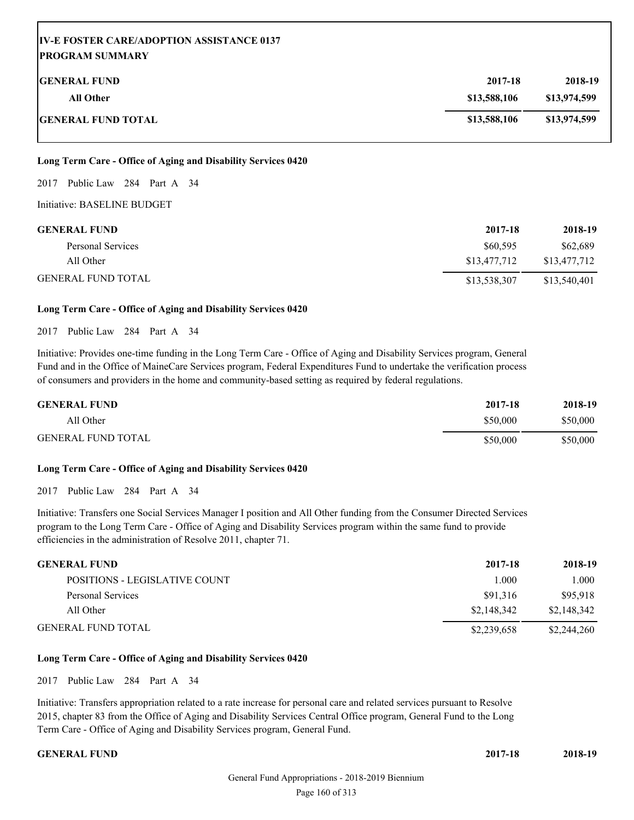| <b>IV-E FOSTER CARE/ADOPTION ASSISTANCE 0137</b><br> PROGRAM SUMMARY |              |              |
|----------------------------------------------------------------------|--------------|--------------|
| <b>IGENERAL FUND</b>                                                 | 2017-18      | 2018-19      |
| <b>All Other</b>                                                     | \$13,588,106 | \$13,974,599 |
| <b> GENERAL FUND TOTAL</b>                                           | \$13,588,106 | \$13,974,599 |

#### **Long Term Care - Office of Aging and Disability Services 0420**

2017 Public Law 284 Part A 34

Initiative: BASELINE BUDGET

| <b>GENERAL FUND</b>       | 2017-18      | 2018-19      |
|---------------------------|--------------|--------------|
| Personal Services         | \$60,595     | \$62,689     |
| All Other                 | \$13,477,712 | \$13,477,712 |
| <b>GENERAL FUND TOTAL</b> | \$13,538,307 | \$13,540,401 |

#### **Long Term Care - Office of Aging and Disability Services 0420**

2017 Public Law 284 Part A 34

Initiative: Provides one-time funding in the Long Term Care - Office of Aging and Disability Services program, General Fund and in the Office of MaineCare Services program, Federal Expenditures Fund to undertake the verification process of consumers and providers in the home and community-based setting as required by federal regulations.

| <b>GENERAL FUND</b>       | 2017-18  | 2018-19  |
|---------------------------|----------|----------|
| All Other                 | \$50,000 | \$50,000 |
| <b>GENERAL FUND TOTAL</b> | \$50,000 | \$50,000 |

#### **Long Term Care - Office of Aging and Disability Services 0420**

2017 Public Law 284 Part A 34

Initiative: Transfers one Social Services Manager I position and All Other funding from the Consumer Directed Services program to the Long Term Care - Office of Aging and Disability Services program within the same fund to provide efficiencies in the administration of Resolve 2011, chapter 71.

| <b>GENERAL FUND</b>           | 2017-18     | 2018-19     |
|-------------------------------|-------------|-------------|
| POSITIONS - LEGISLATIVE COUNT | 1.000       | 1.000       |
| Personal Services             | \$91.316    | \$95.918    |
| All Other                     | \$2,148,342 | \$2,148,342 |
| <b>GENERAL FUND TOTAL</b>     | \$2,239,658 | \$2,244,260 |

#### **Long Term Care - Office of Aging and Disability Services 0420**

2017 Public Law 284 Part A 34

Initiative: Transfers appropriation related to a rate increase for personal care and related services pursuant to Resolve 2015, chapter 83 from the Office of Aging and Disability Services Central Office program, General Fund to the Long Term Care - Office of Aging and Disability Services program, General Fund.

**GENERAL FUND 2017-18 2018-19**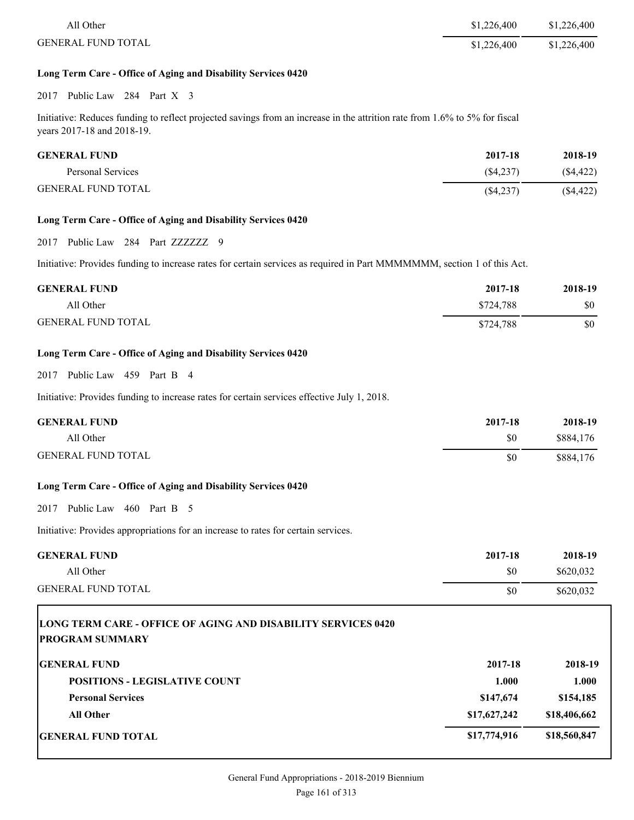| All Other                 | \$1,226,400 | \$1,226,400 |
|---------------------------|-------------|-------------|
| <b>GENERAL FUND TOTAL</b> | \$1,226,400 | \$1,226,400 |

#### **Long Term Care - Office of Aging and Disability Services 0420**

2017 Public Law 284 Part X 3

Initiative: Reduces funding to reflect projected savings from an increase in the attrition rate from 1.6% to 5% for fiscal years 2017-18 and 2018-19.

| <b>GENERAL FUND</b>       | 2017-18     | 2018-19   |
|---------------------------|-------------|-----------|
| Personal Services         | (S4.237)    | (S4, 422) |
| <b>GENERAL FUND TOTAL</b> | $(\$4,237)$ | (\$4,422) |

#### **Long Term Care - Office of Aging and Disability Services 0420**

2017 Public Law 284 Part ZZZZZZZ 9

Initiative: Provides funding to increase rates for certain services as required in Part MMMMMMM, section 1 of this Act.

| <b>GENERAL FUND</b>       | 2017-18   | 2018-19 |
|---------------------------|-----------|---------|
| All Other                 | \$724.788 | \$0     |
| <b>GENERAL FUND TOTAL</b> | \$724.788 | \$0     |

#### **Long Term Care - Office of Aging and Disability Services 0420**

### 2017 Public Law 459 Part B 4

Initiative: Provides funding to increase rates for certain services effective July 1, 2018.

| <b>GENERAL FUND</b>       | 2017-18 | 2018-19   |
|---------------------------|---------|-----------|
| All Other                 | \$0     | \$884,176 |
| <b>GENERAL FUND TOTAL</b> | \$0     | \$884,176 |

#### **Long Term Care - Office of Aging and Disability Services 0420**

2017 Public Law 460 Part B 5

Initiative: Provides appropriations for an increase to rates for certain services.

| <b>GENERAL FUND</b>       | 2017-18 | 2018-19   |
|---------------------------|---------|-----------|
| All Other                 | \$0     | \$620,032 |
| <b>GENERAL FUND TOTAL</b> | \$0     | \$620,032 |

| LONG TERM CARE - OFFICE OF AGING AND DISABILITY SERVICES 0420<br><b>PROGRAM SUMMARY</b> |              |              |
|-----------------------------------------------------------------------------------------|--------------|--------------|
| <b>IGENERAL FUND</b>                                                                    | 2017-18      | 2018-19      |
| <b>POSITIONS - LEGISLATIVE COUNT</b>                                                    | 1.000        | 1.000        |
| <b>Personal Services</b>                                                                | \$147,674    | \$154,185    |
| <b>All Other</b>                                                                        | \$17,627,242 | \$18,406,662 |
| <b>IGENERAL FUND TOTAL</b>                                                              | \$17,774,916 | \$18,560,847 |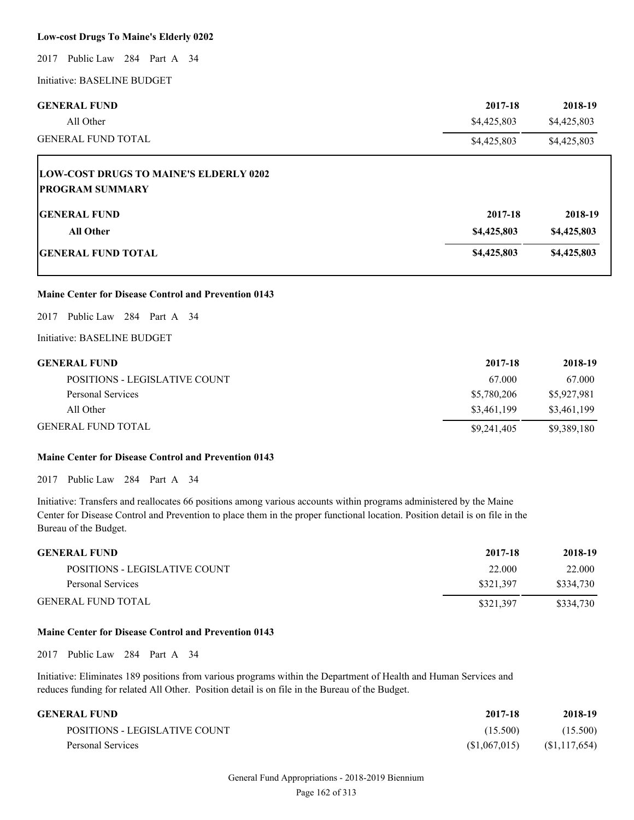#### **Low-cost Drugs To Maine's Elderly 0202**

2017 Public Law 284 Part A 34

Initiative: BASELINE BUDGET

| <b>GENERAL FUND</b>       | 2017-18     | 2018-19     |
|---------------------------|-------------|-------------|
| All Other                 | \$4,425,803 | \$4,425,803 |
| <b>GENERAL FUND TOTAL</b> | \$4,425,803 | \$4,425,803 |

| <b>LOW-COST DRUGS TO MAINE'S ELDERLY 0202</b><br><b>PROGRAM SUMMARY</b> |             |             |
|-------------------------------------------------------------------------|-------------|-------------|
| <b>GENERAL FUND</b>                                                     | 2017-18     | 2018-19     |
| <b>All Other</b>                                                        | \$4,425,803 | \$4,425,803 |
| <b>IGENERAL FUND TOTAL</b>                                              | \$4,425,803 | \$4,425,803 |

#### **Maine Center for Disease Control and Prevention 0143**

2017 Public Law 284 Part A 34

Initiative: BASELINE BUDGET

| <b>GENERAL FUND</b>           | 2017-18     | 2018-19     |
|-------------------------------|-------------|-------------|
| POSITIONS - LEGISLATIVE COUNT | 67.000      | 67.000      |
| Personal Services             | \$5,780,206 | \$5,927,981 |
| All Other                     | \$3,461,199 | \$3,461,199 |
| <b>GENERAL FUND TOTAL</b>     | \$9,241,405 | \$9,389,180 |

#### **Maine Center for Disease Control and Prevention 0143**

2017 Public Law 284 Part A 34

Initiative: Transfers and reallocates 66 positions among various accounts within programs administered by the Maine Center for Disease Control and Prevention to place them in the proper functional location. Position detail is on file in the Bureau of the Budget.

| <b>GENERAL FUND</b>           | 2017-18   | 2018-19   |
|-------------------------------|-----------|-----------|
| POSITIONS - LEGISLATIVE COUNT | 22.000    | 22,000    |
| Personal Services             | \$321.397 | \$334.730 |
| <b>GENERAL FUND TOTAL</b>     | \$321.397 | \$334.730 |

#### **Maine Center for Disease Control and Prevention 0143**

2017 Public Law 284 Part A 34

Initiative: Eliminates 189 positions from various programs within the Department of Health and Human Services and reduces funding for related All Other. Position detail is on file in the Bureau of the Budget.

| GENERAL FUND-                 | 2017-18      | 2018-19        |
|-------------------------------|--------------|----------------|
| POSITIONS - LEGISLATIVE COUNT | (15.500)     | (15.500)       |
| Personal Services             | (S1,067,015) | (S1, 117, 654) |

# General Fund Appropriations - 2018-2019 Biennium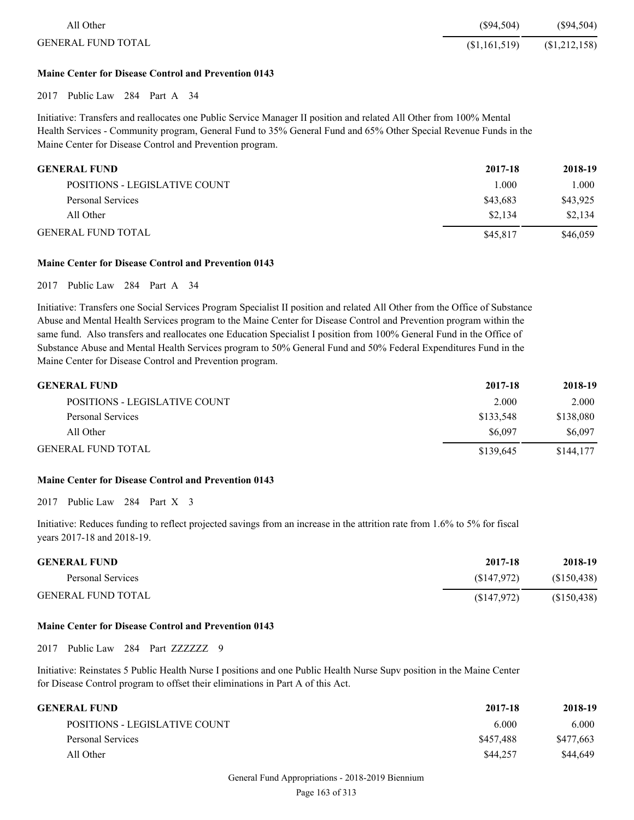| All Other                 | (S94.504)     | $(\$94,504)$  |
|---------------------------|---------------|---------------|
| <b>GENERAL FUND TOTAL</b> | (\$1,161,519) | (\$1,212,158) |

#### **Maine Center for Disease Control and Prevention 0143**

2017 Public Law 284 Part A 34

Initiative: Transfers and reallocates one Public Service Manager II position and related All Other from 100% Mental Health Services - Community program, General Fund to 35% General Fund and 65% Other Special Revenue Funds in the Maine Center for Disease Control and Prevention program.

| <b>GENERAL FUND</b>           | 2017-18  | 2018-19  |
|-------------------------------|----------|----------|
| POSITIONS - LEGISLATIVE COUNT | 1.000    | 1.000    |
| Personal Services             | \$43,683 | \$43,925 |
| All Other                     | \$2,134  | \$2,134  |
| <b>GENERAL FUND TOTAL</b>     | \$45,817 | \$46,059 |

#### **Maine Center for Disease Control and Prevention 0143**

2017 Public Law 284 Part A 34

Initiative: Transfers one Social Services Program Specialist II position and related All Other from the Office of Substance Abuse and Mental Health Services program to the Maine Center for Disease Control and Prevention program within the same fund. Also transfers and reallocates one Education Specialist I position from 100% General Fund in the Office of Substance Abuse and Mental Health Services program to 50% General Fund and 50% Federal Expenditures Fund in the Maine Center for Disease Control and Prevention program.

| <b>GENERAL FUND</b>           | 2017-18   | 2018-19   |
|-------------------------------|-----------|-----------|
| POSITIONS - LEGISLATIVE COUNT | 2.000     | 2.000     |
| Personal Services             | \$133.548 | \$138,080 |
| All Other                     | \$6,097   | \$6,097   |
| <b>GENERAL FUND TOTAL</b>     | \$139.645 | \$144,177 |

#### **Maine Center for Disease Control and Prevention 0143**

2017 Public Law 284 Part X 3

Initiative: Reduces funding to reflect projected savings from an increase in the attrition rate from 1.6% to 5% for fiscal years 2017-18 and 2018-19.

| <b>GENERAL FUND</b>       | 2017-18    | 2018-19     |
|---------------------------|------------|-------------|
| Personal Services         | (S147.972) | (S150, 438) |
| <b>GENERAL FUND TOTAL</b> | (S147,972) | (S150, 438) |

#### **Maine Center for Disease Control and Prevention 0143**

2017 Public Law 284 Part ZZZZZZZ 9

Initiative: Reinstates 5 Public Health Nurse I positions and one Public Health Nurse Supv position in the Maine Center for Disease Control program to offset their eliminations in Part A of this Act.

| 2018-19   |
|-----------|
| 6.000     |
| \$477,663 |
| \$44,649  |
|           |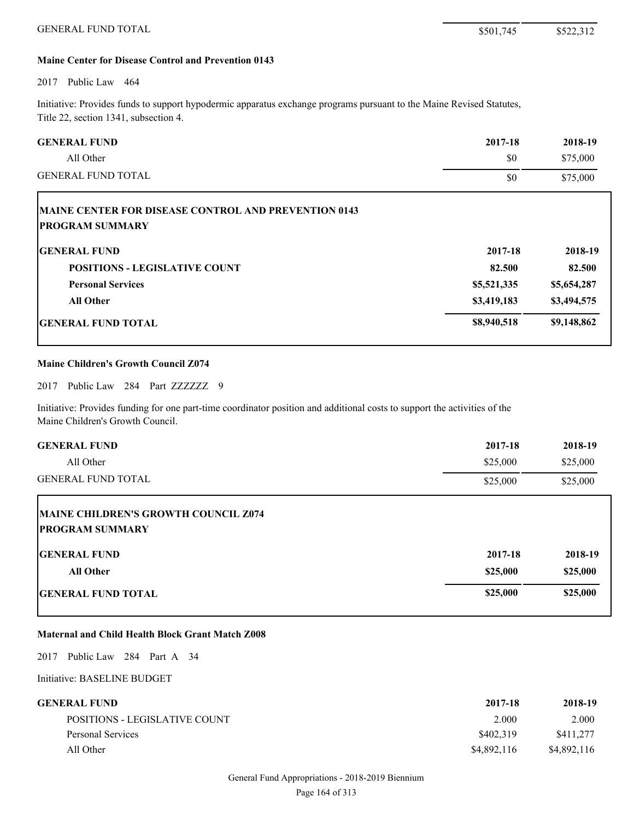#### **Maine Center for Disease Control and Prevention 0143**

#### 2017 Public Law 464

Г

Initiative: Provides funds to support hypodermic apparatus exchange programs pursuant to the Maine Revised Statutes, Title 22, section 1341, subsection 4.

| <b>GENERAL FUND</b>       | 2017-18 | 2018-19  |
|---------------------------|---------|----------|
| All Other                 | \$0     | \$75,000 |
| <b>GENERAL FUND TOTAL</b> | \$0     | \$75,000 |

| <b>MAINE CENTER FOR DISEASE CONTROL AND PREVENTION 0143</b><br><b>PROGRAM SUMMARY</b> |             |             |
|---------------------------------------------------------------------------------------|-------------|-------------|
| <b>IGENERAL FUND</b>                                                                  | 2017-18     | 2018-19     |
| <b>POSITIONS - LEGISLATIVE COUNT</b>                                                  | 82.500      | 82.500      |
| <b>Personal Services</b>                                                              | \$5,521,335 | \$5,654,287 |
| <b>All Other</b>                                                                      | \$3,419,183 | \$3,494,575 |
| <b>IGENERAL FUND TOTAL</b>                                                            | \$8,940,518 | \$9,148,862 |

#### **Maine Children's Growth Council Z074**

2017 Public Law 284 Part ZZZZZZZ 9

Initiative: Provides funding for one part-time coordinator position and additional costs to support the activities of the Maine Children's Growth Council.

| <b>GENERAL FUND</b>                                            | 2017-18  | 2018-19  |
|----------------------------------------------------------------|----------|----------|
| All Other                                                      | \$25,000 | \$25,000 |
| <b>GENERAL FUND TOTAL</b>                                      | \$25,000 | \$25,000 |
| MAINE CHILDREN'S GROWTH COUNCIL Z074<br><b>PROGRAM SUMMARY</b> |          |          |
| <b>IGENERAL FUND</b>                                           | 2017-18  | 2018-19  |
| <b>All Other</b>                                               | \$25,000 | \$25,000 |
| <b>GENERAL FUND TOTAL</b>                                      | \$25,000 | \$25,000 |

# **Maternal and Child Health Block Grant Match Z008**

2017 Public Law 284 Part A 34

Initiative: BASELINE BUDGET

| GENERAL FUND-                 | 2017-18     | 2018-19     |
|-------------------------------|-------------|-------------|
| POSITIONS - LEGISLATIVE COUNT | 2.000       | 2.000       |
| Personal Services             | \$402,319   | \$411.277   |
| All Other                     | \$4,892,116 | \$4,892,116 |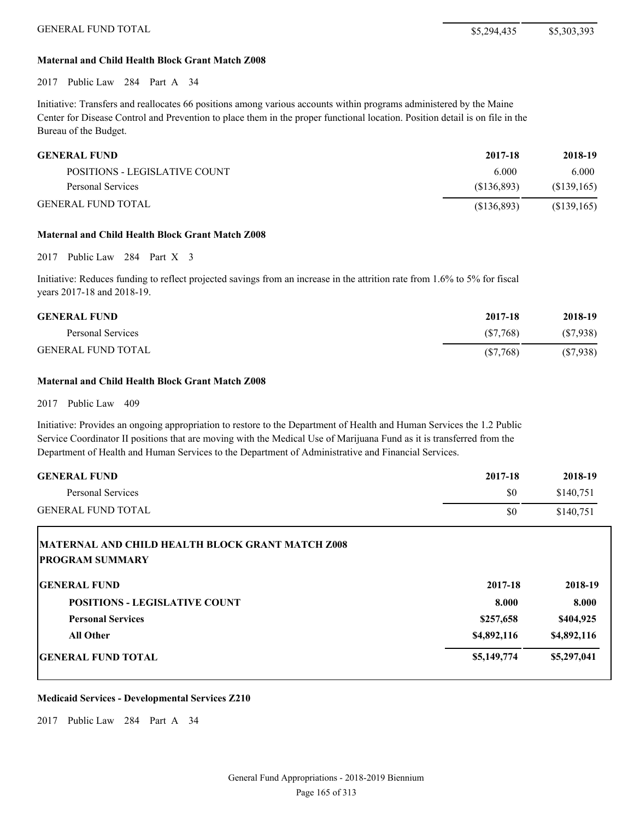#### **Maternal and Child Health Block Grant Match Z008**

2017 Public Law 284 Part A 34

Initiative: Transfers and reallocates 66 positions among various accounts within programs administered by the Maine Center for Disease Control and Prevention to place them in the proper functional location. Position detail is on file in the Bureau of the Budget.

| <b>GENERAL FUND</b>           | 2017-18    | 2018-19     |
|-------------------------------|------------|-------------|
| POSITIONS - LEGISLATIVE COUNT | 6.000      | 6.000       |
| Personal Services             | (S136.893) | (S139, 165) |
| <b>GENERAL FUND TOTAL</b>     | (S136.893) | (\$139,165) |

#### **Maternal and Child Health Block Grant Match Z008**

2017 Public Law 284 Part X 3

Initiative: Reduces funding to reflect projected savings from an increase in the attrition rate from 1.6% to 5% for fiscal years 2017-18 and 2018-19.

| <b>GENERAL FUND</b>       | 2017-18     | 2018-19  |
|---------------------------|-------------|----------|
| Personal Services         | (S7.768)    | (S7,938) |
| <b>GENERAL FUND TOTAL</b> | $(\$7,768)$ | (S7,938) |

#### **Maternal and Child Health Block Grant Match Z008**

2017 Public Law 409

Initiative: Provides an ongoing appropriation to restore to the Department of Health and Human Services the 1.2 Public Service Coordinator II positions that are moving with the Medical Use of Marijuana Fund as it is transferred from the Department of Health and Human Services to the Department of Administrative and Financial Services.

| <b>GENERAL FUND</b>                                                        | 2017-18     | 2018-19     |
|----------------------------------------------------------------------------|-------------|-------------|
| <b>Personal Services</b>                                                   | \$0         | \$140,751   |
| <b>GENERAL FUND TOTAL</b>                                                  | \$0         | \$140,751   |
| MATERNAL AND CHILD HEALTH BLOCK GRANT MATCH Z008<br><b>PROGRAM SUMMARY</b> |             |             |
| <b>GENERAL FUND</b>                                                        | 2017-18     | 2018-19     |
| <b>POSITIONS - LEGISLATIVE COUNT</b>                                       | 8.000       | 8.000       |
| <b>Personal Services</b>                                                   | \$257,658   | \$404,925   |
| <b>All Other</b>                                                           | \$4,892,116 | \$4,892,116 |
| <b>GENERAL FUND TOTAL</b>                                                  | \$5,149,774 | \$5,297,041 |

#### **Medicaid Services - Developmental Services Z210**

2017 Public Law 284 Part A 34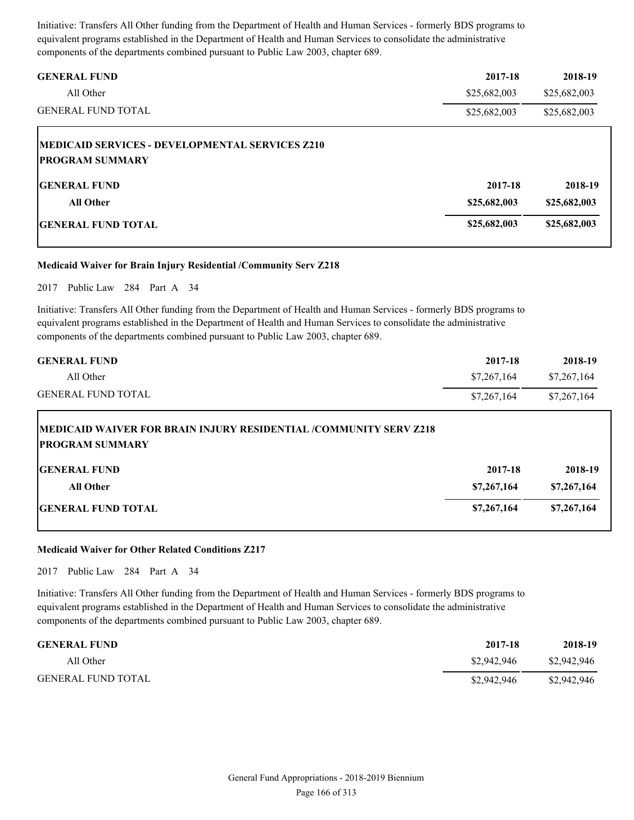Initiative: Transfers All Other funding from the Department of Health and Human Services - formerly BDS programs to equivalent programs established in the Department of Health and Human Services to consolidate the administrative components of the departments combined pursuant to Public Law 2003, chapter 689.

| <b>GENERAL FUND</b>                                                        | 2017-18      | 2018-19      |
|----------------------------------------------------------------------------|--------------|--------------|
| All Other                                                                  | \$25,682,003 | \$25,682,003 |
| <b>GENERAL FUND TOTAL</b>                                                  | \$25,682,003 | \$25,682,003 |
| IMEDICAID SERVICES - DEVELOPMENTAL SERVICES Z210<br><b>PROGRAM SUMMARY</b> |              |              |
| <b>IGENERAL FUND</b>                                                       | 2017-18      | 2018-19      |
| <b>All Other</b>                                                           | \$25,682,003 | \$25,682,003 |
| <b>IGENERAL FUND TOTAL</b>                                                 | \$25,682,003 | \$25,682,003 |

#### **Medicaid Waiver for Brain Injury Residential /Community Serv Z218**

2017 Public Law 284 Part A 34

Initiative: Transfers All Other funding from the Department of Health and Human Services - formerly BDS programs to equivalent programs established in the Department of Health and Human Services to consolidate the administrative components of the departments combined pursuant to Public Law 2003, chapter 689.

| <b>GENERAL FUND</b>       | 2017-18     | 2018-19     |
|---------------------------|-------------|-------------|
| All Other                 | \$7,267,164 | \$7,267,164 |
| <b>GENERAL FUND TOTAL</b> | \$7,267,164 | \$7,267,164 |

# **MEDICAID WAIVER FOR BRAIN INJURY RESIDENTIAL /COMMUNITY SERV Z218 PROGRAM SUMMARY**

| <b>GENERAL FUND</b>       | 2017-18     | 2018-19     |
|---------------------------|-------------|-------------|
| <b>All Other</b>          | \$7,267,164 | \$7,267,164 |
| <b>GENERAL FUND TOTAL</b> | \$7,267,164 | \$7,267,164 |

#### **Medicaid Waiver for Other Related Conditions Z217**

2017 Public Law 284 Part A 34

Initiative: Transfers All Other funding from the Department of Health and Human Services - formerly BDS programs to equivalent programs established in the Department of Health and Human Services to consolidate the administrative components of the departments combined pursuant to Public Law 2003, chapter 689.

| <b>GENERAL FUND</b>       | 2017-18     | 2018-19     |
|---------------------------|-------------|-------------|
| All Other                 | \$2,942,946 | \$2,942,946 |
| <b>GENERAL FUND TOTAL</b> | \$2,942,946 | \$2,942,946 |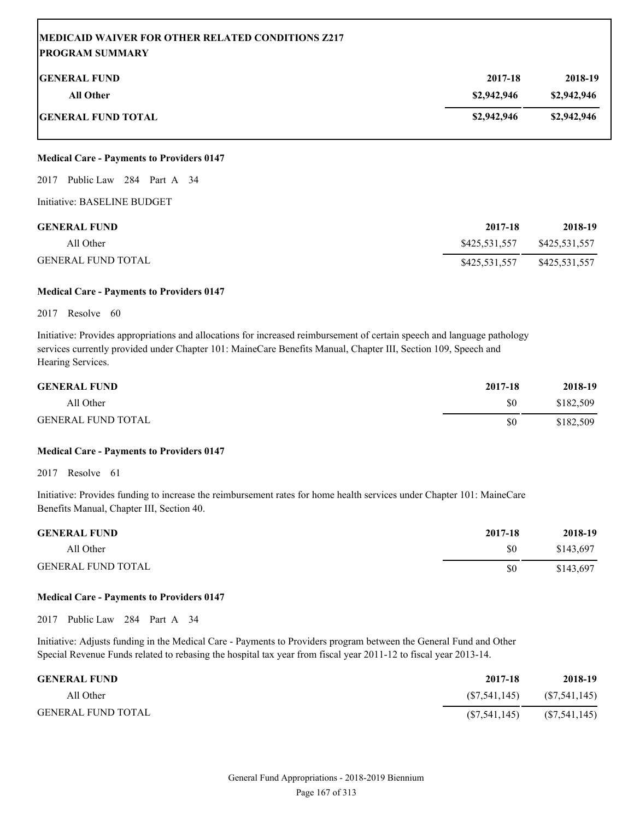| <b>MEDICAID WAIVER FOR OTHER RELATED CONDITIONS Z217</b><br><b> PROGRAM SUMMARY</b> |             |             |
|-------------------------------------------------------------------------------------|-------------|-------------|
| <b>IGENERAL FUND</b>                                                                | 2017-18     | 2018-19     |
| All Other                                                                           | \$2,942,946 | \$2,942,946 |
| <b> GENERAL FUND TOTAL</b>                                                          | \$2,942,946 | \$2,942,946 |

2017 Public Law 284 Part A 34

Initiative: BASELINE BUDGET

| <b>GENERAL FUND</b>       | 2017-18       | 2018-19       |
|---------------------------|---------------|---------------|
| All Other                 | \$425,531,557 | \$425,531,557 |
| <b>GENERAL FUND TOTAL</b> | \$425,531,557 | \$425,531,557 |

#### **Medical Care - Payments to Providers 0147**

#### 2017 Resolve 60

Initiative: Provides appropriations and allocations for increased reimbursement of certain speech and language pathology services currently provided under Chapter 101: MaineCare Benefits Manual, Chapter III, Section 109, Speech and Hearing Services.

| <b>GENERAL FUND</b>       | 2017-18 | 2018-19   |
|---------------------------|---------|-----------|
| All Other                 | \$0     | \$182,509 |
| <b>GENERAL FUND TOTAL</b> | \$0     | \$182,509 |

### **Medical Care - Payments to Providers 0147**

2017 Resolve 61

Initiative: Provides funding to increase the reimbursement rates for home health services under Chapter 101: MaineCare Benefits Manual, Chapter III, Section 40.

| <b>GENERAL FUND</b>       | 2017-18 | 2018-19   |
|---------------------------|---------|-----------|
| All Other                 | \$0     | \$143,697 |
| <b>GENERAL FUND TOTAL</b> | \$0     | \$143,697 |

#### **Medical Care - Payments to Providers 0147**

2017 Public Law 284 Part A 34

Initiative: Adjusts funding in the Medical Care - Payments to Providers program between the General Fund and Other Special Revenue Funds related to rebasing the hospital tax year from fiscal year 2011-12 to fiscal year 2013-14.

| <b>GENERAL FUND</b>       | 2017-18        | 2018-19        |
|---------------------------|----------------|----------------|
| All Other                 | (S7, 541, 145) | (S7, 541, 145) |
| <b>GENERAL FUND TOTAL</b> | (S7, 541, 145) | (S7, 541, 145) |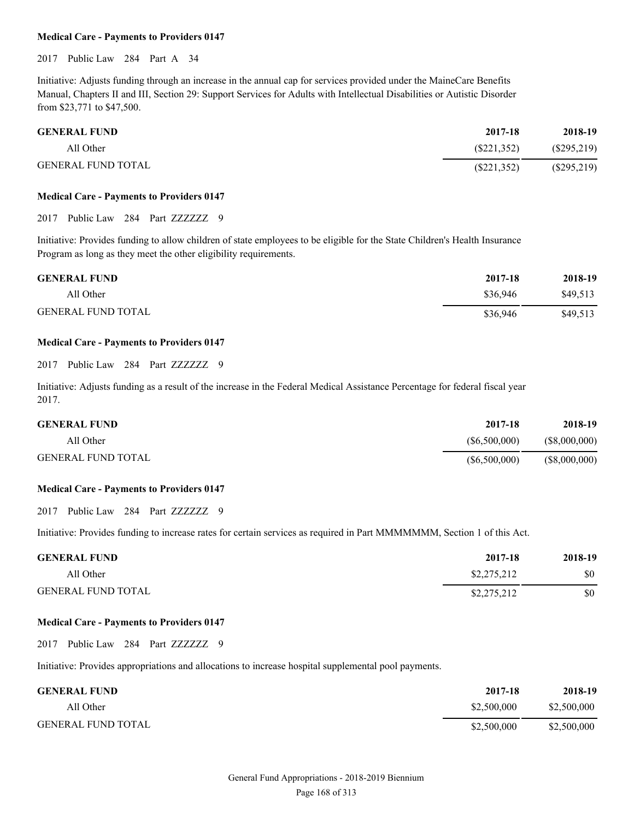2017 Public Law 284 Part A 34

Initiative: Adjusts funding through an increase in the annual cap for services provided under the MaineCare Benefits Manual, Chapters II and III, Section 29: Support Services for Adults with Intellectual Disabilities or Autistic Disorder from \$23,771 to \$47,500.

| <b>GENERAL FUND</b>       | 2017-18     | 2018-19       |
|---------------------------|-------------|---------------|
| All Other                 | (S221.352)  | $(\$295,219)$ |
| <b>GENERAL FUND TOTAL</b> | (S221, 352) | $(\$295,219)$ |

#### **Medical Care - Payments to Providers 0147**

2017 Public Law 284 Part ZZZZZZ 9

Initiative: Provides funding to allow children of state employees to be eligible for the State Children's Health Insurance Program as long as they meet the other eligibility requirements.

| <b>GENERAL FUND</b>       | 2017-18  | 2018-19  |
|---------------------------|----------|----------|
| All Other                 | \$36.946 | \$49.513 |
| <b>GENERAL FUND TOTAL</b> | \$36,946 | \$49,513 |

#### **Medical Care - Payments to Providers 0147**

2017 Public Law 284 Part ZZZZZZZ 9

Initiative: Adjusts funding as a result of the increase in the Federal Medical Assistance Percentage for federal fiscal year 2017.

| <b>GENERAL FUND</b>       | 2017-18      | 2018-19       |
|---------------------------|--------------|---------------|
| All Other                 | (S6,500,000) | (\$8,000,000) |
| <b>GENERAL FUND TOTAL</b> | (S6,500,000) | (\$8,000,000) |

#### **Medical Care - Payments to Providers 0147**

2017 Public Law 284 Part ZZZZZZ 9

Initiative: Provides funding to increase rates for certain services as required in Part MMMMMMM, Section 1 of this Act.

| <b>GENERAL FUND</b>       | 2017-18     | 2018-19 |
|---------------------------|-------------|---------|
| All Other                 | \$2,275,212 | \$0     |
| <b>GENERAL FUND TOTAL</b> | \$2,275,212 | \$0     |

#### **Medical Care - Payments to Providers 0147**

2017 Public Law 284 Part ZZZZZZZ 9

Initiative: Provides appropriations and allocations to increase hospital supplemental pool payments.

| <b>GENERAL FUND</b>       | 2017-18     | 2018-19     |
|---------------------------|-------------|-------------|
| All Other                 | \$2,500,000 | \$2,500,000 |
| <b>GENERAL FUND TOTAL</b> | \$2,500,000 | \$2,500,000 |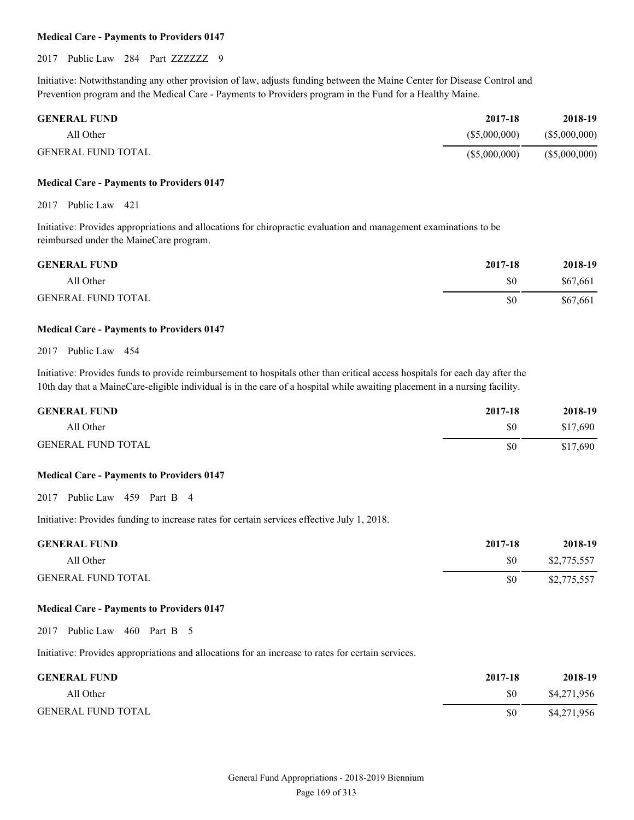#### 2017 Public Law 284 Part ZZZZZZZ 9

Initiative: Notwithstanding any other provision of law, adjusts funding between the Maine Center for Disease Control and Prevention program and the Medical Care - Payments to Providers program in the Fund for a Healthy Maine.

| <b>GENERAL FUND</b> | 2017-18      | 2018-19      |
|---------------------|--------------|--------------|
| All Other           | (S5,000,000) | (S5,000,000) |
| GENERAL FUND TOTAL  | (S5,000,000) | (S5,000,000) |

#### **Medical Care - Payments to Providers 0147**

2017 Public Law 421

Initiative: Provides appropriations and allocations for chiropractic evaluation and management examinations to be reimbursed under the MaineCare program.

| <b>GENERAL FUND</b>       | 2017-18 | 2018-19  |
|---------------------------|---------|----------|
| All Other                 | \$0     | \$67,661 |
| <b>GENERAL FUND TOTAL</b> | \$0     | \$67,661 |

#### **Medical Care - Payments to Providers 0147**

#### 2017 Public Law 454

Initiative: Provides funds to provide reimbursement to hospitals other than critical access hospitals for each day after the 10th day that a MaineCare-eligible individual is in the care of a hospital while awaiting placement in a nursing facility.

| <b>GENERAL FUND</b>       | 2017-18 | 2018-19  |
|---------------------------|---------|----------|
| All Other                 | \$0     | \$17,690 |
| <b>GENERAL FUND TOTAL</b> | \$0     | \$17,690 |

#### **Medical Care - Payments to Providers 0147**

2017 Public Law 459 Part B 4

Initiative: Provides funding to increase rates for certain services effective July 1, 2018.

| <b>GENERAL FUND</b>       | 2017-18 | 2018-19     |
|---------------------------|---------|-------------|
| All Other                 | \$0     | \$2,775,557 |
| <b>GENERAL FUND TOTAL</b> | \$0     | \$2,775,557 |

#### **Medical Care - Payments to Providers 0147**

2017 Public Law 460 Part B 5

Initiative: Provides appropriations and allocations for an increase to rates for certain services.

| <b>GENERAL FUND</b>       | 2017-18 | 2018-19     |
|---------------------------|---------|-------------|
| All Other                 | \$0     | \$4,271,956 |
| <b>GENERAL FUND TOTAL</b> | SO.     | \$4,271,956 |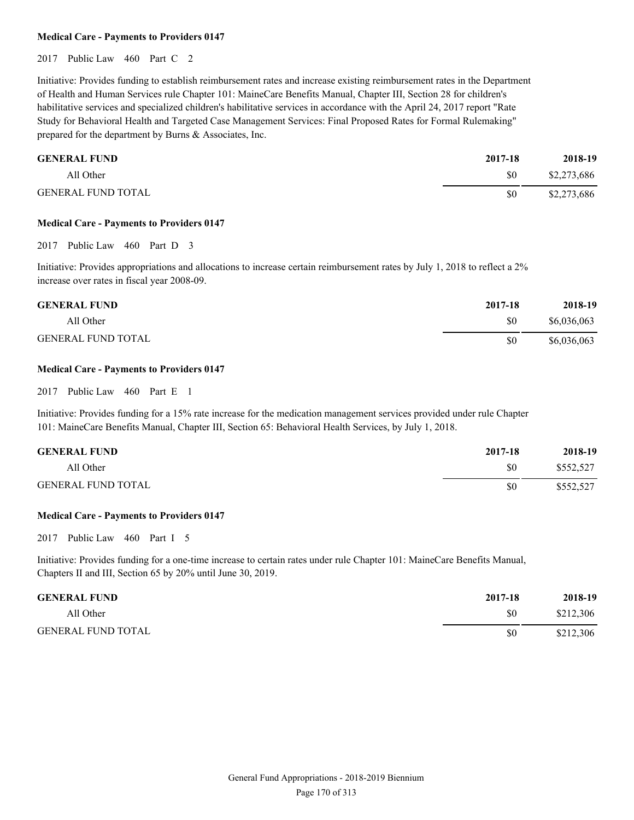2017 Public Law 460 Part C 2

Initiative: Provides funding to establish reimbursement rates and increase existing reimbursement rates in the Department of Health and Human Services rule Chapter 101: MaineCare Benefits Manual, Chapter III, Section 28 for children's habilitative services and specialized children's habilitative services in accordance with the April 24, 2017 report "Rate Study for Behavioral Health and Targeted Case Management Services: Final Proposed Rates for Formal Rulemaking" prepared for the department by Burns & Associates, Inc.

| <b>GENERAL FUND</b>       | 2017-18 | 2018-19     |
|---------------------------|---------|-------------|
| All Other                 | \$0     | \$2,273,686 |
| <b>GENERAL FUND TOTAL</b> | \$0     | \$2,273,686 |

#### **Medical Care - Payments to Providers 0147**

2017 Public Law 460 Part D 3

Initiative: Provides appropriations and allocations to increase certain reimbursement rates by July 1, 2018 to reflect a 2% increase over rates in fiscal year 2008-09.

| <b>GENERAL FUND</b>       | 2017-18 | 2018-19     |
|---------------------------|---------|-------------|
| All Other                 | \$0     | \$6,036,063 |
| <b>GENERAL FUND TOTAL</b> | \$0     | \$6,036,063 |

#### **Medical Care - Payments to Providers 0147**

2017 Public Law 460 Part E 1

Initiative: Provides funding for a 15% rate increase for the medication management services provided under rule Chapter 101: MaineCare Benefits Manual, Chapter III, Section 65: Behavioral Health Services, by July 1, 2018.

| <b>GENERAL FUND</b>       | 2017-18 | 2018-19   |
|---------------------------|---------|-----------|
| All Other                 | \$0     | \$552,527 |
| <b>GENERAL FUND TOTAL</b> | \$0     | \$552,527 |

#### **Medical Care - Payments to Providers 0147**

2017 Public Law 460 Part I 5

Initiative: Provides funding for a one-time increase to certain rates under rule Chapter 101: MaineCare Benefits Manual, Chapters II and III, Section 65 by 20% until June 30, 2019.

| <b>GENERAL FUND</b>       | 2017-18 | 2018-19   |
|---------------------------|---------|-----------|
| All Other                 | \$0     | \$212,306 |
| <b>GENERAL FUND TOTAL</b> | \$0     | \$212,306 |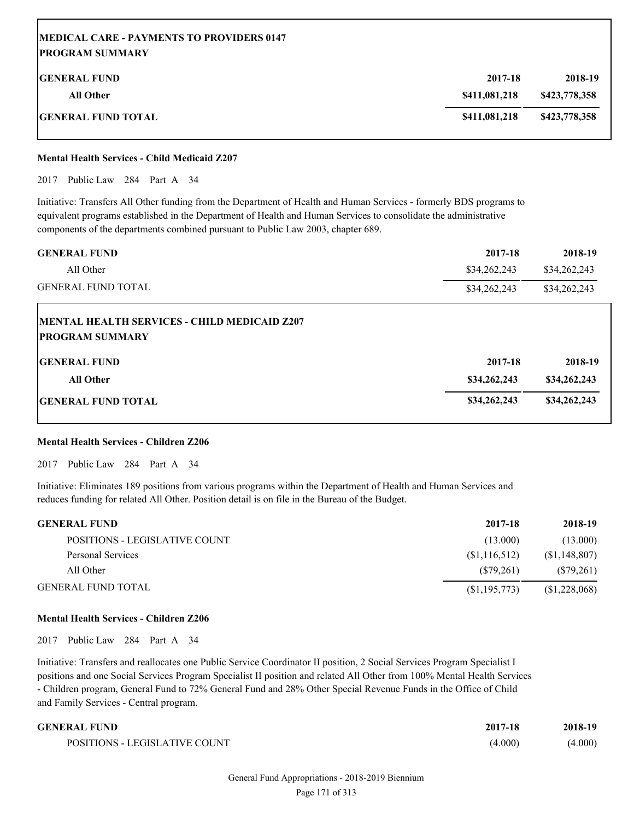| <b>IMEDICAL CARE - PAYMENTS TO PROVIDERS 0147</b><br><b>IPROGRAM SUMMARY</b> |               |               |
|------------------------------------------------------------------------------|---------------|---------------|
| <b>IGENERAL FUND</b>                                                         | 2017-18       | 2018-19       |
| <b>All Other</b>                                                             | \$411,081,218 | \$423,778,358 |
| <b>GENERAL FUND TOTAL</b>                                                    | \$411,081,218 | \$423,778,358 |

#### **Mental Health Services - Child Medicaid Z207**

2017 Public Law 284 Part A 34

Initiative: Transfers All Other funding from the Department of Health and Human Services - formerly BDS programs to equivalent programs established in the Department of Health and Human Services to consolidate the administrative components of the departments combined pursuant to Public Law 2003, chapter 689.

| <b>GENERAL FUND</b>                                                            | 2017-18      | 2018-19      |
|--------------------------------------------------------------------------------|--------------|--------------|
| All Other                                                                      | \$34,262,243 | \$34,262,243 |
| <b>GENERAL FUND TOTAL</b>                                                      | \$34,262,243 | \$34,262,243 |
| <b>IMENTAL HEALTH SERVICES - CHILD MEDICAID Z207</b><br><b>PROGRAM SUMMARY</b> |              |              |
| <b>IGENERAL FUND</b>                                                           | 2017-18      | 2018-19      |
| <b>All Other</b>                                                               | \$34,262,243 | \$34,262,243 |
| <b>IGENERAL FUND TOTAL</b>                                                     | \$34,262,243 | \$34,262,243 |

#### **Mental Health Services - Children Z206**

2017 Public Law 284 Part A 34

Initiative: Eliminates 189 positions from various programs within the Department of Health and Human Services and reduces funding for related All Other. Position detail is on file in the Bureau of the Budget.

| <b>GENERAL FUND</b>           | 2017-18        | 2018-19        |
|-------------------------------|----------------|----------------|
| POSITIONS - LEGISLATIVE COUNT | (13.000)       | (13.000)       |
| Personal Services             | (S1, 116, 512) | (S1, 148, 807) |
| All Other                     | (S79.261)      | (S79,261)      |
| <b>GENERAL FUND TOTAL</b>     | (S1, 195, 773) | (S1,228,068)   |

#### **Mental Health Services - Children Z206**

2017 Public Law 284 Part A 34

Initiative: Transfers and reallocates one Public Service Coordinator II position, 2 Social Services Program Specialist I positions and one Social Services Program Specialist II position and related All Other from 100% Mental Health Services - Children program, General Fund to 72% General Fund and 28% Other Special Revenue Funds in the Office of Child and Family Services - Central program.

| GENERAL FUND                  | 2017-18 | 2018-19 |
|-------------------------------|---------|---------|
| POSITIONS - LEGISLATIVE COUNT | (4.000) | (4.000) |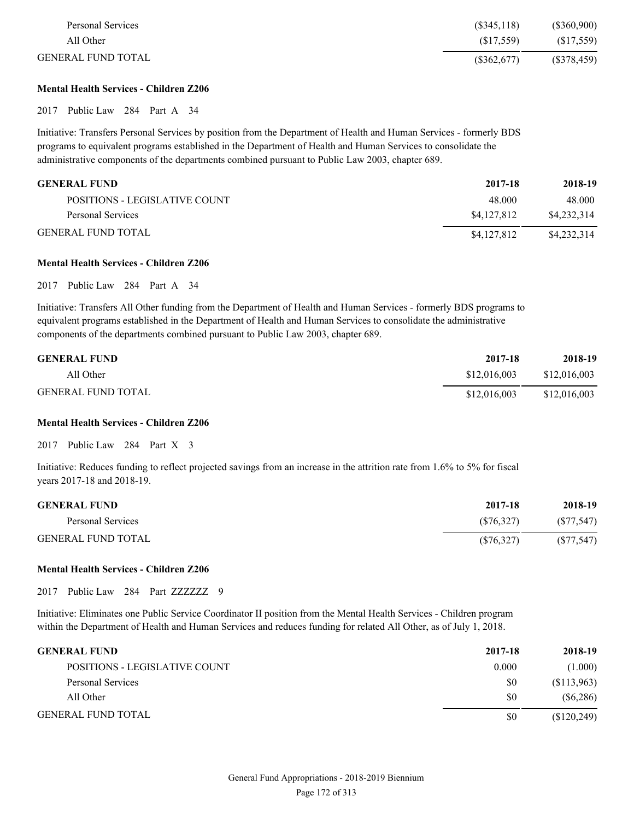| Personal Services         | (\$345,118) | $(\$360,900)$ |
|---------------------------|-------------|---------------|
| All Other                 | (S17.559)   | (S17,559)     |
| <b>GENERAL FUND TOTAL</b> | (S362, 677) | (S378, 459)   |

#### **Mental Health Services - Children Z206**

2017 Public Law 284 Part A 34

Initiative: Transfers Personal Services by position from the Department of Health and Human Services - formerly BDS programs to equivalent programs established in the Department of Health and Human Services to consolidate the administrative components of the departments combined pursuant to Public Law 2003, chapter 689.

| <b>GENERAL FUND</b>           | 2017-18     | 2018-19     |
|-------------------------------|-------------|-------------|
| POSITIONS - LEGISLATIVE COUNT | 48.000      | 48.000      |
| Personal Services             | \$4,127,812 | \$4.232.314 |
| <b>GENERAL FUND TOTAL</b>     | \$4,127,812 | \$4,232,314 |

#### **Mental Health Services - Children Z206**

2017 Public Law 284 Part A 34

Initiative: Transfers All Other funding from the Department of Health and Human Services - formerly BDS programs to equivalent programs established in the Department of Health and Human Services to consolidate the administrative components of the departments combined pursuant to Public Law 2003, chapter 689.

| <b>GENERAL FUND</b>       | 2017-18      | 2018-19      |
|---------------------------|--------------|--------------|
| All Other                 | \$12,016,003 | \$12,016,003 |
| <b>GENERAL FUND TOTAL</b> | \$12,016,003 | \$12,016,003 |

#### **Mental Health Services - Children Z206**

2017 Public Law 284 Part X 3

Initiative: Reduces funding to reflect projected savings from an increase in the attrition rate from 1.6% to 5% for fiscal years 2017-18 and 2018-19.

| <b>GENERAL FUND</b>       | 2017-18    | 2018-19    |
|---------------------------|------------|------------|
| Personal Services         | (S76.327)  | (S77, 547) |
| <b>GENERAL FUND TOTAL</b> | (S76, 327) | (S77, 547) |

#### **Mental Health Services - Children Z206**

2017 Public Law 284 Part ZZZZZZZ 9

Initiative: Eliminates one Public Service Coordinator II position from the Mental Health Services - Children program within the Department of Health and Human Services and reduces funding for related All Other, as of July 1, 2018.

| <b>GENERAL FUND</b>           | 2017-18 | 2018-19     |
|-------------------------------|---------|-------------|
| POSITIONS - LEGISLATIVE COUNT | 0.000   | (1.000)     |
| Personal Services             | \$0     | (S113,963)  |
| All Other                     | \$0     | (S6, 286)   |
| <b>GENERAL FUND TOTAL</b>     | \$0     | (\$120,249) |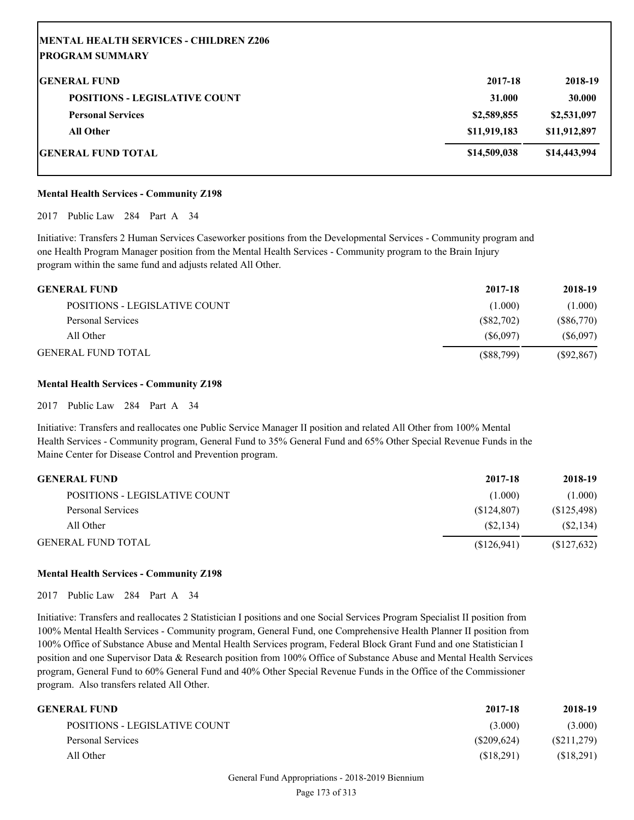| MENTAL HEALTH SERVICES - CHILDREN Z206<br><b> PROGRAM SUMMARY</b> |              |              |
|-------------------------------------------------------------------|--------------|--------------|
| <b>IGENERAL FUND</b>                                              | 2017-18      | 2018-19      |
|                                                                   |              |              |
| <b>POSITIONS - LEGISLATIVE COUNT</b>                              | 31.000       | 30.000       |
| <b>Personal Services</b>                                          | \$2,589,855  | \$2,531,097  |
| <b>All Other</b>                                                  | \$11,919,183 | \$11,912,897 |
| GENERAL FUND TOTAL                                                | \$14,509,038 | \$14,443,994 |

#### **Mental Health Services - Community Z198**

2017 Public Law 284 Part A 34

Initiative: Transfers 2 Human Services Caseworker positions from the Developmental Services - Community program and one Health Program Manager position from the Mental Health Services - Community program to the Brain Injury program within the same fund and adjusts related All Other.

| <b>GENERAL FUND</b>           | 2017-18   | 2018-19      |
|-------------------------------|-----------|--------------|
| POSITIONS - LEGISLATIVE COUNT | (1.000)   | (1.000)      |
| Personal Services             | (S82,702) | $(\$86,770)$ |
| All Other                     | (S6.097)  | (S6,097)     |
| <b>GENERAL FUND TOTAL</b>     | (S88,799) | (S92, 867)   |

#### **Mental Health Services - Community Z198**

2017 Public Law 284 Part A 34

Initiative: Transfers and reallocates one Public Service Manager II position and related All Other from 100% Mental Health Services - Community program, General Fund to 35% General Fund and 65% Other Special Revenue Funds in the Maine Center for Disease Control and Prevention program.

| <b>GENERAL FUND</b>           | 2017-18     | 2018-19     |
|-------------------------------|-------------|-------------|
| POSITIONS - LEGISLATIVE COUNT | (1.000)     | (1.000)     |
| Personal Services             | (S124.807)  | (S125, 498) |
| All Other                     | (S2.134)    | (S2, 134)   |
| <b>GENERAL FUND TOTAL</b>     | (S126, 941) | (S127, 632) |

#### **Mental Health Services - Community Z198**

2017 Public Law 284 Part A 34

Initiative: Transfers and reallocates 2 Statistician I positions and one Social Services Program Specialist II position from 100% Mental Health Services - Community program, General Fund, one Comprehensive Health Planner II position from 100% Office of Substance Abuse and Mental Health Services program, Federal Block Grant Fund and one Statistician I position and one Supervisor Data & Research position from 100% Office of Substance Abuse and Mental Health Services program, General Fund to 60% General Fund and 40% Other Special Revenue Funds in the Office of the Commissioner program. Also transfers related All Other.

| <b>GENERAL FUND</b>           | 2017-18       | 2018-19    |
|-------------------------------|---------------|------------|
| POSITIONS - LEGISLATIVE COUNT | (3.000)       | (3.000)    |
| Personal Services             | $(\$209,624)$ | (S211,279) |
| All Other                     | (S18,291)     | (S18,291)  |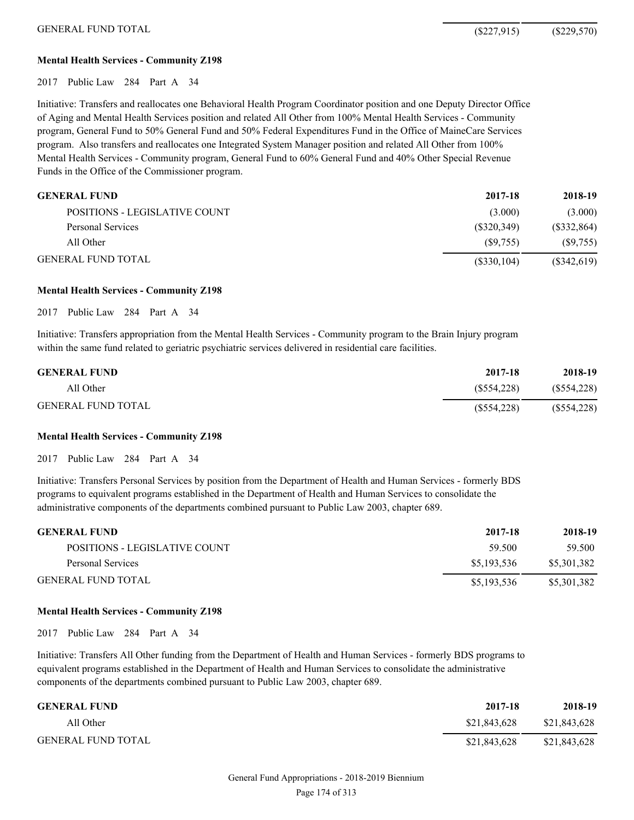#### **Mental Health Services - Community Z198**

2017 Public Law 284 Part A 34

Initiative: Transfers and reallocates one Behavioral Health Program Coordinator position and one Deputy Director Office of Aging and Mental Health Services position and related All Other from 100% Mental Health Services - Community program, General Fund to 50% General Fund and 50% Federal Expenditures Fund in the Office of MaineCare Services program. Also transfers and reallocates one Integrated System Manager position and related All Other from 100% Mental Health Services - Community program, General Fund to 60% General Fund and 40% Other Special Revenue Funds in the Office of the Commissioner program.

| <b>GENERAL FUND</b>           | 2017-18     | 2018-19     |
|-------------------------------|-------------|-------------|
| POSITIONS - LEGISLATIVE COUNT | (3.000)     | (3.000)     |
| Personal Services             | (S320.349)  | (\$332,864) |
| All Other                     | (S9.755)    | (S9,755)    |
| <b>GENERAL FUND TOTAL</b>     | (S330, 104) | (\$342,619) |

#### **Mental Health Services - Community Z198**

2017 Public Law 284 Part A 34

Initiative: Transfers appropriation from the Mental Health Services - Community program to the Brain Injury program within the same fund related to geriatric psychiatric services delivered in residential care facilities.

| <b>GENERAL FUND</b>       | 2017-18     | 2018-19     |
|---------------------------|-------------|-------------|
| All Other                 | (S554.228)  | (S554, 228) |
| <b>GENERAL FUND TOTAL</b> | (S554, 228) | (S554, 228) |

#### **Mental Health Services - Community Z198**

2017 Public Law 284 Part A 34

Initiative: Transfers Personal Services by position from the Department of Health and Human Services - formerly BDS programs to equivalent programs established in the Department of Health and Human Services to consolidate the administrative components of the departments combined pursuant to Public Law 2003, chapter 689.

| <b>GENERAL FUND</b>           | 2017-18     | 2018-19     |
|-------------------------------|-------------|-------------|
| POSITIONS - LEGISLATIVE COUNT | 59.500      | 59.500      |
| Personal Services             | \$5.193.536 | \$5,301,382 |
| <b>GENERAL FUND TOTAL</b>     | \$5,193,536 | \$5,301,382 |

#### **Mental Health Services - Community Z198**

2017 Public Law 284 Part A 34

Initiative: Transfers All Other funding from the Department of Health and Human Services - formerly BDS programs to equivalent programs established in the Department of Health and Human Services to consolidate the administrative components of the departments combined pursuant to Public Law 2003, chapter 689.

| <b>GENERAL FUND</b>       | 2017-18      | 2018-19      |
|---------------------------|--------------|--------------|
| All Other                 | \$21,843,628 | \$21,843,628 |
| <b>GENERAL FUND TOTAL</b> | \$21,843,628 | \$21,843,628 |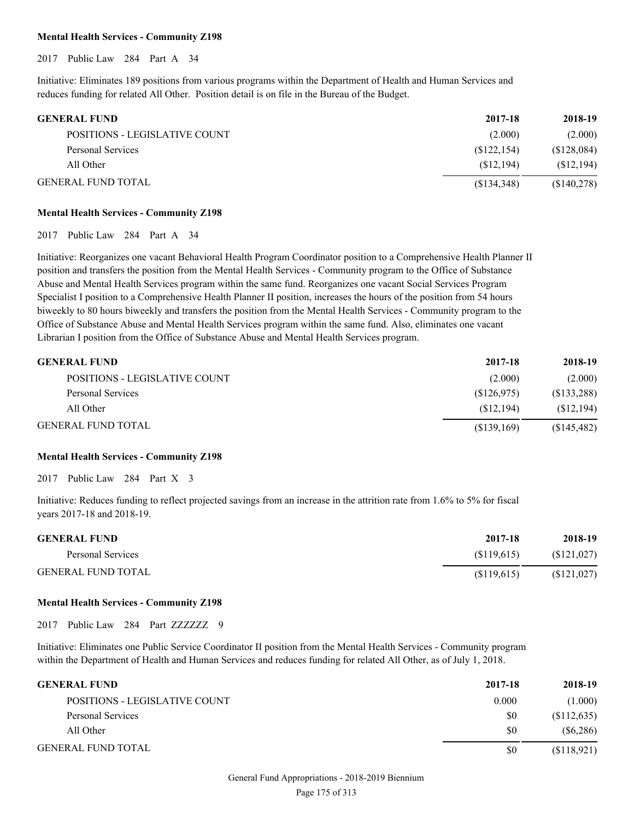# **Mental Health Services - Community Z198**

2017 Public Law 284 Part A 34

Initiative: Eliminates 189 positions from various programs within the Department of Health and Human Services and reduces funding for related All Other. Position detail is on file in the Bureau of the Budget.

| <b>GENERAL FUND</b>           | 2017-18      | 2018-19     |
|-------------------------------|--------------|-------------|
| POSITIONS - LEGISLATIVE COUNT | (2.000)      | (2.000)     |
| Personal Services             | (\$122, 154) | (\$128,084) |
| All Other                     | (S12.194)    | (S12, 194)  |
| <b>GENERAL FUND TOTAL</b>     | (S134,348)   | (S140,278)  |

# **Mental Health Services - Community Z198**

2017 Public Law 284 Part A 34

Initiative: Reorganizes one vacant Behavioral Health Program Coordinator position to a Comprehensive Health Planner II position and transfers the position from the Mental Health Services - Community program to the Office of Substance Abuse and Mental Health Services program within the same fund. Reorganizes one vacant Social Services Program Specialist I position to a Comprehensive Health Planner II position, increases the hours of the position from 54 hours biweekly to 80 hours biweekly and transfers the position from the Mental Health Services - Community program to the Office of Substance Abuse and Mental Health Services program within the same fund. Also, eliminates one vacant Librarian I position from the Office of Substance Abuse and Mental Health Services program.

| <b>GENERAL FUND</b>           | 2017-18     | 2018-19     |
|-------------------------------|-------------|-------------|
| POSITIONS - LEGISLATIVE COUNT | (2.000)     | (2.000)     |
| Personal Services             | (S126, 975) | (\$133,288) |
| All Other                     | (S12.194)   | (S12, 194)  |
| <b>GENERAL FUND TOTAL</b>     | (S139,169)  | (\$145,482) |

# **Mental Health Services - Community Z198**

2017 Public Law 284 Part X 3

Initiative: Reduces funding to reflect projected savings from an increase in the attrition rate from 1.6% to 5% for fiscal years 2017-18 and 2018-19.

| <b>GENERAL FUND</b>       | 2017-18    | 2018-19     |
|---------------------------|------------|-------------|
| Personal Services         | (S119.615) | (\$121,027) |
| <b>GENERAL FUND TOTAL</b> | (S119,615) | (S121, 027) |

# **Mental Health Services - Community Z198**

2017 Public Law 284 Part ZZZZZZ 9

Initiative: Eliminates one Public Service Coordinator II position from the Mental Health Services - Community program within the Department of Health and Human Services and reduces funding for related All Other, as of July 1, 2018.

| <b>GENERAL FUND</b>           | 2017-18 | 2018-19     |
|-------------------------------|---------|-------------|
| POSITIONS - LEGISLATIVE COUNT | 0.000   | (1.000)     |
| Personal Services             | \$0     | (\$112,635) |
| All Other                     | \$0     | (S6, 286)   |
| <b>GENERAL FUND TOTAL</b>     | \$0     | (\$118,921) |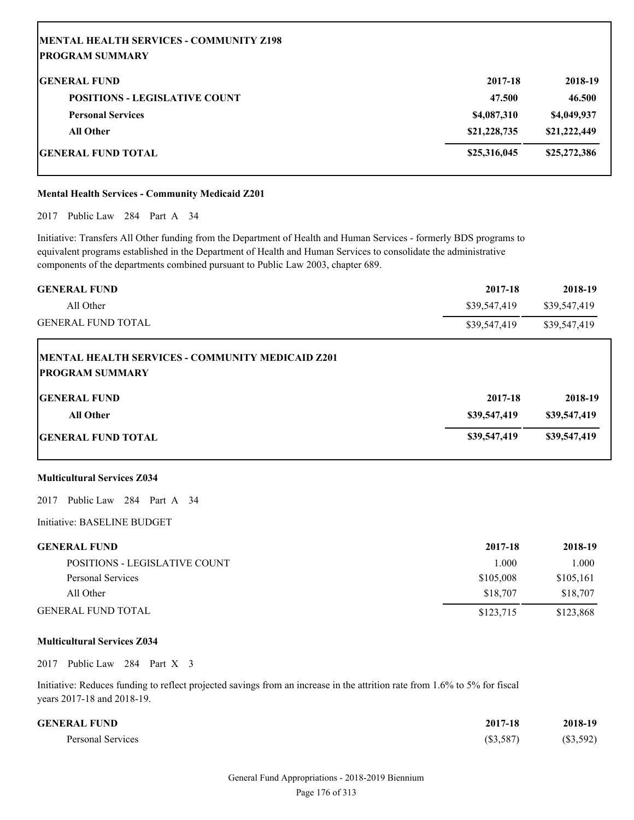| MENTAL HEALTH SERVICES - COMMUNITY Z198<br><b>IPROGRAM SUMMARY</b> |              |              |
|--------------------------------------------------------------------|--------------|--------------|
| <b>IGENERAL FUND</b>                                               | 2017-18      | 2018-19      |
| <b>POSITIONS - LEGISLATIVE COUNT</b>                               | 47.500       | 46.500       |
| <b>Personal Services</b>                                           | \$4,087,310  | \$4,049,937  |
| <b>All Other</b>                                                   | \$21,228,735 | \$21,222,449 |
| GENERAL FUND TOTAL                                                 | \$25,316,045 | \$25,272,386 |

# **Mental Health Services - Community Medicaid Z201**

2017 Public Law 284 Part A 34

Initiative: Transfers All Other funding from the Department of Health and Human Services - formerly BDS programs to equivalent programs established in the Department of Health and Human Services to consolidate the administrative components of the departments combined pursuant to Public Law 2003, chapter 689.

| <b>GENERAL FUND</b>                                                        | 2017-18      | 2018-19      |
|----------------------------------------------------------------------------|--------------|--------------|
| All Other                                                                  | \$39,547,419 | \$39,547,419 |
| <b>GENERAL FUND TOTAL</b>                                                  | \$39,547,419 | \$39,547,419 |
| MENTAL HEALTH SERVICES - COMMUNITY MEDICAID Z201<br><b>PROGRAM SUMMARY</b> |              |              |
| <b>IGENERAL FUND</b>                                                       | 2017-18      | 2018-19      |
| <b>All Other</b>                                                           | \$39,547,419 | \$39,547,419 |
| <b>GENERAL FUND TOTAL</b>                                                  | \$39,547,419 | \$39,547,419 |

# **Multicultural Services Z034**

2017 Public Law 284 Part A 34

Initiative: BASELINE BUDGET

| <b>GENERAL FUND</b>           | 2017-18   | 2018-19   |
|-------------------------------|-----------|-----------|
| POSITIONS - LEGISLATIVE COUNT | 1.000     | 1.000     |
| Personal Services             | \$105,008 | \$105,161 |
| All Other                     | \$18,707  | \$18,707  |
| <b>GENERAL FUND TOTAL</b>     | \$123.715 | \$123,868 |

# **Multicultural Services Z034**

2017 Public Law 284 Part X 3

Initiative: Reduces funding to reflect projected savings from an increase in the attrition rate from 1.6% to 5% for fiscal years 2017-18 and 2018-19.

| <b>GENERAL FUND</b> | 2017-18     | 2018-19  |
|---------------------|-------------|----------|
| Personal Services   | $(\$3,587)$ | (S3,592) |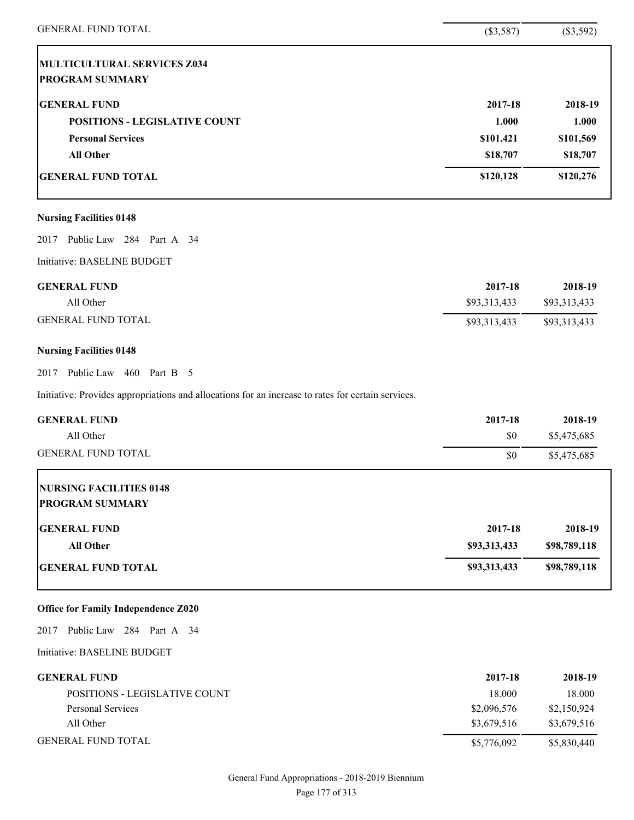| <b>GENERAL FUND TOTAL</b>                                                                          | (\$3,587)    | (\$3,592)    |
|----------------------------------------------------------------------------------------------------|--------------|--------------|
| MULTICULTURAL SERVICES Z034                                                                        |              |              |
| <b>PROGRAM SUMMARY</b>                                                                             |              |              |
| <b>GENERAL FUND</b>                                                                                | 2017-18      | 2018-19      |
| <b>POSITIONS - LEGISLATIVE COUNT</b>                                                               | 1.000        | 1.000        |
| <b>Personal Services</b>                                                                           | \$101,421    | \$101,569    |
| <b>All Other</b>                                                                                   | \$18,707     | \$18,707     |
| <b>GENERAL FUND TOTAL</b>                                                                          | \$120,128    | \$120,276    |
| <b>Nursing Facilities 0148</b>                                                                     |              |              |
| Public Law 284 Part A 34<br>2017                                                                   |              |              |
| Initiative: BASELINE BUDGET                                                                        |              |              |
| <b>GENERAL FUND</b>                                                                                | 2017-18      | 2018-19      |
| All Other                                                                                          | \$93,313,433 | \$93,313,433 |
| <b>GENERAL FUND TOTAL</b>                                                                          | \$93,313,433 | \$93,313,433 |
| <b>Nursing Facilities 0148</b>                                                                     |              |              |
| Public Law 460 Part B 5<br>2017                                                                    |              |              |
| Initiative: Provides appropriations and allocations for an increase to rates for certain services. |              |              |
| <b>GENERAL FUND</b>                                                                                | 2017-18      | 2018-19      |
| All Other                                                                                          | \$0          | \$5,475,685  |
| <b>GENERAL FUND TOTAL</b>                                                                          | \$0          | \$5,475,685  |
| <b>NURSING FACILITIES 0148</b><br><b>PROGRAM SUMMARY</b>                                           |              |              |
| <b>GENERAL FUND</b>                                                                                | 2017-18      | 2018-19      |
| <b>All Other</b>                                                                                   | \$93,313,433 | \$98,789,118 |
| <b>GENERAL FUND TOTAL</b>                                                                          | \$93,313,433 | \$98,789,118 |
| <b>Office for Family Independence Z020</b>                                                         |              |              |
| 2017 Public Law 284 Part A 34                                                                      |              |              |
| Initiative: BASELINE BUDGET                                                                        |              |              |
| <b>GENERAL FUND</b>                                                                                | 2017-18      | 2018-19      |
| POSITIONS - LEGISLATIVE COUNT                                                                      | 18.000       | 18.000       |
| <b>Personal Services</b>                                                                           | \$2,096,576  | \$2,150,924  |
| All Other                                                                                          | \$3,679,516  | \$3,679,516  |
| <b>GENERAL FUND TOTAL</b>                                                                          | \$5,776,092  | \$5,830,440  |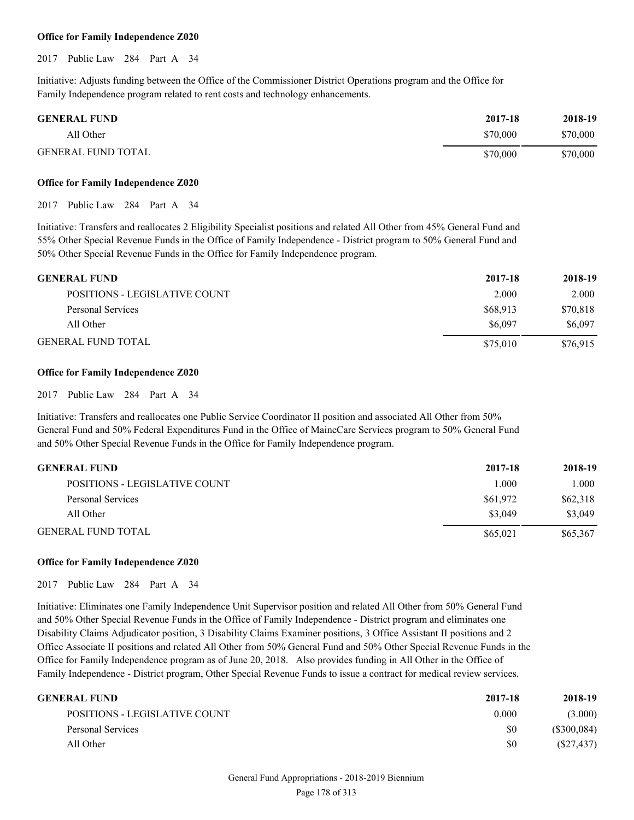# **Office for Family Independence Z020**

2017 Public Law 284 Part A 34

Initiative: Adjusts funding between the Office of the Commissioner District Operations program and the Office for Family Independence program related to rent costs and technology enhancements.

| <b>GENERAL FUND</b>       | 2017-18  | 2018-19  |
|---------------------------|----------|----------|
| All Other                 | \$70,000 | \$70,000 |
| <b>GENERAL FUND TOTAL</b> | \$70,000 | \$70,000 |

#### **Office for Family Independence Z020**

2017 Public Law 284 Part A 34

Initiative: Transfers and reallocates 2 Eligibility Specialist positions and related All Other from 45% General Fund and 55% Other Special Revenue Funds in the Office of Family Independence - District program to 50% General Fund and 50% Other Special Revenue Funds in the Office for Family Independence program.

| <b>GENERAL FUND</b>           | 2017-18  | 2018-19  |
|-------------------------------|----------|----------|
| POSITIONS - LEGISLATIVE COUNT | 2.000    | 2.000    |
| Personal Services             | \$68.913 | \$70,818 |
| All Other                     | \$6,097  | \$6,097  |
| <b>GENERAL FUND TOTAL</b>     | \$75,010 | \$76.915 |

# **Office for Family Independence Z020**

2017 Public Law 284 Part A 34

Initiative: Transfers and reallocates one Public Service Coordinator II position and associated All Other from 50% General Fund and 50% Federal Expenditures Fund in the Office of MaineCare Services program to 50% General Fund and 50% Other Special Revenue Funds in the Office for Family Independence program.

| <b>GENERAL FUND</b>           | 2017-18  | 2018-19  |
|-------------------------------|----------|----------|
| POSITIONS - LEGISLATIVE COUNT | L000     | 1.000    |
| Personal Services             | \$61,972 | \$62,318 |
| All Other                     | \$3,049  | \$3,049  |
| <b>GENERAL FUND TOTAL</b>     | \$65,021 | \$65,367 |

# **Office for Family Independence Z020**

2017 Public Law 284 Part A 34

Initiative: Eliminates one Family Independence Unit Supervisor position and related All Other from 50% General Fund and 50% Other Special Revenue Funds in the Office of Family Independence - District program and eliminates one Disability Claims Adjudicator position, 3 Disability Claims Examiner positions, 3 Office Assistant II positions and 2 Office Associate II positions and related All Other from 50% General Fund and 50% Other Special Revenue Funds in the Office for Family Independence program as of June 20, 2018. Also provides funding in All Other in the Office of Family Independence - District program, Other Special Revenue Funds to issue a contract for medical review services.

| GENERAL FUND                  | 2017-18 | 2018-19     |
|-------------------------------|---------|-------------|
| POSITIONS - LEGISLATIVE COUNT | 0.000   | (3.000)     |
| Personal Services             | \$0     | (S300, 084) |
| All Other                     | SO.     | (S27, 437)  |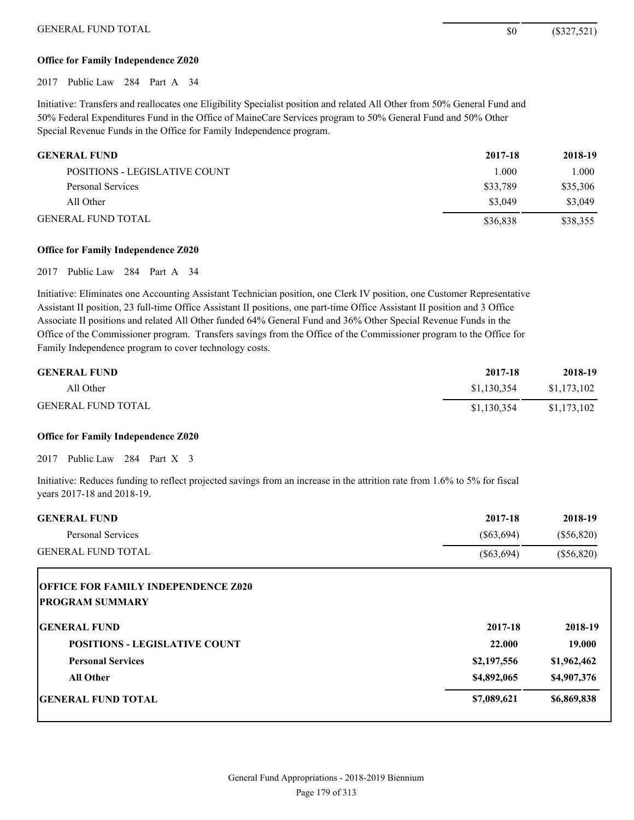# **Office for Family Independence Z020**

2017 Public Law 284 Part A 34

Initiative: Transfers and reallocates one Eligibility Specialist position and related All Other from 50% General Fund and 50% Federal Expenditures Fund in the Office of MaineCare Services program to 50% General Fund and 50% Other Special Revenue Funds in the Office for Family Independence program.

| <b>GENERAL FUND</b>           | 2017-18  | 2018-19  |
|-------------------------------|----------|----------|
| POSITIONS - LEGISLATIVE COUNT | 1.000    | 1.000    |
| Personal Services             | \$33,789 | \$35,306 |
| All Other                     | \$3,049  | \$3,049  |
| <b>GENERAL FUND TOTAL</b>     | \$36,838 | \$38,355 |

# **Office for Family Independence Z020**

2017 Public Law 284 Part A 34

Initiative: Eliminates one Accounting Assistant Technician position, one Clerk IV position, one Customer Representative Assistant II position, 23 full-time Office Assistant II positions, one part-time Office Assistant II position and 3 Office Associate II positions and related All Other funded 64% General Fund and 36% Other Special Revenue Funds in the Office of the Commissioner program. Transfers savings from the Office of the Commissioner program to the Office for Family Independence program to cover technology costs.

| <b>GENERAL FUND</b>       | 2017-18     | 2018-19     |
|---------------------------|-------------|-------------|
| All Other                 | \$1,130,354 | \$1,173,102 |
| <b>GENERAL FUND TOTAL</b> | \$1,130,354 | \$1,173,102 |

# **Office for Family Independence Z020**

2017 Public Law 284 Part X 3

Initiative: Reduces funding to reflect projected savings from an increase in the attrition rate from 1.6% to 5% for fiscal years 2017-18 and 2018-19.

| <b>GENERAL FUND</b>                                                  | 2017-18      | 2018-19      |
|----------------------------------------------------------------------|--------------|--------------|
| <b>Personal Services</b>                                             | $(\$63,694)$ | $(\$56,820)$ |
| <b>GENERAL FUND TOTAL</b>                                            | $(\$63,694)$ | $(\$56,820)$ |
| <b>OFFICE FOR FAMILY INDEPENDENCE Z020</b><br><b>PROGRAM SUMMARY</b> |              |              |
| <b>GENERAL FUND</b>                                                  | 2017-18      | 2018-19      |
| <b>POSITIONS - LEGISLATIVE COUNT</b>                                 | 22.000       | 19.000       |
| <b>Personal Services</b>                                             | \$2,197,556  | \$1,962,462  |
| <b>All Other</b>                                                     | \$4,892,065  | \$4,907,376  |
| <b>IGENERAL FUND TOTAL</b>                                           | \$7,089,621  | \$6,869,838  |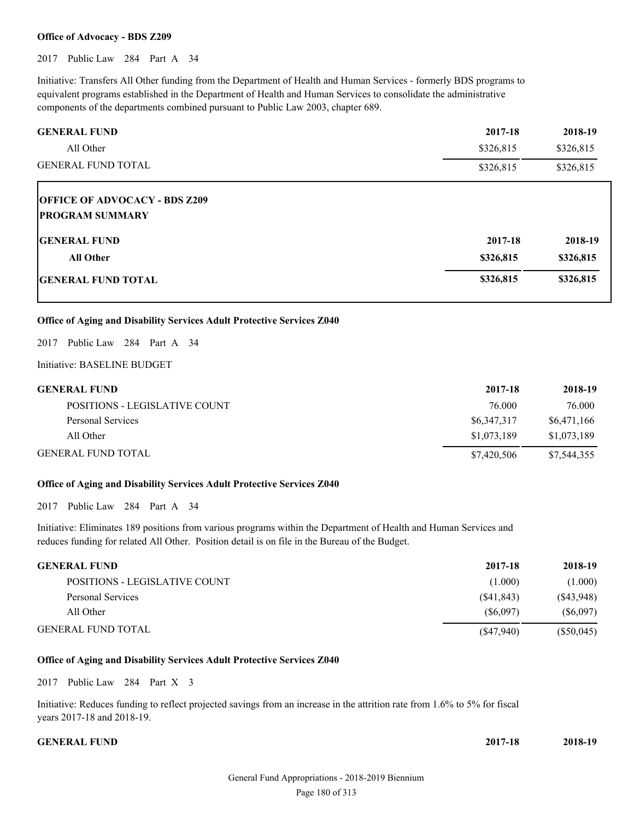#### **Office of Advocacy - BDS Z209**

2017 Public Law 284 Part A 34

Initiative: Transfers All Other funding from the Department of Health and Human Services - formerly BDS programs to equivalent programs established in the Department of Health and Human Services to consolidate the administrative components of the departments combined pursuant to Public Law 2003, chapter 689.

| <b>GENERAL FUND</b>                  | 2017-18   | 2018-19   |
|--------------------------------------|-----------|-----------|
| All Other                            | \$326,815 | \$326,815 |
| <b>GENERAL FUND TOTAL</b>            | \$326,815 | \$326,815 |
| <b>OFFICE OF ADVOCACY - BDS Z209</b> |           |           |
| <b>PROGRAM SUMMARY</b>               |           |           |
| <b>IGENERAL FUND</b>                 | 2017-18   | 2018-19   |
| <b>All Other</b>                     | \$326,815 | \$326,815 |
| <b>IGENERAL FUND TOTAL</b>           | \$326,815 | \$326,815 |

# **Office of Aging and Disability Services Adult Protective Services Z040**

2017 Public Law 284 Part A 34

Initiative: BASELINE BUDGET

| <b>GENERAL FUND</b>           | 2017-18     | 2018-19     |
|-------------------------------|-------------|-------------|
| POSITIONS - LEGISLATIVE COUNT | 76.000      | 76.000      |
| Personal Services             | \$6,347,317 | \$6,471,166 |
| All Other                     | \$1,073,189 | \$1,073,189 |
| <b>GENERAL FUND TOTAL</b>     | \$7,420,506 | \$7,544,355 |

#### **Office of Aging and Disability Services Adult Protective Services Z040**

2017 Public Law 284 Part A 34

Initiative: Eliminates 189 positions from various programs within the Department of Health and Human Services and reduces funding for related All Other. Position detail is on file in the Bureau of the Budget.

| <b>GENERAL FUND</b>           | 2017-18    | 2018-19      |
|-------------------------------|------------|--------------|
| POSITIONS - LEGISLATIVE COUNT | (1.000)    | (1.000)      |
| Personal Services             | (S41, 843) | (S43, 948)   |
| All Other                     | (S6,097)   | (S6,097)     |
| <b>GENERAL FUND TOTAL</b>     | (S47,940)  | $(\$50,045)$ |

# **Office of Aging and Disability Services Adult Protective Services Z040**

2017 Public Law 284 Part X 3

Initiative: Reduces funding to reflect projected savings from an increase in the attrition rate from 1.6% to 5% for fiscal years 2017-18 and 2018-19.

**GENERAL FUND 2017-18 2018-19**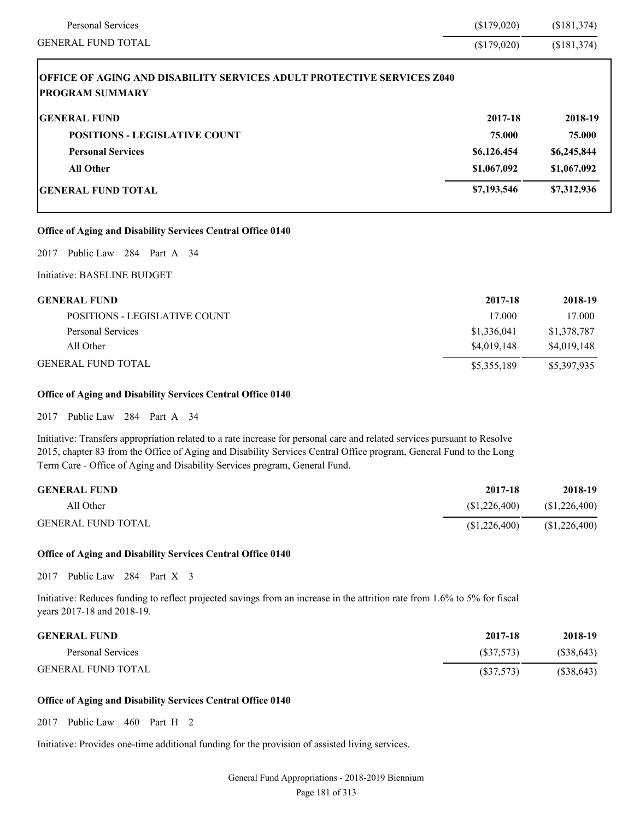| <b>Personal Services</b>                                                                                | (\$179,020) | (\$181,374) |
|---------------------------------------------------------------------------------------------------------|-------------|-------------|
| <b>GENERAL FUND TOTAL</b>                                                                               | (\$179,020) | (\$181,374) |
| <b>OFFICE OF AGING AND DISABILITY SERVICES ADULT PROTECTIVE SERVICES Z040</b><br><b>PROGRAM SUMMARY</b> |             |             |
| <b>GENERAL FUND</b>                                                                                     | 2017-18     | 2018-19     |
| <b>POSITIONS - LEGISLATIVE COUNT</b>                                                                    | 75.000      | 75.000      |
| <b>Personal Services</b>                                                                                | \$6,126,454 | \$6,245,844 |
| <b>All Other</b>                                                                                        | \$1,067,092 | \$1,067,092 |
| <b>GENERAL FUND TOTAL</b>                                                                               | \$7,193,546 | \$7,312,936 |
| Office of Aging and Disability Services Central Office 0140                                             |             |             |
| 2017 Public Law 284 Part A 34                                                                           |             |             |

# Initiative: BASELINE BUDGET

| <b>GENERAL FUND</b>           | 2017-18     | 2018-19     |
|-------------------------------|-------------|-------------|
| POSITIONS - LEGISLATIVE COUNT | 17.000      | 17.000      |
| Personal Services             | \$1,336,041 | \$1,378,787 |
| All Other                     | \$4,019,148 | \$4,019,148 |
| <b>GENERAL FUND TOTAL</b>     | \$5,355,189 | \$5,397,935 |

# **Office of Aging and Disability Services Central Office 0140**

2017 Public Law 284 Part A 34

Initiative: Transfers appropriation related to a rate increase for personal care and related services pursuant to Resolve 2015, chapter 83 from the Office of Aging and Disability Services Central Office program, General Fund to the Long Term Care - Office of Aging and Disability Services program, General Fund.

| <b>GENERAL FUND</b>       | 2017-18        | 2018-19        |
|---------------------------|----------------|----------------|
| All Other                 | (S1, 226, 400) | (S1, 226, 400) |
| <b>GENERAL FUND TOTAL</b> | (S1, 226, 400) | \$1,226,400    |

# **Office of Aging and Disability Services Central Office 0140**

2017 Public Law 284 Part X 3

Initiative: Reduces funding to reflect projected savings from an increase in the attrition rate from 1.6% to 5% for fiscal years 2017-18 and 2018-19.

| <b>GENERAL FUND</b>       | 2017-18   | 2018-19    |
|---------------------------|-----------|------------|
| Personal Services         | (S37,573) | (S38, 643) |
| <b>GENERAL FUND TOTAL</b> | (S37,573) | (S38, 643) |

# **Office of Aging and Disability Services Central Office 0140**

2017 Public Law 460 Part H 2

Initiative: Provides one-time additional funding for the provision of assisted living services.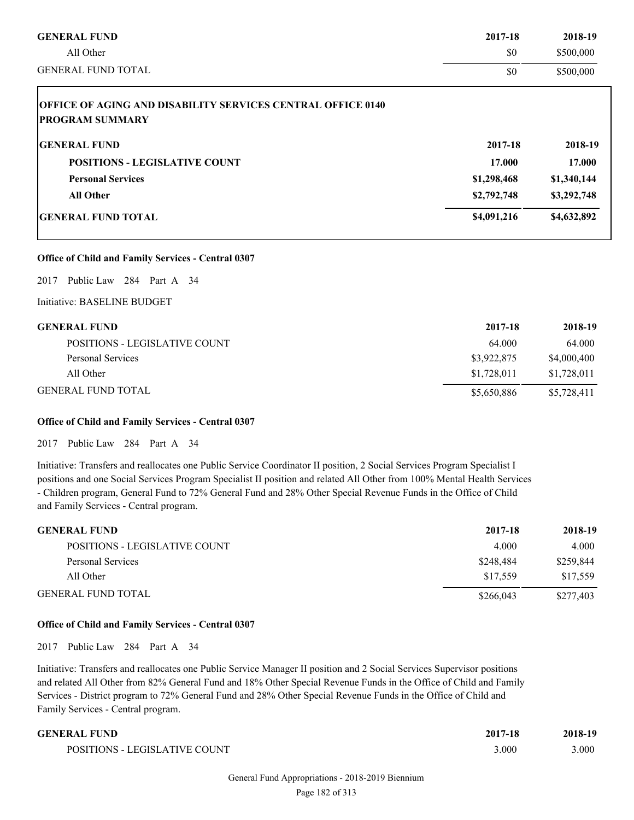| <b>GENERAL FUND</b>                                                | 2017-18     | 2018-19     |
|--------------------------------------------------------------------|-------------|-------------|
| All Other                                                          | \$0         | \$500,000   |
| <b>GENERAL FUND TOTAL</b>                                          | \$0         | \$500,000   |
| <b>OFFICE OF AGING AND DISABILITY SERVICES CENTRAL OFFICE 0140</b> |             |             |
| <b>PROGRAM SUMMARY</b>                                             |             |             |
| <b>GENERAL FUND</b>                                                | 2017-18     | 2018-19     |
| <b>POSITIONS - LEGISLATIVE COUNT</b>                               | 17.000      | 17.000      |
| <b>Personal Services</b>                                           | \$1,298,468 | \$1,340,144 |
| <b>All Other</b>                                                   | \$2,792,748 | \$3,292,748 |
| <b>GENERAL FUND TOTAL</b>                                          | \$4,091,216 | \$4,632,892 |

# **Office of Child and Family Services - Central 0307**

# 2017 Public Law 284 Part A 34

Initiative: BASELINE BUDGET

| <b>GENERAL FUND</b>           | 2017-18     | 2018-19     |
|-------------------------------|-------------|-------------|
| POSITIONS - LEGISLATIVE COUNT | 64.000      | 64.000      |
| Personal Services             | \$3,922,875 | \$4,000,400 |
| All Other                     | \$1,728,011 | \$1,728,011 |
| <b>GENERAL FUND TOTAL</b>     | \$5,650,886 | \$5,728,411 |

# **Office of Child and Family Services - Central 0307**

2017 Public Law 284 Part A 34

Initiative: Transfers and reallocates one Public Service Coordinator II position, 2 Social Services Program Specialist I positions and one Social Services Program Specialist II position and related All Other from 100% Mental Health Services - Children program, General Fund to 72% General Fund and 28% Other Special Revenue Funds in the Office of Child and Family Services - Central program.

| <b>GENERAL FUND</b>           | 2017-18   | 2018-19   |
|-------------------------------|-----------|-----------|
| POSITIONS - LEGISLATIVE COUNT | 4.000     | 4.000     |
| Personal Services             | \$248.484 | \$259,844 |
| All Other                     | \$17.559  | \$17.559  |
| <b>GENERAL FUND TOTAL</b>     | \$266,043 | \$277,403 |

# **Office of Child and Family Services - Central 0307**

2017 Public Law 284 Part A 34

Initiative: Transfers and reallocates one Public Service Manager II position and 2 Social Services Supervisor positions and related All Other from 82% General Fund and 18% Other Special Revenue Funds in the Office of Child and Family Services - District program to 72% General Fund and 28% Other Special Revenue Funds in the Office of Child and Family Services - Central program.

| GENERAL FUND                  | 2017-18 | 2018-19 |
|-------------------------------|---------|---------|
| POSITIONS - LEGISLATIVE COUNT | 3.000   | 3.000   |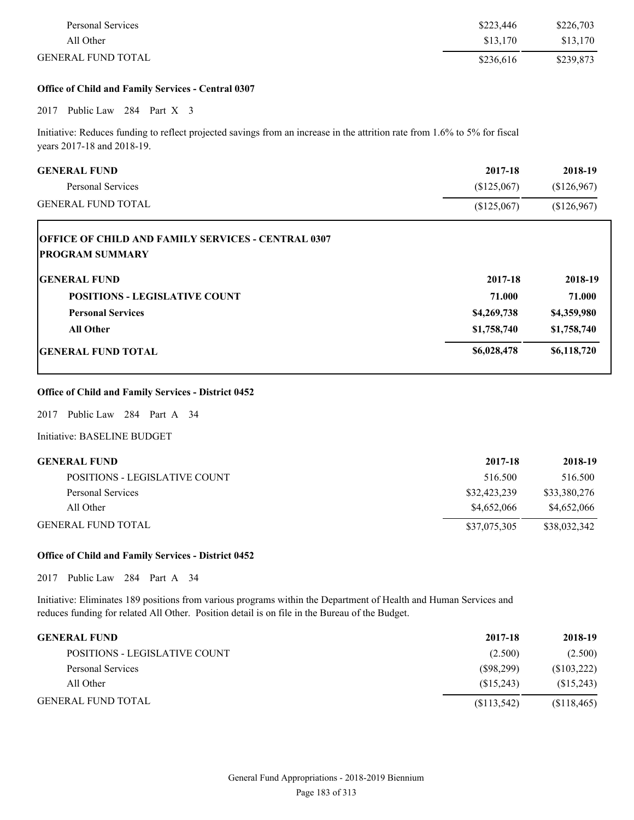| Personal Services         | \$223,446 | \$226,703 |
|---------------------------|-----------|-----------|
| All Other                 | \$13.170  | \$13,170  |
| <b>GENERAL FUND TOTAL</b> | \$236.616 | \$239,873 |

# **Office of Child and Family Services - Central 0307**

# 2017 Public Law 284 Part X 3

Initiative: Reduces funding to reflect projected savings from an increase in the attrition rate from 1.6% to 5% for fiscal years 2017-18 and 2018-19.

| <b>GENERAL FUND</b>                                                                 | 2017-18     | 2018-19     |
|-------------------------------------------------------------------------------------|-------------|-------------|
| <b>Personal Services</b>                                                            | (\$125,067) | \$126,967   |
| <b>GENERAL FUND TOTAL</b>                                                           | (\$125,067) | (\$126,967) |
| <b>OFFICE OF CHILD AND FAMILY SERVICES - CENTRAL 0307</b><br><b>PROGRAM SUMMARY</b> |             |             |
| <b>GENERAL FUND</b>                                                                 | 2017-18     | 2018-19     |
| <b>POSITIONS - LEGISLATIVE COUNT</b>                                                | 71.000      | 71.000      |
| <b>Personal Services</b>                                                            | \$4,269,738 | \$4,359,980 |
| <b>All Other</b>                                                                    | \$1,758,740 | \$1,758,740 |
| <b>IGENERAL FUND TOTAL</b>                                                          | \$6,028,478 | \$6,118,720 |

# **Office of Child and Family Services - District 0452**

2017 Public Law 284 Part A 34

Initiative: BASELINE BUDGET

| GENERAL FUND                  | 2017-18      | 2018-19      |
|-------------------------------|--------------|--------------|
| POSITIONS - LEGISLATIVE COUNT | 516.500      | 516.500      |
| Personal Services             | \$32,423,239 | \$33,380,276 |
| All Other                     | \$4,652,066  | \$4,652,066  |
| GENERAL FUND TOTAL            | \$37,075,305 | \$38,032,342 |

# **Office of Child and Family Services - District 0452**

2017 Public Law 284 Part A 34

Initiative: Eliminates 189 positions from various programs within the Department of Health and Human Services and reduces funding for related All Other. Position detail is on file in the Bureau of the Budget.

| <b>GENERAL FUND</b>           | 2017-18     | 2018-19     |
|-------------------------------|-------------|-------------|
| POSITIONS - LEGISLATIVE COUNT | (2.500)     | (2.500)     |
| Personal Services             | (S98,299)   | (S103, 222) |
| All Other                     | (S15,243)   | (S15,243)   |
| <b>GENERAL FUND TOTAL</b>     | (S113, 542) | (S118, 465) |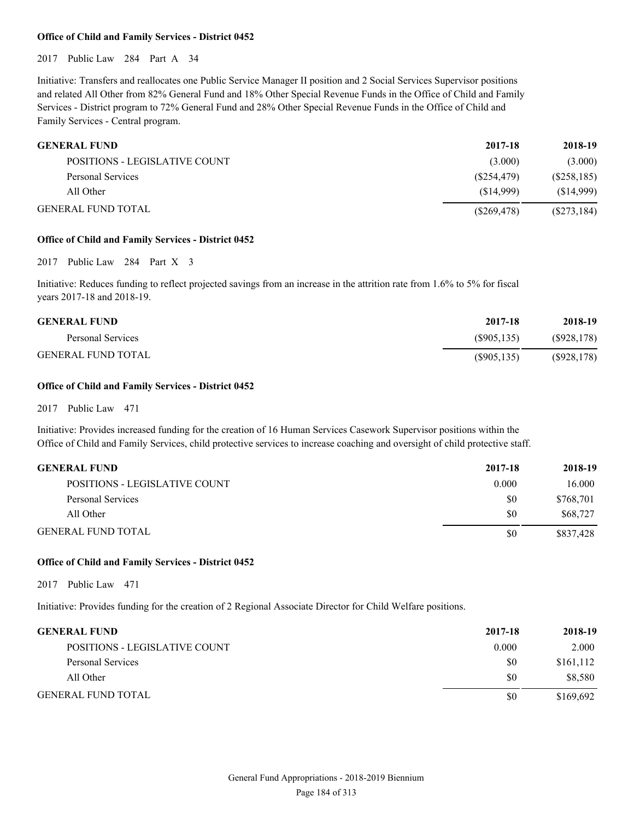# **Office of Child and Family Services - District 0452**

2017 Public Law 284 Part A 34

Initiative: Transfers and reallocates one Public Service Manager II position and 2 Social Services Supervisor positions and related All Other from 82% General Fund and 18% Other Special Revenue Funds in the Office of Child and Family Services - District program to 72% General Fund and 28% Other Special Revenue Funds in the Office of Child and Family Services - Central program.

| <b>GENERAL FUND</b>           | 2017-18     | 2018-19       |
|-------------------------------|-------------|---------------|
| POSITIONS - LEGISLATIVE COUNT | (3.000)     | (3.000)       |
| Personal Services             | (S254, 479) | (S258, 185)   |
| All Other                     | (S14.999)   | (S14,999)     |
| <b>GENERAL FUND TOTAL</b>     | (S269, 478) | $(\$273,184)$ |

# **Office of Child and Family Services - District 0452**

2017 Public Law 284 Part X 3

Initiative: Reduces funding to reflect projected savings from an increase in the attrition rate from 1.6% to 5% for fiscal years 2017-18 and 2018-19.

| <b>GENERAL FUND</b>       | 2017-18     | 2018-19     |
|---------------------------|-------------|-------------|
| Personal Services         | (S905.135)  | (S928, 178) |
| <b>GENERAL FUND TOTAL</b> | (S905, 135) | (S928, 178) |

# **Office of Child and Family Services - District 0452**

2017 Public Law 471

Initiative: Provides increased funding for the creation of 16 Human Services Casework Supervisor positions within the Office of Child and Family Services, child protective services to increase coaching and oversight of child protective staff.

| GENERAL FUND                  | 2017-18 | 2018-19   |
|-------------------------------|---------|-----------|
| POSITIONS - LEGISLATIVE COUNT | 0.000   | 16.000    |
| Personal Services             | \$0     | \$768.701 |
| All Other                     | \$0     | \$68,727  |
| GENERAL FUND TOTAL            | \$0     | \$837,428 |

# **Office of Child and Family Services - District 0452**

2017 Public Law 471

Initiative: Provides funding for the creation of 2 Regional Associate Director for Child Welfare positions.

| <b>GENERAL FUND</b>           | 2017-18 | 2018-19   |
|-------------------------------|---------|-----------|
| POSITIONS - LEGISLATIVE COUNT | 0.000   | 2.000     |
| Personal Services             | \$0     | \$161,112 |
| All Other                     | \$0     | \$8,580   |
| <b>GENERAL FUND TOTAL</b>     | \$0     | \$169,692 |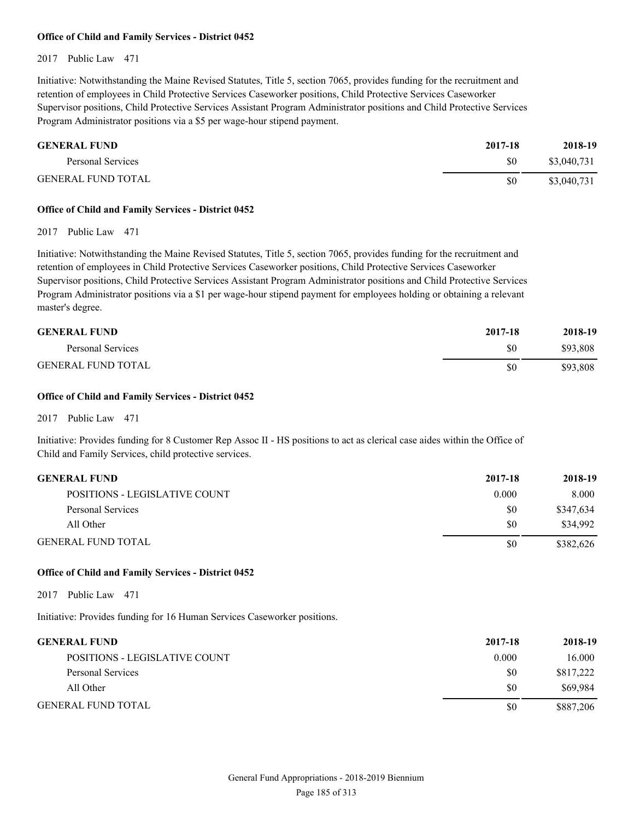# **Office of Child and Family Services - District 0452**

# 2017 Public Law 471

Initiative: Notwithstanding the Maine Revised Statutes, Title 5, section 7065, provides funding for the recruitment and retention of employees in Child Protective Services Caseworker positions, Child Protective Services Caseworker Supervisor positions, Child Protective Services Assistant Program Administrator positions and Child Protective Services Program Administrator positions via a \$5 per wage-hour stipend payment.

| <b>GENERAL FUND</b>       | 2017-18 | 2018-19     |
|---------------------------|---------|-------------|
| Personal Services         | \$0     | \$3,040,731 |
| <b>GENERAL FUND TOTAL</b> | \$0     | \$3,040,731 |

# **Office of Child and Family Services - District 0452**

2017 Public Law 471

Initiative: Notwithstanding the Maine Revised Statutes, Title 5, section 7065, provides funding for the recruitment and retention of employees in Child Protective Services Caseworker positions, Child Protective Services Caseworker Supervisor positions, Child Protective Services Assistant Program Administrator positions and Child Protective Services Program Administrator positions via a \$1 per wage-hour stipend payment for employees holding or obtaining a relevant master's degree.

| <b>GENERAL FUND</b>       | 2017-18 | 2018-19  |
|---------------------------|---------|----------|
| Personal Services         | \$0     | \$93,808 |
| <b>GENERAL FUND TOTAL</b> | \$0     | \$93,808 |

# **Office of Child and Family Services - District 0452**

2017 Public Law 471

Initiative: Provides funding for 8 Customer Rep Assoc II - HS positions to act as clerical case aides within the Office of Child and Family Services, child protective services.

| <b>GENERAL FUND</b>           | 2017-18 | 2018-19   |
|-------------------------------|---------|-----------|
| POSITIONS - LEGISLATIVE COUNT | 0.000   | 8.000     |
| Personal Services             | \$0     | \$347,634 |
| All Other                     | \$0     | \$34.992  |
| <b>GENERAL FUND TOTAL</b>     | \$0     | \$382.626 |

# **Office of Child and Family Services - District 0452**

2017 Public Law 471

Initiative: Provides funding for 16 Human Services Caseworker positions.

| <b>GENERAL FUND</b>           | 2017-18 | 2018-19   |
|-------------------------------|---------|-----------|
| POSITIONS - LEGISLATIVE COUNT | 0.000   | 16.000    |
| Personal Services             | \$0     | \$817,222 |
| All Other                     | \$0     | \$69.984  |
| <b>GENERAL FUND TOTAL</b>     | \$0     | \$887,206 |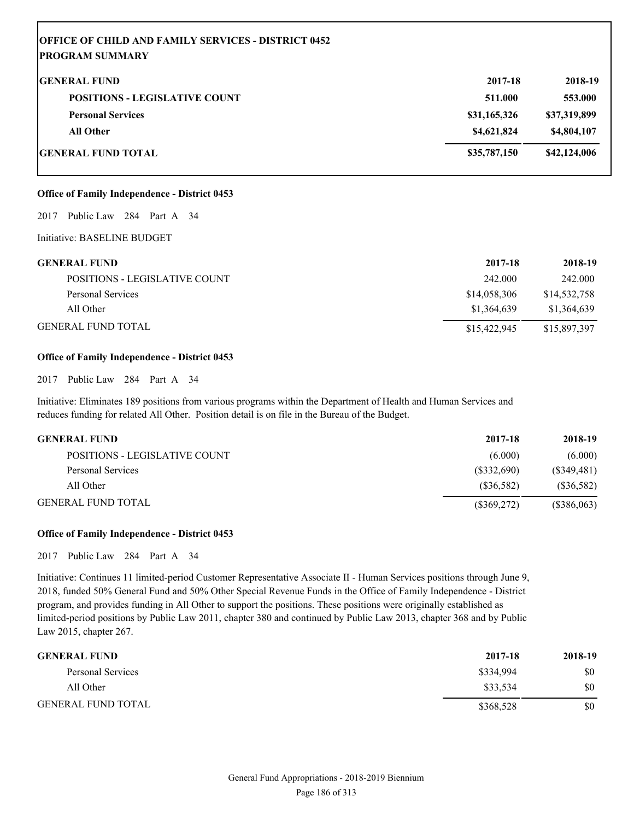| <b>OFFICE OF CHILD AND FAMILY SERVICES - DISTRICT 0452</b> |              |              |
|------------------------------------------------------------|--------------|--------------|
| <b> PROGRAM SUMMARY</b>                                    |              |              |
| <b>IGENERAL FUND</b>                                       | 2017-18      | 2018-19      |
| <b>POSITIONS - LEGISLATIVE COUNT</b>                       | 511.000      | 553.000      |
| <b>Personal Services</b>                                   | \$31,165,326 | \$37,319,899 |
| <b>All Other</b>                                           | \$4,621,824  | \$4,804,107  |
| GENERAL FUND TOTAL                                         | \$35,787,150 | \$42,124,006 |

# **Office of Family Independence - District 0453**

2017 Public Law 284 Part A 34

Initiative: BASELINE BUDGET

| <b>GENERAL FUND</b>           | 2017-18      | 2018-19      |
|-------------------------------|--------------|--------------|
| POSITIONS - LEGISLATIVE COUNT | 242.000      | 242.000      |
| Personal Services             | \$14,058,306 | \$14,532,758 |
| All Other                     | \$1.364.639  | \$1,364,639  |
| <b>GENERAL FUND TOTAL</b>     | \$15,422,945 | \$15,897,397 |

#### **Office of Family Independence - District 0453**

2017 Public Law 284 Part A 34

Initiative: Eliminates 189 positions from various programs within the Department of Health and Human Services and reduces funding for related All Other. Position detail is on file in the Bureau of the Budget.

| <b>GENERAL FUND</b>           | 2017-18       | 2018-19       |
|-------------------------------|---------------|---------------|
| POSITIONS - LEGISLATIVE COUNT | (6.000)       | (6.000)       |
| Personal Services             | (S332,690)    | $(\$349,481)$ |
| All Other                     | (S36,582)     | $(\$36,582)$  |
| <b>GENERAL FUND TOTAL</b>     | $(\$369,272)$ | (\$386,063)   |

# **Office of Family Independence - District 0453**

2017 Public Law 284 Part A 34

Initiative: Continues 11 limited-period Customer Representative Associate II - Human Services positions through June 9, 2018, funded 50% General Fund and 50% Other Special Revenue Funds in the Office of Family Independence - District program, and provides funding in All Other to support the positions. These positions were originally established as limited-period positions by Public Law 2011, chapter 380 and continued by Public Law 2013, chapter 368 and by Public Law 2015, chapter 267.

| <b>GENERAL FUND</b>       | 2017-18   | 2018-19 |
|---------------------------|-----------|---------|
| Personal Services         | \$334,994 | \$0     |
| All Other                 | \$33,534  | \$0     |
| <b>GENERAL FUND TOTAL</b> | \$368,528 | \$0     |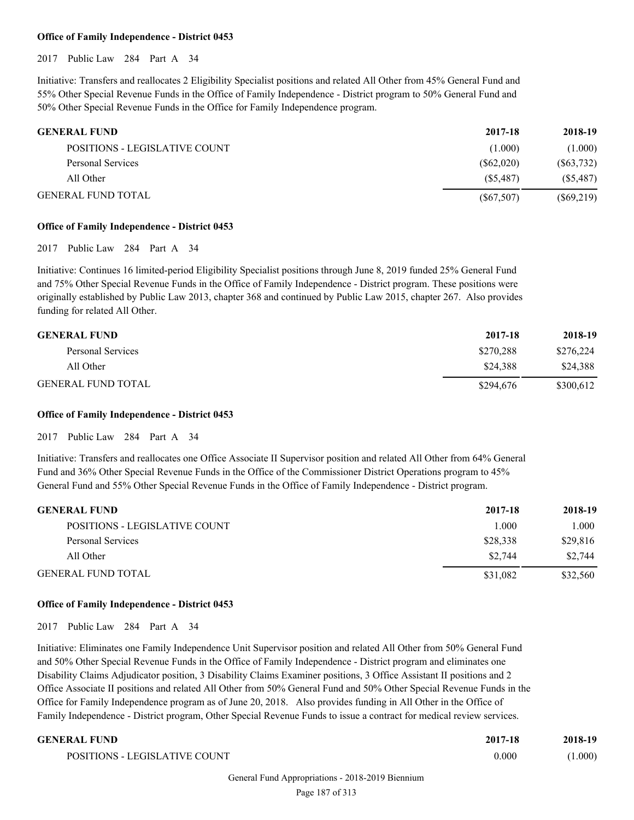# **Office of Family Independence - District 0453**

2017 Public Law 284 Part A 34

Initiative: Transfers and reallocates 2 Eligibility Specialist positions and related All Other from 45% General Fund and 55% Other Special Revenue Funds in the Office of Family Independence - District program to 50% General Fund and 50% Other Special Revenue Funds in the Office for Family Independence program.

| <b>GENERAL FUND</b>                  | 2017-18    | 2018-19      |
|--------------------------------------|------------|--------------|
| <b>POSITIONS - LEGISLATIVE COUNT</b> | (1.000)    | (1.000)      |
| Personal Services                    | (S62,020)  | (S63,732)    |
| All Other                            | (S5.487)   | (S5, 487)    |
| <b>GENERAL FUND TOTAL</b>            | (S67, 507) | $(\$69,219)$ |

# **Office of Family Independence - District 0453**

2017 Public Law 284 Part A 34

Initiative: Continues 16 limited-period Eligibility Specialist positions through June 8, 2019 funded 25% General Fund and 75% Other Special Revenue Funds in the Office of Family Independence - District program. These positions were originally established by Public Law 2013, chapter 368 and continued by Public Law 2015, chapter 267. Also provides funding for related All Other.

| <b>GENERAL FUND</b>       | 2017-18   | 2018-19   |
|---------------------------|-----------|-----------|
| Personal Services         | \$270,288 | \$276,224 |
| All Other                 | \$24.388  | \$24,388  |
| <b>GENERAL FUND TOTAL</b> | \$294,676 | \$300,612 |

#### **Office of Family Independence - District 0453**

2017 Public Law 284 Part A 34

Initiative: Transfers and reallocates one Office Associate II Supervisor position and related All Other from 64% General Fund and 36% Other Special Revenue Funds in the Office of the Commissioner District Operations program to 45% General Fund and 55% Other Special Revenue Funds in the Office of Family Independence - District program.

| <b>GENERAL FUND</b>           | 2017-18  | 2018-19  |
|-------------------------------|----------|----------|
| POSITIONS - LEGISLATIVE COUNT | 1.000    | 1.000    |
| Personal Services             | \$28,338 | \$29,816 |
| All Other                     | \$2,744  | \$2,744  |
| <b>GENERAL FUND TOTAL</b>     | \$31.082 | \$32,560 |

# **Office of Family Independence - District 0453**

2017 Public Law 284 Part A 34

Initiative: Eliminates one Family Independence Unit Supervisor position and related All Other from 50% General Fund and 50% Other Special Revenue Funds in the Office of Family Independence - District program and eliminates one Disability Claims Adjudicator position, 3 Disability Claims Examiner positions, 3 Office Assistant II positions and 2 Office Associate II positions and related All Other from 50% General Fund and 50% Other Special Revenue Funds in the Office for Family Independence program as of June 20, 2018. Also provides funding in All Other in the Office of Family Independence - District program, Other Special Revenue Funds to issue a contract for medical review services.

# **GENERAL FUND 2017-18 2018-19**

| NAL FUN <i>d</i>              | 2017-10 | 2010-19 |
|-------------------------------|---------|---------|
| POSITIONS - LEGISLATIVE COUNT | 0.000   | 1.000   |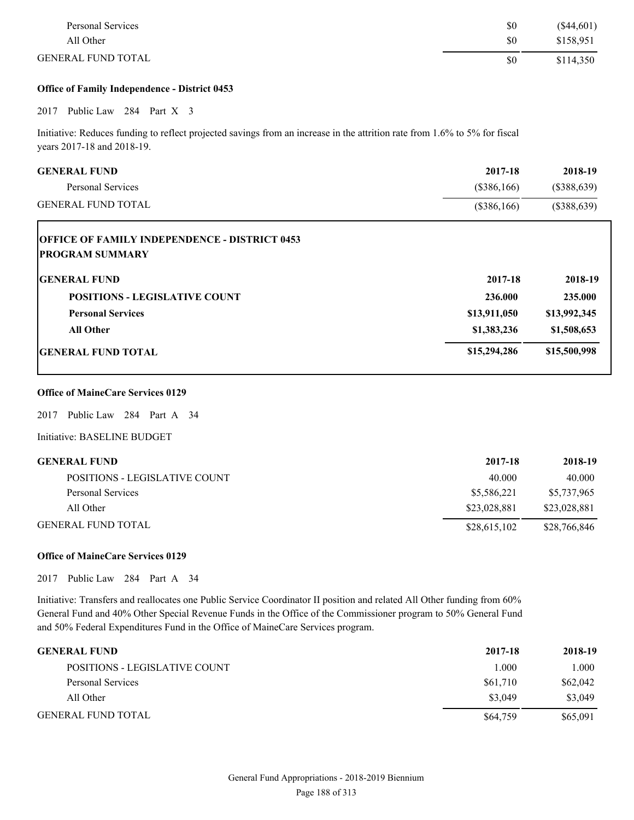| Personal Services         | \$0 | $(\$44,601)$ |
|---------------------------|-----|--------------|
| All Other                 | \$0 | \$158,951    |
| <b>GENERAL FUND TOTAL</b> | \$0 | \$114,350    |

# **Office of Family Independence - District 0453**

# 2017 Public Law 284 Part X 3

Initiative: Reduces funding to reflect projected savings from an increase in the attrition rate from 1.6% to 5% for fiscal years 2017-18 and 2018-19.

| <b>GENERAL FUND</b>                                                            | 2017-18      | 2018-19       |
|--------------------------------------------------------------------------------|--------------|---------------|
| <b>Personal Services</b>                                                       | (\$386,166)  | $(\$388,639)$ |
| <b>GENERAL FUND TOTAL</b>                                                      | (\$386,166)  | $(\$388,639)$ |
| <b>OFFICE OF FAMILY INDEPENDENCE - DISTRICT 0453</b><br><b>PROGRAM SUMMARY</b> |              |               |
| <b>GENERAL FUND</b>                                                            | 2017-18      | 2018-19       |
| <b>POSITIONS - LEGISLATIVE COUNT</b>                                           | 236.000      | 235.000       |
| <b>Personal Services</b>                                                       | \$13,911,050 | \$13,992,345  |
| <b>All Other</b>                                                               | \$1,383,236  | \$1,508,653   |
| <b>IGENERAL FUND TOTAL</b>                                                     | \$15,294,286 | \$15,500,998  |

# **Office of MaineCare Services 0129**

2017 Public Law 284 Part A 34

Initiative: BASELINE BUDGET

| <b>GENERAL FUND</b>           | 2017-18      | 2018-19      |
|-------------------------------|--------------|--------------|
| POSITIONS - LEGISLATIVE COUNT | 40.000       | 40.000       |
| Personal Services             | \$5,586,221  | \$5,737,965  |
| All Other                     | \$23,028,881 | \$23,028,881 |
| <b>GENERAL FUND TOTAL</b>     | \$28,615,102 | \$28,766,846 |

# **Office of MaineCare Services 0129**

2017 Public Law 284 Part A 34

Initiative: Transfers and reallocates one Public Service Coordinator II position and related All Other funding from 60% General Fund and 40% Other Special Revenue Funds in the Office of the Commissioner program to 50% General Fund and 50% Federal Expenditures Fund in the Office of MaineCare Services program.

| <b>GENERAL FUND</b>           | 2017-18  | 2018-19  |
|-------------------------------|----------|----------|
| POSITIONS - LEGISLATIVE COUNT | 1.000    | 1.000    |
| Personal Services             | \$61,710 | \$62,042 |
| All Other                     | \$3,049  | \$3,049  |
| <b>GENERAL FUND TOTAL</b>     | \$64,759 | \$65,091 |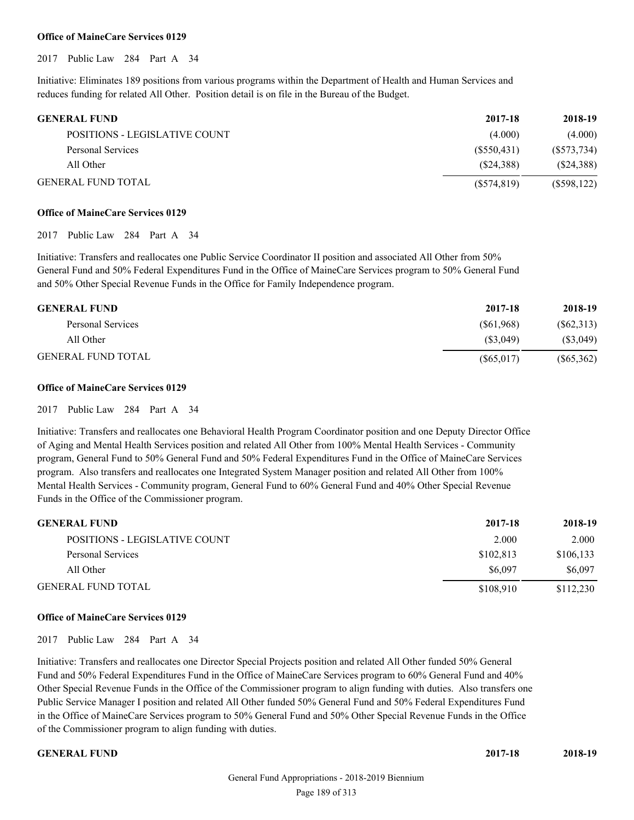#### **Office of MaineCare Services 0129**

2017 Public Law 284 Part A 34

Initiative: Eliminates 189 positions from various programs within the Department of Health and Human Services and reduces funding for related All Other. Position detail is on file in the Bureau of the Budget.

| <b>GENERAL FUND</b>           | 2017-18     | 2018-19       |
|-------------------------------|-------------|---------------|
| POSITIONS - LEGISLATIVE COUNT | (4.000)     | (4.000)       |
| Personal Services             | (S550.431)  | (S573, 734)   |
| All Other                     | (S24.388)   | (S24,388)     |
| <b>GENERAL FUND TOTAL</b>     | (S574, 819) | $(\$598,122)$ |

#### **Office of MaineCare Services 0129**

2017 Public Law 284 Part A 34

Initiative: Transfers and reallocates one Public Service Coordinator II position and associated All Other from 50% General Fund and 50% Federal Expenditures Fund in the Office of MaineCare Services program to 50% General Fund and 50% Other Special Revenue Funds in the Office for Family Independence program.

| <b>GENERAL FUND</b>       | 2017-18    | 2018-19      |
|---------------------------|------------|--------------|
| Personal Services         | (S61,968)  | (S62,313)    |
| All Other                 | (S3.049)   | (S3,049)     |
| <b>GENERAL FUND TOTAL</b> | (S65, 017) | $(\$65,362)$ |

# **Office of MaineCare Services 0129**

2017 Public Law 284 Part A 34

Initiative: Transfers and reallocates one Behavioral Health Program Coordinator position and one Deputy Director Office of Aging and Mental Health Services position and related All Other from 100% Mental Health Services - Community program, General Fund to 50% General Fund and 50% Federal Expenditures Fund in the Office of MaineCare Services program. Also transfers and reallocates one Integrated System Manager position and related All Other from 100% Mental Health Services - Community program, General Fund to 60% General Fund and 40% Other Special Revenue Funds in the Office of the Commissioner program.

| <b>GENERAL FUND</b>           | 2017-18   | 2018-19   |
|-------------------------------|-----------|-----------|
| POSITIONS - LEGISLATIVE COUNT | 2.000     | 2.000     |
| Personal Services             | \$102.813 | \$106,133 |
| All Other                     | \$6,097   | \$6,097   |
| <b>GENERAL FUND TOTAL</b>     | \$108.910 | \$112,230 |

# **Office of MaineCare Services 0129**

2017 Public Law 284 Part A 34

Initiative: Transfers and reallocates one Director Special Projects position and related All Other funded 50% General Fund and 50% Federal Expenditures Fund in the Office of MaineCare Services program to 60% General Fund and 40% Other Special Revenue Funds in the Office of the Commissioner program to align funding with duties. Also transfers one Public Service Manager I position and related All Other funded 50% General Fund and 50% Federal Expenditures Fund in the Office of MaineCare Services program to 50% General Fund and 50% Other Special Revenue Funds in the Office of the Commissioner program to align funding with duties.

**GENERAL FUND 2017-18 2018-19**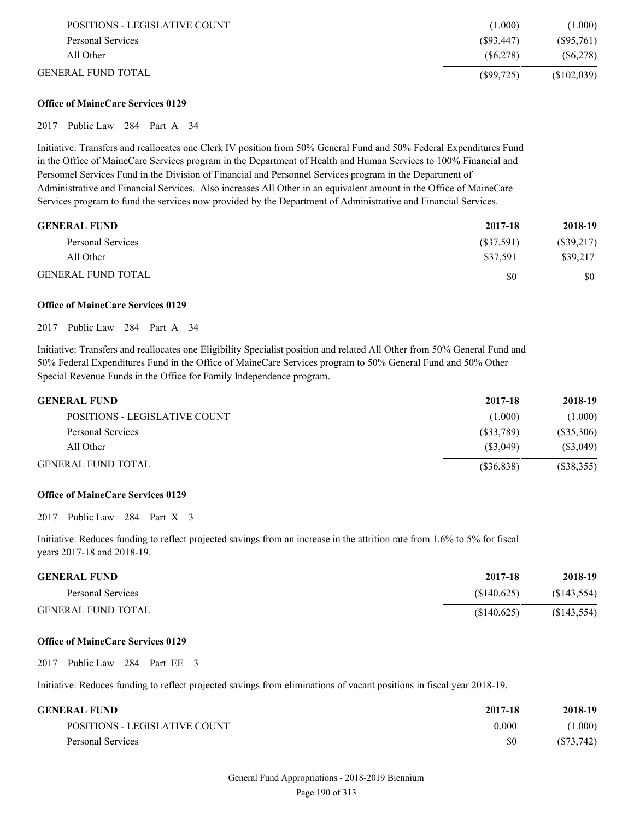| POSITIONS - LEGISLATIVE COUNT | (1.000)    | (1.000)      |
|-------------------------------|------------|--------------|
| Personal Services             | (S93, 447) | $(\$95,761)$ |
| All Other                     | (S6.278)   | (S6, 278)    |
| GENERAL FUND TOTAL            | (S99,725)  | (S102,039)   |

# **Office of MaineCare Services 0129**

# 2017 Public Law 284 Part A 34

Initiative: Transfers and reallocates one Clerk IV position from 50% General Fund and 50% Federal Expenditures Fund in the Office of MaineCare Services program in the Department of Health and Human Services to 100% Financial and Personnel Services Fund in the Division of Financial and Personnel Services program in the Department of Administrative and Financial Services. Also increases All Other in an equivalent amount in the Office of MaineCare Services program to fund the services now provided by the Department of Administrative and Financial Services.

| <b>GENERAL FUND</b>       | 2017-18   | 2018-19      |
|---------------------------|-----------|--------------|
| Personal Services         | (S37,591) | $(\$39,217)$ |
| All Other                 | \$37.591  | \$39.217     |
| <b>GENERAL FUND TOTAL</b> | S0        | \$0          |

# **Office of MaineCare Services 0129**

# 2017 Public Law 284 Part A 34

Initiative: Transfers and reallocates one Eligibility Specialist position and related All Other from 50% General Fund and 50% Federal Expenditures Fund in the Office of MaineCare Services program to 50% General Fund and 50% Other Special Revenue Funds in the Office for Family Independence program.

| <b>GENERAL FUND</b>           | 2017-18    | 2018-19      |
|-------------------------------|------------|--------------|
| POSITIONS - LEGISLATIVE COUNT | (1.000)    | (1.000)      |
| Personal Services             | (S33.789)  | (S35,306)    |
| All Other                     | (S3.049)   | (S3,049)     |
| <b>GENERAL FUND TOTAL</b>     | (S36, 838) | $(\$38,355)$ |

# **Office of MaineCare Services 0129**

2017 Public Law 284 Part X 3

Initiative: Reduces funding to reflect projected savings from an increase in the attrition rate from 1.6% to 5% for fiscal years 2017-18 and 2018-19.

| <b>GENERAL FUND</b>       | 2017-18    | 2018-19     |
|---------------------------|------------|-------------|
| Personal Services         | (S140.625) | (S143, 554) |
| <b>GENERAL FUND TOTAL</b> | (S140.625) | (S143, 554) |

# **Office of MaineCare Services 0129**

# 2017 Public Law 284 Part EE 3

Initiative: Reduces funding to reflect projected savings from eliminations of vacant positions in fiscal year 2018-19.

| GENERAL FUND                  | 2017-18 | 2018-19   |
|-------------------------------|---------|-----------|
| POSITIONS - LEGISLATIVE COUNT | 0.000   | (1.000)   |
| Personal Services             | \$0     | (S73,742) |

# General Fund Appropriations - 2018-2019 Biennium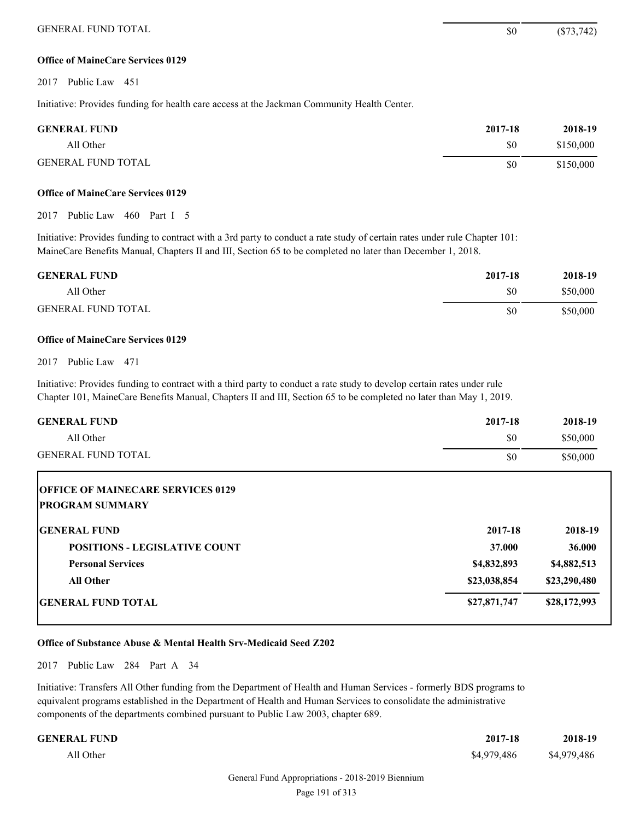# **Office of MaineCare Services 0129**

2017 Public Law 451

Initiative: Provides funding for health care access at the Jackman Community Health Center.

| <b>GENERAL FUND</b>       | 2017-18 | 2018-19   |
|---------------------------|---------|-----------|
| All Other                 | \$0     | \$150,000 |
| <b>GENERAL FUND TOTAL</b> | \$0     | \$150,000 |

# **Office of MaineCare Services 0129**

2017 Public Law 460 Part I 5

Initiative: Provides funding to contract with a 3rd party to conduct a rate study of certain rates under rule Chapter 101: MaineCare Benefits Manual, Chapters II and III, Section 65 to be completed no later than December 1, 2018.

| <b>GENERAL FUND</b>       | 2017-18 | 2018-19  |
|---------------------------|---------|----------|
| All Other                 | \$0     | \$50,000 |
| <b>GENERAL FUND TOTAL</b> | \$0     | \$50,000 |

# **Office of MaineCare Services 0129**

2017 Public Law 471

Initiative: Provides funding to contract with a third party to conduct a rate study to develop certain rates under rule Chapter 101, MaineCare Benefits Manual, Chapters II and III, Section 65 to be completed no later than May 1, 2019.

| 2017-18 | 2018-19  |
|---------|----------|
| \$0     | \$50,000 |
| \$0     | \$50,000 |
|         |          |

| <b>OFFICE OF MAINECARE SERVICES 0129</b><br><b>IPROGRAM SUMMARY</b> |              |              |
|---------------------------------------------------------------------|--------------|--------------|
| <b>IGENERAL FUND</b>                                                | 2017-18      | 2018-19      |
| <b>POSITIONS - LEGISLATIVE COUNT</b>                                | 37.000       | 36.000       |
| <b>Personal Services</b>                                            | \$4,832,893  | \$4,882,513  |
| <b>All Other</b>                                                    | \$23,038,854 | \$23,290,480 |
| <b>IGENERAL FUND TOTAL</b>                                          | \$27,871,747 | \$28,172,993 |

# **Office of Substance Abuse & Mental Health Srv-Medicaid Seed Z202**

2017 Public Law 284 Part A 34

Initiative: Transfers All Other funding from the Department of Health and Human Services - formerly BDS programs to equivalent programs established in the Department of Health and Human Services to consolidate the administrative components of the departments combined pursuant to Public Law 2003, chapter 689.

| 2017-18     | 2018-19     |
|-------------|-------------|
| \$4,979,486 | \$4,979,486 |
|             |             |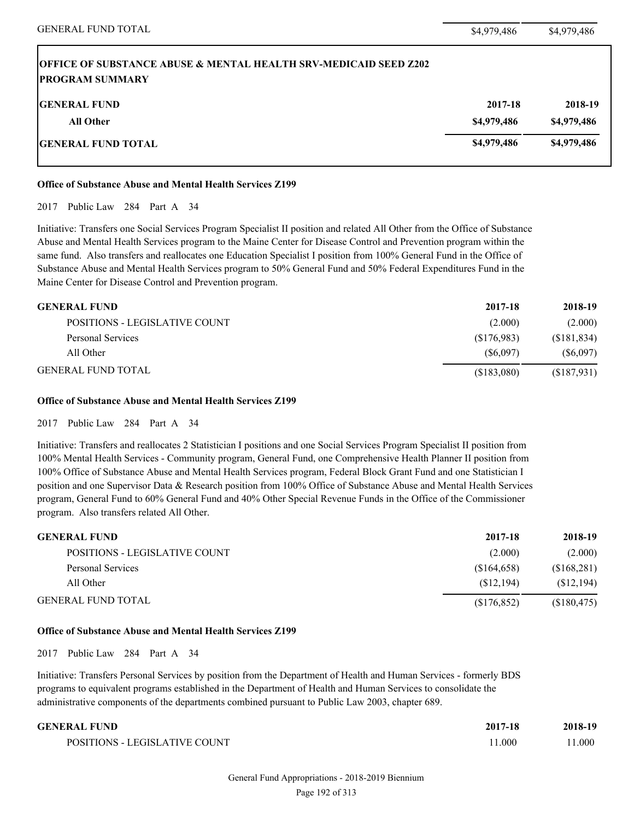| <b>OFFICE OF SUBSTANCE ABUSE &amp; MENTAL HEALTH SRV-MEDICAID SEED Z202</b><br><b>IPROGRAM SUMMARY</b> |             |             |
|--------------------------------------------------------------------------------------------------------|-------------|-------------|
| <b>IGENERAL FUND</b>                                                                                   | 2017-18     | 2018-19     |
| <b>All Other</b>                                                                                       | \$4,979,486 | \$4,979,486 |
| <b>IGENERAL FUND TOTAL</b>                                                                             | \$4,979,486 | \$4,979,486 |

# **Office of Substance Abuse and Mental Health Services Z199**

2017 Public Law 284 Part A 34

Initiative: Transfers one Social Services Program Specialist II position and related All Other from the Office of Substance Abuse and Mental Health Services program to the Maine Center for Disease Control and Prevention program within the same fund. Also transfers and reallocates one Education Specialist I position from 100% General Fund in the Office of Substance Abuse and Mental Health Services program to 50% General Fund and 50% Federal Expenditures Fund in the Maine Center for Disease Control and Prevention program.

| <b>GENERAL FUND</b>           | 2017-18    | 2018-19     |
|-------------------------------|------------|-------------|
| POSITIONS - LEGISLATIVE COUNT | (2.000)    | (2.000)     |
| Personal Services             | (S176,983) | (S181, 834) |
| All Other                     | (S6.097)   | (S6,097)    |
| <b>GENERAL FUND TOTAL</b>     | (S183,080) | (\$187,931) |

# **Office of Substance Abuse and Mental Health Services Z199**

2017 Public Law 284 Part A 34

Initiative: Transfers and reallocates 2 Statistician I positions and one Social Services Program Specialist II position from 100% Mental Health Services - Community program, General Fund, one Comprehensive Health Planner II position from 100% Office of Substance Abuse and Mental Health Services program, Federal Block Grant Fund and one Statistician I position and one Supervisor Data & Research position from 100% Office of Substance Abuse and Mental Health Services program, General Fund to 60% General Fund and 40% Other Special Revenue Funds in the Office of the Commissioner program. Also transfers related All Other.

| <b>GENERAL FUND</b>           | 2017-18     | 2018-19     |
|-------------------------------|-------------|-------------|
| POSITIONS - LEGISLATIVE COUNT | (2.000)     | (2.000)     |
| Personal Services             | \$164,658   | (\$168,281) |
| All Other                     | (S12, 194)  | (S12, 194)  |
| <b>GENERAL FUND TOTAL</b>     | (S176, 852) | (\$180,475) |

# **Office of Substance Abuse and Mental Health Services Z199**

2017 Public Law 284 Part A 34

Initiative: Transfers Personal Services by position from the Department of Health and Human Services - formerly BDS programs to equivalent programs established in the Department of Health and Human Services to consolidate the administrative components of the departments combined pursuant to Public Law 2003, chapter 689.

| GENERAL FUND                  | 2017-18 | 2018-19 |
|-------------------------------|---------|---------|
| POSITIONS - LEGISLATIVE COUNT | 1.000   | 1.000   |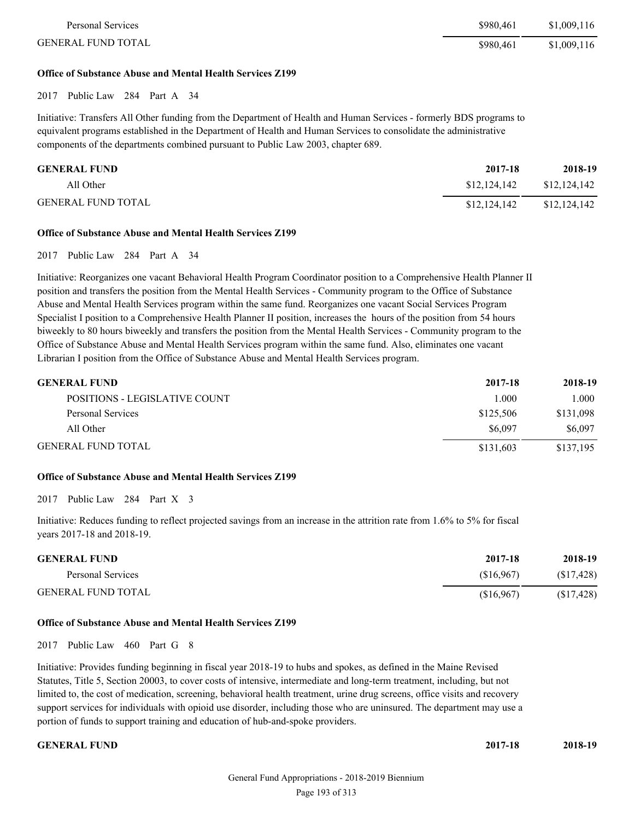| Personal Services         | \$980.461 | \$1,009,116 |
|---------------------------|-----------|-------------|
| <b>GENERAL FUND TOTAL</b> | \$980.461 | \$1,009,116 |

#### **Office of Substance Abuse and Mental Health Services Z199**

2017 Public Law 284 Part A 34

Initiative: Transfers All Other funding from the Department of Health and Human Services - formerly BDS programs to equivalent programs established in the Department of Health and Human Services to consolidate the administrative components of the departments combined pursuant to Public Law 2003, chapter 689.

| <b>GENERAL FUND</b>       | 2017-18      | 2018-19      |
|---------------------------|--------------|--------------|
| All Other                 | \$12,124,142 | \$12,124,142 |
| <b>GENERAL FUND TOTAL</b> | \$12,124,142 | \$12,124,142 |

# **Office of Substance Abuse and Mental Health Services Z199**

2017 Public Law 284 Part A 34

Initiative: Reorganizes one vacant Behavioral Health Program Coordinator position to a Comprehensive Health Planner II position and transfers the position from the Mental Health Services - Community program to the Office of Substance Abuse and Mental Health Services program within the same fund. Reorganizes one vacant Social Services Program Specialist I position to a Comprehensive Health Planner II position, increases the hours of the position from 54 hours biweekly to 80 hours biweekly and transfers the position from the Mental Health Services - Community program to the Office of Substance Abuse and Mental Health Services program within the same fund. Also, eliminates one vacant Librarian I position from the Office of Substance Abuse and Mental Health Services program.

| <b>GENERAL FUND</b>           | 2017-18   | 2018-19   |
|-------------------------------|-----------|-----------|
| POSITIONS - LEGISLATIVE COUNT | 1.000     | 1.000     |
| Personal Services             | \$125,506 | \$131,098 |
| All Other                     | \$6,097   | \$6,097   |
| <b>GENERAL FUND TOTAL</b>     | \$131,603 | \$137,195 |

# **Office of Substance Abuse and Mental Health Services Z199**

2017 Public Law 284 Part X 3

Initiative: Reduces funding to reflect projected savings from an increase in the attrition rate from 1.6% to 5% for fiscal years 2017-18 and 2018-19.

| <b>GENERAL FUND</b>       | 2017-18   | 2018-19    |
|---------------------------|-----------|------------|
| Personal Services         | (S16.967) | (S17, 428) |
| <b>GENERAL FUND TOTAL</b> | (S16,967) | (S17, 428) |

# **Office of Substance Abuse and Mental Health Services Z199**

2017 Public Law 460 Part G 8

Initiative: Provides funding beginning in fiscal year 2018-19 to hubs and spokes, as defined in the Maine Revised Statutes, Title 5, Section 20003, to cover costs of intensive, intermediate and long-term treatment, including, but not limited to, the cost of medication, screening, behavioral health treatment, urine drug screens, office visits and recovery support services for individuals with opioid use disorder, including those who are uninsured. The department may use a portion of funds to support training and education of hub-and-spoke providers.

**GENERAL FUND 2017-18 2018-19**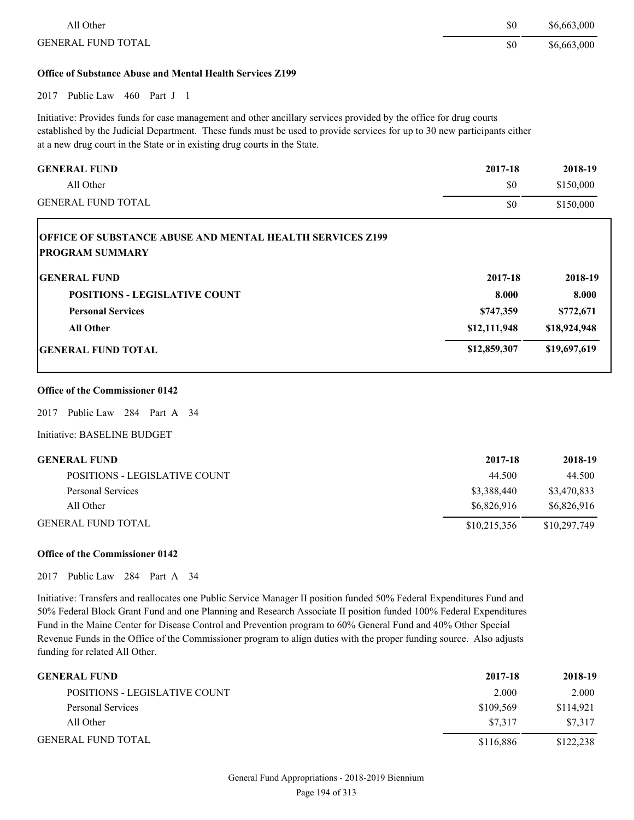| All Other                 | \$0 | \$6,663,000 |
|---------------------------|-----|-------------|
| <b>GENERAL FUND TOTAL</b> | \$0 | \$6,663,000 |

# **Office of Substance Abuse and Mental Health Services Z199**

2017 Public Law 460 Part J 1

Initiative: Provides funds for case management and other ancillary services provided by the office for drug courts established by the Judicial Department. These funds must be used to provide services for up to 30 new participants either at a new drug court in the State or in existing drug courts in the State.

| 2017-18      | 2018-19      |
|--------------|--------------|
| \$0          | \$150,000    |
| \$0          | \$150,000    |
|              |              |
| 2017-18      | 2018-19      |
| 8.000        | 8.000        |
| \$747,359    | \$772,671    |
| \$12,111,948 | \$18,924,948 |
| \$12,859,307 | \$19,697,619 |
|              |              |

#### **Office of the Commissioner 0142**

2017 Public Law 284 Part A 34

Initiative: BASELINE BUDGET

| GENERAL FUND                  | 2017-18      | 2018-19      |
|-------------------------------|--------------|--------------|
| POSITIONS - LEGISLATIVE COUNT | 44.500       | 44.500       |
| Personal Services             | \$3,388,440  | \$3,470,833  |
| All Other                     | \$6,826,916  | \$6,826,916  |
| GENERAL FUND TOTAL            | \$10,215,356 | \$10,297,749 |

# **Office of the Commissioner 0142**

2017 Public Law 284 Part A 34

Initiative: Transfers and reallocates one Public Service Manager II position funded 50% Federal Expenditures Fund and 50% Federal Block Grant Fund and one Planning and Research Associate II position funded 100% Federal Expenditures Fund in the Maine Center for Disease Control and Prevention program to 60% General Fund and 40% Other Special Revenue Funds in the Office of the Commissioner program to align duties with the proper funding source. Also adjusts funding for related All Other.

| <b>GENERAL FUND</b>           | 2017-18   | 2018-19   |
|-------------------------------|-----------|-----------|
| POSITIONS - LEGISLATIVE COUNT | 2.000     | 2.000     |
| Personal Services             | \$109,569 | \$114.921 |
| All Other                     | \$7.317   | \$7,317   |
| <b>GENERAL FUND TOTAL</b>     | \$116,886 | \$122,238 |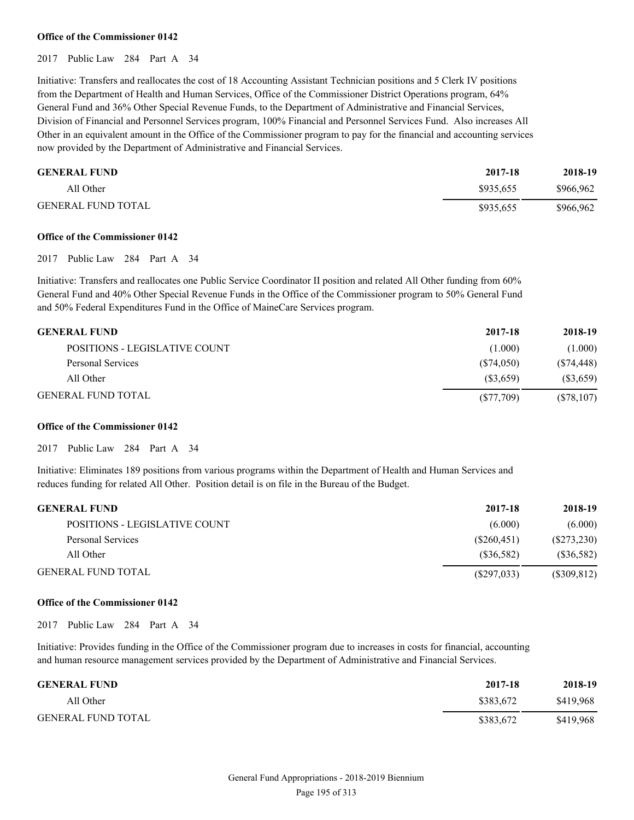#### **Office of the Commissioner 0142**

# 2017 Public Law 284 Part A 34

Initiative: Transfers and reallocates the cost of 18 Accounting Assistant Technician positions and 5 Clerk IV positions from the Department of Health and Human Services, Office of the Commissioner District Operations program, 64% General Fund and 36% Other Special Revenue Funds, to the Department of Administrative and Financial Services, Division of Financial and Personnel Services program, 100% Financial and Personnel Services Fund. Also increases All Other in an equivalent amount in the Office of the Commissioner program to pay for the financial and accounting services now provided by the Department of Administrative and Financial Services.

| <b>GENERAL FUND</b>       | 2017-18   | 2018-19   |
|---------------------------|-----------|-----------|
| All Other                 | \$935.655 | \$966,962 |
| <b>GENERAL FUND TOTAL</b> | \$935,655 | \$966,962 |

#### **Office of the Commissioner 0142**

#### 2017 Public Law 284 Part A 34

Initiative: Transfers and reallocates one Public Service Coordinator II position and related All Other funding from 60% General Fund and 40% Other Special Revenue Funds in the Office of the Commissioner program to 50% General Fund and 50% Federal Expenditures Fund in the Office of MaineCare Services program.

| <b>GENERAL FUND</b>           | 2017-18      | 2018-19      |
|-------------------------------|--------------|--------------|
| POSITIONS - LEGISLATIVE COUNT | (1.000)      | (1.000)      |
| Personal Services             | (S74.050)    | (S74, 448)   |
| All Other                     | (S3.659)     | $(\$3,659)$  |
| <b>GENERAL FUND TOTAL</b>     | $(\$77,709)$ | $(\$78,107)$ |

#### **Office of the Commissioner 0142**

2017 Public Law 284 Part A 34

Initiative: Eliminates 189 positions from various programs within the Department of Health and Human Services and reduces funding for related All Other. Position detail is on file in the Bureau of the Budget.

| <b>GENERAL FUND</b>           | 2017-18     | 2018-19       |
|-------------------------------|-------------|---------------|
| POSITIONS - LEGISLATIVE COUNT | (6.000)     | (6.000)       |
| Personal Services             | (S260, 451) | (S273, 230)   |
| All Other                     | (S36,582)   | (S36,582)     |
| <b>GENERAL FUND TOTAL</b>     | (S297,033)  | $(\$309,812)$ |

#### **Office of the Commissioner 0142**

2017 Public Law 284 Part A 34

Initiative: Provides funding in the Office of the Commissioner program due to increases in costs for financial, accounting and human resource management services provided by the Department of Administrative and Financial Services.

| <b>GENERAL FUND</b>       | 2017-18   | 2018-19   |
|---------------------------|-----------|-----------|
| All Other                 | \$383.672 | \$419,968 |
| <b>GENERAL FUND TOTAL</b> | \$383.672 | \$419,968 |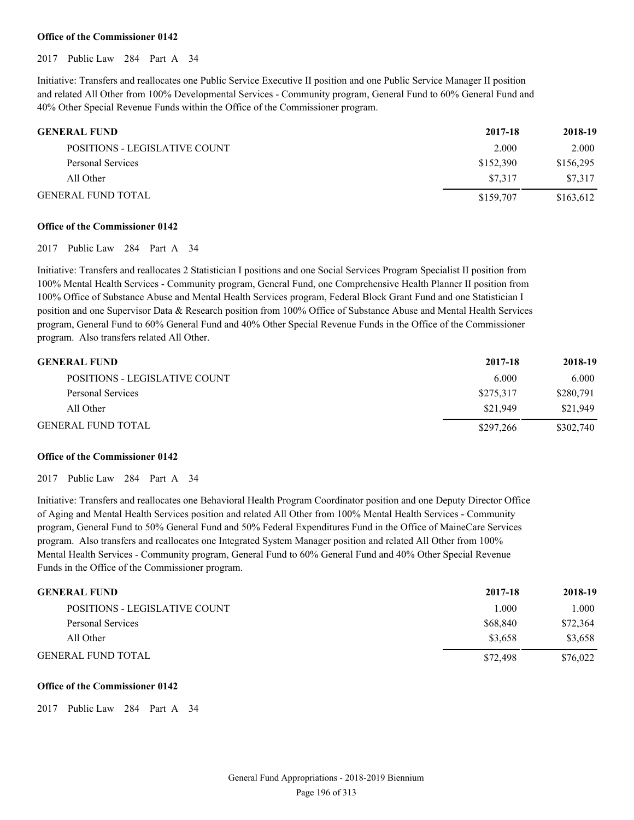#### **Office of the Commissioner 0142**

2017 Public Law 284 Part A 34

Initiative: Transfers and reallocates one Public Service Executive II position and one Public Service Manager II position and related All Other from 100% Developmental Services - Community program, General Fund to 60% General Fund and 40% Other Special Revenue Funds within the Office of the Commissioner program.

| <b>GENERAL FUND</b>           | 2017-18   | 2018-19   |
|-------------------------------|-----------|-----------|
| POSITIONS - LEGISLATIVE COUNT | 2.000     | 2.000     |
| Personal Services             | \$152,390 | \$156,295 |
| All Other                     | \$7.317   | \$7.317   |
| <b>GENERAL FUND TOTAL</b>     | \$159,707 | \$163,612 |

#### **Office of the Commissioner 0142**

#### 2017 Public Law 284 Part A 34

Initiative: Transfers and reallocates 2 Statistician I positions and one Social Services Program Specialist II position from 100% Mental Health Services - Community program, General Fund, one Comprehensive Health Planner II position from 100% Office of Substance Abuse and Mental Health Services program, Federal Block Grant Fund and one Statistician I position and one Supervisor Data & Research position from 100% Office of Substance Abuse and Mental Health Services program, General Fund to 60% General Fund and 40% Other Special Revenue Funds in the Office of the Commissioner program. Also transfers related All Other.

| <b>GENERAL FUND</b>                  | 2017-18   | 2018-19   |
|--------------------------------------|-----------|-----------|
| <b>POSITIONS - LEGISLATIVE COUNT</b> | 6.000     | 6.000     |
| Personal Services                    | \$275,317 | \$280,791 |
| All Other                            | \$21.949  | \$21.949  |
| <b>GENERAL FUND TOTAL</b>            | \$297,266 | \$302,740 |

#### **Office of the Commissioner 0142**

2017 Public Law 284 Part A 34

Initiative: Transfers and reallocates one Behavioral Health Program Coordinator position and one Deputy Director Office of Aging and Mental Health Services position and related All Other from 100% Mental Health Services - Community program, General Fund to 50% General Fund and 50% Federal Expenditures Fund in the Office of MaineCare Services program. Also transfers and reallocates one Integrated System Manager position and related All Other from 100% Mental Health Services - Community program, General Fund to 60% General Fund and 40% Other Special Revenue Funds in the Office of the Commissioner program.

| <b>GENERAL FUND</b>           | 2017-18  | 2018-19  |
|-------------------------------|----------|----------|
| POSITIONS - LEGISLATIVE COUNT | 1.000    | 1.000    |
| Personal Services             | \$68,840 | \$72,364 |
| All Other                     | \$3.658  | \$3,658  |
| <b>GENERAL FUND TOTAL</b>     | \$72,498 | \$76,022 |

#### **Office of the Commissioner 0142**

2017 Public Law 284 Part A 34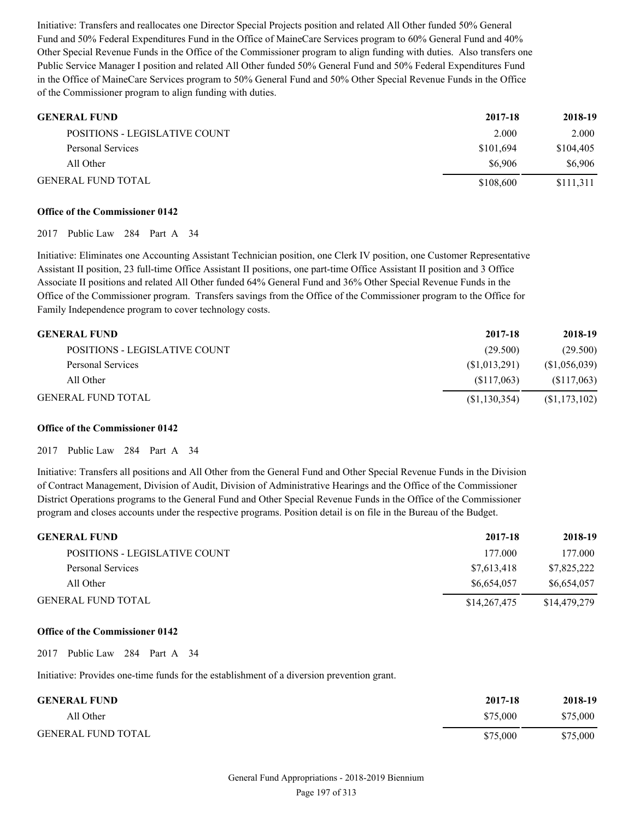Initiative: Transfers and reallocates one Director Special Projects position and related All Other funded 50% General Fund and 50% Federal Expenditures Fund in the Office of MaineCare Services program to 60% General Fund and 40% Other Special Revenue Funds in the Office of the Commissioner program to align funding with duties. Also transfers one Public Service Manager I position and related All Other funded 50% General Fund and 50% Federal Expenditures Fund in the Office of MaineCare Services program to 50% General Fund and 50% Other Special Revenue Funds in the Office of the Commissioner program to align funding with duties.

| <b>GENERAL FUND</b>           | 2017-18   | 2018-19   |
|-------------------------------|-----------|-----------|
| POSITIONS - LEGISLATIVE COUNT | 2.000     | 2.000     |
| Personal Services             | \$101,694 | \$104,405 |
| All Other                     | \$6.906   | \$6,906   |
| <b>GENERAL FUND TOTAL</b>     | \$108,600 | \$111,311 |

# **Office of the Commissioner 0142**

2017 Public Law 284 Part A 34

Initiative: Eliminates one Accounting Assistant Technician position, one Clerk IV position, one Customer Representative Assistant II position, 23 full-time Office Assistant II positions, one part-time Office Assistant II position and 3 Office Associate II positions and related All Other funded 64% General Fund and 36% Other Special Revenue Funds in the Office of the Commissioner program. Transfers savings from the Office of the Commissioner program to the Office for Family Independence program to cover technology costs.

| <b>GENERAL FUND</b>           | 2017-18        | 2018-19        |
|-------------------------------|----------------|----------------|
| POSITIONS - LEGISLATIVE COUNT | (29.500)       | (29.500)       |
| Personal Services             | (S1,013,291)   | (S1,056,039)   |
| All Other                     | (S117.063)     | (S117,063)     |
| <b>GENERAL FUND TOTAL</b>     | (S1, 130, 354) | (S1, 173, 102) |

# **Office of the Commissioner 0142**

2017 Public Law 284 Part A 34

Initiative: Transfers all positions and All Other from the General Fund and Other Special Revenue Funds in the Division of Contract Management, Division of Audit, Division of Administrative Hearings and the Office of the Commissioner District Operations programs to the General Fund and Other Special Revenue Funds in the Office of the Commissioner program and closes accounts under the respective programs. Position detail is on file in the Bureau of the Budget.

| <b>GENERAL FUND</b>           | 2017-18      | 2018-19      |
|-------------------------------|--------------|--------------|
| POSITIONS - LEGISLATIVE COUNT | 177.000      | 177.000      |
| Personal Services             | \$7,613,418  | \$7,825,222  |
| All Other                     | \$6,654,057  | \$6,654,057  |
| <b>GENERAL FUND TOTAL</b>     | \$14,267,475 | \$14,479,279 |

# **Office of the Commissioner 0142**

2017 Public Law 284 Part A 34

Initiative: Provides one-time funds for the establishment of a diversion prevention grant.

| <b>GENERAL FUND</b>       | 2017-18  | 2018-19  |
|---------------------------|----------|----------|
| All Other                 | \$75,000 | \$75,000 |
| <b>GENERAL FUND TOTAL</b> | \$75,000 | \$75,000 |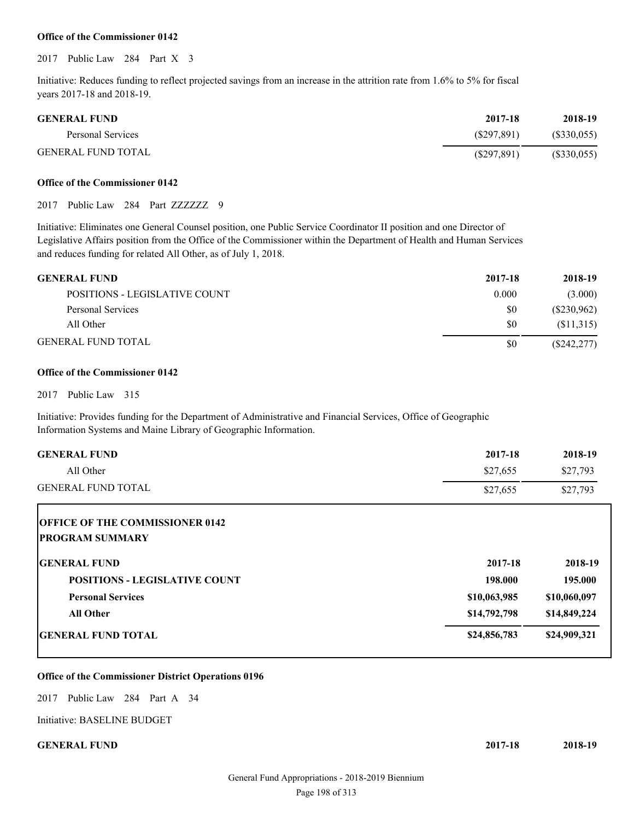#### **Office of the Commissioner 0142**

2017 Public Law 284 Part X 3

Initiative: Reduces funding to reflect projected savings from an increase in the attrition rate from 1.6% to 5% for fiscal years 2017-18 and 2018-19.

| <b>GENERAL FUND</b>       | 2017-18     | 2018-19    |
|---------------------------|-------------|------------|
| Personal Services         | (S297.891)  | (S330,055) |
| <b>GENERAL FUND TOTAL</b> | (S297, 891) | (S330,055) |

#### **Office of the Commissioner 0142**

2017 Public Law 284 Part ZZZZZZZ 9

Initiative: Eliminates one General Counsel position, one Public Service Coordinator II position and one Director of Legislative Affairs position from the Office of the Commissioner within the Department of Health and Human Services and reduces funding for related All Other, as of July 1, 2018.

| <b>GENERAL FUND</b>           | 2017-18 | 2018-19       |
|-------------------------------|---------|---------------|
| POSITIONS - LEGISLATIVE COUNT | 0.000   | (3.000)       |
| Personal Services             | \$0     | $(\$230,962)$ |
| All Other                     | \$0     | (S11,315)     |
| <b>GENERAL FUND TOTAL</b>     | \$0     | (S242, 277)   |

# **Office of the Commissioner 0142**

2017 Public Law 315

Initiative: Provides funding for the Department of Administrative and Financial Services, Office of Geographic Information Systems and Maine Library of Geographic Information.

| <b>GENERAL FUND</b>       | 2017-18  | 2018-19  |
|---------------------------|----------|----------|
| All Other                 | \$27.655 | \$27.793 |
| <b>GENERAL FUND TOTAL</b> | \$27,655 | \$27,793 |

| <b>OFFICE OF THE COMMISSIONER 0142</b> |              |              |
|----------------------------------------|--------------|--------------|
| <b>IPROGRAM SUMMARY</b>                |              |              |
| <b>IGENERAL FUND</b>                   | 2017-18      | 2018-19      |
| <b>POSITIONS - LEGISLATIVE COUNT</b>   | 198.000      | 195.000      |
| <b>Personal Services</b>               | \$10,063,985 | \$10,060,097 |
| <b>All Other</b>                       | \$14,792,798 | \$14,849,224 |
| <b>IGENERAL FUND TOTAL</b>             | \$24,856,783 | \$24,909,321 |

# **Office of the Commissioner District Operations 0196**

2017 Public Law 284 Part A 34

Initiative: BASELINE BUDGET

**GENERAL FUND 2017-18 2018-19**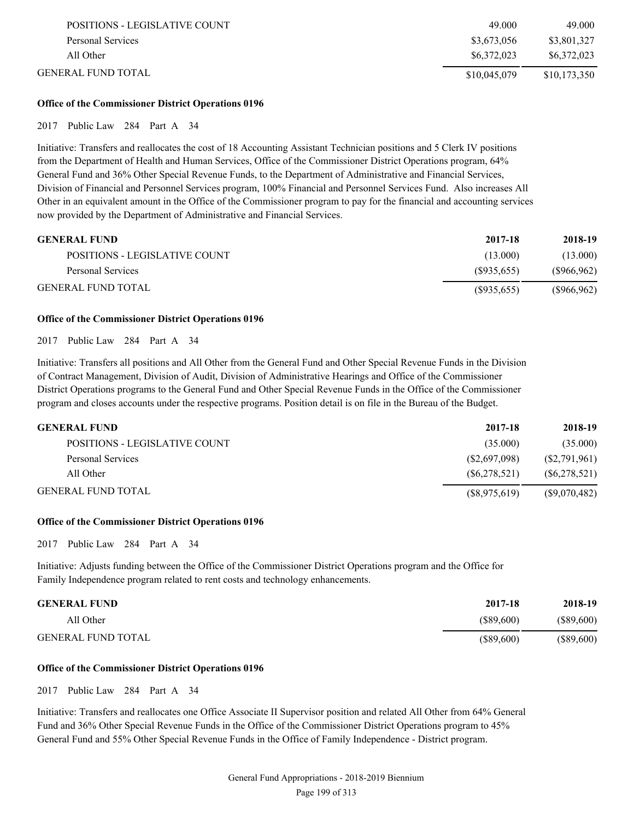| POSITIONS - LEGISLATIVE COUNT | 49.000       | 49.000       |
|-------------------------------|--------------|--------------|
| Personal Services             | \$3,673,056  | \$3,801,327  |
| All Other                     | \$6.372,023  | \$6,372,023  |
| GENERAL FUND TOTAL.           | \$10,045,079 | \$10,173,350 |

# **Office of the Commissioner District Operations 0196**

# 2017 Public Law 284 Part A 34

Initiative: Transfers and reallocates the cost of 18 Accounting Assistant Technician positions and 5 Clerk IV positions from the Department of Health and Human Services, Office of the Commissioner District Operations program, 64% General Fund and 36% Other Special Revenue Funds, to the Department of Administrative and Financial Services, Division of Financial and Personnel Services program, 100% Financial and Personnel Services Fund. Also increases All Other in an equivalent amount in the Office of the Commissioner program to pay for the financial and accounting services now provided by the Department of Administrative and Financial Services.

| <b>GENERAL FUND</b>           | 2017-18     | 2018-19       |
|-------------------------------|-------------|---------------|
| POSITIONS - LEGISLATIVE COUNT | (13.000)    | (13.000)      |
| Personal Services             | (S935.655)  | $(\$966,962)$ |
| <b>GENERAL FUND TOTAL</b>     | (S935, 655) | $(\$966,962)$ |

# **Office of the Commissioner District Operations 0196**

2017 Public Law 284 Part A 34

Initiative: Transfers all positions and All Other from the General Fund and Other Special Revenue Funds in the Division of Contract Management, Division of Audit, Division of Administrative Hearings and Office of the Commissioner District Operations programs to the General Fund and Other Special Revenue Funds in the Office of the Commissioner program and closes accounts under the respective programs. Position detail is on file in the Bureau of the Budget.

| <b>GENERAL FUND</b>           | 2017-18        | 2018-19        |
|-------------------------------|----------------|----------------|
| POSITIONS - LEGISLATIVE COUNT | (35.000)       | (35.000)       |
| Personal Services             | (S2,697,098)   | (S2,791,961)   |
| All Other                     | (S6, 278, 521) | (S6, 278, 521) |
| <b>GENERAL FUND TOTAL</b>     | (S8, 975, 619) | (S9,070,482)   |

# **Office of the Commissioner District Operations 0196**

2017 Public Law 284 Part A 34

Initiative: Adjusts funding between the Office of the Commissioner District Operations program and the Office for Family Independence program related to rent costs and technology enhancements.

| <b>GENERAL FUND</b>       | 2017-18      | 2018-19      |
|---------------------------|--------------|--------------|
| All Other                 | $(\$89,600)$ | (\$89,600)   |
| <b>GENERAL FUND TOTAL</b> | $(\$89,600)$ | $(\$89,600)$ |

# **Office of the Commissioner District Operations 0196**

2017 Public Law 284 Part A 34

Initiative: Transfers and reallocates one Office Associate II Supervisor position and related All Other from 64% General Fund and 36% Other Special Revenue Funds in the Office of the Commissioner District Operations program to 45% General Fund and 55% Other Special Revenue Funds in the Office of Family Independence - District program.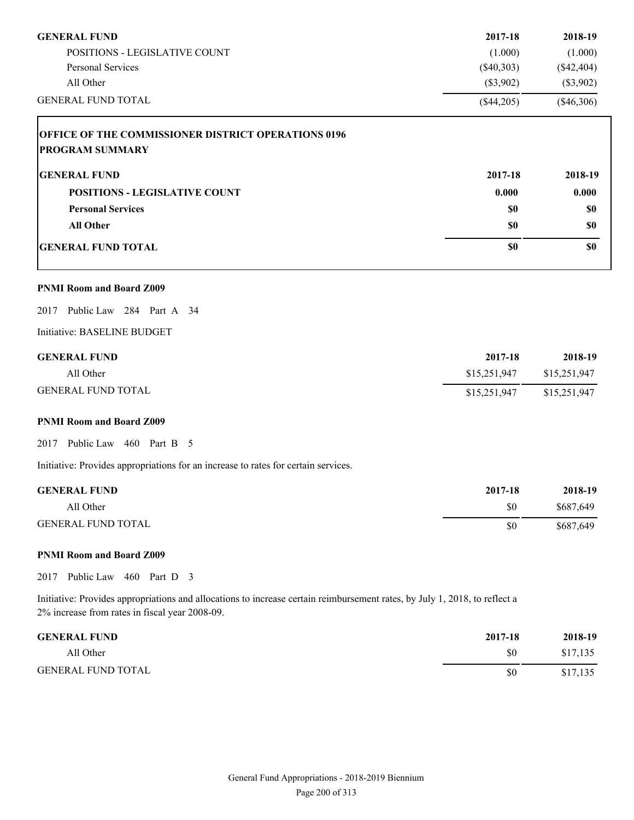| <b>GENERAL FUND</b>                                                                                                                                                          | 2017-18      | 2018-19        |
|------------------------------------------------------------------------------------------------------------------------------------------------------------------------------|--------------|----------------|
| POSITIONS - LEGISLATIVE COUNT                                                                                                                                                | (1.000)      | (1.000)        |
| Personal Services                                                                                                                                                            | $(\$40,303)$ | $(\$42,404)$   |
| All Other                                                                                                                                                                    | (\$3,902)    | $(\$3,902)$    |
| <b>GENERAL FUND TOTAL</b>                                                                                                                                                    | $(\$44,205)$ | $(\$46,306)$   |
| OFFICE OF THE COMMISSIONER DISTRICT OPERATIONS 0196<br><b>PROGRAM SUMMARY</b>                                                                                                |              |                |
| <b>GENERAL FUND</b>                                                                                                                                                          | 2017-18      | 2018-19        |
| <b>POSITIONS - LEGISLATIVE COUNT</b>                                                                                                                                         | 0.000        | 0.000          |
| <b>Personal Services</b>                                                                                                                                                     | \$0          | \$0            |
| <b>All Other</b>                                                                                                                                                             | \$0          | \$0            |
| <b>GENERAL FUND TOTAL</b>                                                                                                                                                    | \$0          | \$0            |
| <b>PNMI Room and Board Z009</b>                                                                                                                                              |              |                |
| 2017 Public Law 284 Part A 34                                                                                                                                                |              |                |
| Initiative: BASELINE BUDGET                                                                                                                                                  |              |                |
| <b>GENERAL FUND</b>                                                                                                                                                          | 2017-18      | 2018-19        |
| All Other                                                                                                                                                                    | \$15,251,947 | \$15,251,947   |
| <b>GENERAL FUND TOTAL</b>                                                                                                                                                    | \$15,251,947 | \$15,251,947   |
| <b>PNMI Room and Board Z009</b>                                                                                                                                              |              |                |
| 2017 Public Law 460 Part B 5                                                                                                                                                 |              |                |
| Initiative: Provides appropriations for an increase to rates for certain services.                                                                                           |              |                |
| <b>GENERAL FUND</b>                                                                                                                                                          | 2017-18      | 2018-19        |
| All Other                                                                                                                                                                    | \$0          | \$687,649      |
| <b>GENERAL FUND TOTAL</b>                                                                                                                                                    | \$0          | \$687,649      |
| <b>PNMI Room and Board Z009</b>                                                                                                                                              |              |                |
| 2017 Public Law 460 Part D 3                                                                                                                                                 |              |                |
| Initiative: Provides appropriations and allocations to increase certain reimbursement rates, by July 1, 2018, to reflect a<br>2% increase from rates in fiscal year 2008-09. |              |                |
| CEMEDAL EUMD                                                                                                                                                                 | 2017.10      | <b>2010 10</b> |

| <b>GENERAL FUND</b>       | 2017-18 | 2018-19  |
|---------------------------|---------|----------|
| All Other                 | \$0     | \$17,135 |
| <b>GENERAL FUND TOTAL</b> | \$0     | \$17,135 |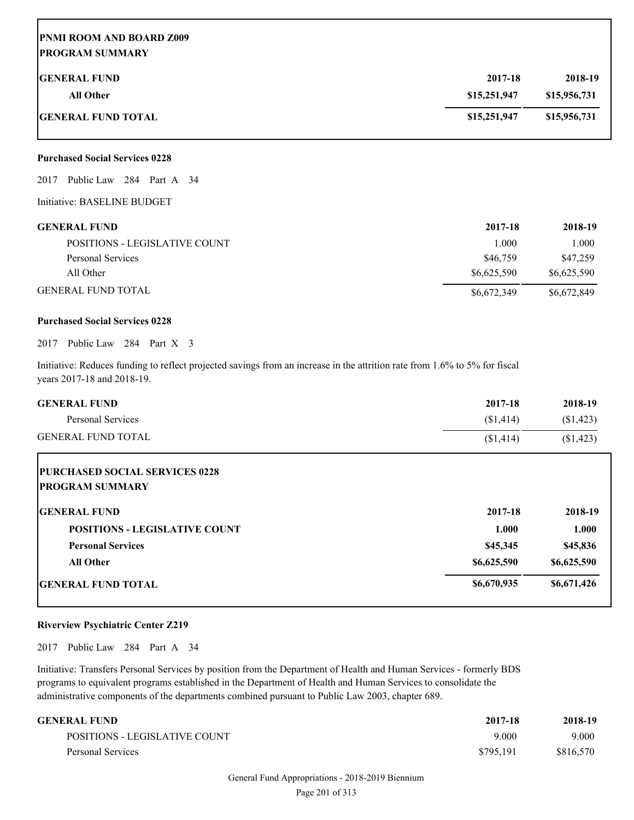# **PNMI ROOM AND BOARD Z009 PROGRAM SUMMARY**

| <b>IGENERAL FUND</b>       | 2017-18      | 2018-19      |
|----------------------------|--------------|--------------|
| All Other                  | \$15,251,947 | \$15,956,731 |
| <b>IGENERAL FUND TOTAL</b> | \$15,251,947 | \$15,956,731 |

# **Purchased Social Services 0228**

2017 Public Law 284 Part A 34

Initiative: BASELINE BUDGET

| <b>GENERAL FUND</b>           | 2017-18     | 2018-19     |
|-------------------------------|-------------|-------------|
| POSITIONS - LEGISLATIVE COUNT | 1.000       | 1.000       |
| Personal Services             | \$46,759    | \$47.259    |
| All Other                     | \$6.625.590 | \$6,625,590 |
| <b>GENERAL FUND TOTAL</b>     | \$6,672,349 | \$6,672,849 |

#### **Purchased Social Services 0228**

2017 Public Law 284 Part X 3

Initiative: Reduces funding to reflect projected savings from an increase in the attrition rate from 1.6% to 5% for fiscal years 2017-18 and 2018-19.

| <b>GENERAL FUND</b>                   | 2017-18     | 2018-19     |
|---------------------------------------|-------------|-------------|
| Personal Services                     | (\$1,414)   | (\$1,423)   |
| <b>GENERAL FUND TOTAL</b>             | (\$1,414)   | (\$1,423)   |
| <b>PURCHASED SOCIAL SERVICES 0228</b> |             |             |
| <b>PROGRAM SUMMARY</b>                |             |             |
| <b>GENERAL FUND</b>                   | 2017-18     | 2018-19     |
| <b>POSITIONS - LEGISLATIVE COUNT</b>  | 1.000       | 1.000       |
| <b>Personal Services</b>              | \$45,345    | \$45,836    |
| <b>All Other</b>                      | \$6,625,590 | \$6,625,590 |
| <b>IGENERAL FUND TOTAL</b>            | \$6,670,935 | \$6,671,426 |

# **Riverview Psychiatric Center Z219**

2017 Public Law 284 Part A 34

Initiative: Transfers Personal Services by position from the Department of Health and Human Services - formerly BDS programs to equivalent programs established in the Department of Health and Human Services to consolidate the administrative components of the departments combined pursuant to Public Law 2003, chapter 689.

| GENERAL FUND                  | 2017-18   | 2018-19   |
|-------------------------------|-----------|-----------|
| POSITIONS - LEGISLATIVE COUNT | 9.000     | 9.000     |
| Personal Services             | \$795.191 | \$816.570 |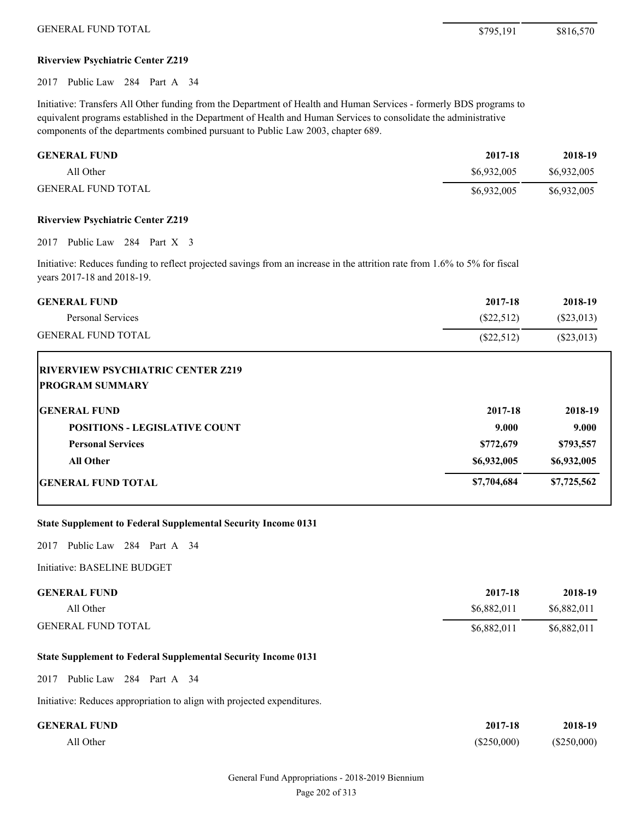# **Riverview Psychiatric Center Z219**

2017 Public Law 284 Part A 34

Initiative: Transfers All Other funding from the Department of Health and Human Services - formerly BDS programs to equivalent programs established in the Department of Health and Human Services to consolidate the administrative components of the departments combined pursuant to Public Law 2003, chapter 689.

| <b>GENERAL FUND</b>       | 2017-18     | 2018-19     |
|---------------------------|-------------|-------------|
| All Other                 | \$6,932,005 | \$6,932,005 |
| <b>GENERAL FUND TOTAL</b> | \$6,932,005 | \$6,932,005 |

#### **Riverview Psychiatric Center Z219**

2017 Public Law 284 Part X 3

Initiative: Reduces funding to reflect projected savings from an increase in the attrition rate from 1.6% to 5% for fiscal years 2017-18 and 2018-19.

| <b>GENERAL FUND</b>       | 2017-18      | 2018-19   |
|---------------------------|--------------|-----------|
| Personal Services         | (S22, 512)   | (S23,013) |
| <b>GENERAL FUND TOTAL</b> | $(\$22,512)$ | (S23,013) |

| <b>IRIVERVIEW PSYCHIATRIC CENTER Z219</b><br><b>PROGRAM SUMMARY</b> |             |             |
|---------------------------------------------------------------------|-------------|-------------|
| <b>IGENERAL FUND</b>                                                | 2017-18     | 2018-19     |
| <b>POSITIONS - LEGISLATIVE COUNT</b>                                | 9.000       | 9.000       |
| <b>Personal Services</b>                                            | \$772,679   | \$793,557   |
| All Other                                                           | \$6,932,005 | \$6,932,005 |
| <b>IGENERAL FUND TOTAL</b>                                          | \$7,704,684 | \$7,725,562 |

# **State Supplement to Federal Supplemental Security Income 0131**

2017 Public Law 284 Part A 34

Initiative: BASELINE BUDGET

| <b>GENERAL FUND</b>       | 2017-18     | 2018-19     |
|---------------------------|-------------|-------------|
| All Other                 | \$6,882,011 | \$6,882,011 |
| <b>GENERAL FUND TOTAL</b> | \$6,882,011 | \$6,882,011 |

#### **State Supplement to Federal Supplemental Security Income 0131**

2017 Public Law 284 Part A 34

Initiative: Reduces appropriation to align with projected expenditures.

| <b>GENERAL FUND</b> | 2017-18       | 2018-19     |
|---------------------|---------------|-------------|
| All Other           | $(\$250,000)$ | (\$250,000) |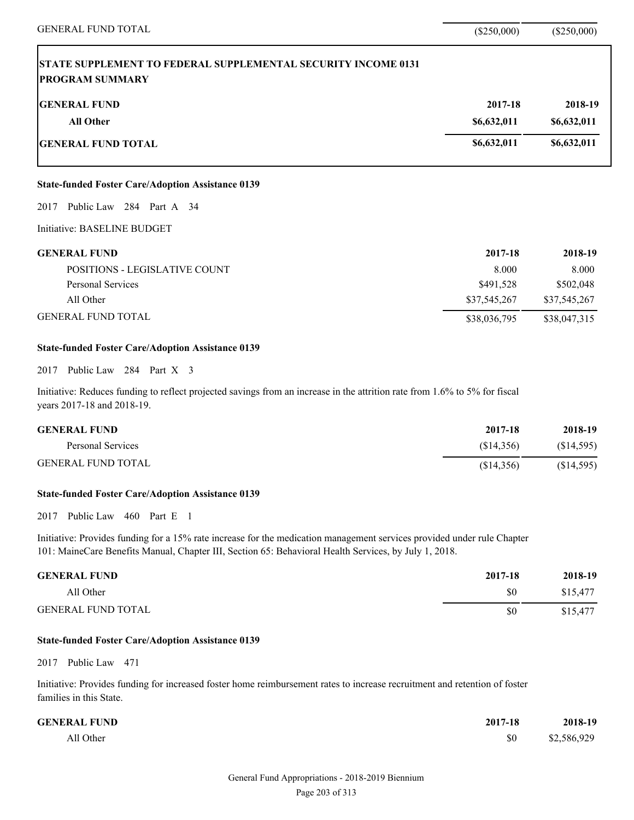| <b>GENERAL FUND TOTAL</b>                                                                                                                                | $(\$250,000)$ | $(\$250,000)$ |
|----------------------------------------------------------------------------------------------------------------------------------------------------------|---------------|---------------|
| <b>STATE SUPPLEMENT TO FEDERAL SUPPLEMENTAL SECURITY INCOME 0131</b><br><b>PROGRAM SUMMARY</b>                                                           |               |               |
| <b>GENERAL FUND</b>                                                                                                                                      | 2017-18       | 2018-19       |
| <b>All Other</b>                                                                                                                                         | \$6,632,011   | \$6,632,011   |
| <b>GENERAL FUND TOTAL</b>                                                                                                                                | \$6,632,011   | \$6,632,011   |
| <b>State-funded Foster Care/Adoption Assistance 0139</b>                                                                                                 |               |               |
| 2017 Public Law 284 Part A 34                                                                                                                            |               |               |
| Initiative: BASELINE BUDGET                                                                                                                              |               |               |
| <b>GENERAL FUND</b>                                                                                                                                      | 2017-18       | 2018-19       |
| POSITIONS - LEGISLATIVE COUNT                                                                                                                            | 8.000         | 8.000         |
| <b>Personal Services</b>                                                                                                                                 | \$491,528     | \$502,048     |
| All Other                                                                                                                                                | \$37,545,267  | \$37,545,267  |
| <b>GENERAL FUND TOTAL</b>                                                                                                                                | \$38,036,795  | \$38,047,315  |
| <b>State-funded Foster Care/Adoption Assistance 0139</b>                                                                                                 |               |               |
| 2017 Public Law 284 Part X 3                                                                                                                             |               |               |
| Initiative: Reduces funding to reflect projected savings from an increase in the attrition rate from 1.6% to 5% for fiscal<br>years 2017-18 and 2018-19. |               |               |
| <b>GENERAL FUND</b>                                                                                                                                      | 2017-18       | 2018-19       |
| <b>Personal Services</b>                                                                                                                                 | (\$14,356)    | (\$14,595)    |
| <b>GENERAL FUND TOTAL</b>                                                                                                                                | (\$14,356)    | (\$14,595)    |
|                                                                                                                                                          |               |               |

# **State-funded Foster Care/Adoption Assistance 0139**

2017 Public Law 460 Part E 1

Initiative: Provides funding for a 15% rate increase for the medication management services provided under rule Chapter 101: MaineCare Benefits Manual, Chapter III, Section 65: Behavioral Health Services, by July 1, 2018.

| <b>GENERAL FUND</b>       | 2017-18 | 2018-19  |
|---------------------------|---------|----------|
| All Other                 | \$0     | \$15.477 |
| <b>GENERAL FUND TOTAL</b> | \$0     | \$15,477 |

# **State-funded Foster Care/Adoption Assistance 0139**

2017 Public Law 471

Initiative: Provides funding for increased foster home reimbursement rates to increase recruitment and retention of foster families in this State.

| <b>GENERAL FUND</b> | 2017-18 | 2018-19     |
|---------------------|---------|-------------|
| All Other           | \$0     | \$2,586,929 |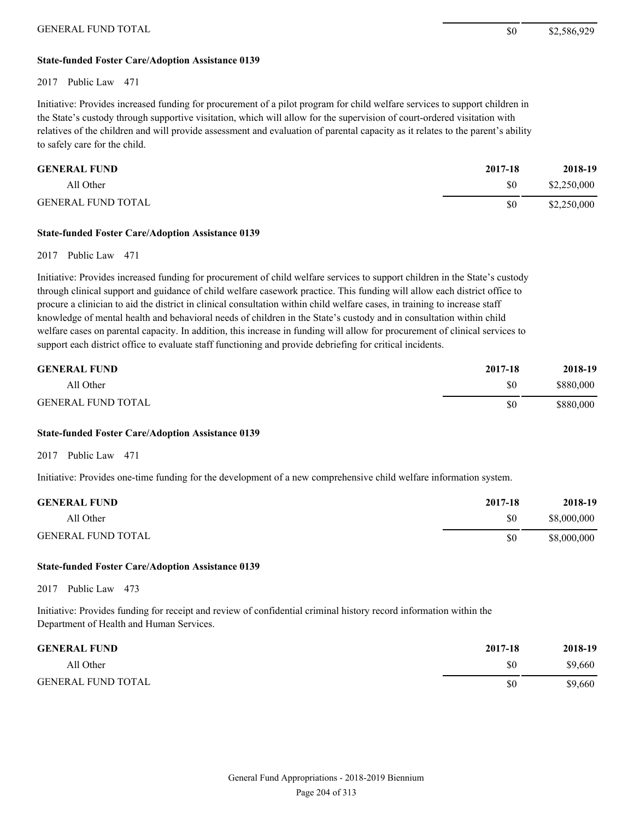# **State-funded Foster Care/Adoption Assistance 0139**

#### 2017 Public Law 471

Initiative: Provides increased funding for procurement of a pilot program for child welfare services to support children in the State's custody through supportive visitation, which will allow for the supervision of court-ordered visitation with relatives of the children and will provide assessment and evaluation of parental capacity as it relates to the parent's ability to safely care for the child.

| <b>GENERAL FUND</b>       | 2017-18 | 2018-19     |
|---------------------------|---------|-------------|
| All Other                 | \$0     | \$2,250,000 |
| <b>GENERAL FUND TOTAL</b> | \$0     | \$2,250,000 |

#### **State-funded Foster Care/Adoption Assistance 0139**

# 2017 Public Law 471

Initiative: Provides increased funding for procurement of child welfare services to support children in the State's custody through clinical support and guidance of child welfare casework practice. This funding will allow each district office to procure a clinician to aid the district in clinical consultation within child welfare cases, in training to increase staff knowledge of mental health and behavioral needs of children in the State's custody and in consultation within child welfare cases on parental capacity. In addition, this increase in funding will allow for procurement of clinical services to support each district office to evaluate staff functioning and provide debriefing for critical incidents.

| <b>GENERAL FUND</b>       | 2017-18 | 2018-19   |
|---------------------------|---------|-----------|
| All Other                 | \$0     | \$880,000 |
| <b>GENERAL FUND TOTAL</b> | \$0     | \$880,000 |

# **State-funded Foster Care/Adoption Assistance 0139**

2017 Public Law 471

Initiative: Provides one-time funding for the development of a new comprehensive child welfare information system.

| <b>GENERAL FUND</b>       | 2017-18 | 2018-19     |
|---------------------------|---------|-------------|
| All Other                 | \$0     | \$8,000,000 |
| <b>GENERAL FUND TOTAL</b> | \$0     | \$8,000,000 |

#### **State-funded Foster Care/Adoption Assistance 0139**

2017 Public Law 473

Initiative: Provides funding for receipt and review of confidential criminal history record information within the Department of Health and Human Services.

| <b>GENERAL FUND</b>       | 2017-18 | 2018-19 |
|---------------------------|---------|---------|
| All Other                 | \$0     | \$9,660 |
| <b>GENERAL FUND TOTAL</b> | \$0     | \$9,660 |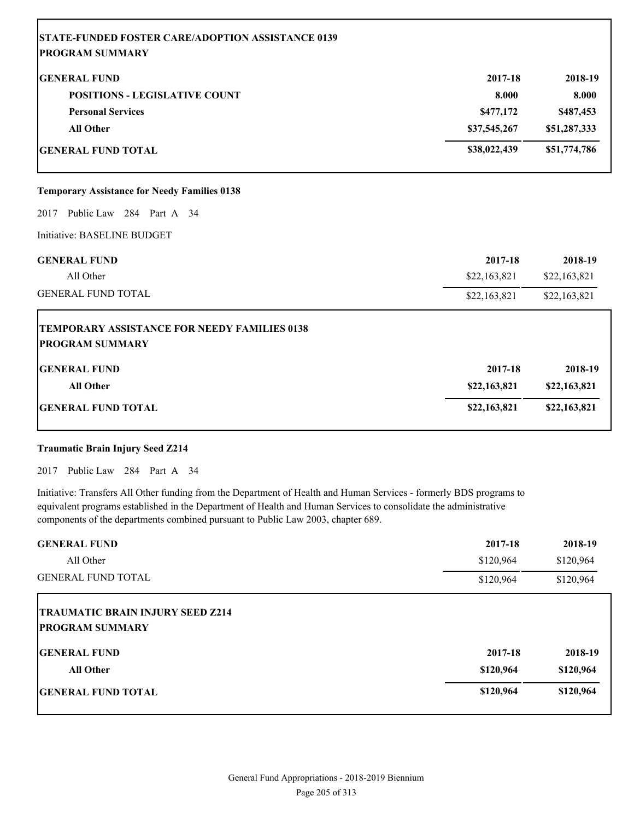| <b>STATE-FUNDED FOSTER CARE/ADOPTION ASSISTANCE 0139</b>                      |              |              |
|-------------------------------------------------------------------------------|--------------|--------------|
| <b>PROGRAM SUMMARY</b>                                                        |              |              |
| <b>GENERAL FUND</b>                                                           | 2017-18      | 2018-19      |
| <b>POSITIONS - LEGISLATIVE COUNT</b>                                          | 8.000        | 8.000        |
| <b>Personal Services</b>                                                      | \$477,172    | \$487,453    |
| <b>All Other</b>                                                              | \$37,545,267 | \$51,287,333 |
| <b>GENERAL FUND TOTAL</b>                                                     | \$38,022,439 | \$51,774,786 |
| <b>Temporary Assistance for Needy Families 0138</b>                           |              |              |
| Public Law 284 Part A 34<br>2017                                              |              |              |
| Initiative: BASELINE BUDGET                                                   |              |              |
| <b>GENERAL FUND</b>                                                           | 2017-18      | 2018-19      |
| All Other                                                                     | \$22,163,821 | \$22,163,821 |
| <b>GENERAL FUND TOTAL</b>                                                     | \$22,163,821 | \$22,163,821 |
| <b>TEMPORARY ASSISTANCE FOR NEEDY FAMILIES 0138</b><br><b>PROGRAM SUMMARY</b> |              |              |
| <b>GENERAL FUND</b>                                                           | 2017-18      | 2018-19      |
| <b>All Other</b>                                                              | \$22,163,821 | \$22,163,821 |
| <b>GENERAL FUND TOTAL</b>                                                     | \$22,163,821 | \$22,163,821 |

# **Traumatic Brain Injury Seed Z214**

2017 Public Law 284 Part A 34

Initiative: Transfers All Other funding from the Department of Health and Human Services - formerly BDS programs to equivalent programs established in the Department of Health and Human Services to consolidate the administrative components of the departments combined pursuant to Public Law 2003, chapter 689.

| <b>GENERAL FUND</b>                     | 2017-18   | 2018-19   |
|-----------------------------------------|-----------|-----------|
| All Other                               | \$120,964 | \$120,964 |
| <b>GENERAL FUND TOTAL</b>               | \$120,964 | \$120,964 |
| <b>TRAUMATIC BRAIN INJURY SEED Z214</b> |           |           |
| <b>PROGRAM SUMMARY</b>                  |           |           |
| <b>IGENERAL FUND</b>                    | 2017-18   | 2018-19   |
| <b>All Other</b>                        | \$120,964 | \$120,964 |
| <b>GENERAL FUND TOTAL</b>               | \$120,964 | \$120,964 |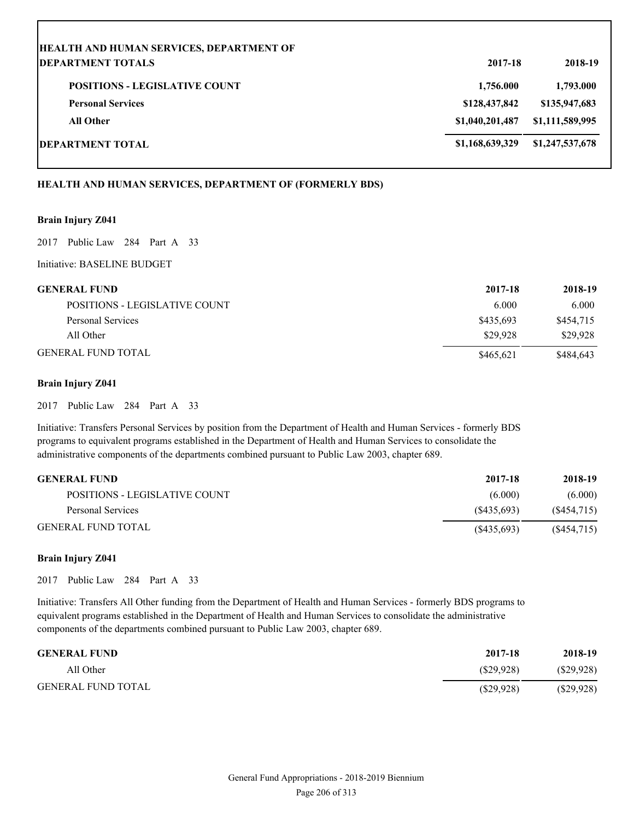| <b>HEALTH AND HUMAN SERVICES, DEPARTMENT OF</b> |                 |                 |
|-------------------------------------------------|-----------------|-----------------|
| <b>DEPARTMENT TOTALS</b>                        | 2017-18         | 2018-19         |
| <b>POSITIONS - LEGISLATIVE COUNT</b>            | 1,756.000       | 1,793.000       |
| <b>Personal Services</b>                        | \$128,437,842   | \$135,947,683   |
| <b>All Other</b>                                | \$1,040,201,487 | \$1,111,589,995 |
| <b>DEPARTMENT TOTAL</b>                         | \$1,168,639,329 | \$1,247,537,678 |

# **HEALTH AND HUMAN SERVICES, DEPARTMENT OF (FORMERLY BDS)**

# **Brain Injury Z041**

2017 Public Law 284 Part A 33

Initiative: BASELINE BUDGET

| <b>GENERAL FUND</b>           | 2017-18   | 2018-19   |
|-------------------------------|-----------|-----------|
| POSITIONS - LEGISLATIVE COUNT | 6.000     | 6.000     |
| Personal Services             | \$435,693 | \$454,715 |
| All Other                     | \$29,928  | \$29,928  |
| <b>GENERAL FUND TOTAL</b>     | \$465,621 | \$484,643 |

# **Brain Injury Z041**

2017 Public Law 284 Part A 33

Initiative: Transfers Personal Services by position from the Department of Health and Human Services - formerly BDS programs to equivalent programs established in the Department of Health and Human Services to consolidate the administrative components of the departments combined pursuant to Public Law 2003, chapter 689.

| <b>GENERAL FUND</b>           | 2017-18     | 2018-19    |
|-------------------------------|-------------|------------|
| POSITIONS - LEGISLATIVE COUNT | (6.000)     | (6.000)    |
| Personal Services             | (S435.693)  | (S454,715) |
| <b>GENERAL FUND TOTAL</b>     | (S435, 693) | (S454,715) |

# **Brain Injury Z041**

2017 Public Law 284 Part A 33

Initiative: Transfers All Other funding from the Department of Health and Human Services - formerly BDS programs to equivalent programs established in the Department of Health and Human Services to consolidate the administrative components of the departments combined pursuant to Public Law 2003, chapter 689.

| <b>GENERAL FUND</b>       | 2017-18   | 2018-19      |
|---------------------------|-----------|--------------|
| All Other                 | (S29.928) | $(\$29,928)$ |
| <b>GENERAL FUND TOTAL</b> | (S29.928) | $(\$29,928)$ |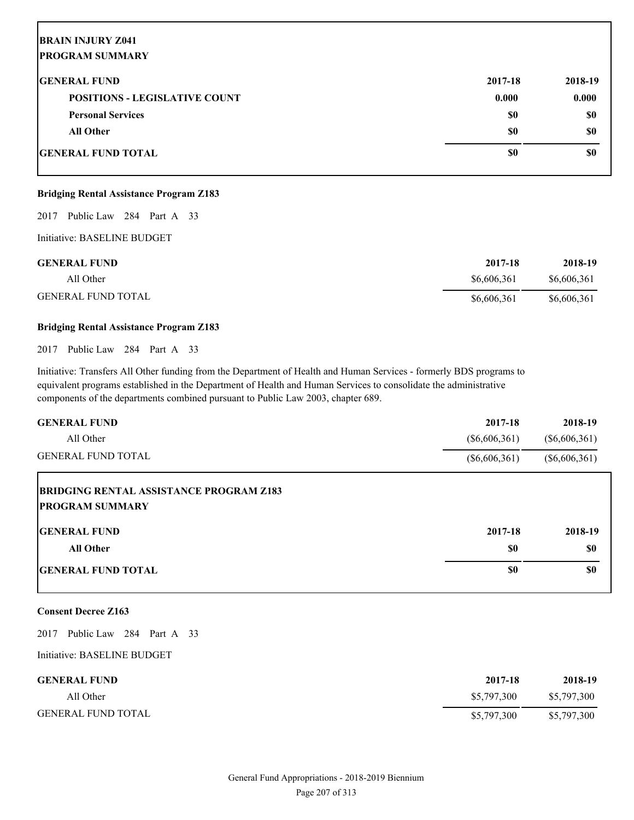# **BRAIN INJURY Z041 PROGRAM SUMMARY**

| <b>GENERAL FUND</b>                  | 2017-18 | 2018-19 |
|--------------------------------------|---------|---------|
| <b>POSITIONS - LEGISLATIVE COUNT</b> | 0.000   | 0.000   |
| <b>Personal Services</b>             | \$0     | \$0     |
| <b>All Other</b>                     | \$0     | \$0     |
| <b>GENERAL FUND TOTAL</b>            | \$0     | \$0     |

# **Bridging Rental Assistance Program Z183**

2017 Public Law 284 Part A 33

Initiative: BASELINE BUDGET

| <b>GENERAL FUND</b>       | 2017-18     | 2018-19     |
|---------------------------|-------------|-------------|
| All Other                 | \$6,606,361 | \$6,606,361 |
| <b>GENERAL FUND TOTAL</b> | \$6,606,361 | \$6,606,361 |

# **Bridging Rental Assistance Program Z183**

2017 Public Law 284 Part A 33

Initiative: Transfers All Other funding from the Department of Health and Human Services - formerly BDS programs to equivalent programs established in the Department of Health and Human Services to consolidate the administrative components of the departments combined pursuant to Public Law 2003, chapter 689.

| <b>GENERAL FUND</b>                                                       | 2017-18         | 2018-19         |
|---------------------------------------------------------------------------|-----------------|-----------------|
| All Other                                                                 | $(\$6,606,361)$ | $(\$6,606,361)$ |
| <b>GENERAL FUND TOTAL</b>                                                 | $(\$6,606,361)$ | $(\$6,606,361)$ |
| <b>BRIDGING RENTAL ASSISTANCE PROGRAM Z183</b><br><b>IPROGRAM SUMMARY</b> |                 |                 |
| <b>IGENERAL FUND</b>                                                      | 2017-18         | 2018-19         |
| <b>All Other</b>                                                          | \$0             | \$0             |
| <b>IGENERAL FUND TOTAL</b>                                                | \$0             | \$0             |

# **Consent Decree Z163**

2017 Public Law 284 Part A 33

Initiative: BASELINE BUDGET

| <b>GENERAL FUND</b>       | 2017-18     | 2018-19     |
|---------------------------|-------------|-------------|
| All Other                 | \$5,797,300 | \$5,797,300 |
| <b>GENERAL FUND TOTAL</b> | \$5,797,300 | \$5,797,300 |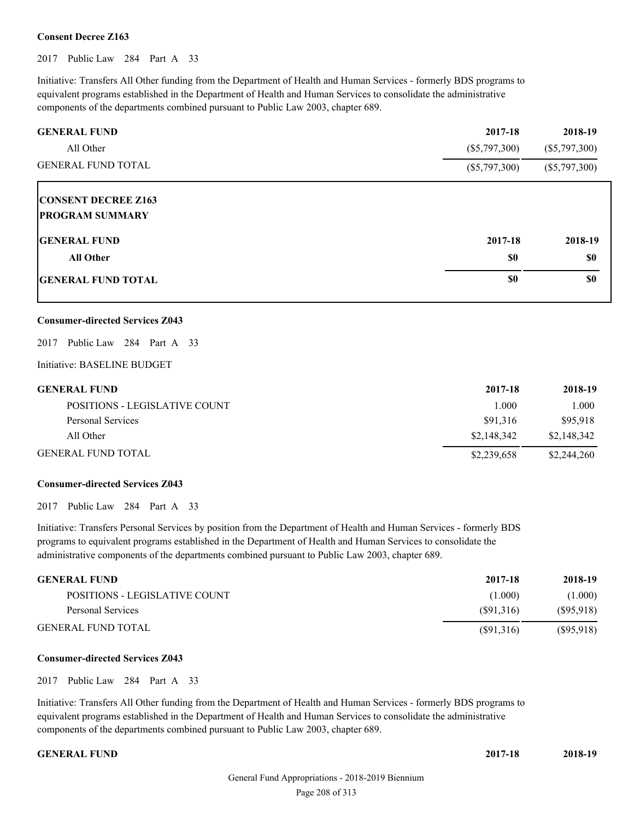# **Consent Decree Z163**

2017 Public Law 284 Part A 33

Initiative: Transfers All Other funding from the Department of Health and Human Services - formerly BDS programs to equivalent programs established in the Department of Health and Human Services to consolidate the administrative components of the departments combined pursuant to Public Law 2003, chapter 689.

| <b>GENERAL FUND</b>        | 2017-18         | 2018-19         |
|----------------------------|-----------------|-----------------|
| All Other                  | $(\$5,797,300)$ | $(\$5,797,300)$ |
| <b>GENERAL FUND TOTAL</b>  | $(\$5,797,300)$ | $(\$5,797,300)$ |
| <b>CONSENT DECREE Z163</b> |                 |                 |
| <b>PROGRAM SUMMARY</b>     |                 |                 |
| <b>IGENERAL FUND</b>       | 2017-18         | 2018-19         |
| <b>All Other</b>           | \$0             | \$0             |
| <b>GENERAL FUND TOTAL</b>  | \$0             | \$0             |

# **Consumer-directed Services Z043**

2017 Public Law 284 Part A 33

Initiative: BASELINE BUDGET

| <b>GENERAL FUND</b>           | 2017-18     | 2018-19     |
|-------------------------------|-------------|-------------|
| POSITIONS - LEGISLATIVE COUNT | 1.000       | .000        |
| Personal Services             | \$91.316    | \$95.918    |
| All Other                     | \$2,148,342 | \$2,148,342 |
| GENERAL FUND TOTAL            | \$2,239,658 | \$2,244,260 |

# **Consumer-directed Services Z043**

2017 Public Law 284 Part A 33

Initiative: Transfers Personal Services by position from the Department of Health and Human Services - formerly BDS programs to equivalent programs established in the Department of Health and Human Services to consolidate the administrative components of the departments combined pursuant to Public Law 2003, chapter 689.

| <b>GENERAL FUND</b>           | 2017-18   | 2018-19   |
|-------------------------------|-----------|-----------|
| POSITIONS - LEGISLATIVE COUNT | (1.000)   | (1.000)   |
| Personal Services             | (S91.316) | (S95.918) |
| <b>GENERAL FUND TOTAL</b>     | (S91,316) | (S95,918) |

#### **Consumer-directed Services Z043**

2017 Public Law 284 Part A 33

Initiative: Transfers All Other funding from the Department of Health and Human Services - formerly BDS programs to equivalent programs established in the Department of Health and Human Services to consolidate the administrative components of the departments combined pursuant to Public Law 2003, chapter 689.

**GENERAL FUND 2017-18 2018-19**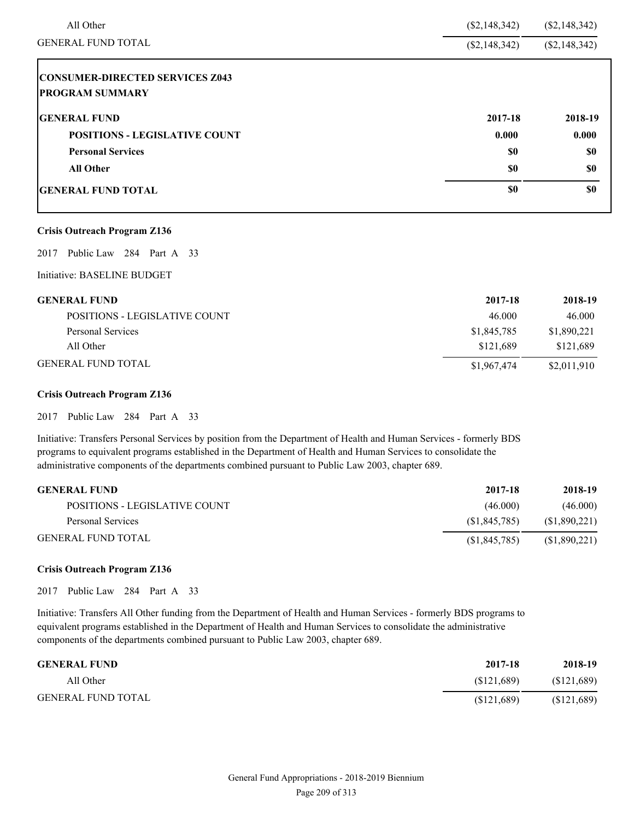| All Other                                                        | $(\$2,148,342)$ | $(\$2,148,342)$ |
|------------------------------------------------------------------|-----------------|-----------------|
| <b>GENERAL FUND TOTAL</b>                                        | $(\$2,148,342)$ | $(\$2,148,342)$ |
| <b>CONSUMER-DIRECTED SERVICES Z043</b><br><b>PROGRAM SUMMARY</b> |                 |                 |
| <b>GENERAL FUND</b>                                              | 2017-18         | 2018-19         |
| <b>POSITIONS - LEGISLATIVE COUNT</b>                             | 0.000           | 0.000           |
| <b>Personal Services</b>                                         | \$0             | \$0             |
| <b>All Other</b>                                                 | \$0             | \$0             |
| <b>IGENERAL FUND TOTAL</b>                                       | \$0             | \$0             |

# **Crisis Outreach Program Z136**

2017 Public Law 284 Part A 33

Initiative: BASELINE BUDGET

| <b>GENERAL FUND</b>           | 2017-18     | 2018-19     |
|-------------------------------|-------------|-------------|
| POSITIONS - LEGISLATIVE COUNT | 46.000      | 46.000      |
| Personal Services             | \$1,845,785 | \$1,890,221 |
| All Other                     | \$121.689   | \$121,689   |
| <b>GENERAL FUND TOTAL</b>     | \$1,967,474 | \$2,011,910 |

# **Crisis Outreach Program Z136**

2017 Public Law 284 Part A 33

Initiative: Transfers Personal Services by position from the Department of Health and Human Services - formerly BDS programs to equivalent programs established in the Department of Health and Human Services to consolidate the administrative components of the departments combined pursuant to Public Law 2003, chapter 689.

| <b>GENERAL FUND</b>           | 2017-18        | 2018-19      |
|-------------------------------|----------------|--------------|
| POSITIONS - LEGISLATIVE COUNT | (46.000)       | (46.000)     |
| Personal Services             | (S1.845.785)   | (S1,890,221) |
| <b>GENERAL FUND TOTAL</b>     | (S1, 845, 785) | (S1,890,221) |

# **Crisis Outreach Program Z136**

2017 Public Law 284 Part A 33

Initiative: Transfers All Other funding from the Department of Health and Human Services - formerly BDS programs to equivalent programs established in the Department of Health and Human Services to consolidate the administrative components of the departments combined pursuant to Public Law 2003, chapter 689.

| <b>GENERAL FUND</b>       | 2017-18    | 2018-19     |
|---------------------------|------------|-------------|
| All Other                 | (S121.689) | (\$121,689) |
| <b>GENERAL FUND TOTAL</b> | (S121.689) | \$121,689   |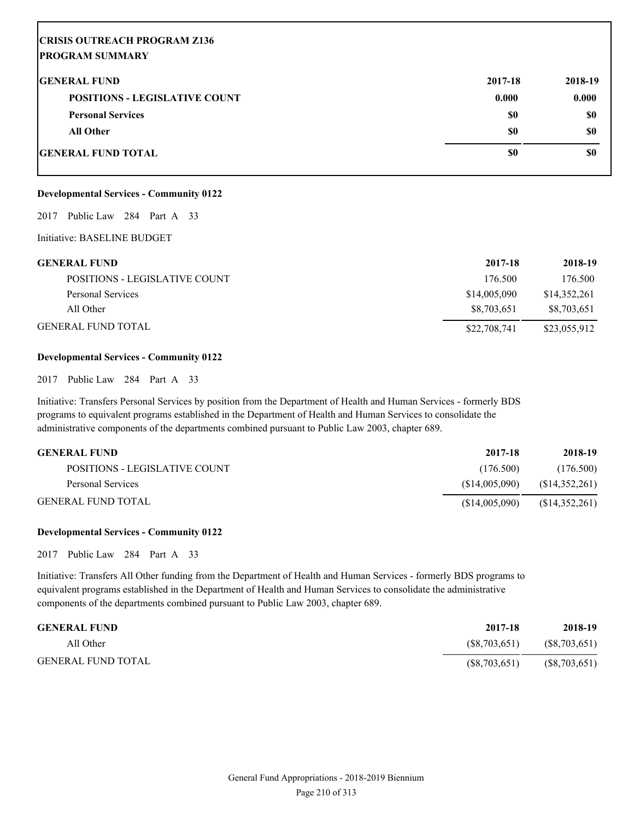# **CRISIS OUTREACH PROGRAM Z136 PROGRAM SUMMARY**

| <b>GENERAL FUND</b>                  | 2017-18 | 2018-19 |
|--------------------------------------|---------|---------|
| <b>POSITIONS - LEGISLATIVE COUNT</b> | 0.000   | 0.000   |
| <b>Personal Services</b>             | \$0     | \$0     |
| All Other                            | \$0     | \$0     |
| <b>GENERAL FUND TOTAL</b>            | \$0     | \$0     |

# **Developmental Services - Community 0122**

2017 Public Law 284 Part A 33

Initiative: BASELINE BUDGET

| <b>GENERAL FUND</b>           | 2017-18      | 2018-19      |
|-------------------------------|--------------|--------------|
| POSITIONS - LEGISLATIVE COUNT | 176.500      | 176.500      |
| Personal Services             | \$14,005,090 | \$14,352,261 |
| All Other                     | \$8,703,651  | \$8,703,651  |
| <b>GENERAL FUND TOTAL</b>     | \$22,708,741 | \$23,055,912 |

# **Developmental Services - Community 0122**

2017 Public Law 284 Part A 33

Initiative: Transfers Personal Services by position from the Department of Health and Human Services - formerly BDS programs to equivalent programs established in the Department of Health and Human Services to consolidate the administrative components of the departments combined pursuant to Public Law 2003, chapter 689.

| <b>GENERAL FUND</b>           | 2017-18       | 2018-19        |
|-------------------------------|---------------|----------------|
| POSITIONS - LEGISLATIVE COUNT | (176.500)     | (176.500)      |
| Personal Services             | (S14.005.090) | (S14,352,261)  |
| <b>GENERAL FUND TOTAL</b>     | (S14,005,090) | (\$14,352,261) |

# **Developmental Services - Community 0122**

2017 Public Law 284 Part A 33

Initiative: Transfers All Other funding from the Department of Health and Human Services - formerly BDS programs to equivalent programs established in the Department of Health and Human Services to consolidate the administrative components of the departments combined pursuant to Public Law 2003, chapter 689.

| <b>GENERAL FUND</b>       | 2017-18      | 2018-19         |
|---------------------------|--------------|-----------------|
| All Other                 | (S8.703.651) | (S8,703,651)    |
| <b>GENERAL FUND TOTAL</b> | (S8,703,651) | $(\$8,703,651)$ |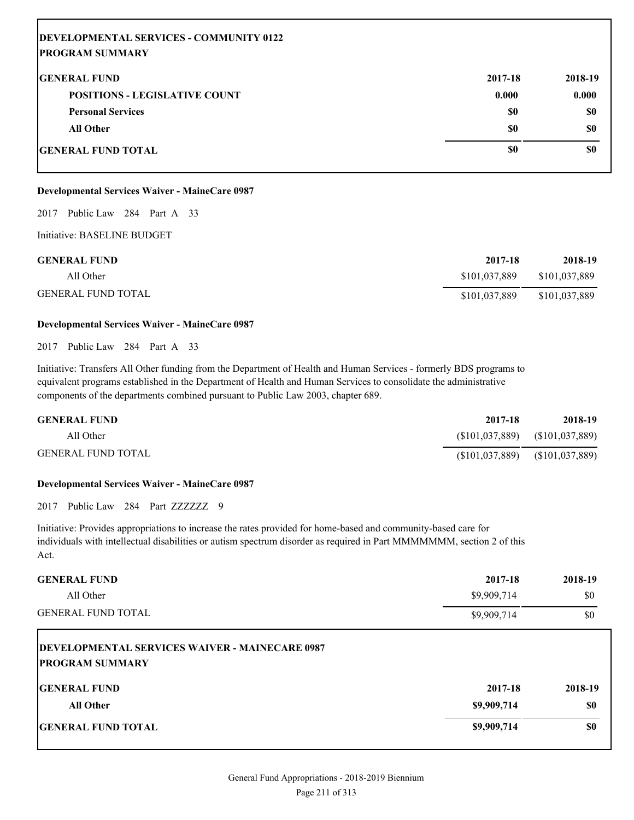| DEVELOPMENTAL SERVICES - COMMUNITY 0122 |         |         |
|-----------------------------------------|---------|---------|
| <b>PROGRAM SUMMARY</b>                  |         |         |
| <b>IGENERAL FUND</b>                    | 2017-18 | 2018-19 |
| <b>POSITIONS - LEGISLATIVE COUNT</b>    | 0.000   | 0.000   |
| <b>Personal Services</b>                | \$0     | \$0     |
| <b>All Other</b>                        | \$0     | \$0     |
| GENERAL FUND TOTAL                      | \$0     | \$0     |

# **Developmental Services Waiver - MaineCare 0987**

# 2017 Public Law 284 Part A 33

Initiative: BASELINE BUDGET

| <b>GENERAL FUND</b>       | 2017-18       | 2018-19       |
|---------------------------|---------------|---------------|
| All Other                 | \$101,037,889 | \$101,037,889 |
| <b>GENERAL FUND TOTAL</b> | \$101,037,889 | \$101,037,889 |

# **Developmental Services Waiver - MaineCare 0987**

2017 Public Law 284 Part A 33

Initiative: Transfers All Other funding from the Department of Health and Human Services - formerly BDS programs to equivalent programs established in the Department of Health and Human Services to consolidate the administrative components of the departments combined pursuant to Public Law 2003, chapter 689.

| <b>GENERAL FUND</b>       | 2017-18          | 2018-19                           |
|---------------------------|------------------|-----------------------------------|
| All Other                 | (S101, 037, 889) | (S101, 037, 889)                  |
| <b>GENERAL FUND TOTAL</b> |                  | $($101,037,889)$ $($101,037,889)$ |

### **Developmental Services Waiver - MaineCare 0987**

2017 Public Law 284 Part ZZZZZZZ 9

Initiative: Provides appropriations to increase the rates provided for home-based and community-based care for individuals with intellectual disabilities or autism spectrum disorder as required in Part MMMMMMM, section 2 of this Act.

| <b>GENERAL FUND</b>                                                             | 2017-18     | 2018-19 |
|---------------------------------------------------------------------------------|-------------|---------|
| All Other                                                                       | \$9,909,714 | \$0     |
| <b>GENERAL FUND TOTAL</b>                                                       | \$9,909,714 | \$0     |
| <b>DEVELOPMENTAL SERVICES WAIVER - MAINECARE 0987</b><br><b>PROGRAM SUMMARY</b> |             |         |
| <b>IGENERAL FUND</b>                                                            | 2017-18     | 2018-19 |
| <b>All Other</b>                                                                | \$9,909,714 | \$0     |
| <b>IGENERAL FUND TOTAL</b>                                                      | \$9,909,714 | \$0     |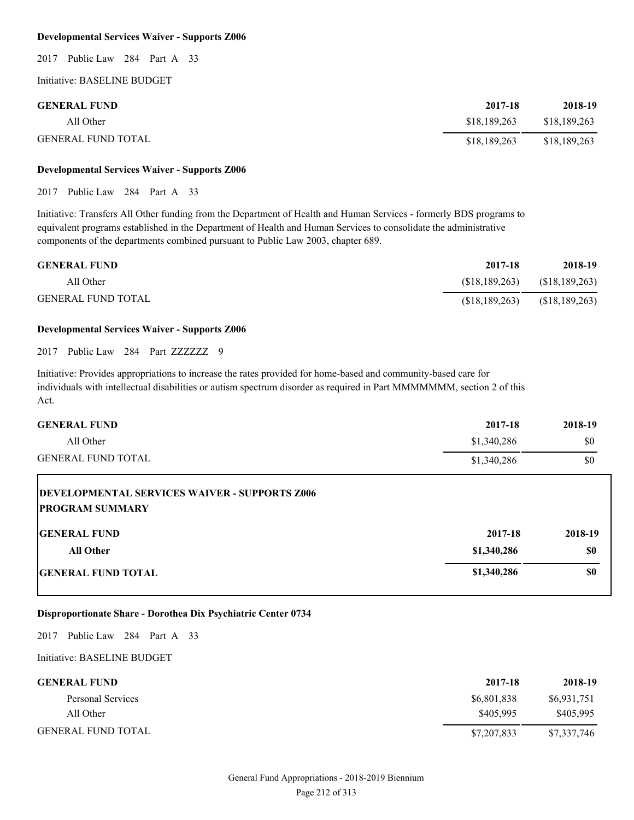#### **Developmental Services Waiver - Supports Z006**

2017 Public Law 284 Part A 33

Initiative: BASELINE BUDGET

| <b>GENERAL FUND</b>       | 2017-18      | 2018-19      |
|---------------------------|--------------|--------------|
| All Other                 | \$18,189,263 | \$18,189,263 |
| <b>GENERAL FUND TOTAL</b> | \$18,189,263 | \$18,189,263 |

# **Developmental Services Waiver - Supports Z006**

2017 Public Law 284 Part A 33

Initiative: Transfers All Other funding from the Department of Health and Human Services - formerly BDS programs to equivalent programs established in the Department of Health and Human Services to consolidate the administrative components of the departments combined pursuant to Public Law 2003, chapter 689.

| <b>GENERAL FUND</b>       | 2017-18         | 2018-19        |
|---------------------------|-----------------|----------------|
| All Other                 | (S18, 189, 263) | (\$18,189,263) |
| <b>GENERAL FUND TOTAL</b> | (S18, 189, 263) | (\$18,189,263) |

# **Developmental Services Waiver - Supports Z006**

2017 Public Law 284 Part ZZZZZZZ 9

Initiative: Provides appropriations to increase the rates provided for home-based and community-based care for individuals with intellectual disabilities or autism spectrum disorder as required in Part MMMMMMM, section 2 of this Act.

| <b>GENERAL FUND</b>                                                            | 2017-18     | 2018-19 |
|--------------------------------------------------------------------------------|-------------|---------|
| All Other                                                                      | \$1,340,286 | \$0     |
| <b>GENERAL FUND TOTAL</b>                                                      | \$1,340,286 | \$0     |
| <b>DEVELOPMENTAL SERVICES WAIVER - SUPPORTS Z006</b><br><b>PROGRAM SUMMARY</b> |             |         |
| <b>IGENERAL FUND</b>                                                           | 2017-18     | 2018-19 |
| <b>All Other</b>                                                               | \$1,340,286 | \$0     |
| <b>GENERAL FUND TOTAL</b>                                                      | \$1,340,286 | \$0     |

# **Disproportionate Share - Dorothea Dix Psychiatric Center 0734**

2017 Public Law 284 Part A 33

| <b>GENERAL FUND</b>       | 2017-18     | 2018-19     |
|---------------------------|-------------|-------------|
| Personal Services         | \$6,801,838 | \$6,931,751 |
| All Other                 | \$405,995   | \$405.995   |
| <b>GENERAL FUND TOTAL</b> | \$7,207,833 | \$7,337,746 |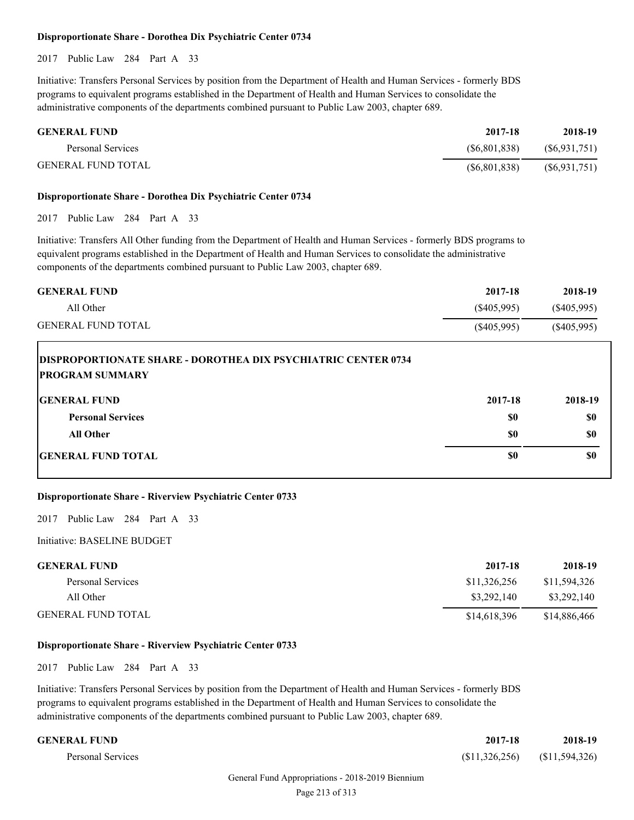## **Disproportionate Share - Dorothea Dix Psychiatric Center 0734**

2017 Public Law 284 Part A 33

Initiative: Transfers Personal Services by position from the Department of Health and Human Services - formerly BDS programs to equivalent programs established in the Department of Health and Human Services to consolidate the administrative components of the departments combined pursuant to Public Law 2003, chapter 689.

| <b>GENERAL FUND</b>       | 2017-18        | 2018-19         |
|---------------------------|----------------|-----------------|
| Personal Services         | (S6, 801, 838) | (S6, 931, 751)  |
| <b>GENERAL FUND TOTAL</b> | (S6, 801, 838) | $(\$6,931,751)$ |

## **Disproportionate Share - Dorothea Dix Psychiatric Center 0734**

2017 Public Law 284 Part A 33

Initiative: Transfers All Other funding from the Department of Health and Human Services - formerly BDS programs to equivalent programs established in the Department of Health and Human Services to consolidate the administrative components of the departments combined pursuant to Public Law 2003, chapter 689.

| <b>GENERAL FUND</b>                                                                            | 2017-18       | 2018-19       |
|------------------------------------------------------------------------------------------------|---------------|---------------|
| All Other                                                                                      | $(\$405,995)$ | $(\$405,995)$ |
| <b>GENERAL FUND TOTAL</b>                                                                      | $(\$405,995)$ | $(\$405,995)$ |
| <b>DISPROPORTIONATE SHARE - DOROTHEA DIX PSYCHIATRIC CENTER 0734</b><br><b>PROGRAM SUMMARY</b> |               |               |
| <b>IGENERAL FUND</b>                                                                           | 2017-18       | 2018-19       |

| <b>Personal Services</b>  | \$0 | \$0 |
|---------------------------|-----|-----|
| All Other                 | \$0 | \$0 |
| <b>GENERAL FUND TOTAL</b> | \$0 | \$0 |
|                           |     |     |

# **Disproportionate Share - Riverview Psychiatric Center 0733**

2017 Public Law 284 Part A 33

Initiative: BASELINE BUDGET

| <b>GENERAL FUND</b>       | 2017-18      | 2018-19      |
|---------------------------|--------------|--------------|
| Personal Services         | \$11,326,256 | \$11,594,326 |
| All Other                 | \$3,292,140  | \$3,292,140  |
| <b>GENERAL FUND TOTAL</b> | \$14.618.396 | \$14,886,466 |

#### **Disproportionate Share - Riverview Psychiatric Center 0733**

2017 Public Law 284 Part A 33

| <b>GENERAL FUND</b> | 2017-18                         | 2018-19 |
|---------------------|---------------------------------|---------|
| Personal Services   | $($11,326,256)$ $($11,594,326)$ |         |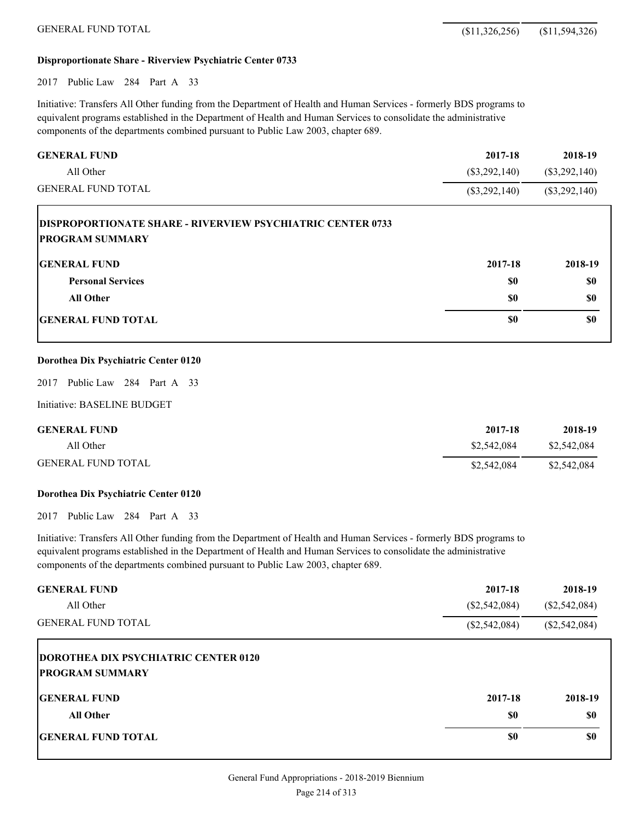# **Disproportionate Share - Riverview Psychiatric Center 0733**

2017 Public Law 284 Part A 33

Initiative: Transfers All Other funding from the Department of Health and Human Services - formerly BDS programs to equivalent programs established in the Department of Health and Human Services to consolidate the administrative components of the departments combined pursuant to Public Law 2003, chapter 689.

| <b>GENERAL FUND</b>                                                                         | 2017-18         | 2018-19         |
|---------------------------------------------------------------------------------------------|-----------------|-----------------|
| All Other                                                                                   | $(\$3,292,140)$ | $(\$3,292,140)$ |
| <b>GENERAL FUND TOTAL</b>                                                                   | $(\$3,292,140)$ | $(\$3,292,140)$ |
| <b>DISPROPORTIONATE SHARE - RIVERVIEW PSYCHIATRIC CENTER 0733</b><br><b>PROGRAM SUMMARY</b> |                 |                 |
| <b>GENERAL FUND</b>                                                                         | 2017-18         | 2018-19         |
| <b>Personal Services</b>                                                                    | \$0             | \$0             |
| <b>All Other</b>                                                                            | \$0             | \$0             |
| <b>GENERAL FUND TOTAL</b>                                                                   | \$0             | \$0             |

#### **Dorothea Dix Psychiatric Center 0120**

2017 Public Law 284 Part A 33

Initiative: BASELINE BUDGET

| <b>GENERAL FUND</b>       | 2017-18     | 2018-19     |
|---------------------------|-------------|-------------|
| All Other                 | \$2,542,084 | \$2,542,084 |
| <b>GENERAL FUND TOTAL</b> | \$2,542,084 | \$2,542,084 |

#### **Dorothea Dix Psychiatric Center 0120**

2017 Public Law 284 Part A 33

| <b>GENERAL FUND</b><br>All Other<br><b>GENERAL FUND TOTAL</b>         | 2017-18<br>$(\$2,542,084)$<br>$(\$2,542,084)$ | 2018-19<br>$(\$2,542,084)$<br>$(\$2,542,084)$ |
|-----------------------------------------------------------------------|-----------------------------------------------|-----------------------------------------------|
| <b>DOROTHEA DIX PSYCHIATRIC CENTER 0120</b><br><b>PROGRAM SUMMARY</b> |                                               |                                               |
| <b>IGENERAL FUND</b>                                                  | 2017-18                                       | 2018-19                                       |
| <b>All Other</b>                                                      | \$0                                           | <b>SO</b>                                     |
| <b>GENERAL FUND TOTAL</b>                                             | \$0                                           | \$0                                           |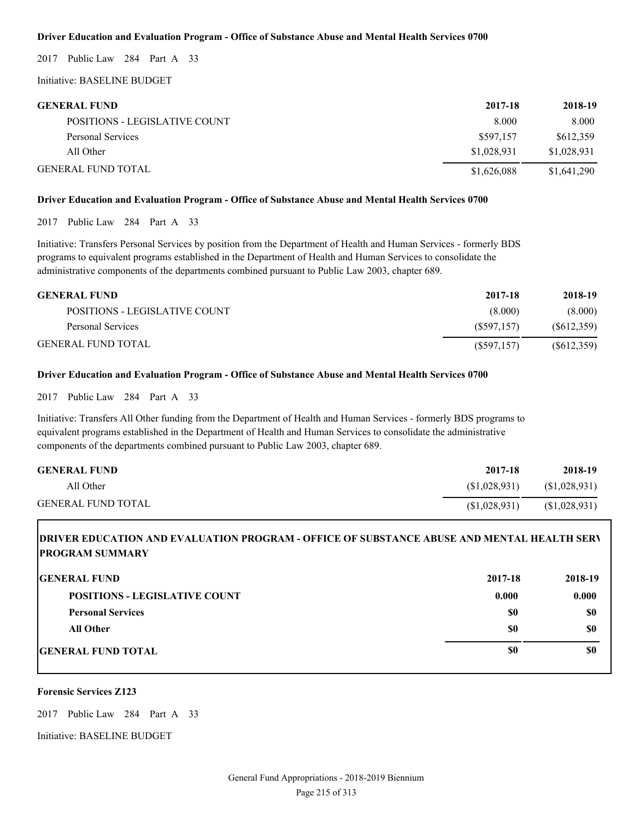# **Driver Education and Evaluation Program - Office of Substance Abuse and Mental Health Services 0700**

2017 Public Law 284 Part A 33

Initiative: BASELINE BUDGET

| <b>GENERAL FUND</b>                  | 2017-18     | 2018-19     |
|--------------------------------------|-------------|-------------|
| <b>POSITIONS - LEGISLATIVE COUNT</b> | 8.000       | 8.000       |
| Personal Services                    | \$597.157   | \$612,359   |
| All Other                            | \$1,028,931 | \$1,028,931 |
| <b>GENERAL FUND TOTAL</b>            | \$1,626,088 | \$1,641,290 |

# **Driver Education and Evaluation Program - Office of Substance Abuse and Mental Health Services 0700**

2017 Public Law 284 Part A 33

Initiative: Transfers Personal Services by position from the Department of Health and Human Services - formerly BDS programs to equivalent programs established in the Department of Health and Human Services to consolidate the administrative components of the departments combined pursuant to Public Law 2003, chapter 689.

| <b>GENERAL FUND</b>           | 2017-18     | 2018-19    |
|-------------------------------|-------------|------------|
| POSITIONS - LEGISLATIVE COUNT | (8.000)     | (8.000)    |
| Personal Services             | (S597.157)  | (S612,359) |
| <b>GENERAL FUND TOTAL</b>     | (S597, 157) | (S612,359) |

# **Driver Education and Evaluation Program - Office of Substance Abuse and Mental Health Services 0700**

2017 Public Law 284 Part A 33

Initiative: Transfers All Other funding from the Department of Health and Human Services - formerly BDS programs to equivalent programs established in the Department of Health and Human Services to consolidate the administrative components of the departments combined pursuant to Public Law 2003, chapter 689.

| <b>GENERAL FUND</b>       | 2017-18      | 2018-19      |
|---------------------------|--------------|--------------|
| All Other                 | (S1.028.931) | (S1,028,931) |
| <b>GENERAL FUND TOTAL</b> | (S1,028,931) | (S1,028,931) |

# **DRIVER EDUCATION AND EVALUATION PROGRAM - OFFICE OF SUBSTANCE ABUSE AND MENTAL HEALTH SERV PROGRAM SUMMARY**

| <b>GENERAL FUND</b>                  | 2017-18 | 2018-19 |
|--------------------------------------|---------|---------|
| <b>POSITIONS - LEGISLATIVE COUNT</b> | 0.000   | 0.000   |
| <b>Personal Services</b>             | \$0     | \$0     |
| <b>All Other</b>                     | \$0     | \$0     |
| <b>GENERAL FUND TOTAL</b>            | \$0     | \$0     |

#### **Forensic Services Z123**

2017 Public Law 284 Part A 33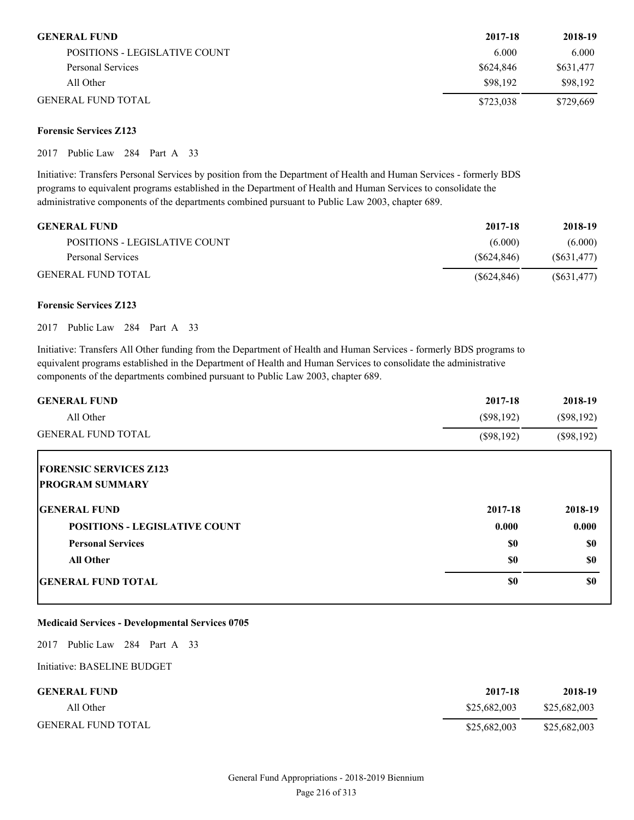| <b>GENERAL FUND</b>           | 2017-18   | 2018-19   |
|-------------------------------|-----------|-----------|
| POSITIONS - LEGISLATIVE COUNT | 6.000     | 6.000     |
| Personal Services             | \$624,846 | \$631,477 |
| All Other                     | \$98,192  | \$98.192  |
| <b>GENERAL FUND TOTAL</b>     | \$723,038 | \$729,669 |

# **Forensic Services Z123**

2017 Public Law 284 Part A 33

Initiative: Transfers Personal Services by position from the Department of Health and Human Services - formerly BDS programs to equivalent programs established in the Department of Health and Human Services to consolidate the administrative components of the departments combined pursuant to Public Law 2003, chapter 689.

| <b>GENERAL FUND</b>           | 2017-18    | 2018-19     |
|-------------------------------|------------|-------------|
| POSITIONS - LEGISLATIVE COUNT | (6.000)    | (6.000)     |
| Personal Services             | (S624.846) | (S631, 477) |
| <b>GENERAL FUND TOTAL</b>     | (S624.846) | (S631, 477) |

# **Forensic Services Z123**

2017 Public Law 284 Part A 33

Initiative: Transfers All Other funding from the Department of Health and Human Services - formerly BDS programs to equivalent programs established in the Department of Health and Human Services to consolidate the administrative components of the departments combined pursuant to Public Law 2003, chapter 689.

| <b>GENERAL FUND</b>                  | 2017-18      | 2018-19      |
|--------------------------------------|--------------|--------------|
| All Other                            | $(\$98,192)$ | $(\$98,192)$ |
| <b>GENERAL FUND TOTAL</b>            | $(\$98,192)$ | $(\$98,192)$ |
| <b>FORENSIC SERVICES Z123</b>        |              |              |
| <b>PROGRAM SUMMARY</b>               |              |              |
| <b>GENERAL FUND</b>                  | 2017-18      | 2018-19      |
| <b>POSITIONS - LEGISLATIVE COUNT</b> | 0.000        | 0.000        |
| <b>Personal Services</b>             | \$0          | <b>SO</b>    |
| <b>All Other</b>                     | \$0          | <b>SO</b>    |
| <b>GENERAL FUND TOTAL</b>            | \$0          | \$0          |

# **Medicaid Services - Developmental Services 0705**

2017 Public Law 284 Part A 33

| <b>GENERAL FUND</b>       | 2017-18      | 2018-19      |
|---------------------------|--------------|--------------|
| All Other                 | \$25,682,003 | \$25,682,003 |
| <b>GENERAL FUND TOTAL</b> | \$25,682,003 | \$25,682,003 |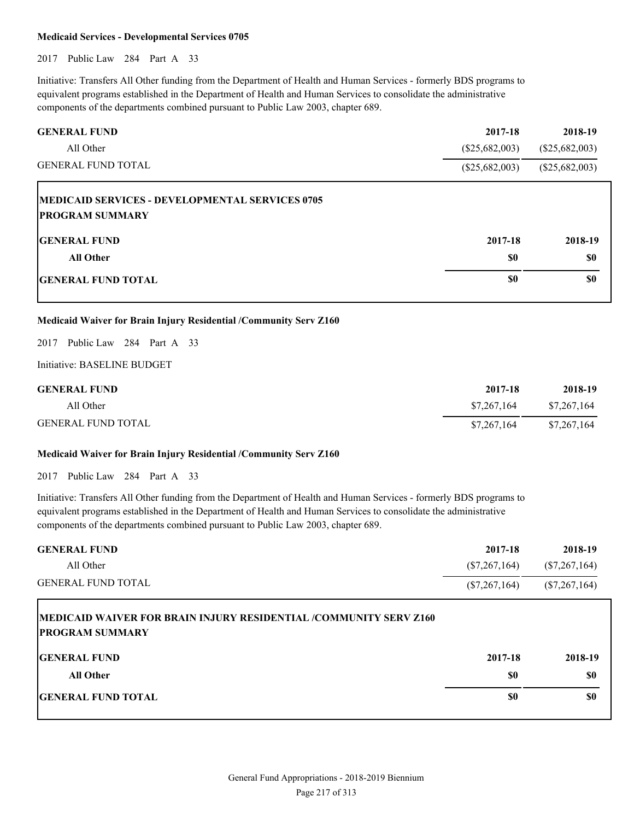#### **Medicaid Services - Developmental Services 0705**

2017 Public Law 284 Part A 33

Initiative: Transfers All Other funding from the Department of Health and Human Services - formerly BDS programs to equivalent programs established in the Department of Health and Human Services to consolidate the administrative components of the departments combined pursuant to Public Law 2003, chapter 689.

| <b>GENERAL FUND</b>                                    | 2017-18          | 2018-19          |
|--------------------------------------------------------|------------------|------------------|
| All Other                                              | $(\$25,682,003)$ | $(\$25,682,003)$ |
| <b>GENERAL FUND TOTAL</b>                              | $(\$25,682,003)$ | $(\$25,682,003)$ |
| <b>MEDICAID SERVICES - DEVELOPMENTAL SERVICES 0705</b> |                  |                  |
| <b>PROGRAM SUMMARY</b>                                 |                  |                  |
| <b>IGENERAL FUND</b>                                   | 2017-18          | 2018-19          |
| <b>All Other</b>                                       | <b>SO</b>        | \$0              |
| <b>IGENERAL FUND TOTAL</b>                             | \$0              | \$0              |

# **Medicaid Waiver for Brain Injury Residential /Community Serv Z160**

2017 Public Law 284 Part A 33

Initiative: BASELINE BUDGET

| <b>GENERAL FUND</b>       | 2017-18     | 2018-19     |
|---------------------------|-------------|-------------|
| All Other                 | \$7,267,164 | \$7,267,164 |
| <b>GENERAL FUND TOTAL</b> | \$7,267,164 | \$7,267,164 |

#### **Medicaid Waiver for Brain Injury Residential /Community Serv Z160**

2017 Public Law 284 Part A 33

| <b>GENERAL FUND</b>       | 2017-18        | 2018-19         |
|---------------------------|----------------|-----------------|
| All Other                 | (S7, 267, 164) | (S7, 267, 164)  |
| <b>GENERAL FUND TOTAL</b> | (S7, 267, 164) | $(\$7,267,164)$ |

| <b>IMEDICAID WAIVER FOR BRAIN INJURY RESIDENTIAL /COMMUNITY SERV Z160</b><br><b>PROGRAM SUMMARY</b> |           |         |
|-----------------------------------------------------------------------------------------------------|-----------|---------|
| <b>GENERAL FUND</b>                                                                                 | 2017-18   | 2018-19 |
| <b>All Other</b>                                                                                    | <b>SO</b> | \$0     |
| <b>IGENERAL FUND TOTAL</b>                                                                          | \$0       | \$0     |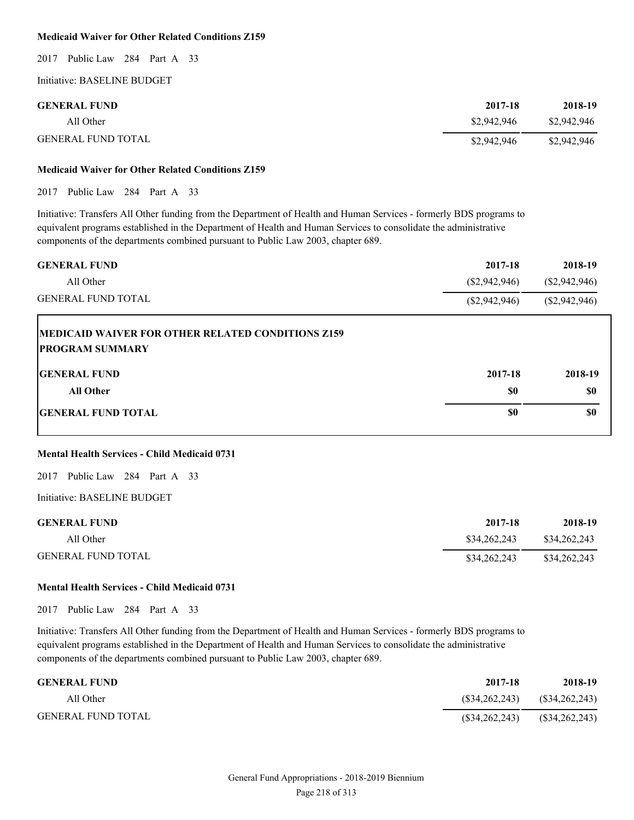# **Medicaid Waiver for Other Related Conditions Z159**

2017 Public Law 284 Part A 33

Initiative: BASELINE BUDGET

| <b>GENERAL FUND</b>       | 2017-18     | 2018-19     |
|---------------------------|-------------|-------------|
| All Other                 | \$2,942,946 | \$2,942,946 |
| <b>GENERAL FUND TOTAL</b> | \$2,942,946 | \$2,942,946 |

### **Medicaid Waiver for Other Related Conditions Z159**

2017 Public Law 284 Part A 33

Initiative: Transfers All Other funding from the Department of Health and Human Services - formerly BDS programs to equivalent programs established in the Department of Health and Human Services to consolidate the administrative components of the departments combined pursuant to Public Law 2003, chapter 689.

| <b>GENERAL FUND</b>                                       | 2017-18        | 2018-19       |
|-----------------------------------------------------------|----------------|---------------|
| All Other                                                 | (S2, 942, 946) | (\$2,942,946) |
| <b>GENERAL FUND TOTAL</b>                                 | (S2, 942, 946) | (\$2,942,946) |
| <b>IMEDICAID WAIVER FOR OTHER RELATED CONDITIONS Z159</b> |                |               |

| <b>PROGRAM SUMMARY</b>    |         |         |
|---------------------------|---------|---------|
| <b>GENERAL FUND</b>       | 2017-18 | 2018-19 |
| All Other                 | \$0     | \$0     |
| <b>GENERAL FUND TOTAL</b> | \$0     | \$0     |

#### **Mental Health Services - Child Medicaid 0731**

2017 Public Law 284 Part A 33

Initiative: BASELINE BUDGET

| <b>GENERAL FUND</b>       | 2017-18      | 2018-19      |
|---------------------------|--------------|--------------|
| All Other                 | \$34,262,243 | \$34,262,243 |
| <b>GENERAL FUND TOTAL</b> | \$34,262,243 | \$34,262,243 |

# **Mental Health Services - Child Medicaid 0731**

2017 Public Law 284 Part A 33

| <b>GENERAL FUND</b> | 2017-18 | 2018-19                         |
|---------------------|---------|---------------------------------|
| All Other           |         | $($34,262,243)$ $($34,262,243)$ |
| GENERAL FUND TOTAL  |         | $($34,262,243)$ $($34,262,243)$ |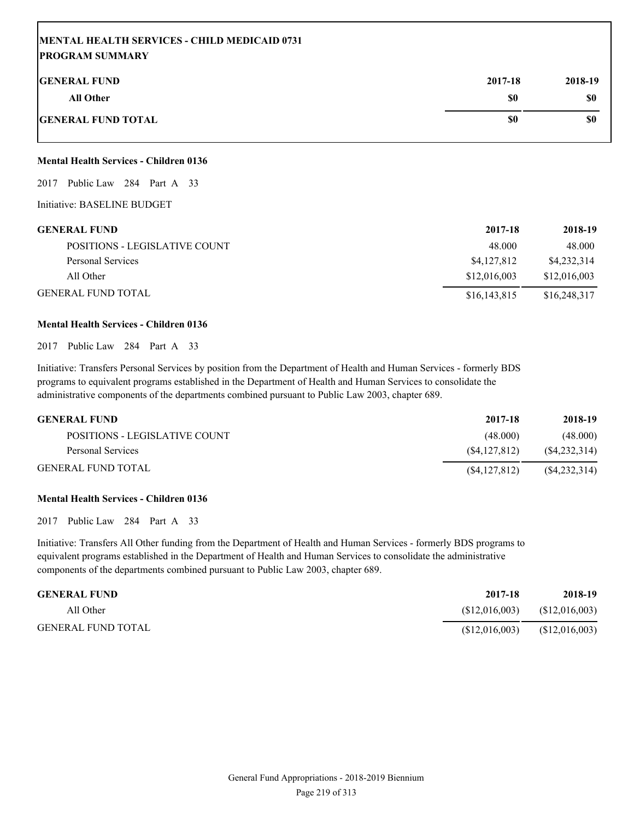# **MENTAL HEALTH SERVICES - CHILD MEDICAID 0731 PROGRAM SUMMARY**

| <b>GENERAL FUND</b>       | 2017-18 | 2018-19 |
|---------------------------|---------|---------|
| All Other                 | \$0     | \$0     |
| <b>GENERAL FUND TOTAL</b> | \$0     | \$0     |

# **Mental Health Services - Children 0136**

2017 Public Law 284 Part A 33

Initiative: BASELINE BUDGET

| <b>GENERAL FUND</b>           | 2017-18      | 2018-19      |
|-------------------------------|--------------|--------------|
| POSITIONS - LEGISLATIVE COUNT | 48.000       | 48.000       |
| Personal Services             | \$4,127,812  | \$4,232,314  |
| All Other                     | \$12,016,003 | \$12,016,003 |
| <b>GENERAL FUND TOTAL</b>     | \$16,143,815 | \$16,248,317 |

#### **Mental Health Services - Children 0136**

2017 Public Law 284 Part A 33

Initiative: Transfers Personal Services by position from the Department of Health and Human Services - formerly BDS programs to equivalent programs established in the Department of Health and Human Services to consolidate the administrative components of the departments combined pursuant to Public Law 2003, chapter 689.

| <b>GENERAL FUND</b>           | 2017-18        | 2018-19        |
|-------------------------------|----------------|----------------|
| POSITIONS - LEGISLATIVE COUNT | (48.000)       | (48.000)       |
| Personal Services             | (S4.127.812)   | (S4, 232, 314) |
| <b>GENERAL FUND TOTAL</b>     | (S4, 127, 812) | (S4, 232, 314) |

#### **Mental Health Services - Children 0136**

2017 Public Law 284 Part A 33

| <b>GENERAL FUND</b>       | 2017-18       | 2018-19        |
|---------------------------|---------------|----------------|
| All Other                 | (S12,016,003) | (S12,016,003)  |
| <b>GENERAL FUND TOTAL</b> | (S12,016,003) | (\$12,016,003) |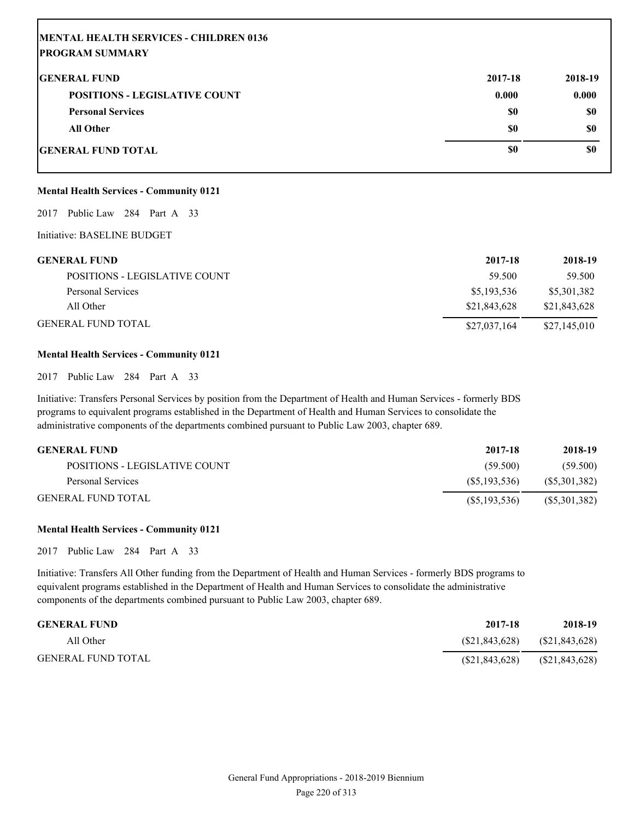| MENTAL HEALTH SERVICES - CHILDREN 0136 |         |           |
|----------------------------------------|---------|-----------|
| <b>IPROGRAM SUMMARY</b>                |         |           |
| <b>IGENERAL FUND</b>                   | 2017-18 | 2018-19   |
| <b>POSITIONS - LEGISLATIVE COUNT</b>   | 0.000   | 0.000     |
| <b>Personal Services</b>               | \$0     | <b>SO</b> |
| <b>All Other</b>                       | \$0     | <b>SO</b> |
| <b>IGENERAL FUND TOTAL</b>             | \$0     | \$0       |

# **Mental Health Services - Community 0121**

2017 Public Law 284 Part A 33

Initiative: BASELINE BUDGET

| <b>GENERAL FUND</b>           | 2017-18      | 2018-19      |
|-------------------------------|--------------|--------------|
| POSITIONS - LEGISLATIVE COUNT | 59.500       | 59.500       |
| Personal Services             | \$5,193,536  | \$5,301,382  |
| All Other                     | \$21,843,628 | \$21,843,628 |
| <b>GENERAL FUND TOTAL</b>     | \$27,037,164 | \$27,145,010 |

#### **Mental Health Services - Community 0121**

2017 Public Law 284 Part A 33

Initiative: Transfers Personal Services by position from the Department of Health and Human Services - formerly BDS programs to equivalent programs established in the Department of Health and Human Services to consolidate the administrative components of the departments combined pursuant to Public Law 2003, chapter 689.

| <b>GENERAL FUND</b>           | 2017-18        | 2018-19      |
|-------------------------------|----------------|--------------|
| POSITIONS - LEGISLATIVE COUNT | (59.500)       | (59.500)     |
| Personal Services             | (S5.193.536)   | (S5,301,382) |
| <b>GENERAL FUND TOTAL</b>     | (S5, 193, 536) | (S5,301,382) |

# **Mental Health Services - Community 0121**

2017 Public Law 284 Part A 33

| <b>GENERAL FUND</b>       | 2017-18         | 2018-19          |
|---------------------------|-----------------|------------------|
| All Other                 | (S21, 843, 628) | (S21, 843, 628)  |
| <b>GENERAL FUND TOTAL</b> | (S21, 843, 628) | $(\$21,843,628)$ |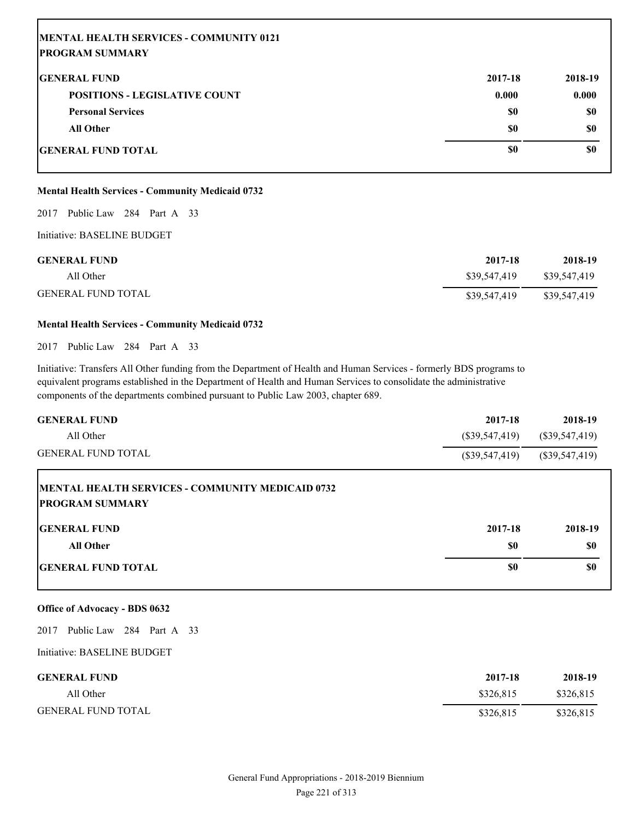| MENTAL HEALTH SERVICES - COMMUNITY 0121 |         |         |
|-----------------------------------------|---------|---------|
| <b>IPROGRAM SUMMARY</b>                 |         |         |
| <b>IGENERAL FUND</b>                    | 2017-18 | 2018-19 |
| <b>POSITIONS - LEGISLATIVE COUNT</b>    | 0.000   | 0.000   |
| <b>Personal Services</b>                | \$0     | \$0     |
| <b>All Other</b>                        | \$0     | \$0     |
| <b>IGENERAL FUND TOTAL</b>              | \$0     | \$0     |

# **Mental Health Services - Community Medicaid 0732**

# 2017 Public Law 284 Part A 33

Initiative: BASELINE BUDGET

| <b>GENERAL FUND</b>       | 2017-18      | 2018-19      |
|---------------------------|--------------|--------------|
| All Other                 | \$39,547,419 | \$39,547,419 |
| <b>GENERAL FUND TOTAL</b> | \$39,547,419 | \$39,547,419 |

# **Mental Health Services - Community Medicaid 0732**

2017 Public Law 284 Part A 33

Initiative: Transfers All Other funding from the Department of Health and Human Services - formerly BDS programs to equivalent programs established in the Department of Health and Human Services to consolidate the administrative components of the departments combined pursuant to Public Law 2003, chapter 689.

| <b>GENERAL FUND</b>       | 2017-18          | 2018-19          |
|---------------------------|------------------|------------------|
| All Other                 | (S39,547,419)    | (S39, 547, 419)  |
| <b>GENERAL FUND TOTAL</b> | $(\$39,547,419)$ | $(\$39,547,419)$ |
|                           |                  |                  |

| <b>IMENTAL HEALTH SERVICES - COMMUNITY MEDICAID 0732</b><br><b>PROGRAM SUMMARY</b> |         |         |
|------------------------------------------------------------------------------------|---------|---------|
| <b>IGENERAL FUND</b>                                                               | 2017-18 | 2018-19 |
| All Other                                                                          | \$0     | \$0     |
| <b>GENERAL FUND TOTAL</b>                                                          | \$0     | \$0     |

# **Office of Advocacy - BDS 0632**

2017 Public Law 284 Part A 33

| <b>GENERAL FUND</b>       | 2017-18   | 2018-19   |
|---------------------------|-----------|-----------|
| All Other                 | \$326.815 | \$326,815 |
| <b>GENERAL FUND TOTAL</b> | \$326.815 | \$326,815 |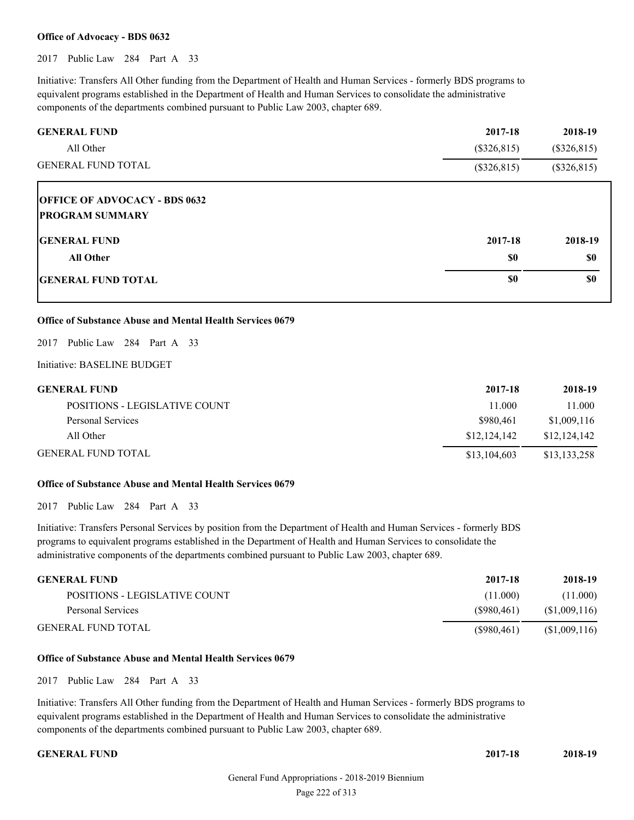# **Office of Advocacy - BDS 0632**

2017 Public Law 284 Part A 33

Initiative: Transfers All Other funding from the Department of Health and Human Services - formerly BDS programs to equivalent programs established in the Department of Health and Human Services to consolidate the administrative components of the departments combined pursuant to Public Law 2003, chapter 689.

| <b>GENERAL FUND</b>                                            | 2017-18       | 2018-19       |
|----------------------------------------------------------------|---------------|---------------|
| All Other                                                      | $(\$326,815)$ | $(\$326,815)$ |
| <b>GENERAL FUND TOTAL</b>                                      | $(\$326,815)$ | $(\$326,815)$ |
| <b>OFFICE OF ADVOCACY - BDS 0632</b><br><b>PROGRAM SUMMARY</b> |               |               |
| <b>IGENERAL FUND</b>                                           | 2017-18       | 2018-19       |
| <b>All Other</b>                                               | \$0           | \$0           |
| <b>GENERAL FUND TOTAL</b>                                      | \$0           | \$0           |

# **Office of Substance Abuse and Mental Health Services 0679**

2017 Public Law 284 Part A 33

Initiative: BASELINE BUDGET

| <b>GENERAL FUND</b>           | 2017-18      | 2018-19      |
|-------------------------------|--------------|--------------|
| POSITIONS - LEGISLATIVE COUNT | 11.000       | 11.000       |
| Personal Services             | \$980.461    | \$1,009,116  |
| All Other                     | \$12,124,142 | \$12,124,142 |
| <b>GENERAL FUND TOTAL</b>     | \$13,104,603 | \$13,133,258 |

### **Office of Substance Abuse and Mental Health Services 0679**

2017 Public Law 284 Part A 33

Initiative: Transfers Personal Services by position from the Department of Health and Human Services - formerly BDS programs to equivalent programs established in the Department of Health and Human Services to consolidate the administrative components of the departments combined pursuant to Public Law 2003, chapter 689.

| <b>GENERAL FUND</b>           | 2017-18    | 2018-19       |
|-------------------------------|------------|---------------|
| POSITIONS - LEGISLATIVE COUNT | (11.000)   | (11.000)      |
| Personal Services             | (S980.461) | (S1,009,116)  |
| <b>GENERAL FUND TOTAL</b>     | (S980.461) | (\$1,009,116) |

#### **Office of Substance Abuse and Mental Health Services 0679**

2017 Public Law 284 Part A 33

Initiative: Transfers All Other funding from the Department of Health and Human Services - formerly BDS programs to equivalent programs established in the Department of Health and Human Services to consolidate the administrative components of the departments combined pursuant to Public Law 2003, chapter 689.

**GENERAL FUND 2017-18 2018-19**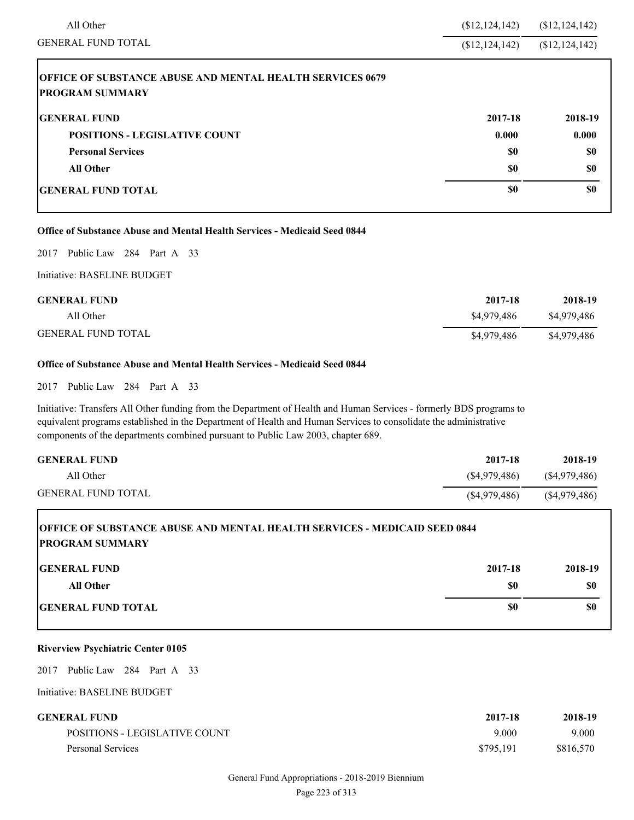| All Other                                                                                  | \$12, 124, 142) | (\$12, 124, 142) |
|--------------------------------------------------------------------------------------------|-----------------|------------------|
| <b>GENERAL FUND TOTAL</b>                                                                  | \$12,124,142    | (\$12, 124, 142) |
| <b>OFFICE OF SUBSTANCE ABUSE AND MENTAL HEALTH SERVICES 0679</b><br><b>PROGRAM SUMMARY</b> |                 |                  |
| <b>IGENERAL FUND</b>                                                                       | 2017-18         | 2018-19          |
| <b>POSITIONS - LEGISLATIVE COUNT</b>                                                       | 0.000           | 0.000            |
| <b>Personal Services</b>                                                                   | \$0             | \$0              |
| <b>All Other</b>                                                                           | \$0             | \$0              |
| <b>IGENERAL FUND TOTAL</b>                                                                 | \$0             | \$0              |

#### **Office of Substance Abuse and Mental Health Services - Medicaid Seed 0844**

2017 Public Law 284 Part A 33

# Initiative: BASELINE BUDGET

| <b>GENERAL FUND</b>       | 2017-18     | 2018-19     |
|---------------------------|-------------|-------------|
| All Other                 | \$4,979,486 | \$4,979,486 |
| <b>GENERAL FUND TOTAL</b> | \$4,979,486 | \$4,979,486 |

# **Office of Substance Abuse and Mental Health Services - Medicaid Seed 0844**

2017 Public Law 284 Part A 33

Initiative: Transfers All Other funding from the Department of Health and Human Services - formerly BDS programs to equivalent programs established in the Department of Health and Human Services to consolidate the administrative components of the departments combined pursuant to Public Law 2003, chapter 689.

| <b>GENERAL FUND</b>       | 2017-18      | 2018-19         |
|---------------------------|--------------|-----------------|
| All Other                 | (S4,979,486) | (S4,979,486)    |
| <b>GENERAL FUND TOTAL</b> | (S4,979,486) | $(\$4,979,486)$ |

# **OFFICE OF SUBSTANCE ABUSE AND MENTAL HEALTH SERVICES - MEDICAID SEED 0844 PROGRAM SUMMARY**

| <b>GENERAL FUND</b>       | 2017-18 | 2018-19 |
|---------------------------|---------|---------|
| All Other                 | \$0     | \$0     |
| <b>GENERAL FUND TOTAL</b> | \$0     | \$0     |

# **Riverview Psychiatric Center 0105**

2017 Public Law 284 Part A 33

| <b>GENERAL FUND</b>           | 2017-18   | 2018-19   |
|-------------------------------|-----------|-----------|
| POSITIONS - LEGISLATIVE COUNT | 9.000     | 9.000     |
| Personal Services             | \$795.191 | \$816.570 |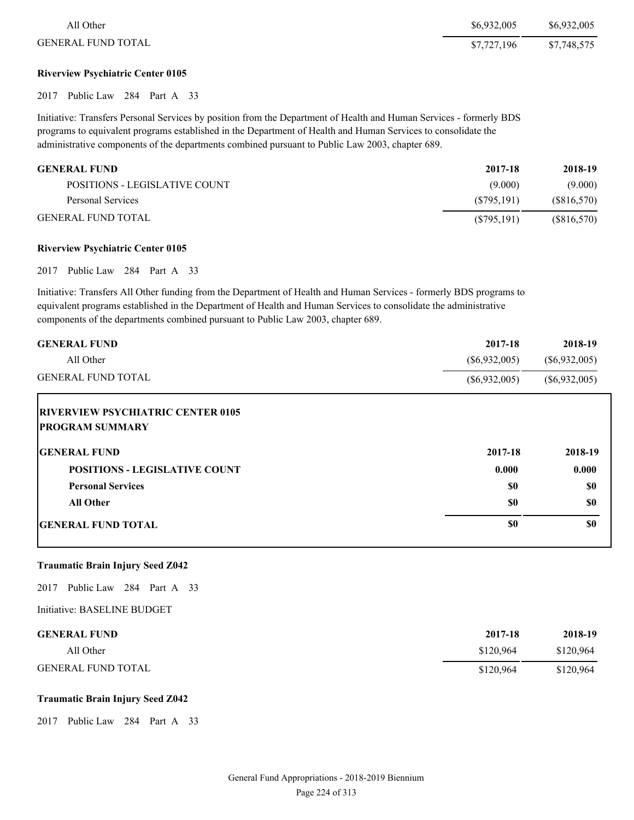| All Other                 | \$6,932,005 | \$6,932,005 |
|---------------------------|-------------|-------------|
| <b>GENERAL FUND TOTAL</b> | \$7,727,196 | \$7,748,575 |

# **Riverview Psychiatric Center 0105**

2017 Public Law 284 Part A 33

Initiative: Transfers Personal Services by position from the Department of Health and Human Services - formerly BDS programs to equivalent programs established in the Department of Health and Human Services to consolidate the administrative components of the departments combined pursuant to Public Law 2003, chapter 689.

| <b>GENERAL FUND</b>           | 2017-18     | 2018-19    |
|-------------------------------|-------------|------------|
| POSITIONS - LEGISLATIVE COUNT | (9.000)     | (9.000)    |
| Personal Services             | (S795.191)  | (S816,570) |
| <b>GENERAL FUND TOTAL</b>     | (S795, 191) | (S816,570) |

#### **Riverview Psychiatric Center 0105**

2017 Public Law 284 Part A 33

Initiative: Transfers All Other funding from the Department of Health and Human Services - formerly BDS programs to equivalent programs established in the Department of Health and Human Services to consolidate the administrative components of the departments combined pursuant to Public Law 2003, chapter 689.

| <b>GENERAL FUND</b>                                                 | 2017-18         | 2018-19         |
|---------------------------------------------------------------------|-----------------|-----------------|
| All Other                                                           | $(\$6,932,005)$ | $(\$6,932,005)$ |
| <b>GENERAL FUND TOTAL</b>                                           | $(\$6,932,005)$ | $(\$6,932,005)$ |
| <b>IRIVERVIEW PSYCHIATRIC CENTER 0105</b><br><b>PROGRAM SUMMARY</b> |                 |                 |
| <b>GENERAL FUND</b>                                                 | 2017-18         | 2018-19         |
| <b>POSITIONS - LEGISLATIVE COUNT</b>                                | 0.000           | 0.000           |
| <b>Personal Services</b>                                            | \$0             | \$0             |
| <b>All Other</b>                                                    | \$0             | \$0             |
| <b>IGENERAL FUND TOTAL</b>                                          | \$0             | \$0             |

#### **Traumatic Brain Injury Seed Z042**

2017 Public Law 284 Part A 33

Initiative: BASELINE BUDGET

| <b>GENERAL FUND</b>       | 2017-18   | 2018-19   |
|---------------------------|-----------|-----------|
| All Other                 | \$120.964 | \$120,964 |
| <b>GENERAL FUND TOTAL</b> | \$120.964 | \$120,964 |

#### **Traumatic Brain Injury Seed Z042**

2017 Public Law 284 Part A 33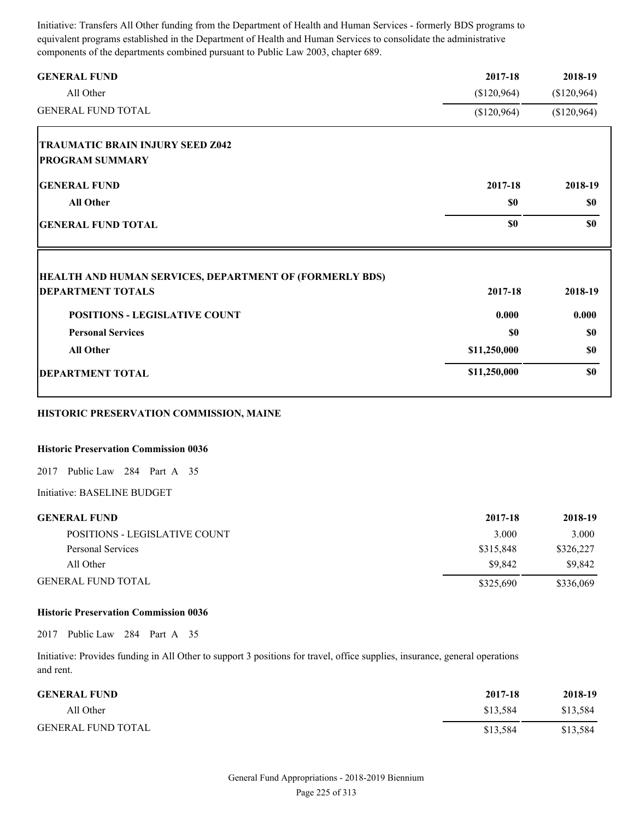Initiative: Transfers All Other funding from the Department of Health and Human Services - formerly BDS programs to equivalent programs established in the Department of Health and Human Services to consolidate the administrative components of the departments combined pursuant to Public Law 2003, chapter 689.

| <b>GENERAL FUND</b>                                     | 2017-18      | 2018-19     |
|---------------------------------------------------------|--------------|-------------|
| All Other                                               | \$120,964    | (\$120,964) |
| <b>GENERAL FUND TOTAL</b>                               | (\$120,964)  | (\$120,964) |
| <b>TRAUMATIC BRAIN INJURY SEED Z042</b>                 |              |             |
| <b>PROGRAM SUMMARY</b>                                  |              |             |
| <b>GENERAL FUND</b>                                     | 2017-18      | 2018-19     |
| <b>All Other</b>                                        | \$0          | \$0         |
| <b>GENERAL FUND TOTAL</b>                               | \$0          | \$0         |
| HEALTH AND HUMAN SERVICES, DEPARTMENT OF (FORMERLY BDS) |              |             |
| <b>DEPARTMENT TOTALS</b>                                | 2017-18      | 2018-19     |
| <b>POSITIONS - LEGISLATIVE COUNT</b>                    | 0.000        | 0.000       |
| <b>Personal Services</b>                                | \$0          | \$0         |
| <b>All Other</b>                                        | \$11,250,000 | \$0         |
| <b>DEPARTMENT TOTAL</b>                                 | \$11,250,000 | \$0         |

# **HISTORIC PRESERVATION COMMISSION, MAINE**

#### **Historic Preservation Commission 0036**

2017 Public Law 284 Part A 35

Initiative: BASELINE BUDGET

| <b>GENERAL FUND</b>           | 2017-18   | 2018-19   |
|-------------------------------|-----------|-----------|
| POSITIONS - LEGISLATIVE COUNT | 3.000     | 3.000     |
| Personal Services             | \$315.848 | \$326,227 |
| All Other                     | \$9.842   | \$9.842   |
| <b>GENERAL FUND TOTAL</b>     | \$325,690 | \$336,069 |

#### **Historic Preservation Commission 0036**

2017 Public Law 284 Part A 35

Initiative: Provides funding in All Other to support 3 positions for travel, office supplies, insurance, general operations and rent.

| <b>GENERAL FUND</b>       | 2017-18  | 2018-19  |
|---------------------------|----------|----------|
| All Other                 | \$13.584 | \$13,584 |
| <b>GENERAL FUND TOTAL</b> | \$13,584 | \$13,584 |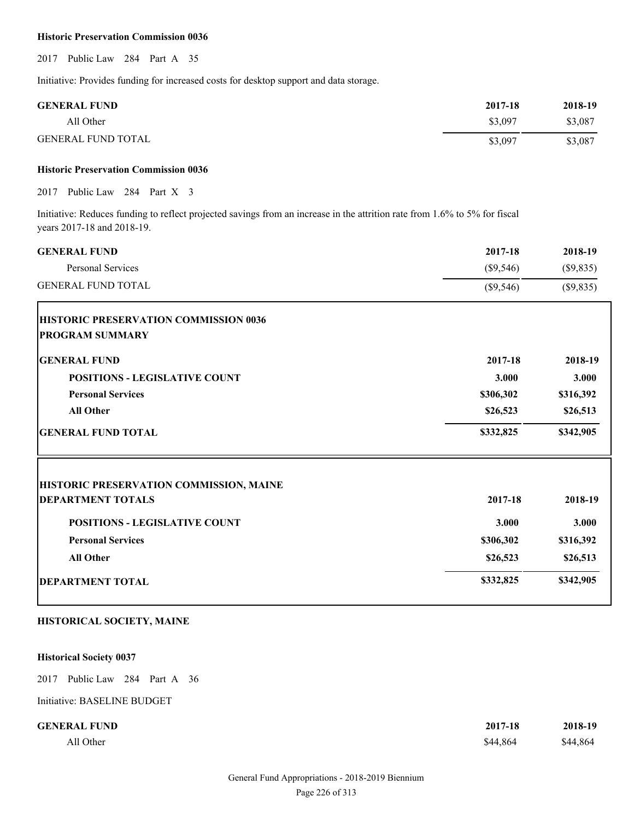#### **Historic Preservation Commission 0036**

2017 Public Law 284 Part A 35

Initiative: Provides funding for increased costs for desktop support and data storage.

| <b>GENERAL FUND</b>       | 2017-18 | 2018-19 |
|---------------------------|---------|---------|
| All Other                 | \$3,097 | \$3,087 |
| <b>GENERAL FUND TOTAL</b> | \$3,097 | \$3,087 |

#### **Historic Preservation Commission 0036**

2017 Public Law 284 Part X 3

Initiative: Reduces funding to reflect projected savings from an increase in the attrition rate from 1.6% to 5% for fiscal years 2017-18 and 2018-19.

| <b>GENERAL FUND</b>                     | 2017-18     | 2018-19   |
|-----------------------------------------|-------------|-----------|
| Personal Services                       | $(\$9,546)$ | (\$9,835) |
| <b>GENERAL FUND TOTAL</b>               | (\$9,546)   | (\$9,835) |
| HISTORIC PRESERVATION COMMISSION 0036   |             |           |
| <b>PROGRAM SUMMARY</b>                  |             |           |
| <b>GENERAL FUND</b>                     | 2017-18     | 2018-19   |
| <b>POSITIONS - LEGISLATIVE COUNT</b>    | 3.000       | 3.000     |
| <b>Personal Services</b>                | \$306,302   | \$316,392 |
| <b>All Other</b>                        | \$26,523    | \$26,513  |
| <b>GENERAL FUND TOTAL</b>               | \$332,825   | \$342,905 |
| HISTORIC PRESERVATION COMMISSION, MAINE |             |           |
| <b>DEPARTMENT TOTALS</b>                | 2017-18     | 2018-19   |
| <b>POSITIONS - LEGISLATIVE COUNT</b>    | 3.000       | 3.000     |
| <b>Personal Services</b>                | \$306,302   | \$316,392 |
| <b>All Other</b>                        | \$26,523    | \$26,513  |
| <b>DEPARTMENT TOTAL</b>                 | \$332,825   | \$342,905 |

# **HISTORICAL SOCIETY, MAINE**

# **Historical Society 0037**

2017 Public Law 284 Part A 36

| <b>GENERAL FUND</b> | 2017-18  | 2018-19  |
|---------------------|----------|----------|
| All Other           | \$44,864 | \$44,864 |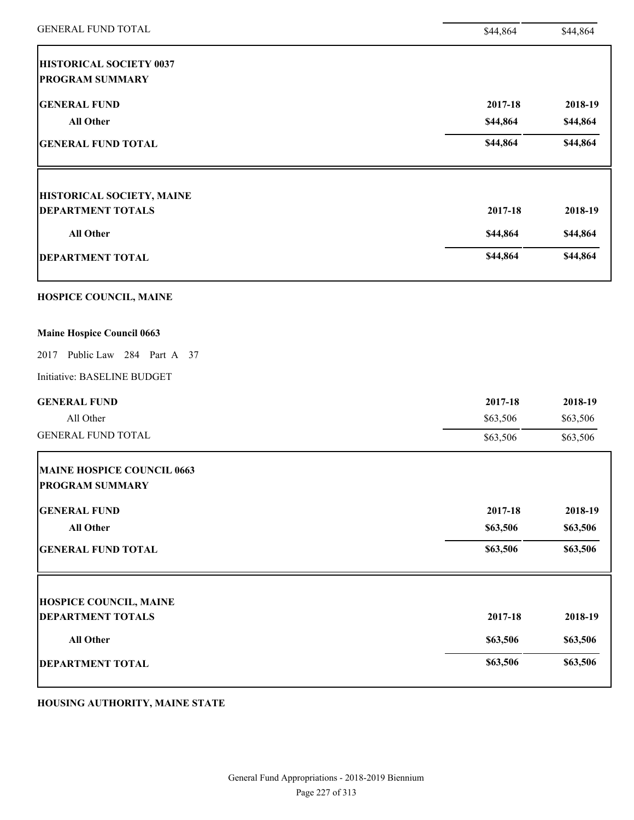| <b>GENERAL FUND TOTAL</b>                                | \$44,864 | \$44,864 |
|----------------------------------------------------------|----------|----------|
| <b>HISTORICAL SOCIETY 0037</b><br><b>PROGRAM SUMMARY</b> |          |          |
| <b>GENERAL FUND</b>                                      | 2017-18  | 2018-19  |
| <b>All Other</b>                                         | \$44,864 | \$44,864 |
| <b>GENERAL FUND TOTAL</b>                                | \$44,864 | \$44,864 |
| HISTORICAL SOCIETY, MAINE                                |          |          |
| <b>DEPARTMENT TOTALS</b>                                 | 2017-18  | 2018-19  |
| <b>All Other</b>                                         | \$44,864 | \$44,864 |
| <b>DEPARTMENT TOTAL</b>                                  | \$44,864 | \$44,864 |
| HOSPICE COUNCIL, MAINE                                   |          |          |
| <b>Maine Hospice Council 0663</b>                        |          |          |
| Public Law 284 Part A 37<br>2017                         |          |          |
| Initiative: BASELINE BUDGET                              |          |          |
| <b>GENERAL FUND</b>                                      | 2017-18  | 2018-19  |
| All Other                                                | \$63,506 | \$63,506 |
| <b>GENERAL FUND TOTAL</b>                                | \$63,506 | \$63,506 |
| MAINE HOSPICE COUNCIL 0663<br><b>PROGRAM SUMMARY</b>     |          |          |
| <b>GENERAL FUND</b>                                      | 2017-18  | 2018-19  |
| <b>All Other</b>                                         | \$63,506 | \$63,506 |
| <b>GENERAL FUND TOTAL</b>                                | \$63,506 | \$63,506 |
| <b>HOSPICE COUNCIL, MAINE</b>                            |          |          |
| <b>DEPARTMENT TOTALS</b>                                 | 2017-18  | 2018-19  |
| All Other                                                | \$63,506 | \$63,506 |
| <b>DEPARTMENT TOTAL</b>                                  | \$63,506 | \$63,506 |
|                                                          |          |          |

**HOUSING AUTHORITY, MAINE STATE**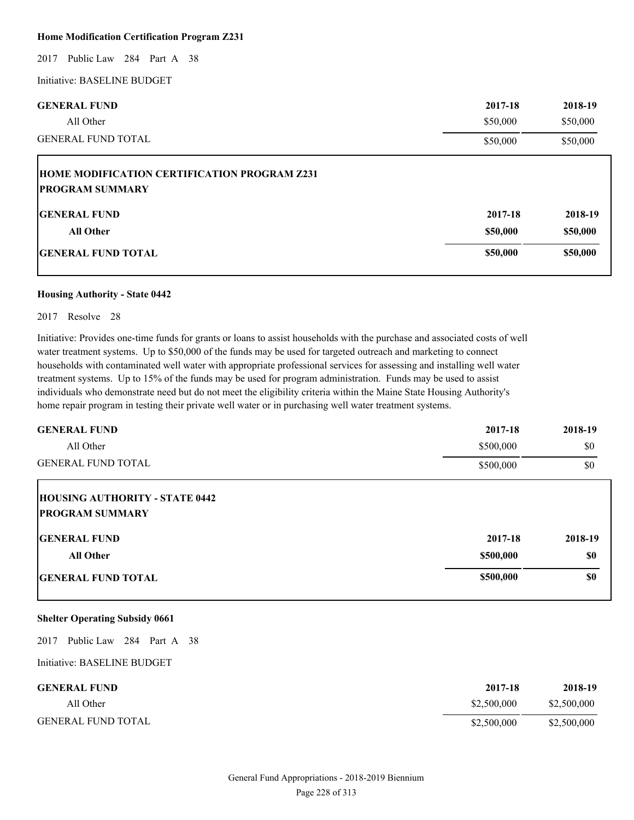#### **Home Modification Certification Program Z231**

2017 Public Law 284 Part A 38

Initiative: BASELINE BUDGET

| <b>GENERAL FUND</b><br>All Other                                              | 2017-18<br>\$50,000 | 2018-19<br>\$50,000 |
|-------------------------------------------------------------------------------|---------------------|---------------------|
| <b>GENERAL FUND TOTAL</b>                                                     | \$50,000            | \$50,000            |
| <b>HOME MODIFICATION CERTIFICATION PROGRAM Z231</b><br><b>PROGRAM SUMMARY</b> |                     |                     |
| <b>IGENERAL FUND</b>                                                          | 2017-18             | 2018-19             |
| <b>All Other</b>                                                              | \$50,000            | \$50,000            |
| <b>GENERAL FUND TOTAL</b>                                                     | \$50,000            | \$50,000            |

#### **Housing Authority - State 0442**

#### 2017 Resolve 28

Initiative: Provides one-time funds for grants or loans to assist households with the purchase and associated costs of well water treatment systems. Up to \$50,000 of the funds may be used for targeted outreach and marketing to connect households with contaminated well water with appropriate professional services for assessing and installing well water treatment systems. Up to 15% of the funds may be used for program administration. Funds may be used to assist individuals who demonstrate need but do not meet the eligibility criteria within the Maine State Housing Authority's home repair program in testing their private well water or in purchasing well water treatment systems.

| <b>GENERAL FUND</b>                                             | 2017-18   | 2018-19 |
|-----------------------------------------------------------------|-----------|---------|
| All Other                                                       | \$500,000 | \$0     |
| <b>GENERAL FUND TOTAL</b>                                       | \$500,000 | \$0     |
| <b>HOUSING AUTHORITY - STATE 0442</b><br><b>PROGRAM SUMMARY</b> |           |         |
| <b>IGENERAL FUND</b>                                            | 2017-18   | 2018-19 |
| All Other                                                       | \$500,000 | \$0     |
| <b>GENERAL FUND TOTAL</b>                                       | \$500,000 | \$0     |

# **Shelter Operating Subsidy 0661**

2017 Public Law 284 Part A 38

| <b>GENERAL FUND</b>       | 2017-18     | 2018-19     |
|---------------------------|-------------|-------------|
| All Other                 | \$2,500,000 | \$2,500,000 |
| <b>GENERAL FUND TOTAL</b> | \$2,500,000 | \$2,500,000 |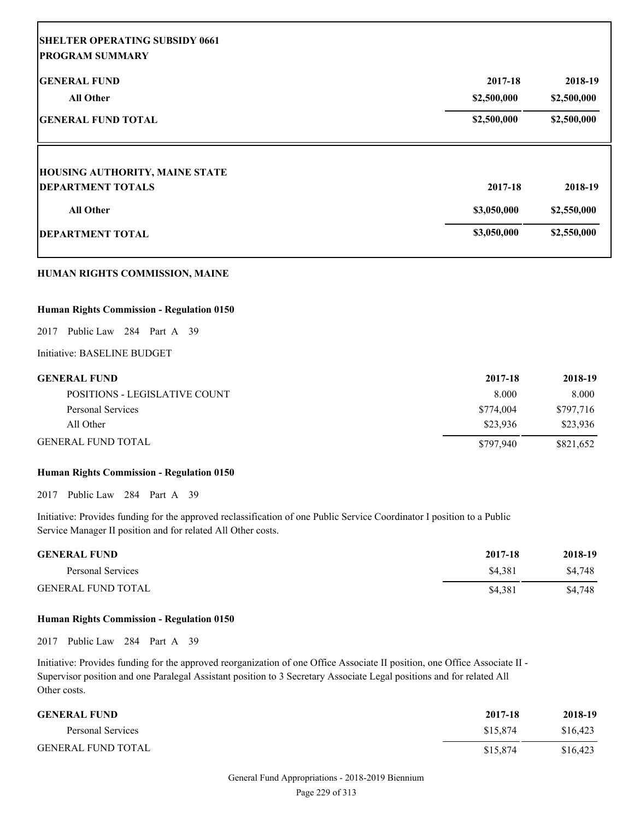| <b>SHELTER OPERATING SUBSIDY 0661</b><br><b>PROGRAM SUMMARY</b> |             |             |
|-----------------------------------------------------------------|-------------|-------------|
| <b>GENERAL FUND</b>                                             | 2017-18     | 2018-19     |
| <b>All Other</b>                                                | \$2,500,000 | \$2,500,000 |
| <b>GENERAL FUND TOTAL</b>                                       | \$2,500,000 | \$2,500,000 |
| <b>HOUSING AUTHORITY, MAINE STATE</b>                           |             |             |
| <b>DEPARTMENT TOTALS</b>                                        | 2017-18     | 2018-19     |
| <b>All Other</b>                                                | \$3,050,000 | \$2,550,000 |
| <b>DEPARTMENT TOTAL</b>                                         | \$3,050,000 | \$2,550,000 |

# **HUMAN RIGHTS COMMISSION, MAINE**

## **Human Rights Commission - Regulation 0150**

2017 Public Law 284 Part A 39

Initiative: BASELINE BUDGET

| <b>GENERAL FUND</b>           | 2017-18   | 2018-19   |
|-------------------------------|-----------|-----------|
| POSITIONS - LEGISLATIVE COUNT | 8.000     | 8.000     |
| Personal Services             | \$774,004 | \$797,716 |
| All Other                     | \$23.936  | \$23.936  |
| <b>GENERAL FUND TOTAL</b>     | \$797.940 | \$821,652 |

# **Human Rights Commission - Regulation 0150**

2017 Public Law 284 Part A 39

Initiative: Provides funding for the approved reclassification of one Public Service Coordinator I position to a Public Service Manager II position and for related All Other costs.

| <b>GENERAL FUND</b>       | 2017-18 | 2018-19 |
|---------------------------|---------|---------|
| Personal Services         | \$4.381 | \$4,748 |
| <b>GENERAL FUND TOTAL</b> | \$4.381 | \$4,748 |

#### **Human Rights Commission - Regulation 0150**

2017 Public Law 284 Part A 39

Initiative: Provides funding for the approved reorganization of one Office Associate II position, one Office Associate II - Supervisor position and one Paralegal Assistant position to 3 Secretary Associate Legal positions and for related All Other costs.

| <b>GENERAL FUND</b>       | 2017-18  | 2018-19  |
|---------------------------|----------|----------|
| Personal Services         | \$15.874 | \$16.423 |
| <b>GENERAL FUND TOTAL</b> | \$15,874 | \$16,423 |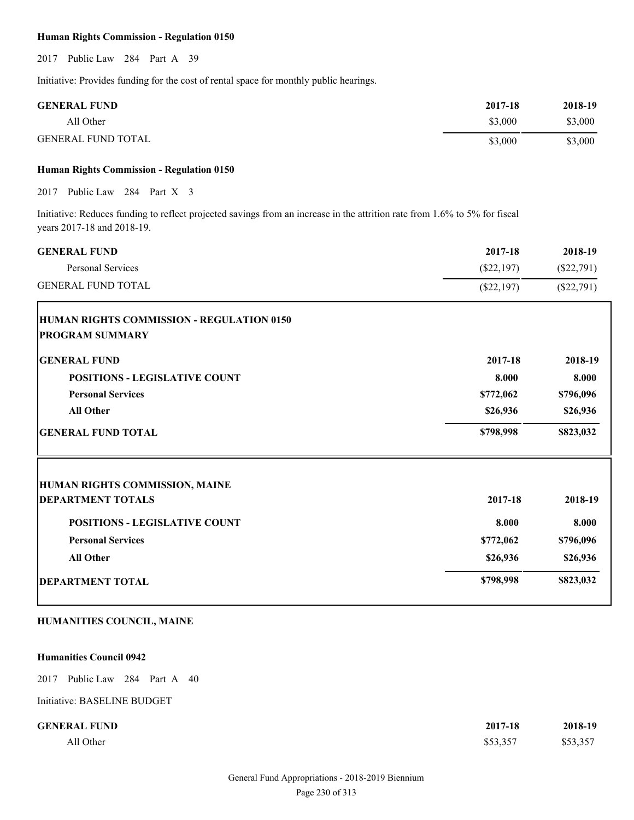# **Human Rights Commission - Regulation 0150**

2017 Public Law 284 Part A 39

Initiative: Provides funding for the cost of rental space for monthly public hearings.

| <b>GENERAL FUND</b>       | 2017-18 | 2018-19 |
|---------------------------|---------|---------|
| All Other                 | \$3,000 | \$3,000 |
| <b>GENERAL FUND TOTAL</b> | \$3,000 | \$3,000 |

# **Human Rights Commission - Regulation 0150**

2017 Public Law 284 Part X 3

Initiative: Reduces funding to reflect projected savings from an increase in the attrition rate from 1.6% to 5% for fiscal years 2017-18 and 2018-19.

| <b>GENERAL FUND</b>                              | 2017-18      | 2018-19      |
|--------------------------------------------------|--------------|--------------|
| Personal Services                                | $(\$22,197)$ | $(\$22,791)$ |
| <b>GENERAL FUND TOTAL</b>                        | $(\$22,197)$ | $(\$22,791)$ |
| <b>HUMAN RIGHTS COMMISSION - REGULATION 0150</b> |              |              |
| <b>PROGRAM SUMMARY</b>                           |              |              |
| <b>GENERAL FUND</b>                              | 2017-18      | 2018-19      |
| <b>POSITIONS - LEGISLATIVE COUNT</b>             | 8.000        | 8.000        |
| <b>Personal Services</b>                         | \$772,062    | \$796,096    |
| <b>All Other</b>                                 | \$26,936     | \$26,936     |
| <b>GENERAL FUND TOTAL</b>                        | \$798,998    | \$823,032    |
| <b>HUMAN RIGHTS COMMISSION, MAINE</b>            |              |              |
| <b>DEPARTMENT TOTALS</b>                         | 2017-18      | 2018-19      |
| <b>POSITIONS - LEGISLATIVE COUNT</b>             | 8.000        | 8.000        |
| <b>Personal Services</b>                         | \$772,062    | \$796,096    |
| <b>All Other</b>                                 | \$26,936     | \$26,936     |
| <b>DEPARTMENT TOTAL</b>                          | \$798,998    | \$823,032    |

# **HUMANITIES COUNCIL, MAINE**

#### **Humanities Council 0942**

2017 Public Law 284 Part A 40

| <b>GENERAL FUND</b> | 2017-18  | 2018-19  |
|---------------------|----------|----------|
| All Other           | \$53,357 | \$53,357 |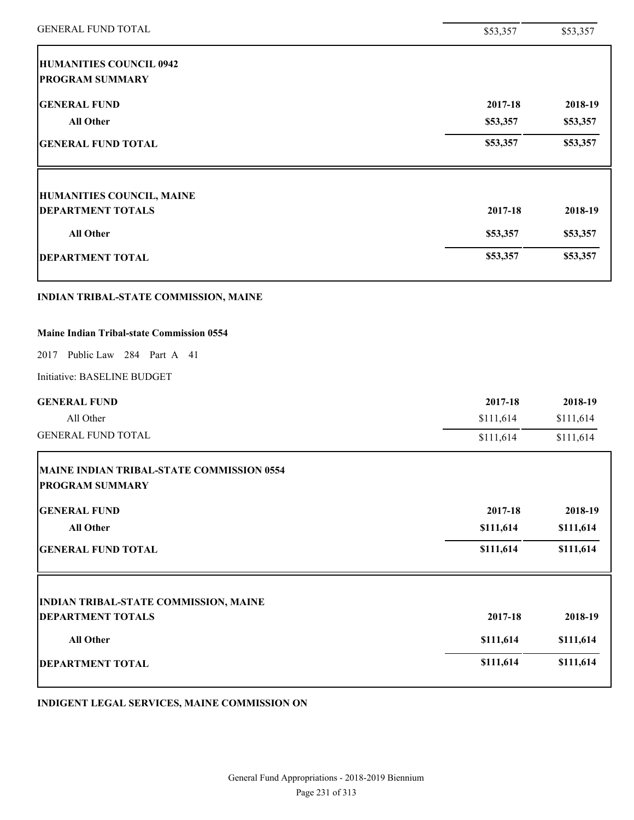| <b>GENERAL FUND TOTAL</b>                                           | \$53,357  | \$53,357  |
|---------------------------------------------------------------------|-----------|-----------|
| <b>HUMANITIES COUNCIL 0942</b><br><b>PROGRAM SUMMARY</b>            |           |           |
| <b>GENERAL FUND</b>                                                 | 2017-18   | 2018-19   |
| <b>All Other</b>                                                    | \$53,357  | \$53,357  |
| <b>GENERAL FUND TOTAL</b>                                           | \$53,357  | \$53,357  |
| <b>HUMANITIES COUNCIL, MAINE</b>                                    |           |           |
| <b>DEPARTMENT TOTALS</b>                                            | 2017-18   | 2018-19   |
| <b>All Other</b>                                                    | \$53,357  | \$53,357  |
| <b>DEPARTMENT TOTAL</b>                                             | \$53,357  | \$53,357  |
| INDIAN TRIBAL-STATE COMMISSION, MAINE                               |           |           |
| <b>Maine Indian Tribal-state Commission 0554</b>                    |           |           |
| 2017 Public Law 284 Part A 41                                       |           |           |
| Initiative: BASELINE BUDGET                                         |           |           |
| <b>GENERAL FUND</b>                                                 | 2017-18   | 2018-19   |
| All Other                                                           | \$111,614 | \$111,614 |
| <b>GENERAL FUND TOTAL</b>                                           | \$111,614 | \$111,614 |
| MAINE INDIAN TRIBAL-STATE COMMISSION 0554<br><b>PROGRAM SUMMARY</b> |           |           |
| <b>GENERAL FUND</b>                                                 | 2017-18   | 2018-19   |
| <b>All Other</b>                                                    | \$111,614 | \$111,614 |
| <b>GENERAL FUND TOTAL</b>                                           | \$111,614 | \$111,614 |
| <b>INDIAN TRIBAL-STATE COMMISSION, MAINE</b>                        |           |           |
| <b>DEPARTMENT TOTALS</b>                                            | 2017-18   | 2018-19   |
| All Other                                                           | \$111,614 | \$111,614 |
| <b>DEPARTMENT TOTAL</b>                                             | \$111,614 | \$111,614 |

**INDIGENT LEGAL SERVICES, MAINE COMMISSION ON**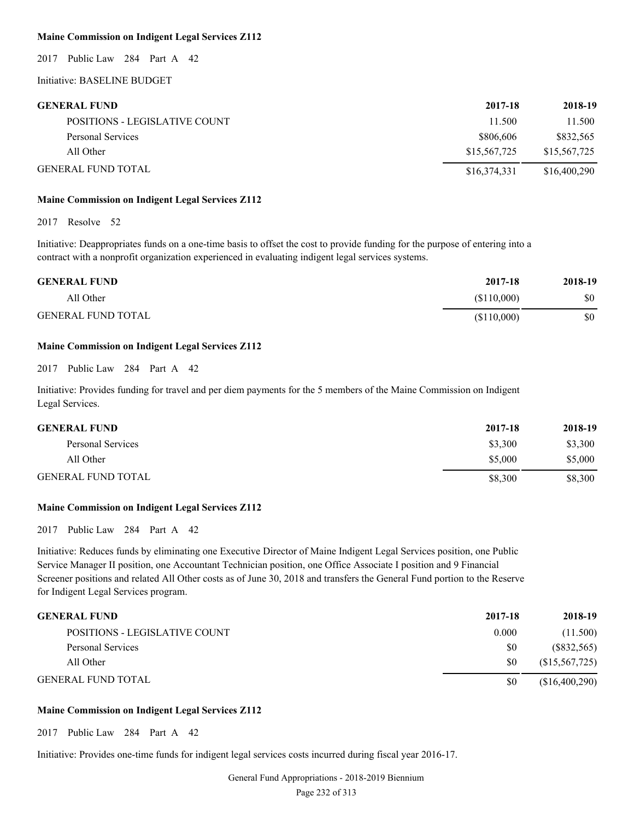# **Maine Commission on Indigent Legal Services Z112**

2017 Public Law 284 Part A 42

# Initiative: BASELINE BUDGET

| <b>GENERAL FUND</b>           | 2017-18      | 2018-19      |
|-------------------------------|--------------|--------------|
| POSITIONS - LEGISLATIVE COUNT | 11.500       | 11.500       |
| Personal Services             | \$806,606    | \$832,565    |
| All Other                     | \$15,567,725 | \$15,567,725 |
| <b>GENERAL FUND TOTAL</b>     | \$16,374,331 | \$16,400,290 |

#### **Maine Commission on Indigent Legal Services Z112**

2017 Resolve 52

Initiative: Deappropriates funds on a one-time basis to offset the cost to provide funding for the purpose of entering into a contract with a nonprofit organization experienced in evaluating indigent legal services systems.

| <b>GENERAL FUND</b>       | 2017-18     | 2018-19 |
|---------------------------|-------------|---------|
| All Other                 | (\$110,000) | \$0     |
| <b>GENERAL FUND TOTAL</b> | (\$110,000) | \$0     |

# **Maine Commission on Indigent Legal Services Z112**

2017 Public Law 284 Part A 42

Initiative: Provides funding for travel and per diem payments for the 5 members of the Maine Commission on Indigent Legal Services.

| <b>GENERAL FUND</b>       | 2017-18 | 2018-19 |
|---------------------------|---------|---------|
| Personal Services         | \$3,300 | \$3,300 |
| All Other                 | \$5,000 | \$5,000 |
| <b>GENERAL FUND TOTAL</b> | \$8,300 | \$8,300 |

#### **Maine Commission on Indigent Legal Services Z112**

2017 Public Law 284 Part A 42

Initiative: Reduces funds by eliminating one Executive Director of Maine Indigent Legal Services position, one Public Service Manager II position, one Accountant Technician position, one Office Associate I position and 9 Financial Screener positions and related All Other costs as of June 30, 2018 and transfers the General Fund portion to the Reserve for Indigent Legal Services program.

| <b>GENERAL FUND</b>           | 2017-18 | 2018-19         |
|-------------------------------|---------|-----------------|
| POSITIONS - LEGISLATIVE COUNT | 0.000   | (11.500)        |
| Personal Services             | SO.     | (S832, 565)     |
| All Other                     | SO.     | (S15, 567, 725) |
| <b>GENERAL FUND TOTAL</b>     | \$0     | (\$16,400,290)  |

# **Maine Commission on Indigent Legal Services Z112**

2017 Public Law 284 Part A 42

Initiative: Provides one-time funds for indigent legal services costs incurred during fiscal year 2016-17.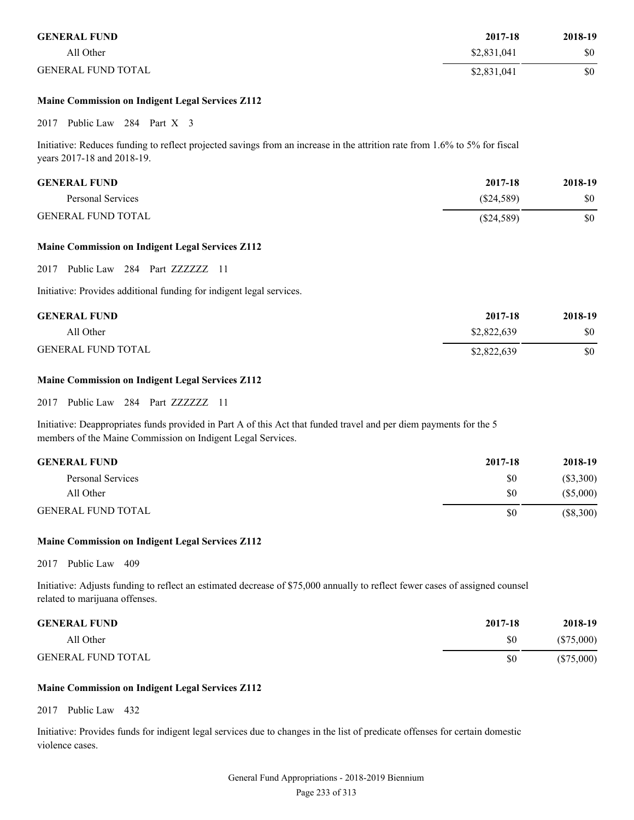| <b>GENERAL FUND</b>       | 2017-18     | 2018-19 |
|---------------------------|-------------|---------|
| All Other                 | \$2,831,041 | \$0     |
| <b>GENERAL FUND TOTAL</b> | \$2,831,041 | \$0     |

# **Maine Commission on Indigent Legal Services Z112**

2017 Public Law 284 Part X 3

Initiative: Reduces funding to reflect projected savings from an increase in the attrition rate from 1.6% to 5% for fiscal years 2017-18 and 2018-19.

| <b>GENERAL FUND</b>       | 2017-18      | 2018-19 |
|---------------------------|--------------|---------|
| Personal Services         | (S24,589)    | \$0     |
| <b>GENERAL FUND TOTAL</b> | $(\$24,589)$ | \$0     |

### **Maine Commission on Indigent Legal Services Z112**

2017 Public Law 284 Part ZZZZZZZ 11

Initiative: Provides additional funding for indigent legal services.

| <b>GENERAL FUND</b>       | 2017-18     | 2018-19 |
|---------------------------|-------------|---------|
| All Other                 | \$2,822,639 | \$0     |
| <b>GENERAL FUND TOTAL</b> | \$2,822,639 | \$0     |

# **Maine Commission on Indigent Legal Services Z112**

2017 Public Law 284 Part ZZZZZZZ 11

Initiative: Deappropriates funds provided in Part A of this Act that funded travel and per diem payments for the 5 members of the Maine Commission on Indigent Legal Services.

| <b>GENERAL FUND</b>       | 2017-18 | 2018-19     |
|---------------------------|---------|-------------|
| Personal Services         | \$0     | (S3,300)    |
| All Other                 | \$0     | (\$5,000)   |
| <b>GENERAL FUND TOTAL</b> | \$0     | $(\$8,300)$ |

# **Maine Commission on Indigent Legal Services Z112**

2017 Public Law 409

Initiative: Adjusts funding to reflect an estimated decrease of \$75,000 annually to reflect fewer cases of assigned counsel related to marijuana offenses.

| <b>GENERAL FUND</b>       | 2017-18 | 2018-19      |
|---------------------------|---------|--------------|
| All Other                 | \$0     | (S75,000)    |
| <b>GENERAL FUND TOTAL</b> | \$0     | $(\$75,000)$ |

#### **Maine Commission on Indigent Legal Services Z112**

2017 Public Law 432

Initiative: Provides funds for indigent legal services due to changes in the list of predicate offenses for certain domestic violence cases.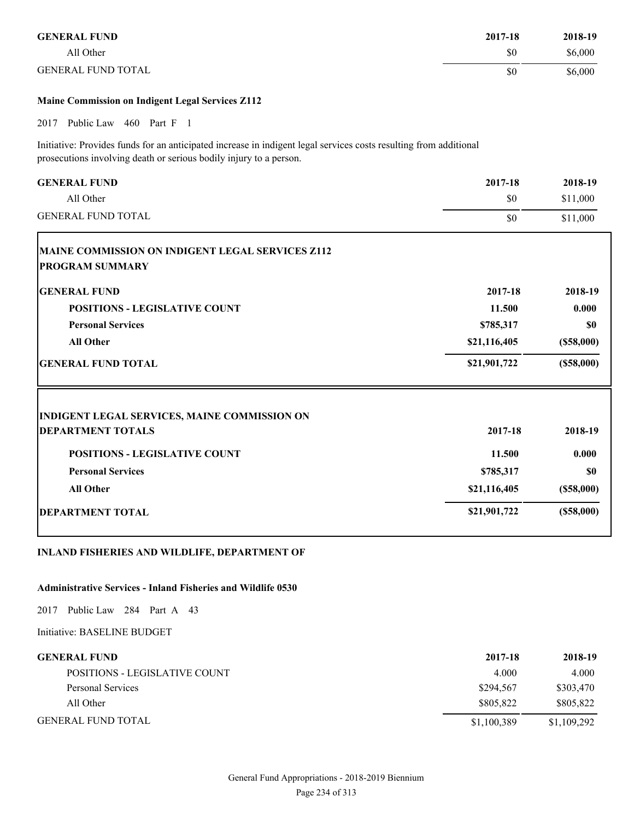| <b>GENERAL FUND</b>                                                                                                                                                                     | 2017-18      | 2018-19    |
|-----------------------------------------------------------------------------------------------------------------------------------------------------------------------------------------|--------------|------------|
| All Other                                                                                                                                                                               | \$0          | \$6,000    |
| <b>GENERAL FUND TOTAL</b>                                                                                                                                                               | \$0          | \$6,000    |
| Maine Commission on Indigent Legal Services Z112                                                                                                                                        |              |            |
| Public Law 460 Part F 1<br>2017                                                                                                                                                         |              |            |
| Initiative: Provides funds for an anticipated increase in indigent legal services costs resulting from additional<br>prosecutions involving death or serious bodily injury to a person. |              |            |
| <b>GENERAL FUND</b>                                                                                                                                                                     | 2017-18      | 2018-19    |
| All Other                                                                                                                                                                               | \$0          | \$11,000   |
| <b>GENERAL FUND TOTAL</b>                                                                                                                                                               | \$0          | \$11,000   |
| <b>GENERAL FUND</b>                                                                                                                                                                     | 2017-18      | 2018-19    |
|                                                                                                                                                                                         |              |            |
| <b>POSITIONS - LEGISLATIVE COUNT</b>                                                                                                                                                    | 11.500       | 0.000      |
| <b>Personal Services</b>                                                                                                                                                                | \$785,317    | \$0        |
| <b>All Other</b>                                                                                                                                                                        | \$21,116,405 | (\$58,000) |
| <b>GENERAL FUND TOTAL</b>                                                                                                                                                               | \$21,901,722 | (\$58,000) |
| INDIGENT LEGAL SERVICES, MAINE COMMISSION ON                                                                                                                                            |              |            |
| <b>DEPARTMENT TOTALS</b>                                                                                                                                                                | 2017-18      | 2018-19    |
| <b>POSITIONS - LEGISLATIVE COUNT</b>                                                                                                                                                    | 11.500       | 0.000      |
|                                                                                                                                                                                         |              |            |
| <b>Personal Services</b>                                                                                                                                                                | \$785,317    | \$0        |

# **All Other \$21,116,405 (\$58,000)**

# **DEPARTMENT TOTAL** (\$58,000)

# **INLAND FISHERIES AND WILDLIFE, DEPARTMENT OF**

# **Administrative Services - Inland Fisheries and Wildlife 0530**

2017 Public Law 284 Part A 43

| <b>GENERAL FUND</b>           | 2017-18     | 2018-19     |
|-------------------------------|-------------|-------------|
| POSITIONS - LEGISLATIVE COUNT | 4.000       | 4.000       |
| Personal Services             | \$294.567   | \$303,470   |
| All Other                     | \$805.822   | \$805.822   |
| <b>GENERAL FUND TOTAL</b>     | \$1,100,389 | \$1,109,292 |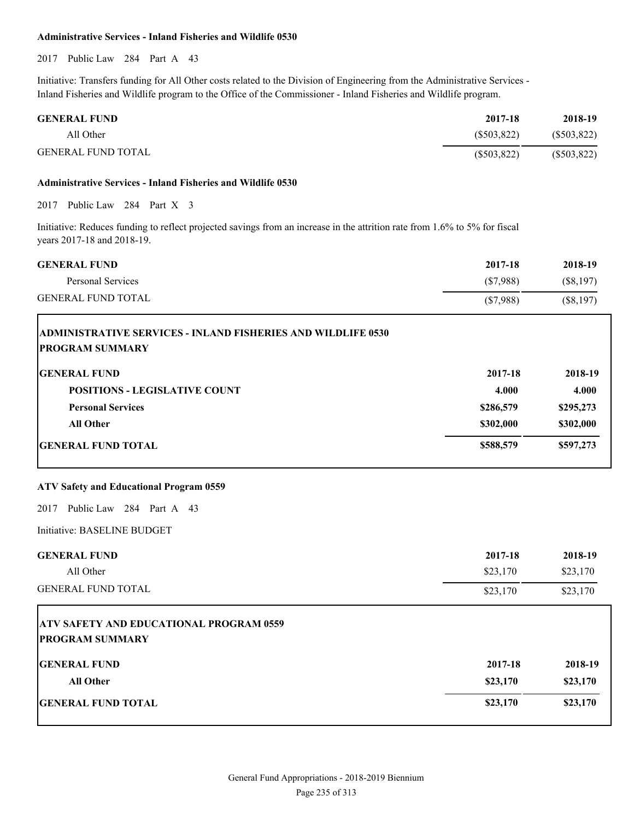#### **Administrative Services - Inland Fisheries and Wildlife 0530**

2017 Public Law 284 Part A 43

Initiative: Transfers funding for All Other costs related to the Division of Engineering from the Administrative Services - Inland Fisheries and Wildlife program to the Office of the Commissioner - Inland Fisheries and Wildlife program.

| <b>GENERAL FUND</b> | 2017-18    | 2018-19       |
|---------------------|------------|---------------|
| All Other           | (S503.822) | $(\$503,822)$ |
| GENERAL FUND TOTAL  | (S503.822) | $(\$503,822)$ |

#### **Administrative Services - Inland Fisheries and Wildlife 0530**

2017 Public Law 284 Part X 3

T

Initiative: Reduces funding to reflect projected savings from an increase in the attrition rate from 1.6% to 5% for fiscal years 2017-18 and 2018-19.

| <b>GENERAL FUND</b>       | 2017-18  | 2018-19   |
|---------------------------|----------|-----------|
| Personal Services         | (S7.988) | (S8.197)  |
| <b>GENERAL FUND TOTAL</b> | (S7,988) | (S8, 197) |

| <b>ADMINISTRATIVE SERVICES - INLAND FISHERIES AND WILDLIFE 0530</b><br><b>PROGRAM SUMMARY</b> |           |           |
|-----------------------------------------------------------------------------------------------|-----------|-----------|
| <b>IGENERAL FUND</b>                                                                          | 2017-18   | 2018-19   |
| <b>POSITIONS - LEGISLATIVE COUNT</b>                                                          | 4.000     | 4.000     |
| <b>Personal Services</b>                                                                      | \$286,579 | \$295,273 |
| All Other                                                                                     | \$302,000 | \$302,000 |
| <b>IGENERAL FUND TOTAL</b>                                                                    | \$588,579 | \$597,273 |

# **ATV Safety and Educational Program 0559**

2017 Public Law 284 Part A 43

| <b>GENERAL FUND</b><br>All Other                                                                | 2017-18<br>\$23,170 | 2018-19<br>\$23,170 |
|-------------------------------------------------------------------------------------------------|---------------------|---------------------|
| <b>GENERAL FUND TOTAL</b>                                                                       | \$23,170            | \$23,170            |
| <b>ATV SAFETY AND EDUCATIONAL PROGRAM 0559</b><br><b>PROGRAM SUMMARY</b><br><b>GENERAL FUND</b> | 2017-18             | 2018-19             |

|          | 2018-19  |
|----------|----------|
| \$23,170 | \$23,170 |
| \$23,170 | \$23,170 |
|          | 2017-18  |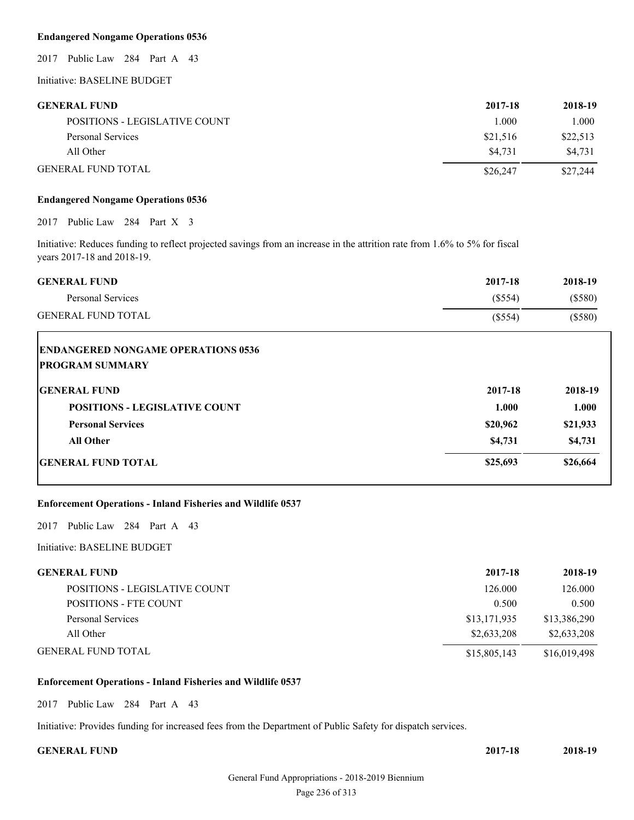# **Endangered Nongame Operations 0536**

2017 Public Law 284 Part A 43

Initiative: BASELINE BUDGET

# **GENERAL FUND 2017-18 2018-19**

| <b>SERVENTE POINT</b>         | $4011 - 10$ | $4010-17$ |
|-------------------------------|-------------|-----------|
| POSITIONS - LEGISLATIVE COUNT | 000         | 1.000     |
| Personal Services             | \$21,516    | \$22,513  |
| All Other                     | \$4.731     | \$4.731   |
| <b>GENERAL FUND TOTAL</b>     | \$26,247    | \$27,244  |

#### **Endangered Nongame Operations 0536**

2017 Public Law 284 Part X 3

Initiative: Reduces funding to reflect projected savings from an increase in the attrition rate from 1.6% to 5% for fiscal years 2017-18 and 2018-19.

| <b>GENERAL FUND</b>       | 2017-18 | 2018-19 |
|---------------------------|---------|---------|
| Personal Services         | (S554)  | (S580)  |
| <b>GENERAL FUND TOTAL</b> | (\$554) | \$580)  |

| <b>ENDANGERED NONGAME OPERATIONS 0536</b><br><b>PROGRAM SUMMARY</b> |          |          |
|---------------------------------------------------------------------|----------|----------|
| <b>GENERAL FUND</b>                                                 | 2017-18  | 2018-19  |
| <b>POSITIONS - LEGISLATIVE COUNT</b>                                | 1.000    | 1.000    |
| <b>Personal Services</b>                                            | \$20,962 | \$21,933 |
| <b>All Other</b>                                                    | \$4,731  | \$4,731  |
| <b>IGENERAL FUND TOTAL</b>                                          | \$25,693 | \$26,664 |

# **Enforcement Operations - Inland Fisheries and Wildlife 0537**

2017 Public Law 284 Part A 43

# Initiative: BASELINE BUDGET

| <b>GENERAL FUND</b>           | 2017-18      | 2018-19      |
|-------------------------------|--------------|--------------|
| POSITIONS - LEGISLATIVE COUNT | 126.000      | 126.000      |
| POSITIONS - FTE COUNT         | 0.500        | 0.500        |
| Personal Services             | \$13,171,935 | \$13,386,290 |
| All Other                     | \$2,633,208  | \$2,633,208  |
| <b>GENERAL FUND TOTAL</b>     | \$15,805,143 | \$16,019,498 |

#### **Enforcement Operations - Inland Fisheries and Wildlife 0537**

2017 Public Law 284 Part A 43

Initiative: Provides funding for increased fees from the Department of Public Safety for dispatch services.

| <b>GENERAL FUND</b> | 2017-18 | 2018-19 |
|---------------------|---------|---------|
|                     |         |         |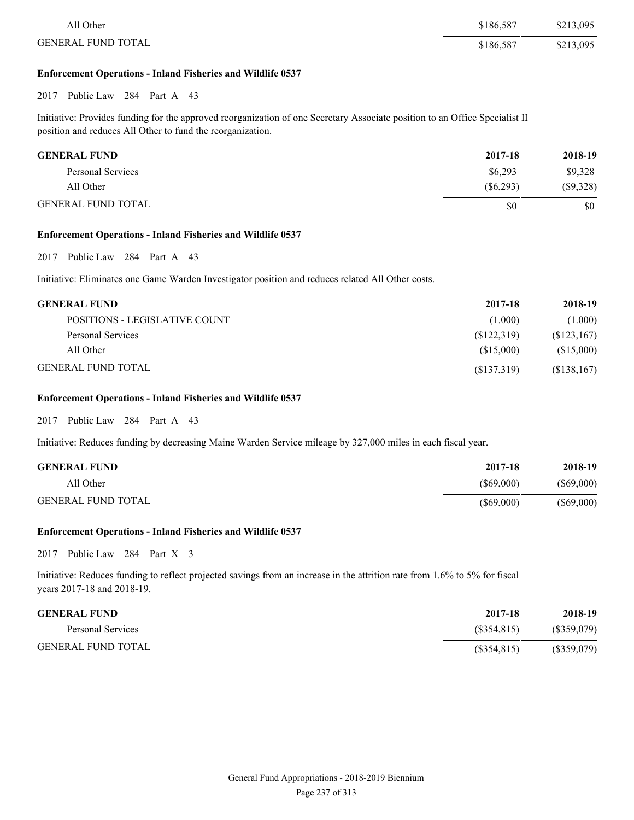| All Other                 | \$186.587 | \$213,095 |
|---------------------------|-----------|-----------|
| <b>GENERAL FUND TOTAL</b> | \$186.587 | \$213,095 |

#### **Enforcement Operations - Inland Fisheries and Wildlife 0537**

## 2017 Public Law 284 Part A 43

Initiative: Provides funding for the approved reorganization of one Secretary Associate position to an Office Specialist II position and reduces All Other to fund the reorganization.

| <b>GENERAL FUND</b>       | 2017-18   | 2018-19  |
|---------------------------|-----------|----------|
| Personal Services         | \$6,293   | \$9,328  |
| All Other                 | (S6, 293) | (S9,328) |
| <b>GENERAL FUND TOTAL</b> | \$0       | \$0      |

#### **Enforcement Operations - Inland Fisheries and Wildlife 0537**

2017 Public Law 284 Part A 43

Initiative: Eliminates one Game Warden Investigator position and reduces related All Other costs.

| <b>GENERAL FUND</b>           | 2017-18    | 2018-19     |
|-------------------------------|------------|-------------|
| POSITIONS - LEGISLATIVE COUNT | (1.000)    | (1.000)     |
| Personal Services             | (S122,319) | (S123, 167) |
| All Other                     | (S15,000)  | (S15,000)   |
| <b>GENERAL FUND TOTAL</b>     | (S137,319) | (S138, 167) |

#### **Enforcement Operations - Inland Fisheries and Wildlife 0537**

2017 Public Law 284 Part A 43

Initiative: Reduces funding by decreasing Maine Warden Service mileage by 327,000 miles in each fiscal year.

| <b>GENERAL FUND</b>       | 2017-18      | 2018-19      |
|---------------------------|--------------|--------------|
| All Other                 | $(\$69,000)$ | $(\$69,000)$ |
| <b>GENERAL FUND TOTAL</b> | (S69,000)    | $(\$69,000)$ |

#### **Enforcement Operations - Inland Fisheries and Wildlife 0537**

2017 Public Law 284 Part X 3

Initiative: Reduces funding to reflect projected savings from an increase in the attrition rate from 1.6% to 5% for fiscal years 2017-18 and 2018-19.

| <b>GENERAL FUND</b>       | 2017-18     | 2018-19     |
|---------------------------|-------------|-------------|
| Personal Services         | (S354.815)  | (S359,079)  |
| <b>GENERAL FUND TOTAL</b> | (S354, 815) | (\$359,079) |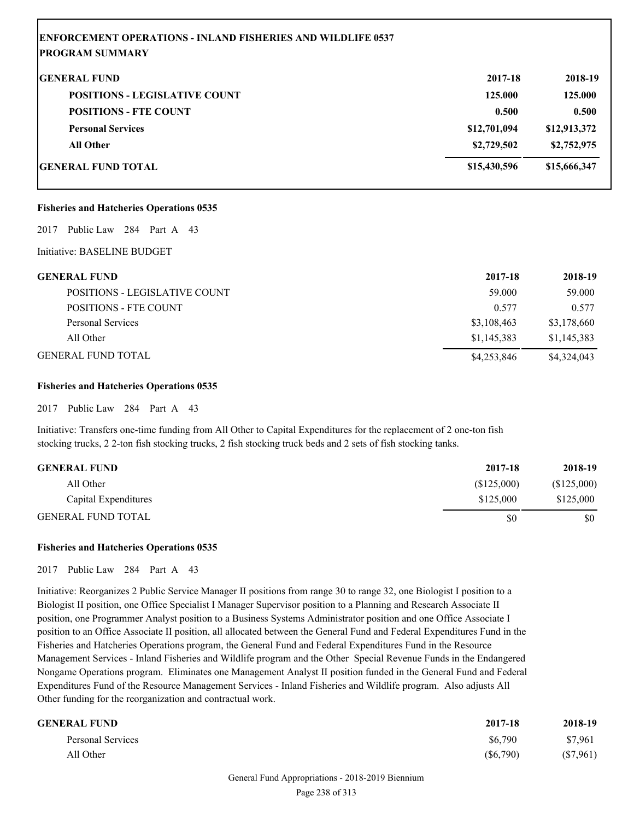| <b>ENFORCEMENT OPERATIONS - INLAND FISHERIES AND WILDLIFE 0537</b><br><b>PROGRAM SUMMARY</b> |              |              |
|----------------------------------------------------------------------------------------------|--------------|--------------|
| <b>GENERAL FUND</b>                                                                          | 2017-18      | 2018-19      |
| <b>POSITIONS - LEGISLATIVE COUNT</b>                                                         | 125.000      | 125.000      |
| <b>POSITIONS - FTE COUNT</b>                                                                 | 0.500        | 0.500        |
| <b>Personal Services</b>                                                                     | \$12,701,094 | \$12,913,372 |
| <b>All Other</b>                                                                             | \$2,729,502  | \$2,752,975  |
| <b>GENERAL FUND TOTAL</b>                                                                    | \$15,430,596 | \$15,666,347 |

# **Fisheries and Hatcheries Operations 0535**

2017 Public Law 284 Part A 43

Initiative: BASELINE BUDGET

| GENERAL FUND                  | 2017-18     | 2018-19     |
|-------------------------------|-------------|-------------|
| POSITIONS - LEGISLATIVE COUNT | 59,000      | 59,000      |
| <b>POSITIONS - FTE COUNT</b>  | 0.577       | 0.577       |
| Personal Services             | \$3,108,463 | \$3,178,660 |
| All Other                     | \$1,145,383 | \$1,145,383 |
| GENERAL FUND TOTAL            | \$4,253,846 | \$4,324,043 |

#### **Fisheries and Hatcheries Operations 0535**

2017 Public Law 284 Part A 43

Initiative: Transfers one-time funding from All Other to Capital Expenditures for the replacement of 2 one-ton fish stocking trucks, 2 2-ton fish stocking trucks, 2 fish stocking truck beds and 2 sets of fish stocking tanks.

| <b>GENERAL FUND</b>       | 2017-18    | 2018-19    |
|---------------------------|------------|------------|
| All Other                 | (S125,000) | (S125,000) |
| Capital Expenditures      | \$125,000  | \$125,000  |
| <b>GENERAL FUND TOTAL</b> | \$0        | \$0        |

# **Fisheries and Hatcheries Operations 0535**

2017 Public Law 284 Part A 43

Initiative: Reorganizes 2 Public Service Manager II positions from range 30 to range 32, one Biologist I position to a Biologist II position, one Office Specialist I Manager Supervisor position to a Planning and Research Associate II position, one Programmer Analyst position to a Business Systems Administrator position and one Office Associate I position to an Office Associate II position, all allocated between the General Fund and Federal Expenditures Fund in the Fisheries and Hatcheries Operations program, the General Fund and Federal Expenditures Fund in the Resource Management Services - Inland Fisheries and Wildlife program and the Other Special Revenue Funds in the Endangered Nongame Operations program. Eliminates one Management Analyst II position funded in the General Fund and Federal Expenditures Fund of the Resource Management Services - Inland Fisheries and Wildlife program. Also adjusts All Other funding for the reorganization and contractual work.

| <b>GENERAL FUND</b> | 2017-18     | 2018-19  |
|---------------------|-------------|----------|
| Personal Services   | \$6,790     | \$7,961  |
| All Other           | $(\$6,790)$ | (S7,961) |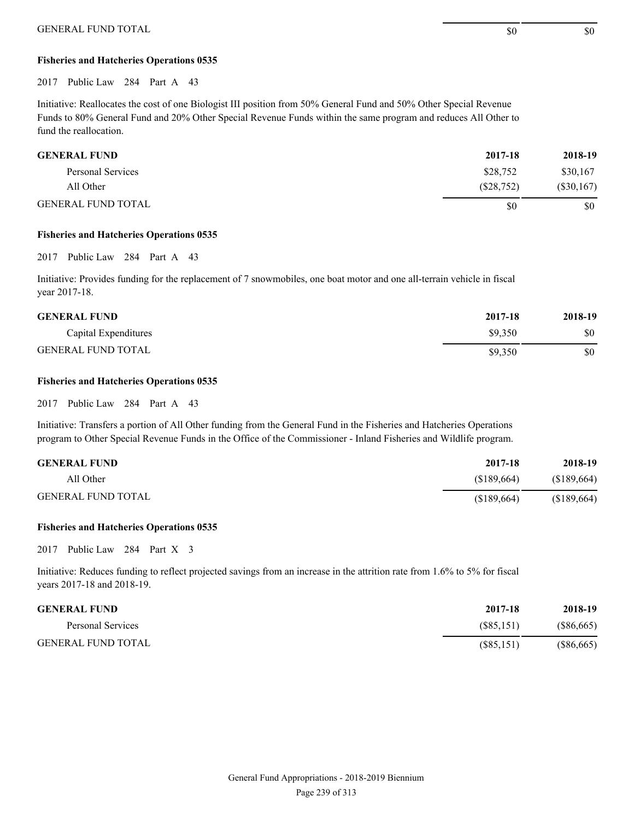# **Fisheries and Hatcheries Operations 0535**

2017 Public Law 284 Part A 43

Initiative: Reallocates the cost of one Biologist III position from 50% General Fund and 50% Other Special Revenue Funds to 80% General Fund and 20% Other Special Revenue Funds within the same program and reduces All Other to fund the reallocation.

| <b>GENERAL FUND</b>       | 2017-18   | 2018-19      |
|---------------------------|-----------|--------------|
| Personal Services         | \$28,752  | \$30,167     |
| All Other                 | (S28,752) | $(\$30,167)$ |
| <b>GENERAL FUND TOTAL</b> | \$0       | \$0          |

#### **Fisheries and Hatcheries Operations 0535**

2017 Public Law 284 Part A 43

Initiative: Provides funding for the replacement of 7 snowmobiles, one boat motor and one all-terrain vehicle in fiscal year 2017-18.

| <b>GENERAL FUND</b>       | 2017-18 | 2018-19 |
|---------------------------|---------|---------|
| Capital Expenditures      | \$9.350 | \$0     |
| <b>GENERAL FUND TOTAL</b> | \$9.350 | \$0     |

# **Fisheries and Hatcheries Operations 0535**

2017 Public Law 284 Part A 43

Initiative: Transfers a portion of All Other funding from the General Fund in the Fisheries and Hatcheries Operations program to Other Special Revenue Funds in the Office of the Commissioner - Inland Fisheries and Wildlife program.

| <b>GENERAL FUND</b>       | 2017-18    | 2018-19    |
|---------------------------|------------|------------|
| All Other                 | (S189.664) | (S189,664) |
| <b>GENERAL FUND TOTAL</b> | (S189,664) | (S189,664) |

#### **Fisheries and Hatcheries Operations 0535**

2017 Public Law 284 Part X 3

Initiative: Reduces funding to reflect projected savings from an increase in the attrition rate from 1.6% to 5% for fiscal years 2017-18 and 2018-19.

| <b>GENERAL FUND</b>       | 2017-18    | 2018-19      |
|---------------------------|------------|--------------|
| Personal Services         | (S85, 151) | (S86, 665)   |
| <b>GENERAL FUND TOTAL</b> | (S85, 151) | $(\$86,665)$ |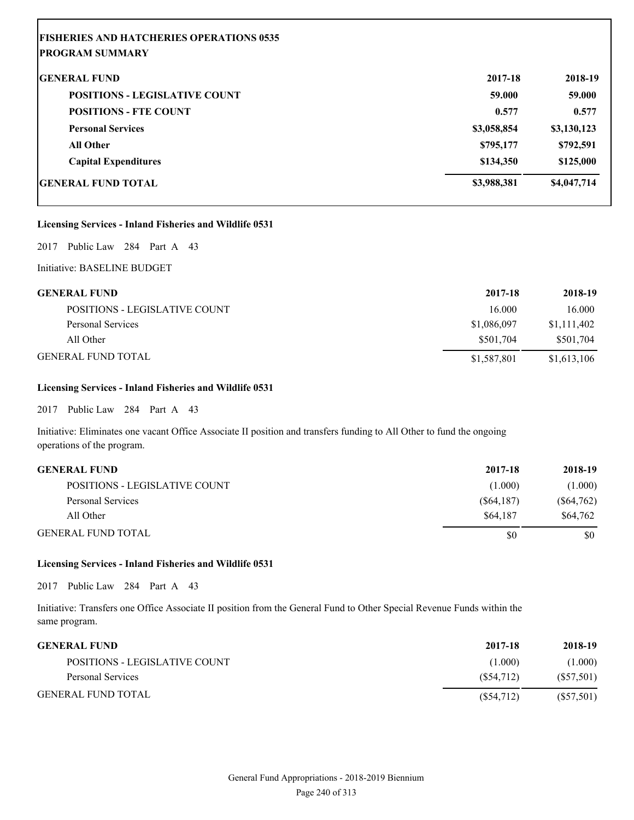# **FISHERIES AND HATCHERIES OPERATIONS 0535 PROGRAM SUMMARY**

| <b>GENERAL FUND</b>                  | 2017-18     | 2018-19     |
|--------------------------------------|-------------|-------------|
| <b>POSITIONS - LEGISLATIVE COUNT</b> | 59.000      | 59.000      |
| <b>POSITIONS - FTE COUNT</b>         | 0.577       | 0.577       |
| <b>Personal Services</b>             | \$3,058,854 | \$3,130,123 |
| <b>All Other</b>                     | \$795,177   | \$792,591   |
| <b>Capital Expenditures</b>          | \$134,350   | \$125,000   |
| <b>GENERAL FUND TOTAL</b>            | \$3,988,381 | \$4,047,714 |

# **Licensing Services - Inland Fisheries and Wildlife 0531**

2017 Public Law 284 Part A 43

Initiative: BASELINE BUDGET

| <b>GENERAL FUND</b>           | 2017-18     | 2018-19     |
|-------------------------------|-------------|-------------|
| POSITIONS - LEGISLATIVE COUNT | 16.000      | 16.000      |
| Personal Services             | \$1,086,097 | \$1,111,402 |
| All Other                     | \$501.704   | \$501.704   |
| <b>GENERAL FUND TOTAL</b>     | \$1,587,801 | \$1,613,106 |

# **Licensing Services - Inland Fisheries and Wildlife 0531**

2017 Public Law 284 Part A 43

Initiative: Eliminates one vacant Office Associate II position and transfers funding to All Other to fund the ongoing operations of the program.

| <b>GENERAL FUND</b>           | 2017-18    | 2018-19      |
|-------------------------------|------------|--------------|
| POSITIONS - LEGISLATIVE COUNT | (1.000)    | (1.000)      |
| Personal Services             | (S64, 187) | $(\$64,762)$ |
| All Other                     | \$64.187   | \$64,762     |
| <b>GENERAL FUND TOTAL</b>     | \$0        | \$0          |

# **Licensing Services - Inland Fisheries and Wildlife 0531**

2017 Public Law 284 Part A 43

Initiative: Transfers one Office Associate II position from the General Fund to Other Special Revenue Funds within the same program.

| <b>GENERAL FUND</b>           | 2017-18   | 2018-19   |
|-------------------------------|-----------|-----------|
| POSITIONS - LEGISLATIVE COUNT | (1.000)   | (1.000)   |
| Personal Services             | (S54.712) | (S57,501) |
| <b>GENERAL FUND TOTAL</b>     | (S54,712) | (S57,501) |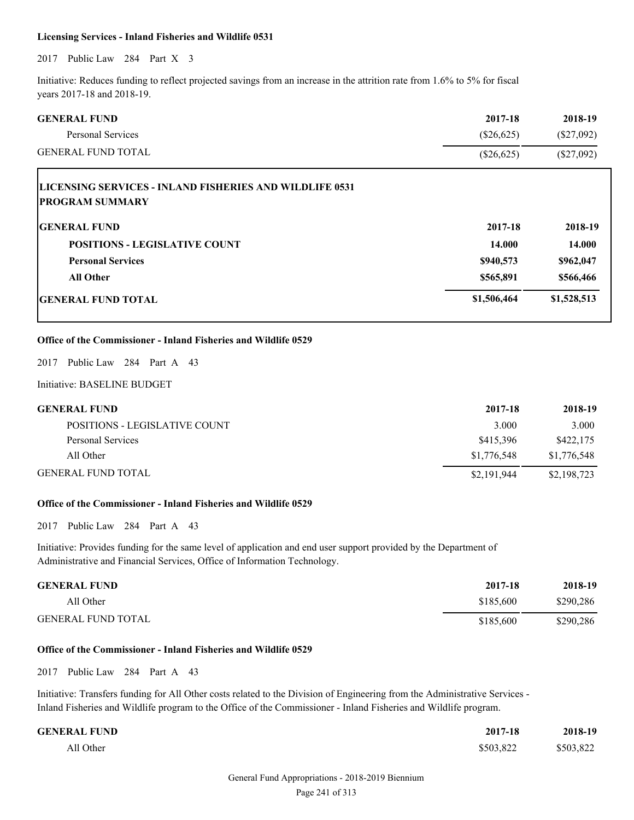#### **Licensing Services - Inland Fisheries and Wildlife 0531**

2017 Public Law 284 Part X 3

Initiative: Reduces funding to reflect projected savings from an increase in the attrition rate from 1.6% to 5% for fiscal years 2017-18 and 2018-19.

| <b>GENERAL FUND</b>                                                                                                                                                                           | 2017-18      | 2018-19      |
|-----------------------------------------------------------------------------------------------------------------------------------------------------------------------------------------------|--------------|--------------|
| <b>Personal Services</b>                                                                                                                                                                      | (\$26,625)   | $(\$27,092)$ |
| <b>GENERAL FUND TOTAL</b>                                                                                                                                                                     | $(\$26,625)$ | $(\$27,092)$ |
| LICENSING SERVICES - INLAND FISHERIES AND WILDLIFE 0531                                                                                                                                       |              |              |
| <b>PROGRAM SUMMARY</b>                                                                                                                                                                        |              |              |
| <b>GENERAL FUND</b>                                                                                                                                                                           | 2017-18      | 2018-19      |
| <b>POSITIONS - LEGISLATIVE COUNT</b>                                                                                                                                                          | 14.000       | 14.000       |
| <b>Personal Services</b>                                                                                                                                                                      | \$940,573    | \$962,047    |
| <b>All Other</b>                                                                                                                                                                              | \$565,891    | \$566,466    |
| <b>GENERAL FUND TOTAL</b>                                                                                                                                                                     | \$1,506,464  | \$1,528,513  |
| 2017 Public Law 284 Part A 43<br>Initiative: BASELINE BUDGET                                                                                                                                  |              |              |
| <b>GENERAL FUND</b>                                                                                                                                                                           | 2017-18      | 2018-19      |
| POSITIONS - LEGISLATIVE COUNT                                                                                                                                                                 | 3.000        | 3.000        |
| <b>Personal Services</b>                                                                                                                                                                      | \$415,396    | \$422,175    |
| All Other                                                                                                                                                                                     | \$1,776,548  | \$1,776,548  |
| <b>GENERAL FUND TOTAL</b>                                                                                                                                                                     | \$2,191,944  | \$2,198,723  |
| Office of the Commissioner - Inland Fisheries and Wildlife 0529                                                                                                                               |              |              |
| 2017 Public Law 284 Part A 43                                                                                                                                                                 |              |              |
| Initiative: Provides funding for the same level of application and end user support provided by the Department of<br>Administrative and Financial Services, Office of Information Technology. |              |              |

| <b>GENERAL FUND</b>       | 2017-18   | 2018-19   |
|---------------------------|-----------|-----------|
| All Other                 | \$185,600 | \$290,286 |
| <b>GENERAL FUND TOTAL</b> | \$185,600 | \$290,286 |

#### **Office of the Commissioner - Inland Fisheries and Wildlife 0529**

2017 Public Law 284 Part A 43

Initiative: Transfers funding for All Other costs related to the Division of Engineering from the Administrative Services - Inland Fisheries and Wildlife program to the Office of the Commissioner - Inland Fisheries and Wildlife program.

| <b>GENERAL FUND</b> | 2017-18   | 2018-19   |
|---------------------|-----------|-----------|
| All Other           | \$503,822 | \$503,822 |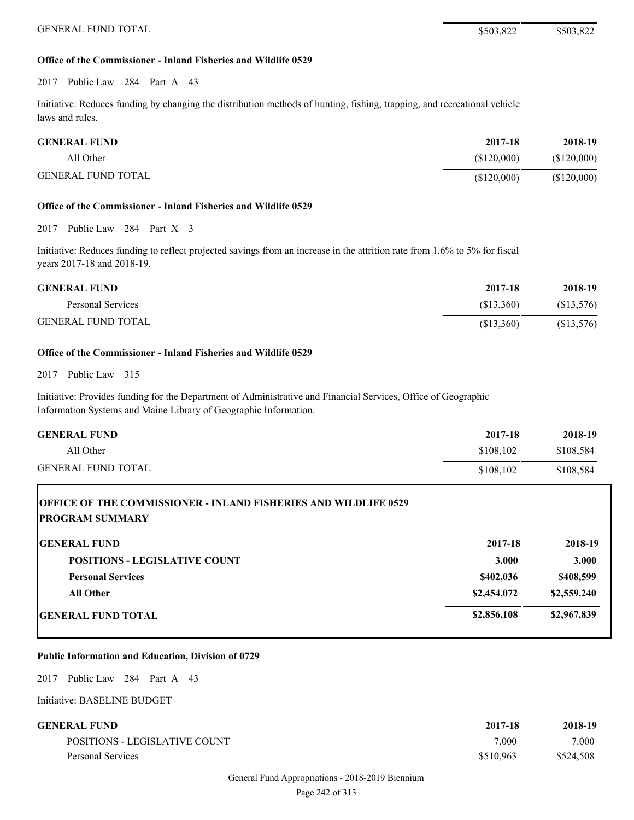### **Office of the Commissioner - Inland Fisheries and Wildlife 0529**

2017 Public Law 284 Part A 43

Initiative: Reduces funding by changing the distribution methods of hunting, fishing, trapping, and recreational vehicle laws and rules.

| <b>GENERAL FUND</b>       | 2017-18     | 2018-19     |
|---------------------------|-------------|-------------|
| All Other                 | (S120,000)  | (\$120,000) |
| <b>GENERAL FUND TOTAL</b> | (\$120,000) | (\$120,000) |

# **Office of the Commissioner - Inland Fisheries and Wildlife 0529**

2017 Public Law 284 Part X 3

Initiative: Reduces funding to reflect projected savings from an increase in the attrition rate from 1.6% to 5% for fiscal years 2017-18 and 2018-19.

| <b>GENERAL FUND</b>       | 2017-18   | 2018-19   |
|---------------------------|-----------|-----------|
| Personal Services         | (S13.360) | (S13,576) |
| <b>GENERAL FUND TOTAL</b> | (S13,360) | (S13,576) |

## **Office of the Commissioner - Inland Fisheries and Wildlife 0529**

2017 Public Law 315

Initiative: Provides funding for the Department of Administrative and Financial Services, Office of Geographic Information Systems and Maine Library of Geographic Information.

| <b>GENERAL FUND</b>       | 2017-18   | 2018-19   |
|---------------------------|-----------|-----------|
| All Other                 | \$108,102 | \$108.584 |
| <b>GENERAL FUND TOTAL</b> | \$108.102 | \$108,584 |

| <b>OFFICE OF THE COMMISSIONER - INLAND FISHERIES AND WILDLIFE 0529</b><br><b>IPROGRAM SUMMARY</b> |              |             |
|---------------------------------------------------------------------------------------------------|--------------|-------------|
| <b>GENERAL FUND</b>                                                                               | 2017-18      | 2018-19     |
| <b>POSITIONS - LEGISLATIVE COUNT</b>                                                              | <b>3.000</b> | 3.000       |
| <b>Personal Services</b>                                                                          | \$402,036    | \$408,599   |
| <b>All Other</b>                                                                                  | \$2,454,072  | \$2,559,240 |
| <b>IGENERAL FUND TOTAL</b>                                                                        | \$2,856,108  | \$2,967,839 |

#### **Public Information and Education, Division of 0729**

2017 Public Law 284 Part A 43

| GENERAL FUND-                 | 2017-18   | 2018-19   |
|-------------------------------|-----------|-----------|
| POSITIONS - LEGISLATIVE COUNT | 7.000     | 7.000     |
| Personal Services             | \$510,963 | \$524,508 |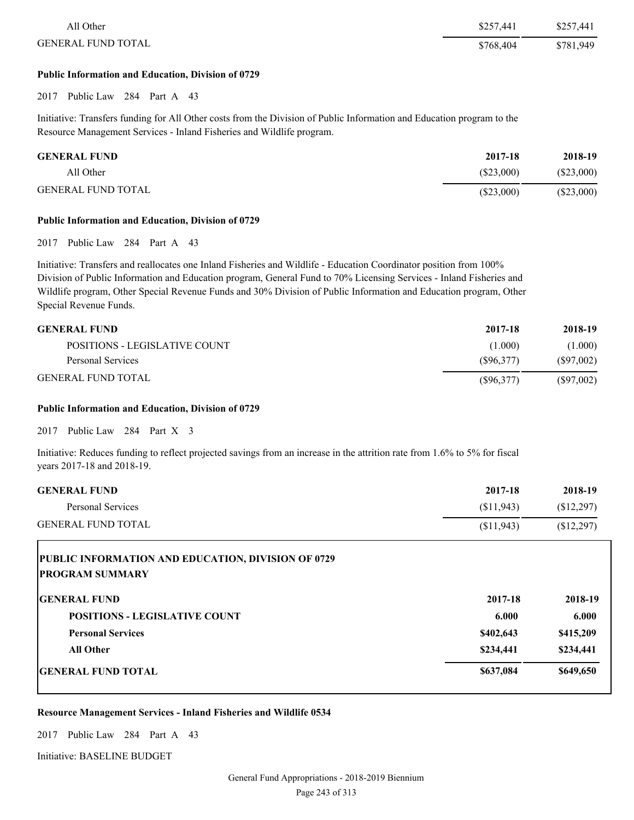| All Other                 | \$257,441 | \$257,441 |
|---------------------------|-----------|-----------|
| <b>GENERAL FUND TOTAL</b> | \$768,404 | \$781,949 |

#### **Public Information and Education, Division of 0729**

2017 Public Law 284 Part A 43

Initiative: Transfers funding for All Other costs from the Division of Public Information and Education program to the Resource Management Services - Inland Fisheries and Wildlife program.

| <b>GENERAL FUND</b>       | 2017-18      | 2018-19   |
|---------------------------|--------------|-----------|
| All Other                 | (S23.000)    | (S23,000) |
| <b>GENERAL FUND TOTAL</b> | $(\$23,000)$ | (S23,000) |

#### **Public Information and Education, Division of 0729**

2017 Public Law 284 Part A 43

Initiative: Transfers and reallocates one Inland Fisheries and Wildlife - Education Coordinator position from 100% Division of Public Information and Education program, General Fund to 70% Licensing Services - Inland Fisheries and Wildlife program, Other Special Revenue Funds and 30% Division of Public Information and Education program, Other Special Revenue Funds.

| <b>GENERAL FUND</b>           | 2017-18   | 2018-19   |
|-------------------------------|-----------|-----------|
| POSITIONS - LEGISLATIVE COUNT | (1.000)   | (1.000)   |
| Personal Services             | (S96.377) | (S97,002) |
| <b>GENERAL FUND TOTAL</b>     | (S96,377) | (S97,002) |

## **Public Information and Education, Division of 0729**

2017 Public Law 284 Part X 3

Initiative: Reduces funding to reflect projected savings from an increase in the attrition rate from 1.6% to 5% for fiscal years 2017-18 and 2018-19.

| <b>GENERAL FUND</b>       | 2017-18    | 2018-19    |
|---------------------------|------------|------------|
| Personal Services         | (S11.943)  | (S12.297)  |
| <b>GENERAL FUND TOTAL</b> | (\$11,943) | (S12, 297) |

| PUBLIC INFORMATION AND EDUCATION, DIVISION OF 0729<br><b>PROGRAM SUMMARY</b> |           |           |
|------------------------------------------------------------------------------|-----------|-----------|
| <b>IGENERAL FUND</b>                                                         | 2017-18   | 2018-19   |
| <b>POSITIONS - LEGISLATIVE COUNT</b>                                         | 6.000     | 6.000     |
| <b>Personal Services</b>                                                     | \$402,643 | \$415,209 |
| <b>All Other</b>                                                             | \$234,441 | \$234,441 |
| <b>IGENERAL FUND TOTAL</b>                                                   | \$637,084 | \$649,650 |

#### **Resource Management Services - Inland Fisheries and Wildlife 0534**

2017 Public Law 284 Part A 43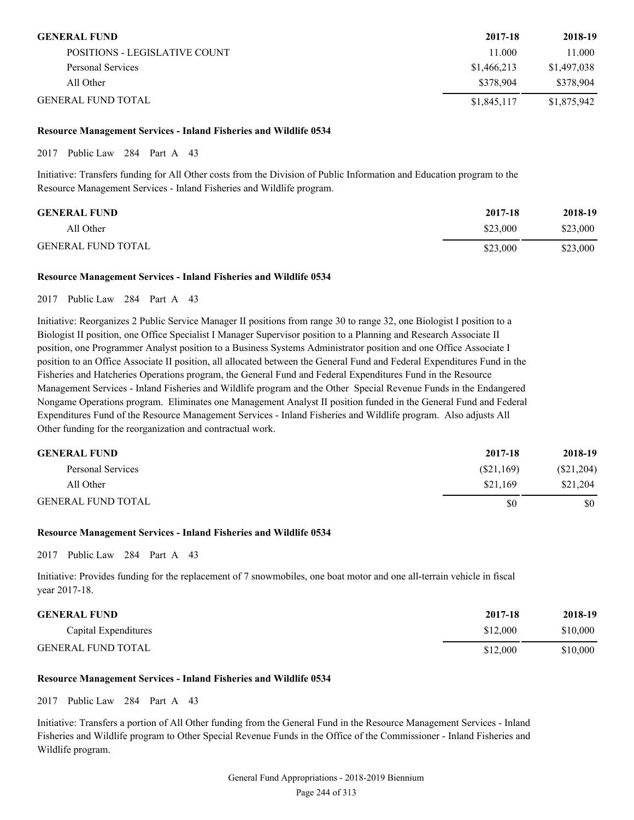| <b>GENERAL FUND</b>           | 2017-18     | 2018-19     |
|-------------------------------|-------------|-------------|
| POSITIONS - LEGISLATIVE COUNT | 11.000      | 11.000      |
| Personal Services             | \$1,466,213 | \$1,497,038 |
| All Other                     | \$378,904   | \$378,904   |
| <b>GENERAL FUND TOTAL</b>     | \$1,845,117 | \$1,875,942 |

## **Resource Management Services - Inland Fisheries and Wildlife 0534**

2017 Public Law 284 Part A 43

Initiative: Transfers funding for All Other costs from the Division of Public Information and Education program to the Resource Management Services - Inland Fisheries and Wildlife program.

| <b>GENERAL FUND</b>       | 2017-18  | 2018-19  |
|---------------------------|----------|----------|
| All Other                 | \$23,000 | \$23,000 |
| <b>GENERAL FUND TOTAL</b> | \$23,000 | \$23,000 |

#### **Resource Management Services - Inland Fisheries and Wildlife 0534**

#### 2017 Public Law 284 Part A 43

Initiative: Reorganizes 2 Public Service Manager II positions from range 30 to range 32, one Biologist I position to a Biologist II position, one Office Specialist I Manager Supervisor position to a Planning and Research Associate II position, one Programmer Analyst position to a Business Systems Administrator position and one Office Associate I position to an Office Associate II position, all allocated between the General Fund and Federal Expenditures Fund in the Fisheries and Hatcheries Operations program, the General Fund and Federal Expenditures Fund in the Resource Management Services - Inland Fisheries and Wildlife program and the Other Special Revenue Funds in the Endangered Nongame Operations program. Eliminates one Management Analyst II position funded in the General Fund and Federal Expenditures Fund of the Resource Management Services - Inland Fisheries and Wildlife program. Also adjusts All Other funding for the reorganization and contractual work.

| <b>GENERAL FUND</b>       | 2017-18   | 2018-19   |
|---------------------------|-----------|-----------|
| Personal Services         | (S21,169) | (S21,204) |
| All Other                 | \$21.169  | \$21,204  |
| <b>GENERAL FUND TOTAL</b> | \$0       | \$0       |

#### **Resource Management Services - Inland Fisheries and Wildlife 0534**

2017 Public Law 284 Part A 43

Initiative: Provides funding for the replacement of 7 snowmobiles, one boat motor and one all-terrain vehicle in fiscal year 2017-18.

| <b>GENERAL FUND</b>       | 2017-18  | 2018-19  |
|---------------------------|----------|----------|
| Capital Expenditures      | \$12,000 | \$10,000 |
| <b>GENERAL FUND TOTAL</b> | \$12,000 | \$10,000 |

## **Resource Management Services - Inland Fisheries and Wildlife 0534**

2017 Public Law 284 Part A 43

Initiative: Transfers a portion of All Other funding from the General Fund in the Resource Management Services - Inland Fisheries and Wildlife program to Other Special Revenue Funds in the Office of the Commissioner - Inland Fisheries and Wildlife program.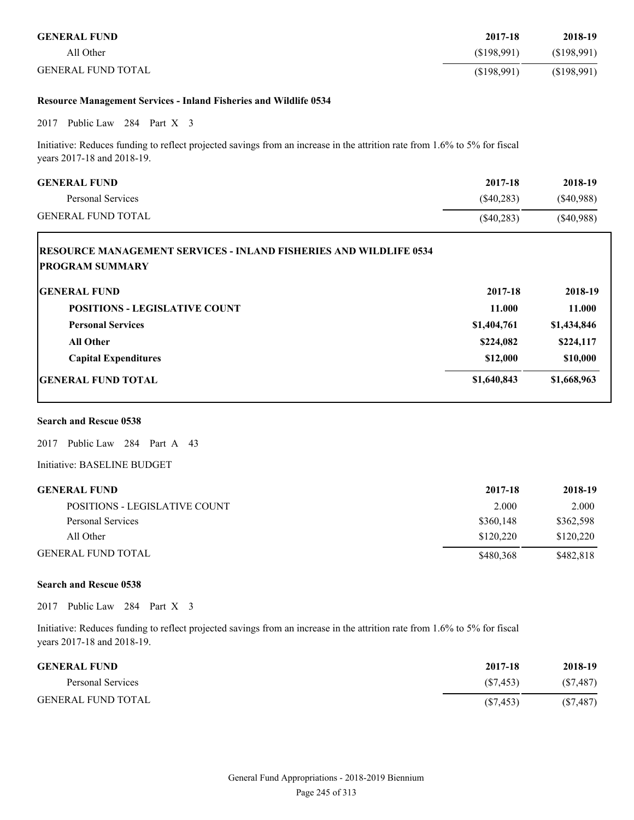| <b>GENERAL FUND</b>       | 2017-18    | 2018-19    |
|---------------------------|------------|------------|
| All Other                 | (S198.991) | (S198,991) |
| <b>GENERAL FUND TOTAL</b> | (S198,991) | (S198,991) |

#### **Resource Management Services - Inland Fisheries and Wildlife 0534**

2017 Public Law 284 Part X 3

Initiative: Reduces funding to reflect projected savings from an increase in the attrition rate from 1.6% to 5% for fiscal years 2017-18 and 2018-19.

| <b>GENERAL FUND</b>       | 2017-18      | 2018-19   |
|---------------------------|--------------|-----------|
| Personal Services         | $(\$40,283)$ | (S40,988) |
| <b>GENERAL FUND TOTAL</b> | (S40, 283)   | (S40,988) |

| <b>IRESOURCE MANAGEMENT SERVICES - INLAND FISHERIES AND WILDLIFE 0534</b><br><b>PROGRAM SUMMARY</b> |             |             |
|-----------------------------------------------------------------------------------------------------|-------------|-------------|
| <b>IGENERAL FUND</b>                                                                                | 2017-18     | 2018-19     |
| <b>POSITIONS - LEGISLATIVE COUNT</b>                                                                | 11.000      | 11.000      |
| <b>Personal Services</b>                                                                            | \$1,404,761 | \$1,434,846 |
| <b>All Other</b>                                                                                    | \$224,082   | \$224,117   |
| <b>Capital Expenditures</b>                                                                         | \$12,000    | \$10,000    |
| <b>IGENERAL FUND TOTAL</b>                                                                          | \$1,640,843 | \$1,668,963 |

# **Search and Rescue 0538**

2017 Public Law 284 Part A 43

Initiative: BASELINE BUDGET

| <b>GENERAL FUND</b>           | 2017-18   | 2018-19   |
|-------------------------------|-----------|-----------|
| POSITIONS - LEGISLATIVE COUNT | 2.000     | 2.000     |
| Personal Services             | \$360,148 | \$362,598 |
| All Other                     | \$120.220 | \$120,220 |
| <b>GENERAL FUND TOTAL</b>     | \$480,368 | \$482,818 |

#### **Search and Rescue 0538**

2017 Public Law 284 Part X 3

Initiative: Reduces funding to reflect projected savings from an increase in the attrition rate from 1.6% to 5% for fiscal years 2017-18 and 2018-19.

| <b>GENERAL FUND</b>       | 2017-18   | 2018-19   |
|---------------------------|-----------|-----------|
| Personal Services         | (S7.453)  | (S7, 487) |
| <b>GENERAL FUND TOTAL</b> | (S7, 453) | (S7, 487) |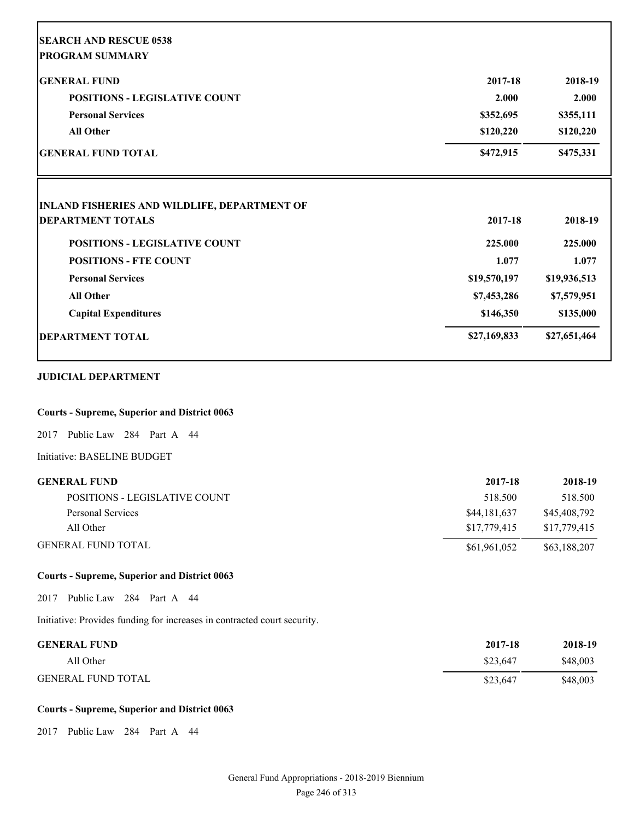| <b>SEARCH AND RESCUE 0538</b>                       |              |                        |
|-----------------------------------------------------|--------------|------------------------|
| <b>PROGRAM SUMMARY</b>                              |              |                        |
| <b>GENERAL FUND</b>                                 | 2017-18      | 2018-19                |
| <b>POSITIONS - LEGISLATIVE COUNT</b>                | 2.000        | 2.000                  |
| <b>Personal Services</b>                            | \$352,695    | \$355,111              |
| <b>All Other</b><br><b>GENERAL FUND TOTAL</b>       | \$120,220    | \$120,220<br>\$475,331 |
|                                                     | \$472,915    |                        |
| <b>INLAND FISHERIES AND WILDLIFE, DEPARTMENT OF</b> |              |                        |
| <b>DEPARTMENT TOTALS</b>                            | 2017-18      | 2018-19                |
| <b>POSITIONS - LEGISLATIVE COUNT</b>                | 225.000      | 225.000                |
| <b>POSITIONS - FTE COUNT</b>                        | 1.077        | 1.077                  |
| <b>Personal Services</b>                            | \$19,570,197 | \$19,936,513           |
| <b>All Other</b>                                    | \$7,453,286  | \$7,579,951            |
| <b>Capital Expenditures</b>                         | \$146,350    | \$135,000              |
| <b>DEPARTMENT TOTAL</b>                             | \$27,169,833 | \$27,651,464           |
| <b>JUDICIAL DEPARTMENT</b>                          |              |                        |
| <b>Courts - Supreme, Superior and District 0063</b> |              |                        |
| 2017 Public Law 284 Part A 44                       |              |                        |
| Initiative: BASELINE BUDGET                         |              |                        |
| <b>GENERAL FUND</b>                                 | 2017-18      | 2018-19                |
| POSITIONS - LEGISLATIVE COUNT                       | 518.500      | 518.500                |
| Personal Services                                   | \$44,181,637 | \$45,408,792           |
| All Other                                           | \$17,779,415 | \$17,779,415           |
| <b>GENERAL FUND TOTAL</b>                           | \$61,961,052 | \$63,188,207           |
| <b>Courts - Supreme, Superior and District 0063</b> |              |                        |
| Public Law 284 Part A 44<br>2017                    |              |                        |

Initiative: Provides funding for increases in contracted court security.

| <b>GENERAL FUND</b>       | 2017-18  | 2018-19  |
|---------------------------|----------|----------|
| All Other                 | \$23.647 | \$48,003 |
| <b>GENERAL FUND TOTAL</b> | \$23,647 | \$48,003 |

# **Courts - Supreme, Superior and District 0063**

2017 Public Law 284 Part A 44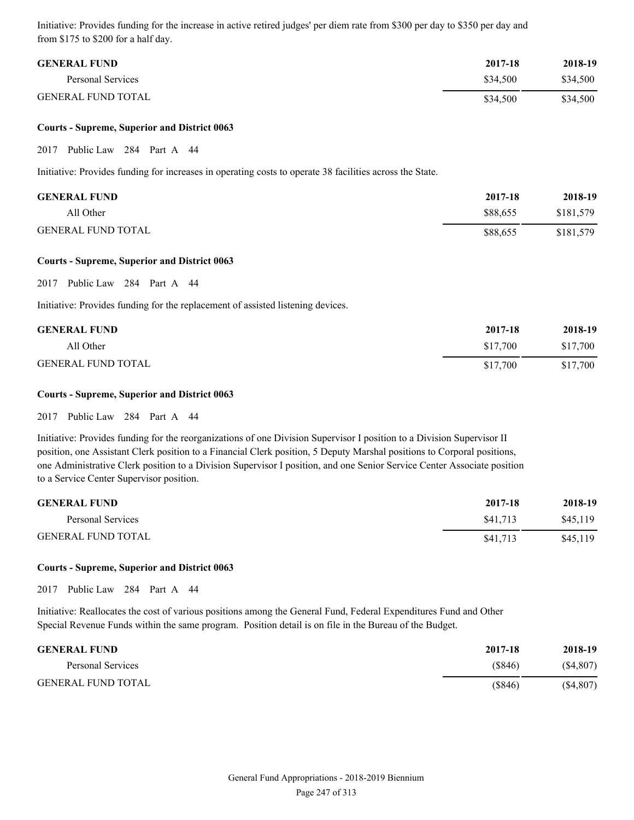Initiative: Provides funding for the increase in active retired judges' per diem rate from \$300 per day to \$350 per day and from \$175 to \$200 for a half day.

| <b>GENERAL FUND</b>       | 2017-18  | 2018-19  |
|---------------------------|----------|----------|
| Personal Services         | \$34.500 | \$34,500 |
| <b>GENERAL FUND TOTAL</b> | \$34,500 | \$34,500 |

#### **Courts - Supreme, Superior and District 0063**

2017 Public Law 284 Part A 44

Initiative: Provides funding for increases in operating costs to operate 38 facilities across the State.

| <b>GENERAL FUND</b>       | 2017-18  | 2018-19   |
|---------------------------|----------|-----------|
| All Other                 | \$88,655 | \$181.579 |
| <b>GENERAL FUND TOTAL</b> | \$88,655 | \$181,579 |

#### **Courts - Supreme, Superior and District 0063**

2017 Public Law 284 Part A 44

Initiative: Provides funding for the replacement of assisted listening devices.

| <b>GENERAL FUND</b>       | 2017-18  | 2018-19  |
|---------------------------|----------|----------|
| All Other                 | \$17.700 | \$17,700 |
| <b>GENERAL FUND TOTAL</b> | \$17,700 | \$17,700 |

### **Courts - Supreme, Superior and District 0063**

2017 Public Law 284 Part A 44

Initiative: Provides funding for the reorganizations of one Division Supervisor I position to a Division Supervisor II position, one Assistant Clerk position to a Financial Clerk position, 5 Deputy Marshal positions to Corporal positions, one Administrative Clerk position to a Division Supervisor I position, and one Senior Service Center Associate position to a Service Center Supervisor position.

| <b>GENERAL FUND</b>       | 2017-18  | 2018-19  |
|---------------------------|----------|----------|
| Personal Services         | \$41.713 | \$45,119 |
| <b>GENERAL FUND TOTAL</b> | \$41,713 | \$45,119 |

#### **Courts - Supreme, Superior and District 0063**

2017 Public Law 284 Part A 44

Initiative: Reallocates the cost of various positions among the General Fund, Federal Expenditures Fund and Other Special Revenue Funds within the same program. Position detail is on file in the Bureau of the Budget.

| <b>GENERAL FUND</b>       | 2017-18 | 2018-19   |
|---------------------------|---------|-----------|
| Personal Services         | (S846)  | (S4, 807) |
| <b>GENERAL FUND TOTAL</b> | (\$846) | (S4, 807) |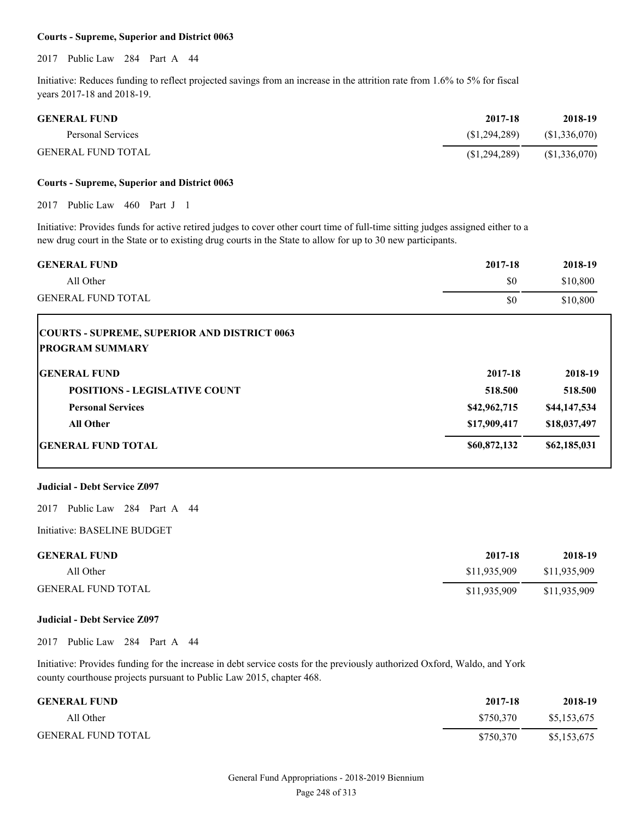#### **Courts - Supreme, Superior and District 0063**

2017 Public Law 284 Part A 44

Initiative: Reduces funding to reflect projected savings from an increase in the attrition rate from 1.6% to 5% for fiscal years 2017-18 and 2018-19.

| <b>GENERAL FUND</b> | 2017-18        | 2018-19      |
|---------------------|----------------|--------------|
| Personal Services   | (S1.294.289)   | (S1,336,070) |
| GENERAL FUND TOTAL  | (S1, 294, 289) | (S1,336,070) |

#### **Courts - Supreme, Superior and District 0063**

2017 Public Law 460 Part J 1

Initiative: Provides funds for active retired judges to cover other court time of full-time sitting judges assigned either to a new drug court in the State or to existing drug courts in the State to allow for up to 30 new participants.

| <b>GENERAL FUND</b>                                 | 2017-18 | 2018-19  |
|-----------------------------------------------------|---------|----------|
| All Other                                           | \$0     | \$10,800 |
| <b>GENERAL FUND TOTAL</b>                           | \$0     | \$10,800 |
| <b>COURTS - SUPREME, SUPERIOR AND DISTRICT 0063</b> |         |          |

| <b>PROGRAM SUMMARY</b> |  |
|------------------------|--|
|                        |  |

| <b>GENERAL FUND</b>                  | 2017-18      | 2018-19      |
|--------------------------------------|--------------|--------------|
| <b>POSITIONS - LEGISLATIVE COUNT</b> | 518.500      | 518.500      |
| <b>Personal Services</b>             | \$42,962,715 | \$44,147,534 |
| <b>All Other</b>                     | \$17,909,417 | \$18,037,497 |
| <b>GENERAL FUND TOTAL</b>            | \$60,872,132 | \$62,185,031 |

#### **Judicial - Debt Service Z097**

2017 Public Law 284 Part A 44

Initiative: BASELINE BUDGET

| <b>GENERAL FUND</b>       | 2017-18      | 2018-19      |
|---------------------------|--------------|--------------|
| All Other                 | \$11,935,909 | \$11,935,909 |
| <b>GENERAL FUND TOTAL</b> | \$11,935,909 | \$11,935,909 |

#### **Judicial - Debt Service Z097**

2017 Public Law 284 Part A 44

Initiative: Provides funding for the increase in debt service costs for the previously authorized Oxford, Waldo, and York county courthouse projects pursuant to Public Law 2015, chapter 468.

| <b>GENERAL FUND</b>       | 2017-18   | 2018-19     |
|---------------------------|-----------|-------------|
| All Other                 | \$750.370 | \$5,153,675 |
| <b>GENERAL FUND TOTAL</b> | \$750.370 | \$5,153,675 |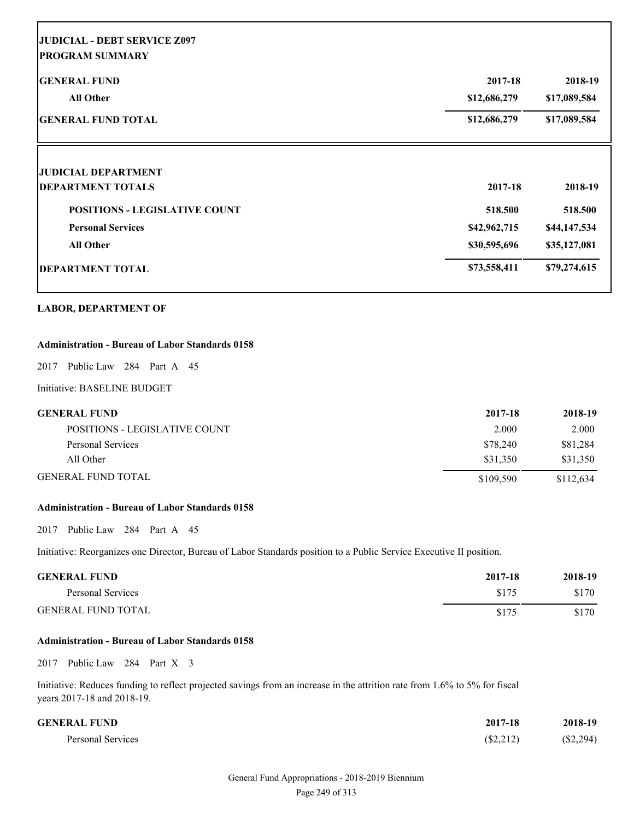| <b>GENERAL FUND</b>                  | 2017-18                      | 2018-19                      |
|--------------------------------------|------------------------------|------------------------------|
| <b>All Other</b>                     | \$12,686,279<br>\$12,686,279 | \$17,089,584<br>\$17,089,584 |
| <b>GENERAL FUND TOTAL</b>            |                              |                              |
| <b>JUDICIAL DEPARTMENT</b>           |                              |                              |
| <b>DEPARTMENT TOTALS</b>             | 2017-18                      | 2018-19                      |
| <b>POSITIONS - LEGISLATIVE COUNT</b> | 518.500                      | 518.500                      |
| <b>Personal Services</b>             | \$42,962,715                 | \$44,147,534                 |
| <b>All Other</b>                     | \$30,595,696                 | \$35,127,081                 |
| <b>DEPARTMENT TOTAL</b>              | \$73,558,411                 | \$79,274,615                 |

## **Administration - Bureau of Labor Standards 0158**

2017 Public Law 284 Part A 45

Initiative: BASELINE BUDGET

Г

| GENERAL FUND                  | 2017-18   | 2018-19   |
|-------------------------------|-----------|-----------|
| POSITIONS - LEGISLATIVE COUNT | 2.000     | 2.000     |
| Personal Services             | \$78.240  | \$81,284  |
| All Other                     | \$31.350  | \$31.350  |
| GENERAL FUND TOTAL            | \$109.590 | \$112.634 |

## **Administration - Bureau of Labor Standards 0158**

2017 Public Law 284 Part A 45

Initiative: Reorganizes one Director, Bureau of Labor Standards position to a Public Service Executive II position.

| <b>GENERAL FUND</b>       | 2017-18 | 2018-19 |
|---------------------------|---------|---------|
| Personal Services         | \$175   | \$170   |
| <b>GENERAL FUND TOTAL</b> | \$175   | \$170   |

#### **Administration - Bureau of Labor Standards 0158**

2017 Public Law 284 Part X 3

Initiative: Reduces funding to reflect projected savings from an increase in the attrition rate from 1.6% to 5% for fiscal years 2017-18 and 2018-19.

| <b>GENERAL FUND</b> | 2017-18   | 2018-19     |
|---------------------|-----------|-------------|
| Personal Services   | (\$2,212) | $(\$2,294)$ |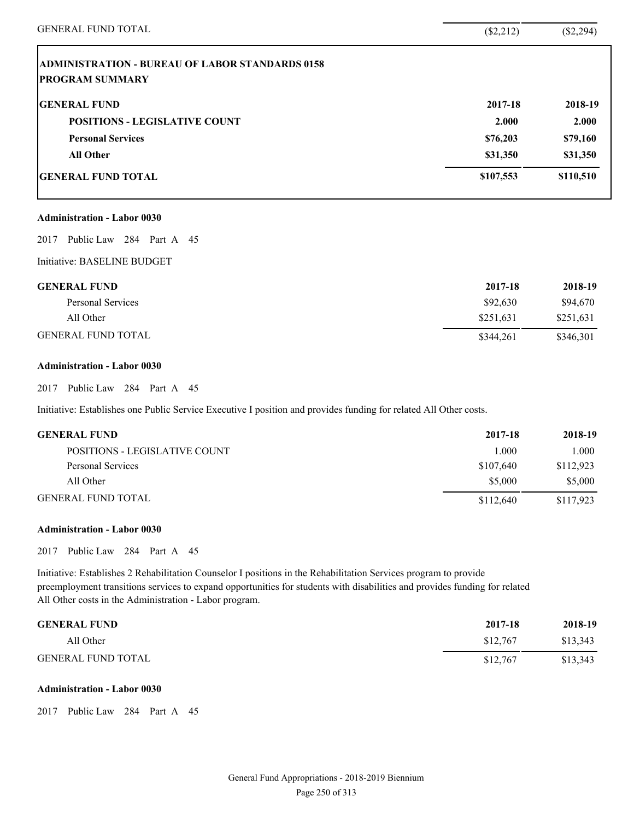| <b>GENERAL FUND TOTAL</b>                              | (\$2,212) | $(\$2,294)$ |
|--------------------------------------------------------|-----------|-------------|
| <b>ADMINISTRATION - BUREAU OF LABOR STANDARDS 0158</b> |           |             |
| <b>PROGRAM SUMMARY</b>                                 |           |             |
| <b>GENERAL FUND</b>                                    | 2017-18   | 2018-19     |
| <b>POSITIONS - LEGISLATIVE COUNT</b>                   | 2.000     | 2.000       |
| <b>Personal Services</b>                               | \$76,203  | \$79,160    |
| <b>All Other</b>                                       | \$31,350  | \$31,350    |
| <b>GENERAL FUND TOTAL</b>                              | \$107,553 | \$110,510   |
| <b>Administration - Labor 0030</b>                     |           |             |
| Public Law 284 Part A 45<br>2017                       |           |             |
| Initiative: BASELINE BUDGET                            |           |             |
| <b>GENERAL FUND</b>                                    | 2017-18   | 2018-19     |
| Personal Services                                      | \$92,630  | \$94,670    |
| All Other                                              | \$251,631 | \$251,631   |
| <b>GENERAL FUND TOTAL</b>                              | \$344,261 | \$346,301   |
|                                                        |           |             |

## **Administration - Labor 0030**

2017 Public Law 284 Part A 45

Initiative: Establishes one Public Service Executive I position and provides funding for related All Other costs.

| <b>GENERAL FUND</b>           | 2017-18   | 2018-19   |
|-------------------------------|-----------|-----------|
| POSITIONS - LEGISLATIVE COUNT | 1.000     | 1.000     |
| Personal Services             | \$107,640 | \$112,923 |
| All Other                     | \$5,000   | \$5,000   |
| <b>GENERAL FUND TOTAL</b>     | \$112,640 | \$117,923 |

## **Administration - Labor 0030**

2017 Public Law 284 Part A 45

Initiative: Establishes 2 Rehabilitation Counselor I positions in the Rehabilitation Services program to provide preemployment transitions services to expand opportunities for students with disabilities and provides funding for related All Other costs in the Administration - Labor program.

| <b>GENERAL FUND</b>       | 2017-18  | 2018-19  |
|---------------------------|----------|----------|
| All Other                 | \$12.767 | \$13,343 |
| <b>GENERAL FUND TOTAL</b> | \$12.767 | \$13,343 |

### **Administration - Labor 0030**

2017 Public Law 284 Part A 45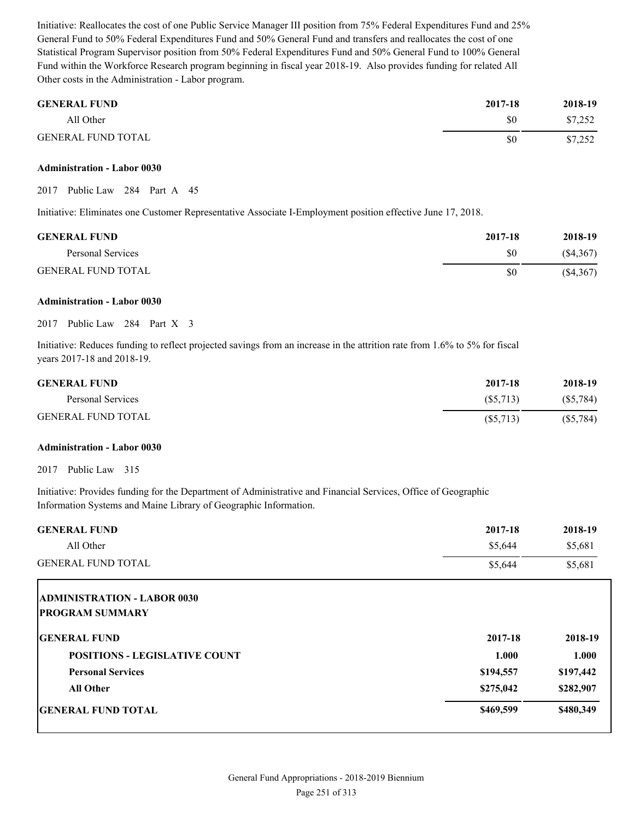Initiative: Reallocates the cost of one Public Service Manager III position from 75% Federal Expenditures Fund and 25% General Fund to 50% Federal Expenditures Fund and 50% General Fund and transfers and reallocates the cost of one Statistical Program Supervisor position from 50% Federal Expenditures Fund and 50% General Fund to 100% General Fund within the Workforce Research program beginning in fiscal year 2018-19. Also provides funding for related All Other costs in the Administration - Labor program.

| <b>GENERAL FUND</b>       | 2017-18 | 2018-19 |
|---------------------------|---------|---------|
| All Other                 | \$0     | \$7,252 |
| <b>GENERAL FUND TOTAL</b> | \$0     | \$7,252 |

#### **Administration - Labor 0030**

2017 Public Law 284 Part A 45

Initiative: Eliminates one Customer Representative Associate I-Employment position effective June 17, 2018.

| <b>GENERAL FUND</b>       | 2017-18 | 2018-19   |
|---------------------------|---------|-----------|
| Personal Services         | \$0     | (S4, 367) |
| <b>GENERAL FUND TOTAL</b> | \$0     | (S4, 367) |

#### **Administration - Labor 0030**

2017 Public Law 284 Part X 3

Initiative: Reduces funding to reflect projected savings from an increase in the attrition rate from 1.6% to 5% for fiscal years 2017-18 and 2018-19.

| <b>GENERAL FUND</b>       | 2017-18     | 2018-19     |
|---------------------------|-------------|-------------|
| Personal Services         | (S5,713)    | (S5,784)    |
| <b>GENERAL FUND TOTAL</b> | $(\$5,713)$ | $(\$5,784)$ |

#### **Administration - Labor 0030**

2017 Public Law 315

Initiative: Provides funding for the Department of Administrative and Financial Services, Office of Geographic Information Systems and Maine Library of Geographic Information.

| <b>GENERAL FUND</b>                                          | 2017-18   | 2018-19   |
|--------------------------------------------------------------|-----------|-----------|
| All Other                                                    | \$5,644   | \$5,681   |
| <b>GENERAL FUND TOTAL</b>                                    | \$5,644   | \$5,681   |
| <b>ADMINISTRATION - LABOR 0030</b><br><b>PROGRAM SUMMARY</b> |           |           |
| <b>GENERAL FUND</b>                                          | 2017-18   | 2018-19   |
| <b>POSITIONS - LEGISLATIVE COUNT</b>                         | 1.000     | 1.000     |
| <b>Personal Services</b>                                     | \$194,557 | \$197,442 |
| <b>All Other</b>                                             | \$275,042 | \$282,907 |
| <b>GENERAL FUND TOTAL</b>                                    | \$469,599 | \$480,349 |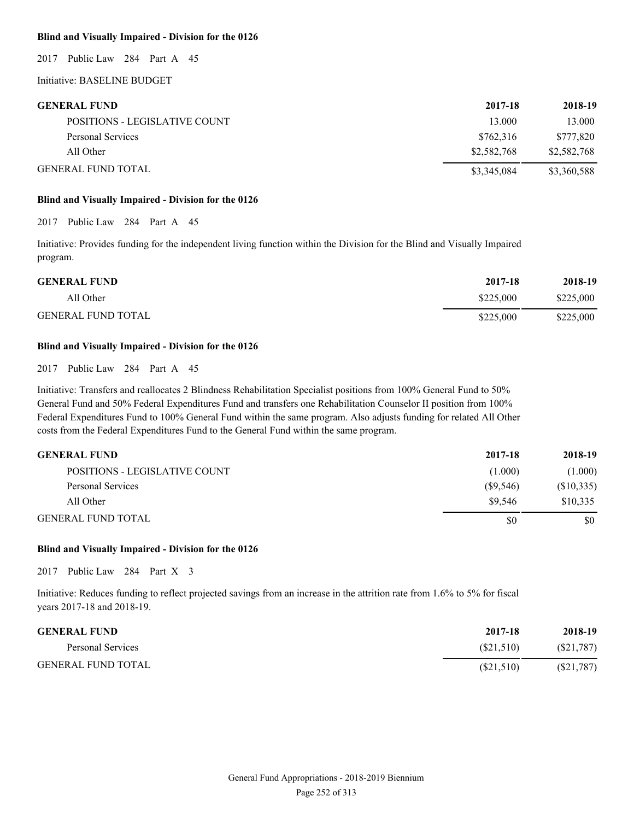### **Blind and Visually Impaired - Division for the 0126**

2017 Public Law 284 Part A 45

Initiative: BASELINE BUDGET

| <b>GENERAL FUND</b>           | 2017-18     | 2018-19     |
|-------------------------------|-------------|-------------|
| POSITIONS - LEGISLATIVE COUNT | 13.000      | 13.000      |
| Personal Services             | \$762.316   | \$777.820   |
| All Other                     | \$2,582,768 | \$2,582,768 |
| <b>GENERAL FUND TOTAL</b>     | \$3,345,084 | \$3,360,588 |

#### **Blind and Visually Impaired - Division for the 0126**

2017 Public Law 284 Part A 45

Initiative: Provides funding for the independent living function within the Division for the Blind and Visually Impaired program.

| <b>GENERAL FUND</b>       | 2017-18   | 2018-19   |
|---------------------------|-----------|-----------|
| All Other                 | \$225,000 | \$225,000 |
| <b>GENERAL FUND TOTAL</b> | \$225,000 | \$225,000 |

#### **Blind and Visually Impaired - Division for the 0126**

2017 Public Law 284 Part A 45

Initiative: Transfers and reallocates 2 Blindness Rehabilitation Specialist positions from 100% General Fund to 50% General Fund and 50% Federal Expenditures Fund and transfers one Rehabilitation Counselor II position from 100% Federal Expenditures Fund to 100% General Fund within the same program. Also adjusts funding for related All Other costs from the Federal Expenditures Fund to the General Fund within the same program.

| <b>GENERAL FUND</b>           | 2017-18     | 2018-19    |
|-------------------------------|-------------|------------|
| POSITIONS - LEGISLATIVE COUNT | (1.000)     | (1.000)    |
| Personal Services             | $(\$9,546)$ | (\$10,335) |
| All Other                     | \$9.546     | \$10.335   |
| <b>GENERAL FUND TOTAL</b>     | \$0         | \$0        |

#### **Blind and Visually Impaired - Division for the 0126**

2017 Public Law 284 Part X 3

Initiative: Reduces funding to reflect projected savings from an increase in the attrition rate from 1.6% to 5% for fiscal years 2017-18 and 2018-19.

| <b>GENERAL FUND</b>       | 2017-18   | 2018-19   |
|---------------------------|-----------|-----------|
| Personal Services         | (S21.510) | (S21,787) |
| <b>GENERAL FUND TOTAL</b> | (S21,510) | (S21,787) |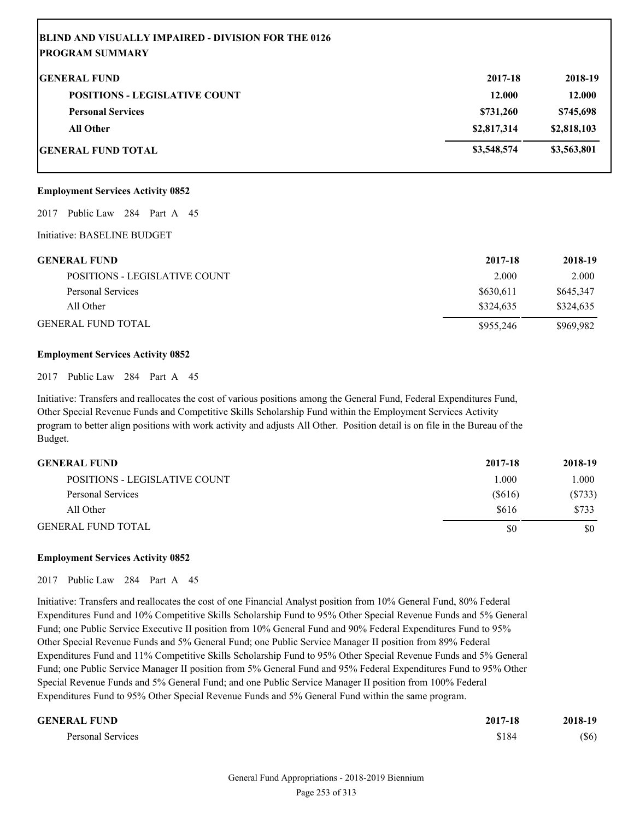| <b>BLIND AND VISUALLY IMPAIRED - DIVISION FOR THE 0126</b> |             |             |
|------------------------------------------------------------|-------------|-------------|
| <b>PROGRAM SUMMARY</b>                                     |             |             |
| <b>IGENERAL FUND</b>                                       | 2017-18     | 2018-19     |
| <b>POSITIONS - LEGISLATIVE COUNT</b>                       | 12.000      | 12.000      |
| <b>Personal Services</b>                                   | \$731,260   | \$745,698   |
| <b>All Other</b>                                           | \$2,817,314 | \$2,818,103 |
| GENERAL FUND TOTAL                                         | \$3,548,574 | \$3,563,801 |

#### **Employment Services Activity 0852**

2017 Public Law 284 Part A 45

Initiative: BASELINE BUDGET

| <b>GENERAL FUND</b>           | 2017-18   | 2018-19   |
|-------------------------------|-----------|-----------|
| POSITIONS - LEGISLATIVE COUNT | 2.000     | 2.000     |
| Personal Services             | \$630.611 | \$645,347 |
| All Other                     | \$324,635 | \$324,635 |
| <b>GENERAL FUND TOTAL</b>     | \$955,246 | \$969.982 |

#### **Employment Services Activity 0852**

2017 Public Law 284 Part A 45

Initiative: Transfers and reallocates the cost of various positions among the General Fund, Federal Expenditures Fund, Other Special Revenue Funds and Competitive Skills Scholarship Fund within the Employment Services Activity program to better align positions with work activity and adjusts All Other. Position detail is on file in the Bureau of the Budget.

| <b>GENERAL FUND</b>                  | 2017-18 | 2018-19 |
|--------------------------------------|---------|---------|
| <b>POSITIONS - LEGISLATIVE COUNT</b> | 1.000   | 000.1   |
| Personal Services                    | (S616)  | (S733)  |
| All Other                            | \$616   | \$733   |
| <b>GENERAL FUND TOTAL</b>            | \$0     | \$0     |

#### **Employment Services Activity 0852**

2017 Public Law 284 Part A 45

Initiative: Transfers and reallocates the cost of one Financial Analyst position from 10% General Fund, 80% Federal Expenditures Fund and 10% Competitive Skills Scholarship Fund to 95% Other Special Revenue Funds and 5% General Fund; one Public Service Executive II position from 10% General Fund and 90% Federal Expenditures Fund to 95% Other Special Revenue Funds and 5% General Fund; one Public Service Manager II position from 89% Federal Expenditures Fund and 11% Competitive Skills Scholarship Fund to 95% Other Special Revenue Funds and 5% General Fund; one Public Service Manager II position from 5% General Fund and 95% Federal Expenditures Fund to 95% Other Special Revenue Funds and 5% General Fund; and one Public Service Manager II position from 100% Federal Expenditures Fund to 95% Other Special Revenue Funds and 5% General Fund within the same program.

| <b>GENERAL FUND</b> | 2017-18 | 2018-19 |
|---------------------|---------|---------|
| Personal Services   | \$184   | \$6)    |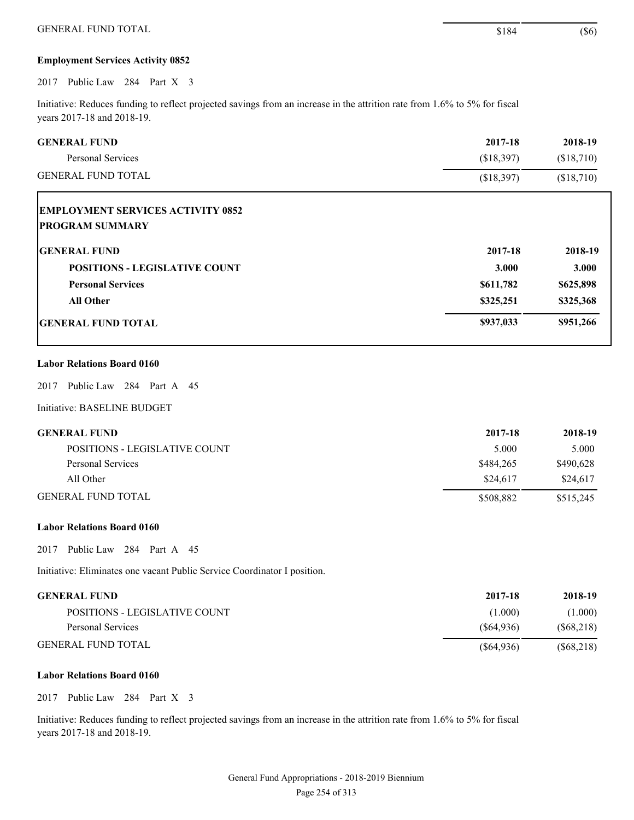### **Employment Services Activity 0852**

2017 Public Law 284 Part X 3

Initiative: Reduces funding to reflect projected savings from an increase in the attrition rate from 1.6% to 5% for fiscal years 2017-18 and 2018-19.

| <b>GENERAL FUND</b><br>Personal Services                           | 2017-18<br>(\$18,397) | 2018-19<br>(\$18,710) |
|--------------------------------------------------------------------|-----------------------|-----------------------|
| <b>GENERAL FUND TOTAL</b>                                          | (\$18,397)            | (\$18,710)            |
| <b>EMPLOYMENT SERVICES ACTIVITY 0852</b><br><b>PROGRAM SUMMARY</b> |                       |                       |
| <b>GENERAL FUND</b>                                                | 2017-18               | 2018-19               |
| <b>POSITIONS - LEGISLATIVE COUNT</b>                               | 3.000                 | 3.000                 |
| <b>Personal Services</b>                                           | \$611,782             | \$625,898             |
| <b>All Other</b>                                                   | \$325,251             | \$325,368             |
| <b>IGENERAL FUND TOTAL</b>                                         | \$937,033             | \$951,266             |

## **Labor Relations Board 0160**

2017 Public Law 284 Part A 45

Initiative: BASELINE BUDGET

| <b>GENERAL FUND</b>           | 2017-18   | 2018-19   |
|-------------------------------|-----------|-----------|
| POSITIONS - LEGISLATIVE COUNT | 5.000     | 5.000     |
| Personal Services             | \$484,265 | \$490.628 |
| All Other                     | \$24,617  | \$24,617  |
| <b>GENERAL FUND TOTAL</b>     | \$508,882 | \$515,245 |

#### **Labor Relations Board 0160**

2017 Public Law 284 Part A 45

Initiative: Eliminates one vacant Public Service Coordinator I position.

| GENERAL FUND-                 | 2017-18    | 2018-19    |
|-------------------------------|------------|------------|
| POSITIONS - LEGISLATIVE COUNT | (1.000)    | (1.000)    |
| Personal Services             | (S64.936)  | (S68, 218) |
| GENERAL FUND TOTAL            | (S64, 936) | (S68, 218) |

#### **Labor Relations Board 0160**

2017 Public Law 284 Part X 3

Initiative: Reduces funding to reflect projected savings from an increase in the attrition rate from 1.6% to 5% for fiscal years 2017-18 and 2018-19.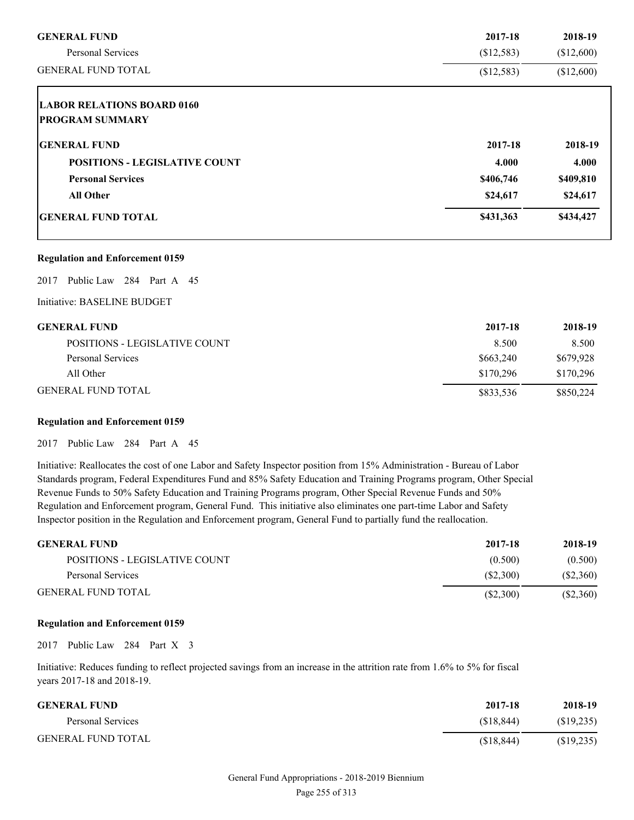| <b>GENERAL FUND</b>                  | 2017-18    | 2018-19    |
|--------------------------------------|------------|------------|
| <b>Personal Services</b>             | (\$12,583) | \$12,600   |
| <b>GENERAL FUND TOTAL</b>            | (\$12,583) | (\$12,600) |
| <b>LABOR RELATIONS BOARD 0160</b>    |            |            |
| <b>PROGRAM SUMMARY</b>               |            |            |
| <b>IGENERAL FUND</b>                 | 2017-18    | 2018-19    |
| <b>POSITIONS - LEGISLATIVE COUNT</b> | 4.000      | 4.000      |
| <b>Personal Services</b>             | \$406,746  | \$409,810  |
| <b>All Other</b>                     | \$24,617   | \$24,617   |
| <b>IGENERAL FUND TOTAL</b>           | \$431,363  | \$434,427  |

#### **Regulation and Enforcement 0159**

2017 Public Law 284 Part A 45

Initiative: BASELINE BUDGET

## **GENERAL FUND 2017-18 2018-19**

| --------------                | ------    | -----     |
|-------------------------------|-----------|-----------|
| POSITIONS - LEGISLATIVE COUNT | 8.500     | 8.500     |
| Personal Services             | \$663,240 | \$679.928 |
| All Other                     | \$170.296 | \$170,296 |
| GENERAL FUND TOTAL            | \$833.536 | \$850,224 |

## **Regulation and Enforcement 0159**

2017 Public Law 284 Part A 45

Initiative: Reallocates the cost of one Labor and Safety Inspector position from 15% Administration - Bureau of Labor Standards program, Federal Expenditures Fund and 85% Safety Education and Training Programs program, Other Special Revenue Funds to 50% Safety Education and Training Programs program, Other Special Revenue Funds and 50% Regulation and Enforcement program, General Fund. This initiative also eliminates one part-time Labor and Safety Inspector position in the Regulation and Enforcement program, General Fund to partially fund the reallocation.

| <b>GENERAL FUND</b>           | 2017-18  | 2018-19  |
|-------------------------------|----------|----------|
| POSITIONS - LEGISLATIVE COUNT | (0.500)  | (0.500)  |
| Personal Services             | (S2,300) | (S2,360) |
| <b>GENERAL FUND TOTAL</b>     | (S2,300) | (S2,360) |

#### **Regulation and Enforcement 0159**

2017 Public Law 284 Part X 3

Initiative: Reduces funding to reflect projected savings from an increase in the attrition rate from 1.6% to 5% for fiscal years 2017-18 and 2018-19.

| <b>GENERAL FUND</b>       | 2017-18    | 2018-19   |
|---------------------------|------------|-----------|
| Personal Services         | (S18.844)  | (S19,235) |
| <b>GENERAL FUND TOTAL</b> | (S18, 844) | (S19,235) |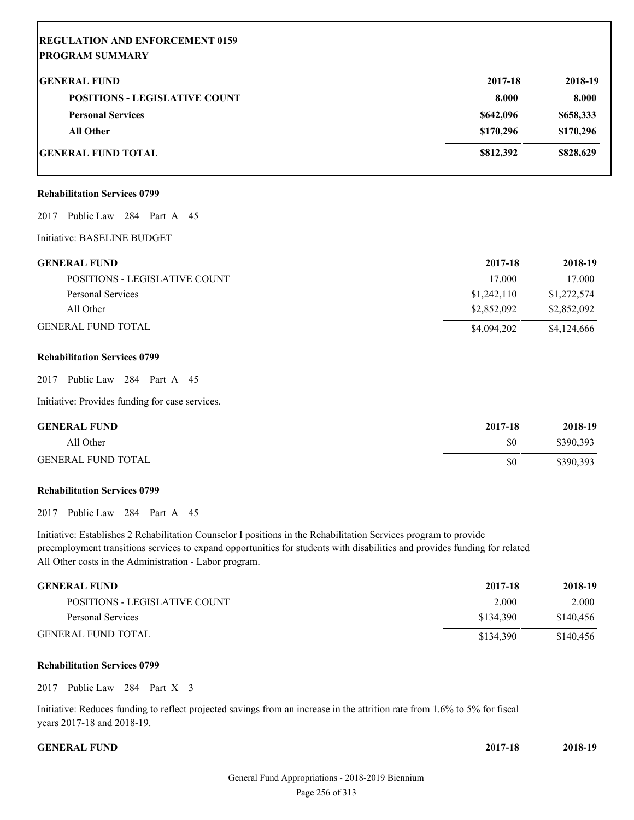# **REGULATION AND ENFORCEMENT 0159 PROGRAM SUMMARY GENERAL FUND 2017-18 2018-19 POSITIONS - LEGISLATIVE COUNT 8.000 8.000 8.000 Personal Services \$642,096 \$658,333 All Other \$170,296 \$170,296 GENERAL FUND TOTAL \$812,392 \$828,629**

#### **Rehabilitation Services 0799**

#### 2017 Public Law 284 Part A 45

Initiative: BASELINE BUDGET

| <b>GENERAL FUND</b>           | 2017-18     | 2018-19     |
|-------------------------------|-------------|-------------|
| POSITIONS - LEGISLATIVE COUNT | 17.000      | 17.000      |
| Personal Services             | \$1,242,110 | \$1,272,574 |
| All Other                     | \$2,852,092 | \$2,852,092 |
| <b>GENERAL FUND TOTAL</b>     | \$4,094,202 | \$4,124,666 |

#### **Rehabilitation Services 0799**

2017 Public Law 284 Part A 45

Initiative: Provides funding for case services.

| <b>GENERAL FUND</b>       | 2017-18 | 2018-19   |
|---------------------------|---------|-----------|
| All Other                 | \$0     | \$390,393 |
| <b>GENERAL FUND TOTAL</b> | \$0     | \$390,393 |

#### **Rehabilitation Services 0799**

2017 Public Law 284 Part A 45

Initiative: Establishes 2 Rehabilitation Counselor I positions in the Rehabilitation Services program to provide preemployment transitions services to expand opportunities for students with disabilities and provides funding for related All Other costs in the Administration - Labor program.

| <b>GENERAL FUND</b>           | 2017-18   | 2018-19   |
|-------------------------------|-----------|-----------|
| POSITIONS - LEGISLATIVE COUNT | 2.000     | 2.000     |
| Personal Services             | \$134.390 | \$140.456 |
| <b>GENERAL FUND TOTAL</b>     | \$134,390 | \$140.456 |

#### **Rehabilitation Services 0799**

2017 Public Law 284 Part X 3

Initiative: Reduces funding to reflect projected savings from an increase in the attrition rate from 1.6% to 5% for fiscal years 2017-18 and 2018-19.

#### **CENERAL FUND** 2

| 2017-18 | 2018-19 |
|---------|---------|
|         |         |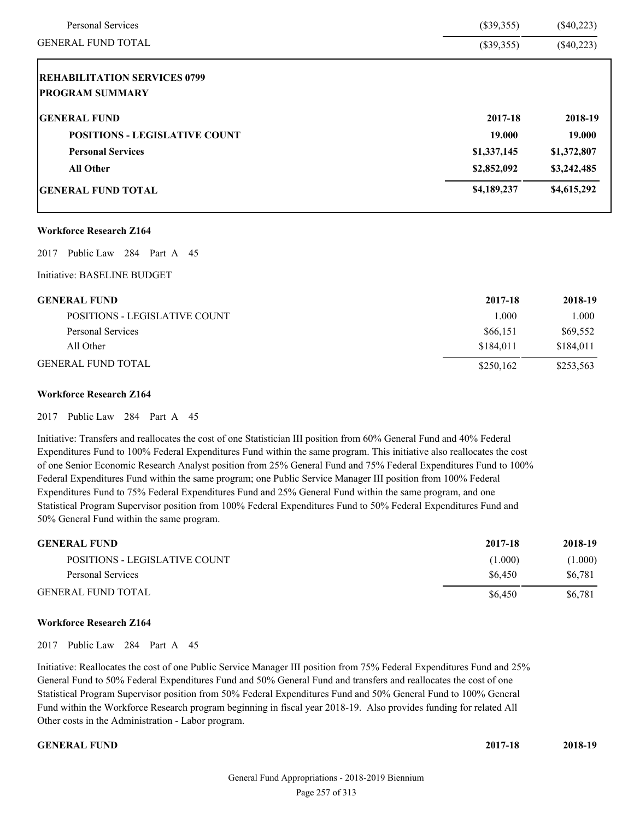| Personal Services                    | $(\$39,355)$ | $(\$40,223)$ |
|--------------------------------------|--------------|--------------|
| <b>GENERAL FUND TOTAL</b>            | $(\$39,355)$ | $(\$40,223)$ |
| <b>REHABILITATION SERVICES 0799</b>  |              |              |
| <b>PROGRAM SUMMARY</b>               |              |              |
| <b>GENERAL FUND</b>                  | 2017-18      | 2018-19      |
| <b>POSITIONS - LEGISLATIVE COUNT</b> | 19.000       | 19.000       |
| <b>Personal Services</b>             | \$1,337,145  | \$1,372,807  |
| <b>All Other</b>                     | \$2,852,092  | \$3,242,485  |
| <b>GENERAL FUND TOTAL</b>            | \$4,189,237  | \$4,615,292  |
| <b>Workforce Research Z164</b>       |              |              |
| Public Law<br>284 Part A 45<br>2017  |              |              |
| Initiative: BASELINE BUDGET          |              |              |

| <b>GENERAL FUND</b>           | 2017-18   | 2018-19   |
|-------------------------------|-----------|-----------|
| POSITIONS - LEGISLATIVE COUNT | 1.000     | 1.000     |
| Personal Services             | \$66,151  | \$69,552  |
| All Other                     | \$184,011 | \$184.011 |
| <b>GENERAL FUND TOTAL</b>     | \$250.162 | \$253,563 |

## **Workforce Research Z164**

2017 Public Law 284 Part A 45

Initiative: Transfers and reallocates the cost of one Statistician III position from 60% General Fund and 40% Federal Expenditures Fund to 100% Federal Expenditures Fund within the same program. This initiative also reallocates the cost of one Senior Economic Research Analyst position from 25% General Fund and 75% Federal Expenditures Fund to 100% Federal Expenditures Fund within the same program; one Public Service Manager III position from 100% Federal Expenditures Fund to 75% Federal Expenditures Fund and 25% General Fund within the same program, and one Statistical Program Supervisor position from 100% Federal Expenditures Fund to 50% Federal Expenditures Fund and 50% General Fund within the same program.

| <b>GENERAL FUND</b>           | 2017-18 | 2018-19 |
|-------------------------------|---------|---------|
| POSITIONS - LEGISLATIVE COUNT | (1.000) | (1.000) |
| Personal Services             | \$6.450 | \$6.781 |
| <b>GENERAL FUND TOTAL</b>     | \$6.450 | \$6,781 |

#### **Workforce Research Z164**

2017 Public Law 284 Part A 45

Initiative: Reallocates the cost of one Public Service Manager III position from 75% Federal Expenditures Fund and 25% General Fund to 50% Federal Expenditures Fund and 50% General Fund and transfers and reallocates the cost of one Statistical Program Supervisor position from 50% Federal Expenditures Fund and 50% General Fund to 100% General Fund within the Workforce Research program beginning in fiscal year 2018-19. Also provides funding for related All Other costs in the Administration - Labor program.

**GENERAL FUND 2017-18 2018-19**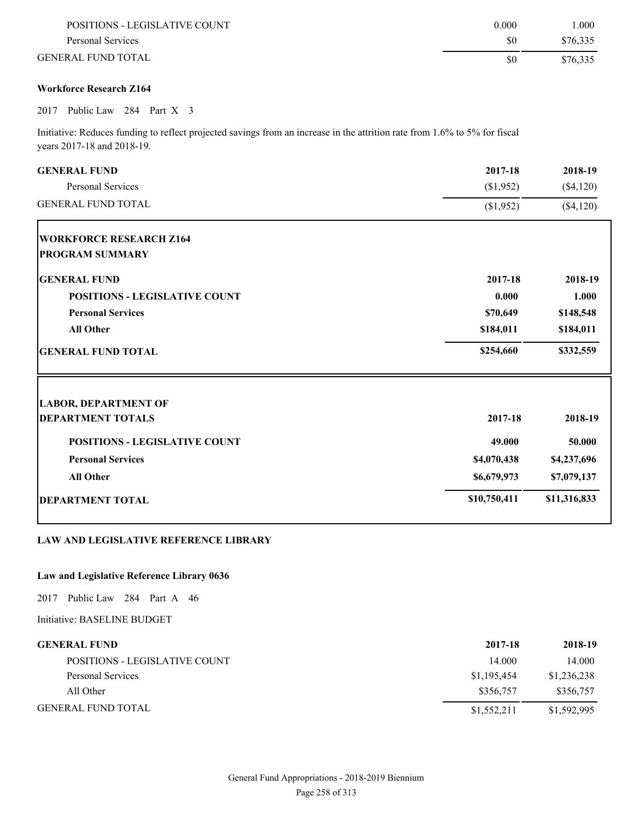| POSITIONS - LEGISLATIVE COUNT | 0.000 | .000     |
|-------------------------------|-------|----------|
| Personal Services             | \$0   | \$76,335 |
| GENERAL FUND TOTAL            | S0    | \$76,335 |

## **Workforce Research Z164**

## 2017 Public Law 284 Part X 3

Initiative: Reduces funding to reflect projected savings from an increase in the attrition rate from 1.6% to 5% for fiscal years 2017-18 and 2018-19.

| <b>GENERAL FUND</b>                  | 2017-18      | 2018-19      |
|--------------------------------------|--------------|--------------|
| <b>Personal Services</b>             | (\$1,952)    | $(\$4,120)$  |
| <b>GENERAL FUND TOTAL</b>            | (\$1,952)    | (\$4,120)    |
| <b>WORKFORCE RESEARCH Z164</b>       |              |              |
| <b>PROGRAM SUMMARY</b>               |              |              |
| <b>GENERAL FUND</b>                  | 2017-18      | 2018-19      |
| <b>POSITIONS - LEGISLATIVE COUNT</b> | 0.000        | 1.000        |
| <b>Personal Services</b>             | \$70,649     | \$148,548    |
| <b>All Other</b>                     | \$184,011    | \$184,011    |
| <b>GENERAL FUND TOTAL</b>            | \$254,660    | \$332,559    |
| <b>LABOR, DEPARTMENT OF</b>          |              |              |
| <b>DEPARTMENT TOTALS</b>             | 2017-18      | 2018-19      |
| <b>POSITIONS - LEGISLATIVE COUNT</b> | 49.000       | 50.000       |
| <b>Personal Services</b>             | \$4,070,438  | \$4,237,696  |
| <b>All Other</b>                     | \$6,679,973  | \$7,079,137  |
| <b>DEPARTMENT TOTAL</b>              | \$10,750,411 | \$11,316,833 |
|                                      |              |              |

## **LAW AND LEGISLATIVE REFERENCE LIBRARY**

## **Law and Legislative Reference Library 0636**

2017 Public Law 284 Part A 46

Initiative: BASELINE BUDGET

| <b>GENERAL FUND</b>           | 2017-18     | 2018-19     |
|-------------------------------|-------------|-------------|
| POSITIONS - LEGISLATIVE COUNT | 14.000      | 14.000      |
| Personal Services             | \$1,195,454 | \$1,236,238 |
| All Other                     | \$356.757   | \$356,757   |
| <b>GENERAL FUND TOTAL</b>     | \$1,552,211 | \$1,592,995 |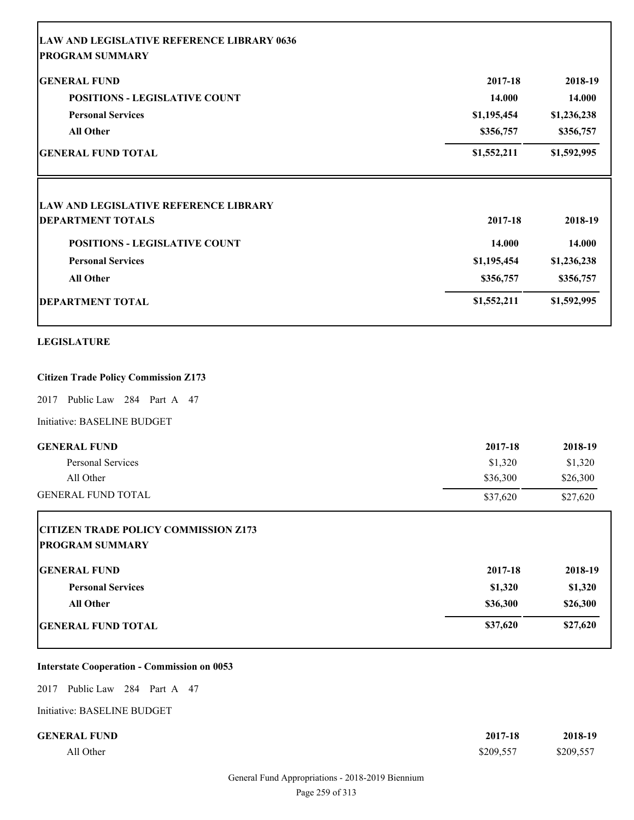| <b>LAW AND LEGISLATIVE REFERENCE LIBRARY 0636</b> |             |             |
|---------------------------------------------------|-------------|-------------|
| <b>PROGRAM SUMMARY</b>                            |             |             |
| <b>GENERAL FUND</b>                               | 2017-18     | 2018-19     |
| <b>POSITIONS - LEGISLATIVE COUNT</b>              | 14.000      | 14.000      |
| <b>Personal Services</b>                          | \$1,195,454 | \$1,236,238 |
| <b>All Other</b>                                  | \$356,757   | \$356,757   |
| <b>GENERAL FUND TOTAL</b>                         | \$1,552,211 | \$1,592,995 |
| <b>LAW AND LEGISLATIVE REFERENCE LIBRARY</b>      |             |             |
| <b>DEPARTMENT TOTALS</b>                          | 2017-18     | 2018-19     |
| POSITIONS - LEGISLATIVE COUNT                     | 14.000      | 14.000      |
| <b>Personal Services</b>                          | \$1,195,454 | \$1,236,238 |
| <b>All Other</b>                                  | \$356,757   | \$356,757   |
| <b>DEPARTMENT TOTAL</b>                           | \$1,552,211 | \$1,592,995 |
| <b>LEGISLATURE</b>                                |             |             |
| <b>Citizen Trade Policy Commission Z173</b>       |             |             |
| 2017 Public Law 284 Part A 47                     |             |             |
| Initiative: BASELINE BUDGET                       |             |             |
| <b>GENERAL FUND</b>                               | 2017-18     | 2018-19     |
| Personal Services                                 | \$1,320     | \$1,320     |
| All Other                                         | \$36,300    | \$26,300    |
| <b>GENERAL FUND TOTAL</b>                         | \$37,620    | \$27,620    |
| <b>CITIZEN TRADE POLICY COMMISSION Z173</b>       |             |             |
| <b>PROGRAM SUMMARY</b>                            |             |             |
| <b>GENERAL FUND</b>                               | 2017-18     | 2018-19     |
| <b>Personal Services</b>                          | \$1,320     | \$1,320     |
|                                                   | \$36,300    | \$26,300    |
| All Other                                         |             |             |

## **Interstate Cooperation - Commission on 0053**

2017 Public Law 284 Part A 47

Initiative: BASELINE BUDGET

| <b>GENERAL FUND</b> | 2017-18   | 2018-19   |
|---------------------|-----------|-----------|
| All Other           | \$209,557 | \$209,557 |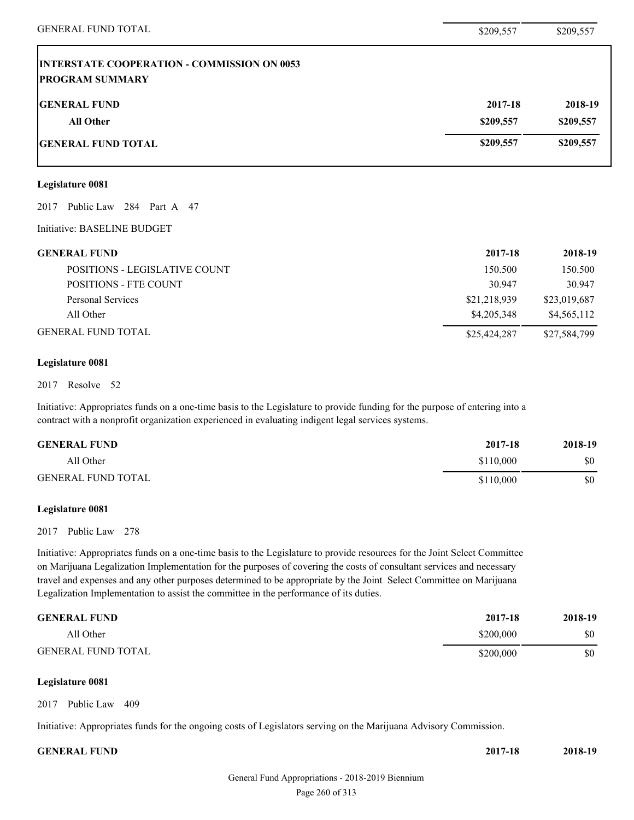| <b>GENERAL FUND TOTAL</b>                                                    | \$209,557    | \$209,557    |
|------------------------------------------------------------------------------|--------------|--------------|
| <b>INTERSTATE COOPERATION - COMMISSION ON 0053</b><br><b>PROGRAM SUMMARY</b> |              |              |
| <b>GENERAL FUND</b>                                                          | 2017-18      | 2018-19      |
| All Other                                                                    | \$209,557    | \$209,557    |
| <b>GENERAL FUND TOTAL</b>                                                    | \$209,557    | \$209,557    |
| Legislature 0081                                                             |              |              |
| Public Law 284 Part A 47<br>2017                                             |              |              |
| Initiative: BASELINE BUDGET                                                  |              |              |
| <b>GENERAL FUND</b>                                                          | 2017-18      | 2018-19      |
| POSITIONS - LEGISLATIVE COUNT                                                | 150.500      | 150.500      |
| POSITIONS - FTE COUNT                                                        | 30.947       | 30.947       |
| <b>Personal Services</b>                                                     | \$21,218,939 | \$23,019,687 |
| All Other                                                                    | \$4,205,348  | \$4,565,112  |
| <b>GENERAL FUND TOTAL</b>                                                    | \$25,424,287 | \$27,584,799 |

### **Legislature 0081**

#### 2017 Resolve 52

Initiative: Appropriates funds on a one-time basis to the Legislature to provide funding for the purpose of entering into a contract with a nonprofit organization experienced in evaluating indigent legal services systems.

| <b>GENERAL FUND</b>       | 2017-18   | 2018-19 |
|---------------------------|-----------|---------|
| All Other                 | \$110,000 | \$0     |
| <b>GENERAL FUND TOTAL</b> | \$110,000 | \$0     |

### **Legislature 0081**

### 2017 Public Law 278

Initiative: Appropriates funds on a one-time basis to the Legislature to provide resources for the Joint Select Committee on Marijuana Legalization Implementation for the purposes of covering the costs of consultant services and necessary travel and expenses and any other purposes determined to be appropriate by the Joint Select Committee on Marijuana Legalization Implementation to assist the committee in the performance of its duties.

| <b>GENERAL FUND</b>       | 2017-18   | 2018-19 |
|---------------------------|-----------|---------|
| All Other                 | \$200,000 | \$0     |
| <b>GENERAL FUND TOTAL</b> | \$200,000 | \$0     |

## **Legislature 0081**

2017 Public Law 409

Initiative: Appropriates funds for the ongoing costs of Legislators serving on the Marijuana Advisory Commission.

| <b>GENERAL FUND</b> | 2017-18 | 2018-19 |
|---------------------|---------|---------|
|                     |         |         |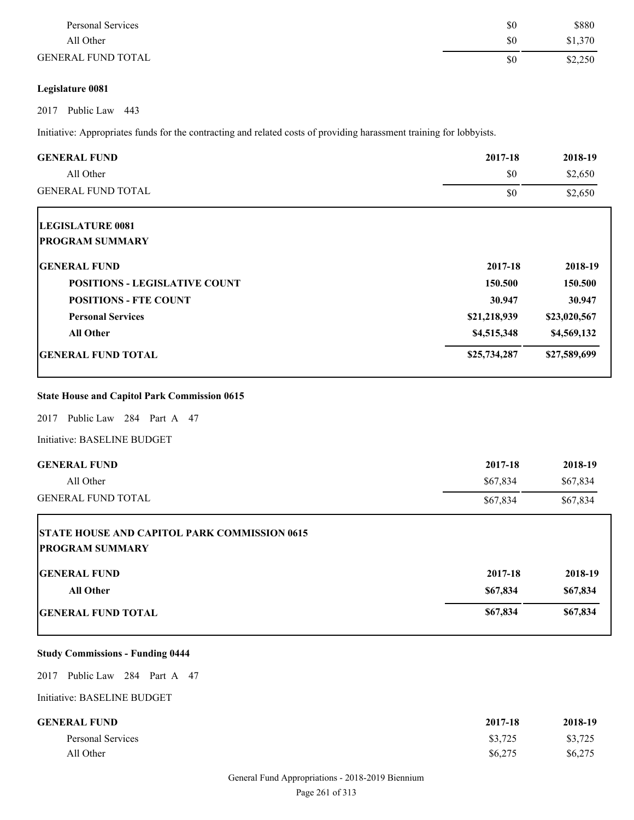| Personal Services         | \$0 | \$880   |
|---------------------------|-----|---------|
| All Other                 | \$0 | \$1,370 |
| <b>GENERAL FUND TOTAL</b> | \$0 | \$2,250 |

## **Legislature 0081**

2017 Public Law 443

Initiative: Appropriates funds for the contracting and related costs of providing harassment training for lobbyists.

| <b>GENERAL FUND</b>                                                           | 2017-18      | 2018-19      |
|-------------------------------------------------------------------------------|--------------|--------------|
| All Other                                                                     | \$0          | \$2,650      |
| <b>GENERAL FUND TOTAL</b>                                                     | \$0          | \$2,650      |
| <b>LEGISLATURE 0081</b>                                                       |              |              |
| <b>PROGRAM SUMMARY</b>                                                        |              |              |
| <b>GENERAL FUND</b>                                                           | 2017-18      | 2018-19      |
| <b>POSITIONS - LEGISLATIVE COUNT</b>                                          | 150.500      | 150.500      |
| <b>POSITIONS - FTE COUNT</b>                                                  | 30.947       | 30.947       |
| <b>Personal Services</b>                                                      | \$21,218,939 | \$23,020,567 |
| <b>All Other</b>                                                              | \$4,515,348  | \$4,569,132  |
| <b>GENERAL FUND TOTAL</b>                                                     | \$25,734,287 | \$27,589,699 |
| <b>State House and Capitol Park Commission 0615</b>                           |              |              |
| Public Law 284 Part A 47<br>2017                                              |              |              |
| Initiative: BASELINE BUDGET                                                   |              |              |
| <b>GENERAL FUND</b>                                                           | 2017-18      | 2018-19      |
| All Other                                                                     | \$67,834     | \$67,834     |
| <b>GENERAL FUND TOTAL</b>                                                     | \$67,834     | \$67,834     |
| <b>STATE HOUSE AND CAPITOL PARK COMMISSION 0615</b><br><b>PROGRAM SUMMARY</b> |              |              |
| <b>GENERAL FUND</b>                                                           | 2017-18      | 2018-19      |
| All Other                                                                     | \$67,834     | \$67,834     |
| <b>GENERAL FUND TOTAL</b>                                                     | \$67,834     | \$67,834     |

## **Study Commissions - Funding 0444**

2017 Public Law 284 Part A 47

Initiative: BASELINE BUDGET

| <b>GENERAL FUND</b> | 2017-18 | 2018-19 |
|---------------------|---------|---------|
| Personal Services   | \$3,725 | \$3,725 |
| All Other           | \$6,275 | \$6,275 |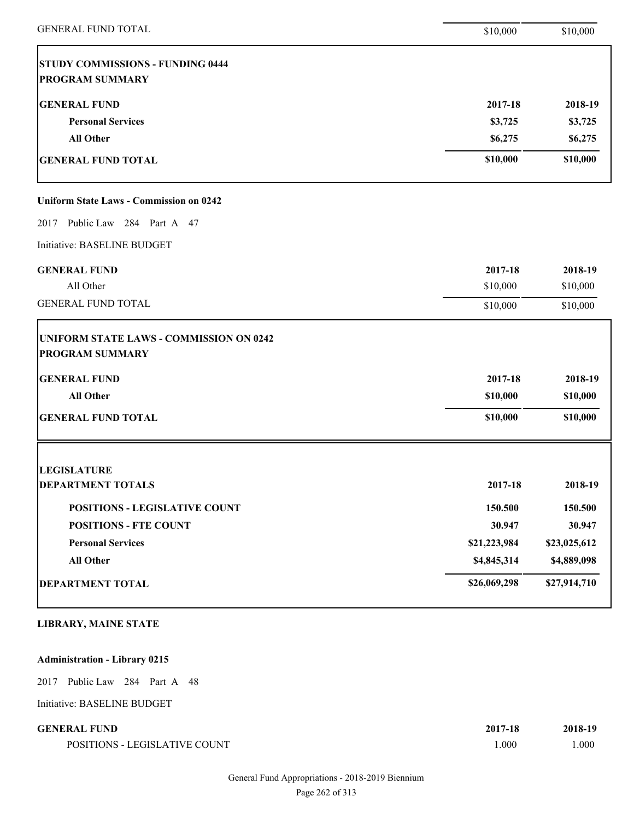| <b>GENERAL FUND TOTAL</b>                                         | \$10,000     | \$10,000     |
|-------------------------------------------------------------------|--------------|--------------|
| <b>STUDY COMMISSIONS - FUNDING 0444</b><br><b>PROGRAM SUMMARY</b> |              |              |
| <b>GENERAL FUND</b>                                               | 2017-18      | 2018-19      |
| <b>Personal Services</b>                                          | \$3,725      | \$3,725      |
| <b>All Other</b>                                                  | \$6,275      | \$6,275      |
| <b>GENERAL FUND TOTAL</b>                                         | \$10,000     | \$10,000     |
| <b>Uniform State Laws - Commission on 0242</b>                    |              |              |
| 2017 Public Law 284 Part A 47                                     |              |              |
| Initiative: BASELINE BUDGET                                       |              |              |
| <b>GENERAL FUND</b>                                               | 2017-18      | 2018-19      |
| All Other                                                         | \$10,000     | \$10,000     |
| <b>GENERAL FUND TOTAL</b>                                         | \$10,000     | \$10,000     |
| UNIFORM STATE LAWS - COMMISSION ON 0242<br><b>PROGRAM SUMMARY</b> |              |              |
| <b>GENERAL FUND</b>                                               | 2017-18      | 2018-19      |
| <b>All Other</b>                                                  | \$10,000     | \$10,000     |
| <b>GENERAL FUND TOTAL</b>                                         | \$10,000     | \$10,000     |
| <b>LEGISLATURE</b>                                                |              |              |
| <b>DEPARTMENT TOTALS</b>                                          | 2017-18      | 2018-19      |
| POSITIONS - LEGISLATIVE COUNT                                     | 150.500      | 150.500      |
| <b>POSITIONS - FTE COUNT</b>                                      | 30.947       | 30.947       |
| <b>Personal Services</b>                                          | \$21,223,984 | \$23,025,612 |
| <b>All Other</b>                                                  | \$4,845,314  | \$4,889,098  |
| <b>DEPARTMENT TOTAL</b>                                           | \$26,069,298 | \$27,914,710 |
|                                                                   |              |              |

## **LIBRARY, MAINE STATE**

## **Administration - Library 0215**

2017 Public Law 284 Part A 48

Initiative: BASELINE BUDGET

## **GENERAL FUND** 2017-18

POSITIONS - LEGISLATIVE COUNT 1.00

| -18 | 2018-19 |
|-----|---------|
| 00  | 1.000   |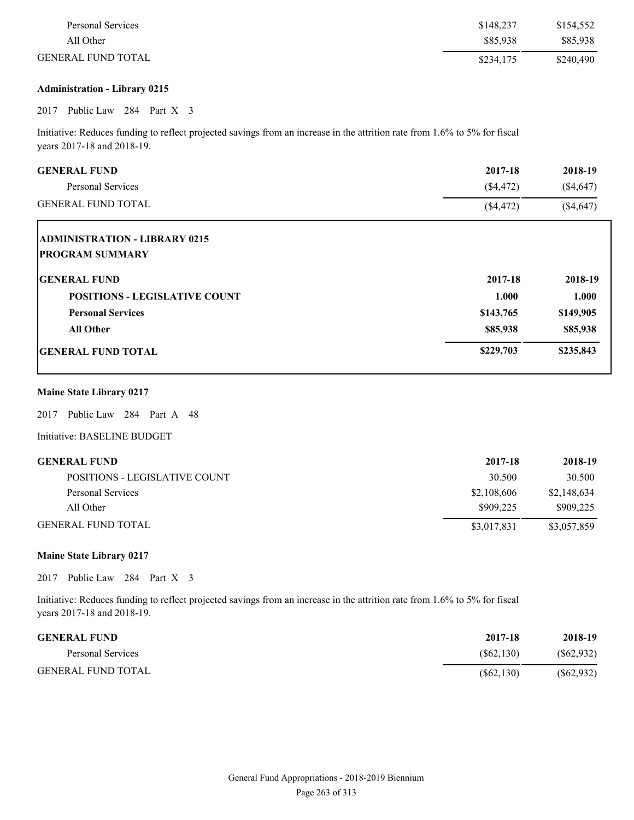| Personal Services         | \$148.237 | \$154,552 |
|---------------------------|-----------|-----------|
| All Other                 | \$85,938  | \$85,938  |
| <b>GENERAL FUND TOTAL</b> | \$234,175 | \$240,490 |

### **Administration - Library 0215**

## 2017 Public Law 284 Part X 3

Initiative: Reduces funding to reflect projected savings from an increase in the attrition rate from 1.6% to 5% for fiscal years 2017-18 and 2018-19.

| <b>GENERAL FUND</b>                  | 2017-18   | 2018-19   |
|--------------------------------------|-----------|-----------|
| Personal Services                    | (\$4,472) | (\$4,647) |
| <b>GENERAL FUND TOTAL</b>            | (\$4,472) | (\$4,647) |
| <b>ADMINISTRATION - LIBRARY 0215</b> |           |           |
| <b>PROGRAM SUMMARY</b>               |           |           |
| <b>GENERAL FUND</b>                  | 2017-18   | 2018-19   |
| <b>POSITIONS - LEGISLATIVE COUNT</b> | 1.000     | 1.000     |
| <b>Personal Services</b>             | \$143,765 | \$149,905 |
| <b>All Other</b>                     | \$85,938  | \$85,938  |
| <b>GENERAL FUND TOTAL</b>            | \$229,703 | \$235,843 |
|                                      |           |           |

## **Maine State Library 0217**

2017 Public Law 284 Part A 48

Initiative: BASELINE BUDGET

| GENERAL FUND                  | 2017-18     | 2018-19     |
|-------------------------------|-------------|-------------|
| POSITIONS - LEGISLATIVE COUNT | 30.500      | 30.500      |
| Personal Services             | \$2,108,606 | \$2,148,634 |
| All Other                     | \$909.225   | \$909,225   |
| GENERAL FUND TOTAL            | \$3,017,831 | \$3,057,859 |

### **Maine State Library 0217**

2017 Public Law 284 Part X 3

Initiative: Reduces funding to reflect projected savings from an increase in the attrition rate from 1.6% to 5% for fiscal years 2017-18 and 2018-19.

| <b>GENERAL FUND</b>       | 2017-18    | 2018-19    |
|---------------------------|------------|------------|
| Personal Services         | (S62, 130) | (S62, 932) |
| <b>GENERAL FUND TOTAL</b> | (S62, 130) | (S62, 932) |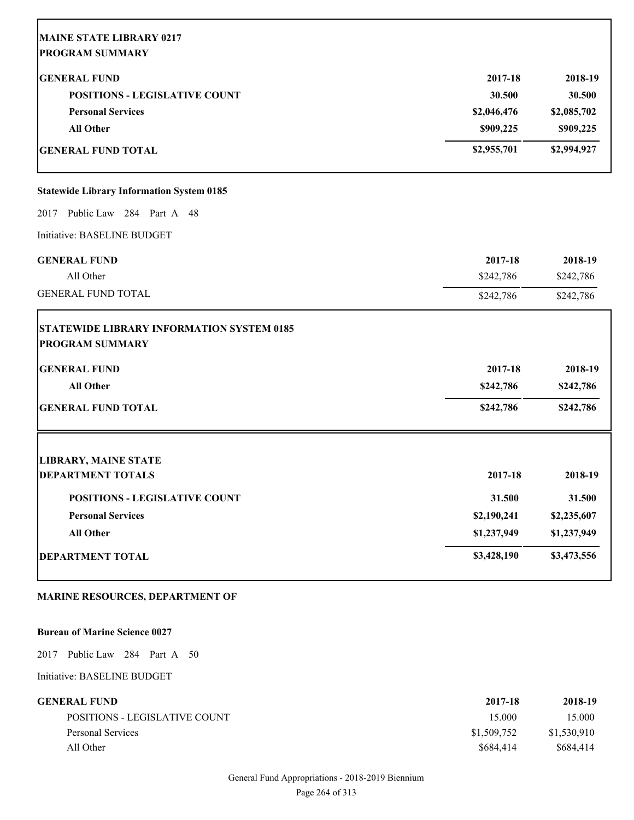|             | 2018-19                                       |
|-------------|-----------------------------------------------|
|             | 30.500                                        |
|             | \$2,085,702                                   |
|             | \$909,225                                     |
| \$2,955,701 | \$2,994,927                                   |
|             |                                               |
|             |                                               |
|             |                                               |
| 2017-18     | 2018-19                                       |
| \$242,786   | \$242,786                                     |
| \$242,786   | \$242,786                                     |
|             |                                               |
| 2017-18     | 2018-19                                       |
| \$242,786   | \$242,786                                     |
| \$242,786   | \$242,786                                     |
|             |                                               |
| 2017-18     | 2018-19                                       |
| 31.500      | 31.500                                        |
| \$2,190,241 | \$2,235,607                                   |
| \$1,237,949 | \$1,237,949                                   |
| \$3,428,190 | \$3,473,556                                   |
|             | 2017-18<br>30.500<br>\$2,046,476<br>\$909,225 |

## **MARINE RESOURCES, DEPARTMENT OF**

### **Bureau of Marine Science 0027**

2017 Public Law 284 Part A 50

Initiative: BASELINE BUDGET

| GENERAL FUND-                 | 2017-18     | 2018-19     |
|-------------------------------|-------------|-------------|
| POSITIONS - LEGISLATIVE COUNT | 15.000      | 15.000      |
| Personal Services             | \$1,509,752 | \$1,530,910 |
| All Other                     | \$684,414   | \$684.414   |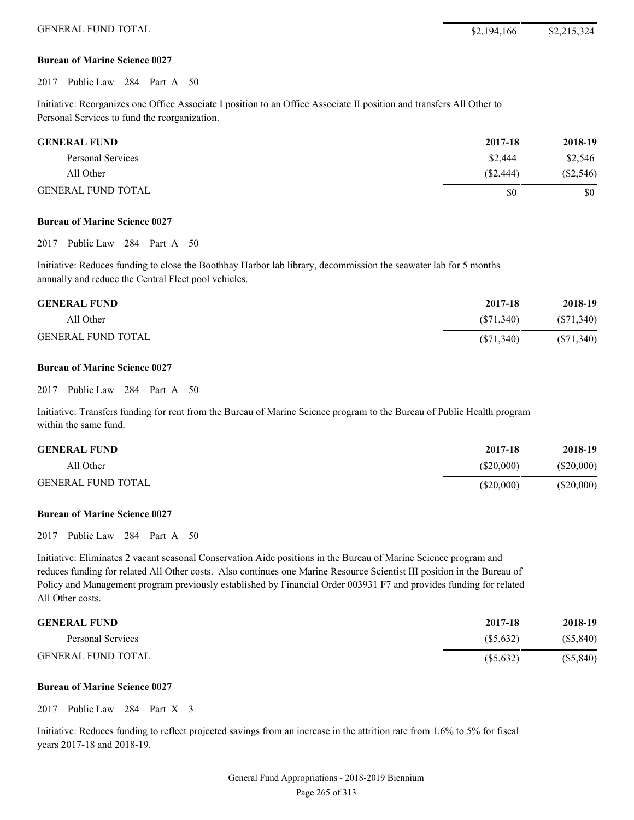#### **Bureau of Marine Science 0027**

2017 Public Law 284 Part A 50

Initiative: Reorganizes one Office Associate I position to an Office Associate II position and transfers All Other to Personal Services to fund the reorganization.

| <b>GENERAL FUND</b>       | 2017-18   | 2018-19     |
|---------------------------|-----------|-------------|
| Personal Services         | \$2,444   | \$2,546     |
| All Other                 | (S2, 444) | $(\$2,546)$ |
| <b>GENERAL FUND TOTAL</b> | \$0       | \$0         |

#### **Bureau of Marine Science 0027**

2017 Public Law 284 Part A 50

Initiative: Reduces funding to close the Boothbay Harbor lab library, decommission the seawater lab for 5 months annually and reduce the Central Fleet pool vehicles.

| <b>GENERAL FUND</b>       | 2017-18   | 2018-19    |
|---------------------------|-----------|------------|
| All Other                 | (S71.340) | (S71, 340) |
| <b>GENERAL FUND TOTAL</b> | (S71,340) | (S71,340)  |

#### **Bureau of Marine Science 0027**

#### 2017 Public Law 284 Part A 50

Initiative: Transfers funding for rent from the Bureau of Marine Science program to the Bureau of Public Health program within the same fund.

| <b>GENERAL FUND</b>       | 2017-18   | 2018-19      |
|---------------------------|-----------|--------------|
| All Other                 | (S20,000) | $(\$20,000)$ |
| <b>GENERAL FUND TOTAL</b> | (S20,000) | $(\$20,000)$ |

#### **Bureau of Marine Science 0027**

2017 Public Law 284 Part A 50

Initiative: Eliminates 2 vacant seasonal Conservation Aide positions in the Bureau of Marine Science program and reduces funding for related All Other costs. Also continues one Marine Resource Scientist III position in the Bureau of Policy and Management program previously established by Financial Order 003931 F7 and provides funding for related All Other costs.

| <b>GENERAL FUND</b>       | 2017-18   | 2018-19   |
|---------------------------|-----------|-----------|
| Personal Services         | (S5.632)  | (S5, 840) |
| <b>GENERAL FUND TOTAL</b> | (S5, 632) | (S5, 840) |

#### **Bureau of Marine Science 0027**

2017 Public Law 284 Part X 3

Initiative: Reduces funding to reflect projected savings from an increase in the attrition rate from 1.6% to 5% for fiscal years 2017-18 and 2018-19.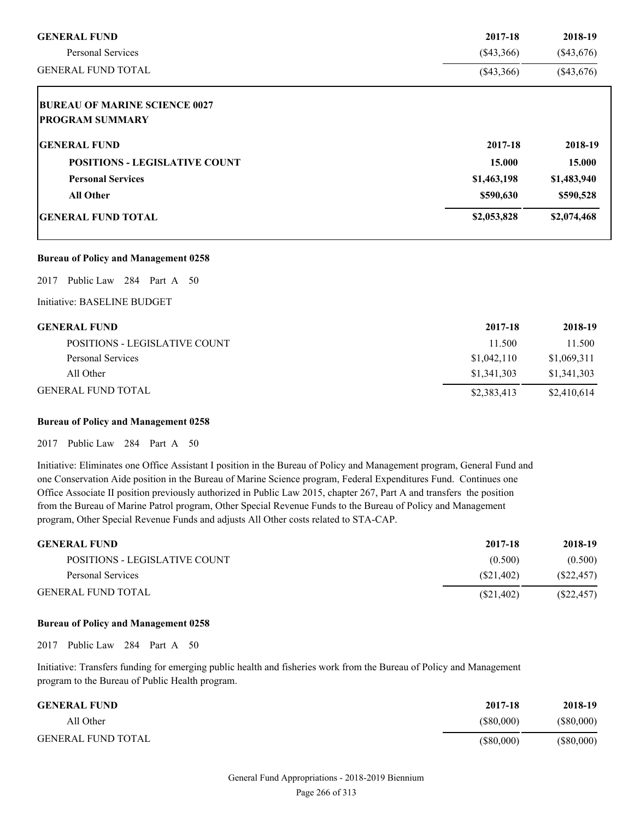| <b>GENERAL FUND</b>                  | 2017-18      | 2018-19      |
|--------------------------------------|--------------|--------------|
| <b>Personal Services</b>             | $(\$43,366)$ | $(\$43,676)$ |
| <b>GENERAL FUND TOTAL</b>            | $(\$43,366)$ | $(\$43,676)$ |
| <b>BUREAU OF MARINE SCIENCE 0027</b> |              |              |
| <b>PROGRAM SUMMARY</b>               |              |              |
| <b>IGENERAL FUND</b>                 | 2017-18      | 2018-19      |
| <b>POSITIONS - LEGISLATIVE COUNT</b> | 15.000       | 15.000       |
| <b>Personal Services</b>             | \$1,463,198  | \$1,483,940  |
| <b>All Other</b>                     | \$590,630    | \$590,528    |
| <b>IGENERAL FUND TOTAL</b>           | \$2,053,828  | \$2,074,468  |

#### **Bureau of Policy and Management 0258**

2017 Public Law 284 Part A 50

Initiative: BASELINE BUDGET

| <b>GENERAL FUND</b>           | 2017-18     | 2018-19     |
|-------------------------------|-------------|-------------|
| POSITIONS - LEGISLATIVE COUNT | 11.500      | 11.500      |
| Personal Services             | \$1,042,110 | \$1,069,311 |
| All Other                     | \$1,341,303 | \$1,341,303 |
| <b>GENERAL FUND TOTAL</b>     | \$2,383,413 | \$2,410,614 |

## **Bureau of Policy and Management 0258**

2017 Public Law 284 Part A 50

Initiative: Eliminates one Office Assistant I position in the Bureau of Policy and Management program, General Fund and one Conservation Aide position in the Bureau of Marine Science program, Federal Expenditures Fund. Continues one Office Associate II position previously authorized in Public Law 2015, chapter 267, Part A and transfers the position from the Bureau of Marine Patrol program, Other Special Revenue Funds to the Bureau of Policy and Management program, Other Special Revenue Funds and adjusts All Other costs related to STA-CAP.

| <b>GENERAL FUND</b>           | 2017-18   | 2018-19    |
|-------------------------------|-----------|------------|
| POSITIONS - LEGISLATIVE COUNT | (0.500)   | (0.500)    |
| Personal Services             | (S21.402) | (S22, 457) |
| <b>GENERAL FUND TOTAL</b>     | (S21,402) | (S22, 457) |

#### **Bureau of Policy and Management 0258**

2017 Public Law 284 Part A 50

Initiative: Transfers funding for emerging public health and fisheries work from the Bureau of Policy and Management program to the Bureau of Public Health program.

| <b>GENERAL FUND</b>       | 2017-18      | 2018-19      |
|---------------------------|--------------|--------------|
| All Other                 | (S80,000)    | (S80,000)    |
| <b>GENERAL FUND TOTAL</b> | $(\$80,000)$ | $(\$80,000)$ |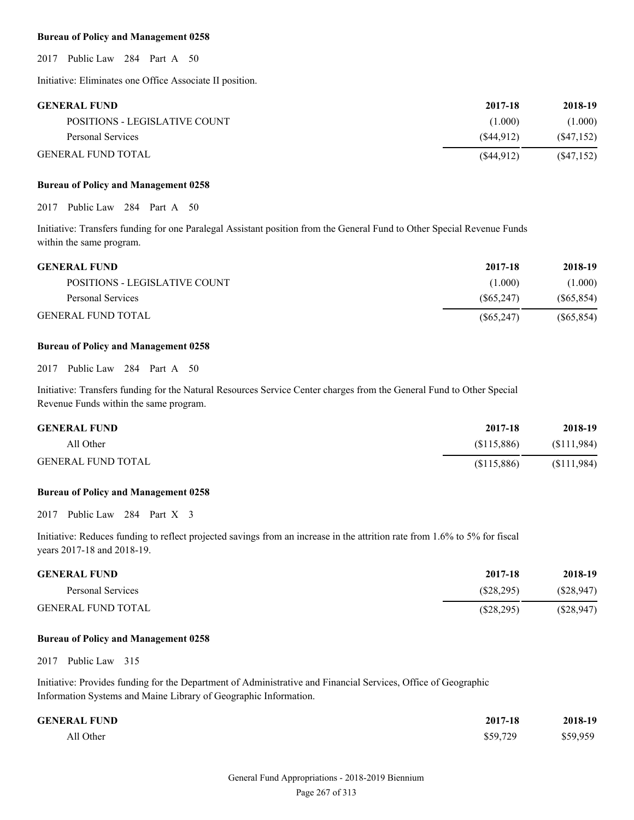#### **Bureau of Policy and Management 0258**

2017 Public Law 284 Part A 50

Initiative: Eliminates one Office Associate II position.

| <b>GENERAL FUND</b>           | 2017-18      | 2018-19    |
|-------------------------------|--------------|------------|
| POSITIONS - LEGISLATIVE COUNT | (1.000)      | (1.000)    |
| Personal Services             | (S44.912)    | (S47, 152) |
| <b>GENERAL FUND TOTAL</b>     | $(\$44,912)$ | (S47, 152) |

#### **Bureau of Policy and Management 0258**

2017 Public Law 284 Part A 50

Initiative: Transfers funding for one Paralegal Assistant position from the General Fund to Other Special Revenue Funds within the same program.

| <b>GENERAL FUND</b>           | 2017-18    | 2018-19    |
|-------------------------------|------------|------------|
| POSITIONS - LEGISLATIVE COUNT | (1.000)    | (1.000)    |
| Personal Services             | (S65, 247) | (S65, 854) |
| <b>GENERAL FUND TOTAL</b>     | (S65, 247) | (S65, 854) |

#### **Bureau of Policy and Management 0258**

2017 Public Law 284 Part A 50

Initiative: Transfers funding for the Natural Resources Service Center charges from the General Fund to Other Special Revenue Funds within the same program.

| <b>GENERAL FUND</b>       | 2017-18     | 2018-19     |
|---------------------------|-------------|-------------|
| All Other                 | (S115,886)  | (S111,984)  |
| <b>GENERAL FUND TOTAL</b> | (\$115,886) | (\$111,984) |

#### **Bureau of Policy and Management 0258**

2017 Public Law 284 Part X 3

Initiative: Reduces funding to reflect projected savings from an increase in the attrition rate from 1.6% to 5% for fiscal years 2017-18 and 2018-19.

| <b>GENERAL FUND</b>       | 2017-18      | 2018-19      |
|---------------------------|--------------|--------------|
| Personal Services         | (S28.295)    | (S28, 947)   |
| <b>GENERAL FUND TOTAL</b> | $(\$28,295)$ | $(\$28,947)$ |

#### **Bureau of Policy and Management 0258**

2017 Public Law 315

Initiative: Provides funding for the Department of Administrative and Financial Services, Office of Geographic Information Systems and Maine Library of Geographic Information.

| <b>GENERAL FUND</b> | 2017-18  | 2018-19  |
|---------------------|----------|----------|
| All Other           | \$59,729 | \$59,959 |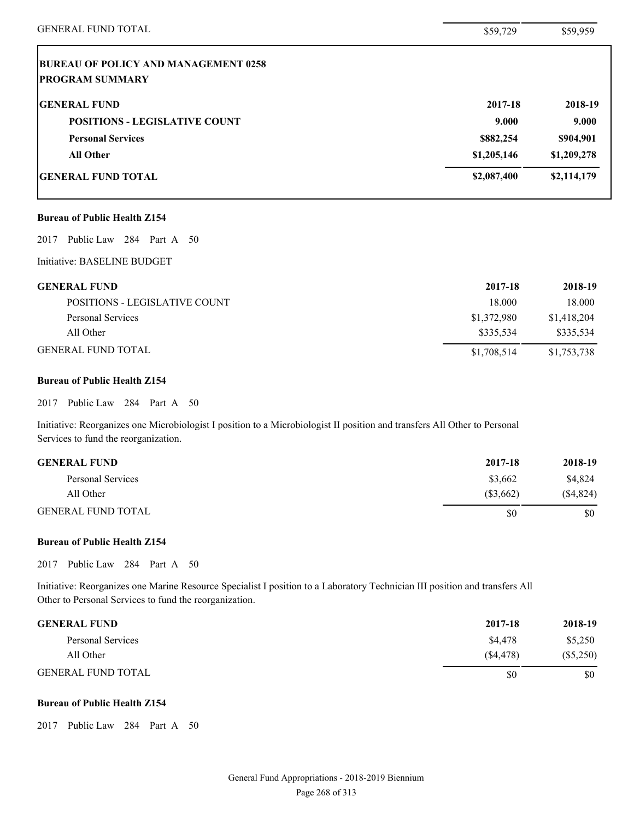| <b>GENERAL FUND TOTAL</b>                   | \$59,729    | \$59,959    |
|---------------------------------------------|-------------|-------------|
| <b>BUREAU OF POLICY AND MANAGEMENT 0258</b> |             |             |
| <b>PROGRAM SUMMARY</b>                      |             |             |
| <b>GENERAL FUND</b>                         | 2017-18     | 2018-19     |
| <b>POSITIONS - LEGISLATIVE COUNT</b>        | 9.000       | 9.000       |
| <b>Personal Services</b>                    | \$882,254   | \$904,901   |
| <b>All Other</b>                            | \$1,205,146 | \$1,209,278 |
| <b>GENERAL FUND TOTAL</b>                   | \$2,087,400 | \$2,114,179 |
| <b>Bureau of Public Health Z154</b>         |             |             |
| Public Law 284 Part A 50<br>2017            |             |             |
| Initiative: BASELINE BUDGET                 |             |             |
| <b>GENERAL FUND</b>                         | 2017-18     | 2018-19     |
| POSITIONS - LEGISLATIVE COUNT               | 18.000      | 18.000      |
| <b>Personal Services</b>                    | \$1,372,980 | \$1,418,204 |
| All Other                                   | \$335,534   | \$335,534   |
| <b>GENERAL FUND TOTAL</b>                   | \$1,708,514 | \$1,753,738 |
| <b>Bureau of Public Health Z154</b>         |             |             |
| 2017<br>Public Law 284 Part A 50            |             |             |

Initiative: Reorganizes one Microbiologist I position to a Microbiologist II position and transfers All Other to Personal Services to fund the reorganization.

| <b>GENERAL FUND</b>       | 2017-18     | 2018-19     |
|---------------------------|-------------|-------------|
| Personal Services         | \$3.662     | \$4,824     |
| All Other                 | $(\$3,662)$ | $(\$4,824)$ |
| <b>GENERAL FUND TOTAL</b> | S0          | \$0         |

## **Bureau of Public Health Z154**

2017 Public Law 284 Part A 50

Initiative: Reorganizes one Marine Resource Specialist I position to a Laboratory Technician III position and transfers All Other to Personal Services to fund the reorganization.

| <b>GENERAL FUND</b>       | 2017-18  | 2018-19     |
|---------------------------|----------|-------------|
| Personal Services         | \$4,478  | \$5,250     |
| All Other                 | (S4.478) | $(\$5,250)$ |
| <b>GENERAL FUND TOTAL</b> | S0       | \$0         |

## **Bureau of Public Health Z154**

2017 Public Law 284 Part A 50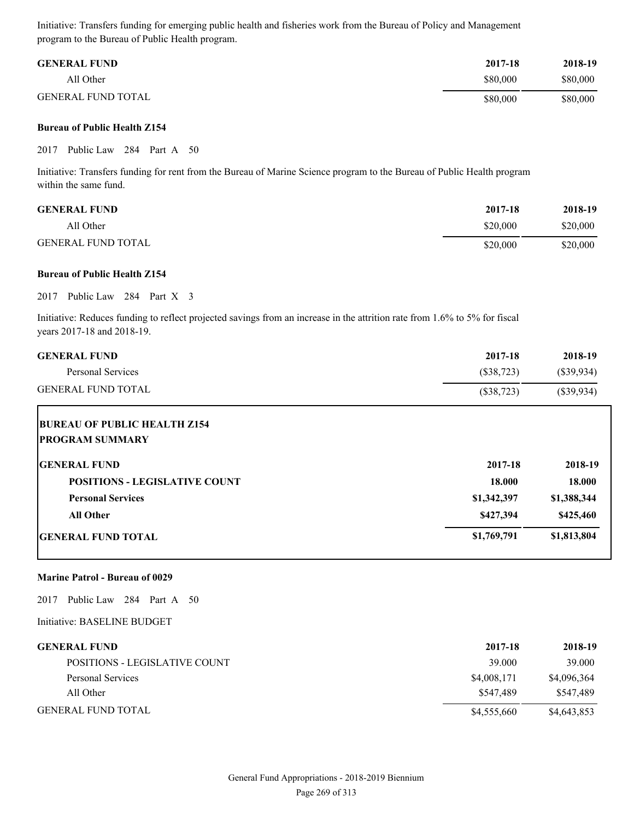Initiative: Transfers funding for emerging public health and fisheries work from the Bureau of Policy and Management program to the Bureau of Public Health program.

| <b>GENERAL FUND</b>       | 2017-18  | 2018-19  |
|---------------------------|----------|----------|
| All Other                 | \$80,000 | \$80,000 |
| <b>GENERAL FUND TOTAL</b> | \$80,000 | \$80,000 |

#### **Bureau of Public Health Z154**

2017 Public Law 284 Part A 50

Initiative: Transfers funding for rent from the Bureau of Marine Science program to the Bureau of Public Health program within the same fund.

| <b>GENERAL FUND</b>       | 2017-18  | 2018-19  |
|---------------------------|----------|----------|
| All Other                 | \$20,000 | \$20,000 |
| <b>GENERAL FUND TOTAL</b> | \$20,000 | \$20,000 |

#### **Bureau of Public Health Z154**

2017 Public Law 284 Part X 3

Initiative: Reduces funding to reflect projected savings from an increase in the attrition rate from 1.6% to 5% for fiscal years 2017-18 and 2018-19.

| <b>GENERAL FUND</b>       | 2017-18    | 2018-19    |
|---------------------------|------------|------------|
| Personal Services         | (S38,723)  | (S39.934)  |
| <b>GENERAL FUND TOTAL</b> | (\$38,723) | (S39, 934) |

| <b>BUREAU OF PUBLIC HEALTH Z154</b><br><b>PROGRAM SUMMARY</b> |             |             |
|---------------------------------------------------------------|-------------|-------------|
| <b>IGENERAL FUND</b>                                          | 2017-18     | 2018-19     |
| <b>POSITIONS - LEGISLATIVE COUNT</b>                          | 18.000      | 18.000      |
| <b>Personal Services</b>                                      | \$1,342,397 | \$1,388,344 |
| <b>All Other</b>                                              | \$427,394   | \$425,460   |
| <b>GENERAL FUND TOTAL</b>                                     | \$1,769,791 | \$1,813,804 |

#### **Marine Patrol - Bureau of 0029**

2017 Public Law 284 Part A 50

Initiative: BASELINE BUDGET

| <b>GENERAL FUND</b>           | 2017-18     | 2018-19     |
|-------------------------------|-------------|-------------|
| POSITIONS - LEGISLATIVE COUNT | 39.000      | 39.000      |
| Personal Services             | \$4,008,171 | \$4,096,364 |
| All Other                     | \$547.489   | \$547.489   |
| <b>GENERAL FUND TOTAL</b>     | \$4,555,660 | \$4,643,853 |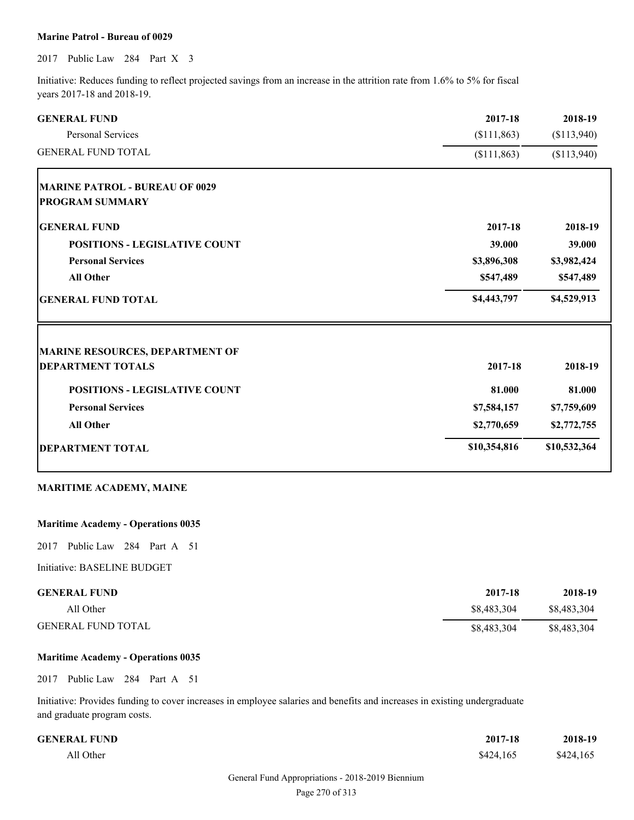#### **Marine Patrol - Bureau of 0029**

2017 Public Law 284 Part X 3

Initiative: Reduces funding to reflect projected savings from an increase in the attrition rate from 1.6% to 5% for fiscal years 2017-18 and 2018-19.

| <b>GENERAL FUND</b>                    | 2017-18      | 2018-19      |
|----------------------------------------|--------------|--------------|
| <b>Personal Services</b>               | (\$111,863)  | (\$113,940)  |
| <b>GENERAL FUND TOTAL</b>              | (\$111,863)  | (\$113,940)  |
| <b>MARINE PATROL - BUREAU OF 0029</b>  |              |              |
| <b>PROGRAM SUMMARY</b>                 |              |              |
| <b>GENERAL FUND</b>                    | 2017-18      | 2018-19      |
| <b>POSITIONS - LEGISLATIVE COUNT</b>   | 39.000       | 39.000       |
| <b>Personal Services</b>               | \$3,896,308  | \$3,982,424  |
| <b>All Other</b>                       | \$547,489    | \$547,489    |
| <b>GENERAL FUND TOTAL</b>              | \$4,443,797  | \$4,529,913  |
| <b>MARINE RESOURCES, DEPARTMENT OF</b> |              |              |
| <b>DEPARTMENT TOTALS</b>               | 2017-18      | 2018-19      |
| <b>POSITIONS - LEGISLATIVE COUNT</b>   | 81.000       | 81.000       |
| <b>Personal Services</b>               | \$7,584,157  | \$7,759,609  |
| <b>All Other</b>                       | \$2,770,659  | \$2,772,755  |
| <b>DEPARTMENT TOTAL</b>                | \$10,354,816 | \$10,532,364 |
|                                        |              |              |

## **MARITIME ACADEMY, MAINE**

### **Maritime Academy - Operations 0035**

2017 Public Law 284 Part A 51

Initiative: BASELINE BUDGET

| <b>GENERAL FUND</b>       | 2017-18     | 2018-19     |
|---------------------------|-------------|-------------|
| All Other                 | \$8,483,304 | \$8.483.304 |
| <b>GENERAL FUND TOTAL</b> | \$8,483,304 | \$8,483,304 |

### **Maritime Academy - Operations 0035**

2017 Public Law 284 Part A 51

Initiative: Provides funding to cover increases in employee salaries and benefits and increases in existing undergraduate and graduate program costs.

| <b>GENERAL FUND</b> | 2017-18   | 2018-19   |
|---------------------|-----------|-----------|
| All Other           | \$424,165 | \$424,165 |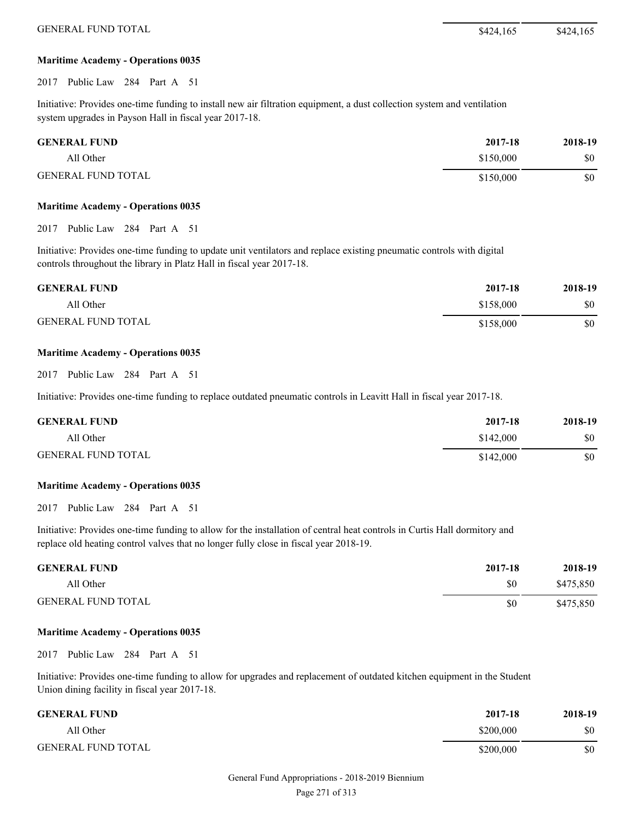#### **Maritime Academy - Operations 0035**

2017 Public Law 284 Part A 51

Initiative: Provides one-time funding to install new air filtration equipment, a dust collection system and ventilation system upgrades in Payson Hall in fiscal year 2017-18.

| <b>GENERAL FUND</b>       | 2017-18   | 2018-19 |
|---------------------------|-----------|---------|
| All Other                 | \$150,000 | \$0     |
| <b>GENERAL FUND TOTAL</b> | \$150,000 | \$0     |

#### **Maritime Academy - Operations 0035**

2017 Public Law 284 Part A 51

Initiative: Provides one-time funding to update unit ventilators and replace existing pneumatic controls with digital controls throughout the library in Platz Hall in fiscal year 2017-18.

| <b>GENERAL FUND</b>       | 2017-18   | 2018-19 |
|---------------------------|-----------|---------|
| All Other                 | \$158,000 | \$0     |
| <b>GENERAL FUND TOTAL</b> | \$158,000 | \$0     |

#### **Maritime Academy - Operations 0035**

2017 Public Law 284 Part A 51

Initiative: Provides one-time funding to replace outdated pneumatic controls in Leavitt Hall in fiscal year 2017-18.

| <b>GENERAL FUND</b>       | 2017-18   | 2018-19 |
|---------------------------|-----------|---------|
| All Other                 | \$142,000 | \$0     |
| <b>GENERAL FUND TOTAL</b> | \$142,000 | \$0     |

#### **Maritime Academy - Operations 0035**

2017 Public Law 284 Part A 51

Initiative: Provides one-time funding to allow for the installation of central heat controls in Curtis Hall dormitory and replace old heating control valves that no longer fully close in fiscal year 2018-19.

| <b>GENERAL FUND</b>       | 2017-18 | 2018-19   |
|---------------------------|---------|-----------|
| All Other                 | \$0     | \$475,850 |
| <b>GENERAL FUND TOTAL</b> | \$0     | \$475,850 |

#### **Maritime Academy - Operations 0035**

2017 Public Law 284 Part A 51

Initiative: Provides one-time funding to allow for upgrades and replacement of outdated kitchen equipment in the Student Union dining facility in fiscal year 2017-18.

| <b>GENERAL FUND</b>       | 2017-18   | 2018-19 |
|---------------------------|-----------|---------|
| All Other                 | \$200,000 | \$0     |
| <b>GENERAL FUND TOTAL</b> | \$200,000 | \$0     |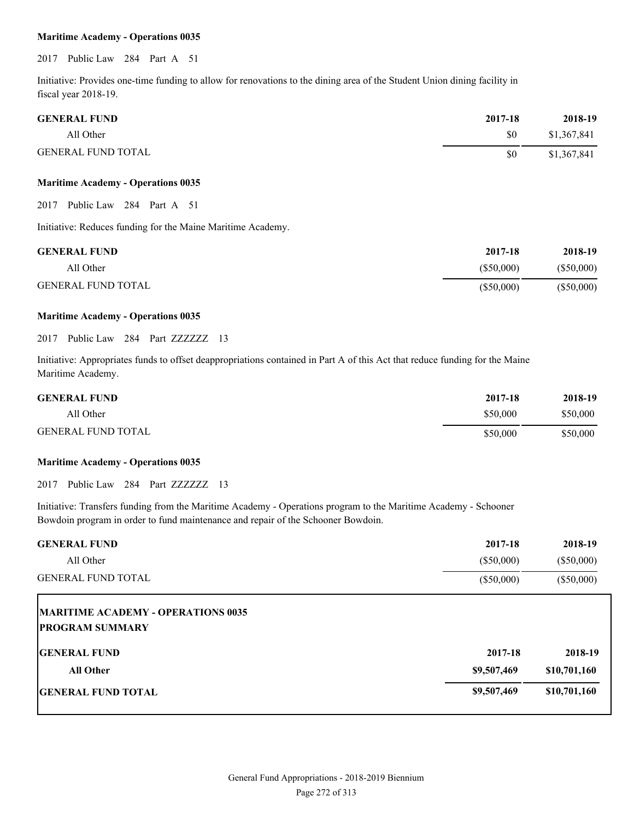#### **Maritime Academy - Operations 0035**

2017 Public Law 284 Part A 51

Initiative: Provides one-time funding to allow for renovations to the dining area of the Student Union dining facility in fiscal year 2018-19.

| <b>GENERAL FUND</b>       | 2017-18 | 2018-19     |
|---------------------------|---------|-------------|
| All Other                 | \$0     | \$1,367,841 |
| <b>GENERAL FUND TOTAL</b> | \$0     | \$1,367,841 |

#### **Maritime Academy - Operations 0035**

2017 Public Law 284 Part A 51

Initiative: Reduces funding for the Maine Maritime Academy.

| <b>GENERAL FUND</b>       | 2017-18      | 2018-19      |
|---------------------------|--------------|--------------|
| All Other                 | (S50,000)    | (S50,000)    |
| <b>GENERAL FUND TOTAL</b> | $(\$50,000)$ | $(\$50,000)$ |

#### **Maritime Academy - Operations 0035**

2017 Public Law 284 Part ZZZZZZZ 13

Initiative: Appropriates funds to offset deappropriations contained in Part A of this Act that reduce funding for the Maine Maritime Academy.

| <b>GENERAL FUND</b>       | 2017-18  | 2018-19  |
|---------------------------|----------|----------|
| All Other                 | \$50,000 | \$50,000 |
| <b>GENERAL FUND TOTAL</b> | \$50,000 | \$50,000 |

#### **Maritime Academy - Operations 0035**

2017 Public Law 284 Part ZZZZZZZ 13

Initiative: Transfers funding from the Maritime Academy - Operations program to the Maritime Academy - Schooner Bowdoin program in order to fund maintenance and repair of the Schooner Bowdoin.

| <b>GENERAL FUND</b>                | 2017-18      | 2018-19      |
|------------------------------------|--------------|--------------|
| All Other                          | $(\$50,000)$ | $(\$50,000)$ |
| <b>GENERAL FUND TOTAL</b>          | $(\$50,000)$ | $(\$50,000)$ |
| MARITIME ACADEMY - OPERATIONS 0035 |              |              |
| <b>PROGRAM SUMMARY</b>             |              |              |
| <b>GENERAL FUND</b>                | 2017-18      | 2018-19      |
| <b>All Other</b>                   | \$9,507,469  | \$10,701,160 |
| <b>GENERAL FUND TOTAL</b>          | \$9,507,469  | \$10,701,160 |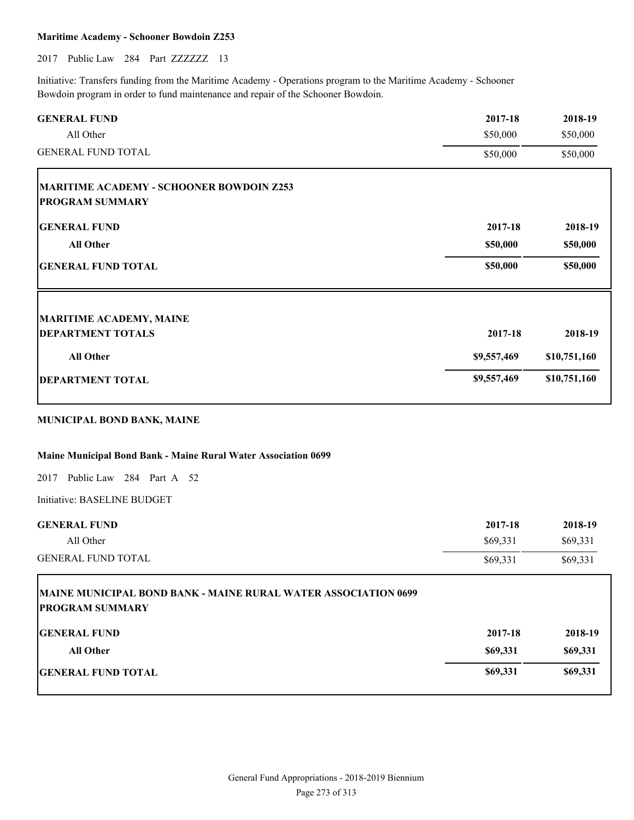### **Maritime Academy - Schooner Bowdoin Z253**

2017 Public Law 284 Part ZZZZZZZ 13

Initiative: Transfers funding from the Maritime Academy - Operations program to the Maritime Academy - Schooner Bowdoin program in order to fund maintenance and repair of the Schooner Bowdoin.

| 2017-18     | 2018-19      |
|-------------|--------------|
| \$50,000    | \$50,000     |
| \$50,000    | \$50,000     |
|             |              |
|             |              |
| 2017-18     | 2018-19      |
| \$50,000    | \$50,000     |
| \$50,000    | \$50,000     |
|             |              |
| 2017-18     | 2018-19      |
| \$9,557,469 | \$10,751,160 |
| \$9,557,469 | \$10,751,160 |
|             |              |

## **MUNICIPAL BOND BANK, MAINE**

#### **Maine Municipal Bond Bank - Maine Rural Water Association 0699**

2017 Public Law 284 Part A 52

Initiative: BASELINE BUDGET

Г

| <b>GENERAL FUND</b>       | 2017-18  | 2018-19  |
|---------------------------|----------|----------|
| All Other                 | \$69,331 | \$69,331 |
| <b>GENERAL FUND TOTAL</b> | \$69,331 | \$69,331 |

| <b>MAINE MUNICIPAL BOND BANK - MAINE RURAL WATER ASSOCIATION 0699</b><br><b>PROGRAM SUMMARY</b> |          |          |
|-------------------------------------------------------------------------------------------------|----------|----------|
| <b>GENERAL FUND</b>                                                                             | 2017-18  | 2018-19  |
| <b>All Other</b>                                                                                | \$69,331 | \$69,331 |
| <b>IGENERAL FUND TOTAL</b>                                                                      | \$69,331 | \$69,331 |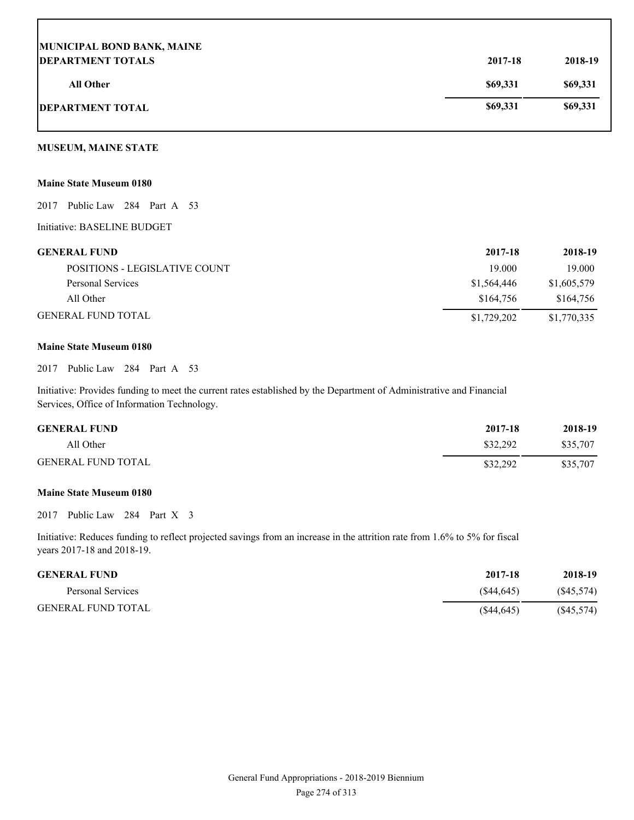| MUNICIPAL BOND BANK, MAINE |          |          |
|----------------------------|----------|----------|
| <b>DEPARTMENT TOTALS</b>   | 2017-18  | 2018-19  |
| All Other                  | \$69,331 | \$69,331 |
| <b>DEPARTMENT TOTAL</b>    | \$69,331 | \$69,331 |

### **MUSEUM, MAINE STATE**

#### **Maine State Museum 0180**

2017 Public Law 284 Part A 53

Initiative: BASELINE BUDGET

| <b>GENERAL FUND</b>           | 2017-18     | 2018-19     |
|-------------------------------|-------------|-------------|
| POSITIONS - LEGISLATIVE COUNT | 19 000      | 19.000      |
| Personal Services             | \$1,564,446 | \$1,605,579 |
| All Other                     | \$164.756   | \$164,756   |
| <b>GENERAL FUND TOTAL</b>     | \$1,729,202 | \$1,770,335 |

#### **Maine State Museum 0180**

2017 Public Law 284 Part A 53

Initiative: Provides funding to meet the current rates established by the Department of Administrative and Financial Services, Office of Information Technology.

| <b>GENERAL FUND</b>       | 2017-18  | 2018-19  |
|---------------------------|----------|----------|
| All Other                 | \$32,292 | \$35,707 |
| <b>GENERAL FUND TOTAL</b> | \$32,292 | \$35,707 |

#### **Maine State Museum 0180**

2017 Public Law 284 Part X 3

Initiative: Reduces funding to reflect projected savings from an increase in the attrition rate from 1.6% to 5% for fiscal years 2017-18 and 2018-19.

| <b>GENERAL FUND</b>       | 2017-18    | 2018-19   |
|---------------------------|------------|-----------|
| Personal Services         | (S44.645)  | (S45,574) |
| <b>GENERAL FUND TOTAL</b> | (S44, 645) | (S45,574) |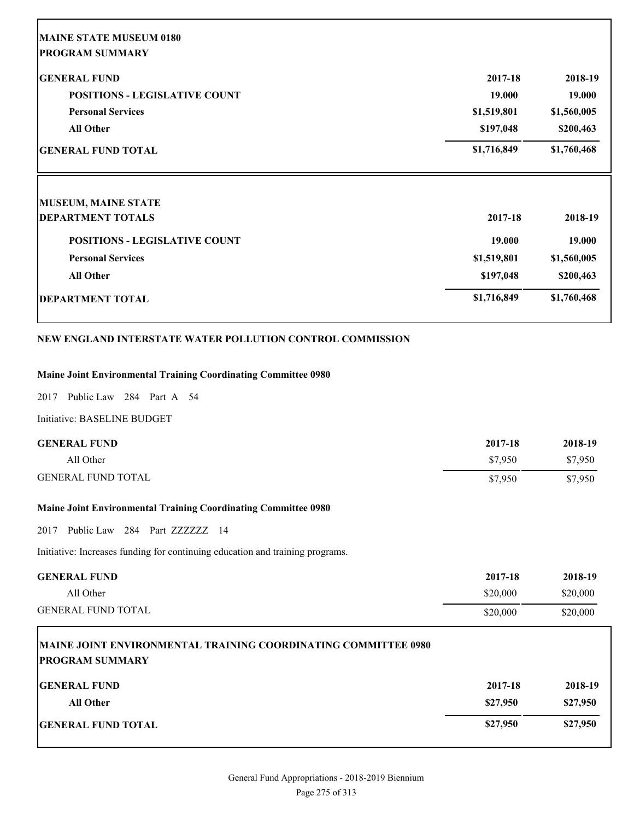| 2017-18     | 2018-19     |
|-------------|-------------|
| 19.000      | 19.000      |
| \$1,519,801 | \$1,560,005 |
| \$197,048   | \$200,463   |
| \$1,716,849 | \$1,760,468 |
|             |             |
| 2017-18     | 2018-19     |
| 19.000      | 19.000      |
| \$1,519,801 | \$1,560,005 |
|             | \$200,463   |
| \$197,048   |             |
|             |             |

## **NEW ENGLAND INTERSTATE WATER POLLUTION CONTROL COMMISSION**

### **Maine Joint Environmental Training Coordinating Committee 0980**

2017 Public Law 284 Part A 54

Initiative: BASELINE BUDGET

| <b>GENERAL FUND</b>       | 2017-18 | 2018-19 |
|---------------------------|---------|---------|
| All Other                 | \$7.950 | \$7,950 |
| <b>GENERAL FUND TOTAL</b> | \$7.950 | \$7,950 |

## **Maine Joint Environmental Training Coordinating Committee 0980**

2017 Public Law 284 Part ZZZZZZZ 14

Initiative: Increases funding for continuing education and training programs.

| <b>GENERAL FUND</b>       | 2017-18  | 2018-19  |
|---------------------------|----------|----------|
| All Other                 | \$20,000 | \$20,000 |
| <b>GENERAL FUND TOTAL</b> | \$20,000 | \$20,000 |

# **MAINE JOINT ENVIRONMENTAL TRAINING COORDINATING COMMITTEE 0980 PROGRAM SUMMARY GENERAL FUND 2017-18 2018-19**

| All Other                 | \$27,950 | \$27,950 |
|---------------------------|----------|----------|
| <b>GENERAL FUND TOTAL</b> | \$27,950 | \$27,950 |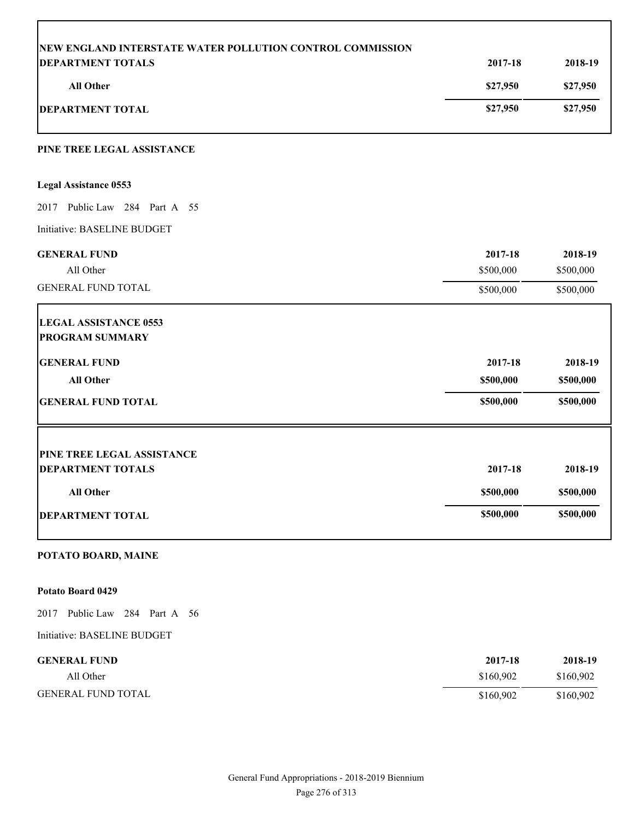| <b>DEPARTMENT TOTALS</b>                               | 2017-18   | 2018-19<br>\$27,950<br>\$27,950 |
|--------------------------------------------------------|-----------|---------------------------------|
| <b>All Other</b>                                       | \$27,950  |                                 |
| <b>DEPARTMENT TOTAL</b>                                | \$27,950  |                                 |
| PINE TREE LEGAL ASSISTANCE                             |           |                                 |
| <b>Legal Assistance 0553</b>                           |           |                                 |
| 2017 Public Law 284 Part A 55                          |           |                                 |
| Initiative: BASELINE BUDGET                            |           |                                 |
| <b>GENERAL FUND</b>                                    | 2017-18   | 2018-19                         |
| All Other                                              | \$500,000 | \$500,000                       |
| <b>GENERAL FUND TOTAL</b>                              | \$500,000 | \$500,000                       |
| <b>LEGAL ASSISTANCE 0553</b>                           |           |                                 |
| <b>PROGRAM SUMMARY</b>                                 |           |                                 |
| <b>GENERAL FUND</b>                                    | 2017-18   | 2018-19                         |
| <b>All Other</b>                                       | \$500,000 | \$500,000                       |
| <b>GENERAL FUND TOTAL</b>                              | \$500,000 | \$500,000                       |
|                                                        |           |                                 |
| PINE TREE LEGAL ASSISTANCE<br><b>DEPARTMENT TOTALS</b> | 2017-18   | 2018-19                         |
|                                                        |           |                                 |
| All Other                                              | \$500,000 | \$500,000                       |
| <b>DEPARTMENT TOTAL</b>                                | \$500,000 | \$500,000                       |

## **POTATO BOARD, MAINE**

## **Potato Board 0429**

2017 Public Law 284 Part A 56

Initiative: BASELINE BUDGET

| <b>GENERAL FUND</b>       | 2017-18   | 2018-19   |
|---------------------------|-----------|-----------|
| All Other                 | \$160.902 | \$160,902 |
| <b>GENERAL FUND TOTAL</b> | \$160.902 | \$160,902 |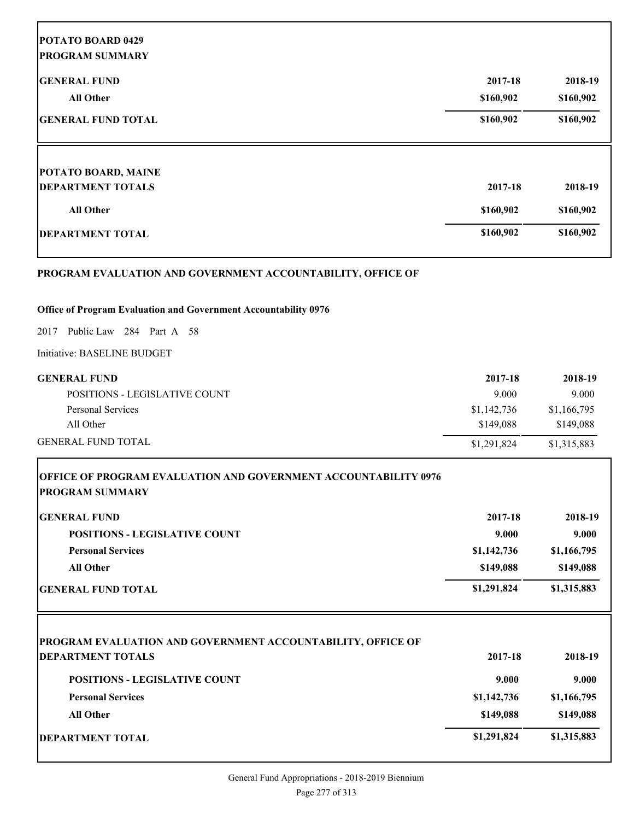| <b>GENERAL FUND</b>                                         | 2017-18   | 2018-19   |
|-------------------------------------------------------------|-----------|-----------|
| <b>All Other</b>                                            | \$160,902 | \$160,902 |
| <b>GENERAL FUND TOTAL</b>                                   | \$160,902 | \$160,902 |
| <b>POTATO BOARD, MAINE</b>                                  |           |           |
| <b>DEPARTMENT TOTALS</b>                                    | 2017-18   | 2018-19   |
| <b>All Other</b>                                            | \$160,902 | \$160,902 |
| <b>DEPARTMENT TOTAL</b>                                     | \$160,902 | \$160,902 |
| PROGRAM EVALUATION AND GOVERNMENT ACCOUNTABILITY, OFFICE OF |           |           |

2017 Public Law 284 Part A 58

Initiative: BASELINE BUDGET

Г

Г

| <b>GENERAL FUND</b>           | 2017-18     | 2018-19     |
|-------------------------------|-------------|-------------|
| POSITIONS - LEGISLATIVE COUNT | 9.000       | 9.000       |
| Personal Services             | \$1,142,736 | \$1,166,795 |
| All Other                     | \$149.088   | \$149,088   |
| <b>GENERAL FUND TOTAL</b>     | \$1,291,824 | \$1,315,883 |

| <b>OFFICE OF PROGRAM EVALUATION AND GOVERNMENT ACCOUNTABILITY 0976</b><br> PROGRAM SUMMARY |             |             |
|--------------------------------------------------------------------------------------------|-------------|-------------|
| <b>GENERAL FUND</b>                                                                        | 2017-18     | 2018-19     |
| <b>POSITIONS - LEGISLATIVE COUNT</b>                                                       | 9.000       | 9.000       |
| <b>Personal Services</b>                                                                   | \$1,142,736 | \$1,166,795 |
| <b>All Other</b>                                                                           | \$149,088   | \$149,088   |
| <b>GENERAL FUND TOTAL</b>                                                                  | \$1,291,824 | \$1,315,883 |
| PROGRAM EVALUATION AND GOVERNMENT ACCOUNTABILITY, OFFICE OF                                |             |             |
| <b>DEPARTMENT TOTALS</b>                                                                   | 2017-18     | 2018-19     |
| <b>POSITIONS - LEGISLATIVE COUNT</b>                                                       | 9.000       | 9.000       |
| <b>Personal Services</b>                                                                   | \$1,142,736 | \$1,166,795 |
| <b>All Other</b>                                                                           | \$149,088   | \$149,088   |
| <b> DEPARTMENT TOTAL</b>                                                                   | \$1,291,824 | \$1,315,883 |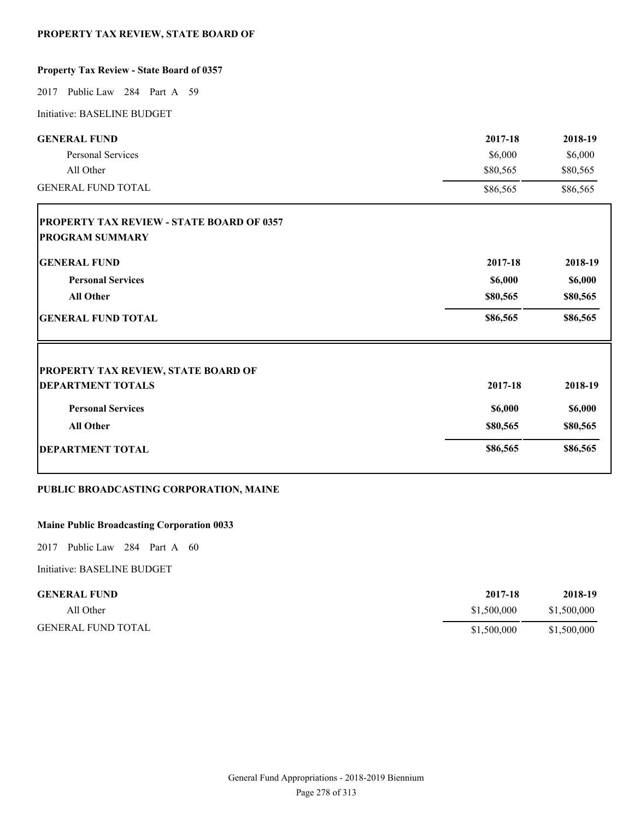## **PROPERTY TAX REVIEW, STATE BOARD OF**

## **Property Tax Review - State Board of 0357**

2017 Public Law 284 Part A 59

Initiative: BASELINE BUDGET

| <b>GENERAL FUND</b>                              | 2017-18  | 2018-19  |
|--------------------------------------------------|----------|----------|
| Personal Services                                | \$6,000  | \$6,000  |
| All Other<br><b>GENERAL FUND TOTAL</b>           | \$80,565 | \$80,565 |
|                                                  | \$86,565 | \$86,565 |
| <b>PROPERTY TAX REVIEW - STATE BOARD OF 0357</b> |          |          |
| <b>PROGRAM SUMMARY</b>                           |          |          |
| <b>GENERAL FUND</b>                              | 2017-18  | 2018-19  |
| <b>Personal Services</b>                         | \$6,000  | \$6,000  |
| All Other                                        | \$80,565 | \$80,565 |
| <b>GENERAL FUND TOTAL</b>                        | \$86,565 | \$86,565 |
| <b>PROPERTY TAX REVIEW, STATE BOARD OF</b>       |          |          |
| <b>DEPARTMENT TOTALS</b>                         | 2017-18  | 2018-19  |
| <b>Personal Services</b>                         | \$6,000  | \$6,000  |
| <b>All Other</b>                                 | \$80,565 | \$80,565 |
| <b>DEPARTMENT TOTAL</b>                          | \$86,565 | \$86,565 |
|                                                  |          |          |

## **PUBLIC BROADCASTING CORPORATION, MAINE**

## **Maine Public Broadcasting Corporation 0033**

2017 Public Law 284 Part A 60

Initiative: BASELINE BUDGET

| <b>GENERAL FUND</b>       | 2017-18     | 2018-19     |
|---------------------------|-------------|-------------|
| All Other                 | \$1,500,000 | \$1,500,000 |
| <b>GENERAL FUND TOTAL</b> | \$1,500,000 | \$1,500,000 |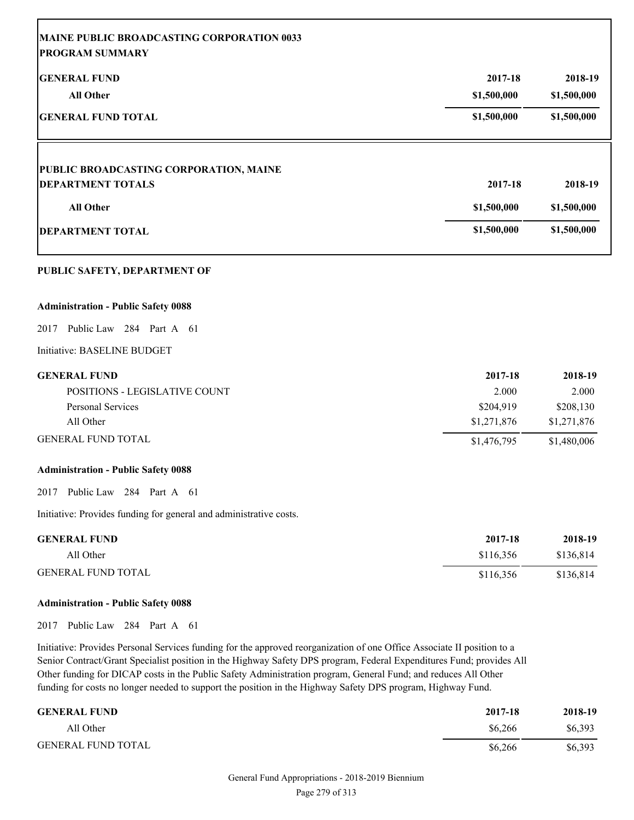| MAINE PUBLIC BROADCASTING CORPORATION 0033<br><b>PROGRAM SUMMARY</b>                                                                                                                                                                                                                                                                                              |                        |                        |
|-------------------------------------------------------------------------------------------------------------------------------------------------------------------------------------------------------------------------------------------------------------------------------------------------------------------------------------------------------------------|------------------------|------------------------|
| <b>GENERAL FUND</b><br><b>All Other</b>                                                                                                                                                                                                                                                                                                                           | 2017-18<br>\$1,500,000 | 2018-19<br>\$1,500,000 |
| <b>GENERAL FUND TOTAL</b>                                                                                                                                                                                                                                                                                                                                         | \$1,500,000            | \$1,500,000            |
| PUBLIC BROADCASTING CORPORATION, MAINE                                                                                                                                                                                                                                                                                                                            |                        |                        |
| <b>DEPARTMENT TOTALS</b>                                                                                                                                                                                                                                                                                                                                          | 2017-18                | 2018-19                |
| <b>All Other</b>                                                                                                                                                                                                                                                                                                                                                  | \$1,500,000            | \$1,500,000            |
| <b>DEPARTMENT TOTAL</b>                                                                                                                                                                                                                                                                                                                                           | \$1,500,000            | \$1,500,000            |
| PUBLIC SAFETY, DEPARTMENT OF                                                                                                                                                                                                                                                                                                                                      |                        |                        |
| <b>Administration - Public Safety 0088</b>                                                                                                                                                                                                                                                                                                                        |                        |                        |
| Public Law 284 Part A 61<br>2017                                                                                                                                                                                                                                                                                                                                  |                        |                        |
| Initiative: BASELINE BUDGET                                                                                                                                                                                                                                                                                                                                       |                        |                        |
| <b>GENERAL FUND</b>                                                                                                                                                                                                                                                                                                                                               | 2017-18                | 2018-19                |
| POSITIONS - LEGISLATIVE COUNT                                                                                                                                                                                                                                                                                                                                     | 2.000                  | 2.000                  |
| <b>Personal Services</b>                                                                                                                                                                                                                                                                                                                                          | \$204,919              | \$208,130              |
| All Other                                                                                                                                                                                                                                                                                                                                                         | \$1,271,876            | \$1,271,876            |
| <b>GENERAL FUND TOTAL</b>                                                                                                                                                                                                                                                                                                                                         | \$1,476,795            | \$1,480,006            |
| <b>Administration - Public Safety 0088</b>                                                                                                                                                                                                                                                                                                                        |                        |                        |
| 2017 Public Law 284 Part A 61                                                                                                                                                                                                                                                                                                                                     |                        |                        |
| Initiative: Provides funding for general and administrative costs.                                                                                                                                                                                                                                                                                                |                        |                        |
| <b>GENERAL FUND</b>                                                                                                                                                                                                                                                                                                                                               | 2017-18                | 2018-19                |
| All Other                                                                                                                                                                                                                                                                                                                                                         | \$116,356              | \$136,814              |
| <b>GENERAL FUND TOTAL</b>                                                                                                                                                                                                                                                                                                                                         | \$116,356              | \$136,814              |
| <b>Administration - Public Safety 0088</b>                                                                                                                                                                                                                                                                                                                        |                        |                        |
| Public Law 284 Part A 61<br>2017                                                                                                                                                                                                                                                                                                                                  |                        |                        |
| Initiative: Provides Personal Services funding for the approved reorganization of one Office Associate II position to a<br>Senior Contract/Grant Specialist position in the Highway Safety DPS program, Federal Expenditures Fund; provides All<br>Other funding for DICAP costs in the Public Safety Administration program, General Fund; and reduces All Other |                        |                        |

funding for costs no longer needed to support the position in the Highway Safety DPS program, Highway Fund.

| <b>GENERAL FUND</b>       | 2017-18 | 2018-19 |
|---------------------------|---------|---------|
| All Other                 | \$6.266 | \$6,393 |
| <b>GENERAL FUND TOTAL</b> | \$6,266 | \$6,393 |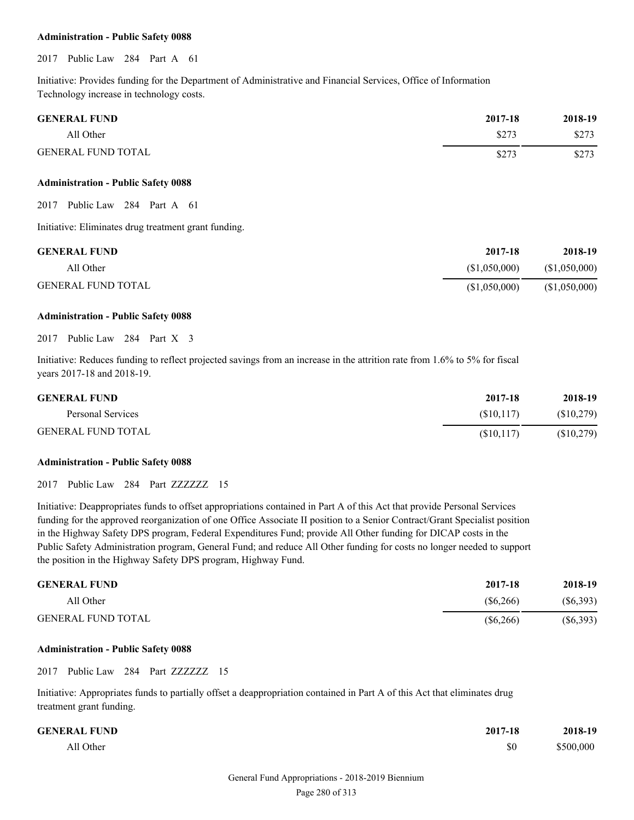#### **Administration - Public Safety 0088**

2017 Public Law 284 Part A 61

Initiative: Provides funding for the Department of Administrative and Financial Services, Office of Information Technology increase in technology costs.

| <b>GENERAL FUND</b>       | 2017-18 | 2018-19 |
|---------------------------|---------|---------|
| All Other                 | \$273   | \$273   |
| <b>GENERAL FUND TOTAL</b> | \$273   | \$273   |

#### **Administration - Public Safety 0088**

2017 Public Law 284 Part A 61

Initiative: Eliminates drug treatment grant funding.

| <b>GENERAL FUND</b>       | 2017-18      | 2018-19       |
|---------------------------|--------------|---------------|
| All Other                 | (S1.050.000) | (S1,050,000)  |
| <b>GENERAL FUND TOTAL</b> | (S1,050,000) | (\$1,050,000) |

#### **Administration - Public Safety 0088**

2017 Public Law 284 Part X 3

Initiative: Reduces funding to reflect projected savings from an increase in the attrition rate from 1.6% to 5% for fiscal years 2017-18 and 2018-19.

| <b>GENERAL FUND</b>       | 2017-18    | 2018-19    |
|---------------------------|------------|------------|
| Personal Services         | (S10.117)  | (S10, 279) |
| <b>GENERAL FUND TOTAL</b> | (S10, 117) | (\$10,279) |

#### **Administration - Public Safety 0088**

2017 Public Law 284 Part ZZZZZZZ 15

Initiative: Deappropriates funds to offset appropriations contained in Part A of this Act that provide Personal Services funding for the approved reorganization of one Office Associate II position to a Senior Contract/Grant Specialist position in the Highway Safety DPS program, Federal Expenditures Fund; provide All Other funding for DICAP costs in the Public Safety Administration program, General Fund; and reduce All Other funding for costs no longer needed to support the position in the Highway Safety DPS program, Highway Fund.

| <b>GENERAL FUND</b>       | 2017-18     | 2018-19     |
|---------------------------|-------------|-------------|
| All Other                 | (S6, 266)   | $(\$6,393)$ |
| <b>GENERAL FUND TOTAL</b> | $(\$6,266)$ | $(\$6,393)$ |

#### **Administration - Public Safety 0088**

2017 Public Law 284 Part ZZZZZZZ 15

Initiative: Appropriates funds to partially offset a deappropriation contained in Part A of this Act that eliminates drug treatment grant funding.

| <b>GENERAL FUND</b> | 2017-18 | 2018-19   |
|---------------------|---------|-----------|
| All Other           | \$0     | \$500,000 |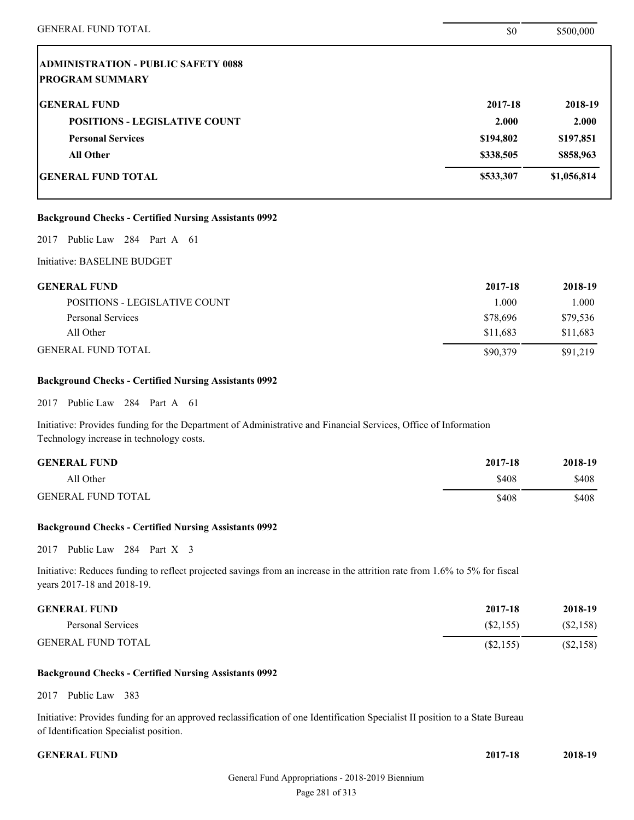| <b>GENERAL FUND TOTAL</b>                                    | \$0       | \$500,000   |
|--------------------------------------------------------------|-----------|-------------|
| <b>ADMINISTRATION - PUBLIC SAFETY 0088</b>                   |           |             |
| <b>PROGRAM SUMMARY</b>                                       |           |             |
| <b>GENERAL FUND</b>                                          | 2017-18   | 2018-19     |
| <b>POSITIONS - LEGISLATIVE COUNT</b>                         | 2.000     | 2.000       |
| <b>Personal Services</b>                                     | \$194,802 | \$197,851   |
| <b>All Other</b>                                             | \$338,505 | \$858,963   |
| <b>GENERAL FUND TOTAL</b>                                    | \$533,307 | \$1,056,814 |
| <b>Background Checks - Certified Nursing Assistants 0992</b> |           |             |
| Public Law 284 Part A 61<br>2017                             |           |             |
| Initiative: BASELINE BUDGET                                  |           |             |
| <b>GENERAL FUND</b>                                          | 2017-18   | 2018-19     |
| POSITIONS - LEGISLATIVE COUNT                                | 1.000     | 1.000       |
| <b>Personal Services</b>                                     | \$78,696  | \$79,536    |
| All Other                                                    | \$11,683  | \$11,683    |

## GENERAL FUND TOTAL \$90,379 \$91,219

## **Background Checks - Certified Nursing Assistants 0992**

2017 Public Law 284 Part A 61

Initiative: Provides funding for the Department of Administrative and Financial Services, Office of Information Technology increase in technology costs.

| <b>GENERAL FUND</b>       | 2017-18 | 2018-19 |
|---------------------------|---------|---------|
| All Other                 | \$408   | \$408   |
| <b>GENERAL FUND TOTAL</b> | \$408   | \$408   |

#### **Background Checks - Certified Nursing Assistants 0992**

2017 Public Law 284 Part X 3

Initiative: Reduces funding to reflect projected savings from an increase in the attrition rate from 1.6% to 5% for fiscal years 2017-18 and 2018-19.

| <b>GENERAL FUND</b>       | 2017-18   | 2018-19   |
|---------------------------|-----------|-----------|
| Personal Services         | (S2.155)  | (S2, 158) |
| <b>GENERAL FUND TOTAL</b> | (S2, 155) | (\$2,158) |

#### **Background Checks - Certified Nursing Assistants 0992**

2017 Public Law 383

Initiative: Provides funding for an approved reclassification of one Identification Specialist II position to a State Bureau of Identification Specialist position.

**GENERAL FUND 2017-18 2018-19**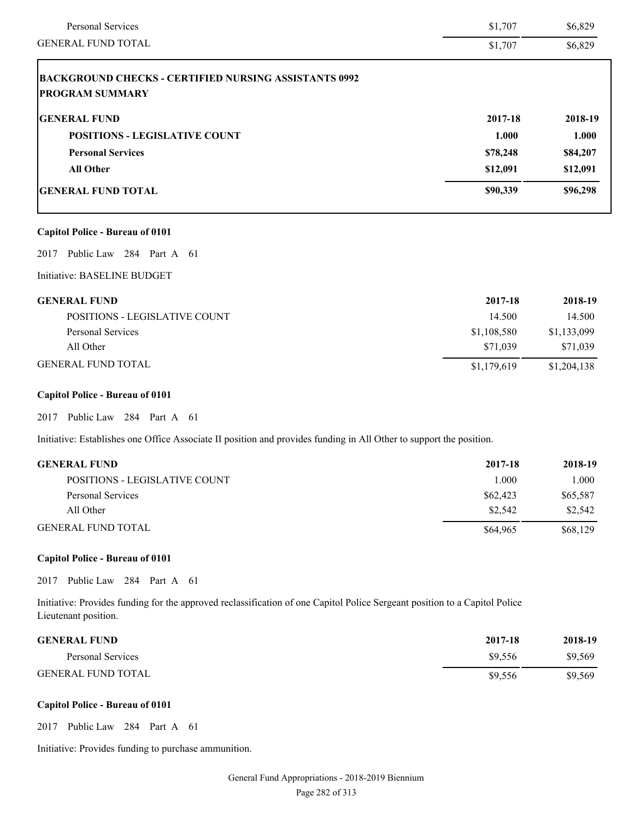| <b>Personal Services</b>                                                               | \$1,707  | \$6,829  |
|----------------------------------------------------------------------------------------|----------|----------|
| <b>GENERAL FUND TOTAL</b>                                                              | \$1,707  | \$6,829  |
| <b>BACKGROUND CHECKS - CERTIFIED NURSING ASSISTANTS 0992</b><br><b>PROGRAM SUMMARY</b> |          |          |
| <b>GENERAL FUND</b>                                                                    | 2017-18  | 2018-19  |
| <b>POSITIONS - LEGISLATIVE COUNT</b>                                                   | 1.000    | 1.000    |
| <b>Personal Services</b>                                                               | \$78,248 | \$84,207 |
| <b>All Other</b>                                                                       | \$12,091 | \$12,091 |
| <b>GENERAL FUND TOTAL</b>                                                              | \$90,339 | \$96,298 |
| <b>Capitol Police - Bureau of 0101</b>                                                 |          |          |
| Public Law 284 Part A 61<br>2017                                                       |          |          |
| Initiative: BASELINE BUDGET                                                            |          |          |

| <b>GENERAL FUND</b>           | 2017-18     | 2018-19     |
|-------------------------------|-------------|-------------|
| POSITIONS - LEGISLATIVE COUNT | 14.500      | 14.500      |
| Personal Services             | \$1,108,580 | \$1,133,099 |
| All Other                     | \$71.039    | \$71.039    |
| <b>GENERAL FUND TOTAL</b>     | \$1,179,619 | \$1,204,138 |

## **Capitol Police - Bureau of 0101**

2017 Public Law 284 Part A 61

Initiative: Establishes one Office Associate II position and provides funding in All Other to support the position.

| <b>GENERAL FUND</b>           | 2017-18  | 2018-19  |
|-------------------------------|----------|----------|
| POSITIONS - LEGISLATIVE COUNT | 1.000    | 1.000    |
| Personal Services             | \$62,423 | \$65,587 |
| All Other                     | \$2.542  | \$2,542  |
| <b>GENERAL FUND TOTAL</b>     | \$64,965 | \$68,129 |

## **Capitol Police - Bureau of 0101**

2017 Public Law 284 Part A 61

Initiative: Provides funding for the approved reclassification of one Capitol Police Sergeant position to a Capitol Police Lieutenant position.

| <b>GENERAL FUND</b>       | 2017-18 | 2018-19 |
|---------------------------|---------|---------|
| Personal Services         | \$9.556 | \$9,569 |
| <b>GENERAL FUND TOTAL</b> | \$9.556 | \$9,569 |

### **Capitol Police - Bureau of 0101**

2017 Public Law 284 Part A 61

Initiative: Provides funding to purchase ammunition.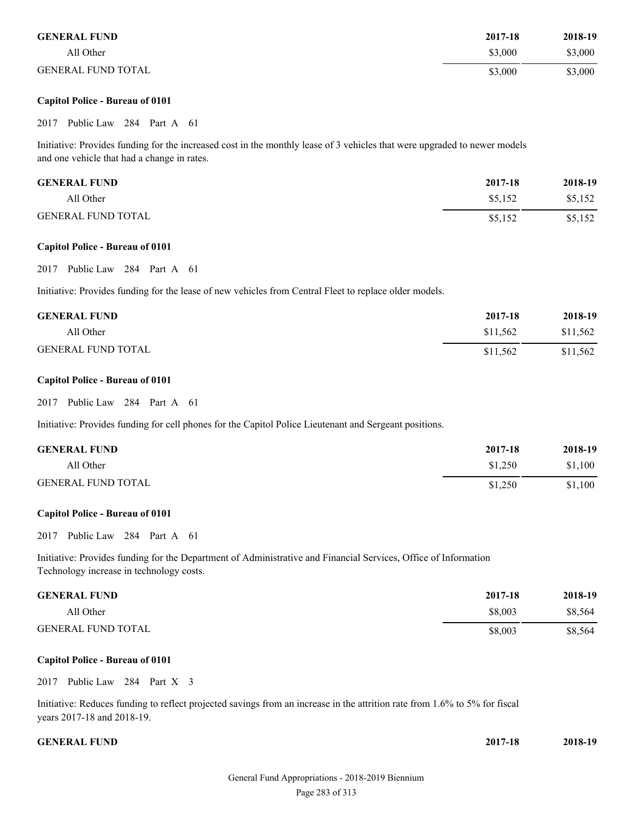| <b>GENERAL FUND</b>       | 2017-18 | 2018-19 |
|---------------------------|---------|---------|
| All Other                 | \$3,000 | \$3,000 |
| <b>GENERAL FUND TOTAL</b> | \$3,000 | \$3,000 |

#### **Capitol Police - Bureau of 0101**

#### 2017 Public Law 284 Part A 61

Initiative: Provides funding for the increased cost in the monthly lease of 3 vehicles that were upgraded to newer models and one vehicle that had a change in rates.

| <b>GENERAL FUND</b>       | 2017-18 | 2018-19 |
|---------------------------|---------|---------|
| All Other                 | \$5.152 | \$5,152 |
| <b>GENERAL FUND TOTAL</b> | \$5.152 | \$5,152 |

#### **Capitol Police - Bureau of 0101**

#### 2017 Public Law 284 Part A 61

Initiative: Provides funding for the lease of new vehicles from Central Fleet to replace older models.

| <b>GENERAL FUND</b>       | 2017-18  | 2018-19  |
|---------------------------|----------|----------|
| All Other                 | \$11.562 | \$11,562 |
| <b>GENERAL FUND TOTAL</b> | \$11,562 | \$11,562 |

#### **Capitol Police - Bureau of 0101**

#### 2017 Public Law 284 Part A 61

Initiative: Provides funding for cell phones for the Capitol Police Lieutenant and Sergeant positions.

| <b>GENERAL FUND</b>       | 2017-18 | 2018-19 |
|---------------------------|---------|---------|
| All Other                 | \$1,250 | \$1,100 |
| <b>GENERAL FUND TOTAL</b> | \$1,250 | \$1,100 |

#### **Capitol Police - Bureau of 0101**

#### 2017 Public Law 284 Part A 61

Initiative: Provides funding for the Department of Administrative and Financial Services, Office of Information Technology increase in technology costs.

| <b>GENERAL FUND</b>       | 2017-18 | 2018-19 |
|---------------------------|---------|---------|
| All Other                 | \$8,003 | \$8.564 |
| <b>GENERAL FUND TOTAL</b> | \$8,003 | \$8,564 |

#### **Capitol Police - Bureau of 0101**

2017 Public Law 284 Part X 3

Initiative: Reduces funding to reflect projected savings from an increase in the attrition rate from 1.6% to 5% for fiscal years 2017-18 and 2018-19.

**GENERAL FUND 2017-18 2018-19**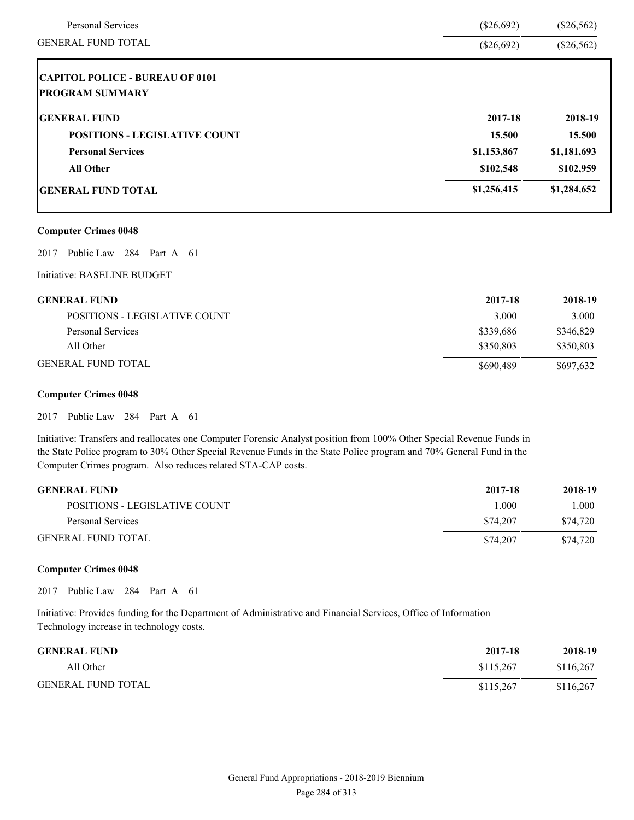| <b>Personal Services</b>               | $(\$26,692)$ | $(\$26,562)$ |
|----------------------------------------|--------------|--------------|
| <b>GENERAL FUND TOTAL</b>              | $(\$26,692)$ | $(\$26,562)$ |
| <b>CAPITOL POLICE - BUREAU OF 0101</b> |              |              |
| <b>PROGRAM SUMMARY</b>                 |              |              |
| <b>GENERAL FUND</b>                    | 2017-18      | 2018-19      |
| <b>POSITIONS - LEGISLATIVE COUNT</b>   | 15.500       | 15.500       |
| <b>Personal Services</b>               | \$1,153,867  | \$1,181,693  |
| <b>All Other</b>                       | \$102,548    | \$102,959    |
| <b>GENERAL FUND TOTAL</b>              | \$1,256,415  | \$1,284,652  |
| <b>Computer Crimes 0048</b>            |              |              |
| Public Law 284 Part A 61<br>2017       |              |              |
| Initiative: BASELINE BUDGET            |              |              |
| <b>GENERAL FUND</b>                    | 2017-18      | 2018-19      |
| <b>POSITIONS - LEGISLATIVE COUNT</b>   | 3.000        | 3.000        |
| <b>Personal Services</b>               | \$339,686    | \$346,829    |

| <b>GENERAL FUND</b>           | 2017-18   | 2018-19   |
|-------------------------------|-----------|-----------|
| POSITIONS - LEGISLATIVE COUNT | 3.000     | 3.000     |
| Personal Services             | \$339,686 | \$346,829 |
| All Other                     | \$350.803 | \$350,803 |
| <b>GENERAL FUND TOTAL</b>     | \$690,489 | \$697,632 |

#### **Computer Crimes 0048**

2017 Public Law 284 Part A 61

Initiative: Transfers and reallocates one Computer Forensic Analyst position from 100% Other Special Revenue Funds in the State Police program to 30% Other Special Revenue Funds in the State Police program and 70% General Fund in the Computer Crimes program. Also reduces related STA-CAP costs.

| <b>GENERAL FUND</b>           | 2017-18   | 2018-19  |
|-------------------------------|-----------|----------|
| POSITIONS - LEGISLATIVE COUNT | $\pm 000$ | 000.1    |
| Personal Services             | \$74,207  | \$74,720 |
| <b>GENERAL FUND TOTAL</b>     | \$74,207  | \$74.720 |

#### **Computer Crimes 0048**

2017 Public Law 284 Part A 61

Initiative: Provides funding for the Department of Administrative and Financial Services, Office of Information Technology increase in technology costs.

| <b>GENERAL FUND</b>       | 2017-18   | 2018-19   |
|---------------------------|-----------|-----------|
| All Other                 | \$115.267 | \$116,267 |
| <b>GENERAL FUND TOTAL</b> | \$115.267 | \$116.267 |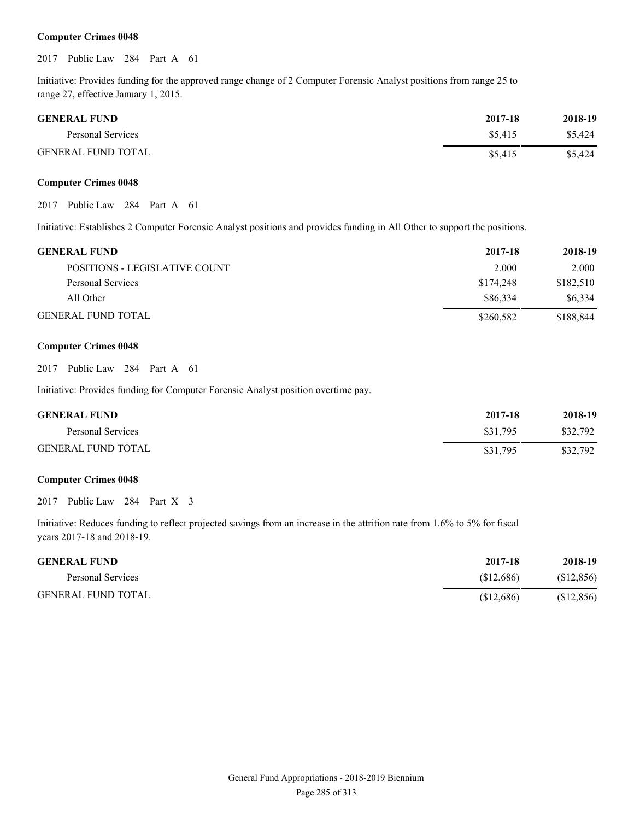#### **Computer Crimes 0048**

2017 Public Law 284 Part A 61

Initiative: Provides funding for the approved range change of 2 Computer Forensic Analyst positions from range 25 to range 27, effective January 1, 2015.

| <b>GENERAL FUND</b>       | 2017-18 | 2018-19 |
|---------------------------|---------|---------|
| Personal Services         | \$5.415 | \$5,424 |
| <b>GENERAL FUND TOTAL</b> | \$5.415 | \$5.424 |

#### **Computer Crimes 0048**

2017 Public Law 284 Part A 61

Initiative: Establishes 2 Computer Forensic Analyst positions and provides funding in All Other to support the positions.

| <b>GENERAL FUND</b>           | 2017-18   | 2018-19   |
|-------------------------------|-----------|-----------|
| POSITIONS - LEGISLATIVE COUNT | 2.000     | 2.000     |
| Personal Services             | \$174,248 | \$182,510 |
| All Other                     | \$86,334  | \$6.334   |
| <b>GENERAL FUND TOTAL</b>     | \$260,582 | \$188,844 |

#### **Computer Crimes 0048**

2017 Public Law 284 Part A 61

Initiative: Provides funding for Computer Forensic Analyst position overtime pay.

| <b>GENERAL FUND</b>       | 2017-18  | 2018-19  |
|---------------------------|----------|----------|
| Personal Services         | \$31.795 | \$32,792 |
| <b>GENERAL FUND TOTAL</b> | \$31,795 | \$32,792 |

#### **Computer Crimes 0048**

2017 Public Law 284 Part X 3

Initiative: Reduces funding to reflect projected savings from an increase in the attrition rate from 1.6% to 5% for fiscal years 2017-18 and 2018-19.

| <b>GENERAL FUND</b>       | 2017-18  | 2018-19    |
|---------------------------|----------|------------|
| Personal Services         | \$12,686 | (S12, 856) |
| <b>GENERAL FUND TOTAL</b> | \$12,686 | (S12, 856) |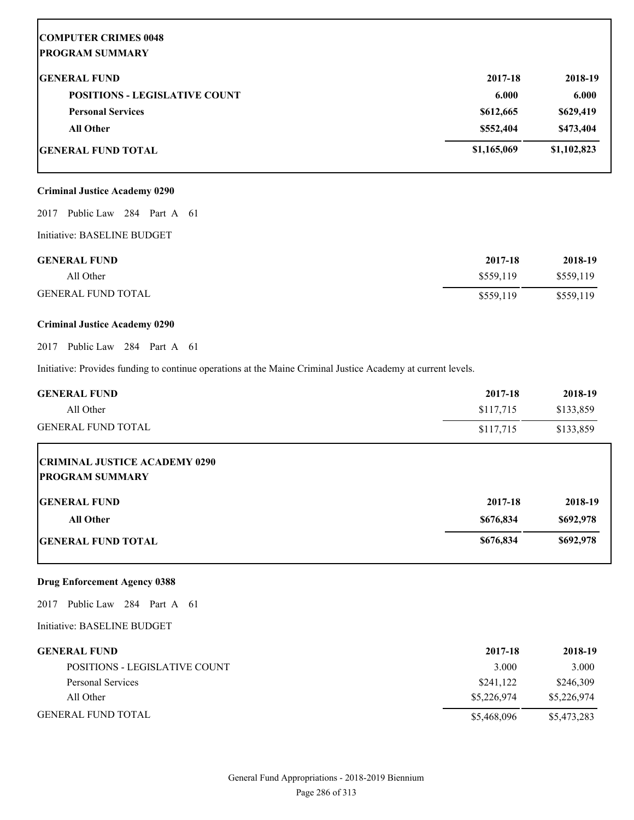# **COMPUTER CRIMES 0048 PROGRAM SUMMARY GENERAL FUND 2017-18 2018-19 POSITIONS - LEGISLATIVE COUNT 6.000 6.000 6.000 6.000 6.000 6.000 6.000 6.000 6.000 6.000 6.000 6.000 6.000 6.000 6.000 6.000 6.000 6.000 6.000 6.000 6.000 6.000 6.000 6.000 6.000 6.000 6.000 6.000 6.000 6.000 6.000 6.000 Personal Services \$629,419 \$629,419 \$629,419 All Other \$552,404 \$473,404 GENERAL FUND TOTAL \$1,165,069 \$1,102,823**

#### **Criminal Justice Academy 0290**

2017 Public Law 284 Part A 61

Initiative: BASELINE BUDGET

| <b>GENERAL FUND</b>       | 2017-18   | 2018-19   |
|---------------------------|-----------|-----------|
| All Other                 | \$559.119 | \$559,119 |
| <b>GENERAL FUND TOTAL</b> | \$559,119 | \$559,119 |

#### **Criminal Justice Academy 0290**

2017 Public Law 284 Part A 61

Initiative: Provides funding to continue operations at the Maine Criminal Justice Academy at current levels.

| <b>GENERAL FUND</b>                                            | 2017-18   | 2018-19   |
|----------------------------------------------------------------|-----------|-----------|
| All Other                                                      | \$117,715 | \$133,859 |
| <b>GENERAL FUND TOTAL</b>                                      | \$117,715 | \$133,859 |
| <b>CRIMINAL JUSTICE ACADEMY 0290</b><br><b>PROGRAM SUMMARY</b> |           |           |
| <b>IGENERAL FUND</b>                                           | 2017-18   | 2018-19   |
| <b>All Other</b>                                               | \$676,834 | \$692,978 |
| <b>IGENERAL FUND TOTAL</b>                                     | \$676,834 | \$692,978 |

#### **Drug Enforcement Agency 0388**

2017 Public Law 284 Part A 61

Initiative: BASELINE BUDGET

| <b>GENERAL FUND</b>           | 2017-18     | 2018-19     |
|-------------------------------|-------------|-------------|
| POSITIONS - LEGISLATIVE COUNT | 3.000       | 3.000       |
| Personal Services             | \$241,122   | \$246,309   |
| All Other                     | \$5,226,974 | \$5,226,974 |
| <b>GENERAL FUND TOTAL</b>     | \$5,468,096 | \$5,473,283 |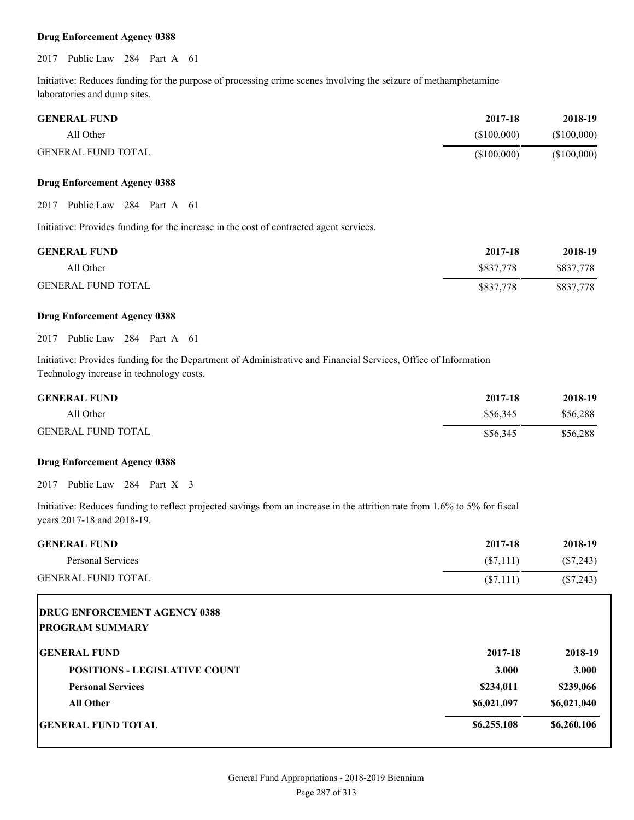#### **Drug Enforcement Agency 0388**

#### 2017 Public Law 284 Part A 61

Initiative: Reduces funding for the purpose of processing crime scenes involving the seizure of methamphetamine laboratories and dump sites.

| <b>GENERAL FUND</b>       | 2017-18     | 2018-19     |
|---------------------------|-------------|-------------|
| All Other                 | (S100.000)  | (\$100,000) |
| <b>GENERAL FUND TOTAL</b> | (\$100,000) | (\$100,000) |

#### **Drug Enforcement Agency 0388**

2017 Public Law 284 Part A 61

Initiative: Provides funding for the increase in the cost of contracted agent services.

| <b>GENERAL FUND</b>       | 2017-18   | 2018-19   |
|---------------------------|-----------|-----------|
| All Other                 | \$837,778 | \$837.778 |
| <b>GENERAL FUND TOTAL</b> | \$837,778 | \$837,778 |

#### **Drug Enforcement Agency 0388**

2017 Public Law 284 Part A 61

Initiative: Provides funding for the Department of Administrative and Financial Services, Office of Information Technology increase in technology costs.

| <b>GENERAL FUND</b>       | 2017-18  | 2018-19  |
|---------------------------|----------|----------|
| All Other                 | \$56,345 | \$56,288 |
| <b>GENERAL FUND TOTAL</b> | \$56,345 | \$56,288 |

#### **Drug Enforcement Agency 0388**

2017 Public Law 284 Part X 3

Initiative: Reduces funding to reflect projected savings from an increase in the attrition rate from 1.6% to 5% for fiscal years 2017-18 and 2018-19.

| <b>GENERAL FUND</b>                  | 2017-18     | 2018-19     |
|--------------------------------------|-------------|-------------|
| <b>Personal Services</b>             | $(\$7,111)$ | $(\$7,243)$ |
| <b>GENERAL FUND TOTAL</b>            | (S7,111)    | $(\$7,243)$ |
| <b>DRUG ENFORCEMENT AGENCY 0388</b>  |             |             |
| <b>PROGRAM SUMMARY</b>               |             |             |
| <b>IGENERAL FUND</b>                 | 2017-18     | 2018-19     |
| <b>POSITIONS - LEGISLATIVE COUNT</b> | 3.000       | 3.000       |
| <b>Personal Services</b>             | \$234,011   | \$239,066   |
| <b>All Other</b>                     | \$6,021,097 | \$6,021,040 |
| <b>GENERAL FUND TOTAL</b>            | \$6,255,108 | \$6,260,106 |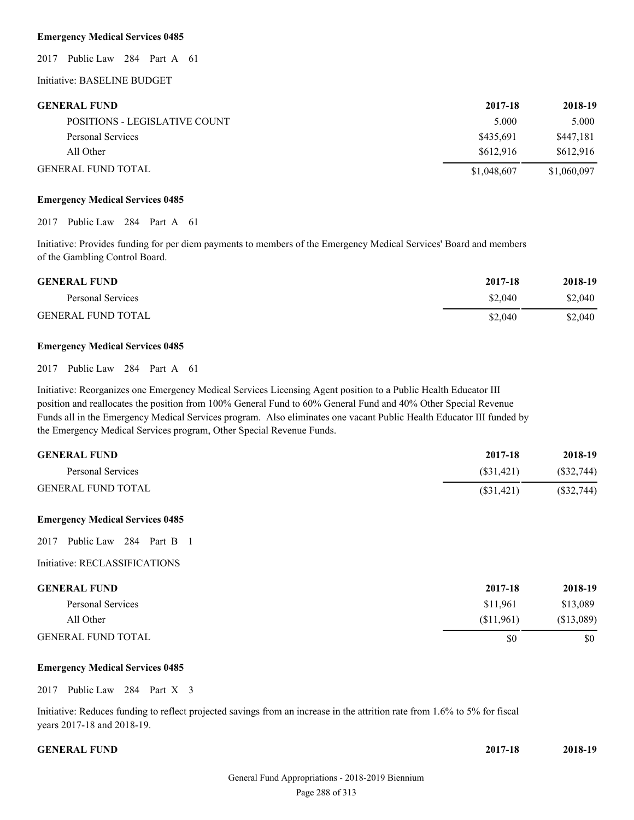#### **Emergency Medical Services 0485**

2017 Public Law 284 Part A 61

Initiative: BASELINE BUDGET

| <b>GENERAL FUND</b>           | 2017-18     | 2018-19     |
|-------------------------------|-------------|-------------|
| POSITIONS - LEGISLATIVE COUNT | 5.000       | 5.000       |
| Personal Services             | \$435.691   | \$447.181   |
| All Other                     | \$612.916   | \$612.916   |
| <b>GENERAL FUND TOTAL</b>     | \$1,048,607 | \$1,060,097 |

#### **Emergency Medical Services 0485**

2017 Public Law 284 Part A 61

Initiative: Provides funding for per diem payments to members of the Emergency Medical Services' Board and members of the Gambling Control Board.

| <b>GENERAL FUND</b>       | 2017-18 | 2018-19 |
|---------------------------|---------|---------|
| Personal Services         | \$2,040 | \$2,040 |
| <b>GENERAL FUND TOTAL</b> | \$2,040 | \$2,040 |

#### **Emergency Medical Services 0485**

2017 Public Law 284 Part A 61

Initiative: Reorganizes one Emergency Medical Services Licensing Agent position to a Public Health Educator III position and reallocates the position from 100% General Fund to 60% General Fund and 40% Other Special Revenue Funds all in the Emergency Medical Services program. Also eliminates one vacant Public Health Educator III funded by the Emergency Medical Services program, Other Special Revenue Funds.

| <b>GENERAL FUND</b>       | 2017-18   | 2018-19   |
|---------------------------|-----------|-----------|
| Personal Services         | (S31.421) | (S32,744) |
| <b>GENERAL FUND TOTAL</b> | (S31.421) | (S32,744) |

#### **Emergency Medical Services 0485**

2017 Public Law 284 Part B 1

#### Initiative: RECLASSIFICATIONS

| <b>GENERAL FUND</b>       | 2017-18   | 2018-19    |
|---------------------------|-----------|------------|
| Personal Services         | \$11.961  | \$13,089   |
| All Other                 | (S11.961) | (\$13,089) |
| <b>GENERAL FUND TOTAL</b> | \$0       | \$0        |

#### **Emergency Medical Services 0485**

2017 Public Law 284 Part X 3

Initiative: Reduces funding to reflect projected savings from an increase in the attrition rate from 1.6% to 5% for fiscal years 2017-18 and 2018-19.

#### **GENERAL FUND** 20

| 017-18 | 2018-19 |
|--------|---------|
|        |         |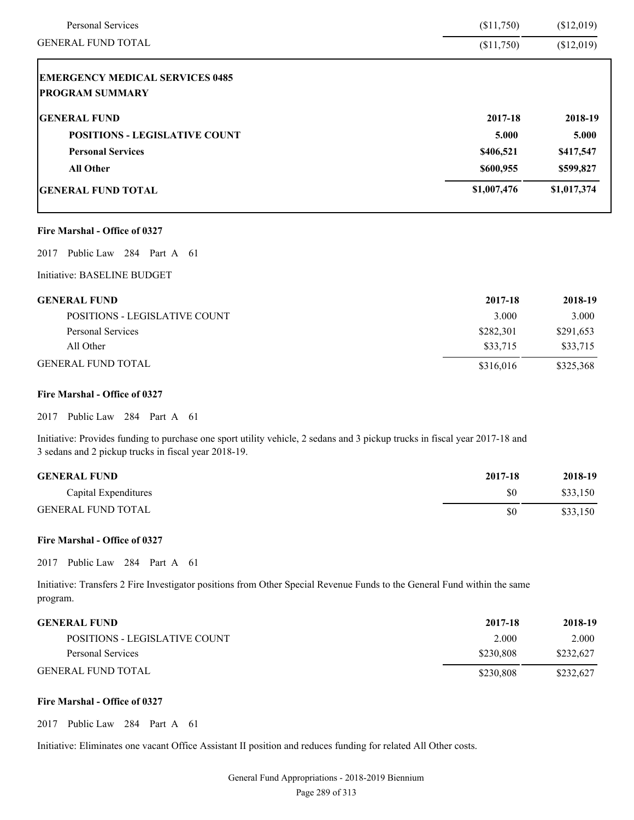| Personal Services                      | (\$11,750)  | (\$12,019)  |
|----------------------------------------|-------------|-------------|
| <b>GENERAL FUND TOTAL</b>              | (\$11,750)  | (\$12,019)  |
| <b>EMERGENCY MEDICAL SERVICES 0485</b> |             |             |
| <b>PROGRAM SUMMARY</b>                 |             |             |
| <b>GENERAL FUND</b>                    | 2017-18     | 2018-19     |
| <b>POSITIONS - LEGISLATIVE COUNT</b>   | 5.000       | 5.000       |
| <b>Personal Services</b>               | \$406,521   | \$417,547   |
| <b>All Other</b>                       | \$600,955   | \$599,827   |
| <b>GENERAL FUND TOTAL</b>              | \$1,007,476 | \$1,017,374 |
| Fire Marshal - Office of 0327          |             |             |
| Public Law 284 Part A 61<br>2017       |             |             |
| Initiative: BASELINE BUDGET            |             |             |
| <b>GENERAL FUND</b>                    | 2017-18     | 2018-19     |
| POSITIONS - LEGISLATIVE COUNT          | 3.000       | 3.000       |
| <b>Personal Services</b>               | \$282,301   | \$291,653   |
| All Other                              | \$33,715    | \$33,715    |
| <b>GENERAL FUND TOTAL</b>              | \$316,016   | \$325,368   |

#### **Fire Marshal - Office of 0327**

2017 Public Law 284 Part A 61

Initiative: Provides funding to purchase one sport utility vehicle, 2 sedans and 3 pickup trucks in fiscal year 2017-18 and 3 sedans and 2 pickup trucks in fiscal year 2018-19.

| <b>GENERAL FUND</b>       | 2017-18 | 2018-19  |
|---------------------------|---------|----------|
| Capital Expenditures      | \$0     | \$33,150 |
| <b>GENERAL FUND TOTAL</b> | \$0     | \$33,150 |

#### **Fire Marshal - Office of 0327**

2017 Public Law 284 Part A 61

Initiative: Transfers 2 Fire Investigator positions from Other Special Revenue Funds to the General Fund within the same program.

| <b>GENERAL FUND</b>           | 2017-18   | 2018-19   |
|-------------------------------|-----------|-----------|
| POSITIONS - LEGISLATIVE COUNT | 2.000     | 2.000     |
| Personal Services             | \$230.808 | \$232,627 |
| <b>GENERAL FUND TOTAL</b>     | \$230.808 | \$232,627 |

#### **Fire Marshal - Office of 0327**

2017 Public Law 284 Part A 61

Initiative: Eliminates one vacant Office Assistant II position and reduces funding for related All Other costs.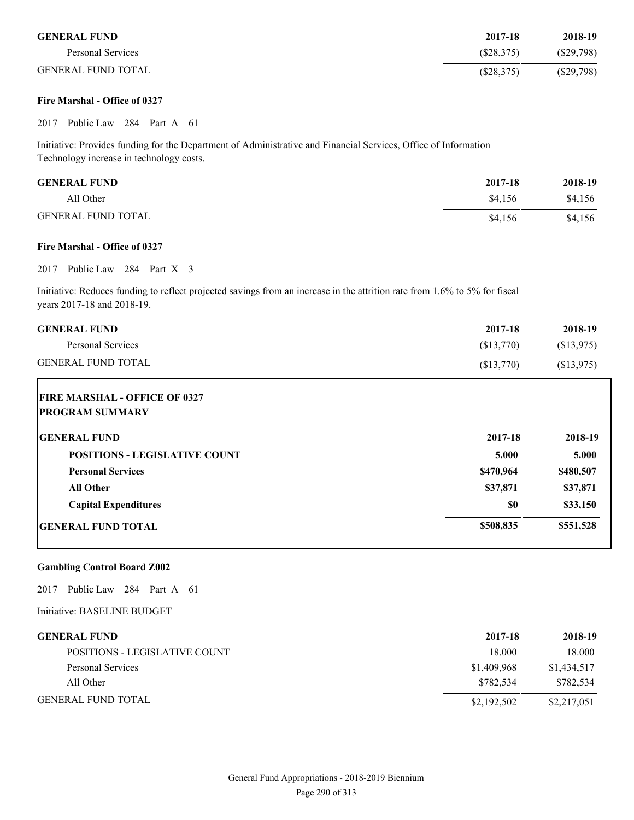| <b>GENERAL FUND</b>       | 2017-18    | 2018-19      |
|---------------------------|------------|--------------|
| Personal Services         | (S28, 375) | (S29,798)    |
| <b>GENERAL FUND TOTAL</b> | (\$28,375) | $(\$29,798)$ |

#### **Fire Marshal - Office of 0327**

2017 Public Law 284 Part A 61

Initiative: Provides funding for the Department of Administrative and Financial Services, Office of Information Technology increase in technology costs.

| <b>GENERAL FUND</b>       | 2017-18 | 2018-19 |
|---------------------------|---------|---------|
| All Other                 | \$4.156 | \$4,156 |
| <b>GENERAL FUND TOTAL</b> | \$4.156 | \$4,156 |

#### **Fire Marshal - Office of 0327**

### 2017 Public Law 284 Part X 3

Initiative: Reduces funding to reflect projected savings from an increase in the attrition rate from 1.6% to 5% for fiscal years 2017-18 and 2018-19.

| <b>GENERAL FUND</b>                  | 2017-18    | 2018-19    |
|--------------------------------------|------------|------------|
| <b>Personal Services</b>             | (\$13,770) | (\$13,975) |
| <b>GENERAL FUND TOTAL</b>            | (\$13,770) | (\$13,975) |
| <b>FIRE MARSHAL - OFFICE OF 0327</b> |            |            |
| <b>PROGRAM SUMMARY</b>               |            |            |
| <b>GENERAL FUND</b>                  | 2017-18    | 2018-19    |
| <b>POSITIONS - LEGISLATIVE COUNT</b> | 5.000      | 5.000      |
| <b>Personal Services</b>             | \$470,964  | \$480,507  |
| <b>All Other</b>                     | \$37,871   | \$37,871   |
| <b>Capital Expenditures</b>          | \$0        | \$33,150   |
| <b>GENERAL FUND TOTAL</b>            | \$508,835  | \$551,528  |

#### **Gambling Control Board Z002**

2017 Public Law 284 Part A 61

Initiative: BASELINE BUDGET

| <b>GENERAL FUND</b>           | 2017-18     | 2018-19     |
|-------------------------------|-------------|-------------|
| POSITIONS - LEGISLATIVE COUNT | 18.000      | 18.000      |
| Personal Services             | \$1,409,968 | \$1,434,517 |
| All Other                     | \$782.534   | \$782,534   |
| <b>GENERAL FUND TOTAL</b>     | \$2,192,502 | \$2,217,051 |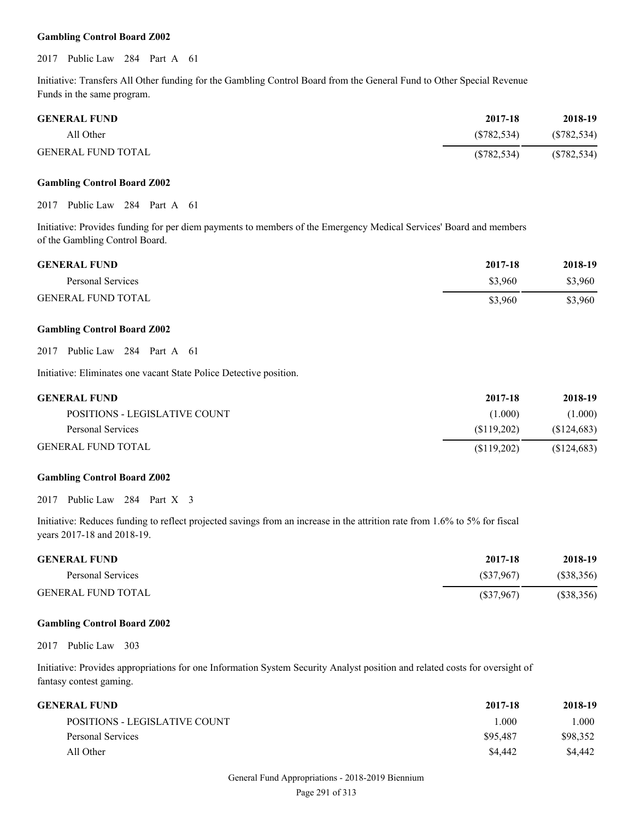#### **Gambling Control Board Z002**

2017 Public Law 284 Part A 61

Initiative: Transfers All Other funding for the Gambling Control Board from the General Fund to Other Special Revenue Funds in the same program.

| <b>GENERAL FUND</b> | 2017-18    | 2018-19     |
|---------------------|------------|-------------|
| All Other           | (S782.534) | (S782, 534) |
| GENERAL FUND TOTAL  | (S782.534) | (S782, 534) |

#### **Gambling Control Board Z002**

2017 Public Law 284 Part A 61

Initiative: Provides funding for per diem payments to members of the Emergency Medical Services' Board and members of the Gambling Control Board.

| <b>GENERAL FUND</b>       | 2017-18 | 2018-19 |
|---------------------------|---------|---------|
| Personal Services         | \$3,960 | \$3,960 |
| <b>GENERAL FUND TOTAL</b> | \$3.960 | \$3,960 |

#### **Gambling Control Board Z002**

2017 Public Law 284 Part A 61

Initiative: Eliminates one vacant State Police Detective position.

| <b>GENERAL FUND</b>           | 2017-18    | 2018-19     |
|-------------------------------|------------|-------------|
| POSITIONS - LEGISLATIVE COUNT | (1.000)    | (1.000)     |
| Personal Services             | (S119.202) | (S124, 683) |
| <b>GENERAL FUND TOTAL</b>     | (S119.202) | \$124,683   |

#### **Gambling Control Board Z002**

2017 Public Law 284 Part X 3

Initiative: Reduces funding to reflect projected savings from an increase in the attrition rate from 1.6% to 5% for fiscal years 2017-18 and 2018-19.

| <b>GENERAL FUND</b>       | 2017-18   | 2018-19   |
|---------------------------|-----------|-----------|
| Personal Services         | (S37,967) | (S38,356) |
| <b>GENERAL FUND TOTAL</b> | (S37,967) | (S38,356) |

#### **Gambling Control Board Z002**

2017 Public Law 303

Initiative: Provides appropriations for one Information System Security Analyst position and related costs for oversight of fantasy contest gaming.

| GENERAL FUND-                 | 2017-18  | 2018-19  |
|-------------------------------|----------|----------|
| POSITIONS - LEGISLATIVE COUNT | 1.000    | 1.000    |
| Personal Services             | \$95,487 | \$98,352 |
| All Other                     | \$4,442  | \$4.442  |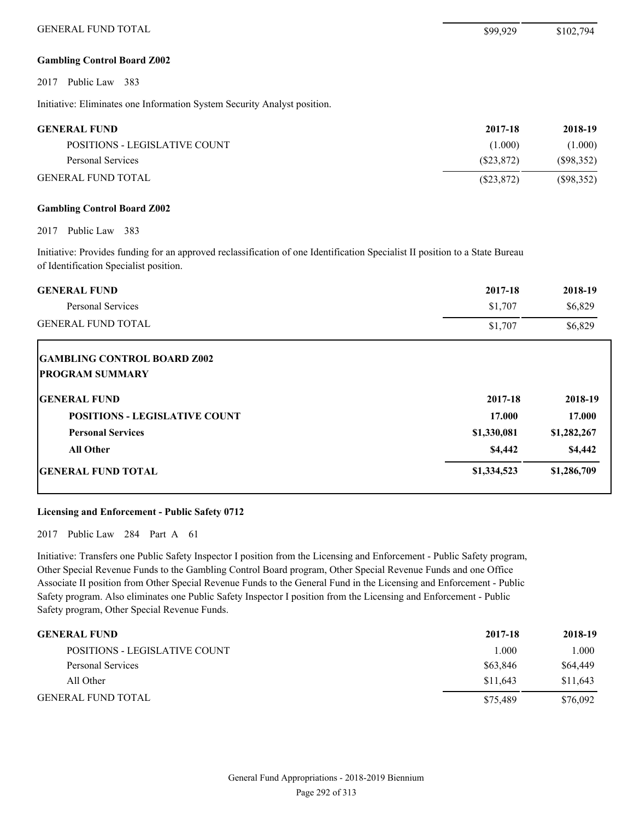#### **Gambling Control Board Z002**

2017 Public Law 383

Initiative: Eliminates one Information System Security Analyst position.

| <b>GENERAL FUND</b>           | 2017-18    | 2018-19    |
|-------------------------------|------------|------------|
| POSITIONS - LEGISLATIVE COUNT | (1.000)    | (1.000)    |
| Personal Services             | (S23.872)  | (S98, 352) |
| <b>GENERAL FUND TOTAL</b>     | (S23, 872) | (S98, 352) |

#### **Gambling Control Board Z002**

2017 Public Law 383

Initiative: Provides funding for an approved reclassification of one Identification Specialist II position to a State Bureau of Identification Specialist position.

| <b>GENERAL FUND</b><br>Personal Services                     | 2017-18<br>\$1,707 | 2018-19<br>\$6,829 |
|--------------------------------------------------------------|--------------------|--------------------|
| <b>GENERAL FUND TOTAL</b>                                    | \$1,707            | \$6,829            |
| <b>GAMBLING CONTROL BOARD Z002</b><br><b>PROGRAM SUMMARY</b> |                    |                    |
| <b>GENERAL FUND</b>                                          | 2017-18            | 2018-19            |
| <b>POSITIONS - LEGISLATIVE COUNT</b>                         | 17.000             | 17.000             |
| <b>Personal Services</b>                                     | \$1,330,081        | \$1,282,267        |
| <b>All Other</b>                                             | \$4,442            | \$4,442            |
| <b>GENERAL FUND TOTAL</b>                                    | \$1,334,523        | \$1,286,709        |

#### **Licensing and Enforcement - Public Safety 0712**

2017 Public Law 284 Part A 61

Initiative: Transfers one Public Safety Inspector I position from the Licensing and Enforcement - Public Safety program, Other Special Revenue Funds to the Gambling Control Board program, Other Special Revenue Funds and one Office Associate II position from Other Special Revenue Funds to the General Fund in the Licensing and Enforcement - Public Safety program. Also eliminates one Public Safety Inspector I position from the Licensing and Enforcement - Public Safety program, Other Special Revenue Funds.

| <b>GENERAL FUND</b>           | 2017-18  | 2018-19  |
|-------------------------------|----------|----------|
| POSITIONS - LEGISLATIVE COUNT | 1.000    | 1.000    |
| Personal Services             | \$63,846 | \$64,449 |
| All Other                     | \$11.643 | \$11.643 |
| <b>GENERAL FUND TOTAL</b>     | \$75.489 | \$76.092 |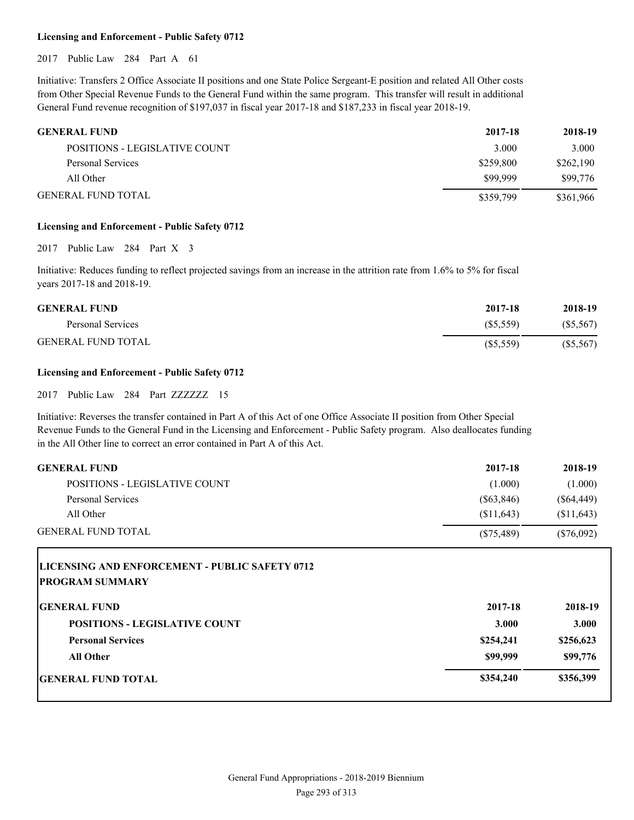#### **Licensing and Enforcement - Public Safety 0712**

2017 Public Law 284 Part A 61

Initiative: Transfers 2 Office Associate II positions and one State Police Sergeant-E position and related All Other costs from Other Special Revenue Funds to the General Fund within the same program. This transfer will result in additional General Fund revenue recognition of \$197,037 in fiscal year 2017-18 and \$187,233 in fiscal year 2018-19.

| <b>GENERAL FUND</b>           | 2017-18   | 2018-19   |
|-------------------------------|-----------|-----------|
| POSITIONS - LEGISLATIVE COUNT | 3.000     | 3.000     |
| Personal Services             | \$259,800 | \$262,190 |
| All Other                     | \$99,999  | \$99,776  |
| <b>GENERAL FUND TOTAL</b>     | \$359,799 | \$361,966 |

#### **Licensing and Enforcement - Public Safety 0712**

2017 Public Law 284 Part X 3

Initiative: Reduces funding to reflect projected savings from an increase in the attrition rate from 1.6% to 5% for fiscal years 2017-18 and 2018-19.

| <b>GENERAL FUND</b>       | 2017-18     | 2018-19  |
|---------------------------|-------------|----------|
| Personal Services         | (S5.559)    | (S5,567) |
| <b>GENERAL FUND TOTAL</b> | $(\$5,559)$ | (S5,567) |

#### **Licensing and Enforcement - Public Safety 0712**

2017 Public Law 284 Part ZZZZZZZ 15

Initiative: Reverses the transfer contained in Part A of this Act of one Office Associate II position from Other Special Revenue Funds to the General Fund in the Licensing and Enforcement - Public Safety program. Also deallocates funding in the All Other line to correct an error contained in Part A of this Act.

| <b>GENERAL FUND</b>                                                              | 2017-18      | 2018-19      |
|----------------------------------------------------------------------------------|--------------|--------------|
| POSITIONS - LEGISLATIVE COUNT                                                    | (1.000)      | (1.000)      |
| Personal Services                                                                | $(\$63,846)$ | $(\$64,449)$ |
| All Other                                                                        | (\$11,643)   | \$11,643     |
| <b>GENERAL FUND TOTAL</b>                                                        | $(\$75,489)$ | $(\$76,092)$ |
| <b>LICENSING AND ENFORCEMENT - PUBLIC SAFETY 0712</b><br><b>IPROGRAM SUMMARY</b> |              |              |

| <b>GENERAL FUND</b>                  | 2017-18   | 2018-19   |
|--------------------------------------|-----------|-----------|
| <b>POSITIONS - LEGISLATIVE COUNT</b> | 3.000     | 3.000     |
| <b>Personal Services</b>             | \$254,241 | \$256,623 |
| <b>All Other</b>                     | \$99,999  | \$99,776  |
| <b>GENERAL FUND TOTAL</b>            | \$354,240 | \$356,399 |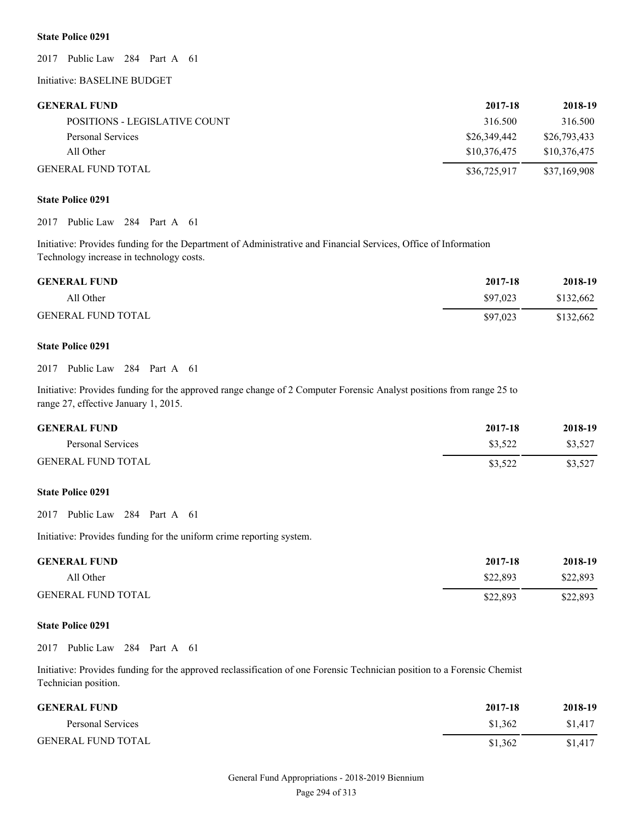#### **State Police 0291**

2017 Public Law 284 Part A 61

Initiative: BASELINE BUDGET

#### **GENERAL FUND 2017-18 2018-19**

| $4011 - 10$  | 6010-12      |
|--------------|--------------|
| 316.500      | 316.500      |
| \$26,349,442 | \$26,793,433 |
| \$10.376.475 | \$10.376.475 |
| \$36,725,917 | \$37.169.908 |
|              |              |

#### **State Police 0291**

2017 Public Law 284 Part A 61

Initiative: Provides funding for the Department of Administrative and Financial Services, Office of Information Technology increase in technology costs.

| <b>GENERAL FUND</b>       | 2017-18  | 2018-19   |
|---------------------------|----------|-----------|
| All Other                 | \$97,023 | \$132,662 |
| <b>GENERAL FUND TOTAL</b> | \$97,023 | \$132,662 |

#### **State Police 0291**

#### 2017 Public Law 284 Part A 61

Initiative: Provides funding for the approved range change of 2 Computer Forensic Analyst positions from range 25 to range 27, effective January 1, 2015.

| <b>GENERAL FUND</b>       | 2017-18 | 2018-19 |
|---------------------------|---------|---------|
| Personal Services         | \$3.522 | \$3.527 |
| <b>GENERAL FUND TOTAL</b> | \$3,522 | \$3,527 |

#### **State Police 0291**

2017 Public Law 284 Part A 61

Initiative: Provides funding for the uniform crime reporting system.

| <b>GENERAL FUND</b>       | 2017-18  | 2018-19  |
|---------------------------|----------|----------|
| All Other                 | \$22,893 | \$22,893 |
| <b>GENERAL FUND TOTAL</b> | \$22,893 | \$22,893 |

#### **State Police 0291**

2017 Public Law 284 Part A 61

Initiative: Provides funding for the approved reclassification of one Forensic Technician position to a Forensic Chemist Technician position.

| <b>GENERAL FUND</b>       | 2017-18 | 2018-19 |
|---------------------------|---------|---------|
| Personal Services         | \$1.362 | \$1,417 |
| <b>GENERAL FUND TOTAL</b> | \$1.362 | \$1,417 |

# General Fund Appropriations - 2018-2019 Biennium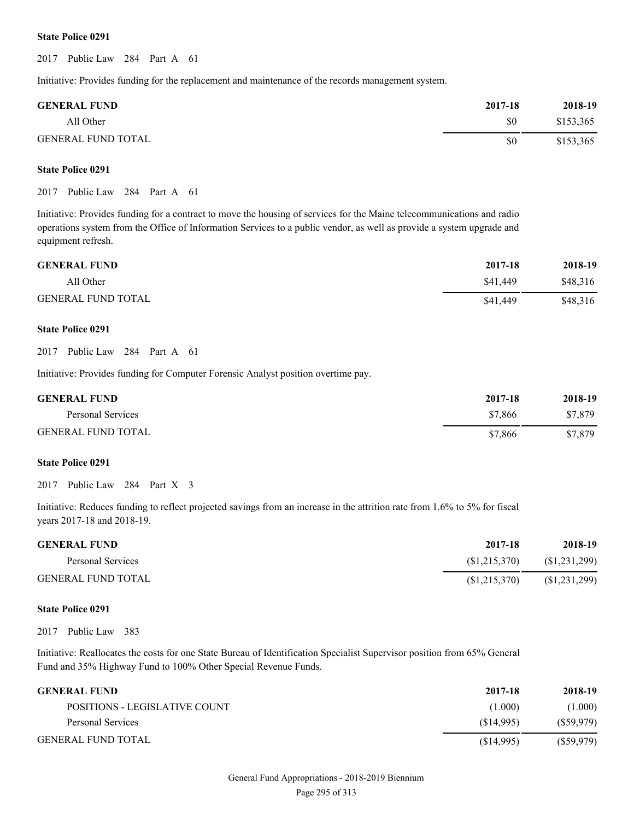#### **State Police 0291**

2017 Public Law 284 Part A 61

Initiative: Provides funding for the replacement and maintenance of the records management system.

| <b>GENERAL FUND</b>       | 2017-18 | 2018-19   |
|---------------------------|---------|-----------|
| All Other                 | \$0     | \$153,365 |
| <b>GENERAL FUND TOTAL</b> | \$0     | \$153,365 |

#### **State Police 0291**

2017 Public Law 284 Part A 61

Initiative: Provides funding for a contract to move the housing of services for the Maine telecommunications and radio operations system from the Office of Information Services to a public vendor, as well as provide a system upgrade and equipment refresh.

| <b>GENERAL FUND</b>       | 2017-18  | 2018-19  |
|---------------------------|----------|----------|
| All Other                 | \$41,449 | \$48.316 |
| <b>GENERAL FUND TOTAL</b> | \$41,449 | \$48,316 |

#### **State Police 0291**

2017 Public Law 284 Part A 61

Initiative: Provides funding for Computer Forensic Analyst position overtime pay.

| <b>GENERAL FUND</b>       | 2017-18 | 2018-19 |
|---------------------------|---------|---------|
| Personal Services         | \$7,866 | \$7,879 |
| <b>GENERAL FUND TOTAL</b> | \$7,866 | \$7,879 |

#### **State Police 0291**

2017 Public Law 284 Part X 3

Initiative: Reduces funding to reflect projected savings from an increase in the attrition rate from 1.6% to 5% for fiscal years 2017-18 and 2018-19.

| <b>GENERAL FUND</b>       | 2017-18        | 2018-19        |
|---------------------------|----------------|----------------|
| Personal Services         | (S1, 215, 370) | (S1,231,299)   |
| <b>GENERAL FUND TOTAL</b> | (S1, 215, 370) | (S1, 231, 299) |

#### **State Police 0291**

2017 Public Law 383

Initiative: Reallocates the costs for one State Bureau of Identification Specialist Supervisor position from 65% General Fund and 35% Highway Fund to 100% Other Special Revenue Funds.

| <b>GENERAL FUND</b>           | 2017-18   | 2018-19   |
|-------------------------------|-----------|-----------|
| POSITIONS - LEGISLATIVE COUNT | (1.000)   | (1.000)   |
| Personal Services             | (S14.995) | (S59.979) |
| <b>GENERAL FUND TOTAL</b>     | (S14,995) | (S59.979) |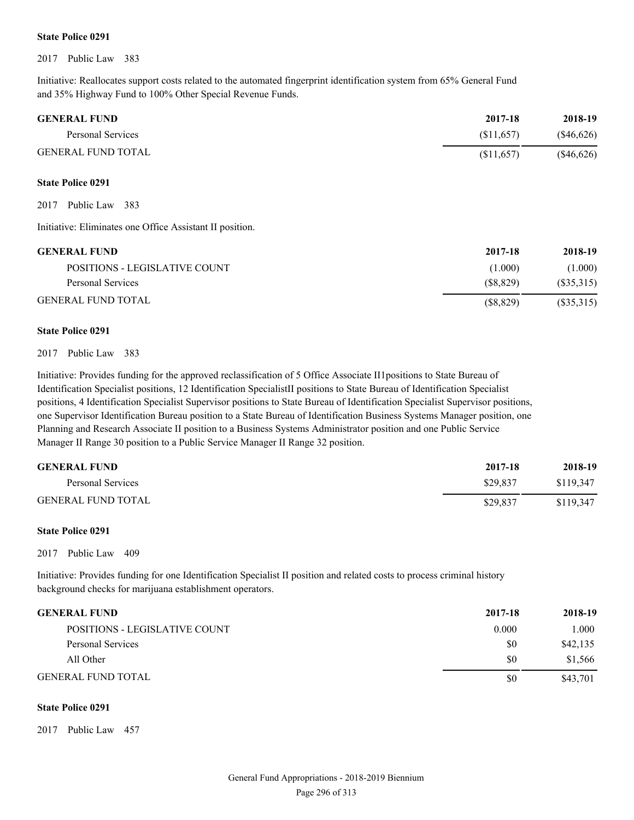#### **State Police 0291**

2017 Public Law 383

Initiative: Reallocates support costs related to the automated fingerprint identification system from 65% General Fund and 35% Highway Fund to 100% Other Special Revenue Funds.

| <b>GENERAL FUND</b>       | 2017-18    | 2018-19      |
|---------------------------|------------|--------------|
| Personal Services         | (S11.657)  | $(\$46,626)$ |
| <b>GENERAL FUND TOTAL</b> | (S11, 657) | $(\$46,626)$ |

#### **State Police 0291**

2017 Public Law 383

Initiative: Eliminates one Office Assistant II position.

| <b>GENERAL FUND</b>           | 2017-18   | 2018-19   |
|-------------------------------|-----------|-----------|
| POSITIONS - LEGISLATIVE COUNT | (1.000)   | (1.000)   |
| Personal Services             | (S8.829)  | (S35,315) |
| <b>GENERAL FUND TOTAL</b>     | (S8, 829) | (S35,315) |

#### **State Police 0291**

#### 2017 Public Law 383

Initiative: Provides funding for the approved reclassification of 5 Office Associate II1positions to State Bureau of Identification Specialist positions, 12 Identification SpecialistII positions to State Bureau of Identification Specialist positions, 4 Identification Specialist Supervisor positions to State Bureau of Identification Specialist Supervisor positions, one Supervisor Identification Bureau position to a State Bureau of Identification Business Systems Manager position, one Planning and Research Associate II position to a Business Systems Administrator position and one Public Service Manager II Range 30 position to a Public Service Manager II Range 32 position.

| <b>GENERAL FUND</b>       | 2017-18  | 2018-19   |
|---------------------------|----------|-----------|
| Personal Services         | \$29.837 | \$119.347 |
| <b>GENERAL FUND TOTAL</b> | \$29,837 | \$119.347 |

#### **State Police 0291**

2017 Public Law 409

Initiative: Provides funding for one Identification Specialist II position and related costs to process criminal history background checks for marijuana establishment operators.

### **GENERAL FUND 2017-18 2018-19**

| POSITIONS - LEGISLATIVE COUNT | 0.000 | l.000    |
|-------------------------------|-------|----------|
| Personal Services             | \$0   | \$42,135 |
| All Other                     | \$0   | \$1,566  |
| GENERAL FUND TOTAL            | \$0   | \$43,701 |
|                               |       |          |

#### **State Police 0291**

2017 Public Law 457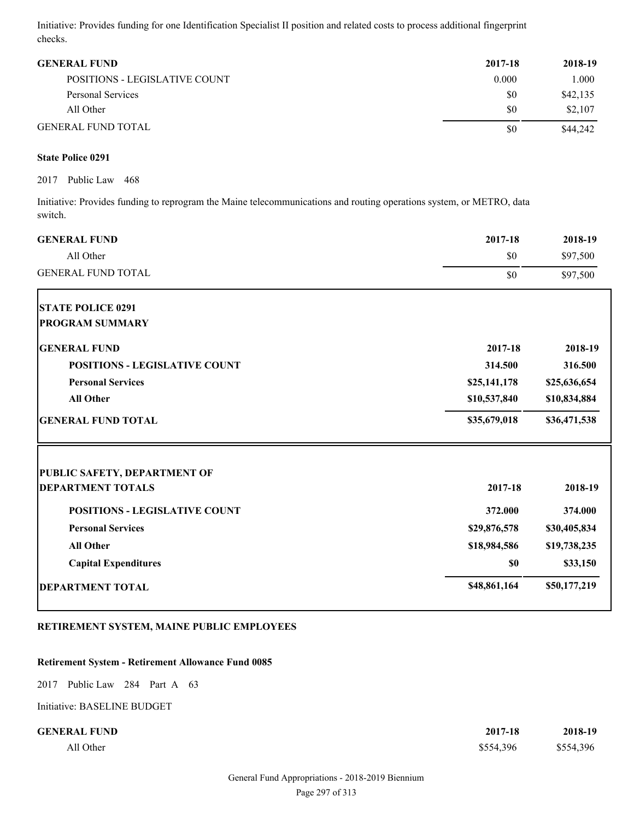Initiative: Provides funding for one Identification Specialist II position and related costs to process additional fingerprint checks.

| <b>GENERAL FUND</b>           | 2017-18 | 2018-19  |
|-------------------------------|---------|----------|
| POSITIONS - LEGISLATIVE COUNT | 0.000   | 1.000    |
| Personal Services             | \$0     | \$42,135 |
| All Other                     | \$0     | \$2,107  |
| <b>GENERAL FUND TOTAL</b>     | \$0     | \$44,242 |

#### **State Police 0291**

2017 Public Law 468

Initiative: Provides funding to reprogram the Maine telecommunications and routing operations system, or METRO, data switch.

| <b>GENERAL FUND</b>                  | 2017-18      | 2018-19      |
|--------------------------------------|--------------|--------------|
| All Other                            | \$0          | \$97,500     |
| <b>GENERAL FUND TOTAL</b>            | \$0          | \$97,500     |
| <b>STATE POLICE 0291</b>             |              |              |
| <b>PROGRAM SUMMARY</b>               |              |              |
| <b>GENERAL FUND</b>                  | 2017-18      | 2018-19      |
| <b>POSITIONS - LEGISLATIVE COUNT</b> | 314.500      | 316.500      |
| <b>Personal Services</b>             | \$25,141,178 | \$25,636,654 |
| <b>All Other</b>                     | \$10,537,840 | \$10,834,884 |
| <b>GENERAL FUND TOTAL</b>            | \$35,679,018 | \$36,471,538 |
| <b>PUBLIC SAFETY, DEPARTMENT OF</b>  |              |              |
| <b>DEPARTMENT TOTALS</b>             | 2017-18      | 2018-19      |
| <b>POSITIONS - LEGISLATIVE COUNT</b> | 372.000      | 374.000      |
| <b>Personal Services</b>             | \$29,876,578 | \$30,405,834 |
| <b>All Other</b>                     | \$18,984,586 | \$19,738,235 |
| <b>Capital Expenditures</b>          | \$0          | \$33,150     |
| <b>DEPARTMENT TOTAL</b>              | \$48,861,164 | \$50,177,219 |

### **RETIREMENT SYSTEM, MAINE PUBLIC EMPLOYEES**

#### **Retirement System - Retirement Allowance Fund 0085**

2017 Public Law 284 Part A 63

Initiative: BASELINE BUDGET

#### **CENERAL FUND 2**

| RAL FUND  | 2017-18   | 2018-19   |
|-----------|-----------|-----------|
| All Other | \$554,396 | \$554,396 |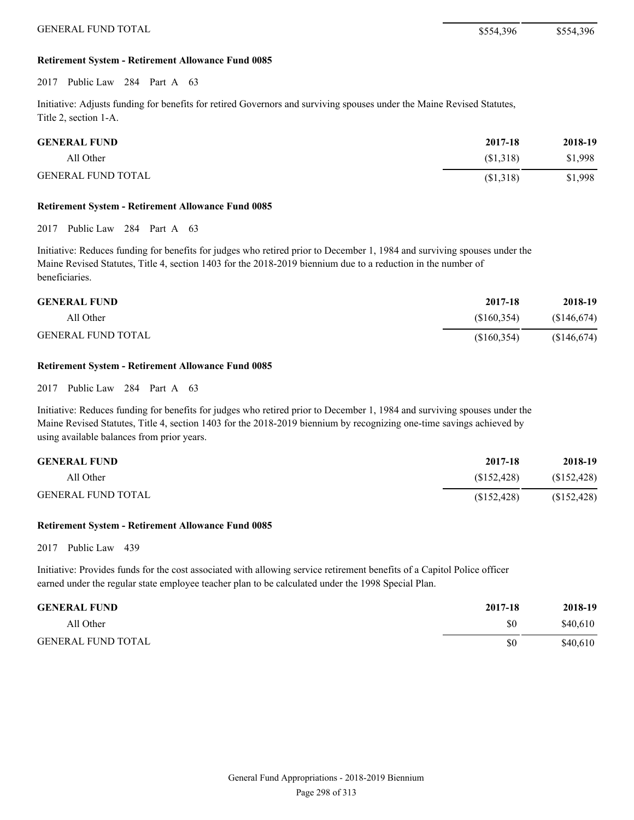#### **Retirement System - Retirement Allowance Fund 0085**

2017 Public Law 284 Part A 63

Initiative: Adjusts funding for benefits for retired Governors and surviving spouses under the Maine Revised Statutes, Title 2, section 1-A.

| <b>GENERAL FUND</b>       | 2017-18   | 2018-19 |
|---------------------------|-----------|---------|
| All Other                 | (\$1,318) | \$1,998 |
| <b>GENERAL FUND TOTAL</b> | (\$1,318) | \$1,998 |

#### **Retirement System - Retirement Allowance Fund 0085**

2017 Public Law 284 Part A 63

Initiative: Reduces funding for benefits for judges who retired prior to December 1, 1984 and surviving spouses under the Maine Revised Statutes, Title 4, section 1403 for the 2018-2019 biennium due to a reduction in the number of beneficiaries.

| <b>GENERAL FUND</b>       | 2017-18     | 2018-19     |
|---------------------------|-------------|-------------|
| All Other                 | (S160.354)  | (S146, 674) |
| <b>GENERAL FUND TOTAL</b> | (\$160,354) | (S146, 674) |

#### **Retirement System - Retirement Allowance Fund 0085**

2017 Public Law 284 Part A 63

Initiative: Reduces funding for benefits for judges who retired prior to December 1, 1984 and surviving spouses under the Maine Revised Statutes, Title 4, section 1403 for the 2018-2019 biennium by recognizing one-time savings achieved by using available balances from prior years.

| <b>GENERAL FUND</b>       | 2017-18     | 2018-19     |
|---------------------------|-------------|-------------|
| All Other                 | (S152.428)  | (S152, 428) |
| <b>GENERAL FUND TOTAL</b> | (S152, 428) | (S152, 428) |

#### **Retirement System - Retirement Allowance Fund 0085**

2017 Public Law 439

Initiative: Provides funds for the cost associated with allowing service retirement benefits of a Capitol Police officer earned under the regular state employee teacher plan to be calculated under the 1998 Special Plan.

| <b>GENERAL FUND</b>       | 2017-18 | 2018-19  |
|---------------------------|---------|----------|
| All Other                 | \$0     | \$40,610 |
| <b>GENERAL FUND TOTAL</b> | \$0     | \$40,610 |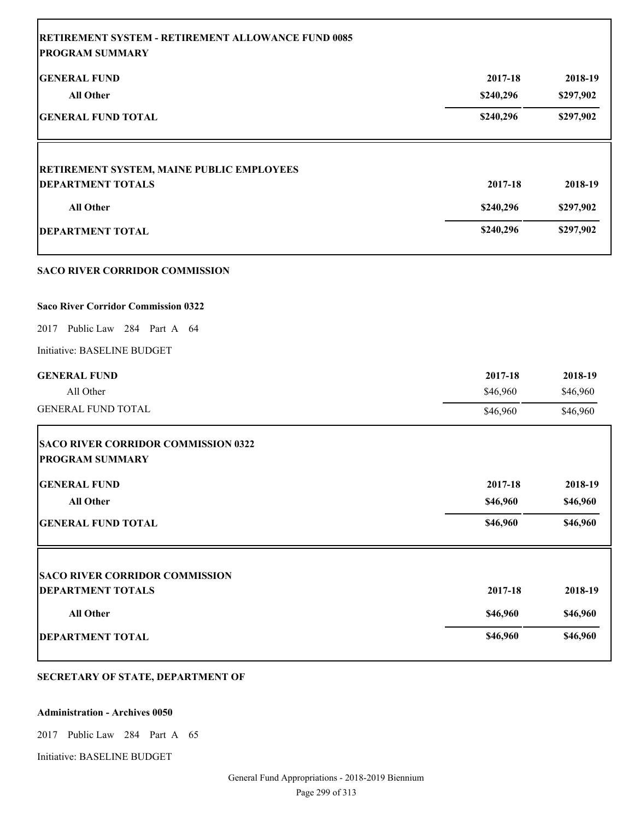| <b>RETIREMENT SYSTEM - RETIREMENT ALLOWANCE FUND 0085</b><br><b>PROGRAM SUMMARY</b> |           |           |
|-------------------------------------------------------------------------------------|-----------|-----------|
| <b>GENERAL FUND</b>                                                                 | 2017-18   | 2018-19   |
| <b>All Other</b>                                                                    | \$240,296 | \$297,902 |
| <b>GENERAL FUND TOTAL</b>                                                           | \$240,296 | \$297,902 |
| RETIREMENT SYSTEM, MAINE PUBLIC EMPLOYEES                                           |           |           |
| <b>DEPARTMENT TOTALS</b>                                                            | 2017-18   | 2018-19   |
| <b>All Other</b>                                                                    | \$240,296 | \$297,902 |
| <b>DEPARTMENT TOTAL</b>                                                             | \$240,296 | \$297,902 |
| <b>SACO RIVER CORRIDOR COMMISSION</b>                                               |           |           |
| <b>Saco River Corridor Commission 0322</b>                                          |           |           |
| 2017 Public Law 284 Part A 64                                                       |           |           |
| Initiative: BASELINE BUDGET                                                         |           |           |
| <b>GENERAL FUND</b>                                                                 | 2017-18   | 2018-19   |
| All Other                                                                           | \$46,960  | \$46,960  |
| <b>GENERAL FUND TOTAL</b>                                                           | \$46,960  | \$46,960  |
| <b>SACO RIVER CORRIDOR COMMISSION 0322</b><br><b>PROGRAM SUMMARY</b>                |           |           |
| <b>GENERAL FUND</b>                                                                 | 2017-18   | 2018-19   |
| All Other                                                                           | \$46,960  | \$46,960  |
| <b>GENERAL FUND TOTAL</b>                                                           | \$46,960  | \$46,960  |
| <b>SACO RIVER CORRIDOR COMMISSION</b>                                               |           |           |
| <b>DEPARTMENT TOTALS</b>                                                            | 2017-18   | 2018-19   |
| All Other                                                                           | \$46,960  | \$46,960  |
| <b>DEPARTMENT TOTAL</b>                                                             | \$46,960  | \$46,960  |
|                                                                                     |           |           |

# **SECRETARY OF STATE, DEPARTMENT OF**

#### **Administration - Archives 0050**

2017 Public Law 284 Part A 65

Initiative: BASELINE BUDGET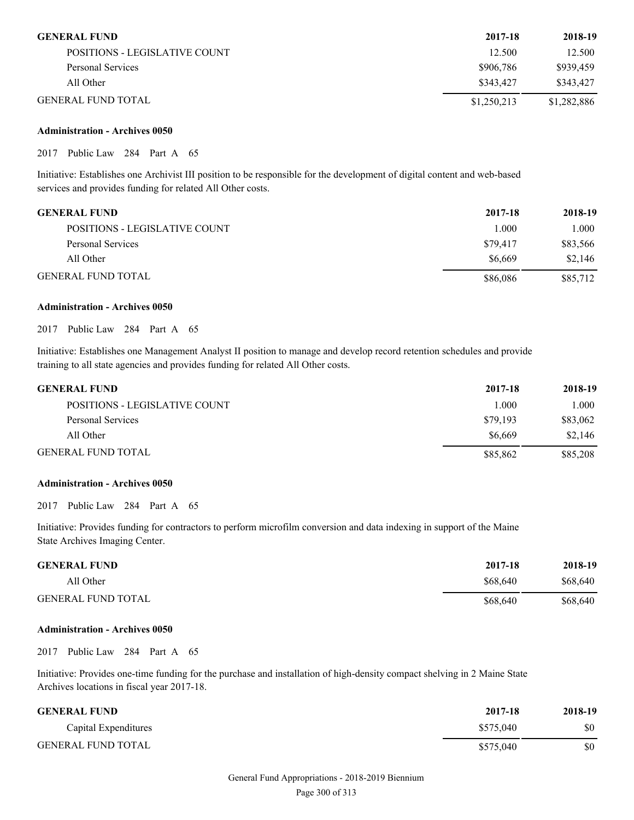| <b>GENERAL FUND</b>           | 2017-18     | 2018-19     |
|-------------------------------|-------------|-------------|
| POSITIONS - LEGISLATIVE COUNT | 12.500      | 12.500      |
| Personal Services             | \$906,786   | \$939.459   |
| All Other                     | \$343,427   | \$343,427   |
| <b>GENERAL FUND TOTAL</b>     | \$1,250,213 | \$1,282,886 |

#### **Administration - Archives 0050**

2017 Public Law 284 Part A 65

Initiative: Establishes one Archivist III position to be responsible for the development of digital content and web-based services and provides funding for related All Other costs.

| <b>GENERAL FUND</b>           | 2017-18  | 2018-19  |
|-------------------------------|----------|----------|
| POSITIONS - LEGISLATIVE COUNT | 1.000    | 1.000    |
| Personal Services             | \$79.417 | \$83,566 |
| All Other                     | \$6.669  | \$2,146  |
| <b>GENERAL FUND TOTAL</b>     | \$86,086 | \$85,712 |

#### **Administration - Archives 0050**

2017 Public Law 284 Part A 65

Initiative: Establishes one Management Analyst II position to manage and develop record retention schedules and provide training to all state agencies and provides funding for related All Other costs.

| <b>GENERAL FUND</b>           | 2017-18  | 2018-19  |
|-------------------------------|----------|----------|
| POSITIONS - LEGISLATIVE COUNT | 1.000    | 000.1    |
| Personal Services             | \$79.193 | \$83,062 |
| All Other                     | \$6,669  | \$2.146  |
| <b>GENERAL FUND TOTAL</b>     | \$85,862 | \$85,208 |

#### **Administration - Archives 0050**

2017 Public Law 284 Part A 65

Initiative: Provides funding for contractors to perform microfilm conversion and data indexing in support of the Maine State Archives Imaging Center.

| <b>GENERAL FUND</b>       | 2017-18  | 2018-19  |
|---------------------------|----------|----------|
| All Other                 | \$68,640 | \$68,640 |
| <b>GENERAL FUND TOTAL</b> | \$68,640 | \$68,640 |

#### **Administration - Archives 0050**

2017 Public Law 284 Part A 65

Initiative: Provides one-time funding for the purchase and installation of high-density compact shelving in 2 Maine State Archives locations in fiscal year 2017-18.

| <b>GENERAL FUND</b>       | 2017-18   | 2018-19 |
|---------------------------|-----------|---------|
| Capital Expenditures      | \$575,040 | \$0     |
| <b>GENERAL FUND TOTAL</b> | \$575,040 | \$0     |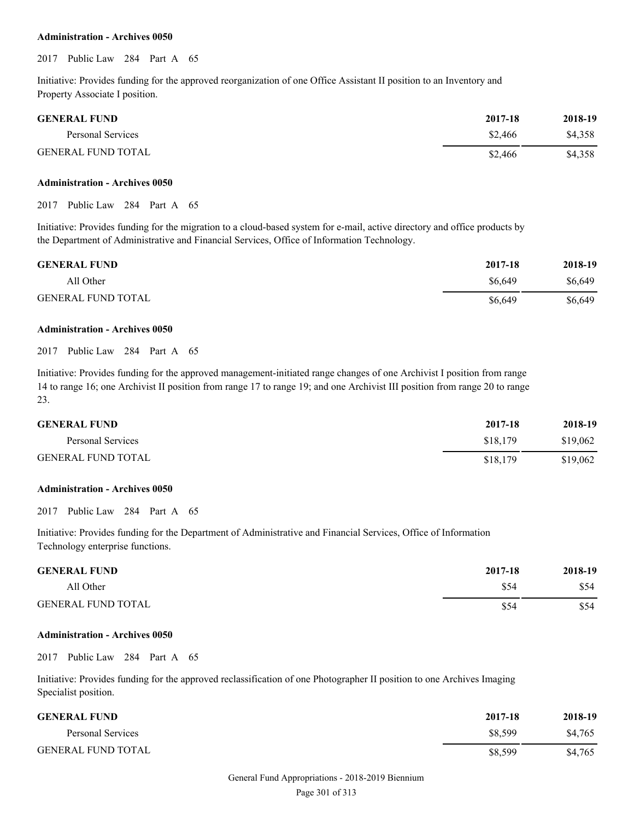#### **Administration - Archives 0050**

2017 Public Law 284 Part A 65

Initiative: Provides funding for the approved reorganization of one Office Assistant II position to an Inventory and Property Associate I position.

| <b>GENERAL FUND</b>       | 2017-18 | 2018-19 |
|---------------------------|---------|---------|
| Personal Services         | \$2,466 | \$4.358 |
| <b>GENERAL FUND TOTAL</b> | \$2,466 | \$4,358 |

#### **Administration - Archives 0050**

2017 Public Law 284 Part A 65

Initiative: Provides funding for the migration to a cloud-based system for e-mail, active directory and office products by the Department of Administrative and Financial Services, Office of Information Technology.

| <b>GENERAL FUND</b>       | 2017-18 | 2018-19 |
|---------------------------|---------|---------|
| All Other                 | \$6.649 | \$6,649 |
| <b>GENERAL FUND TOTAL</b> | \$6.649 | \$6,649 |

#### **Administration - Archives 0050**

2017 Public Law 284 Part A 65

Initiative: Provides funding for the approved management-initiated range changes of one Archivist I position from range 14 to range 16; one Archivist II position from range 17 to range 19; and one Archivist III position from range 20 to range 23.

| <b>GENERAL FUND</b>       | 2017-18  | 2018-19  |
|---------------------------|----------|----------|
| Personal Services         | \$18,179 | \$19,062 |
| <b>GENERAL FUND TOTAL</b> | \$18,179 | \$19,062 |

#### **Administration - Archives 0050**

2017 Public Law 284 Part A 65

Initiative: Provides funding for the Department of Administrative and Financial Services, Office of Information Technology enterprise functions.

| <b>GENERAL FUND</b>       | 2017-18 | 2018-19 |
|---------------------------|---------|---------|
| All Other                 | \$54    | \$54    |
| <b>GENERAL FUND TOTAL</b> | \$54    | \$54    |

#### **Administration - Archives 0050**

2017 Public Law 284 Part A 65

Initiative: Provides funding for the approved reclassification of one Photographer II position to one Archives Imaging Specialist position.

| <b>GENERAL FUND</b>       | 2017-18 | 2018-19 |
|---------------------------|---------|---------|
| Personal Services         | \$8.599 | \$4,765 |
| <b>GENERAL FUND TOTAL</b> | \$8,599 | \$4,765 |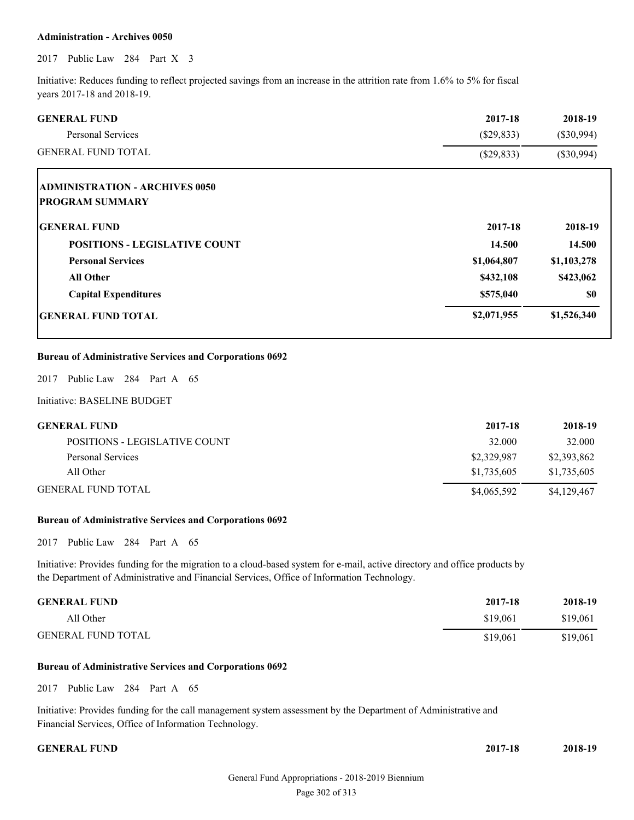#### **Administration - Archives 0050**

2017 Public Law 284 Part X 3

Initiative: Reduces funding to reflect projected savings from an increase in the attrition rate from 1.6% to 5% for fiscal years 2017-18 and 2018-19.

| <b>GENERAL FUND</b>                                            | 2017-18      | 2018-19      |
|----------------------------------------------------------------|--------------|--------------|
| Personal Services                                              | $(\$29,833)$ | $(\$30,994)$ |
| <b>GENERAL FUND TOTAL</b>                                      | $(\$29,833)$ | $(\$30,994)$ |
| <b>ADMINISTRATION - ARCHIVES 0050</b>                          |              |              |
| <b>PROGRAM SUMMARY</b>                                         |              |              |
| <b>GENERAL FUND</b>                                            | 2017-18      | 2018-19      |
| <b>POSITIONS - LEGISLATIVE COUNT</b>                           | 14.500       | 14.500       |
| <b>Personal Services</b>                                       | \$1,064,807  | \$1,103,278  |
| <b>All Other</b>                                               | \$432,108    | \$423,062    |
| <b>Capital Expenditures</b>                                    | \$575,040    | \$0          |
| <b>GENERAL FUND TOTAL</b>                                      | \$2,071,955  | \$1,526,340  |
| <b>Bureau of Administrative Services and Corporations 0692</b> |              |              |
| Public Law 284 Part A 65<br>2017                               |              |              |
| Initiative: BASELINE BUDGET                                    |              |              |
| <b>GENERAL FUND</b>                                            | 2017-18      | 2018-19      |
| POSITIONS - LEGISLATIVE COUNT                                  | 32.000       | 32.000       |
| <b>Personal Services</b>                                       | \$2,329,987  | \$2,393,862  |
| All Other                                                      | \$1,735,605  | \$1,735,605  |
| <b>GENERAL FUND TOTAL</b>                                      | \$4,065,592  | \$4,129,467  |

#### **Bureau of Administrative Services and Corporations 0692**

2017 Public Law 284 Part A 65

Initiative: Provides funding for the migration to a cloud-based system for e-mail, active directory and office products by the Department of Administrative and Financial Services, Office of Information Technology.

| <b>GENERAL FUND</b>       | 2017-18  | 2018-19  |
|---------------------------|----------|----------|
| All Other                 | \$19,061 | \$19,061 |
| <b>GENERAL FUND TOTAL</b> | \$19,061 | \$19,061 |

#### **Bureau of Administrative Services and Corporations 0692**

2017 Public Law 284 Part A 65

Initiative: Provides funding for the call management system assessment by the Department of Administrative and Financial Services, Office of Information Technology.

#### **GENERAL FUND**

| 2017-18 | 2018-19 |
|---------|---------|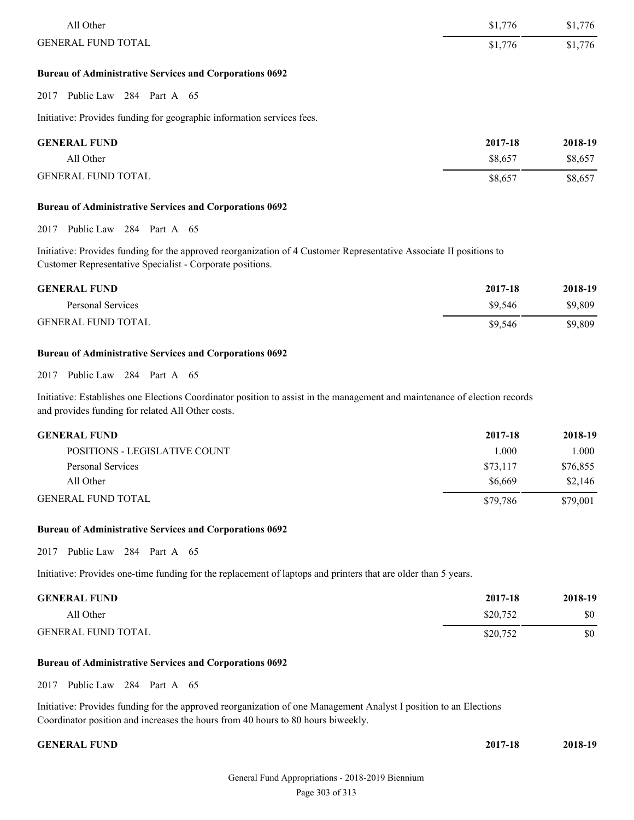| All Other                 | \$1,776 | \$1,776 |
|---------------------------|---------|---------|
| <b>GENERAL FUND TOTAL</b> | \$1,776 | \$1,776 |
|                           |         |         |

#### **Bureau of Administrative Services and Corporations 0692**

2017 Public Law 284 Part A 65

Initiative: Provides funding for geographic information services fees.

| <b>GENERAL FUND</b>       | 2017-18 | 2018-19 |
|---------------------------|---------|---------|
| All Other                 | \$8,657 | \$8,657 |
| <b>GENERAL FUND TOTAL</b> | \$8,657 | \$8,657 |

#### **Bureau of Administrative Services and Corporations 0692**

2017 Public Law 284 Part A 65

Initiative: Provides funding for the approved reorganization of 4 Customer Representative Associate II positions to Customer Representative Specialist - Corporate positions.

| <b>GENERAL FUND</b>       | 2017-18 | 2018-19 |
|---------------------------|---------|---------|
| Personal Services         | \$9.546 | \$9,809 |
| <b>GENERAL FUND TOTAL</b> | \$9.546 | \$9,809 |

#### **Bureau of Administrative Services and Corporations 0692**

2017 Public Law 284 Part A 65

Initiative: Establishes one Elections Coordinator position to assist in the management and maintenance of election records and provides funding for related All Other costs.

| <b>GENERAL FUND</b>           | 2017-18  | 2018-19  |
|-------------------------------|----------|----------|
| POSITIONS - LEGISLATIVE COUNT | 1.000    | 1.000    |
| Personal Services             | \$73,117 | \$76,855 |
| All Other                     | \$6,669  | \$2,146  |
| <b>GENERAL FUND TOTAL</b>     | \$79.786 | \$79,001 |

#### **Bureau of Administrative Services and Corporations 0692**

2017 Public Law 284 Part A 65

Initiative: Provides one-time funding for the replacement of laptops and printers that are older than 5 years.

| <b>GENERAL FUND</b>       | 2017-18  | 2018-19 |
|---------------------------|----------|---------|
| All Other                 | \$20,752 | \$0     |
| <b>GENERAL FUND TOTAL</b> | \$20,752 | \$0     |

#### **Bureau of Administrative Services and Corporations 0692**

2017 Public Law 284 Part A 65

Initiative: Provides funding for the approved reorganization of one Management Analyst I position to an Elections Coordinator position and increases the hours from 40 hours to 80 hours biweekly.

#### **CENERAL FUND** 2

| :017-18 | 2018-19 |
|---------|---------|
|         |         |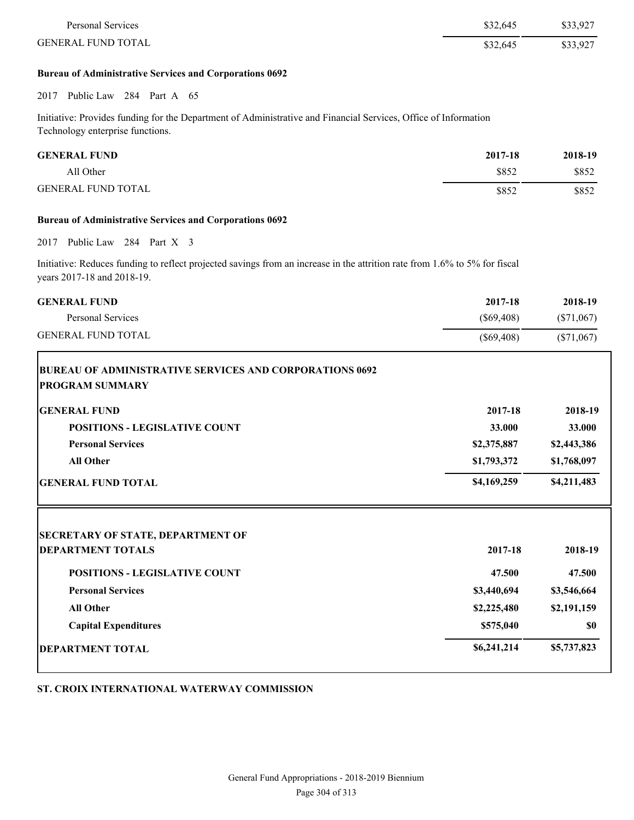| Personal Services         | \$32,645 | \$33,927 |
|---------------------------|----------|----------|
| <b>GENERAL FUND TOTAL</b> | \$32,645 | \$33,927 |

#### **Bureau of Administrative Services and Corporations 0692**

2017 Public Law 284 Part A 65

Initiative: Provides funding for the Department of Administrative and Financial Services, Office of Information Technology enterprise functions.

| <b>GENERAL FUND</b>       | 2017-18 | 2018-19 |
|---------------------------|---------|---------|
| All Other                 | \$852   | \$852   |
| <b>GENERAL FUND TOTAL</b> | \$852   | \$852   |

#### **Bureau of Administrative Services and Corporations 0692**

2017 Public Law 284 Part X 3

Initiative: Reduces funding to reflect projected savings from an increase in the attrition rate from 1.6% to 5% for fiscal years 2017-18 and 2018-19.

| <b>GENERAL FUND</b>                                            | 2017-18      | 2018-19      |
|----------------------------------------------------------------|--------------|--------------|
| <b>Personal Services</b>                                       | $(\$69,408)$ | $(\$71,067)$ |
| <b>GENERAL FUND TOTAL</b>                                      | $(\$69,408)$ | $(\$71,067)$ |
| <b>BUREAU OF ADMINISTRATIVE SERVICES AND CORPORATIONS 0692</b> |              |              |
| <b>PROGRAM SUMMARY</b>                                         |              |              |
| <b>GENERAL FUND</b>                                            | 2017-18      | 2018-19      |
| <b>POSITIONS - LEGISLATIVE COUNT</b>                           | 33.000       | 33.000       |
| <b>Personal Services</b>                                       | \$2,375,887  | \$2,443,386  |
| <b>All Other</b>                                               | \$1,793,372  | \$1,768,097  |
| <b>GENERAL FUND TOTAL</b>                                      | \$4,169,259  | \$4,211,483  |
| <b>SECRETARY OF STATE, DEPARTMENT OF</b>                       |              |              |
| <b>DEPARTMENT TOTALS</b>                                       | 2017-18      | 2018-19      |
| <b>POSITIONS - LEGISLATIVE COUNT</b>                           | 47.500       | 47.500       |
| <b>Personal Services</b>                                       | \$3,440,694  | \$3,546,664  |
| <b>All Other</b>                                               | \$2,225,480  | \$2,191,159  |
| <b>Capital Expenditures</b>                                    | \$575,040    | \$0          |
| <b>DEPARTMENT TOTAL</b>                                        | \$6,241,214  | \$5,737,823  |

**ST. CROIX INTERNATIONAL WATERWAY COMMISSION**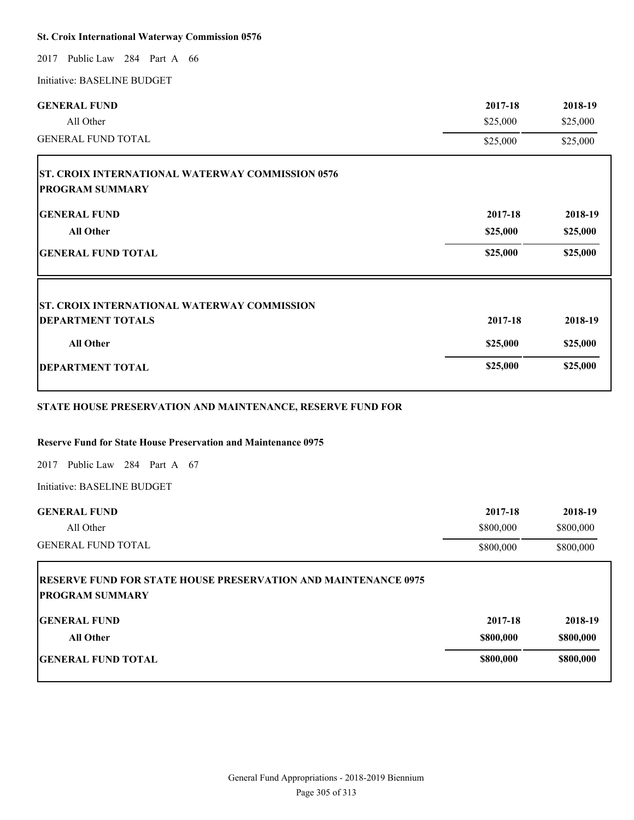#### **St. Croix International Waterway Commission 0576**

2017 Public Law 284 Part A 66

Initiative: BASELINE BUDGET

| <b>GENERAL FUND</b>                                                               | 2017-18  | 2018-19  |
|-----------------------------------------------------------------------------------|----------|----------|
| All Other                                                                         | \$25,000 | \$25,000 |
| <b>GENERAL FUND TOTAL</b>                                                         | \$25,000 | \$25,000 |
| <b>ST. CROIX INTERNATIONAL WATERWAY COMMISSION 0576</b><br><b>PROGRAM SUMMARY</b> |          |          |
| <b>GENERAL FUND</b>                                                               | 2017-18  | 2018-19  |
| <b>All Other</b>                                                                  | \$25,000 | \$25,000 |
| <b>GENERAL FUND TOTAL</b>                                                         | \$25,000 | \$25,000 |
| <b>ST. CROIX INTERNATIONAL WATERWAY COMMISSION</b>                                |          |          |
| <b>DEPARTMENT TOTALS</b>                                                          | 2017-18  | 2018-19  |
| <b>All Other</b>                                                                  | \$25,000 | \$25,000 |
| <b>DEPARTMENT TOTAL</b>                                                           | \$25,000 | \$25,000 |
|                                                                                   |          |          |

### **STATE HOUSE PRESERVATION AND MAINTENANCE, RESERVE FUND FOR**

# **Reserve Fund for State House Preservation and Maintenance 0975**

2017 Public Law 284 Part A 67

Initiative: BASELINE BUDGET

| <b>GENERAL FUND</b>                                                                             | 2017-18   | 2018-19   |
|-------------------------------------------------------------------------------------------------|-----------|-----------|
| All Other                                                                                       | \$800,000 | \$800,000 |
| <b>GENERAL FUND TOTAL</b>                                                                       | \$800,000 | \$800,000 |
| <b>RESERVE FUND FOR STATE HOUSE PRESERVATION AND MAINTENANCE 0975</b><br><b>PROGRAM SUMMARY</b> |           |           |
| <b>IGENERAL FUND</b>                                                                            | 2017-18   | 2018-19   |
| <b>All Other</b>                                                                                | \$800,000 | \$800,000 |
| <b>IGENERAL FUND TOTAL</b>                                                                      | \$800,000 | \$800,000 |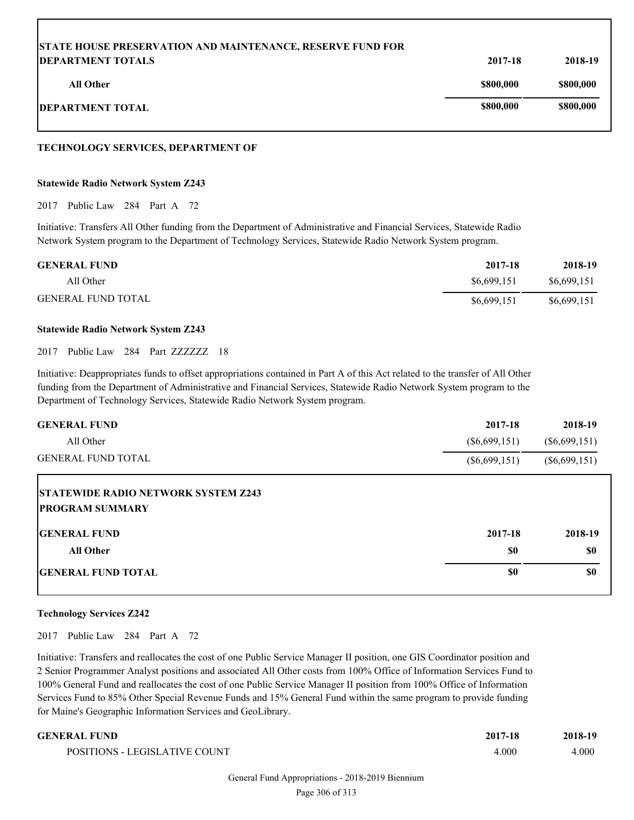| <b>STATE HOUSE PRESERVATION AND MAINTENANCE, RESERVE FUND FOR</b> |           |           |
|-------------------------------------------------------------------|-----------|-----------|
| <b>DEPARTMENT TOTALS</b>                                          | 2017-18   | 2018-19   |
| All Other                                                         | \$800,000 | \$800,000 |
| <b>DEPARTMENT TOTAL</b>                                           | \$800,000 | \$800,000 |

#### **TECHNOLOGY SERVICES, DEPARTMENT OF**

#### **Statewide Radio Network System Z243**

2017 Public Law 284 Part A 72

Initiative: Transfers All Other funding from the Department of Administrative and Financial Services, Statewide Radio Network System program to the Department of Technology Services, Statewide Radio Network System program.

| <b>GENERAL FUND</b>       | 2017-18     | 2018-19     |
|---------------------------|-------------|-------------|
| All Other                 | \$6,699,151 | \$6,699,151 |
| <b>GENERAL FUND TOTAL</b> | \$6,699,151 | \$6,699,151 |

#### **Statewide Radio Network System Z243**

2017 Public Law 284 Part ZZZZZZZ 18

Initiative: Deappropriates funds to offset appropriations contained in Part A of this Act related to the transfer of All Other funding from the Department of Administrative and Financial Services, Statewide Radio Network System program to the Department of Technology Services, Statewide Radio Network System program.

| <b>GENERAL FUND</b>                                                  | 2017-18         | 2018-19         |
|----------------------------------------------------------------------|-----------------|-----------------|
| All Other                                                            | $(\$6,699,151)$ | $(\$6,699,151)$ |
| <b>GENERAL FUND TOTAL</b>                                            | $(\$6,699,151)$ | $(\$6,699,151)$ |
| <b>STATEWIDE RADIO NETWORK SYSTEM Z243</b><br><b>PROGRAM SUMMARY</b> |                 |                 |
| <b>IGENERAL FUND</b>                                                 | 2017-18         | 2018-19         |
| <b>All Other</b>                                                     | \$0             | \$0             |
| <b>IGENERAL FUND TOTAL</b>                                           | \$0             | \$0             |

#### **Technology Services Z242**

2017 Public Law 284 Part A 72

Initiative: Transfers and reallocates the cost of one Public Service Manager II position, one GIS Coordinator position and 2 Senior Programmer Analyst positions and associated All Other costs from 100% Office of Information Services Fund to 100% General Fund and reallocates the cost of one Public Service Manager II position from 100% Office of Information Services Fund to 85% Other Special Revenue Funds and 15% General Fund within the same program to provide funding for Maine's Geographic Information Services and GeoLibrary.

#### **GENERAL FUND 2017-18 2018-19**

| POSITIONS - LEGISLATIVE COUNT | 1.000 | 000. |
|-------------------------------|-------|------|
|                               |       |      |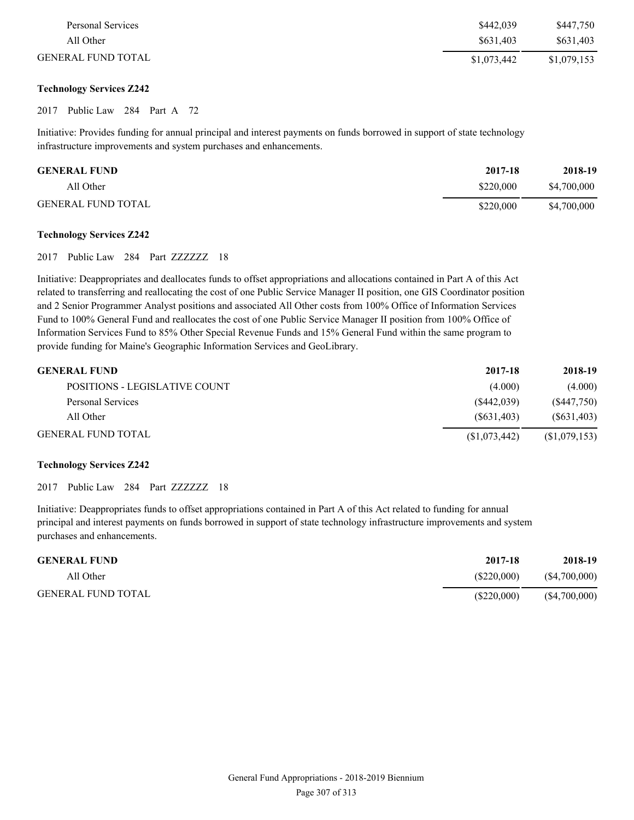| Personal Services         | \$442,039   | \$447,750   |
|---------------------------|-------------|-------------|
| All Other                 | \$631,403   | \$631,403   |
| <b>GENERAL FUND TOTAL</b> | \$1,073,442 | \$1,079,153 |

#### **Technology Services Z242**

#### 2017 Public Law 284 Part A 72

Initiative: Provides funding for annual principal and interest payments on funds borrowed in support of state technology infrastructure improvements and system purchases and enhancements.

| <b>GENERAL FUND</b>       | 2017-18   | 2018-19     |
|---------------------------|-----------|-------------|
| All Other                 | \$220,000 | \$4,700,000 |
| <b>GENERAL FUND TOTAL</b> | \$220,000 | \$4,700,000 |

#### **Technology Services Z242**

2017 Public Law 284 Part ZZZZZZZ 18

Initiative: Deappropriates and deallocates funds to offset appropriations and allocations contained in Part A of this Act related to transferring and reallocating the cost of one Public Service Manager II position, one GIS Coordinator position and 2 Senior Programmer Analyst positions and associated All Other costs from 100% Office of Information Services Fund to 100% General Fund and reallocates the cost of one Public Service Manager II position from 100% Office of Information Services Fund to 85% Other Special Revenue Funds and 15% General Fund within the same program to provide funding for Maine's Geographic Information Services and GeoLibrary.

| <b>GENERAL FUND</b>           | 2017-18      | 2018-19       |
|-------------------------------|--------------|---------------|
| POSITIONS - LEGISLATIVE COUNT | (4.000)      | (4.000)       |
| Personal Services             | (S442, 039)  | (S447,750)    |
| All Other                     | (S631, 403)  | (S631, 403)   |
| <b>GENERAL FUND TOTAL</b>     | (S1,073,442) | (\$1,079,153) |

#### **Technology Services Z242**

2017 Public Law 284 Part ZZZZZZZ 18

Initiative: Deappropriates funds to offset appropriations contained in Part A of this Act related to funding for annual principal and interest payments on funds borrowed in support of state technology infrastructure improvements and system purchases and enhancements.

| <b>GENERAL FUND</b>       | 2017-18       | 2018-19       |
|---------------------------|---------------|---------------|
| All Other                 | (S220.000)    | (\$4,700,000) |
| <b>GENERAL FUND TOTAL</b> | $(\$220,000)$ | (S4,700,000)  |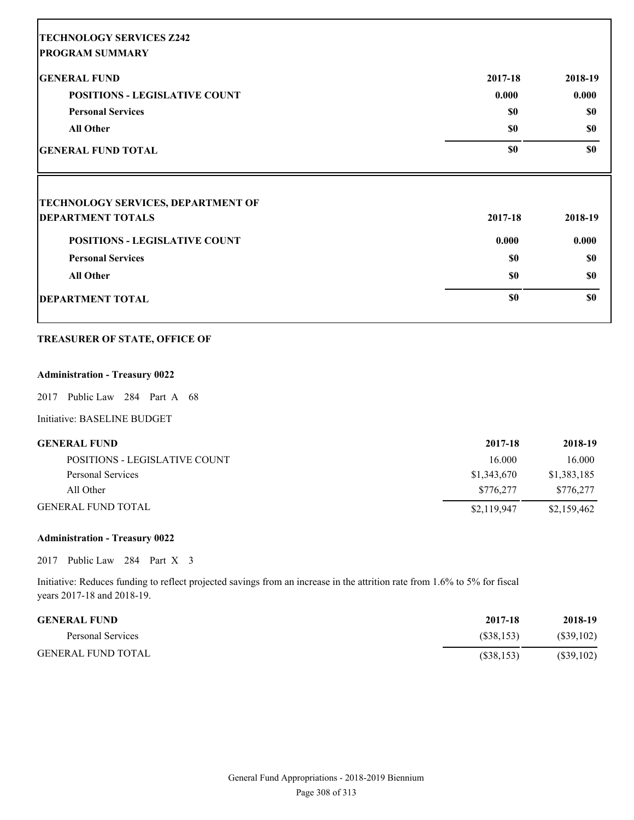| <b>TECHNOLOGY SERVICES Z242</b>           |         |           |
|-------------------------------------------|---------|-----------|
| <b>PROGRAM SUMMARY</b>                    |         |           |
| <b>GENERAL FUND</b>                       | 2017-18 | 2018-19   |
| <b>POSITIONS - LEGISLATIVE COUNT</b>      | 0.000   | 0.000     |
| <b>Personal Services</b>                  | \$0     | \$0       |
| <b>All Other</b>                          | \$0     | \$0       |
| <b>GENERAL FUND TOTAL</b>                 | \$0     | \$0       |
| <b>TECHNOLOGY SERVICES, DEPARTMENT OF</b> |         |           |
| <b>DEPARTMENT TOTALS</b>                  | 2017-18 | 2018-19   |
| <b>POSITIONS - LEGISLATIVE COUNT</b>      | 0.000   | 0.000     |
| <b>Personal Services</b>                  | \$0     | <b>SO</b> |
| <b>All Other</b>                          | \$0     | \$0       |
| <b>DEPARTMENT TOTAL</b>                   | \$0     | \$0       |

#### **TREASURER OF STATE, OFFICE OF**

### **Administration - Treasury 0022**

Е

2017 Public Law 284 Part A 68

Initiative: BASELINE BUDGET

| <b>GENERAL FUND</b>           | 2017-18     | 2018-19     |
|-------------------------------|-------------|-------------|
| POSITIONS - LEGISLATIVE COUNT | 16.000      | 16.000      |
| Personal Services             | \$1,343,670 | \$1,383,185 |
| All Other                     | \$776.277   | \$776.277   |
| <b>GENERAL FUND TOTAL</b>     | \$2,119,947 | \$2,159,462 |

### **Administration - Treasury 0022**

2017 Public Law 284 Part X 3

Initiative: Reduces funding to reflect projected savings from an increase in the attrition rate from 1.6% to 5% for fiscal years 2017-18 and 2018-19.

| <b>GENERAL FUND</b>       | 2017-18    | 2018-19   |
|---------------------------|------------|-----------|
| Personal Services         | (S38.153)  | (S39,102) |
| <b>GENERAL FUND TOTAL</b> | (S38, 153) | (S39,102) |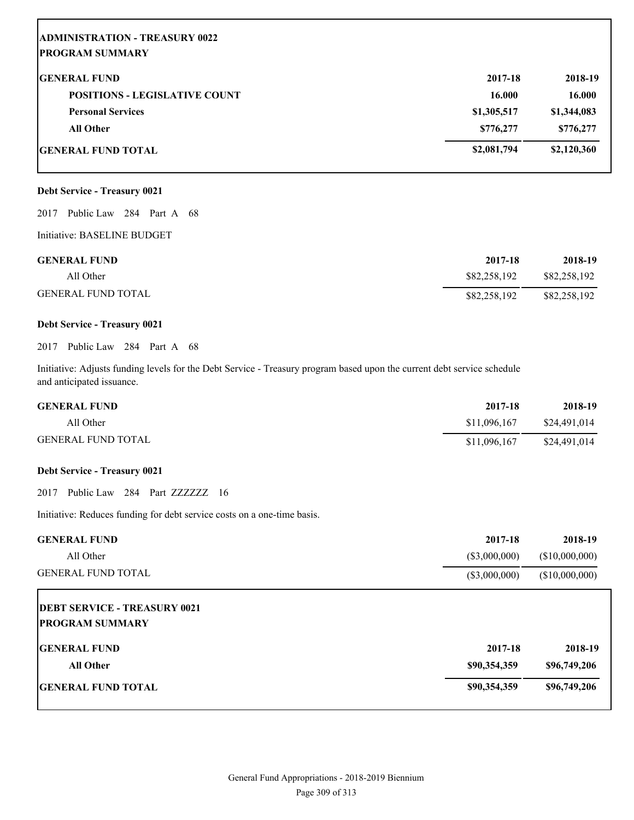| <b>ADMINISTRATION - TREASURY 0022</b><br><b>PROGRAM SUMMARY</b> |             |             |
|-----------------------------------------------------------------|-------------|-------------|
| <b>GENERAL FUND</b>                                             | 2017-18     | 2018-19     |
| <b>POSITIONS - LEGISLATIVE COUNT</b>                            | 16.000      | 16.000      |
| <b>Personal Services</b>                                        | \$1,305,517 | \$1,344,083 |
| <b>All Other</b>                                                | \$776,277   | \$776,277   |
| <b>GENERAL FUND TOTAL</b>                                       | \$2,081,794 | \$2,120,360 |

# **Debt Service - Treasury 0021**

2017 Public Law 284 Part A 68

Initiative: BASELINE BUDGET

| <b>GENERAL FUND</b>       | 2017-18      | 2018-19      |
|---------------------------|--------------|--------------|
| All Other                 | \$82,258,192 | \$82,258,192 |
| <b>GENERAL FUND TOTAL</b> | \$82,258,192 | \$82,258,192 |

### **Debt Service - Treasury 0021**

2017 Public Law 284 Part A 68

Initiative: Adjusts funding levels for the Debt Service - Treasury program based upon the current debt service schedule and anticipated issuance.

| <b>GENERAL FUND</b>       | 2017-18      | 2018-19      |
|---------------------------|--------------|--------------|
| All Other                 | \$11,096,167 | \$24.491.014 |
| <b>GENERAL FUND TOTAL</b> | \$11,096,167 | \$24,491,014 |

#### **Debt Service - Treasury 0021**

2017 Public Law 284 Part ZZZZZZZ 16

Initiative: Reduces funding for debt service costs on a one-time basis.

| <b>GENERAL FUND</b>                                           | 2017-18         | 2018-19        |
|---------------------------------------------------------------|-----------------|----------------|
| All Other                                                     | $(\$3,000,000)$ | (\$10,000,000) |
| <b>GENERAL FUND TOTAL</b>                                     | $(\$3,000,000)$ | (\$10,000,000) |
| <b>DEBT SERVICE - TREASURY 0021</b><br><b>PROGRAM SUMMARY</b> |                 |                |
| <b>GENERAL FUND</b>                                           | 2017-18         | 2018-19        |
| <b>All Other</b>                                              | \$90,354,359    | \$96,749,206   |
| <b>GENERAL FUND TOTAL</b>                                     | \$90,354,359    | \$96,749,206   |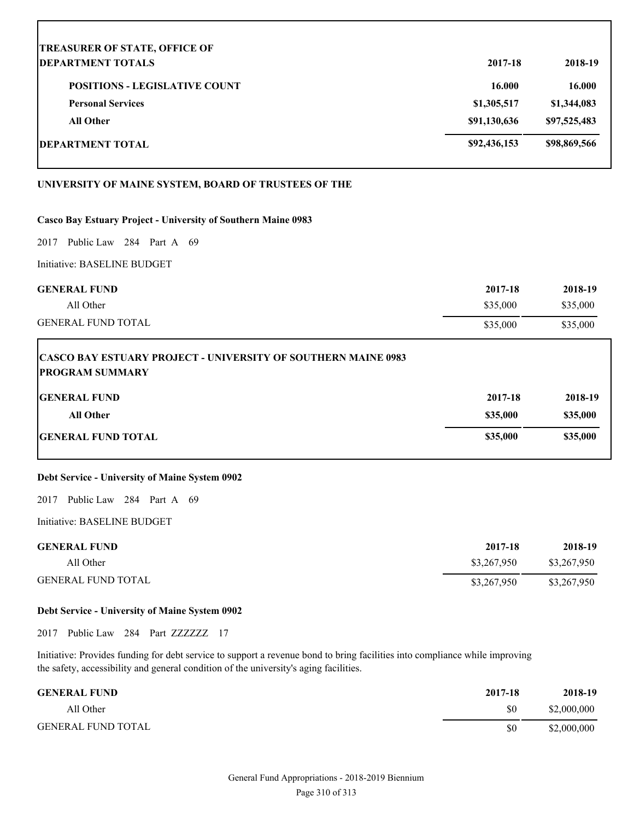| <b>TREASURER OF STATE, OFFICE OF</b>                                                           |              |              |
|------------------------------------------------------------------------------------------------|--------------|--------------|
| <b>DEPARTMENT TOTALS</b>                                                                       | 2017-18      | 2018-19      |
| <b>POSITIONS - LEGISLATIVE COUNT</b>                                                           | 16.000       | 16.000       |
| <b>Personal Services</b>                                                                       | \$1,305,517  | \$1,344,083  |
| <b>All Other</b>                                                                               | \$91,130,636 | \$97,525,483 |
| <b>DEPARTMENT TOTAL</b>                                                                        | \$92,436,153 | \$98,869,566 |
| UNIVERSITY OF MAINE SYSTEM, BOARD OF TRUSTEES OF THE                                           |              |              |
| Casco Bay Estuary Project - University of Southern Maine 0983                                  |              |              |
| Public Law 284 Part A 69<br>2017                                                               |              |              |
| Initiative: BASELINE BUDGET                                                                    |              |              |
| <b>GENERAL FUND</b>                                                                            | 2017-18      | 2018-19      |
| All Other                                                                                      | \$35,000     | \$35,000     |
| <b>GENERAL FUND TOTAL</b>                                                                      | \$35,000     | \$35,000     |
| <b>CASCO BAY ESTUARY PROJECT - UNIVERSITY OF SOUTHERN MAINE 0983</b><br><b>PROGRAM SUMMARY</b> |              |              |
| <b>GENERAL FUND</b>                                                                            | 2017-18      | 2018-19      |
| All Other                                                                                      | \$35,000     | \$35,000     |
| <b>GENERAL FUND TOTAL</b>                                                                      | \$35,000     | \$35,000     |
| Debt Service - University of Maine System 0902                                                 |              |              |
| Public Law 284 Part A 69<br>2017                                                               |              |              |
| Initiative: BASELINE BUDGET                                                                    |              |              |
| <b>GENERAL FUND</b>                                                                            | 2017-18      | 2018-19      |
| All Other                                                                                      | \$3,267,950  | \$3,267,950  |
| <b>GENERAL FUND TOTAL</b>                                                                      | \$3,267,950  | \$3,267,950  |

# **Debt Service - University of Maine System 0902**

2017 Public Law 284 Part ZZZZZZZ 17

Initiative: Provides funding for debt service to support a revenue bond to bring facilities into compliance while improving the safety, accessibility and general condition of the university's aging facilities.

| <b>GENERAL FUND</b>       | 2017-18 | 2018-19     |
|---------------------------|---------|-------------|
| All Other                 | \$0     | \$2,000,000 |
| <b>GENERAL FUND TOTAL</b> | \$0     | \$2,000,000 |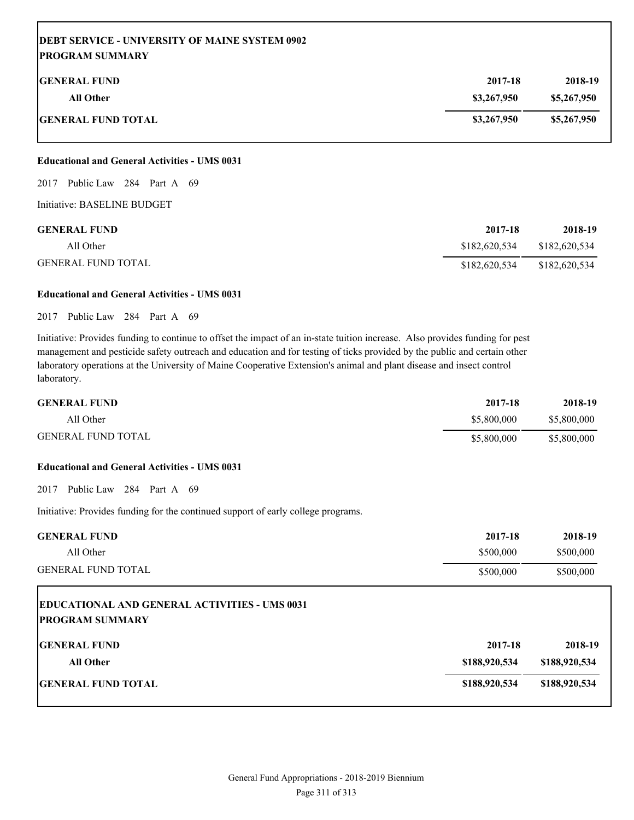| <b>DEBT SERVICE - UNIVERSITY OF MAINE SYSTEM 0902</b><br><b>IPROGRAM SUMMARY</b> |             |             |
|----------------------------------------------------------------------------------|-------------|-------------|
| <b>IGENERAL FUND</b>                                                             | 2017-18     | 2018-19     |
| <b>All Other</b>                                                                 | \$3,267,950 | \$5,267,950 |
| <b>GENERAL FUND TOTAL</b>                                                        | \$3,267,950 | \$5,267,950 |

#### **Educational and General Activities - UMS 0031**

2017 Public Law 284 Part A 69

Initiative: BASELINE BUDGET

Г

| <b>GENERAL FUND</b>       | 2017-18       | 2018-19       |
|---------------------------|---------------|---------------|
| All Other                 | \$182,620,534 | \$182,620,534 |
| <b>GENERAL FUND TOTAL</b> | \$182,620,534 | \$182,620,534 |

#### **Educational and General Activities - UMS 0031**

#### 2017 Public Law 284 Part A 69

Initiative: Provides funding to continue to offset the impact of an in-state tuition increase. Also provides funding for pest management and pesticide safety outreach and education and for testing of ticks provided by the public and certain other laboratory operations at the University of Maine Cooperative Extension's animal and plant disease and insect control laboratory.

| <b>GENERAL FUND</b>       | 2017-18     | 2018-19     |
|---------------------------|-------------|-------------|
| All Other                 | \$5,800,000 | \$5,800,000 |
| <b>GENERAL FUND TOTAL</b> | \$5,800,000 | \$5,800,000 |

#### **Educational and General Activities - UMS 0031**

2017 Public Law 284 Part A 69

Initiative: Provides funding for the continued support of early college programs.

| <b>GENERAL FUND</b>                                                            | 2017-18       | 2018-19       |
|--------------------------------------------------------------------------------|---------------|---------------|
| All Other                                                                      | \$500,000     | \$500,000     |
| <b>GENERAL FUND TOTAL</b>                                                      | \$500,000     | \$500,000     |
| <b>EDUCATIONAL AND GENERAL ACTIVITIES - UMS 0031</b><br><b>PROGRAM SUMMARY</b> |               |               |
| <b>GENERAL FUND</b>                                                            | 2017-18       | 2018-19       |
| <b>All Other</b>                                                               | \$188,920,534 | \$188,920,534 |
| <b>IGENERAL FUND TOTAL</b>                                                     | \$188,920,534 | \$188,920,534 |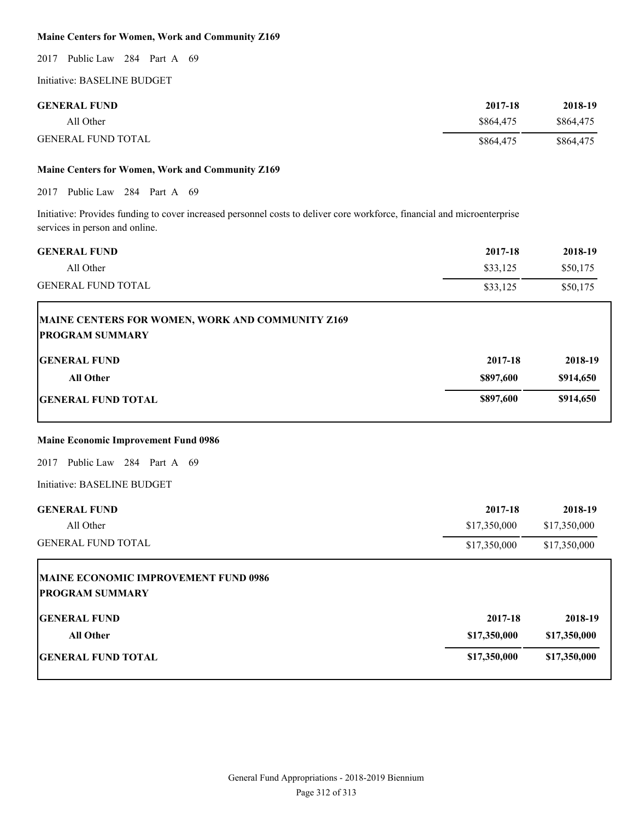#### **Maine Centers for Women, Work and Community Z169**

2017 Public Law 284 Part A 69

Initiative: BASELINE BUDGET

| <b>GENERAL FUND</b>       | 2017-18   | 2018-19   |
|---------------------------|-----------|-----------|
| All Other                 | \$864,475 | \$864,475 |
| <b>GENERAL FUND TOTAL</b> | \$864,475 | \$864.475 |

### **Maine Centers for Women, Work and Community Z169**

2017 Public Law 284 Part A 69

Initiative: Provides funding to cover increased personnel costs to deliver core workforce, financial and microenterprise services in person and online.

| <b>GENERAL FUND</b>                                                        | 2017-18      | 2018-19      |
|----------------------------------------------------------------------------|--------------|--------------|
| All Other                                                                  | \$33,125     | \$50,175     |
| <b>GENERAL FUND TOTAL</b>                                                  | \$33,125     | \$50,175     |
| MAINE CENTERS FOR WOMEN, WORK AND COMMUNITY Z169<br><b>PROGRAM SUMMARY</b> |              |              |
| <b>GENERAL FUND</b>                                                        | 2017-18      | 2018-19      |
| <b>All Other</b>                                                           | \$897,600    | \$914,650    |
| <b>GENERAL FUND TOTAL</b>                                                  | \$897,600    | \$914,650    |
| <b>Maine Economic Improvement Fund 0986</b>                                |              |              |
| 2017 Public Law 284 Part A 69                                              |              |              |
| Initiative: BASELINE BUDGET                                                |              |              |
| <b>GENERAL FUND</b>                                                        | 2017-18      | 2018-19      |
| All Other                                                                  | \$17,350,000 | \$17,350,000 |
| <b>GENERAL FUND TOTAL</b>                                                  | \$17,350,000 | \$17,350,000 |
| MAINE ECONOMIC IMPROVEMENT FUND 0986<br><b>PROGRAM SUMMARY</b>             |              |              |
| <b>GENERAL FUND</b>                                                        | 2017-18      | 2018-19      |
| <b>All Other</b>                                                           | \$17,350,000 | \$17,350,000 |
| <b>GENERAL FUND TOTAL</b>                                                  | \$17,350,000 | \$17,350,000 |